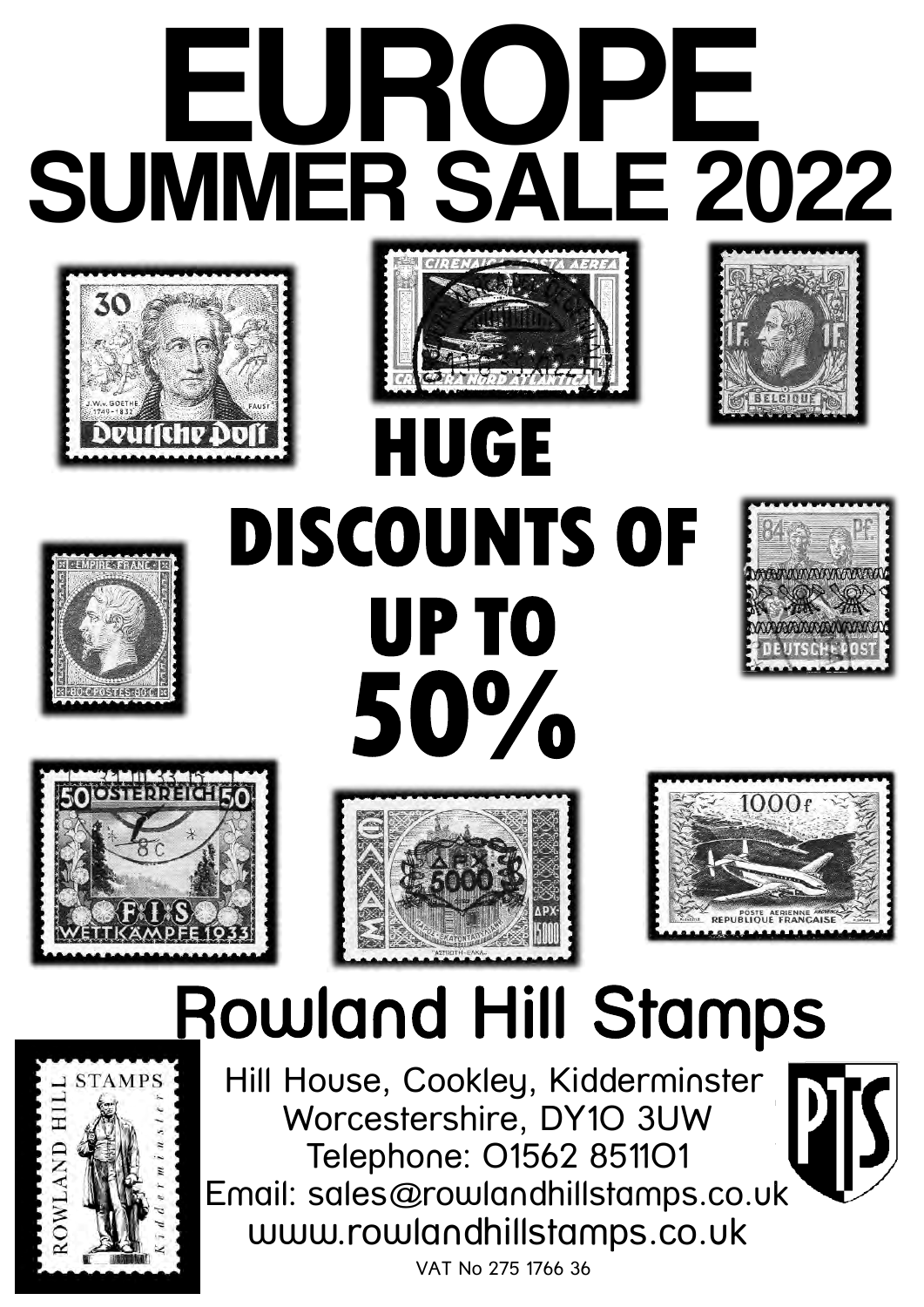









# **HUGE DISCOUNTS OF UP TO 50%**









### Rowland Hill Stamps



Hill House, Cookley, Kidderminster Worcestershire, DY1O 3UW Telephone: O1562 8511O1 Email: sales@rowlandhillstamps.co.uk www.rowlandhillstamps.co.uk

VAT No 275 1766 36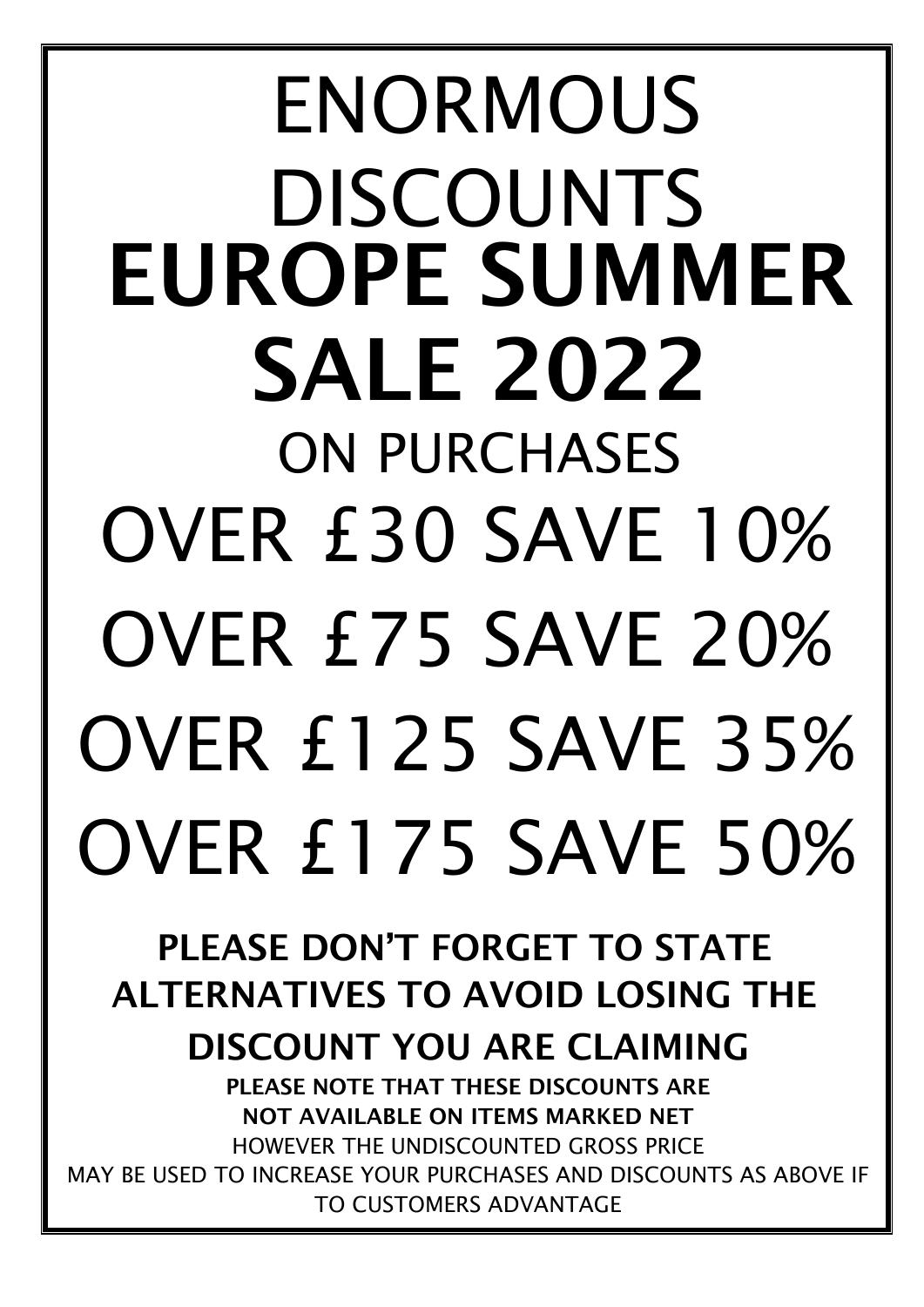# ENORMOUS DISCOUNTS EUROPE SUMMER SALE 2022 ON PURCHASES OVER £30 SAVE 10% OVER £75 SAVE 20% OVER £125 SAVE 35% OVER £175 SAVE 50%

PLEASE DON'T FORGET TO STATE ALTERNATIVES TO AVOID LOSING THE

DISCOUNT YOU ARE CLAIMING

PLEASE NOTE THAT THESE DISCOUNTS ARE NOT AVAILABLE ON ITEMS MARKED NET HOWEVER THE UNDISCOUNTED GROSS PRICE MAY BE USED TO INCREASE YOUR PURCHASES AND DISCOUNTS AS ABOVE IF TO CUSTOMERS ADVANTAGE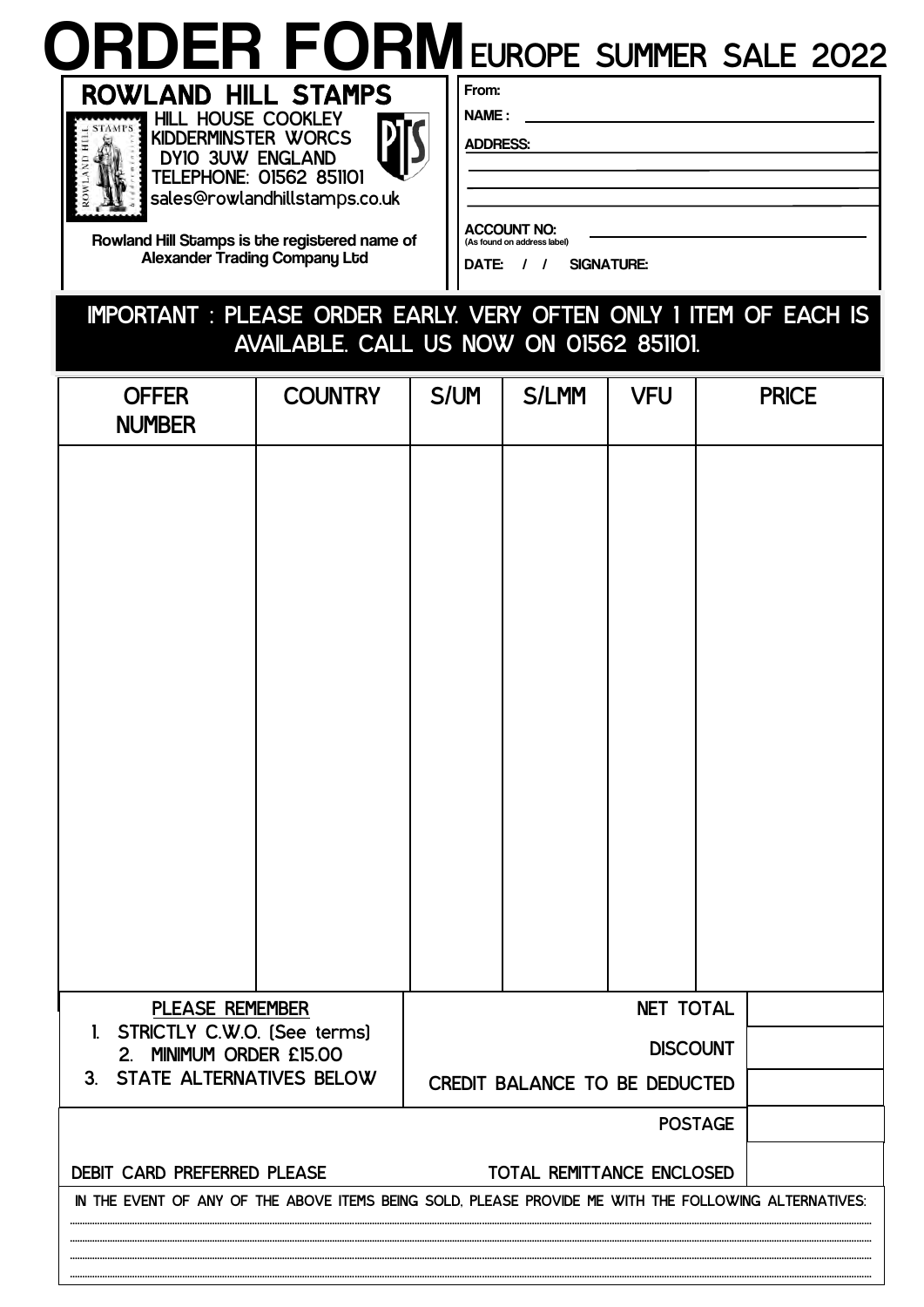### From: ORDER FORM<br>
ROWLAND HILL STAMPS<br>
HILL HOUSE COOKLEY EUROPE SUMMER SALE 2022



KIDDERMINSTER WORCS DY10 3UW ENGLAND TELEPHONE: 01562 851101 sales@rowlandhillstamps.co.uk

Rowland Hill Stamps is the registered name of Alexander Trading Company Ltd

NAME :

ADDRESS:

ACCOUNT NO: (As found on address label)

DATE: / / SIGNATURE:

#### IMPORTANT : PLEASE ORDER EARLY. VERY OFTEN ONLY 1 ITEM OF EACH IS AVAILABLE. CALL US NOW ON 01562 851101.

| <b>OFFER</b><br><b>NUMBER</b>                                                                         | <b>COUNTRY</b> | S/UM | <b>S/LMM</b>                  | <b>VFU</b>       |                | <b>PRICE</b> |
|-------------------------------------------------------------------------------------------------------|----------------|------|-------------------------------|------------------|----------------|--------------|
|                                                                                                       |                |      |                               |                  |                |              |
|                                                                                                       |                |      |                               |                  |                |              |
|                                                                                                       |                |      |                               |                  |                |              |
|                                                                                                       |                |      |                               |                  |                |              |
|                                                                                                       |                |      |                               |                  |                |              |
|                                                                                                       |                |      |                               |                  |                |              |
|                                                                                                       |                |      |                               |                  |                |              |
|                                                                                                       |                |      |                               |                  |                |              |
|                                                                                                       |                |      |                               |                  |                |              |
|                                                                                                       |                |      |                               |                  |                |              |
|                                                                                                       |                |      |                               |                  |                |              |
| PLEASE REMEMBER                                                                                       |                |      |                               | <b>NET TOTAL</b> |                |              |
| STRICTLY C.W.O. [See terms]<br>$\mathbf{l}$<br>MINIMUM ORDER £15.00<br>2.                             |                |      |                               | <b>DISCOUNT</b>  |                |              |
| 3. STATE ALTERNATIVES BELOW                                                                           |                |      | CREDIT BALANCE TO BE DEDUCTED |                  |                |              |
|                                                                                                       |                |      |                               |                  | <b>POSTAGE</b> |              |
| DEBIT CARD PREFERRED PLEASE                                                                           |                |      | TOTAL REMITTANCE ENCLOSED     |                  |                |              |
| IN THE EVENT OF ANY OF THE ABOVE ITEMS BEING SOLD, PLEASE PROVIDE ME WITH THE FOLLOWING ALTERNATIVES: |                |      |                               |                  |                |              |
|                                                                                                       |                |      |                               |                  |                |              |
|                                                                                                       |                |      |                               |                  |                |              |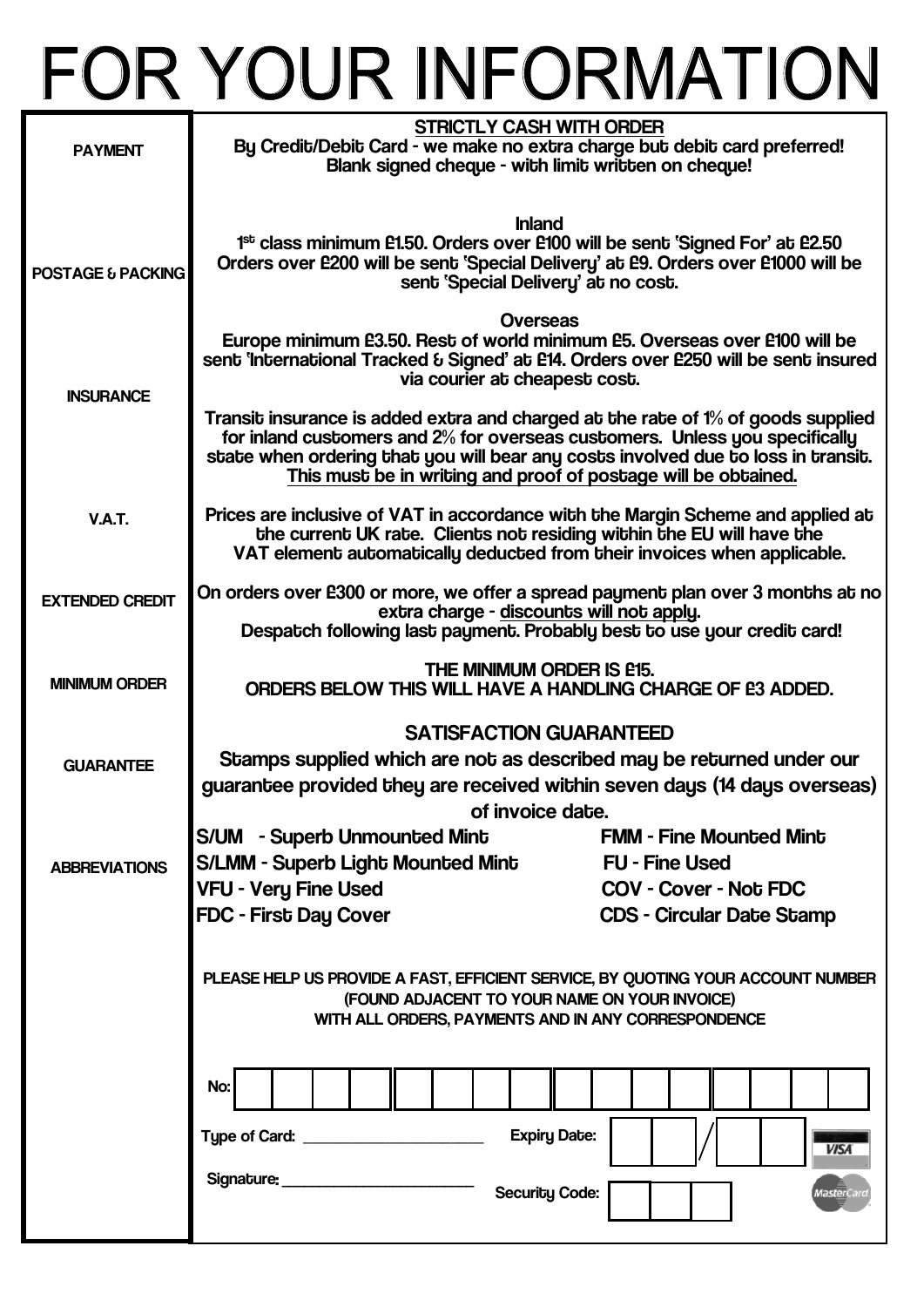## FOR YOUR INFORMATION

| <b>PAYMENT</b>         | <b>STRICTLY CASH WITH ORDER</b><br>By Credit/Debit Card - we make no extra charge but debit card preferred!<br>Blank signed cheque - with limit written on cheque!                                                                                                                                                     |                                                                                                                             |
|------------------------|------------------------------------------------------------------------------------------------------------------------------------------------------------------------------------------------------------------------------------------------------------------------------------------------------------------------|-----------------------------------------------------------------------------------------------------------------------------|
| POSTAGE & PACKING      | <b>Inland</b><br>1 <sup>st</sup> class minimum £1.50. Orders over £100 will be sent 'Signed For' at £2.50<br>Orders over £200 will be sent 'Special Delivery' at £9. Orders over £1000 will be<br>sent 'Special Delivery' at no cost.                                                                                  |                                                                                                                             |
| <b>INSURANCE</b>       | Overseas<br>Europe minimum £3.50. Rest of world minimum £5. Overseas over £100 will be<br>sent 'international Tracked & Signed' at £14. Orders over £250 will be sent insured<br>via courier at cheapest cost.                                                                                                         |                                                                                                                             |
|                        | Transit insurance is added extra and charged at the rate of 1% of goods supplied<br>for inland customers and 2% for overseas customers. Unless you specifically<br>state when ordering that you will bear any costs involved due to loss in transit.<br>This must be in writing and proof of postage will be obtained. |                                                                                                                             |
| <b>V.A.T.</b>          | Prices are inclusive of VAT in accordance with the Margin Scheme and applied at<br>the current UK rate. Clients not residing within the EU will have the<br>VAT element automatically deducted from their invoices when applicable.                                                                                    |                                                                                                                             |
| <b>EXTENDED CREDIT</b> | On orders over E300 or more, we offer a spread payment plan over 3 months at no<br>extra charge - discounts will not apply.<br>Despatch following last payment. Probably best to use your credit card!                                                                                                                 |                                                                                                                             |
| <b>MINIMUM ORDER</b>   | THE MINIMUM ORDER IS £15.<br>ORDERS BELOW THIS WILL HAVE A HANDLING CHARGE OF E3 ADDED.                                                                                                                                                                                                                                |                                                                                                                             |
| <b>GUARANTEE</b>       | <b>SATISFACTION GUARANTEED</b><br>Stamps supplied which are not as described may be returned under our<br>guarantee provided they are received within seven days (14 days overseas)<br>of invoice date.                                                                                                                |                                                                                                                             |
| <b>ABBREVIATIONS</b>   | S/UM - Superb Unmounted Mint<br><b>S/LMM - Superb Light Mounted Mint</b><br><b>VFU - Very Fine Used</b><br><b>FDC - First Day Cover</b>                                                                                                                                                                                | <b>FMM - Fine Mounted Mint</b><br><b>FU - Fine Used</b><br><b>COV - Cover - Not FDC</b><br><b>CDS - Circular Date Stamp</b> |
|                        | PLEASE HELP US PROVIDE A FAST, EFFICIENT SERVICE, BY QUOTING YOUR ACCOUNT NUMBER<br>(FOUND ADJACENT TO YOUR NAME ON YOUR INVOICE)<br>WITH ALL ORDERS, PAYMENTS AND IN ANY CORRESPONDENCE                                                                                                                               |                                                                                                                             |
|                        | No:                                                                                                                                                                                                                                                                                                                    | <b>Expiry Date:</b><br><b>VISA</b>                                                                                          |
|                        | Signature: _______________<br><b>Security Code:</b>                                                                                                                                                                                                                                                                    | faster                                                                                                                      |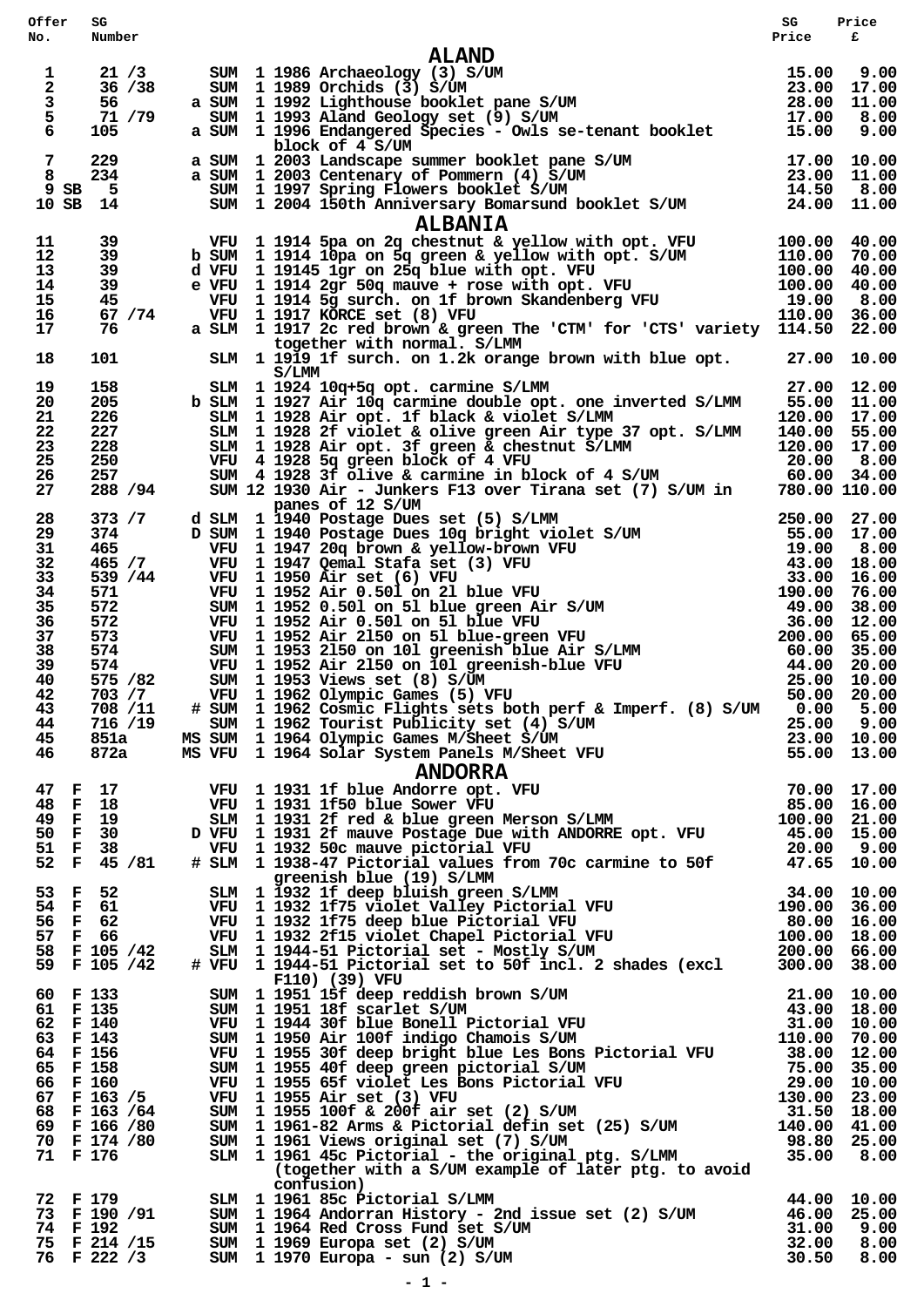| Offer               | SG                |                                                                                                                                                                                                                                                                               | SG          | Price |
|---------------------|-------------------|-------------------------------------------------------------------------------------------------------------------------------------------------------------------------------------------------------------------------------------------------------------------------------|-------------|-------|
| No.                 | Number            |                                                                                                                                                                                                                                                                               | Price       | £     |
|                     |                   | <b>ALAND</b>                                                                                                                                                                                                                                                                  |             |       |
| 1<br>$\mathbf 2$    | 21 / 3<br>36 / 38 | ALAND<br>SUM 1 1986 Archaeology (3) S/UM<br>SUM 1 1989 Orchids (3) S/UM<br>a SUM 1 1992 Lighthouse booklet pane S/UM<br>SUM 1 1993 Aland Geology set (9) S/UM<br>a SUM 1 1993 Aland Geology set (9) S/UM<br>a SUM 1 1996 Endangered Specie<br>SUM 1 1986 Archaeology (3) S/UM |             |       |
| 3                   | 56 —              |                                                                                                                                                                                                                                                                               |             |       |
| 5                   | 71 /79            |                                                                                                                                                                                                                                                                               |             |       |
| 6                   | 105               |                                                                                                                                                                                                                                                                               |             |       |
|                     |                   | block of 4 S/UM                                                                                                                                                                                                                                                               |             |       |
| $\overline{7}$<br>8 | 229<br>234        |                                                                                                                                                                                                                                                                               |             |       |
| 9SB                 | - 5               |                                                                                                                                                                                                                                                                               |             |       |
| 10 SB 14            |                   | a SUM 1 2003 Landscape summer booklet pane S/UM 17.00 10.00<br>a SUM 1 2003 Centenary of Pommern (4) S/UM 23.00 11.00<br>SUM 1 1997 Spring Flowers booklet S/UM 14.50 8.00<br>SUM 1 2004 150th Anniversary Bonarsund booklet S/UM 24                                          |             |       |
|                     |                   | <b>ALBANIA</b>                                                                                                                                                                                                                                                                |             |       |
| 11                  | 39                | VFU 1914 5pa on 2q chestnut & yellow with opt. VFU 100.00 40.00<br>b SUM 1914 10pa on 5q green & yellow with opt. S/UM 110.00 70.00<br>d VFU 19145 1gr on 25q blue with opt. VFU 100.00 40.00<br>e VFU 1914 2gr 50q mauve + rose wit                                          |             |       |
| 12                  | 39                |                                                                                                                                                                                                                                                                               |             |       |
| 13                  | 39                |                                                                                                                                                                                                                                                                               |             |       |
| 14<br>15            | 39<br>45          |                                                                                                                                                                                                                                                                               |             |       |
| 16                  | 67 / 74           |                                                                                                                                                                                                                                                                               |             |       |
| 17                  | 76                | a SLM 1 1917 2c red brown & green The 'CTM' for 'CTS' variety 114.50 22.00                                                                                                                                                                                                    |             |       |
|                     |                   | together with normal. S/LMM                                                                                                                                                                                                                                                   |             |       |
| 18                  | 101               | SLM 1 1919 1f surch. on 1.2k orange brown with blue opt. 27.00 10.00                                                                                                                                                                                                          |             |       |
|                     |                   | S/LMM                                                                                                                                                                                                                                                                         |             |       |
| 19<br>20            | 158<br>205        | SLM 1 1924 10q+5q opt. carmine S/LMM<br>b SLM 1 1927 Air 10q carmine double opt. one inverted S/LMM 55.00 11.00                                                                                                                                                               | 27.00 12.00 |       |
| 21                  | 226               |                                                                                                                                                                                                                                                                               |             |       |
| 22                  | 227               | SLM 1 1928 Air opt. 1f black & violet S/LMM 120.00 17.00<br>SLM 1 1928 2f violet & olive green Air type 37 opt. S/LMM 140.00 55.00                                                                                                                                            |             |       |
| 23                  | 228               |                                                                                                                                                                                                                                                                               |             |       |
| 25                  | 250               |                                                                                                                                                                                                                                                                               |             |       |
| 26<br>27            | 257<br>288 / 94   | SLM 1 1928 Air opt. 3f green & chestnut S/LMM 120.00 17.00<br>VFU 4 1928 5q green block of 4 VFU 20.00 8.00<br>SUM 4 1928 3f olive & carmine in block of 4 S/UM 60.00 34.00<br>SUM 12 1930 Air - Junkers F13 over Tirana set (7) S/U                                          |             |       |
|                     |                   | panes of 12 S/UM                                                                                                                                                                                                                                                              |             |       |
| 28                  | 373 / 7           | 9 35.00 1990 Postage Dues set (5) S/LMM<br>D SUM 1990 Postage Dues 10g bright violet S/UM 55.00 27.00<br>1997 20g brown & yellow-brown VFU 5/UM 55.00 17.00<br>VFU 1997 20g brown & yellow-brown VFU 19.00 8.00<br>VFU 1997 Qenal Staf                                        |             |       |
| 29                  | 374               |                                                                                                                                                                                                                                                                               |             |       |
| 31<br>32            | 465<br>465 / 7    |                                                                                                                                                                                                                                                                               |             |       |
| 33                  | 539 / 44          |                                                                                                                                                                                                                                                                               |             |       |
| 34                  | 571 —             |                                                                                                                                                                                                                                                                               |             |       |
| 35                  | 572               |                                                                                                                                                                                                                                                                               |             |       |
| 36                  | 572               |                                                                                                                                                                                                                                                                               |             |       |
| 37                  | 573               |                                                                                                                                                                                                                                                                               |             |       |
| 38<br>39            | 574<br>574        |                                                                                                                                                                                                                                                                               |             |       |
| 40                  | 575 / 82          |                                                                                                                                                                                                                                                                               |             |       |
| 42                  | 703 / 7           |                                                                                                                                                                                                                                                                               |             |       |
| 43                  | 708 /11           | # SUM 1 1962 Cosmic Flights sets both perf & Imperf. (8) S/UM 0.00 5.00                                                                                                                                                                                                       |             |       |
| 44                  |                   | 716 /19 SUM 1 1962 Tourist Publicity set (4) S/UM<br>851a MS SUM 1 1964 Olympic Games M/Sheet S/UM<br>872a MS VFU 1 1964 Solar System Panels M/Sheet VFU 55.00 13.00                                                                                                          |             |       |
| 45<br>46            |                   |                                                                                                                                                                                                                                                                               |             |       |
|                     |                   |                                                                                                                                                                                                                                                                               |             |       |
|                     |                   | 47 F 17 VFU 1 1931 1f blue And Sover VFU 70.00 17.00<br>48 F 18 VFU 1 1931 1f blue And Sover VFU 70.00 17.00<br>49 F 19 SLM 1 1931 2f red & blue green Merson S/LMM 100.00 21.00<br>50 F 30 D VFU 1 1931 2f mauve Postage Due with ANDO                                       |             |       |
|                     |                   |                                                                                                                                                                                                                                                                               |             |       |
|                     |                   |                                                                                                                                                                                                                                                                               |             |       |
|                     |                   |                                                                                                                                                                                                                                                                               |             |       |
|                     |                   |                                                                                                                                                                                                                                                                               |             |       |
|                     |                   |                                                                                                                                                                                                                                                                               |             |       |
|                     |                   |                                                                                                                                                                                                                                                                               |             |       |
|                     |                   |                                                                                                                                                                                                                                                                               |             |       |
|                     |                   |                                                                                                                                                                                                                                                                               |             |       |
|                     |                   | 32 F 33 / 01 F 31 1932 1f deep bluish green S/LMM<br>53 F 52 SLM 1 1932 1f deep bluish green S/LMM<br>54 F 61 VFU 1 1932 1f75 violet Valley Pictorial VFU 190.00 36.00<br>56 F 62 VFU 1 1932 1f75 deep blue Pictorial VFU 80.00 16.0                                          |             |       |
|                     |                   |                                                                                                                                                                                                                                                                               |             |       |
|                     |                   |                                                                                                                                                                                                                                                                               |             |       |
|                     |                   | F110) (39) VFU                                                                                                                                                                                                                                                                |             |       |
|                     |                   |                                                                                                                                                                                                                                                                               |             |       |
|                     |                   |                                                                                                                                                                                                                                                                               |             |       |
|                     |                   |                                                                                                                                                                                                                                                                               |             |       |
|                     |                   |                                                                                                                                                                                                                                                                               |             |       |
|                     |                   |                                                                                                                                                                                                                                                                               |             |       |
|                     |                   |                                                                                                                                                                                                                                                                               |             |       |
|                     |                   |                                                                                                                                                                                                                                                                               |             |       |
|                     |                   |                                                                                                                                                                                                                                                                               |             |       |
|                     |                   |                                                                                                                                                                                                                                                                               |             |       |
|                     |                   |                                                                                                                                                                                                                                                                               |             |       |
|                     |                   |                                                                                                                                                                                                                                                                               |             |       |
|                     |                   | CONFUSION CONFIGUORS (CONFIGUORS)<br>The 190 and 1961 85 c Pictorial S/LMM (1961 85 c Pictorial S/LMM (1964 85 c Pictorial S/LMM (1964 86 c Pictorial S/LMM (1964 86 c Pictorial S/LMM (1964 86 c Pictorial S/LMM (1969 89)<br>The                                            |             |       |
|                     |                   |                                                                                                                                                                                                                                                                               |             |       |
|                     |                   |                                                                                                                                                                                                                                                                               |             |       |
|                     |                   |                                                                                                                                                                                                                                                                               |             |       |
|                     |                   |                                                                                                                                                                                                                                                                               |             |       |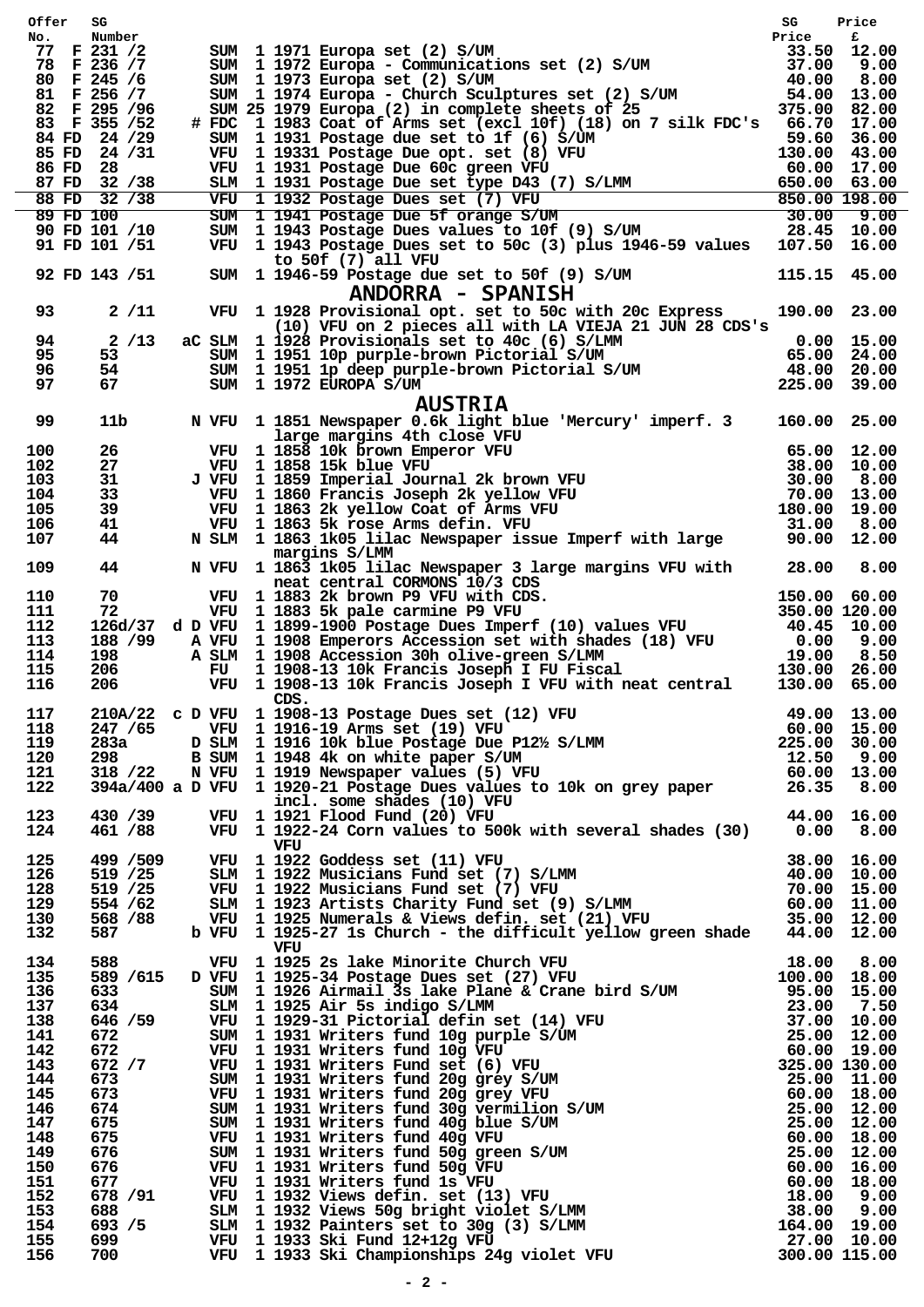| Offer SG   |                              |                                                                                                                                                                                                                                             | SG           | Price |
|------------|------------------------------|---------------------------------------------------------------------------------------------------------------------------------------------------------------------------------------------------------------------------------------------|--------------|-------|
| No.        | Number<br>77 F 231 /2        | SUM 1 1971 Europa set (2) S/UM<br>SUM 1 1972 Europa - Communications set (2) S/UM<br>SUM 1 1973 Europa - Communications set (2) S/UM<br>SUM 1 1973 Europa set (2) S/UM<br>SUM 1 1974 Europa - Church Sculptures set (2) S/UM<br>SUM 25 1    |              |       |
|            | 78 F 236 / 7                 |                                                                                                                                                                                                                                             |              |       |
|            | 80 F 245 /6                  |                                                                                                                                                                                                                                             |              |       |
|            | 81 F 256 /7<br>82 F 295 / 96 |                                                                                                                                                                                                                                             |              |       |
|            | 83 F 355 / 52                | # FDC 1 1983 Coat of Arms set (excl 10f) (18) on 7 silk FDC's 66.70 17.00                                                                                                                                                                   |              |       |
|            | 84 FD 24 /29                 |                                                                                                                                                                                                                                             |              |       |
|            | 85 FD 24 /31                 |                                                                                                                                                                                                                                             |              |       |
|            | 86 FD 28<br>87 FD 32 /38     |                                                                                                                                                                                                                                             |              |       |
|            | 88 FD 32 /38                 |                                                                                                                                                                                                                                             |              |       |
|            | 89 FD 100                    |                                                                                                                                                                                                                                             |              |       |
|            | 90 FD 101 /10                | 59.60 11931 Postage due set to 1f (6) s/UM<br>WFU 11931 Postage due set to 1f (6) S/UM<br>WFU 11931 Postage Due oft. set (8) VFU<br>SIM 11931 Postage Due 60c green VFU<br>SIM 11931 Postage Due set type D43 (7) S/LMM<br>WFU 11932 Pos    |              |       |
|            | 91 FD 101 /51                | VFU 1 1943 Postage Dues set to 50c (3) plus 1946-59 values 107.50 16.00<br>to 50f $(7)$ all VFU                                                                                                                                             |              |       |
|            | 92 FD 143 /51                | SUM 1 1946-59 Postage due set to 50f (9) S/UM 115.15 45.00<br>ANDORRA - SPANISH                                                                                                                                                             |              |       |
| 93         | $2 / 11$                     | VFU 1 1928 Provisional opt. set to 50c with 20c Express<br>(10) VFU on 2 pieces all with LA VIEJA 21 JUN 28 CDS's                                                                                                                           | 190.00 23.00 |       |
| 94         | 2/13                         |                                                                                                                                                                                                                                             |              |       |
| 95         | 53                           |                                                                                                                                                                                                                                             |              |       |
| 96         | 54                           |                                                                                                                                                                                                                                             |              |       |
| 97         | 67                           | (10) VFU ON 2 pieces all with miximum and the set of the CSLM 1 1928 Provisionals set to 40c (6) S/LMM 0.00 15.00<br>SUM 1 1951 10p purple-brown Pictorial S/UM 65.00 24.00<br>SUM 1 1951 1p deep purple-brown Pictorial S/UM 48.0          |              |       |
| 99         | 11b                          | <b>AUSTRIA</b><br>N VFU 1 1851 Newspaper 0.6k light blue 'Mercury' imperf. 3 160.00 25.00                                                                                                                                                   |              |       |
| 100        | 26                           | VFU 1 1858 10k brown Emperor VFU                                                                                                                                                                                                            |              |       |
| 102        | 27                           |                                                                                                                                                                                                                                             |              |       |
| 103        | 31                           |                                                                                                                                                                                                                                             |              |       |
| 104        | 33                           |                                                                                                                                                                                                                                             |              |       |
| 105        | 39                           |                                                                                                                                                                                                                                             |              |       |
| 106<br>107 | 41<br>44                     | NET CONTROLL ISLAM (NET CONTROLL) INCOLLECT 1858 100 NET UNIVERSITY<br>VEU 1858 10k brown Emperor VFU 65.00 12.00<br>VEU 1858 15k blue VFU 38.00 10.00<br>VEU 1869 Imperial Journal 2k brown VFU 30.00 8.00<br>VEU 1860 Francis Joseph      |              |       |
| 109        | 44                           | margins S/LMM<br>N VFU 1 1863 1k05 lilac Newspaper 3 large margins VFU with 28.00 8.00                                                                                                                                                      |              |       |
| 110        |                              | 14 199 1 1883 2k brown P9 VFU with CDS.<br>70 VFU 1 1883 2k brown P9 VFU with CDS.<br>126d/37 d D VFU 1 1899-1900 Postage Dues Imperf (10) values VFU 350.00 120.00<br>188 /99 A VFU 1 1908 Emperors Accession set with shades (18)         |              |       |
| 111        |                              |                                                                                                                                                                                                                                             |              |       |
| 112        |                              |                                                                                                                                                                                                                                             |              |       |
| 113        |                              |                                                                                                                                                                                                                                             |              |       |
| 114        |                              |                                                                                                                                                                                                                                             |              |       |
| 115<br>116 | 206                          | VFU 1 1908-13 10k Francis Joseph I VFU with neat central                                                                                                                                                                                    | 130.00 65.00 |       |
|            |                              | CDS.                                                                                                                                                                                                                                        |              |       |
| 117        |                              | 210A/22 c D VFU 1 1908-13 Postage Dues set (12) VFU 49.00 13.00<br>247/65 VFU 1 1916-19 Arms set (19) VFU 60.00 15.00<br>283a D SLM 1 1916 10k blue Postage Due P12½ S/LMM 225.00 30.00<br>298 B SUM 1 1948 4k on white paper S/UM 1        |              |       |
| 118        |                              |                                                                                                                                                                                                                                             |              |       |
| 119<br>120 |                              |                                                                                                                                                                                                                                             |              |       |
| 121        |                              |                                                                                                                                                                                                                                             |              |       |
| 122        |                              |                                                                                                                                                                                                                                             |              |       |
|            |                              |                                                                                                                                                                                                                                             |              |       |
| 123        |                              |                                                                                                                                                                                                                                             |              |       |
| 124        |                              |                                                                                                                                                                                                                                             |              |       |
| 125        |                              |                                                                                                                                                                                                                                             |              |       |
| 126        |                              |                                                                                                                                                                                                                                             |              |       |
| 128        |                              |                                                                                                                                                                                                                                             |              |       |
| 129<br>130 |                              |                                                                                                                                                                                                                                             |              |       |
| 132        |                              | VFU 11922 Goddess set (11) VFU 38.00 16.00<br>519 /25 SLM 11922 Musicians Fund set (7) S/LMM 40.00 10.00<br>519 /25 VFU 11922 Musicians Fund set (7) VFU 70.00 15.00<br>554 /62 SLM 11923 Artists Charity Fund set (9) S/LMM 60.00 1        |              |       |
|            |                              | VFU<br>388 VFU 1932-27 18 Church - the difficult yellow green shade 44.00 12.00<br>588 VFU 1925-23 lake Minorite Church VFU<br>589 /615 DVFU 1925-34 Postage Dues set (27) VFU 10.00 8.00<br>633 SIM 1925-3imail 3s lake Plane & Crane bird |              |       |
| 134        |                              |                                                                                                                                                                                                                                             |              |       |
| 135        |                              |                                                                                                                                                                                                                                             |              |       |
| 136        |                              |                                                                                                                                                                                                                                             |              |       |
| 137<br>138 |                              |                                                                                                                                                                                                                                             |              |       |
| 141        |                              |                                                                                                                                                                                                                                             |              |       |
| 142        |                              |                                                                                                                                                                                                                                             |              |       |
| 143        |                              |                                                                                                                                                                                                                                             |              |       |
| 144        |                              |                                                                                                                                                                                                                                             |              |       |
| 145        |                              |                                                                                                                                                                                                                                             |              |       |
| 146<br>147 |                              |                                                                                                                                                                                                                                             |              |       |
| 148        |                              |                                                                                                                                                                                                                                             |              |       |
| 149        |                              |                                                                                                                                                                                                                                             |              |       |
| 150        |                              |                                                                                                                                                                                                                                             |              |       |
| 151        |                              |                                                                                                                                                                                                                                             |              |       |
| 152<br>153 |                              |                                                                                                                                                                                                                                             |              |       |
| 154        |                              |                                                                                                                                                                                                                                             |              |       |
| 155        |                              |                                                                                                                                                                                                                                             |              |       |
| 156        |                              |                                                                                                                                                                                                                                             |              |       |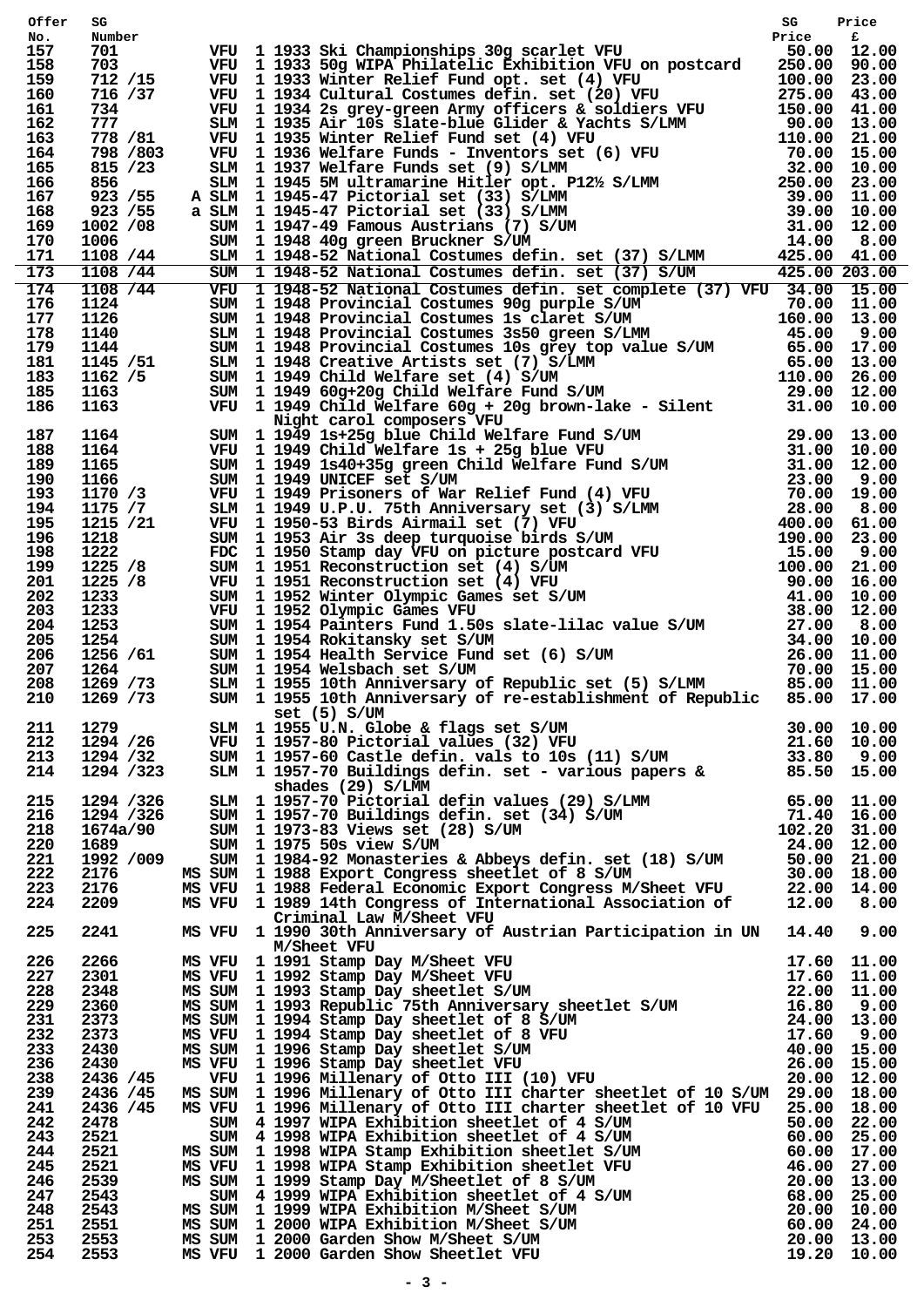| Offer      | SG                    | VFU 1 1933 Ski Championships 30g scarlet VFU strice<br>Frice for the principal scarled Exhibition VFU on postcard $250.00$ 90.00<br>VFU 1 1933 Winter Relief Fund opt. set (4) VFU 275.00 90.00<br>VFU 1 1934 Cultural Costumes def          | SG | Price |
|------------|-----------------------|----------------------------------------------------------------------------------------------------------------------------------------------------------------------------------------------------------------------------------------------|----|-------|
| No.<br>157 | Number<br>701         |                                                                                                                                                                                                                                              |    |       |
| 158        | 703                   |                                                                                                                                                                                                                                              |    |       |
| 159        | 712 /15               |                                                                                                                                                                                                                                              |    |       |
| 160        | 716 /37               |                                                                                                                                                                                                                                              |    |       |
| 161        | 734                   |                                                                                                                                                                                                                                              |    |       |
| 162        | 777                   |                                                                                                                                                                                                                                              |    |       |
| 163        | 778 / 81              |                                                                                                                                                                                                                                              |    |       |
| 164        | 798 / 803             |                                                                                                                                                                                                                                              |    |       |
| 165<br>166 | 815 / 23<br>856       |                                                                                                                                                                                                                                              |    |       |
| 167        | 923 / 55              |                                                                                                                                                                                                                                              |    |       |
| 168        | 923 / 55              |                                                                                                                                                                                                                                              |    |       |
| 169        | 1002 /08              |                                                                                                                                                                                                                                              |    |       |
| 170        | 1006                  |                                                                                                                                                                                                                                              |    |       |
| 171        | 1108 / 44             |                                                                                                                                                                                                                                              |    |       |
| 173        | 1108 / 44             |                                                                                                                                                                                                                                              |    |       |
| 174        | 1108 / 44             | VFU 1 1948-52 National Costumes defin. set complete (37) VFU 34.00 15.00                                                                                                                                                                     |    |       |
| 176        |                       |                                                                                                                                                                                                                                              |    |       |
| 177        |                       |                                                                                                                                                                                                                                              |    |       |
| 178        |                       |                                                                                                                                                                                                                                              |    |       |
| 179        |                       |                                                                                                                                                                                                                                              |    |       |
| 181<br>183 |                       |                                                                                                                                                                                                                                              |    |       |
| 185        |                       |                                                                                                                                                                                                                                              |    |       |
| 186        |                       |                                                                                                                                                                                                                                              |    |       |
|            |                       |                                                                                                                                                                                                                                              |    |       |
| 187        |                       |                                                                                                                                                                                                                                              |    |       |
| 188        |                       |                                                                                                                                                                                                                                              |    |       |
| 189        |                       |                                                                                                                                                                                                                                              |    |       |
| 190        |                       |                                                                                                                                                                                                                                              |    |       |
| 193        |                       |                                                                                                                                                                                                                                              |    |       |
| 194        |                       |                                                                                                                                                                                                                                              |    |       |
| 195        |                       |                                                                                                                                                                                                                                              |    |       |
| 196<br>198 |                       |                                                                                                                                                                                                                                              |    |       |
| 199        |                       |                                                                                                                                                                                                                                              |    |       |
| 201        |                       |                                                                                                                                                                                                                                              |    |       |
| 202        |                       |                                                                                                                                                                                                                                              |    |       |
| 203        |                       |                                                                                                                                                                                                                                              |    |       |
| 204        |                       |                                                                                                                                                                                                                                              |    |       |
| 205        |                       |                                                                                                                                                                                                                                              |    |       |
| 206        |                       |                                                                                                                                                                                                                                              |    |       |
| 207        |                       |                                                                                                                                                                                                                                              |    |       |
| 208        |                       |                                                                                                                                                                                                                                              |    |       |
| 210        |                       |                                                                                                                                                                                                                                              |    |       |
|            |                       | Set (5) S/UM                                                                                                                                                                                                                                 |    |       |
| 211        | 1279                  |                                                                                                                                                                                                                                              |    |       |
| 212        | 1294 /26              | set (5) S/UM<br>SELM 11957-80 Fictorial values (32) VFU<br>30.00 10.00<br>SUM 11957-80 Fictorial values (32) VFU<br>21.60 10.00<br>SUM 11957-60 Castle defin. vals to 108 (11) S/UM<br>33.80 9.00<br>SLM 11957-70 Buildings defin. set - var |    |       |
| 213<br>214 | 1294 /32<br>1294 /323 |                                                                                                                                                                                                                                              |    |       |
|            |                       |                                                                                                                                                                                                                                              |    |       |
| 215        | 1294 /326             |                                                                                                                                                                                                                                              |    |       |
| 216        | 1294 /326             |                                                                                                                                                                                                                                              |    |       |
| 218        | 1674a/90              |                                                                                                                                                                                                                                              |    |       |
| 220        | 1689                  |                                                                                                                                                                                                                                              |    |       |
| 221        | 1992 /009             |                                                                                                                                                                                                                                              |    |       |
| 222        | 2176                  |                                                                                                                                                                                                                                              |    |       |
| 223        | 2176                  |                                                                                                                                                                                                                                              |    |       |
| 224        | 2209                  |                                                                                                                                                                                                                                              |    |       |
|            |                       | Criminal Law M/Sheet VFU                                                                                                                                                                                                                     |    |       |
| 225        |                       | 2241 MS VFU 1 1990 30th Anniversary of Austrian Participation in UN 14.40 9.00                                                                                                                                                               |    |       |
|            |                       | M/Sheet VFU                                                                                                                                                                                                                                  |    |       |
| 226        | 2266                  |                                                                                                                                                                                                                                              |    |       |
| 227        | 2301                  |                                                                                                                                                                                                                                              |    |       |
| 228<br>229 | 2348<br>2360          | MS VFU 1991 Stamp Day M/Sheet VFU 17.60 11.00<br>MS VFU 1991 Stamp Day M/Sheet VFU 17.60 11.00<br>MS SUM 1993 Stamp Day sheetlet S/UM 22.00 11.00<br>MS SUM 1993 Stamp Day sheetlet S/UM 22.00 11.00<br>MS SUM 1994 Stamp Day sheetlet       |    |       |
| 231        | 2373                  |                                                                                                                                                                                                                                              |    |       |
| 232        | 2373                  |                                                                                                                                                                                                                                              |    |       |
| 233        | 2430                  |                                                                                                                                                                                                                                              |    |       |
| 236        | 2430                  |                                                                                                                                                                                                                                              |    |       |
| 238        | 2436 /45              |                                                                                                                                                                                                                                              |    |       |
| 239        | 2436 /45              | MS SUM 1 1996 Millenary of Otto III charter sheetlet of 10 S/UM 29.00 18.00                                                                                                                                                                  |    |       |
| 241        | 2436 /45              | MS VFU 1 1996 Millenary of Otto III charter sheetlet of 10 VFU 25.00 18.00                                                                                                                                                                   |    |       |
| 242        | 2478                  |                                                                                                                                                                                                                                              |    |       |
| 243        | 2521                  |                                                                                                                                                                                                                                              |    |       |
| 244        | 2521                  |                                                                                                                                                                                                                                              |    |       |
| 245        | 2521                  |                                                                                                                                                                                                                                              |    |       |
| 246<br>247 | 2539<br>2543          |                                                                                                                                                                                                                                              |    |       |
| 248        | 2543                  |                                                                                                                                                                                                                                              |    |       |
| 251        | 2551                  |                                                                                                                                                                                                                                              |    |       |
| 253        | 2553                  |                                                                                                                                                                                                                                              |    |       |
| 254        | 2553                  | MS VFU 1 1996 Millenary or Otto III charter sheetlet of 10 VFU 25.00 18.00<br>SUM 4 1997 WIPA Exhibition sheetlet of 4 S/UM 50.00 22.00<br>MS SUM 1 1998 WIPA Stamp Exhibition sheetlet of 4 S/UM 60.00 25.00<br>MS VFU 1 1998 WIPA          |    |       |
|            |                       |                                                                                                                                                                                                                                              |    |       |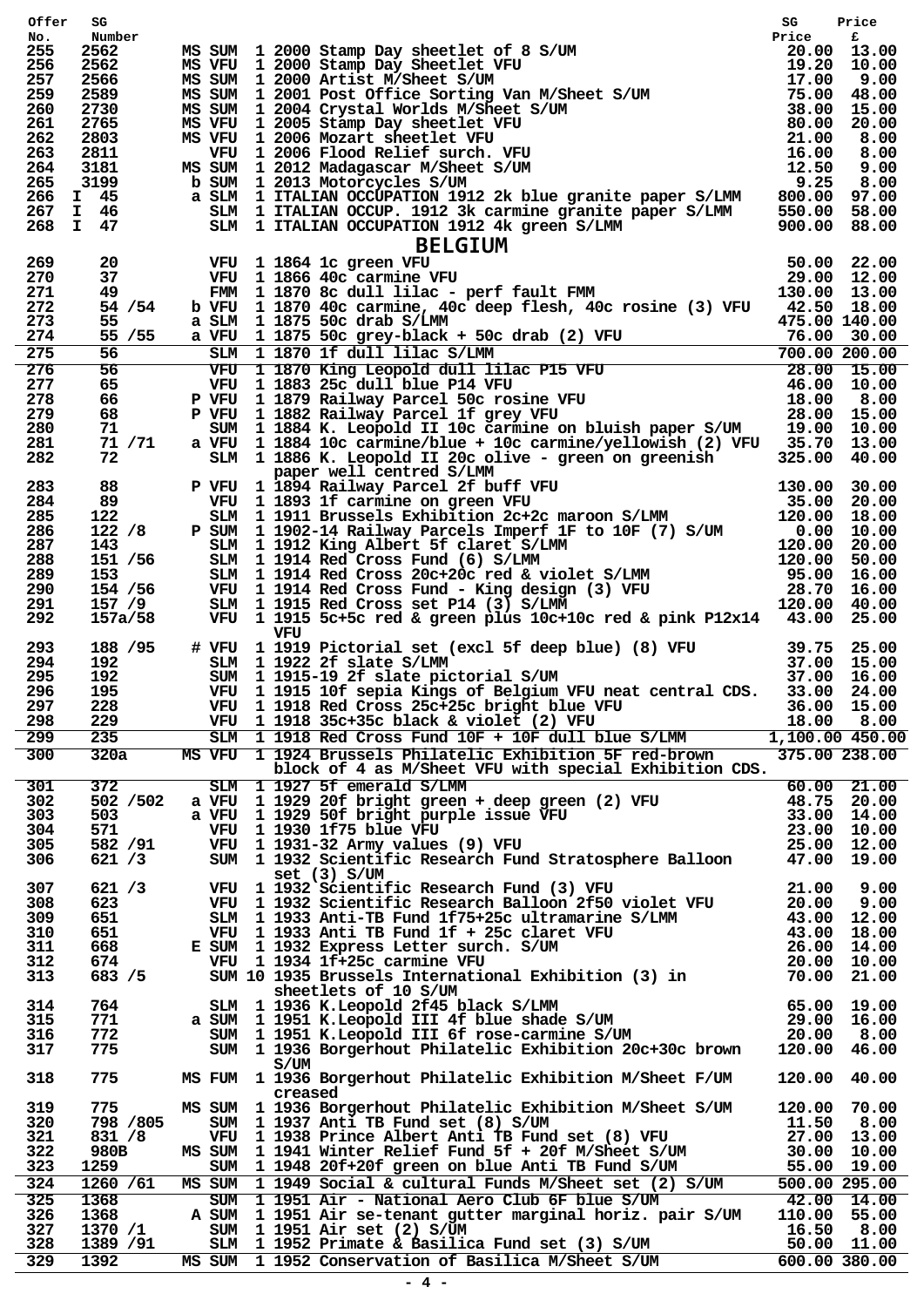| Offer      | SG                  | MS SUM 1 2000 Stamp Day sheetlet of 8 S/UM<br>MS VFU 1 2000 Stamp Day sheetlet VFU<br>MS SUM 1 2000 Artist M/Sheet S/UM<br>MS SUM 1 2000 Artist M/Sheet S/UM<br>MS SUM 1 2001 Post Office Sorting Van M/Sheet S/UM<br>MS SUM 1 2001 Post     |                           |                            |
|------------|---------------------|----------------------------------------------------------------------------------------------------------------------------------------------------------------------------------------------------------------------------------------------|---------------------------|----------------------------|
| No.<br>255 | Number<br>2562      |                                                                                                                                                                                                                                              |                           |                            |
| 256        | 2562                |                                                                                                                                                                                                                                              |                           |                            |
| 257        | 2566                |                                                                                                                                                                                                                                              |                           |                            |
| 259        | 2589                |                                                                                                                                                                                                                                              |                           |                            |
| 260        | 2730                |                                                                                                                                                                                                                                              |                           |                            |
| 261<br>262 | 2765<br>2803        |                                                                                                                                                                                                                                              |                           |                            |
| 263        | 2811                |                                                                                                                                                                                                                                              |                           |                            |
| 264        | 3181                |                                                                                                                                                                                                                                              |                           |                            |
| 265        | 3199                | b SUM 1 2013 Motorcycles S/UM                                                                                                                                                                                                                |                           |                            |
| 266        | I 45                |                                                                                                                                                                                                                                              |                           |                            |
| 267        | I 46                |                                                                                                                                                                                                                                              |                           |                            |
|            | 268 I 47            |                                                                                                                                                                                                                                              |                           |                            |
|            |                     | a SLM 1 ITALIAN OCCUPATION 1912 2k blue granite paper S/LMM 800.00 97.00<br>46 SLM 1 ITALIAN OCCUPATION 1912 3k carmine granite paper S/LMM 550.00 58.00<br>47 SLM 1 ITALIAN OCCUPATION 1912 4k green S/LMM 900.00 88.00<br>47 SD.00         |                           |                            |
| 269<br>270 |                     |                                                                                                                                                                                                                                              |                           |                            |
| 271        |                     |                                                                                                                                                                                                                                              |                           |                            |
| 272        | 54 / 54             | b VFU 1 1870 40c carmine, 40c deep flesh, 40c rosine (3) VFU 42.50 18.00                                                                                                                                                                     |                           |                            |
| 273        | 55                  | 475.00 140.00<br>a SLM 1 1875 50c drab S/LMM                                                                                                                                                                                                 |                           |                            |
| 274        |                     |                                                                                                                                                                                                                                              |                           |                            |
| 275        |                     |                                                                                                                                                                                                                                              |                           |                            |
| 276        |                     | 35 /55 a VFU 1 1875 50c grey-black + 50c drab (2) VFU 475.00 140.00<br>56 SLM 1 1875 50c grey-black + 50c drab (2) VFU 76.00 30.00<br>56 SLM 1 1870 1f dull lilac S/LMM 700.00 200.00<br>56 VFU 1 1870 King Leopold dull lilac P15 V         |                           |                            |
| 277        |                     |                                                                                                                                                                                                                                              |                           |                            |
| 278<br>279 |                     |                                                                                                                                                                                                                                              |                           |                            |
| 280        | 71                  | SUM 1 1884 K. Leopold II 10c carmine on bluish paper S/UM 19.00 10.00                                                                                                                                                                        |                           |                            |
| 281        | 71 / 71             |                                                                                                                                                                                                                                              |                           |                            |
| 282        | 72 —                | a VFU 1 1884 10c carmine/blue + 10c carmine/yellowish (2) VFU 35.70 13.00<br>SLM 1 1886 K. Leopold II 20c olive - green on greenish 325.00 40.00                                                                                             |                           |                            |
|            |                     | paper well centred S/LMM                                                                                                                                                                                                                     |                           |                            |
| 283        |                     |                                                                                                                                                                                                                                              |                           |                            |
| 284<br>285 |                     |                                                                                                                                                                                                                                              |                           |                            |
| 286        |                     |                                                                                                                                                                                                                                              |                           |                            |
| 287        |                     |                                                                                                                                                                                                                                              |                           |                            |
| 288        |                     |                                                                                                                                                                                                                                              |                           |                            |
| 289        |                     |                                                                                                                                                                                                                                              |                           |                            |
| 290        |                     |                                                                                                                                                                                                                                              |                           |                            |
| 291        |                     |                                                                                                                                                                                                                                              |                           |                            |
| 292        |                     | Paper well centred S/LMM<br>88 P VFU 1 1894 Railway Parcel 2f buff VFU 130.00 30.00<br>89 VFU 1 1894 Railway Parcel 2f buff VFU 130.00 20.00<br>122 /8 F SUM 1 1902-14 Railway Parcels Imperf 1F to 10F (7) S/UM 20.00 18.00<br>122 /<br>VFU |                           |                            |
| 293        | 188 / 95            |                                                                                                                                                                                                                                              |                           |                            |
| 294        |                     | 192 SLM 1 1922 2f slate S/LMM                                                                                                                                                                                                                |                           |                            |
| 295        | 192                 |                                                                                                                                                                                                                                              |                           |                            |
| 296        | 195                 | % 4 VFU 1 1919 Pictorial set (excl 5f deep blue) (8) VFU 39.75 25.00<br>SLM 1 1922 2f slate S/LMM<br>SUM 1 1915-19 2f slate pictorial S/UM 37.00 15.00<br>VFU 1 1915 10f sepia Kings of Belgium VFU neat central CDS. 33.00 24.00            |                           |                            |
| 297        | 228                 | VFU 1 1918 Red Cross 25c+25c bright blue VFU 36.00 15.00                                                                                                                                                                                     |                           |                            |
| 298        | 229                 | VFU 1 1918 35c+35c black & violet (2) VFU                                                                                                                                                                                                    |                           | 18.00 8.00                 |
| 299        | 235                 | SLM 1 1918 Red Cross Fund 10F + 10F dull blue S/LMM                                                                                                                                                                                          |                           | 1,100.00 450.00            |
| 300        | 320a                | MS VFU 1 1924 Brussels Philatelic Exhibition 5F red-brown                                                                                                                                                                                    |                           | 375.00 238.00              |
| 301        | 372                 | block of 4 as M/Sheet VFU with special Exhibition CDS.<br>SLM 1 1927 5f emerald S/LMM                                                                                                                                                        |                           | $60.00$ 21.00              |
| 302        | 502 / 502           |                                                                                                                                                                                                                                              |                           |                            |
| 303        | 503                 |                                                                                                                                                                                                                                              |                           |                            |
| 304        | 571                 |                                                                                                                                                                                                                                              |                           |                            |
| 305        | 582 / 91            |                                                                                                                                                                                                                                              |                           |                            |
| 306        | 621 / 3             | a VFU 1 1929 20f bright green + deep green (2) VFU 48.75 20.00<br>a VFU 1 1929 50f bright purple issue VFU 33.00 14.00<br>VFU 1 1930 1f75 blue VFU 23.00 10.00<br>VFU 1 1931-32 Army values (9) VFU 25.00 12.00<br>SUM 1 1932 Scientific R   |                           |                            |
|            |                     | set $(3)$ S/UM                                                                                                                                                                                                                               |                           |                            |
| 307        | 621 / 3             | 21.00<br>VFU 1 1932 Scientific Research Fund (3) VFU<br>VFU 1 1932 Scientific Research Balloon 2f50 violet VFU                                                                                                                               |                           | 9.00                       |
| 308<br>309 | 623<br>651          |                                                                                                                                                                                                                                              |                           | 20.00 9.00                 |
| 310        | 651                 |                                                                                                                                                                                                                                              |                           |                            |
| 311        | 668                 | E SUM 1 1932 Express Letter surch. S/UM                                                                                                                                                                                                      |                           |                            |
| 312        | 674                 |                                                                                                                                                                                                                                              |                           |                            |
| 313        | 683 / 5             | SLM 1 1933 Anti-TB Fund 1f75+25c ultramarine S/LMM 43.00 12.00<br>VFU 1 1933 Anti-TB Fund 1f + 25c claret VFU 43.00 12.00<br>SUM 1 1932 Express Letter surch. S/UM 26.00 14.00<br>VFU 1 1934 1f+25c carmine VFU 20.00 10.00<br>SUM 10        |                           |                            |
|            |                     | sheetlets of 10 S/UM                                                                                                                                                                                                                         |                           |                            |
| 314        | 764                 |                                                                                                                                                                                                                                              |                           |                            |
| 315<br>316 | 771<br>772          | SLM 1 1936 K.Leopold 2f45 black S/LMM 65.00 19.00<br>a SUM 1 1951 K.Leopold III 4f blue shade S/UM 29.00 16.00<br>SUM 1 1951 K.Leopold III 6f rose-carmine S/UM 20.00 8.00                                                                   |                           |                            |
| 317        | 775                 | SUM 1 1936 Borgerhout Philatelic Exhibition 20c+30c brown 120.00                                                                                                                                                                             |                           | 46.00                      |
|            |                     | S/UM                                                                                                                                                                                                                                         |                           |                            |
| 318        | 775                 | MS FUM 1 1936 Borgerhout Philatelic Exhibition M/Sheet F/UM                                                                                                                                                                                  | 120.00 40.00              |                            |
|            |                     | creased                                                                                                                                                                                                                                      |                           |                            |
| 319        | 775                 | MS SUM 1 1936 Borgerhout Philatelic Exhibition M/Sheet S/UM                                                                                                                                                                                  | 120.00 70.00              |                            |
| 320        | 798 / 805<br>831 /8 | SUM 1 1937 Anti TB Fund set (8) S/UM<br>VFU 1 1938 Prince Albert Anti TB Fund set (8) VFU                                                                                                                                                    | 11.50 8.00<br>27.00 13.00 |                            |
| 321<br>322 | 980B                |                                                                                                                                                                                                                                              |                           | 30.00 10.00                |
| 323        | 1259                | MS SUM 1 1941 Winter Relief Fund 5f + 20f M/Sheet S/UM<br>SUM 1 1948 20f+20f green on blue Anti TB Fund S/UM                                                                                                                                 |                           | 55.00 19.00                |
| 324        | 1260 / 61           | MS SUM 1 1949 Social & cultural Funds M/Sheet set (2) S/UM                                                                                                                                                                                   |                           | $\overline{500.00}$ 295.00 |
|            |                     |                                                                                                                                                                                                                                              |                           |                            |
|            |                     |                                                                                                                                                                                                                                              |                           |                            |
| 325<br>326 | 1368<br>1368        | SUM 1 1951 Air - National Aero Club 6F blue S/UM<br>A SUM 1 1951 Air se-tenant gutter marginal horiz. pair S/UM 110.00 55.00                                                                                                                 |                           | 42.00 14.00                |
| 327        | 1370 /1             | SUM 1 1951 Air set (2) S/UM                                                                                                                                                                                                                  | 16.50 8.00                |                            |
| 328<br>329 | 1389 / 91<br>1392   | SLM 1 1952 Primate & Basilica Fund set (3) S/UM 50.00 11.00<br>MS SUM 1 1952 Conservation of Basilica M/Sheet S/UM                                                                                                                           |                           | 600.00 380.00              |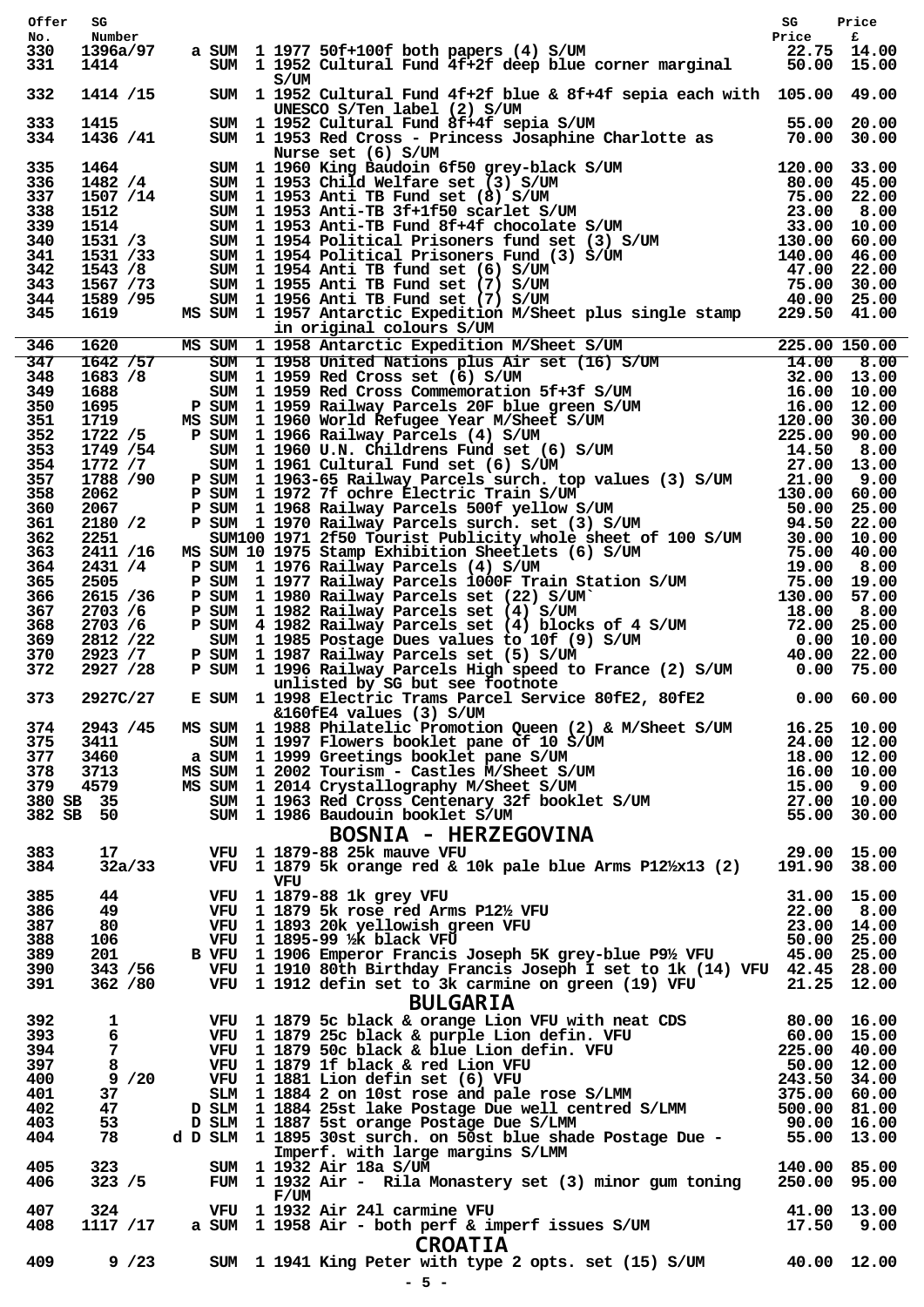| Offer      | SG                  |                                                                                                                                                                                                                                             |  |
|------------|---------------------|---------------------------------------------------------------------------------------------------------------------------------------------------------------------------------------------------------------------------------------------|--|
| No.        | Number              |                                                                                                                                                                                                                                             |  |
| 330<br>331 | 1396a/97<br>1414    | sg Price<br>a SUM 1 1977 50f+100f both papers (4) S/UM Price F<br>SUM 1 1952 Cultural Fund 4f+2f deep blue corner marginal 50.00 15.00                                                                                                      |  |
| 332        | 1414 /15            | S/UM<br>SUM 1952 Cultural Fund 4f+2f blue & 8f+4f sepia each with 105.00 49.00                                                                                                                                                              |  |
|            |                     | 332 1414 /15 SUM 1952 Cultural Fund 44-12 fb 10<br>1982 Cultural Fund 44-12 fb 10<br>1983 1415 SUM 1953 Red Cross Josephine Charlotte as 55.00 20.00<br>334 1415 SUM 1953 Red Cross Josephine Charlotte as 55.00 20.00<br>334 1456 /4       |  |
|            |                     |                                                                                                                                                                                                                                             |  |
|            |                     |                                                                                                                                                                                                                                             |  |
|            |                     |                                                                                                                                                                                                                                             |  |
|            |                     |                                                                                                                                                                                                                                             |  |
|            |                     |                                                                                                                                                                                                                                             |  |
|            |                     |                                                                                                                                                                                                                                             |  |
|            |                     |                                                                                                                                                                                                                                             |  |
|            |                     |                                                                                                                                                                                                                                             |  |
|            |                     |                                                                                                                                                                                                                                             |  |
|            |                     | 1589 /95 8 80M 11956 Antarctic Expedition M/Sheet plus single stamp 229.50 41.00<br>1630 MS SUM 11957 Antarctic Expedition M/Sheet plus single stamp 229.50 41.00<br>1630 MS SUM 11958 Antarctic Expedition M/Sheet S/UM 225.00 1           |  |
| 346<br>347 |                     |                                                                                                                                                                                                                                             |  |
| 348        |                     |                                                                                                                                                                                                                                             |  |
| 349        |                     |                                                                                                                                                                                                                                             |  |
| 350        |                     |                                                                                                                                                                                                                                             |  |
| 351        |                     |                                                                                                                                                                                                                                             |  |
| 352<br>353 |                     |                                                                                                                                                                                                                                             |  |
| 354        |                     |                                                                                                                                                                                                                                             |  |
| 357        |                     |                                                                                                                                                                                                                                             |  |
| 358        |                     |                                                                                                                                                                                                                                             |  |
| 360<br>361 |                     |                                                                                                                                                                                                                                             |  |
| 362        |                     |                                                                                                                                                                                                                                             |  |
| 363        |                     |                                                                                                                                                                                                                                             |  |
| 364        |                     |                                                                                                                                                                                                                                             |  |
| 365        |                     |                                                                                                                                                                                                                                             |  |
| 366<br>367 |                     |                                                                                                                                                                                                                                             |  |
| 368        |                     |                                                                                                                                                                                                                                             |  |
| 369        |                     |                                                                                                                                                                                                                                             |  |
| 370        |                     |                                                                                                                                                                                                                                             |  |
| 372        |                     |                                                                                                                                                                                                                                             |  |
| 373        |                     | $2927C/27$ E SUM 1 1998 Electric Trams Parcel Service 80fE2, 80fE2 0.00 60.00<br>$&160E4$ values (3) S/UM                                                                                                                                   |  |
| 374        | 2943 /45            | MS SUM 1 1988 Philatelic Promotion Queen (2) & M/Sheet S/UM 16.25 10.00                                                                                                                                                                     |  |
| 375        | 3411                |                                                                                                                                                                                                                                             |  |
| 377        | 3460                |                                                                                                                                                                                                                                             |  |
| 378        | 3713                |                                                                                                                                                                                                                                             |  |
| 379        | 4579<br>380 SB 35   |                                                                                                                                                                                                                                             |  |
|            | 382 SB 50           |                                                                                                                                                                                                                                             |  |
|            |                     |                                                                                                                                                                                                                                             |  |
| 383        | 17                  | SUM 1987 Filaretic Promotion Queen (2) & M/Sheet S/UM<br>SUM 1997 Flowers booklet pane S/UM 24.00 12.00<br>a SUM 1999 Greetings booklet pane S/UM 18.00 12.00<br>MS SUM 12002 Tourism - Castles M/Sheet S/UM 16.00 10.00<br>MS SUM 196      |  |
| 384        | 32a/33              | VFU 1 1879 5k orange red & 10k pale blue Arms P12/x13 (2) 191.90 38.00                                                                                                                                                                      |  |
| 385        | 44                  | VFU                                                                                                                                                                                                                                         |  |
| 386        | 49                  |                                                                                                                                                                                                                                             |  |
| 387        | 80                  |                                                                                                                                                                                                                                             |  |
| 388        | 106                 | VFU 1 1879-88 1k grey VFU 31.00 15.00<br>VFU 1 1879 5k rose red Arms P12½ VFU 22.00 8.00<br>VFU 1 1893 20k yellowish green VFU 23.00 14.00<br>VFU 1 1895-99 1/2 black VFU 50.00 25.00<br>B VFU 1 1906 Emperor Francis Joseph 5K grey-b      |  |
| 389        | 201                 |                                                                                                                                                                                                                                             |  |
| 390<br>391 | 343 / 56<br>362 /80 | VFU 1 1910 80th Birthday Francis Joseph I set to 1k (14) VFU 42.45 28.00<br>VFU 1 1912 defin set to 3k carmine on green (19) VFU 21.25 12.00                                                                                                |  |
|            |                     |                                                                                                                                                                                                                                             |  |
| 392        | 1                   | <b>BULGARIA</b>                                                                                                                                                                                                                             |  |
| 393        | 6                   |                                                                                                                                                                                                                                             |  |
| 394        | 7                   |                                                                                                                                                                                                                                             |  |
| 397        | 8                   |                                                                                                                                                                                                                                             |  |
| 400        | 9/20                |                                                                                                                                                                                                                                             |  |
| 401<br>402 | 37<br>47            | <b>BULUANIA</b><br>VFU 1 1879 5c black & orange Lion VFU with neat CDS<br>VFU 1 1879 25c black & purple Lion defin. VFU 60.00 15.00<br>VFU 1 1879 50c black & blue Lion defin. VFU 225.00 40.00<br>VFU 1 1879 1f black & red Lion VFU 50.00 |  |
| 403        | 53                  |                                                                                                                                                                                                                                             |  |
| 404        | 78                  |                                                                                                                                                                                                                                             |  |
|            |                     | 1895 JOSt Surch, on Jose Die Dennes (1898)<br>Imperf, with large margins S/LMM<br>140.00 85.00                                                                                                                                              |  |
| 405        | 323                 | SUM 1 1932 Air 18a S/UM                                                                                                                                                                                                                     |  |
| 406        | 323 / 5             | FUM 1 1932 Air - Rila Monastery set (3) minor gum toning 250.00 95.00<br>F/UM                                                                                                                                                               |  |
| 407        | 324                 |                                                                                                                                                                                                                                             |  |
| 408        | 1117 /17            | VFU 1 1932 Air 241 carmine VFU 11.00 13.00<br>a SUM 1 1958 Air - both perf & imperf issues S/UM 17.50 9.00                                                                                                                                  |  |
|            |                     | <b>CROATIA</b>                                                                                                                                                                                                                              |  |
| 409        | $9^{}/23$           | SUM 1 1941 King Peter with type 2 opts. set (15) S/UM 40.00 12.00                                                                                                                                                                           |  |
|            |                     | $-5 -$                                                                                                                                                                                                                                      |  |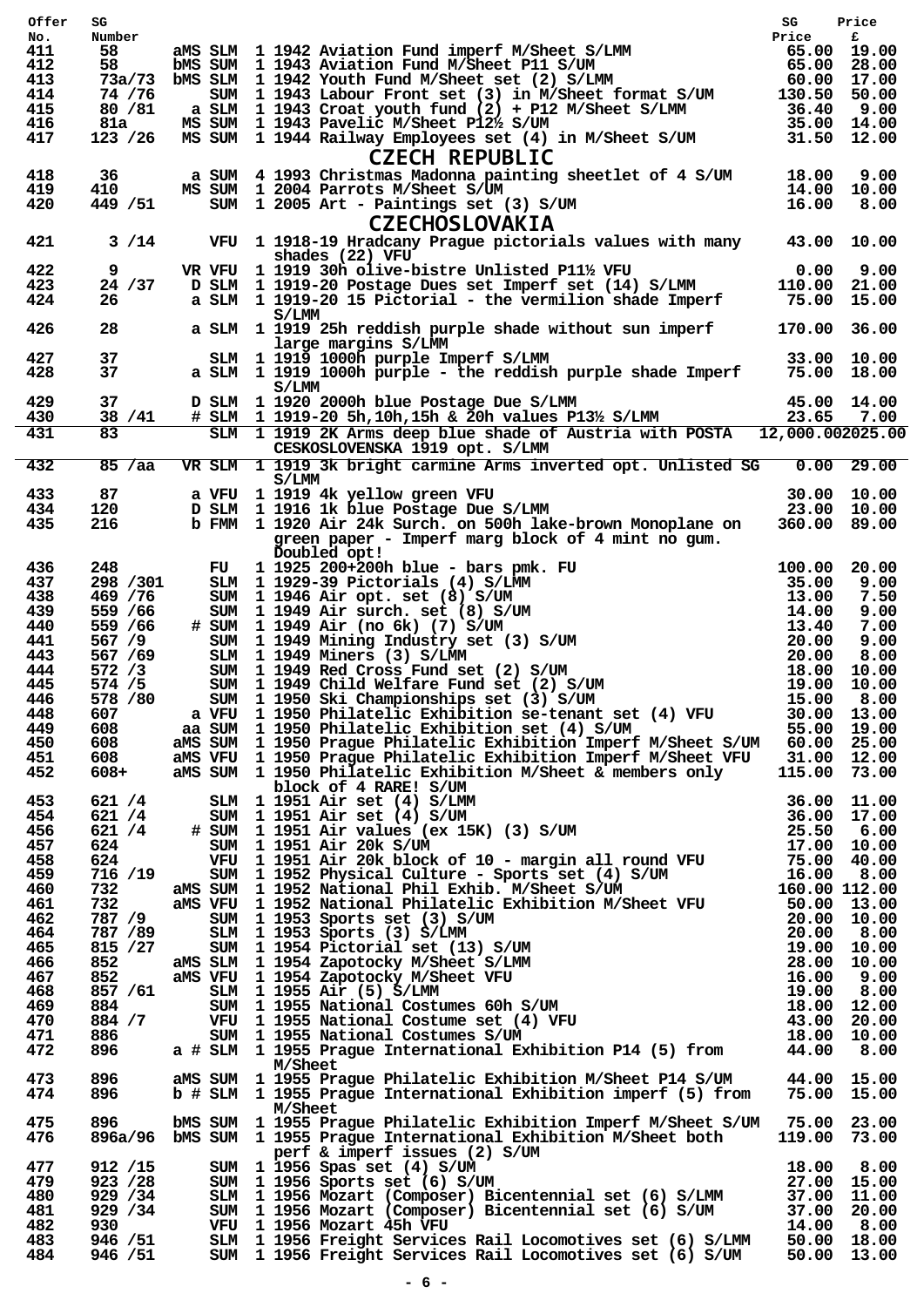| Offer      | SG                   |                                                                                                                                                                                                                                               | SG                         | Price                      |
|------------|----------------------|-----------------------------------------------------------------------------------------------------------------------------------------------------------------------------------------------------------------------------------------------|----------------------------|----------------------------|
| No.<br>411 | Number               |                                                                                                                                                                                                                                               |                            |                            |
| 412        |                      |                                                                                                                                                                                                                                               |                            |                            |
| 413        |                      | Number<br>58 aMS SLM 1942 Aviation Fund imperf M/Sheet S/LMM 65.00 19.00<br>58 bMS SUM 1943 Aviation Fund M/Sheet P11 S/UM 65.00 28.00<br>73a/73 bMS SLM 1942 Youth Fund M/Sheet set (2) S/LMM 60.00 17.00<br>74 /76 SUM 1943 Labour F        |                            |                            |
| 414<br>415 | 80 / 81              |                                                                                                                                                                                                                                               |                            |                            |
| 416        | 81a                  |                                                                                                                                                                                                                                               |                            |                            |
| 417        | 123 / 26             | a SLM 1 1943 Croat youth fund (2) + P12 M/Sheet S/LMM 36.40 9.00<br>MS SUM 1 1943 Pavelic M/Sheet P12½ S/UM 35.00 14.00<br>MS SUM 1 1944 Railway Employees set (4) in M/Sheet S/UM 31.50 12.00<br><b>CZECH REPUBLIC</b>                       |                            |                            |
| 418        | 36                   | a SUM 4 1993 Christmas Madonna painting sheetlet of 4 S/UM 18.00 9.00                                                                                                                                                                         |                            |                            |
| 419        | 410                  | MS SUM 1 2004 Parrots M/Sheet S/UM<br>14.00<br>3/UM 16.00                                                                                                                                                                                     | $14.00$ $10.00$            |                            |
| 420        | 449 / 51             | SUM 1 2005 Art - Paintings set (3) S/UM<br><b>CZECHOSLOVAKIA</b>                                                                                                                                                                              |                            | 8.00                       |
| 421        | $3/14$               | VFU 1 1918-19 Hradcany Prague pictorials values with many 43.00 10.00<br>shades (22) VFU                                                                                                                                                      |                            |                            |
| 422        | 9                    | VR VFU 1 1919 30h olive-bistre Unlisted P11½ VFU                                                                                                                                                                                              | $0.00$ $9.00$              |                            |
| 423        | 24 / 37              | D SLM 1 1919-20 Postage Dues set Imperf set (14) S/LMM                                                                                                                                                                                        | 110.00 21.00               |                            |
| 424        | 26                   | a SLM 1 1919-20 15 Pictorial - the vermilion shade Imperf<br>S/LMM                                                                                                                                                                            | 75.00 15.00                |                            |
| 426<br>427 | 28<br>37             | a SLM 1 1919 25h reddish purple shade without sun imperf 170.00 36.00<br>large margins S/LMM<br>SLM 1 1919 1000h purple Imperf S/LMM                                                                                                          | 33.00 10.00                |                            |
| 428        | 37                   | a SLM 1 1919 1000h purple - the reddish purple shade Imperf 75.00 18.00<br>S/LMM                                                                                                                                                              |                            |                            |
| 429<br>430 | 37<br>38 / 41        | D SLM 1 1920 2000h blue Postage Due S/LMM<br>$\#$ SLM 1 1919-20 5h, 10h, 15h & 20h values P13 <sup>1</sup> / <sub>2</sub> S/LMM 23.65 7.00                                                                                                    | 45.00 14.00                |                            |
| 431        | $\overline{83}$      | SLM 1 1919 2K Arms deep blue shade of Austria with POSTA 12,000.002025.00                                                                                                                                                                     |                            |                            |
|            |                      | CESKOSLOVENSKA 1919 opt. S/LMM                                                                                                                                                                                                                |                            |                            |
| 432        | 85 / aa              | VR SLM 1 1919 3k bright carmine Arms inverted opt. Unlisted SG 0.00 29.00<br>S/LMM                                                                                                                                                            |                            |                            |
| 433<br>434 | 87<br>120            | a VFU 1 1919 4k yellow green VFU<br>D SLM 1 1916 1k blue Postage Due S/LMM                                                                                                                                                                    | 30.00 10.00<br>23.00 10.00 |                            |
| 435        | 216                  | b FMM 1 1920 Air 24k Surch. on 500h lake-brown Monoplane on 360.00 89.00                                                                                                                                                                      |                            |                            |
|            |                      | green paper - Imperf marg block of 4 mint no gum.<br>Doubled opt!                                                                                                                                                                             |                            |                            |
| 436        | 248                  | Doubled opt!<br>FU 1925 200+200h blue - bars pmk. FU<br>SLM 1929-39 Pictorials (4) S/LMM<br>SUM 1946 Air opt. set (8) S/UM<br>SUM 1949 Air surch. set (8) S/UM<br>14.00<br>SUM 1949 Air (no 6k) (7) S/UM<br>13.40<br>SUM 1949 Air (no 6k) (7) |                            | 20.00                      |
| 437        | 298 / 301            |                                                                                                                                                                                                                                               |                            | 9.00                       |
| 438<br>439 | 469 / 76<br>559 / 66 |                                                                                                                                                                                                                                               |                            | 7.50<br>9.00               |
| 440        | 559 / 66             | # SUM 1 1949 Air (no 6k) (7) S/UM                                                                                                                                                                                                             |                            | 7.00                       |
| 441        | 567 /9               |                                                                                                                                                                                                                                               |                            | 9.00                       |
| 443        | 567 / 69             |                                                                                                                                                                                                                                               |                            | 8.00                       |
| 444<br>445 | 572 / 3<br>574 / 5   |                                                                                                                                                                                                                                               |                            | 10.00<br>19.00 10.00       |
| 446        | 578 / 80             |                                                                                                                                                                                                                                               |                            | 15.00 8.00                 |
| 448        | 607                  | a VFU 1 1950 Philatelic Exhibition se-tenant set (4) VFU                                                                                                                                                                                      |                            | 30.00 13.00                |
| 449        | 608                  | aa SUM 1 1950 Philatelic Exhibition set (4) S/UM                                                                                                                                                                                              |                            | 55.00 19.00                |
| 450<br>451 | 608<br>608           | ams SUM 1 1950 Prague Philatelic Exhibition Imperf M/Sheet S/UM 60.00 25.00<br>aMS VFU 1 1950 Prague Philatelic Exhibition Imperf M/Sheet VFU 31.00 12.00                                                                                     |                            |                            |
| 452        | $608+$               | aMS SUM 1 1950 Philatelic Exhibition M/Sheet & members only<br>block of 4 RARE! S/UM                                                                                                                                                          | 115.00 73.00               |                            |
| 453        | 621 / 4              |                                                                                                                                                                                                                                               |                            |                            |
| 454        | 621 / 4              |                                                                                                                                                                                                                                               |                            |                            |
| 456        | 621 / 4<br>624       |                                                                                                                                                                                                                                               |                            |                            |
| 457<br>458 | 624                  |                                                                                                                                                                                                                                               |                            |                            |
| 459        | 716 /19              |                                                                                                                                                                                                                                               |                            |                            |
| 460        | 732                  |                                                                                                                                                                                                                                               |                            |                            |
| 461<br>462 | 732<br>787 /9        |                                                                                                                                                                                                                                               |                            |                            |
| 464        | 787 / 89             |                                                                                                                                                                                                                                               |                            |                            |
| 465        | 815 / 27             |                                                                                                                                                                                                                                               |                            |                            |
| 466        | 852                  |                                                                                                                                                                                                                                               |                            |                            |
| 467<br>468 | 852<br>857 / 61      |                                                                                                                                                                                                                                               |                            |                            |
| 469        | 884.                 |                                                                                                                                                                                                                                               |                            |                            |
| 470        | 884 / 7              |                                                                                                                                                                                                                                               |                            |                            |
| 471        | 886                  |                                                                                                                                                                                                                                               |                            |                            |
| 472        | 896                  | 31.00 11.00<br>31.00 11.00 11.00 11.00 11.00 11.00 11.00<br>31.00 11.00 11.00 11.00 11.00 11.00 11.00 11.00 11.00 11.00 11.00 11.00 11.00 11.00 11.00 11.00 11.00 11.00 11.00 11.00 11.00 11.00 11.00 11.00 11.00 11.00 11.00 11.0<br>M/Sheet |                            |                            |
| 473<br>474 | 896<br>896           | aMS SUM 1 1955 Prague Philatelic Exhibition M/Sheet P14 S/UM 44.00 15.00<br>b # SLM 1 1955 Prague International Exhibition imperf (5) from 75.00 15.00                                                                                        |                            |                            |
| 475        | 896                  | <b>M/Sheet</b><br>bMS SUM 1 1955 Prague Philatelic Exhibition Imperf M/Sheet S/UM 75.00 23.00                                                                                                                                                 |                            |                            |
| 476        |                      | 896a/96 bMS SUM 1 1955 Prague International Exhibition M/Sheet both 119.00 73.00                                                                                                                                                              |                            |                            |
| 477        | 912 / 15             | perf & imperf issues (2) S/UM<br>1956 Spas set (4) S/UM<br>1956 Sports set (6) S/UM<br>SUM 1 1956 Spas set (4) S/UM                                                                                                                           |                            | 18.00 8.00                 |
| 479<br>480 | 923 / 28<br>929 / 34 | SUM 1 1956 Sports set (6) S/UM<br>SLM 1 1956 Mozart (Composer) Bicentennial set $(6)$ S/LMM                                                                                                                                                   |                            | 27.00 15.00<br>37.00 11.00 |
| 481        | 929 / 34             | SUM 1 1956 Mozart (Composer) Bicentennial set (6) S/UM                                                                                                                                                                                        |                            | 37.00 20.00                |
| 482        | 930                  | VFU 1 1956 Mozart 45h VFU                                                                                                                                                                                                                     |                            | 14.00 8.00                 |
| 483<br>484 | 946 / 51             | SLM 1 1956 Freight Services Rail Locomotives set (6) S/LMM 50.00 18.00                                                                                                                                                                        |                            |                            |
|            | 946 / 51             | SUM 1 1956 Freight Services Rail Locomotives set (6) S/UM                                                                                                                                                                                     |                            | 50.00 13.00                |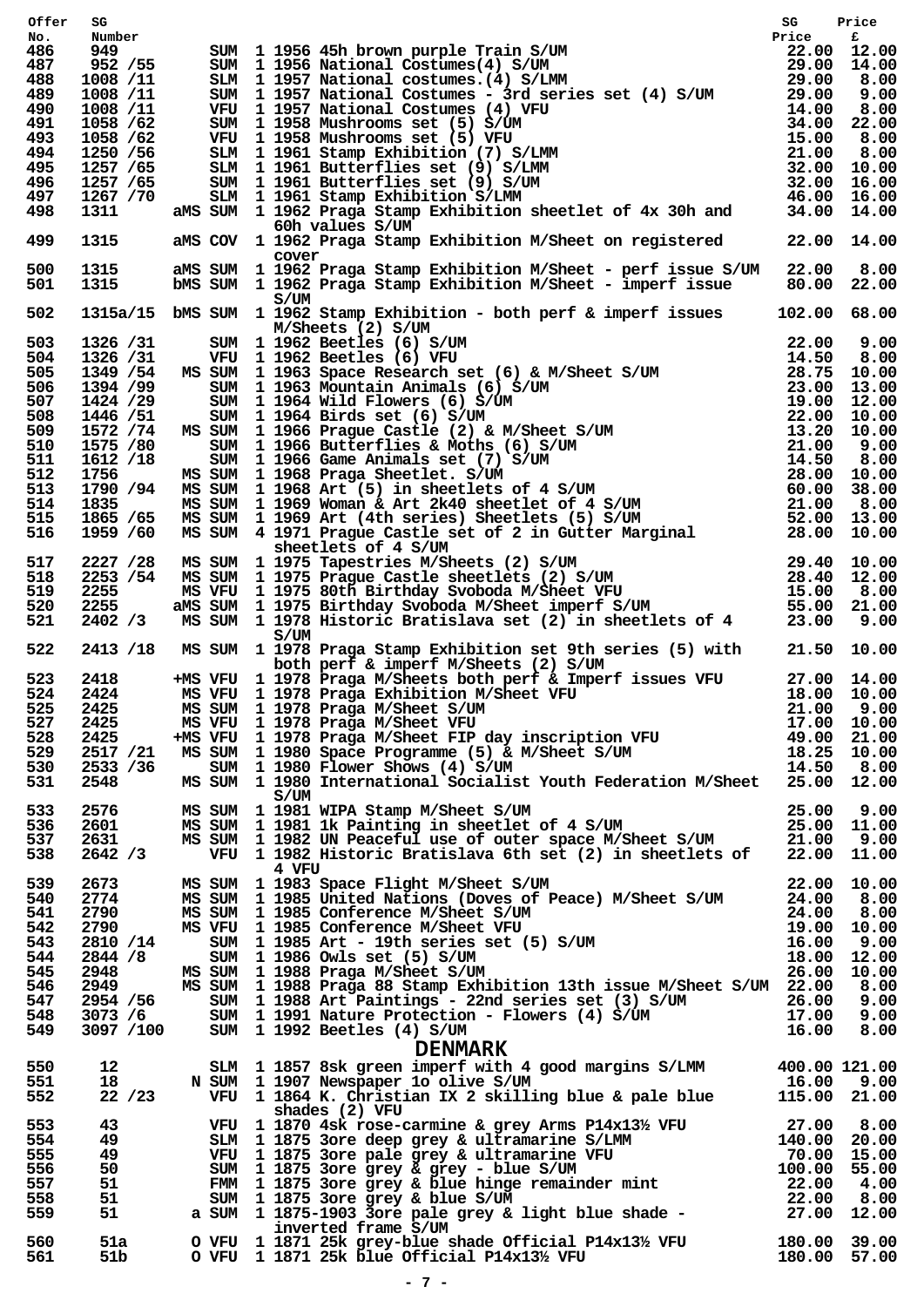| Offer      | SG                    | SUM 1 1956 45h brown purple Train S/UM<br>SUM 1 1956 National Costumes (4) S/UM<br>SUM 1 1957 National costumes - 3rd series set (4) S/UM<br>SUM 1 1957 National Costumes - 3rd series set (4) S/UM<br>SUM 1 1957 National Costumes -        |  |
|------------|-----------------------|----------------------------------------------------------------------------------------------------------------------------------------------------------------------------------------------------------------------------------------------|--|
| No.        | Number                |                                                                                                                                                                                                                                              |  |
| 486<br>487 | 949 —<br>952 / 55     |                                                                                                                                                                                                                                              |  |
| 488        | 1008 /11              |                                                                                                                                                                                                                                              |  |
| 489        | 1008 /11              |                                                                                                                                                                                                                                              |  |
| 490        | 1008 /11              |                                                                                                                                                                                                                                              |  |
| 491        | 1058 /62              |                                                                                                                                                                                                                                              |  |
| 493<br>494 | 1058 /62<br>1250 / 56 |                                                                                                                                                                                                                                              |  |
| 495        | 1257 / 65             |                                                                                                                                                                                                                                              |  |
| 496        | 1257 / 65             |                                                                                                                                                                                                                                              |  |
| 497        | 1267 /70              |                                                                                                                                                                                                                                              |  |
| 498        | 1311                  |                                                                                                                                                                                                                                              |  |
| 499        | 1315                  | 60h values S/UM<br>aMS COV 1 1962 Praga Stamp Exhibition M/Sheet on registered 22.00 14.00<br>cover                                                                                                                                          |  |
| 500<br>501 | 1315<br>1315          | aMS SUM 1 1962 Praga Stamp Exhibition M/Sheet - perf issue S/UM 22.00 8.00<br>bMS SUM 1 1962 Praga Stamp Exhibition M/Sheet - imperf issue 80.00 22.00                                                                                       |  |
| 502        |                       | S/UM<br>1315a/15 bMS SUM 1 1962 Stamp Exhibition - both perf & imperf issues 102.00 68.00                                                                                                                                                    |  |
| 503        |                       |                                                                                                                                                                                                                                              |  |
| 504        |                       |                                                                                                                                                                                                                                              |  |
| 505        |                       |                                                                                                                                                                                                                                              |  |
| 506        |                       |                                                                                                                                                                                                                                              |  |
| 507        |                       |                                                                                                                                                                                                                                              |  |
| 508        |                       |                                                                                                                                                                                                                                              |  |
| 509        |                       |                                                                                                                                                                                                                                              |  |
| 510<br>511 |                       |                                                                                                                                                                                                                                              |  |
| 512        |                       |                                                                                                                                                                                                                                              |  |
| 513        |                       |                                                                                                                                                                                                                                              |  |
| 514        |                       |                                                                                                                                                                                                                                              |  |
| 515        |                       |                                                                                                                                                                                                                                              |  |
| 516        |                       | 1315a/15 bMs SUM 1962 Stamp Exhibition - both perf & imperf issues 102.00 68.00<br>1326/31 SUM 1962 Beetles (6) SVUM<br>1326/31 SUM 1962 Beetles (6) SVUM 22.00 9.00<br>1349/54 MS SUM 1963 Space Research set (6) & M/Sheet S/UM 2          |  |
| 517        |                       |                                                                                                                                                                                                                                              |  |
| 518        |                       |                                                                                                                                                                                                                                              |  |
| 519<br>520 |                       |                                                                                                                                                                                                                                              |  |
| 521        |                       |                                                                                                                                                                                                                                              |  |
|            |                       | S/UM                                                                                                                                                                                                                                         |  |
|            |                       | 522 2413 /18 MS SUM 1 1978 Praga Stamp Exhibition set 9th series (5) with 21.50 10.00                                                                                                                                                        |  |
|            |                       | both perf & imperf M/Sheets (2) S/UM<br>523 2418 + MS VFU 1 1978 Praga M/Sheets both perf & Imperf issues VFU 27.00 14.00                                                                                                                    |  |
| 524        | 2424                  |                                                                                                                                                                                                                                              |  |
| 525 2425   |                       | MS SUM 1 1978 Praga M/Sheet S/UM                                                                                                                                                                                                             |  |
| 527        | 2425                  |                                                                                                                                                                                                                                              |  |
| 528        | 2425                  |                                                                                                                                                                                                                                              |  |
| 529        | 2517 /21              |                                                                                                                                                                                                                                              |  |
| 530        | 2533 /36<br>2548      | MS VFU 1 1978 Praga Exhibition M/Sheet VFU<br>MS VFU 1 1978 Praga Exhibition M/Sheet VFU<br>MS SUM 1 1978 Praga M/Sheet S/UM<br>MS VFU 1 1978 Praga M/Sheet VFU<br>17.00 10.00<br>MS VFU 1 1978 Praga M/Sheet VFU<br>17.00 10.00<br>MS VFU 1 |  |
| 531<br>533 | 2576 — 10             | S/UM                                                                                                                                                                                                                                         |  |
| 536        | 2601                  |                                                                                                                                                                                                                                              |  |
| 537        | 2631                  |                                                                                                                                                                                                                                              |  |
| 538        | 2642 / 3              | MS SUM 1 1981 WIPA Stamp M/Sheet S/UM 25.00 9.00<br>MS SUM 1 1981 lk Painting in sheetlet of 4 S/UM 25.00 11.00<br>MS SUM 1 1982 UN Peaceful use of outer space M/Sheet S/UM 21.00 9.00<br>VFU 1 1982 Historic Bratislava 6th set (2) i      |  |
|            |                       | 4 VFU                                                                                                                                                                                                                                        |  |
| 539        | 2673                  |                                                                                                                                                                                                                                              |  |
| 540        | 2774                  |                                                                                                                                                                                                                                              |  |
| 541<br>542 | 2790                  |                                                                                                                                                                                                                                              |  |
| 543        | 2790<br>2810 /14      |                                                                                                                                                                                                                                              |  |
| 544        | 2844 /8               |                                                                                                                                                                                                                                              |  |
| 545        | 2948                  | MS SUM 1 1983 Space Flight M/Sheet S/UM<br>MS SUM 1 1985 United Nations (Doves of Peace) M/Sheet S/UM<br>MS SUM 1 1985 Conference M/Sheet S/UM<br>MS VFU 1 1985 Conference M/Sheet VFU<br>SUM 1 1985 Art - 19th series set (5) S/UM<br>M     |  |
| 546        |                       | 2949 MS SUM 1 1988 Praga 88 Stamp Exhibition 13th issue M/Sheet S/UM 22.00 8.00                                                                                                                                                              |  |
| 547        |                       |                                                                                                                                                                                                                                              |  |
| 548        |                       | 2954 /56 SUM 1 1988 Art Paintings - 22nd series set (3) S/UM 26.00 9.00<br>3073 /6 SUM 1 1991 Nature Protection - Flowers (4) S/UM 17.00 9.00<br>3097 /100 SUM 1 1992 Beetles (4) S/UM 16.00 8.00                                            |  |
| 549        |                       |                                                                                                                                                                                                                                              |  |
|            |                       |                                                                                                                                                                                                                                              |  |
| 550        | 12                    |                                                                                                                                                                                                                                              |  |
| 551        | 18                    |                                                                                                                                                                                                                                              |  |
| 552        | 22 / 23               | <b>DENMARK</b><br>SLM 11857 8sk green imperf with 4 good margins S/LMM 400.00 121.00<br>N SUM 11907 Newspaper 1o olive S/UM 16.00 9.00<br>VFU 11864 K. Christian IX 2 skilling blue & pale blue 115.00 21.00                                 |  |
|            |                       | shades (2) VFU                                                                                                                                                                                                                               |  |
| 553        | 43 — 1                | VFU 1 1870 4sk rose-carmine & grey Arms P14x13½ VFU 27.00 8.00<br>SLM 1 1875 3ore deep grey & ultramarine S/LMM 140.00 20.00<br>VFU 1 1875 3ore pale grey & ultramarine VFU 70.00 15.00<br>SUM 1 1875 3ore grey & grey - blue S/UM 1         |  |
| 554        | 49                    |                                                                                                                                                                                                                                              |  |
| 555        | 49                    |                                                                                                                                                                                                                                              |  |
| 556<br>557 | 50<br>51              |                                                                                                                                                                                                                                              |  |
| 558        | 51                    |                                                                                                                                                                                                                                              |  |
| 559        | 51                    |                                                                                                                                                                                                                                              |  |
|            |                       | inverted frame S/UM                                                                                                                                                                                                                          |  |
| 560        | 51a                   |                                                                                                                                                                                                                                              |  |
| 561        | 51b                   | 0 VFU 1 1871 25k grey-blue shade Official P14x13½ VFU 180.00 39.00<br>0 VFU 1 1871 25k blue Official P14x13½ VFU 180.00 57.00                                                                                                                |  |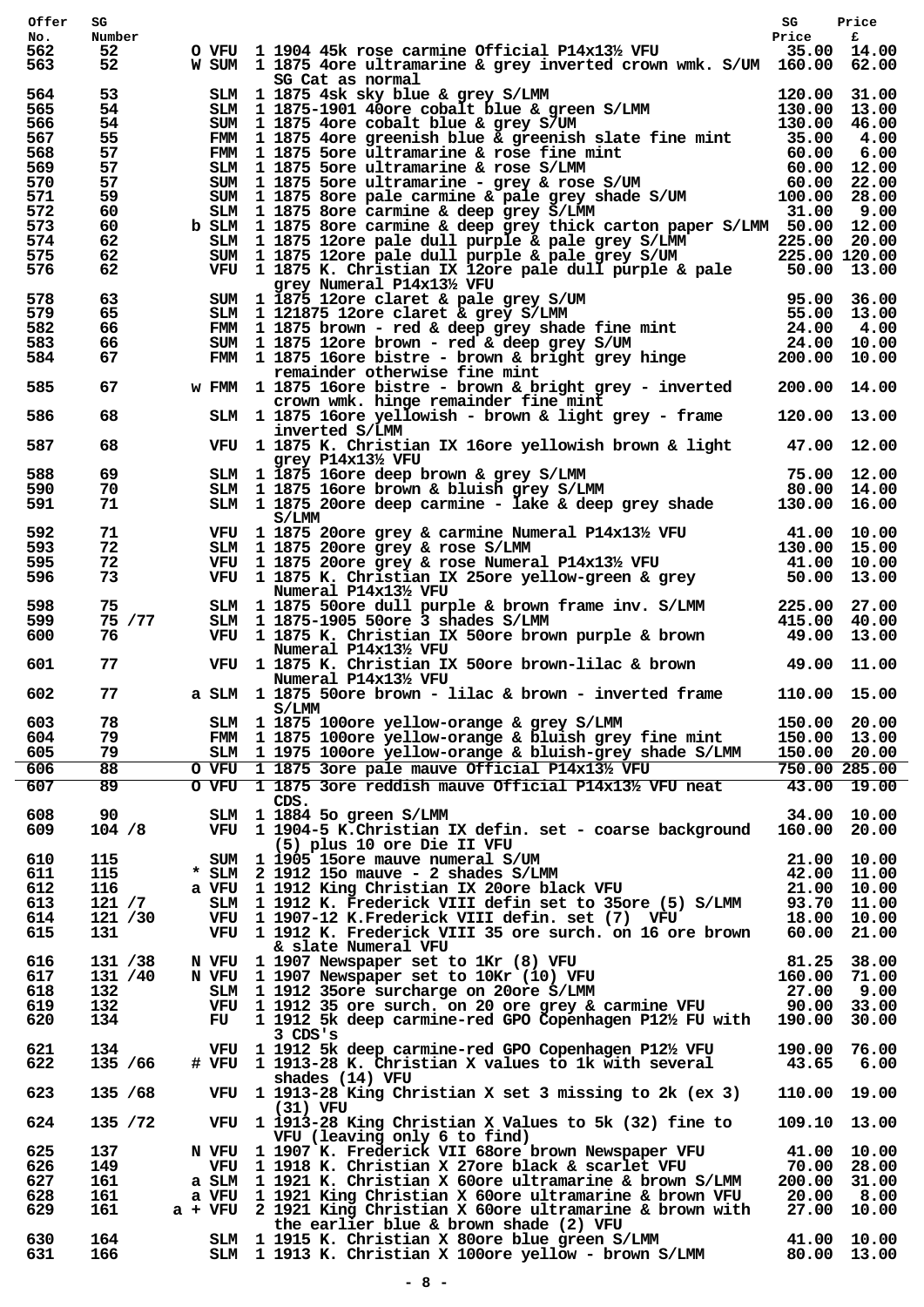|            | SG         |     |                                                                                                                                                                                                                                         | SG                           | Price                       |
|------------|------------|-----|-----------------------------------------------------------------------------------------------------------------------------------------------------------------------------------------------------------------------------------------|------------------------------|-----------------------------|
| No.        | Number     |     |                                                                                                                                                                                                                                         | Price                        | £                           |
| 562<br>563 | 52         |     | O VFU $1$ 1904 45k rose carmine Official P14x13% VFU 35.00 14.00<br>W SUM 1 1875 4ore ultramarine & grey inverted crown wmk. S/UM 160.00 62.00                                                                                          |                              |                             |
|            | 52         |     | SG Cat as normal                                                                                                                                                                                                                        |                              |                             |
| 564        | 53         |     | SLM 1 1875 4sk sky blue & grey S/LMM 120.00 31.00<br>SLM 1 1875-1901 40ore cobalt blue & green S/LMM 130.00 13.00<br>SUM 1 1875 4ore cobalt blue & grey S/UM 130.00 46.00<br>FMM 1 1875 4ore greenish blue & greenish slate fine mint 3 |                              |                             |
| 565        | 54         |     |                                                                                                                                                                                                                                         |                              |                             |
| 566        | 54         |     |                                                                                                                                                                                                                                         |                              |                             |
| 567        | 55         |     |                                                                                                                                                                                                                                         |                              |                             |
| 568        | 57         |     | FMM 1 1875 5ore ultramarine & rose fine mint 60.00 6.00<br>SLM 1 1875 5ore ultramarine & rose S/LMM 60.00 12.00<br>SUM 1 1875 5ore ultramarine - grey & rose S/UM 60.00 22.00<br>SUM 1 1875 8ore carmine & pale grey shade S/UM 100.    |                              |                             |
| 569        | 57         |     |                                                                                                                                                                                                                                         |                              |                             |
| 570<br>571 | 57<br>59   |     |                                                                                                                                                                                                                                         |                              |                             |
| 572        | 60         |     |                                                                                                                                                                                                                                         |                              |                             |
| 573        | 60         |     | b SLM 1 1875 8ore carmine & deep grey thick carton paper S/LMM 50.00 12.00                                                                                                                                                              |                              |                             |
| 574        | 62         |     |                                                                                                                                                                                                                                         |                              |                             |
| 575        | 62         |     |                                                                                                                                                                                                                                         |                              |                             |
| 576        | 62         |     | SLM 1 1875 12ore pale dull purple & pale grey S/LMM 225.00 20.00<br>SUM 1 1875 12ore pale dull purple & pale grey S/UM 225.00 120.00<br>VFU 1 1875 K. Christian IX 12ore pale dull purple & pale 50.00 13.00                            |                              |                             |
| 578        | 63         |     | grey Numeral P14x131/2 VFU                                                                                                                                                                                                              |                              |                             |
| 579        | 65         |     |                                                                                                                                                                                                                                         |                              |                             |
| 582        | 66         |     |                                                                                                                                                                                                                                         |                              |                             |
| 583        | 66         |     |                                                                                                                                                                                                                                         |                              |                             |
| 584        | 67         |     | grey Numeral P14x13% VFU<br>SUM 1 1875 12ore claret & pale grey S/UM 95.00 36.00<br>SLM 1 121875 12ore claret & grey S/LMM 55.00 13.00<br>FMM 1 1875 hown - red & deep grey shade fine mint 24.00 4.00<br>SUM 1 1875 16ore bistres - b  |                              |                             |
|            |            |     | remainder otherwise fine mint                                                                                                                                                                                                           |                              |                             |
| 585        | 67         |     | w FMM 1 1875 16ore bistre - brown & bright grey - inverted 200.00 14.00<br>crown wmk. hinge remainder fine mint                                                                                                                         |                              |                             |
| 586        | 68         |     | SLM 1 1875 16ore yellowish - brown & light grey - frame<br>inverted S/LMM                                                                                                                                                               | 120.00 13.00                 |                             |
| 587        | 68         |     | VFU 1 1875 K. Christian IX 16ore yellowish brown & light<br>grey $P14x13\frac{1}{2}$ VFU                                                                                                                                                | 47.00 12.00                  |                             |
| 588        | 69         |     |                                                                                                                                                                                                                                         |                              |                             |
| 590        | 70         |     | SLM 1 1875 16ore deep brown & grey S/LMM<br>SLM 1 1875 16ore brown & bluish grey S/LMM 80.00 14.00<br>SLM 1 1875 20ore deep carmine - lake & deep grey shade 130.00 16.00                                                               |                              |                             |
| 591        | 71         |     | S/LMM                                                                                                                                                                                                                                   |                              |                             |
| 592        | 71         |     |                                                                                                                                                                                                                                         |                              |                             |
| 593        | 72         |     |                                                                                                                                                                                                                                         |                              |                             |
| 595        | 72         |     |                                                                                                                                                                                                                                         |                              |                             |
| 596        | 73         |     | VFU 1 1875 20ore grey & carmine Numeral P14x13½ VFU 41.00 10.00<br>SLM 1 1875 20ore grey & rose S/LMM 130.00 15.00<br>VFU 1 1875 20ore grey & rose Numeral P14x13½ VFU 41.00 10.00<br>VFU 1 1875 K. Christian IX 25ore yellow-green     |                              |                             |
|            |            |     | Numeral P14x131/2 VFU                                                                                                                                                                                                                   |                              |                             |
| 598        | 75         |     |                                                                                                                                                                                                                                         |                              |                             |
| 599        | 75 / 77    |     | SLM 1 1875 50ore dull purple & brown frame inv. S/LMM 225.00 27.00<br>SLM 1 1875-1905 50ore 3 shades S/LMM 415.00 40.00<br>VFU 1 1875 K. Christian IX 50ore brown purple & brown 49.00 13.00                                            |                              |                             |
| 600        | 76         |     |                                                                                                                                                                                                                                         |                              |                             |
| 601        | 77         |     | Numeral P14x131/2 VFU<br>VFU 1 1875 K. Christian IX 50ore brown-lilac & brown 49.00 11.00                                                                                                                                               |                              |                             |
|            | 77         |     | Numeral P14x13½ VFU<br>a SLM 1 1875 50ore brown - lilac & brown - inverted frame 110.00 15.00                                                                                                                                           |                              |                             |
|            |            |     |                                                                                                                                                                                                                                         |                              |                             |
| 602        |            |     |                                                                                                                                                                                                                                         |                              |                             |
|            |            |     | S/LMM                                                                                                                                                                                                                                   |                              |                             |
| 603<br>604 | 78<br>79   |     | SLM 1 1875 100ore yellow-orange & grey S/LMM<br>FMM 1 1875 100ore yellow-orange & bluish grey fine mint                                                                                                                                 | 150.00 20.00                 |                             |
| 605        | 79         |     | SLM 1 1975 100ore yellow-orange & bluish-grey shade S/LMM                                                                                                                                                                               | 150.00 13.00<br>150.00 20.00 |                             |
| 606        | 88         |     | O VFU 1 1875 3ore pale mauve Official P14x131/2 VFU                                                                                                                                                                                     |                              | 750.00 285.00               |
| 607        | 89         |     | O VFU 1 1875 3ore reddish mauve Official P14x13½ VFU neat                                                                                                                                                                               |                              | 43.00 19.00                 |
|            |            |     | CDS.                                                                                                                                                                                                                                    |                              |                             |
| 608        | 90         |     | SLM 1 1884 5o green S/LMM                                                                                                                                                                                                               |                              | 34.00 10.00                 |
| 609        | 104 / 8    |     | VFU 1 1904-5 K.Christian IX defin. set - coarse background                                                                                                                                                                              | 160.00 20.00                 |                             |
|            |            |     | (5) plus 10 ore Die II VFU                                                                                                                                                                                                              |                              |                             |
| 610<br>611 | 115<br>115 |     | SUM 1 1905 15 ore mauve numeral S/UM<br>$*$ SLM 2 1912 15o mauve - 2 shades S/LMM                                                                                                                                                       |                              | 21.00 10.00<br>42.00 11.00  |
| 612        | 116        |     | a VFU 1 1912 King Christian IX 20ore black VFU                                                                                                                                                                                          |                              | 21.00 10.00                 |
| 613        | 121 / 7    |     | SLM 1 1912 K. Frederick VIII defin set to 35ore (5) S/LMM                                                                                                                                                                               |                              | 93.70 11.00                 |
| 614        | 121 /30    |     | VFU 1 1907-12 K.Frederick VIII defin. set (7) VFU                                                                                                                                                                                       |                              | 18.00 10.00                 |
| 615        | 131        |     | VFU 1 1912 K. Frederick VIII 35 ore surch. on 16 ore brown                                                                                                                                                                              |                              | 60.00 21.00                 |
|            |            |     | & slate Numeral VFU                                                                                                                                                                                                                     |                              |                             |
| 616        | 131 / 38   |     | N VFU 1 1907 Newspaper set to 1Kr (8) VFU                                                                                                                                                                                               |                              | 81.25 38.00                 |
| 617        | 131 /40    |     | N VFU 1 1907 Newspaper set to 10Kr (10) VFU                                                                                                                                                                                             | 160.00 71.00                 |                             |
| 618        | 132        |     | SLM 1 1912 35 ore surcharge on 20 ore S/LMM                                                                                                                                                                                             | 27.00                        | 9.00                        |
| 619<br>620 | 132<br>134 | FU  | VFU 1 1912 35 ore surch. on 20 ore grey & carmine VFU<br>1 1912 5k deep carmine-red GPO Copenhagen P12½ FU with                                                                                                                         | 190.00 30.00                 | 90.00 33.00                 |
|            |            |     | $3$ CDS's                                                                                                                                                                                                                               |                              |                             |
| 621        | 134        | VFU | 1 1912 5k deep carmine-red GPO Copenhagen P12½ VFU                                                                                                                                                                                      | 190.00                       | 76.00                       |
| 622        | 135 / 66   |     | # VFU 1 1913-28 K. Christian X values to 1k with several                                                                                                                                                                                | 43.65                        | 6.00                        |
| 623        | 135 / 68   |     | shades (14) VFU<br>VFU 1 1913-28 King Christian X set 3 missing to 2k (ex 3)                                                                                                                                                            | 110.00 19.00                 |                             |
| 624        |            |     | $(31)$ VFU                                                                                                                                                                                                                              | 109.10 13.00                 |                             |
|            | 135 / 72   |     | VFU 1 1913-28 King Christian X Values to 5k (32) fine to<br>VFU (leaving only 6 to find)                                                                                                                                                |                              |                             |
| 625        | 137        |     | N VFU 1 1907 K. Frederick VII 68ore brown Newspaper VFU                                                                                                                                                                                 |                              | 41.00 10.00                 |
| 626<br>627 | 149<br>161 |     | VFU 1 1918 K. Christian X 27ore black & scarlet VFU<br>a SLM 1 1921 K. Christian X 60ore ultramarine & brown S/LMM                                                                                                                      |                              | 70.00 28.00<br>200.00 31.00 |
| 628        | 161        |     | a VFU 1 1921 King Christian X 60ore ultramarine & brown VFU                                                                                                                                                                             | 20.00                        | 8.00                        |
| 629        | 161        |     | a + VFU 2 1921 King Christian X 60ore ultramarine & brown with                                                                                                                                                                          |                              | 27.00 10.00                 |
|            |            |     | the earlier blue & brown shade (2) VFU                                                                                                                                                                                                  |                              |                             |
| 630<br>631 | 164<br>166 |     | SLM 1 1915 K. Christian X 80ore blue green S/LMM<br>SLM 1 1913 K. Christian X 100ore yellow - brown S/LMM                                                                                                                               |                              | 41.00 10.00<br>80.00 13.00  |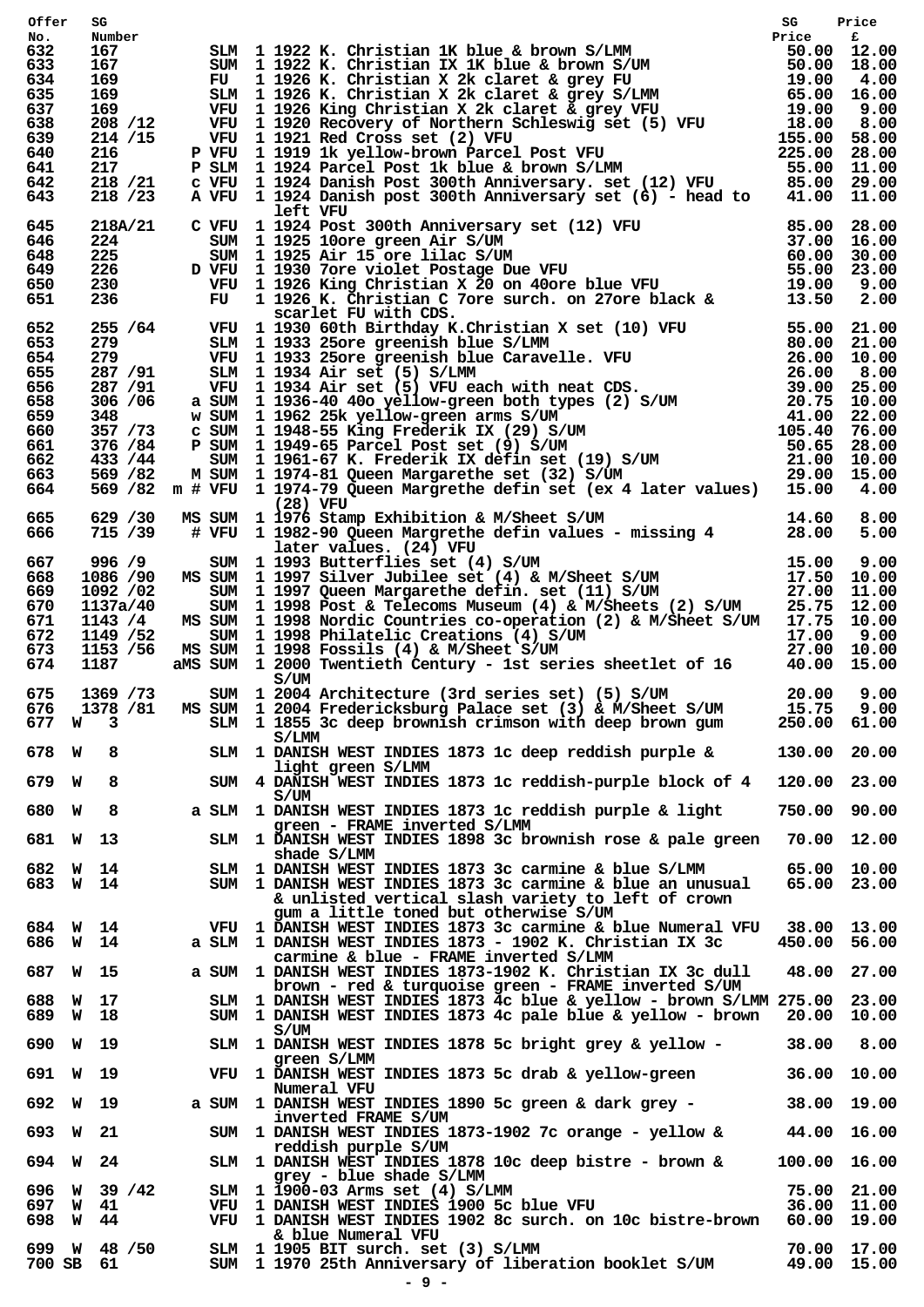| Offer      | SG                         |                                                                                                                                                                                                                                        |              |                            |
|------------|----------------------------|----------------------------------------------------------------------------------------------------------------------------------------------------------------------------------------------------------------------------------------|--------------|----------------------------|
| No.<br>632 | Number<br>167              |                                                                                                                                                                                                                                        |              |                            |
| 633        | 167                        |                                                                                                                                                                                                                                        |              |                            |
| 634<br>635 | 169 —<br>169               | SIM 1 1922 K. Christian IK blue & brown S/LMM<br>SUM 1 1922 K. Christian IX IK blue & brown S/LMM<br>FU 1 1922 K. Christian IX IK blue & brown S/UM<br>FU 1 1926 K. Christian X 2k claret & grey FU 19.00 4.00<br>SUM 1 1926 K. Christ |              |                            |
| 637        | 169 —                      |                                                                                                                                                                                                                                        |              |                            |
| 638        | 208 / 12                   |                                                                                                                                                                                                                                        |              |                            |
| 639<br>640 | 214 /15<br>216             |                                                                                                                                                                                                                                        |              |                            |
| 641        | 217                        |                                                                                                                                                                                                                                        |              |                            |
| 642        | 218 / 21                   |                                                                                                                                                                                                                                        |              |                            |
| 643        | 218 / 23                   |                                                                                                                                                                                                                                        |              |                            |
| 645        |                            | left VFU                                                                                                                                                                                                                               |              |                            |
| 646        |                            |                                                                                                                                                                                                                                        |              |                            |
| 648        |                            |                                                                                                                                                                                                                                        |              |                            |
| 649        |                            |                                                                                                                                                                                                                                        |              |                            |
| 650<br>651 |                            | 218A/21 C VFU 1 1924 Post 300th Anniversary set (12) VFU 85.00 28.00<br>224 SUM 1 1925 10ore green Air S/UM 37.00 16.00<br>225 SUM 1 1925 Air 15 ore lilac S/UM 60.00 30.00<br>226 D VFU 1 1930 7ore violet Postage Due VFU 55.00 23   |              |                            |
|            |                            |                                                                                                                                                                                                                                        |              |                            |
| 652        |                            |                                                                                                                                                                                                                                        |              |                            |
| 653<br>654 |                            |                                                                                                                                                                                                                                        |              |                            |
| 655        |                            |                                                                                                                                                                                                                                        |              |                            |
| 656        |                            |                                                                                                                                                                                                                                        |              |                            |
| 658        |                            |                                                                                                                                                                                                                                        |              |                            |
| 659<br>660 |                            |                                                                                                                                                                                                                                        |              |                            |
| 661        |                            |                                                                                                                                                                                                                                        |              |                            |
| 662        |                            |                                                                                                                                                                                                                                        |              |                            |
| 663        |                            |                                                                                                                                                                                                                                        |              |                            |
| 664        |                            | 236 FU 1 1926 K. Christian C 7ore surch. on 27ore black & 13.50 2.00<br>255 /64 VFU 1 1930 60th Birthday K. Christian X set (10) VFU 55.00 21.00<br>279 SIM 1 1933 25ore greenish blue S/IMM 80.00 21.00<br>287 /91 VFU 1 1933 25or    |              |                            |
| 665        |                            | (28) VFU<br>629 / 30 MS SUM 1 1976 Stamp Exhibition & M/Sheet S/UM 14.60 8.00<br>715 / 39 # VFU 1 1982-90 Queen Margrethe defin values - missing 4 28.00 5.00                                                                          |              |                            |
| 666        |                            |                                                                                                                                                                                                                                        |              |                            |
|            |                            | 15.00 9.00<br>SUM 1 1993 Butterflies set (4) S/UM 15.00 9.00<br>MS SUM 1 1997 Silver Jubilee set (4) & M/Sheet S/UM 17.50 10.00<br>SUM 1 1997 Queen Margarethe defin. set (11) S/UM 27.00 11.00<br>SUM 1 1998 Post & Telecoms Museum ( |              |                            |
| 667<br>668 | 1086 /90                   | 996 /9 $SUM$ 1 1993 Butterflies set (4) S/UM                                                                                                                                                                                           |              |                            |
| 669        | 1092 /02                   |                                                                                                                                                                                                                                        |              |                            |
| 670        | 1137a/40                   |                                                                                                                                                                                                                                        |              |                            |
| 671        | 1143 /4                    | MS SUM 1 1998 Nordic Countries co-operation (2) & M/Sheet S/UM 17.75 10.00                                                                                                                                                             |              |                            |
| 672        | 1149 / 52                  |                                                                                                                                                                                                                                        |              |                            |
| 673<br>674 | 1153 /56<br>1187           | SUM 1 1998 Philatelic Creations (4) S/UM<br>MS SUM 1 1998 Fossils (4) & M/Sheet S/UM<br>aMS SUM 1 2000 Twentieth Century - 1st series sheetlet of 16 40.00 15.00                                                                       |              |                            |
|            |                            | S/UM                                                                                                                                                                                                                                   |              |                            |
| 675        | 1369 / 73                  | SUM 1 2004 Architecture (3rd series set) (5) S/UM 20.00 9.00                                                                                                                                                                           |              |                            |
| 676        | 1378 /81                   | MS SUM 1 2004 Fredericksburg Palace set (3) & M/Sheet S/UM 15.75 9.00                                                                                                                                                                  |              |                            |
| 677 W      | -3                         | SLM 1 1855 3c deep brownish crimson with deep brown gum<br>S/LMM                                                                                                                                                                       | 250.00 61.00 |                            |
| 678 W      | 8                          | SLM 1 DANISH WEST INDIES 1873 1c deep reddish purple &                                                                                                                                                                                 | 130.00 20.00 |                            |
|            |                            | light green S/LMM                                                                                                                                                                                                                      |              |                            |
| 679 W      | 8                          | SUM 4 DANISH WEST INDIES 1873 1c reddish-purple block of 4<br>S/UM                                                                                                                                                                     | 120.00 23.00 |                            |
| 680 W      | 8                          | a SLM 1 DANISH WEST INDIES 1873 1c reddish purple & light                                                                                                                                                                              | 750.00 90.00 |                            |
|            |                            | green - FRAME inverted S/LMM                                                                                                                                                                                                           |              |                            |
|            | 681 W 13                   | SLM 1 DANISH WEST INDIES 1898 3c brownish rose & pale green 70.00 12.00                                                                                                                                                                |              |                            |
|            |                            | shade S/LMM                                                                                                                                                                                                                            |              |                            |
|            | 682 W 14<br>683 W 14       | SLM 1 DANISH WEST INDIES 1873 3c carmine & blue S/LMM<br>SUM 1 DANISH WEST INDIES 1873 3c carmine & blue an unusual                                                                                                                    |              | 65.00 10.00<br>65.00 23.00 |
|            |                            | & unlisted vertical slash variety to left of crown                                                                                                                                                                                     |              |                            |
|            |                            | gum a little toned but otherwise S/UM                                                                                                                                                                                                  |              |                            |
|            | 684 W 14                   | VFU 1 DANISH WEST INDIES 1873 3c carmine & blue Numeral VFU                                                                                                                                                                            | 38.00 13.00  |                            |
|            | 686 W 14                   | a SLM 1 DANISH WEST INDIES 1873 - 1902 K. Christian IX 3c<br>carmine & blue - FRAME inverted S/LMM                                                                                                                                     | 450.00 56.00 |                            |
|            | 687 W 15                   | a SUM 1 DANISH WEST INDIES 1873-1902 K. Christian IX 3c dull                                                                                                                                                                           |              | 48.00 27.00                |
|            |                            | brown - red & turquoise green - FRAME inverted S/UM                                                                                                                                                                                    |              |                            |
|            | 688 W 17                   | SLM 1 DANISH WEST INDIES 1873 4c blue & yellow - brown S/LMM 275.00 23.00                                                                                                                                                              |              |                            |
|            | 689 W 18                   | SUM 1 DANISH WEST INDIES 1873 4c pale blue & yellow - brown<br>S/UM                                                                                                                                                                    |              | 20.00 10.00                |
|            | 690 W 19                   | SLM 1 DANISH WEST INDIES 1878 5c bright grey & yellow -                                                                                                                                                                                | 38.00        | 8.00                       |
|            |                            | green S/LMM                                                                                                                                                                                                                            |              |                            |
|            | 691 W 19                   | VFU 1 DANISH WEST INDIES 1873 5c drab & yellow-green                                                                                                                                                                                   |              | 36.00 10.00                |
|            | 692 W 19                   | Numeral VFU<br>a SUM 1 DANISH WEST INDIES 1890 5c green & dark grey -                                                                                                                                                                  |              | 38.00 19.00                |
|            |                            | inverted FRAME S/UM                                                                                                                                                                                                                    |              |                            |
|            | 693 W 21                   | SUM 1 DANISH WEST INDIES 1873-1902 7c orange - yellow &                                                                                                                                                                                |              | 44.00 16.00                |
|            |                            | reddish purple S/UM                                                                                                                                                                                                                    |              |                            |
| 694        | W 24                       | SLM 1 DANISH WEST INDIES 1878 10c deep bistre - brown &<br>grey - blue shade S/LMM                                                                                                                                                     | 100.00 16.00 |                            |
|            | 696 W 39 /42               | SLM 1 1900-03 Arms set (4) S/LMM                                                                                                                                                                                                       |              | 75.00 21.00                |
|            | 697 W 41                   | VFU 1 DANISH WEST INDIES 1900 5c blue VFU                                                                                                                                                                                              |              | 36.00 11.00                |
|            | 698 W 44                   | VFU 1 DANISH WEST INDIES 1902 8c surch. on 10c bistre-brown 60.00 19.00                                                                                                                                                                |              |                            |
|            |                            | & blue Numeral VFU                                                                                                                                                                                                                     |              |                            |
|            | 699 W 48 / 50<br>700 SB 61 | SLM 1 1905 BIT surch. set (3) S/LMM<br>SUM 1 1970 25th Anniversary of liberation booklet S/UM                                                                                                                                          |              | 70.00 17.00<br>49.00 15.00 |
|            |                            | $-9 -$                                                                                                                                                                                                                                 |              |                            |
|            |                            |                                                                                                                                                                                                                                        |              |                            |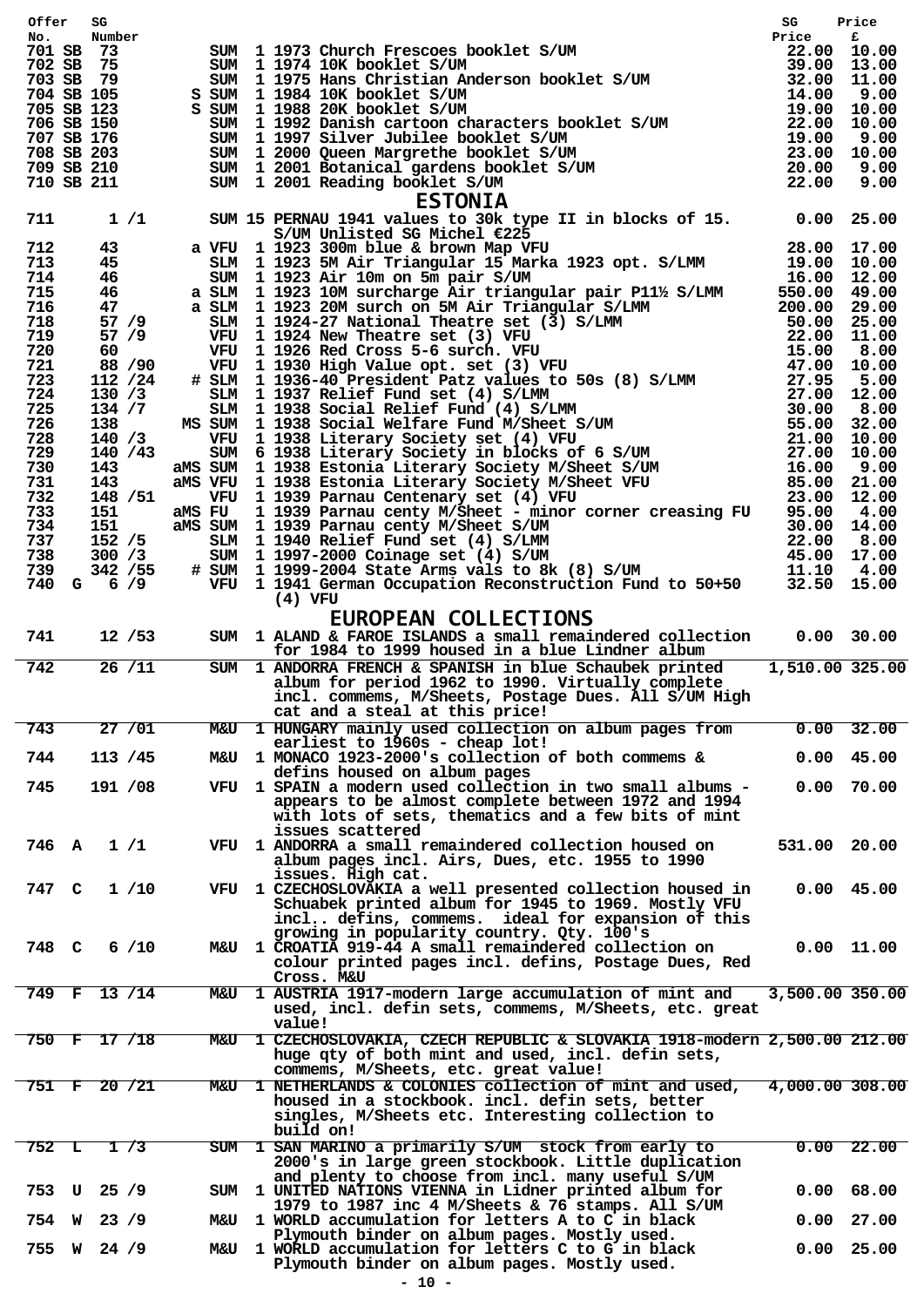| Offer SG                      |                |                                                                                                                                                                                                                                       | SG              | Price        |
|-------------------------------|----------------|---------------------------------------------------------------------------------------------------------------------------------------------------------------------------------------------------------------------------------------|-----------------|--------------|
| Number<br>No.<br>701 SB 73    |                | er SUM 1 1973 Church Frescoes booklet S/UM Price Frice Frice Frice Frice Frice Price Exp. 22.00 10.00 SUM 1 1975 Hans Christian Anderson booklet S/UM 39.00 13.00 SUM 1 1988 20K booklet S/UM 14.00 9.00 13.00 SUM 1 1988 20K         |                 |              |
| 702 SB 75                     |                |                                                                                                                                                                                                                                       |                 |              |
| 703 SB 79                     |                |                                                                                                                                                                                                                                       |                 |              |
| 704 SB 105<br>705 SB 123      |                |                                                                                                                                                                                                                                       |                 |              |
| 706 SB 150                    |                |                                                                                                                                                                                                                                       |                 |              |
| 707 SB 176                    |                |                                                                                                                                                                                                                                       |                 |              |
| 708 SB 203                    |                |                                                                                                                                                                                                                                       |                 |              |
| 709 SB 210<br>710 SB 211      |                |                                                                                                                                                                                                                                       |                 |              |
|                               |                | <b>ESTONIA</b>                                                                                                                                                                                                                        |                 |              |
| 1/1<br>711                    |                | SUM 15 PERNAU 1941 values to 30k type II in blocks of 15. 0.00 25.00                                                                                                                                                                  |                 |              |
|                               |                | SUM 15 PERNAM 1941 values to 30k type II in blocks of 15. 0.00 25.00<br>a vgu 1 1923 300m blue & bichel 623 py<br>SUM 11923 300m blue & bichel 425 py<br>SUM 11923 300m blue & bichel 425 py<br>SUM 11923 200m blue & bichel Mar Mark |                 |              |
| 712<br>43                     |                |                                                                                                                                                                                                                                       |                 |              |
| 713<br>45<br>46<br>714        |                |                                                                                                                                                                                                                                       |                 |              |
| 46<br>715                     |                |                                                                                                                                                                                                                                       |                 |              |
| 716<br>47                     |                |                                                                                                                                                                                                                                       |                 |              |
| 718<br>57/9                   |                |                                                                                                                                                                                                                                       |                 |              |
| 719<br>57/9                   |                |                                                                                                                                                                                                                                       |                 |              |
| 720<br>60 —<br>721<br>88 / 90 |                |                                                                                                                                                                                                                                       |                 |              |
| 723<br>112 / 24               |                |                                                                                                                                                                                                                                       |                 |              |
| 724<br>130 / 3                |                |                                                                                                                                                                                                                                       |                 |              |
| 725<br>134 / 7                |                |                                                                                                                                                                                                                                       |                 |              |
| 726<br>138                    |                |                                                                                                                                                                                                                                       |                 |              |
| 728<br>140/3<br>140/43<br>729 |                |                                                                                                                                                                                                                                       |                 |              |
| 730<br>143                    |                |                                                                                                                                                                                                                                       |                 |              |
| 731<br>143                    |                |                                                                                                                                                                                                                                       |                 |              |
| 148 / 51<br>732               |                |                                                                                                                                                                                                                                       |                 |              |
| 733<br>151                    |                |                                                                                                                                                                                                                                       |                 |              |
| 151<br>734<br>737<br>152/5    |                |                                                                                                                                                                                                                                       |                 |              |
| 738<br>300 / 3                |                |                                                                                                                                                                                                                                       |                 |              |
| 342 / 55<br>739               |                |                                                                                                                                                                                                                                       |                 |              |
| 740<br>$G = 6 / 9$            |                |                                                                                                                                                                                                                                       |                 |              |
|                               |                | (4) VFU                                                                                                                                                                                                                               |                 |              |
|                               |                | <b>EUROPEAN COLLECTIONS</b>                                                                                                                                                                                                           |                 |              |
| 741<br>12 / 53                |                | SUM 1 ALAND & FAROE ISLANDS a small remaindered collection 0.00 30.00                                                                                                                                                                 |                 |              |
|                               |                | for 1984 to 1999 housed in a blue Lindner album                                                                                                                                                                                       |                 |              |
| 26/11<br>742                  |                | SUM 1 ANDORRA FRENCH & SPANISH in blue Schaubek printed<br>album for period 1962 to 1990. Virtually complete                                                                                                                          | 1,510.00 325.00 |              |
|                               |                | incl. commems, M/Sheets, Postage Dues. All S/UM High                                                                                                                                                                                  |                 |              |
|                               |                | cat and a steal at this price!                                                                                                                                                                                                        |                 |              |
| 743<br>27/01                  | <b>M&amp;U</b> | 1 HUNGARY mainly used collection on album pages from                                                                                                                                                                                  |                 | $0.00$ 32.00 |
|                               |                | earliest to 1960s - cheap lot!                                                                                                                                                                                                        |                 |              |
| 113 / 45<br>744               |                | M&U 1 MONACO 1923-2000's collection of both commems &                                                                                                                                                                                 |                 | $0.00$ 45.00 |
|                               |                | defins housed on album pages<br>VFU 1 SPAIN a modern used collection in two small albums -                                                                                                                                            |                 |              |
| 191 /08<br>745                |                | appears to be almost complete between 1972 and 1994                                                                                                                                                                                   |                 | $0.00$ 70.00 |
|                               |                | with lots of sets, thematics and a few bits of mint                                                                                                                                                                                   |                 |              |
|                               |                | issues scattered                                                                                                                                                                                                                      |                 |              |
| 746 A $1/1$                   |                | VFU 1 ANDORRA a small remaindered collection housed on                                                                                                                                                                                | 531.00 20.00    |              |
|                               |                | album pages incl. Airs, Dues, etc. 1955 to 1990                                                                                                                                                                                       |                 |              |
| 747<br>C                      |                | issues. High cat.<br>VFU 1 CZECHOSLOVAKIA a well presented collection housed in                                                                                                                                                       |                 | $0.00$ 45.00 |
| 1/10                          |                | Schuabek printed album for 1945 to 1969. Mostly VFU                                                                                                                                                                                   |                 |              |
|                               |                | incl defins, commems. ideal for expansion of this                                                                                                                                                                                     |                 |              |
|                               |                | growing in popularity country. Qty. 100's                                                                                                                                                                                             |                 |              |
| 748 C<br>6/10                 |                | M&U 1 CROATIA 919-44 A small remaindered collection on                                                                                                                                                                                |                 | $0.00$ 11.00 |
|                               |                | colour printed pages incl. defins, Postage Dues, Red                                                                                                                                                                                  |                 |              |
|                               |                | Cross. M&U                                                                                                                                                                                                                            |                 |              |
| 749 F 13 /14                  |                | M&U 1 AUSTRIA 1917-modern large accumulation of mint and<br>used, incl. defin sets, commems, M/Sheets, etc. great                                                                                                                     | 3,500.00 350.00 |              |
|                               |                | value!                                                                                                                                                                                                                                |                 |              |
|                               |                |                                                                                                                                                                                                                                       |                 |              |
|                               |                |                                                                                                                                                                                                                                       |                 |              |
| 750 F 17 /18                  |                | M&U 1 CZECHOSLOVAKIA, CZECH REPUBLIC & SLOVAKIA 1918-modern 2,500.00 212.00<br>huge qty of both mint and used, incl. defin sets,                                                                                                      |                 |              |
|                               |                | commems, M/Sheets, etc. great value!                                                                                                                                                                                                  |                 |              |
| $751$ F 20 $/21$              |                | M&U 1 NETHERLANDS & COLONIES collection of mint and used,                                                                                                                                                                             | 4,000.00 308.00 |              |
|                               |                | housed in a stockbook. incl. defin sets, better                                                                                                                                                                                       |                 |              |
|                               |                | singles, M/Sheets etc. Interesting collection to                                                                                                                                                                                      |                 |              |
|                               |                | build on!                                                                                                                                                                                                                             |                 |              |
| 752 L<br>$\frac{1}{3}$        |                | SUM 1 SAN MARINO a primarily S/UM stock from early to                                                                                                                                                                                 |                 | $0.00$ 22.00 |
|                               |                | 2000's in large green stockbook. Little duplication<br>and plenty to choose from incl. many useful S/UM                                                                                                                               |                 |              |
| 753 U 25 /9                   |                | SUM 1 UNITED NATIONS VIENNA in Lidner printed album for                                                                                                                                                                               |                 | 0.00 68.00   |
|                               |                | 1979 to 1987 inc 4 M/Sheets & 76 stamps. All S/UM                                                                                                                                                                                     |                 |              |
| 754 W 23 /9                   |                | M&U 1 WORLD accumulation for letters A to C in black                                                                                                                                                                                  |                 | $0.00$ 27.00 |
|                               |                | Plymouth binder on album pages. Mostly used.                                                                                                                                                                                          |                 |              |
| 755 W 24 /9                   |                | M&U 1 WORLD accumulation for letters C to G in black<br>Plymouth binder on album pages. Mostly used.                                                                                                                                  |                 | 0.00 25.00   |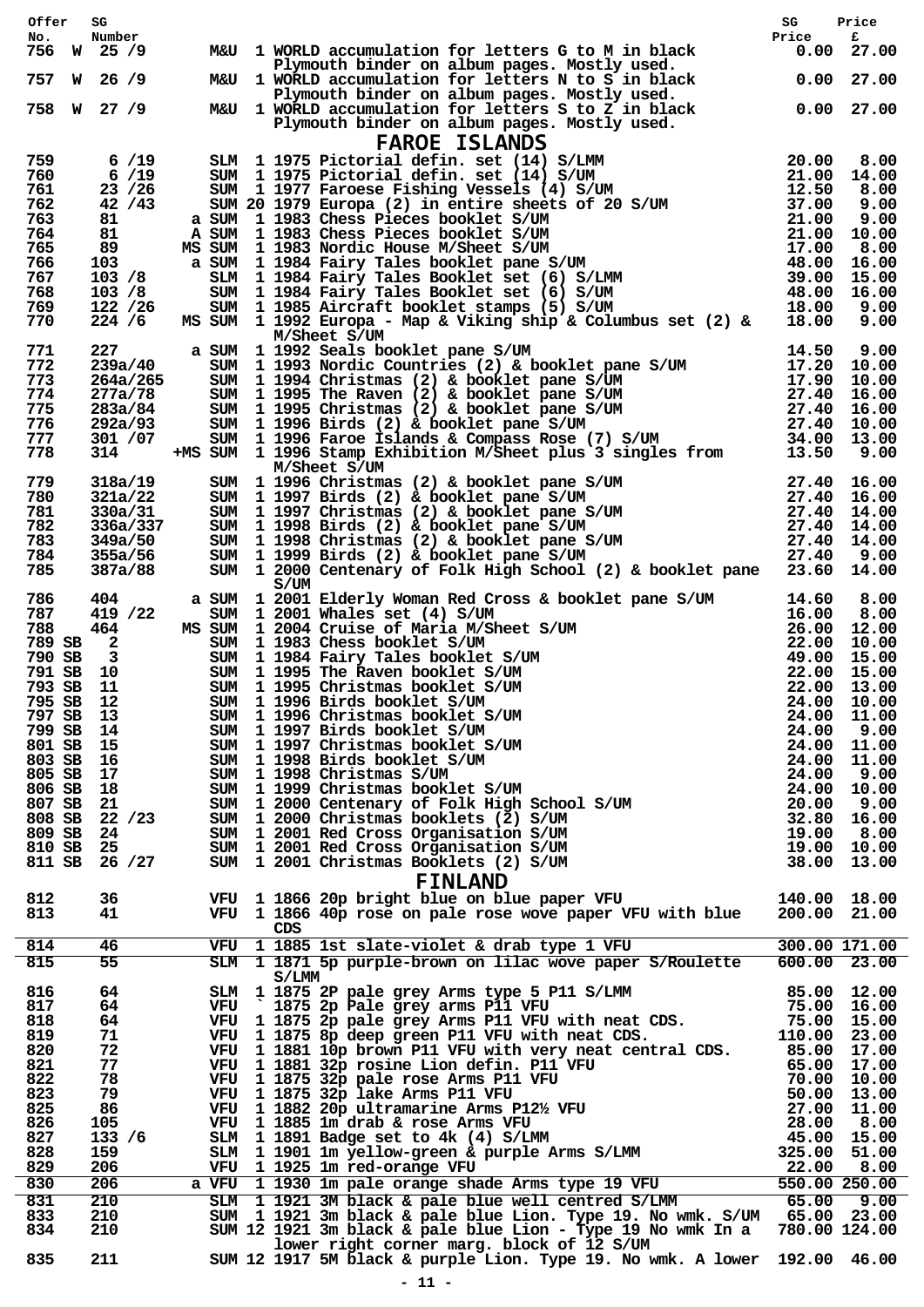| Number<br>No.<br>25/9<br>756<br>M&U 1 WORLD accumulation for letters G to M in black<br>W<br>Plymouth binder on album pages. Mostly used.<br>26/9<br>M&U 1 WORLD accumulation for letters N to S in black<br>757<br>W<br>Plymouth binder on album pages. Mostly used.<br>W 27 /9<br>758<br>M&U 1 WORLD accumulation for letters S to Z in black<br>Plymouth binder on album pages. Mostly used.<br><b>FAROE ISLANDS</b><br>759<br>6/19<br>6/19<br>760<br>23 / 26<br>761<br>42/43<br>762<br>763<br>81 | Price<br>$0.00$ 27.00<br>0.0027.00 | £<br>$0.00$ 27.00 |
|------------------------------------------------------------------------------------------------------------------------------------------------------------------------------------------------------------------------------------------------------------------------------------------------------------------------------------------------------------------------------------------------------------------------------------------------------------------------------------------------------|------------------------------------|-------------------|
|                                                                                                                                                                                                                                                                                                                                                                                                                                                                                                      |                                    |                   |
|                                                                                                                                                                                                                                                                                                                                                                                                                                                                                                      |                                    |                   |
|                                                                                                                                                                                                                                                                                                                                                                                                                                                                                                      |                                    |                   |
|                                                                                                                                                                                                                                                                                                                                                                                                                                                                                                      |                                    |                   |
|                                                                                                                                                                                                                                                                                                                                                                                                                                                                                                      |                                    |                   |
|                                                                                                                                                                                                                                                                                                                                                                                                                                                                                                      |                                    |                   |
|                                                                                                                                                                                                                                                                                                                                                                                                                                                                                                      |                                    |                   |
|                                                                                                                                                                                                                                                                                                                                                                                                                                                                                                      |                                    |                   |
| 81<br>764                                                                                                                                                                                                                                                                                                                                                                                                                                                                                            |                                    |                   |
| 89<br>765                                                                                                                                                                                                                                                                                                                                                                                                                                                                                            |                                    |                   |
| 766<br>103<br>767<br>103 / 8                                                                                                                                                                                                                                                                                                                                                                                                                                                                         |                                    |                   |
| 103 / 8<br>768                                                                                                                                                                                                                                                                                                                                                                                                                                                                                       |                                    |                   |
| 769<br>122 / 26                                                                                                                                                                                                                                                                                                                                                                                                                                                                                      |                                    |                   |
| 770<br>224 / 6<br>M/Sheet S/UM                                                                                                                                                                                                                                                                                                                                                                                                                                                                       |                                    |                   |
| 227<br>771                                                                                                                                                                                                                                                                                                                                                                                                                                                                                           |                                    |                   |
| 772<br>239a/40                                                                                                                                                                                                                                                                                                                                                                                                                                                                                       |                                    |                   |
| 773<br>264a/265                                                                                                                                                                                                                                                                                                                                                                                                                                                                                      |                                    |                   |
| 774<br>277a/78<br>775                                                                                                                                                                                                                                                                                                                                                                                                                                                                                |                                    |                   |
| 283a/84<br>776<br>292a/93                                                                                                                                                                                                                                                                                                                                                                                                                                                                            |                                    |                   |
| 777<br>301 / 07                                                                                                                                                                                                                                                                                                                                                                                                                                                                                      |                                    |                   |
| M/Sheet S/UM<br>SUM 1992 Seals booklet pane S/UM<br>SUM 1993 Nordic Countries (2) & booklet pane S/UM<br>SUM 1993 Nordic Countries (2) & booklet pane S/UM<br>SUM 1995 The Raven (2) & booklet pane S/UM<br>SUM 1995 The Raven (2) & boo<br>778<br>314<br>M/Sheet S/UM                                                                                                                                                                                                                               |                                    |                   |
| 779<br>318a/19                                                                                                                                                                                                                                                                                                                                                                                                                                                                                       |                                    |                   |
| 321a/22<br>780                                                                                                                                                                                                                                                                                                                                                                                                                                                                                       |                                    |                   |
| 781<br>330a/31<br>782                                                                                                                                                                                                                                                                                                                                                                                                                                                                                |                                    |                   |
| 336a/337<br>783<br>349a/50                                                                                                                                                                                                                                                                                                                                                                                                                                                                           |                                    |                   |
| 784<br>355a/56                                                                                                                                                                                                                                                                                                                                                                                                                                                                                       |                                    |                   |
| M/Sheet S/0M<br>SUM 1 1996 Christmas (2) & booklet pane S/UM<br>SUM 1 1997 Birds (2) & booklet pane S/UM<br>SUM 1 1997 Christmas (2) & booklet pane S/UM<br>SUM 1 1998 Birds (2) & booklet pane S/UM<br>SUM 1 1998 Christmas (2) & bookl<br>785<br>387a/88<br>S/UM                                                                                                                                                                                                                                   |                                    |                   |
| a SUM 1 2001 Elderly Woman Red Cross & booklet pane S/UM 14.60<br>SUM 1 2001 Whales set (4) S/UM 16.00<br>MS SUM 1 2004 Cruise of Maria M/Sheet S/UM 26.00<br>SUM 1 1983 Chess booklet S/UM 22.00<br>SUM 1 1984 Fairy Tales booklet S<br>786<br>404                                                                                                                                                                                                                                                  |                                    | 8.00              |
| 787<br>419 /22                                                                                                                                                                                                                                                                                                                                                                                                                                                                                       |                                    | 8.00              |
| 464<br>788<br>789 SB 2                                                                                                                                                                                                                                                                                                                                                                                                                                                                               |                                    | 12.00<br>10.00    |
| 790 SB<br>$\overline{\mathbf{3}}$                                                                                                                                                                                                                                                                                                                                                                                                                                                                    |                                    | 15.00             |
| 791 SB 10                                                                                                                                                                                                                                                                                                                                                                                                                                                                                            |                                    | 22.00 15.00       |
| 793 SB<br>11                                                                                                                                                                                                                                                                                                                                                                                                                                                                                         |                                    | 22.00 13.00       |
| 795 SB 12                                                                                                                                                                                                                                                                                                                                                                                                                                                                                            |                                    | 24.00 10.00       |
| 797 SB 13                                                                                                                                                                                                                                                                                                                                                                                                                                                                                            |                                    |                   |
| 799 SB 14<br>801 SB 15                                                                                                                                                                                                                                                                                                                                                                                                                                                                               |                                    |                   |
| 803 SB 16                                                                                                                                                                                                                                                                                                                                                                                                                                                                                            |                                    |                   |
| 805 SB 17                                                                                                                                                                                                                                                                                                                                                                                                                                                                                            |                                    |                   |
|                                                                                                                                                                                                                                                                                                                                                                                                                                                                                                      |                                    |                   |
| 806 SB 18                                                                                                                                                                                                                                                                                                                                                                                                                                                                                            |                                    |                   |
| 807 SB 21                                                                                                                                                                                                                                                                                                                                                                                                                                                                                            |                                    |                   |
| 808 SB 22 /23                                                                                                                                                                                                                                                                                                                                                                                                                                                                                        |                                    |                   |
| 809 SB<br>24                                                                                                                                                                                                                                                                                                                                                                                                                                                                                         |                                    |                   |
| 810 SB 25<br>26/27<br>811 SB                                                                                                                                                                                                                                                                                                                                                                                                                                                                         |                                    |                   |
| 3000 11996 Birds booklet S/UM<br>3000 11996 Christmas booklet S/UM<br>3000 11.00<br>3000 11997 Christmas booklet S/UM<br>3000 111.00<br>3000 111.00<br>3000 111.00<br>3000 111.00<br>3000 111.00<br>3000 111.00<br>3000 111.00<br>3000 111.00<br>3000<br><b>FINLAND</b>                                                                                                                                                                                                                              |                                    |                   |
| VFU 1 1866 20p bright blue on blue paper VFU 140.00 18.00<br>812<br>36<br>VFU 1 1866 40p rose on pale rose wove paper VFU with blue 200.00 21.00<br>813<br>41                                                                                                                                                                                                                                                                                                                                        |                                    |                   |
| CDS                                                                                                                                                                                                                                                                                                                                                                                                                                                                                                  |                                    |                   |
| 814<br>46                                                                                                                                                                                                                                                                                                                                                                                                                                                                                            |                                    |                   |
| VFU 1 1885 1st slate-violet & drab type 1 VFU 300.00 171.00<br>SLM 1 1871 5p purple-brown on lilac wove paper S/Roulette 600.00 23.00<br>815<br>55<br>S/LMM                                                                                                                                                                                                                                                                                                                                          |                                    |                   |
| 816<br>64                                                                                                                                                                                                                                                                                                                                                                                                                                                                                            |                                    |                   |
| 817<br>64                                                                                                                                                                                                                                                                                                                                                                                                                                                                                            |                                    |                   |
| 818<br>64                                                                                                                                                                                                                                                                                                                                                                                                                                                                                            |                                    |                   |
| 819<br>71                                                                                                                                                                                                                                                                                                                                                                                                                                                                                            |                                    |                   |
| 820<br>72<br>821<br>77                                                                                                                                                                                                                                                                                                                                                                                                                                                                               |                                    |                   |
| 822<br>78                                                                                                                                                                                                                                                                                                                                                                                                                                                                                            |                                    |                   |
| 823<br>79                                                                                                                                                                                                                                                                                                                                                                                                                                                                                            |                                    |                   |
| 825<br>86                                                                                                                                                                                                                                                                                                                                                                                                                                                                                            |                                    |                   |
| 826<br>105                                                                                                                                                                                                                                                                                                                                                                                                                                                                                           |                                    |                   |
| 827<br>133 / 6<br>828<br>159                                                                                                                                                                                                                                                                                                                                                                                                                                                                         |                                    |                   |
| 829<br>206                                                                                                                                                                                                                                                                                                                                                                                                                                                                                           |                                    |                   |
| 830<br>206                                                                                                                                                                                                                                                                                                                                                                                                                                                                                           |                                    |                   |
| 831<br>210                                                                                                                                                                                                                                                                                                                                                                                                                                                                                           |                                    |                   |
| S/LMM<br>SAM 1 1875 2P pale grey Arms type 5 P11 S/LMM<br>VFU 1875 2P pale grey Arms P11 VFU 75.00 16.00<br>VFU 1 1875 2p pale grey Arms P11 VFU with neat CDS.<br>VFU 1 1881 3P pale grey Arms P11 VFU with neat CDS.<br>VFU 1 1881 3P<br>SUM 1 1921 3m black & pale blue Lion. Type 19. No wmk. S/UM 65.00 23.00<br>833<br>210<br>834<br>210                                                                                                                                                       |                                    |                   |
| SUM 12 1921 3m black & pale blue Lion - Type 19 No wmk In a 780.00 124.00<br>lower right corner marg. block of 12 S/UM<br>835<br>SUM 12 1917 5M black & purple Lion. Type 19. No wmk. A lower 192.00 46.00<br>211                                                                                                                                                                                                                                                                                    |                                    |                   |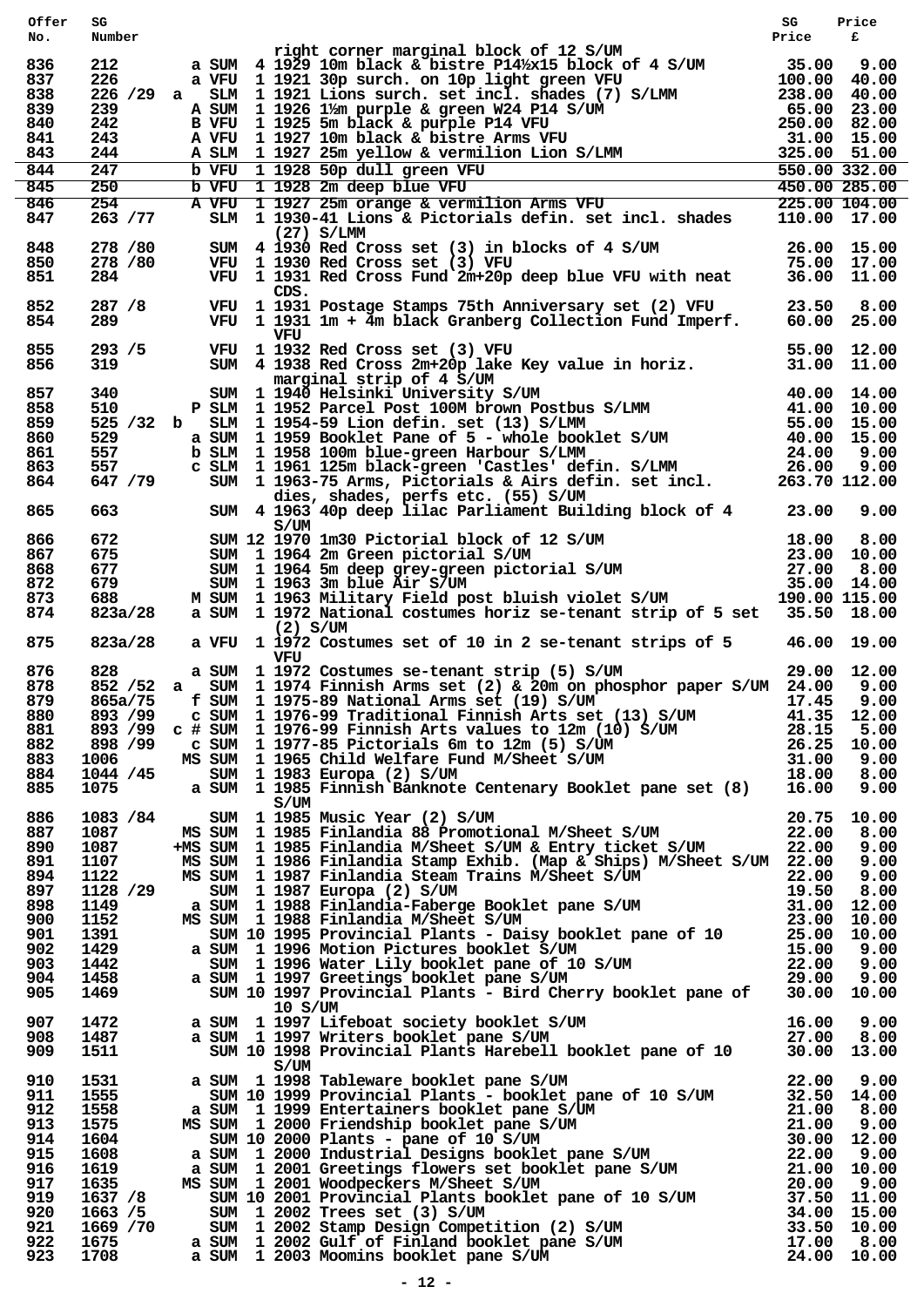| Offer | SG        |  |         |                                                                                                                                                                                                                                        | SG    | Price       |
|-------|-----------|--|---------|----------------------------------------------------------------------------------------------------------------------------------------------------------------------------------------------------------------------------------------|-------|-------------|
| No.   | Number    |  |         |                                                                                                                                                                                                                                        | Price | £           |
|       |           |  |         | right corner marginal block of 12 S/UM                                                                                                                                                                                                 |       |             |
| 836   |           |  |         |                                                                                                                                                                                                                                        |       |             |
| 837   |           |  |         |                                                                                                                                                                                                                                        |       |             |
|       |           |  |         |                                                                                                                                                                                                                                        |       |             |
| 838   |           |  |         |                                                                                                                                                                                                                                        |       |             |
| 839   |           |  |         |                                                                                                                                                                                                                                        |       |             |
| 840   |           |  |         |                                                                                                                                                                                                                                        |       |             |
| 841   |           |  |         |                                                                                                                                                                                                                                        |       |             |
| 843   |           |  |         |                                                                                                                                                                                                                                        |       |             |
| 844   |           |  |         |                                                                                                                                                                                                                                        |       |             |
| 845   |           |  |         |                                                                                                                                                                                                                                        |       |             |
|       |           |  |         |                                                                                                                                                                                                                                        |       |             |
| 846   |           |  |         |                                                                                                                                                                                                                                        |       |             |
| 847   |           |  |         |                                                                                                                                                                                                                                        |       |             |
|       |           |  |         | $(27)$ S/LMM                                                                                                                                                                                                                           |       |             |
| 848   | 278 / 80  |  |         | SUM 4 1930 Red Cross set (3) in blocks of 4 S/UM 26.00 15.00<br>VFU 1 1930 Red Cross set (3) VFU 75.00 17.00<br>VFU 1 1931 Red Cross Fund 2m+20p deep blue VFU with neat 36.00 11.00                                                   |       |             |
| 850   | 278 / 80  |  |         |                                                                                                                                                                                                                                        |       |             |
| 851   | 284.      |  |         |                                                                                                                                                                                                                                        |       |             |
|       |           |  | CDS.    |                                                                                                                                                                                                                                        |       |             |
| 852   | 287 /8    |  |         | VFU 1 1931 Postage Stamps 75th Anniversary set (2) VFU 23.50 8.00<br>VFU 1 1931 1m + 4m black Granberg Collection Fund Imperf. 60.00 25.00                                                                                             |       |             |
| 854   | 289.      |  |         |                                                                                                                                                                                                                                        |       |             |
|       |           |  | VFU     |                                                                                                                                                                                                                                        |       |             |
| 855   | 293 / 5   |  |         |                                                                                                                                                                                                                                        |       |             |
| 856   | 319       |  |         | VFU 1 1932 Red Cross set (3) VFU 55.00 12.00<br>SUM 4 1938 Red Cross 2m+20p lake Key value in horiz. 31.00 11.00                                                                                                                       |       |             |
|       |           |  |         | marginal strip of 4 S/UM                                                                                                                                                                                                               |       |             |
| 857   |           |  |         |                                                                                                                                                                                                                                        |       |             |
|       |           |  |         |                                                                                                                                                                                                                                        |       |             |
| 858   |           |  |         |                                                                                                                                                                                                                                        |       |             |
| 859   |           |  |         |                                                                                                                                                                                                                                        |       |             |
| 860   |           |  |         |                                                                                                                                                                                                                                        |       |             |
| 861   |           |  |         |                                                                                                                                                                                                                                        |       |             |
| 863   |           |  |         |                                                                                                                                                                                                                                        |       |             |
| 864   |           |  |         | marginal strip of 4 S/UM<br>340 SUM 1 1940 Helsinki University S/UM 40.00 14.00<br>510 P SLM 1 1952 Parcel Post 100M brown Postbus S/LMM 41.00 10.00<br>525 32 b SLM 1 1954-59 Lion defin. set (13) S/LMM 55.00 15.00<br>529 a SUM 1 1 |       |             |
|       |           |  |         | dies, shades, perfs etc. (55) S/UM                                                                                                                                                                                                     |       |             |
| 865   | 663       |  |         | SUM 4 1963 40p deep lilac Parliament Building block of 4 23.00                                                                                                                                                                         |       | 9.00        |
|       |           |  | S/UM    |                                                                                                                                                                                                                                        |       |             |
| 866   | 672       |  |         |                                                                                                                                                                                                                                        |       |             |
| 867   | 675       |  |         |                                                                                                                                                                                                                                        |       |             |
| 868   | 677       |  |         |                                                                                                                                                                                                                                        |       |             |
| 872   | 679       |  |         |                                                                                                                                                                                                                                        |       |             |
| 873   | 688       |  |         | SUM 12 1970 1m30 Pictorial block of 12 S/UM 18.00 8.00<br>SUM 1 1964 2m Green pictorial S/UM 23.00 10.00<br>SUM 1 1964 5m deep grey-green pictorial S/UM 27.00 8.00<br>SUM 1 1963 3m blue Air S/UM 35.00 14.00<br>M SUM 1 1963 Militar |       |             |
|       |           |  |         |                                                                                                                                                                                                                                        |       |             |
| 874   | 823a/28   |  |         | a SUM 1 1972 National costumes horiz se-tenant strip of 5 set 35.50 18.00                                                                                                                                                              |       |             |
|       |           |  |         | $(2)$ S/UM                                                                                                                                                                                                                             |       |             |
| 875   | 823a/28   |  |         | a VFU 1 1972 Costumes set of 10 in 2 se-tenant strips of 5 46.00 19.00                                                                                                                                                                 |       |             |
|       |           |  | VFU     |                                                                                                                                                                                                                                        |       |             |
| 876   | 828       |  |         | a SUM 1 1972 Costumes se-tenant strip (5) S/UM                                                                                                                                                                                         |       | 29.00 12.00 |
| 878   |           |  |         | 852 / 52 a SUM 1 1974 Finnish Arms set (2) & 20m on phosphor paper S/UM 24.00                                                                                                                                                          |       | 9.00        |
| 879   | 865a/75   |  |         | f SUM 1 1975-89 National Arms set (19) S/UM                                                                                                                                                                                            | 17.45 | 9.00        |
| 880   | 893 /99   |  |         | c SUM 1 1976-99 Traditional Finnish Arts set (13) S/UM 41.35                                                                                                                                                                           |       | 12.00       |
| 881   | 893 /99   |  |         |                                                                                                                                                                                                                                        |       | 5.00        |
|       |           |  |         |                                                                                                                                                                                                                                        |       |             |
| 882   | 898 / 99  |  |         |                                                                                                                                                                                                                                        |       | 10.00       |
| 883   | 1006      |  |         |                                                                                                                                                                                                                                        |       | 9.00        |
| 884   | 1044 /45  |  |         | $c$ # SUM 1 1976-99 Finnish Arts values to 12m (10) S/UM<br>$c$ SUM 1 1977-85 Pictorials 6m to 12m (5) S/UM<br>$c$ SUM 1 1965 Child Welfare Fund M/Sheet S/UM<br>$c$ SUM 1 1983 Europa (2) S/UM<br>a SUM 1 1985 Finnish Banknote Cent  |       | 8.00        |
| 885   | 1075      |  |         |                                                                                                                                                                                                                                        |       | 9.00        |
|       |           |  | S/UM    |                                                                                                                                                                                                                                        |       |             |
| 886   | 1083 / 84 |  |         | SUM 1 1985 Music Year (2) S/UM 20.75 10.00<br>MS SUM 1 1985 Finlandia 88 Promotional M/Sheet S/UM 22.00 8.00<br>MS SUM 1 1985 Finlandia M/Sheet S/UM & Entry ticket S/UM 22.00 9.00                                                    |       |             |
| 887   | 1087      |  |         |                                                                                                                                                                                                                                        |       |             |
| 890   | 1087      |  |         |                                                                                                                                                                                                                                        |       |             |
| 891   | 1107      |  |         | MS SUM 1 1986 Finlandia Stamp Exhib. (Map & Ships) M/Sheet S/UM 22.00                                                                                                                                                                  |       | 9.00        |
| 894   | 1122      |  |         |                                                                                                                                                                                                                                        |       |             |
| 897   | 1128 /29  |  |         |                                                                                                                                                                                                                                        |       |             |
| 898   | 1149      |  |         |                                                                                                                                                                                                                                        |       |             |
|       |           |  |         |                                                                                                                                                                                                                                        |       |             |
| 900   | 1152      |  |         |                                                                                                                                                                                                                                        |       |             |
| 901   | 1391      |  |         |                                                                                                                                                                                                                                        |       |             |
| 902   | 1429      |  |         |                                                                                                                                                                                                                                        |       |             |
| 903   | 1442      |  |         |                                                                                                                                                                                                                                        |       |             |
| 904   | 1458      |  |         |                                                                                                                                                                                                                                        |       |             |
| 905   | 1469      |  |         | MS SUM 1 1986 Finlandia Stamp Exhib. (Map & Ships) M/Sheet S/UM 22.00 9.00<br>SUM 1 1987 Einlandia Stamp Exhib. (Map & Ships) M/Sheet S/UM 22.00 9.00<br>SUM 1 1987 Eunlandia-Faberge Booklet pane S/UM 19.50 8.00<br>a SUM 1 1988 F   |       |             |
|       |           |  | 10 S/UM |                                                                                                                                                                                                                                        |       |             |
| 907   | 1472      |  |         |                                                                                                                                                                                                                                        |       |             |
| 908   | 1487      |  |         |                                                                                                                                                                                                                                        |       |             |
| 909   | 1511      |  |         | a SUM 1 1997 Lifeboat society booklet S/UM 16.00 9.00<br>a SUM 1 1997 Writers booklet pane S/UM 27.00 8.00<br>SUM 10 1998 Provincial Plants Harebell booklet pane of 10 30.00 13.00                                                    |       |             |
|       |           |  | S/UM    |                                                                                                                                                                                                                                        |       |             |
| 910   | 1531      |  |         |                                                                                                                                                                                                                                        |       |             |
|       |           |  |         |                                                                                                                                                                                                                                        |       |             |
| 911   | 1555      |  |         |                                                                                                                                                                                                                                        |       |             |
| 912   | 1558      |  |         |                                                                                                                                                                                                                                        |       |             |
| 913   | 1575      |  |         |                                                                                                                                                                                                                                        |       |             |
| 914   | 1604      |  |         |                                                                                                                                                                                                                                        |       |             |
| 915   | 1608      |  |         |                                                                                                                                                                                                                                        |       |             |
| 916   | 1619      |  |         |                                                                                                                                                                                                                                        |       |             |
| 917   | 1635      |  |         |                                                                                                                                                                                                                                        |       |             |
| 919   | 1637 / 8  |  |         |                                                                                                                                                                                                                                        |       |             |
| 920   | 1663 / 5  |  |         |                                                                                                                                                                                                                                        |       |             |
| 921   | 1669 / 70 |  |         |                                                                                                                                                                                                                                        |       |             |
|       |           |  |         |                                                                                                                                                                                                                                        |       |             |
| 922   | 1675      |  |         |                                                                                                                                                                                                                                        |       |             |
| 923   | 1708      |  |         |                                                                                                                                                                                                                                        |       |             |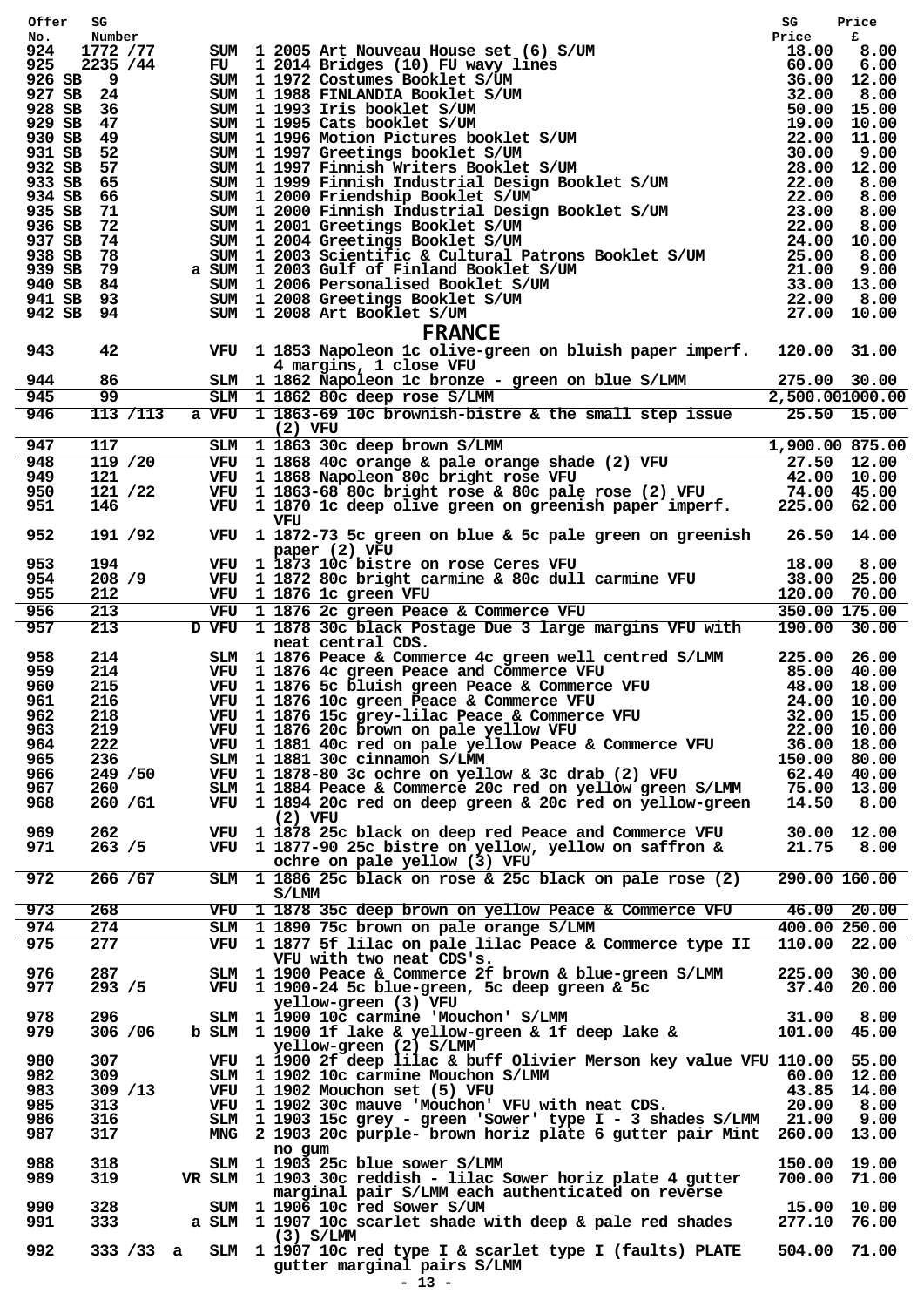| No.<br>SUM 1 2005 Art Nouveau House set (6) S/UM<br>Fride Fride 18.00<br>FU 1 2014 Bridges (10) FU wavy lines<br>60.00 6.00<br>SUM 1 1972 Costumes Booklet S/UM<br>SUM 1 1993 Tris booklet S/UM<br>SUM 1 1993 Tris booklet S/UM<br>SUM 1 1999 Grati<br>1772 /77<br>924<br>925<br>2235 / 44<br>926 SB<br>و _<br>927 SB 24<br>928 SB 36<br>929 SB<br>47<br>930 SB 49<br>931 SB 52<br>932 SB 57<br>933 SB 65<br>934 SB 66<br>935 SB 71<br>72<br>936 SB<br>937 SB 74<br>938 SB 78<br>939 SB 79<br>940 SB 84<br>941 SB 93<br>942 SB 94<br><b>FRANCE</b><br>943<br>VFU 1 1853 Napoleon 1c olive-green on bluish paper imperf. 120.00 31.00<br>42<br>4 margins, 1 close VFU<br>86<br>944<br>275.00 30.00<br>SLM 1 1862 Napoleon 1c bronze – green on blue S/LMM<br>99<br>945<br>2,500.001000.00<br>SLM 1 1862 80c deep rose S/LMM<br>a VFU 1 1863-69 10c brownish-bistre & the small step issue $25.50$ 15.00<br>946<br>113 / 113<br>$(2)$ VFU<br>SLM 1 1863 30c deep brown S/LMM 1,900.00 875.00<br>VFU 1 1868 40c orange & pale orange shade (2) VFU 27.50 12.00<br>VFU 1 1868 Napoleon 80c bright rose VFU 42.00 10.00<br>VFU 1 1863-68 80c bright rose & 80c pale rose (2) VFU 74.<br>117<br>947<br>948<br>119/20<br>949<br>121<br>950<br>121 /22<br>951<br>146<br>VFU<br>952<br>191 /92<br>VFU 1 1872-73 5c green on blue & 5c pale green on greenish $26.50$ 14.00<br>paper (2) VFU<br>18.00 8.00<br>953<br>194<br>VFU 1 1873 10c bistre on rose Ceres VFU<br>VFU 1 1872 80c bright carmine & 80c dull carmine VFU<br>954<br>208 / 9<br>38.00 25.00<br>955<br>212<br>VFU 1 1876 1c green VFU<br>VFU 1 1876 2c green Peace & Commerce VFU 350.00 175.00<br>213<br>956<br>D VFU 1 1878 30c black Postage Due 3 large margins VFU with 190.00 30.00<br>957<br>213<br>neat central CDS.<br>SLM 1 1876 Peace & Commerce 4c green well centred S/LMM 225.00 26.00<br>958<br>214<br>VFU 1 1876 4c green Peace and Commerce VFU 1 1876 5c bluish green Peace & Commerce VFU 48.00 40.00<br>VFU 1 1876 5c bluish green Peace & Commerce VFU 48.00 18.00<br>VFU 1 1876 10c green Peace & Commerce VFU 48.00 10.00<br>VFU 1 187<br>959<br>214<br>960<br>215<br>961<br>216<br>VFU 1 1876 15c grey-lilac Peace & Commerce VFU 32.00 15.00<br>962<br>218<br>VFU 1 1876 20c brown on pale yellow VFU<br>963<br>219<br>22.00 10.00<br>VFU 1 1881 40c red on pale yellow Peace & Commerce VFU<br>36.00 18.00<br>964<br>222<br>SLM 1 1881 30c cinnamon S/LMM<br>965<br>236<br>150.00 80.00<br>966<br>249 / 50<br>VFU 1 1878-80 3c ochre on yellow & 3c drab (2) VFU<br>62.40 40.00<br>967<br>SLM 1 1884 Peace & Commerce 20c red on yellow green S/LMM<br>75.00 13.00<br>260<br>968<br>260 / 61<br>VFU 1 1894 20c red on deep green & 20c red on yellow-green<br>14.50 8.00<br>$(2)$ VFU<br>VFU 1 1878 25c black on deep red Peace and Commerce VFU<br>969<br>262<br>30.00 12.00<br>971<br>263 / 5<br>VFU 1 1877-90 25c bistre on yellow, yellow on saffron &<br>21.75 8.00<br>ochre on pale yellow (3) VFU<br>972<br>266 / 67<br>SLM 1 1886 25c black on rose & 25c black on pale rose (2)<br>290.00 160.00<br>S/LMM<br>973<br>268<br>VFU 1 1878 35c deep brown on yellow Peace & Commerce VFU<br>46.00 20.00<br>274<br>974<br>400.00 250.00<br>SLM 1 1890 75c brown on pale orange S/LMM<br>277<br>975<br>VFU 1 1877 5f lilac on pale lilac Peace & Commerce type II<br>110.00 22.00<br>VFU with two neat CDS's.<br>SLM 1 1900 Peace & Commerce 2f brown & blue-green S/LMM<br>976<br>287<br>225.00 30.00<br>977<br>293 / 5<br>VFU 1 1900-24 5c blue-green, 5c deep green & 5c<br>37.40 20.00<br>yellow-green (3) VFU<br>SLM 1 1900 10c carmine 'Mouchon' S/LMM<br>31.00<br>8.00<br>978<br>296<br>306 / 06<br>b SLM 1 1900 1f lake & yellow-green & 1f deep lake &<br>979<br>101.00 45.00<br>yellow-green (2) S/LMM<br>307<br>980<br>VFU 1 1900 2f deep lilac & buff Olivier Merson key value VFU 110.00 55.00<br>982<br>SLM 1 1902 10c carmine Mouchon S/LMM<br>309<br>60.00 12.00<br>983<br>309 / 13<br>VFU 1 1902 Mouchon set (5) VFU<br>43.85 14.00<br>VFU 1 1902 30c mauve 'Mouchon' VFU with neat CDS.<br>985<br>313<br>20.00 8.00<br>316<br>SLM 1 1903 15c grey - green 'Sower' type I - 3 shades S/LMM<br>21.00<br>9.00<br>986<br>317<br>MNG 2 1903 20c purple- brown horiz plate 6 gutter pair Mint 260.00 13.00<br>987<br>no gum<br>318<br>SLM 1 1903 25c blue sower S/LMM<br>988<br>150.00 19.00<br>VR SLM 1 1903 30c reddish - lilac Sower horiz plate 4 gutter<br>989<br>319<br>700.00 71.00<br>marginal pair S/LMM each authenticated on reverse<br>990<br>328<br>SUM 1 1906 10c red Sower S/UM<br>15.00 10.00<br>991<br>333<br>a SLM 1 1907 10c scarlet shade with deep & pale red shades<br>277.10 76.00<br>$(3)$ S/LMM<br>992<br>333 /33 a SLM 1 1907 10c red type I & scarlet type I (faults) PLATE<br>504.00 71.00<br>gutter marginal pairs S/LMM | Offer | SG     |  |         | SG    | Price<br>£ |
|-----------------------------------------------------------------------------------------------------------------------------------------------------------------------------------------------------------------------------------------------------------------------------------------------------------------------------------------------------------------------------------------------------------------------------------------------------------------------------------------------------------------------------------------------------------------------------------------------------------------------------------------------------------------------------------------------------------------------------------------------------------------------------------------------------------------------------------------------------------------------------------------------------------------------------------------------------------------------------------------------------------------------------------------------------------------------------------------------------------------------------------------------------------------------------------------------------------------------------------------------------------------------------------------------------------------------------------------------------------------------------------------------------------------------------------------------------------------------------------------------------------------------------------------------------------------------------------------------------------------------------------------------------------------------------------------------------------------------------------------------------------------------------------------------------------------------------------------------------------------------------------------------------------------------------------------------------------------------------------------------------------------------------------------------------------------------------------------------------------------------------------------------------------------------------------------------------------------------------------------------------------------------------------------------------------------------------------------------------------------------------------------------------------------------------------------------------------------------------------------------------------------------------------------------------------------------------------------------------------------------------------------------------------------------------------------------------------------------------------------------------------------------------------------------------------------------------------------------------------------------------------------------------------------------------------------------------------------------------------------------------------------------------------------------------------------------------------------------------------------------------------------------------------------------------------------------------------------------------------------------------------------------------------------------------------------------------------------------------------------------------------------------------------------------------------------------------------------------------------------------------------------------------------------------------------------------------------------------------------------------------------------------------------------------------------------------------------------------------------------------------------------------------------------------------------------------------------------------------------------------------------------------------------------------------------------------------------------------------------------------------------------------------------------------------------------------------------------------------------------------------------------------------------------------------------------------------------------------------------------------------------------------------------------------------------------------------------------------------------------------------------------------------------------------------------------------------------------------------------------------------------------------------------------------------------------------------------------------------------------------------------------------------------------------------------------------------------------------------------------------------------------------------------------------------------------------------------------------------|-------|--------|--|---------|-------|------------|
|                                                                                                                                                                                                                                                                                                                                                                                                                                                                                                                                                                                                                                                                                                                                                                                                                                                                                                                                                                                                                                                                                                                                                                                                                                                                                                                                                                                                                                                                                                                                                                                                                                                                                                                                                                                                                                                                                                                                                                                                                                                                                                                                                                                                                                                                                                                                                                                                                                                                                                                                                                                                                                                                                                                                                                                                                                                                                                                                                                                                                                                                                                                                                                                                                                                                                                                                                                                                                                                                                                                                                                                                                                                                                                                                                                                                                                                                                                                                                                                                                                                                                                                                                                                                                                                                                                                                                                                                                                                                                                                                                                                                                                                                                                                                                                                                                                                     |       | Number |  |         | Price |            |
|                                                                                                                                                                                                                                                                                                                                                                                                                                                                                                                                                                                                                                                                                                                                                                                                                                                                                                                                                                                                                                                                                                                                                                                                                                                                                                                                                                                                                                                                                                                                                                                                                                                                                                                                                                                                                                                                                                                                                                                                                                                                                                                                                                                                                                                                                                                                                                                                                                                                                                                                                                                                                                                                                                                                                                                                                                                                                                                                                                                                                                                                                                                                                                                                                                                                                                                                                                                                                                                                                                                                                                                                                                                                                                                                                                                                                                                                                                                                                                                                                                                                                                                                                                                                                                                                                                                                                                                                                                                                                                                                                                                                                                                                                                                                                                                                                                                     |       |        |  |         |       |            |
|                                                                                                                                                                                                                                                                                                                                                                                                                                                                                                                                                                                                                                                                                                                                                                                                                                                                                                                                                                                                                                                                                                                                                                                                                                                                                                                                                                                                                                                                                                                                                                                                                                                                                                                                                                                                                                                                                                                                                                                                                                                                                                                                                                                                                                                                                                                                                                                                                                                                                                                                                                                                                                                                                                                                                                                                                                                                                                                                                                                                                                                                                                                                                                                                                                                                                                                                                                                                                                                                                                                                                                                                                                                                                                                                                                                                                                                                                                                                                                                                                                                                                                                                                                                                                                                                                                                                                                                                                                                                                                                                                                                                                                                                                                                                                                                                                                                     |       |        |  |         |       |            |
|                                                                                                                                                                                                                                                                                                                                                                                                                                                                                                                                                                                                                                                                                                                                                                                                                                                                                                                                                                                                                                                                                                                                                                                                                                                                                                                                                                                                                                                                                                                                                                                                                                                                                                                                                                                                                                                                                                                                                                                                                                                                                                                                                                                                                                                                                                                                                                                                                                                                                                                                                                                                                                                                                                                                                                                                                                                                                                                                                                                                                                                                                                                                                                                                                                                                                                                                                                                                                                                                                                                                                                                                                                                                                                                                                                                                                                                                                                                                                                                                                                                                                                                                                                                                                                                                                                                                                                                                                                                                                                                                                                                                                                                                                                                                                                                                                                                     |       |        |  |         |       |            |
|                                                                                                                                                                                                                                                                                                                                                                                                                                                                                                                                                                                                                                                                                                                                                                                                                                                                                                                                                                                                                                                                                                                                                                                                                                                                                                                                                                                                                                                                                                                                                                                                                                                                                                                                                                                                                                                                                                                                                                                                                                                                                                                                                                                                                                                                                                                                                                                                                                                                                                                                                                                                                                                                                                                                                                                                                                                                                                                                                                                                                                                                                                                                                                                                                                                                                                                                                                                                                                                                                                                                                                                                                                                                                                                                                                                                                                                                                                                                                                                                                                                                                                                                                                                                                                                                                                                                                                                                                                                                                                                                                                                                                                                                                                                                                                                                                                                     |       |        |  |         |       |            |
|                                                                                                                                                                                                                                                                                                                                                                                                                                                                                                                                                                                                                                                                                                                                                                                                                                                                                                                                                                                                                                                                                                                                                                                                                                                                                                                                                                                                                                                                                                                                                                                                                                                                                                                                                                                                                                                                                                                                                                                                                                                                                                                                                                                                                                                                                                                                                                                                                                                                                                                                                                                                                                                                                                                                                                                                                                                                                                                                                                                                                                                                                                                                                                                                                                                                                                                                                                                                                                                                                                                                                                                                                                                                                                                                                                                                                                                                                                                                                                                                                                                                                                                                                                                                                                                                                                                                                                                                                                                                                                                                                                                                                                                                                                                                                                                                                                                     |       |        |  |         |       |            |
|                                                                                                                                                                                                                                                                                                                                                                                                                                                                                                                                                                                                                                                                                                                                                                                                                                                                                                                                                                                                                                                                                                                                                                                                                                                                                                                                                                                                                                                                                                                                                                                                                                                                                                                                                                                                                                                                                                                                                                                                                                                                                                                                                                                                                                                                                                                                                                                                                                                                                                                                                                                                                                                                                                                                                                                                                                                                                                                                                                                                                                                                                                                                                                                                                                                                                                                                                                                                                                                                                                                                                                                                                                                                                                                                                                                                                                                                                                                                                                                                                                                                                                                                                                                                                                                                                                                                                                                                                                                                                                                                                                                                                                                                                                                                                                                                                                                     |       |        |  |         |       |            |
|                                                                                                                                                                                                                                                                                                                                                                                                                                                                                                                                                                                                                                                                                                                                                                                                                                                                                                                                                                                                                                                                                                                                                                                                                                                                                                                                                                                                                                                                                                                                                                                                                                                                                                                                                                                                                                                                                                                                                                                                                                                                                                                                                                                                                                                                                                                                                                                                                                                                                                                                                                                                                                                                                                                                                                                                                                                                                                                                                                                                                                                                                                                                                                                                                                                                                                                                                                                                                                                                                                                                                                                                                                                                                                                                                                                                                                                                                                                                                                                                                                                                                                                                                                                                                                                                                                                                                                                                                                                                                                                                                                                                                                                                                                                                                                                                                                                     |       |        |  |         |       |            |
|                                                                                                                                                                                                                                                                                                                                                                                                                                                                                                                                                                                                                                                                                                                                                                                                                                                                                                                                                                                                                                                                                                                                                                                                                                                                                                                                                                                                                                                                                                                                                                                                                                                                                                                                                                                                                                                                                                                                                                                                                                                                                                                                                                                                                                                                                                                                                                                                                                                                                                                                                                                                                                                                                                                                                                                                                                                                                                                                                                                                                                                                                                                                                                                                                                                                                                                                                                                                                                                                                                                                                                                                                                                                                                                                                                                                                                                                                                                                                                                                                                                                                                                                                                                                                                                                                                                                                                                                                                                                                                                                                                                                                                                                                                                                                                                                                                                     |       |        |  |         |       |            |
|                                                                                                                                                                                                                                                                                                                                                                                                                                                                                                                                                                                                                                                                                                                                                                                                                                                                                                                                                                                                                                                                                                                                                                                                                                                                                                                                                                                                                                                                                                                                                                                                                                                                                                                                                                                                                                                                                                                                                                                                                                                                                                                                                                                                                                                                                                                                                                                                                                                                                                                                                                                                                                                                                                                                                                                                                                                                                                                                                                                                                                                                                                                                                                                                                                                                                                                                                                                                                                                                                                                                                                                                                                                                                                                                                                                                                                                                                                                                                                                                                                                                                                                                                                                                                                                                                                                                                                                                                                                                                                                                                                                                                                                                                                                                                                                                                                                     |       |        |  |         |       |            |
|                                                                                                                                                                                                                                                                                                                                                                                                                                                                                                                                                                                                                                                                                                                                                                                                                                                                                                                                                                                                                                                                                                                                                                                                                                                                                                                                                                                                                                                                                                                                                                                                                                                                                                                                                                                                                                                                                                                                                                                                                                                                                                                                                                                                                                                                                                                                                                                                                                                                                                                                                                                                                                                                                                                                                                                                                                                                                                                                                                                                                                                                                                                                                                                                                                                                                                                                                                                                                                                                                                                                                                                                                                                                                                                                                                                                                                                                                                                                                                                                                                                                                                                                                                                                                                                                                                                                                                                                                                                                                                                                                                                                                                                                                                                                                                                                                                                     |       |        |  |         |       |            |
|                                                                                                                                                                                                                                                                                                                                                                                                                                                                                                                                                                                                                                                                                                                                                                                                                                                                                                                                                                                                                                                                                                                                                                                                                                                                                                                                                                                                                                                                                                                                                                                                                                                                                                                                                                                                                                                                                                                                                                                                                                                                                                                                                                                                                                                                                                                                                                                                                                                                                                                                                                                                                                                                                                                                                                                                                                                                                                                                                                                                                                                                                                                                                                                                                                                                                                                                                                                                                                                                                                                                                                                                                                                                                                                                                                                                                                                                                                                                                                                                                                                                                                                                                                                                                                                                                                                                                                                                                                                                                                                                                                                                                                                                                                                                                                                                                                                     |       |        |  |         |       |            |
|                                                                                                                                                                                                                                                                                                                                                                                                                                                                                                                                                                                                                                                                                                                                                                                                                                                                                                                                                                                                                                                                                                                                                                                                                                                                                                                                                                                                                                                                                                                                                                                                                                                                                                                                                                                                                                                                                                                                                                                                                                                                                                                                                                                                                                                                                                                                                                                                                                                                                                                                                                                                                                                                                                                                                                                                                                                                                                                                                                                                                                                                                                                                                                                                                                                                                                                                                                                                                                                                                                                                                                                                                                                                                                                                                                                                                                                                                                                                                                                                                                                                                                                                                                                                                                                                                                                                                                                                                                                                                                                                                                                                                                                                                                                                                                                                                                                     |       |        |  |         |       |            |
|                                                                                                                                                                                                                                                                                                                                                                                                                                                                                                                                                                                                                                                                                                                                                                                                                                                                                                                                                                                                                                                                                                                                                                                                                                                                                                                                                                                                                                                                                                                                                                                                                                                                                                                                                                                                                                                                                                                                                                                                                                                                                                                                                                                                                                                                                                                                                                                                                                                                                                                                                                                                                                                                                                                                                                                                                                                                                                                                                                                                                                                                                                                                                                                                                                                                                                                                                                                                                                                                                                                                                                                                                                                                                                                                                                                                                                                                                                                                                                                                                                                                                                                                                                                                                                                                                                                                                                                                                                                                                                                                                                                                                                                                                                                                                                                                                                                     |       |        |  |         |       |            |
|                                                                                                                                                                                                                                                                                                                                                                                                                                                                                                                                                                                                                                                                                                                                                                                                                                                                                                                                                                                                                                                                                                                                                                                                                                                                                                                                                                                                                                                                                                                                                                                                                                                                                                                                                                                                                                                                                                                                                                                                                                                                                                                                                                                                                                                                                                                                                                                                                                                                                                                                                                                                                                                                                                                                                                                                                                                                                                                                                                                                                                                                                                                                                                                                                                                                                                                                                                                                                                                                                                                                                                                                                                                                                                                                                                                                                                                                                                                                                                                                                                                                                                                                                                                                                                                                                                                                                                                                                                                                                                                                                                                                                                                                                                                                                                                                                                                     |       |        |  |         |       |            |
|                                                                                                                                                                                                                                                                                                                                                                                                                                                                                                                                                                                                                                                                                                                                                                                                                                                                                                                                                                                                                                                                                                                                                                                                                                                                                                                                                                                                                                                                                                                                                                                                                                                                                                                                                                                                                                                                                                                                                                                                                                                                                                                                                                                                                                                                                                                                                                                                                                                                                                                                                                                                                                                                                                                                                                                                                                                                                                                                                                                                                                                                                                                                                                                                                                                                                                                                                                                                                                                                                                                                                                                                                                                                                                                                                                                                                                                                                                                                                                                                                                                                                                                                                                                                                                                                                                                                                                                                                                                                                                                                                                                                                                                                                                                                                                                                                                                     |       |        |  |         |       |            |
|                                                                                                                                                                                                                                                                                                                                                                                                                                                                                                                                                                                                                                                                                                                                                                                                                                                                                                                                                                                                                                                                                                                                                                                                                                                                                                                                                                                                                                                                                                                                                                                                                                                                                                                                                                                                                                                                                                                                                                                                                                                                                                                                                                                                                                                                                                                                                                                                                                                                                                                                                                                                                                                                                                                                                                                                                                                                                                                                                                                                                                                                                                                                                                                                                                                                                                                                                                                                                                                                                                                                                                                                                                                                                                                                                                                                                                                                                                                                                                                                                                                                                                                                                                                                                                                                                                                                                                                                                                                                                                                                                                                                                                                                                                                                                                                                                                                     |       |        |  |         |       |            |
|                                                                                                                                                                                                                                                                                                                                                                                                                                                                                                                                                                                                                                                                                                                                                                                                                                                                                                                                                                                                                                                                                                                                                                                                                                                                                                                                                                                                                                                                                                                                                                                                                                                                                                                                                                                                                                                                                                                                                                                                                                                                                                                                                                                                                                                                                                                                                                                                                                                                                                                                                                                                                                                                                                                                                                                                                                                                                                                                                                                                                                                                                                                                                                                                                                                                                                                                                                                                                                                                                                                                                                                                                                                                                                                                                                                                                                                                                                                                                                                                                                                                                                                                                                                                                                                                                                                                                                                                                                                                                                                                                                                                                                                                                                                                                                                                                                                     |       |        |  |         |       |            |
|                                                                                                                                                                                                                                                                                                                                                                                                                                                                                                                                                                                                                                                                                                                                                                                                                                                                                                                                                                                                                                                                                                                                                                                                                                                                                                                                                                                                                                                                                                                                                                                                                                                                                                                                                                                                                                                                                                                                                                                                                                                                                                                                                                                                                                                                                                                                                                                                                                                                                                                                                                                                                                                                                                                                                                                                                                                                                                                                                                                                                                                                                                                                                                                                                                                                                                                                                                                                                                                                                                                                                                                                                                                                                                                                                                                                                                                                                                                                                                                                                                                                                                                                                                                                                                                                                                                                                                                                                                                                                                                                                                                                                                                                                                                                                                                                                                                     |       |        |  |         |       |            |
|                                                                                                                                                                                                                                                                                                                                                                                                                                                                                                                                                                                                                                                                                                                                                                                                                                                                                                                                                                                                                                                                                                                                                                                                                                                                                                                                                                                                                                                                                                                                                                                                                                                                                                                                                                                                                                                                                                                                                                                                                                                                                                                                                                                                                                                                                                                                                                                                                                                                                                                                                                                                                                                                                                                                                                                                                                                                                                                                                                                                                                                                                                                                                                                                                                                                                                                                                                                                                                                                                                                                                                                                                                                                                                                                                                                                                                                                                                                                                                                                                                                                                                                                                                                                                                                                                                                                                                                                                                                                                                                                                                                                                                                                                                                                                                                                                                                     |       |        |  |         |       |            |
|                                                                                                                                                                                                                                                                                                                                                                                                                                                                                                                                                                                                                                                                                                                                                                                                                                                                                                                                                                                                                                                                                                                                                                                                                                                                                                                                                                                                                                                                                                                                                                                                                                                                                                                                                                                                                                                                                                                                                                                                                                                                                                                                                                                                                                                                                                                                                                                                                                                                                                                                                                                                                                                                                                                                                                                                                                                                                                                                                                                                                                                                                                                                                                                                                                                                                                                                                                                                                                                                                                                                                                                                                                                                                                                                                                                                                                                                                                                                                                                                                                                                                                                                                                                                                                                                                                                                                                                                                                                                                                                                                                                                                                                                                                                                                                                                                                                     |       |        |  |         |       |            |
|                                                                                                                                                                                                                                                                                                                                                                                                                                                                                                                                                                                                                                                                                                                                                                                                                                                                                                                                                                                                                                                                                                                                                                                                                                                                                                                                                                                                                                                                                                                                                                                                                                                                                                                                                                                                                                                                                                                                                                                                                                                                                                                                                                                                                                                                                                                                                                                                                                                                                                                                                                                                                                                                                                                                                                                                                                                                                                                                                                                                                                                                                                                                                                                                                                                                                                                                                                                                                                                                                                                                                                                                                                                                                                                                                                                                                                                                                                                                                                                                                                                                                                                                                                                                                                                                                                                                                                                                                                                                                                                                                                                                                                                                                                                                                                                                                                                     |       |        |  |         |       |            |
|                                                                                                                                                                                                                                                                                                                                                                                                                                                                                                                                                                                                                                                                                                                                                                                                                                                                                                                                                                                                                                                                                                                                                                                                                                                                                                                                                                                                                                                                                                                                                                                                                                                                                                                                                                                                                                                                                                                                                                                                                                                                                                                                                                                                                                                                                                                                                                                                                                                                                                                                                                                                                                                                                                                                                                                                                                                                                                                                                                                                                                                                                                                                                                                                                                                                                                                                                                                                                                                                                                                                                                                                                                                                                                                                                                                                                                                                                                                                                                                                                                                                                                                                                                                                                                                                                                                                                                                                                                                                                                                                                                                                                                                                                                                                                                                                                                                     |       |        |  |         |       |            |
|                                                                                                                                                                                                                                                                                                                                                                                                                                                                                                                                                                                                                                                                                                                                                                                                                                                                                                                                                                                                                                                                                                                                                                                                                                                                                                                                                                                                                                                                                                                                                                                                                                                                                                                                                                                                                                                                                                                                                                                                                                                                                                                                                                                                                                                                                                                                                                                                                                                                                                                                                                                                                                                                                                                                                                                                                                                                                                                                                                                                                                                                                                                                                                                                                                                                                                                                                                                                                                                                                                                                                                                                                                                                                                                                                                                                                                                                                                                                                                                                                                                                                                                                                                                                                                                                                                                                                                                                                                                                                                                                                                                                                                                                                                                                                                                                                                                     |       |        |  |         |       |            |
|                                                                                                                                                                                                                                                                                                                                                                                                                                                                                                                                                                                                                                                                                                                                                                                                                                                                                                                                                                                                                                                                                                                                                                                                                                                                                                                                                                                                                                                                                                                                                                                                                                                                                                                                                                                                                                                                                                                                                                                                                                                                                                                                                                                                                                                                                                                                                                                                                                                                                                                                                                                                                                                                                                                                                                                                                                                                                                                                                                                                                                                                                                                                                                                                                                                                                                                                                                                                                                                                                                                                                                                                                                                                                                                                                                                                                                                                                                                                                                                                                                                                                                                                                                                                                                                                                                                                                                                                                                                                                                                                                                                                                                                                                                                                                                                                                                                     |       |        |  |         |       |            |
|                                                                                                                                                                                                                                                                                                                                                                                                                                                                                                                                                                                                                                                                                                                                                                                                                                                                                                                                                                                                                                                                                                                                                                                                                                                                                                                                                                                                                                                                                                                                                                                                                                                                                                                                                                                                                                                                                                                                                                                                                                                                                                                                                                                                                                                                                                                                                                                                                                                                                                                                                                                                                                                                                                                                                                                                                                                                                                                                                                                                                                                                                                                                                                                                                                                                                                                                                                                                                                                                                                                                                                                                                                                                                                                                                                                                                                                                                                                                                                                                                                                                                                                                                                                                                                                                                                                                                                                                                                                                                                                                                                                                                                                                                                                                                                                                                                                     |       |        |  |         |       |            |
|                                                                                                                                                                                                                                                                                                                                                                                                                                                                                                                                                                                                                                                                                                                                                                                                                                                                                                                                                                                                                                                                                                                                                                                                                                                                                                                                                                                                                                                                                                                                                                                                                                                                                                                                                                                                                                                                                                                                                                                                                                                                                                                                                                                                                                                                                                                                                                                                                                                                                                                                                                                                                                                                                                                                                                                                                                                                                                                                                                                                                                                                                                                                                                                                                                                                                                                                                                                                                                                                                                                                                                                                                                                                                                                                                                                                                                                                                                                                                                                                                                                                                                                                                                                                                                                                                                                                                                                                                                                                                                                                                                                                                                                                                                                                                                                                                                                     |       |        |  |         |       |            |
|                                                                                                                                                                                                                                                                                                                                                                                                                                                                                                                                                                                                                                                                                                                                                                                                                                                                                                                                                                                                                                                                                                                                                                                                                                                                                                                                                                                                                                                                                                                                                                                                                                                                                                                                                                                                                                                                                                                                                                                                                                                                                                                                                                                                                                                                                                                                                                                                                                                                                                                                                                                                                                                                                                                                                                                                                                                                                                                                                                                                                                                                                                                                                                                                                                                                                                                                                                                                                                                                                                                                                                                                                                                                                                                                                                                                                                                                                                                                                                                                                                                                                                                                                                                                                                                                                                                                                                                                                                                                                                                                                                                                                                                                                                                                                                                                                                                     |       |        |  |         |       |            |
|                                                                                                                                                                                                                                                                                                                                                                                                                                                                                                                                                                                                                                                                                                                                                                                                                                                                                                                                                                                                                                                                                                                                                                                                                                                                                                                                                                                                                                                                                                                                                                                                                                                                                                                                                                                                                                                                                                                                                                                                                                                                                                                                                                                                                                                                                                                                                                                                                                                                                                                                                                                                                                                                                                                                                                                                                                                                                                                                                                                                                                                                                                                                                                                                                                                                                                                                                                                                                                                                                                                                                                                                                                                                                                                                                                                                                                                                                                                                                                                                                                                                                                                                                                                                                                                                                                                                                                                                                                                                                                                                                                                                                                                                                                                                                                                                                                                     |       |        |  |         |       |            |
|                                                                                                                                                                                                                                                                                                                                                                                                                                                                                                                                                                                                                                                                                                                                                                                                                                                                                                                                                                                                                                                                                                                                                                                                                                                                                                                                                                                                                                                                                                                                                                                                                                                                                                                                                                                                                                                                                                                                                                                                                                                                                                                                                                                                                                                                                                                                                                                                                                                                                                                                                                                                                                                                                                                                                                                                                                                                                                                                                                                                                                                                                                                                                                                                                                                                                                                                                                                                                                                                                                                                                                                                                                                                                                                                                                                                                                                                                                                                                                                                                                                                                                                                                                                                                                                                                                                                                                                                                                                                                                                                                                                                                                                                                                                                                                                                                                                     |       |        |  |         |       |            |
|                                                                                                                                                                                                                                                                                                                                                                                                                                                                                                                                                                                                                                                                                                                                                                                                                                                                                                                                                                                                                                                                                                                                                                                                                                                                                                                                                                                                                                                                                                                                                                                                                                                                                                                                                                                                                                                                                                                                                                                                                                                                                                                                                                                                                                                                                                                                                                                                                                                                                                                                                                                                                                                                                                                                                                                                                                                                                                                                                                                                                                                                                                                                                                                                                                                                                                                                                                                                                                                                                                                                                                                                                                                                                                                                                                                                                                                                                                                                                                                                                                                                                                                                                                                                                                                                                                                                                                                                                                                                                                                                                                                                                                                                                                                                                                                                                                                     |       |        |  |         |       |            |
|                                                                                                                                                                                                                                                                                                                                                                                                                                                                                                                                                                                                                                                                                                                                                                                                                                                                                                                                                                                                                                                                                                                                                                                                                                                                                                                                                                                                                                                                                                                                                                                                                                                                                                                                                                                                                                                                                                                                                                                                                                                                                                                                                                                                                                                                                                                                                                                                                                                                                                                                                                                                                                                                                                                                                                                                                                                                                                                                                                                                                                                                                                                                                                                                                                                                                                                                                                                                                                                                                                                                                                                                                                                                                                                                                                                                                                                                                                                                                                                                                                                                                                                                                                                                                                                                                                                                                                                                                                                                                                                                                                                                                                                                                                                                                                                                                                                     |       |        |  |         |       |            |
|                                                                                                                                                                                                                                                                                                                                                                                                                                                                                                                                                                                                                                                                                                                                                                                                                                                                                                                                                                                                                                                                                                                                                                                                                                                                                                                                                                                                                                                                                                                                                                                                                                                                                                                                                                                                                                                                                                                                                                                                                                                                                                                                                                                                                                                                                                                                                                                                                                                                                                                                                                                                                                                                                                                                                                                                                                                                                                                                                                                                                                                                                                                                                                                                                                                                                                                                                                                                                                                                                                                                                                                                                                                                                                                                                                                                                                                                                                                                                                                                                                                                                                                                                                                                                                                                                                                                                                                                                                                                                                                                                                                                                                                                                                                                                                                                                                                     |       |        |  |         |       |            |
|                                                                                                                                                                                                                                                                                                                                                                                                                                                                                                                                                                                                                                                                                                                                                                                                                                                                                                                                                                                                                                                                                                                                                                                                                                                                                                                                                                                                                                                                                                                                                                                                                                                                                                                                                                                                                                                                                                                                                                                                                                                                                                                                                                                                                                                                                                                                                                                                                                                                                                                                                                                                                                                                                                                                                                                                                                                                                                                                                                                                                                                                                                                                                                                                                                                                                                                                                                                                                                                                                                                                                                                                                                                                                                                                                                                                                                                                                                                                                                                                                                                                                                                                                                                                                                                                                                                                                                                                                                                                                                                                                                                                                                                                                                                                                                                                                                                     |       |        |  |         |       |            |
|                                                                                                                                                                                                                                                                                                                                                                                                                                                                                                                                                                                                                                                                                                                                                                                                                                                                                                                                                                                                                                                                                                                                                                                                                                                                                                                                                                                                                                                                                                                                                                                                                                                                                                                                                                                                                                                                                                                                                                                                                                                                                                                                                                                                                                                                                                                                                                                                                                                                                                                                                                                                                                                                                                                                                                                                                                                                                                                                                                                                                                                                                                                                                                                                                                                                                                                                                                                                                                                                                                                                                                                                                                                                                                                                                                                                                                                                                                                                                                                                                                                                                                                                                                                                                                                                                                                                                                                                                                                                                                                                                                                                                                                                                                                                                                                                                                                     |       |        |  |         |       |            |
|                                                                                                                                                                                                                                                                                                                                                                                                                                                                                                                                                                                                                                                                                                                                                                                                                                                                                                                                                                                                                                                                                                                                                                                                                                                                                                                                                                                                                                                                                                                                                                                                                                                                                                                                                                                                                                                                                                                                                                                                                                                                                                                                                                                                                                                                                                                                                                                                                                                                                                                                                                                                                                                                                                                                                                                                                                                                                                                                                                                                                                                                                                                                                                                                                                                                                                                                                                                                                                                                                                                                                                                                                                                                                                                                                                                                                                                                                                                                                                                                                                                                                                                                                                                                                                                                                                                                                                                                                                                                                                                                                                                                                                                                                                                                                                                                                                                     |       |        |  |         |       |            |
|                                                                                                                                                                                                                                                                                                                                                                                                                                                                                                                                                                                                                                                                                                                                                                                                                                                                                                                                                                                                                                                                                                                                                                                                                                                                                                                                                                                                                                                                                                                                                                                                                                                                                                                                                                                                                                                                                                                                                                                                                                                                                                                                                                                                                                                                                                                                                                                                                                                                                                                                                                                                                                                                                                                                                                                                                                                                                                                                                                                                                                                                                                                                                                                                                                                                                                                                                                                                                                                                                                                                                                                                                                                                                                                                                                                                                                                                                                                                                                                                                                                                                                                                                                                                                                                                                                                                                                                                                                                                                                                                                                                                                                                                                                                                                                                                                                                     |       |        |  |         |       |            |
|                                                                                                                                                                                                                                                                                                                                                                                                                                                                                                                                                                                                                                                                                                                                                                                                                                                                                                                                                                                                                                                                                                                                                                                                                                                                                                                                                                                                                                                                                                                                                                                                                                                                                                                                                                                                                                                                                                                                                                                                                                                                                                                                                                                                                                                                                                                                                                                                                                                                                                                                                                                                                                                                                                                                                                                                                                                                                                                                                                                                                                                                                                                                                                                                                                                                                                                                                                                                                                                                                                                                                                                                                                                                                                                                                                                                                                                                                                                                                                                                                                                                                                                                                                                                                                                                                                                                                                                                                                                                                                                                                                                                                                                                                                                                                                                                                                                     |       |        |  |         |       |            |
|                                                                                                                                                                                                                                                                                                                                                                                                                                                                                                                                                                                                                                                                                                                                                                                                                                                                                                                                                                                                                                                                                                                                                                                                                                                                                                                                                                                                                                                                                                                                                                                                                                                                                                                                                                                                                                                                                                                                                                                                                                                                                                                                                                                                                                                                                                                                                                                                                                                                                                                                                                                                                                                                                                                                                                                                                                                                                                                                                                                                                                                                                                                                                                                                                                                                                                                                                                                                                                                                                                                                                                                                                                                                                                                                                                                                                                                                                                                                                                                                                                                                                                                                                                                                                                                                                                                                                                                                                                                                                                                                                                                                                                                                                                                                                                                                                                                     |       |        |  |         |       |            |
|                                                                                                                                                                                                                                                                                                                                                                                                                                                                                                                                                                                                                                                                                                                                                                                                                                                                                                                                                                                                                                                                                                                                                                                                                                                                                                                                                                                                                                                                                                                                                                                                                                                                                                                                                                                                                                                                                                                                                                                                                                                                                                                                                                                                                                                                                                                                                                                                                                                                                                                                                                                                                                                                                                                                                                                                                                                                                                                                                                                                                                                                                                                                                                                                                                                                                                                                                                                                                                                                                                                                                                                                                                                                                                                                                                                                                                                                                                                                                                                                                                                                                                                                                                                                                                                                                                                                                                                                                                                                                                                                                                                                                                                                                                                                                                                                                                                     |       |        |  |         |       |            |
|                                                                                                                                                                                                                                                                                                                                                                                                                                                                                                                                                                                                                                                                                                                                                                                                                                                                                                                                                                                                                                                                                                                                                                                                                                                                                                                                                                                                                                                                                                                                                                                                                                                                                                                                                                                                                                                                                                                                                                                                                                                                                                                                                                                                                                                                                                                                                                                                                                                                                                                                                                                                                                                                                                                                                                                                                                                                                                                                                                                                                                                                                                                                                                                                                                                                                                                                                                                                                                                                                                                                                                                                                                                                                                                                                                                                                                                                                                                                                                                                                                                                                                                                                                                                                                                                                                                                                                                                                                                                                                                                                                                                                                                                                                                                                                                                                                                     |       |        |  |         |       |            |
|                                                                                                                                                                                                                                                                                                                                                                                                                                                                                                                                                                                                                                                                                                                                                                                                                                                                                                                                                                                                                                                                                                                                                                                                                                                                                                                                                                                                                                                                                                                                                                                                                                                                                                                                                                                                                                                                                                                                                                                                                                                                                                                                                                                                                                                                                                                                                                                                                                                                                                                                                                                                                                                                                                                                                                                                                                                                                                                                                                                                                                                                                                                                                                                                                                                                                                                                                                                                                                                                                                                                                                                                                                                                                                                                                                                                                                                                                                                                                                                                                                                                                                                                                                                                                                                                                                                                                                                                                                                                                                                                                                                                                                                                                                                                                                                                                                                     |       |        |  |         |       |            |
|                                                                                                                                                                                                                                                                                                                                                                                                                                                                                                                                                                                                                                                                                                                                                                                                                                                                                                                                                                                                                                                                                                                                                                                                                                                                                                                                                                                                                                                                                                                                                                                                                                                                                                                                                                                                                                                                                                                                                                                                                                                                                                                                                                                                                                                                                                                                                                                                                                                                                                                                                                                                                                                                                                                                                                                                                                                                                                                                                                                                                                                                                                                                                                                                                                                                                                                                                                                                                                                                                                                                                                                                                                                                                                                                                                                                                                                                                                                                                                                                                                                                                                                                                                                                                                                                                                                                                                                                                                                                                                                                                                                                                                                                                                                                                                                                                                                     |       |        |  |         |       |            |
|                                                                                                                                                                                                                                                                                                                                                                                                                                                                                                                                                                                                                                                                                                                                                                                                                                                                                                                                                                                                                                                                                                                                                                                                                                                                                                                                                                                                                                                                                                                                                                                                                                                                                                                                                                                                                                                                                                                                                                                                                                                                                                                                                                                                                                                                                                                                                                                                                                                                                                                                                                                                                                                                                                                                                                                                                                                                                                                                                                                                                                                                                                                                                                                                                                                                                                                                                                                                                                                                                                                                                                                                                                                                                                                                                                                                                                                                                                                                                                                                                                                                                                                                                                                                                                                                                                                                                                                                                                                                                                                                                                                                                                                                                                                                                                                                                                                     |       |        |  |         |       |            |
|                                                                                                                                                                                                                                                                                                                                                                                                                                                                                                                                                                                                                                                                                                                                                                                                                                                                                                                                                                                                                                                                                                                                                                                                                                                                                                                                                                                                                                                                                                                                                                                                                                                                                                                                                                                                                                                                                                                                                                                                                                                                                                                                                                                                                                                                                                                                                                                                                                                                                                                                                                                                                                                                                                                                                                                                                                                                                                                                                                                                                                                                                                                                                                                                                                                                                                                                                                                                                                                                                                                                                                                                                                                                                                                                                                                                                                                                                                                                                                                                                                                                                                                                                                                                                                                                                                                                                                                                                                                                                                                                                                                                                                                                                                                                                                                                                                                     |       |        |  |         |       |            |
|                                                                                                                                                                                                                                                                                                                                                                                                                                                                                                                                                                                                                                                                                                                                                                                                                                                                                                                                                                                                                                                                                                                                                                                                                                                                                                                                                                                                                                                                                                                                                                                                                                                                                                                                                                                                                                                                                                                                                                                                                                                                                                                                                                                                                                                                                                                                                                                                                                                                                                                                                                                                                                                                                                                                                                                                                                                                                                                                                                                                                                                                                                                                                                                                                                                                                                                                                                                                                                                                                                                                                                                                                                                                                                                                                                                                                                                                                                                                                                                                                                                                                                                                                                                                                                                                                                                                                                                                                                                                                                                                                                                                                                                                                                                                                                                                                                                     |       |        |  |         |       |            |
|                                                                                                                                                                                                                                                                                                                                                                                                                                                                                                                                                                                                                                                                                                                                                                                                                                                                                                                                                                                                                                                                                                                                                                                                                                                                                                                                                                                                                                                                                                                                                                                                                                                                                                                                                                                                                                                                                                                                                                                                                                                                                                                                                                                                                                                                                                                                                                                                                                                                                                                                                                                                                                                                                                                                                                                                                                                                                                                                                                                                                                                                                                                                                                                                                                                                                                                                                                                                                                                                                                                                                                                                                                                                                                                                                                                                                                                                                                                                                                                                                                                                                                                                                                                                                                                                                                                                                                                                                                                                                                                                                                                                                                                                                                                                                                                                                                                     |       |        |  |         |       |            |
|                                                                                                                                                                                                                                                                                                                                                                                                                                                                                                                                                                                                                                                                                                                                                                                                                                                                                                                                                                                                                                                                                                                                                                                                                                                                                                                                                                                                                                                                                                                                                                                                                                                                                                                                                                                                                                                                                                                                                                                                                                                                                                                                                                                                                                                                                                                                                                                                                                                                                                                                                                                                                                                                                                                                                                                                                                                                                                                                                                                                                                                                                                                                                                                                                                                                                                                                                                                                                                                                                                                                                                                                                                                                                                                                                                                                                                                                                                                                                                                                                                                                                                                                                                                                                                                                                                                                                                                                                                                                                                                                                                                                                                                                                                                                                                                                                                                     |       |        |  |         |       |            |
|                                                                                                                                                                                                                                                                                                                                                                                                                                                                                                                                                                                                                                                                                                                                                                                                                                                                                                                                                                                                                                                                                                                                                                                                                                                                                                                                                                                                                                                                                                                                                                                                                                                                                                                                                                                                                                                                                                                                                                                                                                                                                                                                                                                                                                                                                                                                                                                                                                                                                                                                                                                                                                                                                                                                                                                                                                                                                                                                                                                                                                                                                                                                                                                                                                                                                                                                                                                                                                                                                                                                                                                                                                                                                                                                                                                                                                                                                                                                                                                                                                                                                                                                                                                                                                                                                                                                                                                                                                                                                                                                                                                                                                                                                                                                                                                                                                                     |       |        |  |         |       |            |
|                                                                                                                                                                                                                                                                                                                                                                                                                                                                                                                                                                                                                                                                                                                                                                                                                                                                                                                                                                                                                                                                                                                                                                                                                                                                                                                                                                                                                                                                                                                                                                                                                                                                                                                                                                                                                                                                                                                                                                                                                                                                                                                                                                                                                                                                                                                                                                                                                                                                                                                                                                                                                                                                                                                                                                                                                                                                                                                                                                                                                                                                                                                                                                                                                                                                                                                                                                                                                                                                                                                                                                                                                                                                                                                                                                                                                                                                                                                                                                                                                                                                                                                                                                                                                                                                                                                                                                                                                                                                                                                                                                                                                                                                                                                                                                                                                                                     |       |        |  |         |       |            |
|                                                                                                                                                                                                                                                                                                                                                                                                                                                                                                                                                                                                                                                                                                                                                                                                                                                                                                                                                                                                                                                                                                                                                                                                                                                                                                                                                                                                                                                                                                                                                                                                                                                                                                                                                                                                                                                                                                                                                                                                                                                                                                                                                                                                                                                                                                                                                                                                                                                                                                                                                                                                                                                                                                                                                                                                                                                                                                                                                                                                                                                                                                                                                                                                                                                                                                                                                                                                                                                                                                                                                                                                                                                                                                                                                                                                                                                                                                                                                                                                                                                                                                                                                                                                                                                                                                                                                                                                                                                                                                                                                                                                                                                                                                                                                                                                                                                     |       |        |  |         |       |            |
|                                                                                                                                                                                                                                                                                                                                                                                                                                                                                                                                                                                                                                                                                                                                                                                                                                                                                                                                                                                                                                                                                                                                                                                                                                                                                                                                                                                                                                                                                                                                                                                                                                                                                                                                                                                                                                                                                                                                                                                                                                                                                                                                                                                                                                                                                                                                                                                                                                                                                                                                                                                                                                                                                                                                                                                                                                                                                                                                                                                                                                                                                                                                                                                                                                                                                                                                                                                                                                                                                                                                                                                                                                                                                                                                                                                                                                                                                                                                                                                                                                                                                                                                                                                                                                                                                                                                                                                                                                                                                                                                                                                                                                                                                                                                                                                                                                                     |       |        |  |         |       |            |
|                                                                                                                                                                                                                                                                                                                                                                                                                                                                                                                                                                                                                                                                                                                                                                                                                                                                                                                                                                                                                                                                                                                                                                                                                                                                                                                                                                                                                                                                                                                                                                                                                                                                                                                                                                                                                                                                                                                                                                                                                                                                                                                                                                                                                                                                                                                                                                                                                                                                                                                                                                                                                                                                                                                                                                                                                                                                                                                                                                                                                                                                                                                                                                                                                                                                                                                                                                                                                                                                                                                                                                                                                                                                                                                                                                                                                                                                                                                                                                                                                                                                                                                                                                                                                                                                                                                                                                                                                                                                                                                                                                                                                                                                                                                                                                                                                                                     |       |        |  |         |       |            |
|                                                                                                                                                                                                                                                                                                                                                                                                                                                                                                                                                                                                                                                                                                                                                                                                                                                                                                                                                                                                                                                                                                                                                                                                                                                                                                                                                                                                                                                                                                                                                                                                                                                                                                                                                                                                                                                                                                                                                                                                                                                                                                                                                                                                                                                                                                                                                                                                                                                                                                                                                                                                                                                                                                                                                                                                                                                                                                                                                                                                                                                                                                                                                                                                                                                                                                                                                                                                                                                                                                                                                                                                                                                                                                                                                                                                                                                                                                                                                                                                                                                                                                                                                                                                                                                                                                                                                                                                                                                                                                                                                                                                                                                                                                                                                                                                                                                     |       |        |  |         |       |            |
|                                                                                                                                                                                                                                                                                                                                                                                                                                                                                                                                                                                                                                                                                                                                                                                                                                                                                                                                                                                                                                                                                                                                                                                                                                                                                                                                                                                                                                                                                                                                                                                                                                                                                                                                                                                                                                                                                                                                                                                                                                                                                                                                                                                                                                                                                                                                                                                                                                                                                                                                                                                                                                                                                                                                                                                                                                                                                                                                                                                                                                                                                                                                                                                                                                                                                                                                                                                                                                                                                                                                                                                                                                                                                                                                                                                                                                                                                                                                                                                                                                                                                                                                                                                                                                                                                                                                                                                                                                                                                                                                                                                                                                                                                                                                                                                                                                                     |       |        |  |         |       |            |
|                                                                                                                                                                                                                                                                                                                                                                                                                                                                                                                                                                                                                                                                                                                                                                                                                                                                                                                                                                                                                                                                                                                                                                                                                                                                                                                                                                                                                                                                                                                                                                                                                                                                                                                                                                                                                                                                                                                                                                                                                                                                                                                                                                                                                                                                                                                                                                                                                                                                                                                                                                                                                                                                                                                                                                                                                                                                                                                                                                                                                                                                                                                                                                                                                                                                                                                                                                                                                                                                                                                                                                                                                                                                                                                                                                                                                                                                                                                                                                                                                                                                                                                                                                                                                                                                                                                                                                                                                                                                                                                                                                                                                                                                                                                                                                                                                                                     |       |        |  |         |       |            |
|                                                                                                                                                                                                                                                                                                                                                                                                                                                                                                                                                                                                                                                                                                                                                                                                                                                                                                                                                                                                                                                                                                                                                                                                                                                                                                                                                                                                                                                                                                                                                                                                                                                                                                                                                                                                                                                                                                                                                                                                                                                                                                                                                                                                                                                                                                                                                                                                                                                                                                                                                                                                                                                                                                                                                                                                                                                                                                                                                                                                                                                                                                                                                                                                                                                                                                                                                                                                                                                                                                                                                                                                                                                                                                                                                                                                                                                                                                                                                                                                                                                                                                                                                                                                                                                                                                                                                                                                                                                                                                                                                                                                                                                                                                                                                                                                                                                     |       |        |  |         |       |            |
|                                                                                                                                                                                                                                                                                                                                                                                                                                                                                                                                                                                                                                                                                                                                                                                                                                                                                                                                                                                                                                                                                                                                                                                                                                                                                                                                                                                                                                                                                                                                                                                                                                                                                                                                                                                                                                                                                                                                                                                                                                                                                                                                                                                                                                                                                                                                                                                                                                                                                                                                                                                                                                                                                                                                                                                                                                                                                                                                                                                                                                                                                                                                                                                                                                                                                                                                                                                                                                                                                                                                                                                                                                                                                                                                                                                                                                                                                                                                                                                                                                                                                                                                                                                                                                                                                                                                                                                                                                                                                                                                                                                                                                                                                                                                                                                                                                                     |       |        |  |         |       |            |
|                                                                                                                                                                                                                                                                                                                                                                                                                                                                                                                                                                                                                                                                                                                                                                                                                                                                                                                                                                                                                                                                                                                                                                                                                                                                                                                                                                                                                                                                                                                                                                                                                                                                                                                                                                                                                                                                                                                                                                                                                                                                                                                                                                                                                                                                                                                                                                                                                                                                                                                                                                                                                                                                                                                                                                                                                                                                                                                                                                                                                                                                                                                                                                                                                                                                                                                                                                                                                                                                                                                                                                                                                                                                                                                                                                                                                                                                                                                                                                                                                                                                                                                                                                                                                                                                                                                                                                                                                                                                                                                                                                                                                                                                                                                                                                                                                                                     |       |        |  |         |       |            |
|                                                                                                                                                                                                                                                                                                                                                                                                                                                                                                                                                                                                                                                                                                                                                                                                                                                                                                                                                                                                                                                                                                                                                                                                                                                                                                                                                                                                                                                                                                                                                                                                                                                                                                                                                                                                                                                                                                                                                                                                                                                                                                                                                                                                                                                                                                                                                                                                                                                                                                                                                                                                                                                                                                                                                                                                                                                                                                                                                                                                                                                                                                                                                                                                                                                                                                                                                                                                                                                                                                                                                                                                                                                                                                                                                                                                                                                                                                                                                                                                                                                                                                                                                                                                                                                                                                                                                                                                                                                                                                                                                                                                                                                                                                                                                                                                                                                     |       |        |  |         |       |            |
|                                                                                                                                                                                                                                                                                                                                                                                                                                                                                                                                                                                                                                                                                                                                                                                                                                                                                                                                                                                                                                                                                                                                                                                                                                                                                                                                                                                                                                                                                                                                                                                                                                                                                                                                                                                                                                                                                                                                                                                                                                                                                                                                                                                                                                                                                                                                                                                                                                                                                                                                                                                                                                                                                                                                                                                                                                                                                                                                                                                                                                                                                                                                                                                                                                                                                                                                                                                                                                                                                                                                                                                                                                                                                                                                                                                                                                                                                                                                                                                                                                                                                                                                                                                                                                                                                                                                                                                                                                                                                                                                                                                                                                                                                                                                                                                                                                                     |       |        |  |         |       |            |
|                                                                                                                                                                                                                                                                                                                                                                                                                                                                                                                                                                                                                                                                                                                                                                                                                                                                                                                                                                                                                                                                                                                                                                                                                                                                                                                                                                                                                                                                                                                                                                                                                                                                                                                                                                                                                                                                                                                                                                                                                                                                                                                                                                                                                                                                                                                                                                                                                                                                                                                                                                                                                                                                                                                                                                                                                                                                                                                                                                                                                                                                                                                                                                                                                                                                                                                                                                                                                                                                                                                                                                                                                                                                                                                                                                                                                                                                                                                                                                                                                                                                                                                                                                                                                                                                                                                                                                                                                                                                                                                                                                                                                                                                                                                                                                                                                                                     |       |        |  |         |       |            |
|                                                                                                                                                                                                                                                                                                                                                                                                                                                                                                                                                                                                                                                                                                                                                                                                                                                                                                                                                                                                                                                                                                                                                                                                                                                                                                                                                                                                                                                                                                                                                                                                                                                                                                                                                                                                                                                                                                                                                                                                                                                                                                                                                                                                                                                                                                                                                                                                                                                                                                                                                                                                                                                                                                                                                                                                                                                                                                                                                                                                                                                                                                                                                                                                                                                                                                                                                                                                                                                                                                                                                                                                                                                                                                                                                                                                                                                                                                                                                                                                                                                                                                                                                                                                                                                                                                                                                                                                                                                                                                                                                                                                                                                                                                                                                                                                                                                     |       |        |  |         |       |            |
|                                                                                                                                                                                                                                                                                                                                                                                                                                                                                                                                                                                                                                                                                                                                                                                                                                                                                                                                                                                                                                                                                                                                                                                                                                                                                                                                                                                                                                                                                                                                                                                                                                                                                                                                                                                                                                                                                                                                                                                                                                                                                                                                                                                                                                                                                                                                                                                                                                                                                                                                                                                                                                                                                                                                                                                                                                                                                                                                                                                                                                                                                                                                                                                                                                                                                                                                                                                                                                                                                                                                                                                                                                                                                                                                                                                                                                                                                                                                                                                                                                                                                                                                                                                                                                                                                                                                                                                                                                                                                                                                                                                                                                                                                                                                                                                                                                                     |       |        |  |         |       |            |
|                                                                                                                                                                                                                                                                                                                                                                                                                                                                                                                                                                                                                                                                                                                                                                                                                                                                                                                                                                                                                                                                                                                                                                                                                                                                                                                                                                                                                                                                                                                                                                                                                                                                                                                                                                                                                                                                                                                                                                                                                                                                                                                                                                                                                                                                                                                                                                                                                                                                                                                                                                                                                                                                                                                                                                                                                                                                                                                                                                                                                                                                                                                                                                                                                                                                                                                                                                                                                                                                                                                                                                                                                                                                                                                                                                                                                                                                                                                                                                                                                                                                                                                                                                                                                                                                                                                                                                                                                                                                                                                                                                                                                                                                                                                                                                                                                                                     |       |        |  |         |       |            |
|                                                                                                                                                                                                                                                                                                                                                                                                                                                                                                                                                                                                                                                                                                                                                                                                                                                                                                                                                                                                                                                                                                                                                                                                                                                                                                                                                                                                                                                                                                                                                                                                                                                                                                                                                                                                                                                                                                                                                                                                                                                                                                                                                                                                                                                                                                                                                                                                                                                                                                                                                                                                                                                                                                                                                                                                                                                                                                                                                                                                                                                                                                                                                                                                                                                                                                                                                                                                                                                                                                                                                                                                                                                                                                                                                                                                                                                                                                                                                                                                                                                                                                                                                                                                                                                                                                                                                                                                                                                                                                                                                                                                                                                                                                                                                                                                                                                     |       |        |  |         |       |            |
|                                                                                                                                                                                                                                                                                                                                                                                                                                                                                                                                                                                                                                                                                                                                                                                                                                                                                                                                                                                                                                                                                                                                                                                                                                                                                                                                                                                                                                                                                                                                                                                                                                                                                                                                                                                                                                                                                                                                                                                                                                                                                                                                                                                                                                                                                                                                                                                                                                                                                                                                                                                                                                                                                                                                                                                                                                                                                                                                                                                                                                                                                                                                                                                                                                                                                                                                                                                                                                                                                                                                                                                                                                                                                                                                                                                                                                                                                                                                                                                                                                                                                                                                                                                                                                                                                                                                                                                                                                                                                                                                                                                                                                                                                                                                                                                                                                                     |       |        |  |         |       |            |
|                                                                                                                                                                                                                                                                                                                                                                                                                                                                                                                                                                                                                                                                                                                                                                                                                                                                                                                                                                                                                                                                                                                                                                                                                                                                                                                                                                                                                                                                                                                                                                                                                                                                                                                                                                                                                                                                                                                                                                                                                                                                                                                                                                                                                                                                                                                                                                                                                                                                                                                                                                                                                                                                                                                                                                                                                                                                                                                                                                                                                                                                                                                                                                                                                                                                                                                                                                                                                                                                                                                                                                                                                                                                                                                                                                                                                                                                                                                                                                                                                                                                                                                                                                                                                                                                                                                                                                                                                                                                                                                                                                                                                                                                                                                                                                                                                                                     |       |        |  |         |       |            |
|                                                                                                                                                                                                                                                                                                                                                                                                                                                                                                                                                                                                                                                                                                                                                                                                                                                                                                                                                                                                                                                                                                                                                                                                                                                                                                                                                                                                                                                                                                                                                                                                                                                                                                                                                                                                                                                                                                                                                                                                                                                                                                                                                                                                                                                                                                                                                                                                                                                                                                                                                                                                                                                                                                                                                                                                                                                                                                                                                                                                                                                                                                                                                                                                                                                                                                                                                                                                                                                                                                                                                                                                                                                                                                                                                                                                                                                                                                                                                                                                                                                                                                                                                                                                                                                                                                                                                                                                                                                                                                                                                                                                                                                                                                                                                                                                                                                     |       |        |  |         |       |            |
|                                                                                                                                                                                                                                                                                                                                                                                                                                                                                                                                                                                                                                                                                                                                                                                                                                                                                                                                                                                                                                                                                                                                                                                                                                                                                                                                                                                                                                                                                                                                                                                                                                                                                                                                                                                                                                                                                                                                                                                                                                                                                                                                                                                                                                                                                                                                                                                                                                                                                                                                                                                                                                                                                                                                                                                                                                                                                                                                                                                                                                                                                                                                                                                                                                                                                                                                                                                                                                                                                                                                                                                                                                                                                                                                                                                                                                                                                                                                                                                                                                                                                                                                                                                                                                                                                                                                                                                                                                                                                                                                                                                                                                                                                                                                                                                                                                                     |       |        |  |         |       |            |
|                                                                                                                                                                                                                                                                                                                                                                                                                                                                                                                                                                                                                                                                                                                                                                                                                                                                                                                                                                                                                                                                                                                                                                                                                                                                                                                                                                                                                                                                                                                                                                                                                                                                                                                                                                                                                                                                                                                                                                                                                                                                                                                                                                                                                                                                                                                                                                                                                                                                                                                                                                                                                                                                                                                                                                                                                                                                                                                                                                                                                                                                                                                                                                                                                                                                                                                                                                                                                                                                                                                                                                                                                                                                                                                                                                                                                                                                                                                                                                                                                                                                                                                                                                                                                                                                                                                                                                                                                                                                                                                                                                                                                                                                                                                                                                                                                                                     |       |        |  |         |       |            |
|                                                                                                                                                                                                                                                                                                                                                                                                                                                                                                                                                                                                                                                                                                                                                                                                                                                                                                                                                                                                                                                                                                                                                                                                                                                                                                                                                                                                                                                                                                                                                                                                                                                                                                                                                                                                                                                                                                                                                                                                                                                                                                                                                                                                                                                                                                                                                                                                                                                                                                                                                                                                                                                                                                                                                                                                                                                                                                                                                                                                                                                                                                                                                                                                                                                                                                                                                                                                                                                                                                                                                                                                                                                                                                                                                                                                                                                                                                                                                                                                                                                                                                                                                                                                                                                                                                                                                                                                                                                                                                                                                                                                                                                                                                                                                                                                                                                     |       |        |  |         |       |            |
|                                                                                                                                                                                                                                                                                                                                                                                                                                                                                                                                                                                                                                                                                                                                                                                                                                                                                                                                                                                                                                                                                                                                                                                                                                                                                                                                                                                                                                                                                                                                                                                                                                                                                                                                                                                                                                                                                                                                                                                                                                                                                                                                                                                                                                                                                                                                                                                                                                                                                                                                                                                                                                                                                                                                                                                                                                                                                                                                                                                                                                                                                                                                                                                                                                                                                                                                                                                                                                                                                                                                                                                                                                                                                                                                                                                                                                                                                                                                                                                                                                                                                                                                                                                                                                                                                                                                                                                                                                                                                                                                                                                                                                                                                                                                                                                                                                                     |       |        |  |         |       |            |
|                                                                                                                                                                                                                                                                                                                                                                                                                                                                                                                                                                                                                                                                                                                                                                                                                                                                                                                                                                                                                                                                                                                                                                                                                                                                                                                                                                                                                                                                                                                                                                                                                                                                                                                                                                                                                                                                                                                                                                                                                                                                                                                                                                                                                                                                                                                                                                                                                                                                                                                                                                                                                                                                                                                                                                                                                                                                                                                                                                                                                                                                                                                                                                                                                                                                                                                                                                                                                                                                                                                                                                                                                                                                                                                                                                                                                                                                                                                                                                                                                                                                                                                                                                                                                                                                                                                                                                                                                                                                                                                                                                                                                                                                                                                                                                                                                                                     |       |        |  | $-13 -$ |       |            |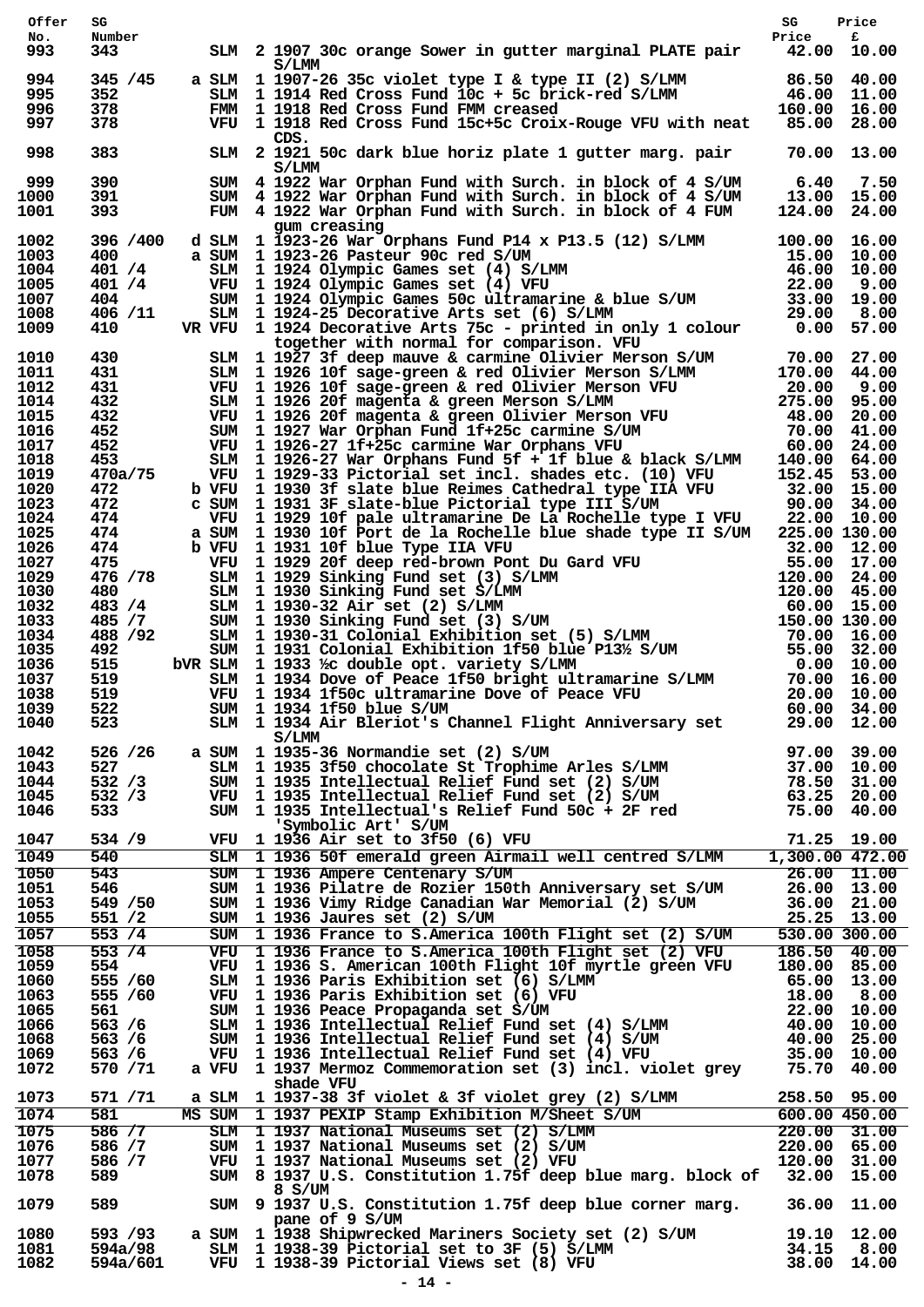| Offer        | SG                 |                                                                                                                                                                                                                                        | SG                                                              | Price                      |
|--------------|--------------------|----------------------------------------------------------------------------------------------------------------------------------------------------------------------------------------------------------------------------------------|-----------------------------------------------------------------|----------------------------|
| No.<br>993   | Number<br>343      | SLM 2 1907 30c orange Sower in gutter marginal PLATE pair 42.00 10.00                                                                                                                                                                  | Price                                                           | £                          |
|              |                    | S/LMM                                                                                                                                                                                                                                  |                                                                 |                            |
| 994          | 345 / 45           | a SLM 1 1907-26 35c violet type I & type II (2) S/LMM 86.50 40.00<br>SLM 1 1914 Red Cross Fund 10c + 5c brick-red S/LMM 46.00 11.00<br>FMM 1 1918 Red Cross Fund FMM creased 160.00 16.00                                              |                                                                 |                            |
| 995          | 352                |                                                                                                                                                                                                                                        |                                                                 |                            |
| 996<br>997   | 378<br>378         | VFU 1 1918 Red Cross Fund 15c+5c Croix-Rouge VFU with neat 85.00 28.00                                                                                                                                                                 |                                                                 |                            |
|              |                    | CDS.                                                                                                                                                                                                                                   |                                                                 |                            |
| 998          | 383                | SLM 2 1921 50c dark blue horiz plate 1 gutter marg. pair                                                                                                                                                                               | 70.00 13.00                                                     |                            |
| 999          | 390                | S/LMM                                                                                                                                                                                                                                  | $6.40$ $7.50$                                                   |                            |
| 1000         | 391                | SUM 4 1922 War Orphan Fund with Surch. in block of 4 S/UM<br>SUM 4 1922 War Orphan Fund with Surch. in block of 4 S/UM                                                                                                                 | 13.00 15.00                                                     |                            |
| 1001         | 393                | FUM 4 1922 War Orphan Fund with Surch. in block of 4 FUM                                                                                                                                                                               | 124.00 24.00                                                    |                            |
|              |                    | gum creasing                                                                                                                                                                                                                           |                                                                 |                            |
| 1002<br>1003 | 396 /400<br>400    | d SLM 1 1923-26 War Orphans Fund P14 x P13.5 (12) S/LMM 100.00 16.00                                                                                                                                                                   |                                                                 |                            |
| 1004         | 401 /4             | a SUM 1 1923-26 Pasteur 90c red S/UM<br>SLM 1 1924 Olympic Games set (4) S/LMM 46.00 10.00<br>VFU 1 1924 Olympic Games set (4) VFU 22.00 9.00<br>SUM 1 1924 Olympic Games 50c ultramarine & blue S/UM 33.00 19.00<br>SLM 1 1924-25 Dec |                                                                 |                            |
| 1005         | 401 / 4            |                                                                                                                                                                                                                                        |                                                                 |                            |
| 1007         | 404                |                                                                                                                                                                                                                                        |                                                                 |                            |
| 1008<br>1009 | 406 / 11<br>410    |                                                                                                                                                                                                                                        |                                                                 |                            |
|              |                    | together with normal for comparison. VFU                                                                                                                                                                                               |                                                                 |                            |
| 1010         | 430                | Example 1927 3f deep mauve & carmine Olivier Merson S/UM 70.00 27.00<br>SLM 1927 3f deep mauve & carmine Olivier Merson S/UM 70.00 27.00<br>SLM 1926 10f sage-green & red Olivier Merson S/LMM 170.00 44.00<br>VFU 1926 20f magenta    |                                                                 |                            |
| 1011         | 431                |                                                                                                                                                                                                                                        |                                                                 |                            |
| 1012         | 431                |                                                                                                                                                                                                                                        |                                                                 |                            |
| 1014<br>1015 | 432<br>432         |                                                                                                                                                                                                                                        |                                                                 |                            |
| 1016         | 452                |                                                                                                                                                                                                                                        |                                                                 |                            |
| 1017         | 452                |                                                                                                                                                                                                                                        |                                                                 |                            |
| 1018         | 453                | SLM $1\ 1926-27$ War Orphans Fund 5f + 1f blue & black S/LMM $140.00$ 64.00                                                                                                                                                            |                                                                 |                            |
| 1019         | 470a/75            | VFU 1 1929-33 Pictorial set incl. shades etc. (10) VFU 152.45 53.00                                                                                                                                                                    |                                                                 |                            |
| 1020         | 472<br>472         | b VFU 1 1930 3f slate blue Reimes Cathedral type IIA VFU 32.00 15.00<br>c sum 1 1931 3F slate-blue Pictorial type III S/UM 90.00 34.00                                                                                                 |                                                                 |                            |
| 1023<br>1024 | 474                | VFU 1 1929 10f pale ultramarine De La Rochelle type I VFU 22.00 10.00                                                                                                                                                                  |                                                                 |                            |
| 1025         | 474                | a SUM 1 1930 10f Port de la Rochelle blue shade type II S/UM 225.00 130.00                                                                                                                                                             |                                                                 |                            |
| 1026         | 474                | b VFU 1 1931 10f blue Type IIA VFU                                                                                                                                                                                                     |                                                                 |                            |
| 1027         | 475                |                                                                                                                                                                                                                                        |                                                                 |                            |
| 1029<br>1030 | 476 / 78<br>480    |                                                                                                                                                                                                                                        |                                                                 |                            |
| 1032         | 483 / 4            |                                                                                                                                                                                                                                        |                                                                 |                            |
| 1033         | 485 / 7            |                                                                                                                                                                                                                                        |                                                                 |                            |
| 1034         | 488 / 92           |                                                                                                                                                                                                                                        |                                                                 |                            |
| 1035         | 492                |                                                                                                                                                                                                                                        |                                                                 |                            |
| 1036         | 515                | bVR SLM 1 1933 ½ double opt. variety S/LMM                                                                                                                                                                                             |                                                                 |                            |
| 1037<br>1038 | 519<br>519         | SEVITED 31 10 Fort de la Kochester Due shade type 11 S/0M 225.00 12.00<br>VFU 1 1931 10 f blue Type TIA VFU 32.00 12.00<br>VFU 1 1929 20 f deep red-brown Pont Du Gard VFU 55.00 17.00<br>SLM 1 1930 Sinking Fund set (3) S/LMM 120.   |                                                                 | 20.00 10.00                |
| 1039         | 522                | $VFU$ 1 1934 1f50c ultramarine Dove of Peace VFU<br>$GINA$ 1 1934 1550 blue $G/INA$<br>SUM 1 1934 1f50 blue S/UM                                                                                                                       | 60.00 34.00                                                     |                            |
| 1040         | 523                | SLM 1 1934 Air Bleriot's Channel Flight Anniversary set                                                                                                                                                                                |                                                                 | 29.00 12.00                |
|              |                    | S/LMM                                                                                                                                                                                                                                  |                                                                 |                            |
| 1042         | 526 / 26           | a SUM 1 1935-36 Normandie set (2) S/UM                                                                                                                                                                                                 |                                                                 |                            |
| 1043<br>1044 | 527<br>532 / 3     |                                                                                                                                                                                                                                        |                                                                 |                            |
| 1045         | 532 / 3            |                                                                                                                                                                                                                                        |                                                                 |                            |
| 1046         | 533                | SUM 1 1935-36 Normandie set (2) S/UM 97.00 39.00<br>SLM 1 1935 3f50 chocolate St Trophime Arles S/LMM 37.00 10.00<br>SUM 1 1935 Intellectual Relief Fund set (2) S/UM 78.50 31.00<br>VFU 1 1935 Intellectual Relief Fund set (2) S/U   |                                                                 |                            |
|              |                    | 'Symbolic Art' S/UM                                                                                                                                                                                                                    |                                                                 |                            |
| 1047         | 534 / 9            | VFU 1 1936 Air set to 3f50 (6) VFU                                                                                                                                                                                                     | 71.25 19.00                                                     |                            |
| 1049         | 540                | SLM 1 1936 50f emerald green Airmail well centred S/LMM 1,300.00 472.00                                                                                                                                                                |                                                                 |                            |
| 1050         | 543                | SUM 1 1936 Ampere Centenary S/UM                                                                                                                                                                                                       | $\begin{array}{rrrr} 26.00 & 11.00 \ 26.00 & 13.00 \end{array}$ |                            |
| 1051<br>1053 | 546<br>549 / 50    | SUM 1 1936 Pilatre de Rozier 150th Anniversary set S/UM<br>SUM 1 1936 Vimy Ridge Canadian War Memorial (2) S/UM                                                                                                                        |                                                                 | 26.00 13.00<br>36.00 21.00 |
| 1055         | 551 / 2            | SUM 1 1936 Jaures set (2) S/UM                                                                                                                                                                                                         |                                                                 | 25.25 13.00                |
| 1057         | 553 / 4            | SUM 1 1936 France to S.America 100th Flight set (2) S/UM                                                                                                                                                                               |                                                                 | 530.00 300.00              |
| 1058         | 553/4              | VFU 1 1936 France to S.America 100th Flight set (2) VFU                                                                                                                                                                                |                                                                 | 186.50 40.00               |
| 1059         | 554                | VFU 1 1936 S. American 100th Flight 10f myrtle green VFU                                                                                                                                                                               | 180.00 85.00                                                    |                            |
| 1060         | 555 / 60           |                                                                                                                                                                                                                                        |                                                                 |                            |
| 1063         | 555 / 60           |                                                                                                                                                                                                                                        |                                                                 |                            |
| 1065<br>1066 | 561 —<br>563 / 6   |                                                                                                                                                                                                                                        |                                                                 |                            |
| 1068         | 563 / 6            |                                                                                                                                                                                                                                        |                                                                 |                            |
| 1069         | 563 / 6            | SLM 1 1936 Paris Exhibition set (6) S/LMM 65.00 13.00<br>SLM 1 1936 Paris Exhibition set (6) VFU 18.00 8.00<br>SUM 1 1936 Peace Propaganda set S/UM 22.00 10.00<br>SLM 1 1936 Intellectual Relief Fund set (4) S/LMM 40.00 10.00<br>SU |                                                                 |                            |
| 1072         | 570 / 71           | a VFU 1 1937 Mermoz Commemoration set (3) incl. violet grey 75.70 40.00                                                                                                                                                                |                                                                 |                            |
|              |                    | shade VFU                                                                                                                                                                                                                              |                                                                 |                            |
| 1073         | 571 / 71           | a SLM 1 1937-38 3f violet & 3f violet grey (2) S/LMM 258.50 95.00                                                                                                                                                                      |                                                                 |                            |
| 1074         | 581                | MS SUM 1 1937 PEXIP Stamp Exhibition M/Sheet S/UM 600.00 450.00<br>SLM 1 1937 National Museums set (2) S/LMM 220.00 31.00<br>SUM 1 1937 National Museums set (2) S/UM 220.00 65.00<br>VFU 1 1937 National Museums set (2) VFU 1 1937   |                                                                 |                            |
| 1075<br>1076 | 586 / 7<br>586 / 7 |                                                                                                                                                                                                                                        |                                                                 |                            |
| 1077         | 586 / 7            |                                                                                                                                                                                                                                        |                                                                 |                            |
| 1078         | 589                | SUM 8 1937 U.S. Constitution 1.75f deep blue marg. block of 32.00 15.00                                                                                                                                                                |                                                                 |                            |
|              |                    | 8 S/UM                                                                                                                                                                                                                                 |                                                                 |                            |
| 1079         | 589                | SUM 9 1937 U.S. Constitution 1.75f deep blue corner marg. 36.00 11.00                                                                                                                                                                  |                                                                 |                            |
| 1080         | 593 /93            | pane of 9 S/UM<br>a SUM 1 1938 Shipwrecked Mariners Society set (2) S/UM 19.10 12.00                                                                                                                                                   |                                                                 |                            |
| 1081         | 594a/98            |                                                                                                                                                                                                                                        | 34.15 8.00                                                      |                            |
| 1082         | 594a/601           | SLM 1 1938-39 Pictorial set to 3F (5) S/LMM<br>VFU 1 1938-39 Pictorial Views set (8) VFU                                                                                                                                               |                                                                 | 38.00 14.00                |
|              |                    |                                                                                                                                                                                                                                        |                                                                 |                            |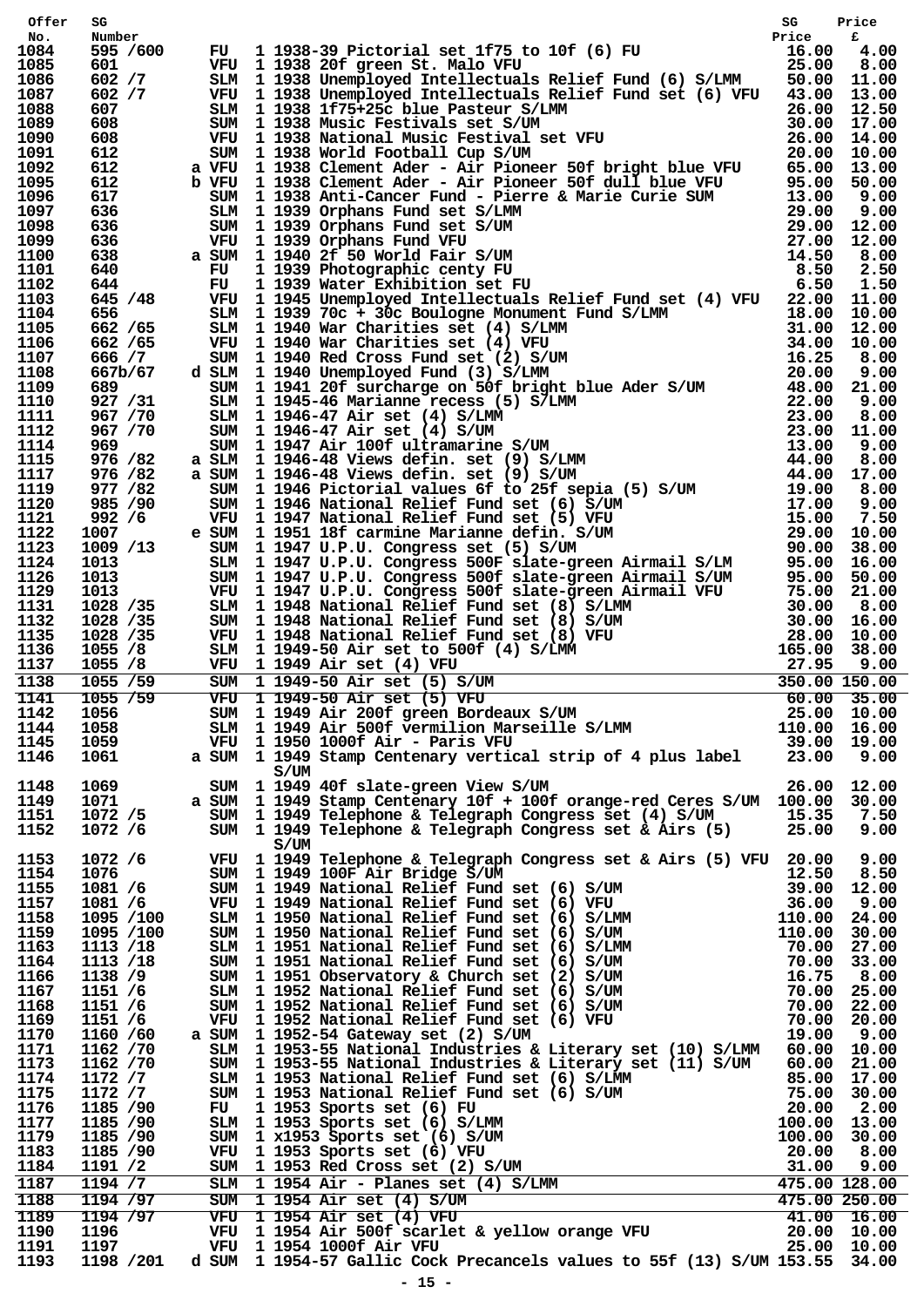| Offer        | SG                  |                                                                                                                                                                                                                                                                                                                                                                             |  |
|--------------|---------------------|-----------------------------------------------------------------------------------------------------------------------------------------------------------------------------------------------------------------------------------------------------------------------------------------------------------------------------------------------------------------------------|--|
| No.<br>1084  | Number<br>595 /600  |                                                                                                                                                                                                                                                                                                                                                                             |  |
| 1085         | 601                 |                                                                                                                                                                                                                                                                                                                                                                             |  |
| 1086         | 602 / 7             |                                                                                                                                                                                                                                                                                                                                                                             |  |
| 1087<br>1088 | 602 / 7<br>607      |                                                                                                                                                                                                                                                                                                                                                                             |  |
| 1089         | 608                 |                                                                                                                                                                                                                                                                                                                                                                             |  |
| 1090         | 608                 |                                                                                                                                                                                                                                                                                                                                                                             |  |
| 1091         | 612                 |                                                                                                                                                                                                                                                                                                                                                                             |  |
| 1092<br>1095 | 612<br>612          |                                                                                                                                                                                                                                                                                                                                                                             |  |
| 1096         | 617                 |                                                                                                                                                                                                                                                                                                                                                                             |  |
| 1097         | 636                 |                                                                                                                                                                                                                                                                                                                                                                             |  |
| 1098         | 636                 |                                                                                                                                                                                                                                                                                                                                                                             |  |
| 1099<br>1100 | 636<br>638          |                                                                                                                                                                                                                                                                                                                                                                             |  |
| 1101         | 640                 |                                                                                                                                                                                                                                                                                                                                                                             |  |
| 1102         | 644                 |                                                                                                                                                                                                                                                                                                                                                                             |  |
| 1103         |                     |                                                                                                                                                                                                                                                                                                                                                                             |  |
| 1104<br>1105 |                     |                                                                                                                                                                                                                                                                                                                                                                             |  |
| 1106         |                     |                                                                                                                                                                                                                                                                                                                                                                             |  |
| 1107         |                     |                                                                                                                                                                                                                                                                                                                                                                             |  |
| 1108         |                     |                                                                                                                                                                                                                                                                                                                                                                             |  |
| 1109         |                     |                                                                                                                                                                                                                                                                                                                                                                             |  |
| 1110<br>1111 |                     |                                                                                                                                                                                                                                                                                                                                                                             |  |
| 1112         |                     |                                                                                                                                                                                                                                                                                                                                                                             |  |
| 1114         |                     |                                                                                                                                                                                                                                                                                                                                                                             |  |
| 1115         |                     |                                                                                                                                                                                                                                                                                                                                                                             |  |
| 1117         |                     |                                                                                                                                                                                                                                                                                                                                                                             |  |
| 1119<br>1120 |                     |                                                                                                                                                                                                                                                                                                                                                                             |  |
| 1121         |                     |                                                                                                                                                                                                                                                                                                                                                                             |  |
| 1122         |                     |                                                                                                                                                                                                                                                                                                                                                                             |  |
| 1123         |                     |                                                                                                                                                                                                                                                                                                                                                                             |  |
| 1124<br>1126 |                     |                                                                                                                                                                                                                                                                                                                                                                             |  |
| 1129         |                     |                                                                                                                                                                                                                                                                                                                                                                             |  |
| 1131         |                     |                                                                                                                                                                                                                                                                                                                                                                             |  |
| 1132         |                     |                                                                                                                                                                                                                                                                                                                                                                             |  |
| 1135         |                     |                                                                                                                                                                                                                                                                                                                                                                             |  |
|              |                     |                                                                                                                                                                                                                                                                                                                                                                             |  |
| 1136         |                     |                                                                                                                                                                                                                                                                                                                                                                             |  |
| 1137         |                     |                                                                                                                                                                                                                                                                                                                                                                             |  |
| 1138<br>1141 |                     |                                                                                                                                                                                                                                                                                                                                                                             |  |
| 1142         |                     |                                                                                                                                                                                                                                                                                                                                                                             |  |
| 1144         |                     |                                                                                                                                                                                                                                                                                                                                                                             |  |
| 1145         |                     |                                                                                                                                                                                                                                                                                                                                                                             |  |
| 1146         |                     |                                                                                                                                                                                                                                                                                                                                                                             |  |
|              |                     | VFU 1 1950 1000f Air - Paris VFU<br>a SUM 1 1949 Stamp Centenary vertic<br>S/UM                                                                                                                                                                                                                                                                                             |  |
| 1148<br>1149 | 1069<br>1071        | 644 FU 1 1939 Photographic Genty FU 1939 Photographic Carry To 15.50<br>6454 FU 1 1939 Photographic Carry FU 1981 21.50<br>6456 /85 TMM 1 1948 Dhamploped Intellectuals Relief Fund set (4) VFU 25.00 11.50<br>6656 /65 TMM 1 1939<br>$26.00$ $12.00$<br>SUM 1 1949 40f slate-green View S/UM<br>a SUM 1 1949 Stamp Centenary 10f + 100f orange-red Ceres S/UM 100.00 30.00 |  |
| 1151         | 1072 /5             |                                                                                                                                                                                                                                                                                                                                                                             |  |
| 1152         | 1072 /6             | SUM 1 1949 Telephone & Telegraph Congress set (4) S/UM 15.35 7.50<br>SUM 1 1949 Telephone & Telegraph Congress set & Airs (5) 25.00 9.00                                                                                                                                                                                                                                    |  |
|              |                     | S/UM                                                                                                                                                                                                                                                                                                                                                                        |  |
| 1153         | 1072 /6             |                                                                                                                                                                                                                                                                                                                                                                             |  |
| 1154<br>1155 | 1076                |                                                                                                                                                                                                                                                                                                                                                                             |  |
| 1157         | 1081 / 6<br>1081 /6 |                                                                                                                                                                                                                                                                                                                                                                             |  |
| 1158         | 1095 /100           |                                                                                                                                                                                                                                                                                                                                                                             |  |
| 1159         | 1095 /100           |                                                                                                                                                                                                                                                                                                                                                                             |  |
| 1163         | 1113 /18            |                                                                                                                                                                                                                                                                                                                                                                             |  |
| 1164         | 1113 /18            |                                                                                                                                                                                                                                                                                                                                                                             |  |
| 1166<br>1167 | 1138 /9<br>1151 /6  |                                                                                                                                                                                                                                                                                                                                                                             |  |
| 1168         | 1151 /6             |                                                                                                                                                                                                                                                                                                                                                                             |  |
| 1169         | 1151 /6             |                                                                                                                                                                                                                                                                                                                                                                             |  |
| 1170         | 1160 /60            | a SUM 1 1952-54 Gateway set (2) S/UM                                                                                                                                                                                                                                                                                                                                        |  |
| 1171         | 1162 /70            | FUM 1949 Telephone & Telegraph Congress set & Airs (5) VFU 20.00 9.00<br>SUM 1949 Telegraph Congress set & Airs (5) VFU 20.50 8.50<br>SUM 1949 National Relief Fund set (6) S/UM 39.00 12.00<br>SLM 1950 National Relief Fund set (6                                                                                                                                        |  |
| 1173<br>1174 | 1162 /70<br>1172 /7 |                                                                                                                                                                                                                                                                                                                                                                             |  |
| 1175         | 1172 /7             |                                                                                                                                                                                                                                                                                                                                                                             |  |
| 1176         | 1185 /90            |                                                                                                                                                                                                                                                                                                                                                                             |  |
| 1177         | 1185 /90            |                                                                                                                                                                                                                                                                                                                                                                             |  |
| 1179         | 1185 /90            |                                                                                                                                                                                                                                                                                                                                                                             |  |
| 1183<br>1184 | 1185 /90<br>1191 /2 |                                                                                                                                                                                                                                                                                                                                                                             |  |
| 1187         | 1194 / 7            |                                                                                                                                                                                                                                                                                                                                                                             |  |
| 1188         | 1194 /97            |                                                                                                                                                                                                                                                                                                                                                                             |  |
| 1189         | 1194 /97            |                                                                                                                                                                                                                                                                                                                                                                             |  |
| 1190         | 1196                |                                                                                                                                                                                                                                                                                                                                                                             |  |
| 1191<br>1193 | 1197<br>1198 /201   | SLM 1 1953-55 National Industries & Literary set (10) S/LMM 60.00 10.00<br>SUM 1 1953-55 National Industries & Literary set (11) S/UM 60.00 21.00<br>SLM 1 1953 National Relief Fund set (6) S/LMM 85.00 17.00<br>SUM 1 1953 Sports<br>VFU 1 1954 1000f Air VFU<br>d SUM 1 1954-57 Gallic Cock Precancels values to 55f (13) S/UM 153.55 34.00                              |  |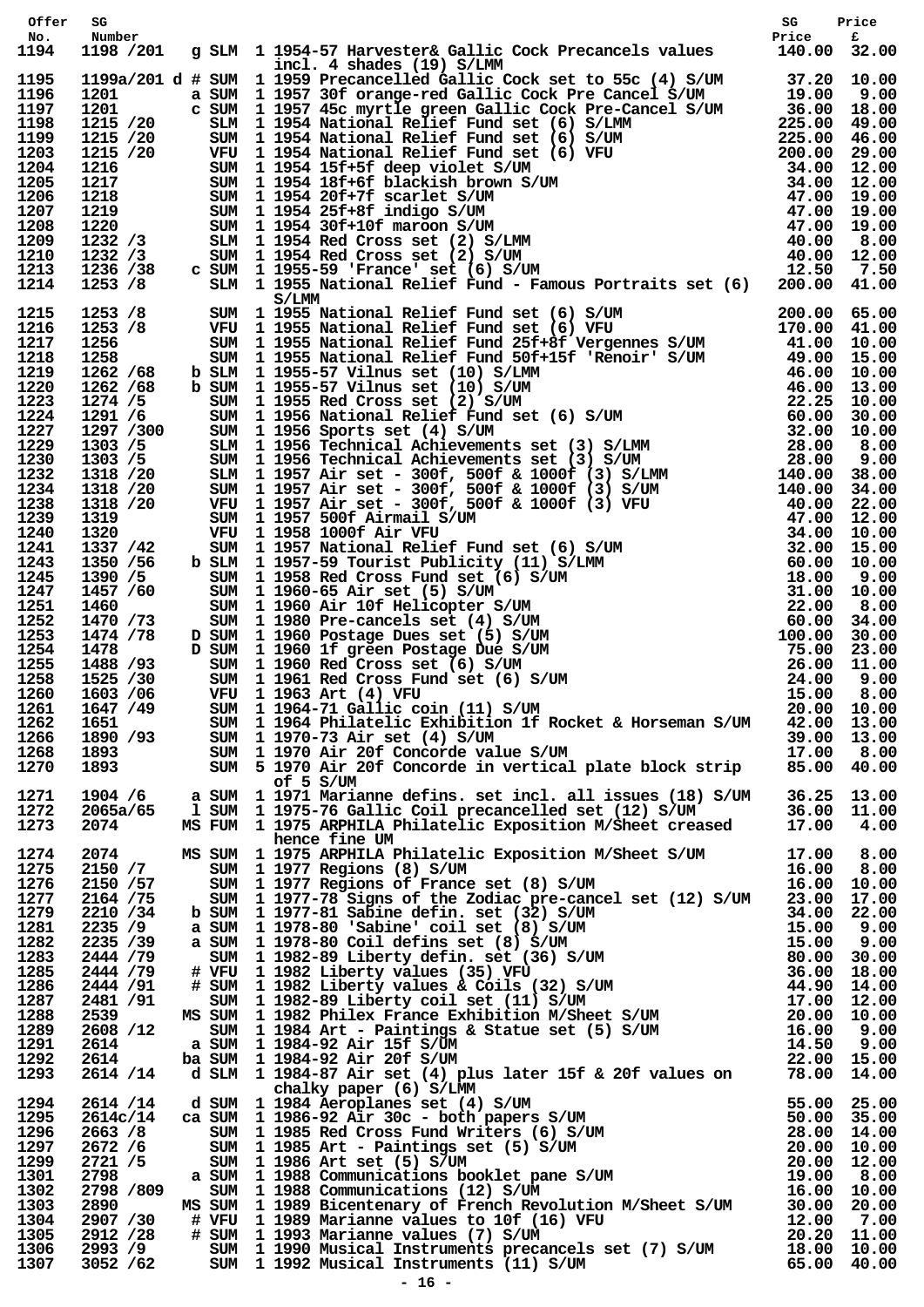| Offer        | SG                  | sg Price<br>g SLM 1954-57 Harvester& Gallic Cock Precancels values Price f<br>140.00 32.00 140.00 Price (Sallic Cock Precancels values                                                                                                  |  |
|--------------|---------------------|-----------------------------------------------------------------------------------------------------------------------------------------------------------------------------------------------------------------------------------------|--|
| No.<br>1194  | Number<br>1198 /201 |                                                                                                                                                                                                                                         |  |
|              |                     | incl. 4 shades (19) S/LMM                                                                                                                                                                                                               |  |
|              |                     |                                                                                                                                                                                                                                         |  |
|              |                     |                                                                                                                                                                                                                                         |  |
|              |                     |                                                                                                                                                                                                                                         |  |
|              |                     |                                                                                                                                                                                                                                         |  |
|              |                     |                                                                                                                                                                                                                                         |  |
|              |                     |                                                                                                                                                                                                                                         |  |
|              |                     |                                                                                                                                                                                                                                         |  |
|              |                     |                                                                                                                                                                                                                                         |  |
|              |                     |                                                                                                                                                                                                                                         |  |
|              |                     |                                                                                                                                                                                                                                         |  |
|              |                     |                                                                                                                                                                                                                                         |  |
|              |                     |                                                                                                                                                                                                                                         |  |
|              |                     |                                                                                                                                                                                                                                         |  |
|              |                     |                                                                                                                                                                                                                                         |  |
|              |                     |                                                                                                                                                                                                                                         |  |
|              |                     |                                                                                                                                                                                                                                         |  |
|              |                     |                                                                                                                                                                                                                                         |  |
|              |                     |                                                                                                                                                                                                                                         |  |
|              |                     |                                                                                                                                                                                                                                         |  |
|              |                     |                                                                                                                                                                                                                                         |  |
|              |                     |                                                                                                                                                                                                                                         |  |
|              |                     |                                                                                                                                                                                                                                         |  |
|              |                     |                                                                                                                                                                                                                                         |  |
|              |                     |                                                                                                                                                                                                                                         |  |
|              |                     |                                                                                                                                                                                                                                         |  |
|              |                     |                                                                                                                                                                                                                                         |  |
|              |                     |                                                                                                                                                                                                                                         |  |
|              |                     |                                                                                                                                                                                                                                         |  |
|              |                     |                                                                                                                                                                                                                                         |  |
|              |                     |                                                                                                                                                                                                                                         |  |
|              |                     |                                                                                                                                                                                                                                         |  |
|              |                     |                                                                                                                                                                                                                                         |  |
|              |                     |                                                                                                                                                                                                                                         |  |
|              |                     |                                                                                                                                                                                                                                         |  |
| 1261         | 1647 /49            | SUM 1 1964-71 Gallic coin (11) S/UM 20.00 10.00                                                                                                                                                                                         |  |
| 1262         |                     |                                                                                                                                                                                                                                         |  |
| 1266         |                     |                                                                                                                                                                                                                                         |  |
| 1268         |                     | 1651 50M 1 1964 Philatelic Exhibition 1f Rocket & Horseman S/UM 42.00 13.00<br>1890 /93 50M 1 1970-73 Air set (4) S/UM 39.00 13.00<br>1893 50M 1 1970 Air 20f Concorde value S/UM 17.00 8.00<br>1893 50M 5 1970 Air 20f Concorde in ver |  |
| 1270         |                     |                                                                                                                                                                                                                                         |  |
| 1271         |                     | of 5 S/UM<br>1904 /6 a SUM 1 1971 Marianne defins. set incl. all issues (18) S/UM 36.25 13.00<br>2065a/65 1 SUM 1 1975-76 Gallic Coil precancelled set (12) S/UM 36.00 11.00<br>2074 MS FUM 1 1975 ARPHILA Philatelic Exposition M/Shee |  |
| 1272         |                     |                                                                                                                                                                                                                                         |  |
| 1273         |                     |                                                                                                                                                                                                                                         |  |
| 1274         | 2074 MS SUM         | hence fine UM                                                                                                                                                                                                                           |  |
| 1275         |                     | 2074 MS SUM 1975 ARPHILA Philatelic Exposition M/Sheet S/UM 17.00 8.00<br>2150 /7 SUM 1977 Regions (8) S/UM 16.00 8.00<br>2150 /57 SUM 1977 Regions of France set (8) S/UM 16.00 10.00<br>2164 /75 SUM 1977-78 Signs of the Zodiac pre- |  |
| 1276         |                     |                                                                                                                                                                                                                                         |  |
| 1277         |                     |                                                                                                                                                                                                                                         |  |
| 1279<br>1281 |                     |                                                                                                                                                                                                                                         |  |
| 1282         |                     |                                                                                                                                                                                                                                         |  |
| 1283         |                     |                                                                                                                                                                                                                                         |  |
| 1285         |                     |                                                                                                                                                                                                                                         |  |
| 1286         |                     |                                                                                                                                                                                                                                         |  |
| 1287<br>1288 |                     |                                                                                                                                                                                                                                         |  |
| 1289         |                     |                                                                                                                                                                                                                                         |  |
| 1291         |                     |                                                                                                                                                                                                                                         |  |
| 1292         |                     |                                                                                                                                                                                                                                         |  |
| 1293         |                     | 2164 /75 SUM 1977-81 Sabine definite Section 22.00 17.00 17.00<br>22.35 /9 a SUM 1977-81 Sabine definite set (32) S/UM 334.00 22.00<br>22.35 /9 a SUM 1978-80 'Sabine' coil set (8) S/UM 15.00 22.00<br>22.35 /9 a SUM 1978-80 Coil     |  |
| 1294         |                     |                                                                                                                                                                                                                                         |  |
| 1295         |                     |                                                                                                                                                                                                                                         |  |
| 1296         |                     |                                                                                                                                                                                                                                         |  |
| 1297         |                     |                                                                                                                                                                                                                                         |  |
| 1299<br>1301 |                     |                                                                                                                                                                                                                                         |  |
| 1302         |                     |                                                                                                                                                                                                                                         |  |
| 1303         |                     |                                                                                                                                                                                                                                         |  |
| 1304         |                     |                                                                                                                                                                                                                                         |  |
| 1305<br>1306 |                     |                                                                                                                                                                                                                                         |  |
| 1307         |                     | 2614 /14 d SLM 1984-87 Air set (4) plus later 15t & 20t values on 78.00 14.00<br>2614 /14 d SUM 1984 Aeroplanes set (4) S/UM 55.00 25.00<br>2614c/14 ca SUM 1986-92 Air 30c - both papers S/UM 505.00 35.00<br>2672 /6 SUM 1985 Red     |  |
|              |                     |                                                                                                                                                                                                                                         |  |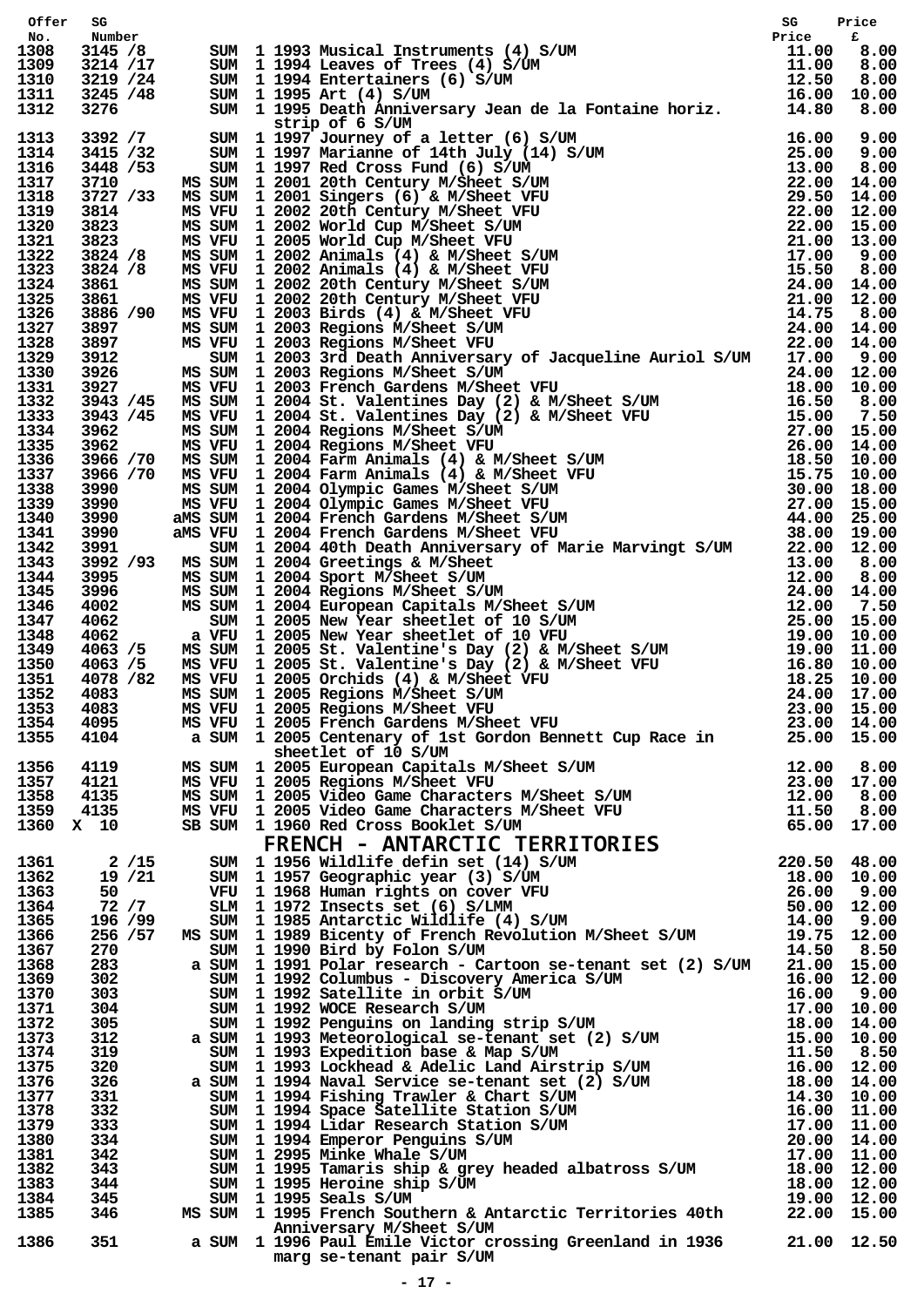| Offer        |                   |  | 3214 12 11 1933 Maxima Inchrometer (* 1916)<br>1932 14 12 1933 Maximus (* 1917)<br>1932 14 12 1944 Latter (* 1918)<br>1932 14 12 1944 Latter (* 1917)<br>1932 14 12 1953 Data Latter (* 1917)<br>1932 14 12 1953 Data Latter (* 1917)<br>                        |  |
|--------------|-------------------|--|------------------------------------------------------------------------------------------------------------------------------------------------------------------------------------------------------------------------------------------------------------------|--|
| No.<br>1308  |                   |  |                                                                                                                                                                                                                                                                  |  |
| 1309         |                   |  |                                                                                                                                                                                                                                                                  |  |
| 1310         |                   |  |                                                                                                                                                                                                                                                                  |  |
| 1311         |                   |  |                                                                                                                                                                                                                                                                  |  |
| 1312         |                   |  |                                                                                                                                                                                                                                                                  |  |
| 1313         |                   |  |                                                                                                                                                                                                                                                                  |  |
| 1314         |                   |  |                                                                                                                                                                                                                                                                  |  |
| 1316         |                   |  |                                                                                                                                                                                                                                                                  |  |
| 1317<br>1318 |                   |  |                                                                                                                                                                                                                                                                  |  |
| 1319         |                   |  |                                                                                                                                                                                                                                                                  |  |
| 1320         |                   |  |                                                                                                                                                                                                                                                                  |  |
| 1321         |                   |  |                                                                                                                                                                                                                                                                  |  |
| 1322         |                   |  |                                                                                                                                                                                                                                                                  |  |
| 1323<br>1324 |                   |  |                                                                                                                                                                                                                                                                  |  |
| 1325         |                   |  |                                                                                                                                                                                                                                                                  |  |
| 1326         |                   |  |                                                                                                                                                                                                                                                                  |  |
| 1327         |                   |  |                                                                                                                                                                                                                                                                  |  |
| 1328         |                   |  |                                                                                                                                                                                                                                                                  |  |
| 1329<br>1330 |                   |  |                                                                                                                                                                                                                                                                  |  |
| 1331         |                   |  |                                                                                                                                                                                                                                                                  |  |
| 1332         |                   |  |                                                                                                                                                                                                                                                                  |  |
| 1333         |                   |  |                                                                                                                                                                                                                                                                  |  |
| 1334<br>1335 |                   |  |                                                                                                                                                                                                                                                                  |  |
| 1336         |                   |  |                                                                                                                                                                                                                                                                  |  |
| 1337         |                   |  |                                                                                                                                                                                                                                                                  |  |
| 1338         |                   |  |                                                                                                                                                                                                                                                                  |  |
| 1339         |                   |  |                                                                                                                                                                                                                                                                  |  |
| 1340<br>1341 |                   |  |                                                                                                                                                                                                                                                                  |  |
| 1342         |                   |  |                                                                                                                                                                                                                                                                  |  |
| 1343         |                   |  |                                                                                                                                                                                                                                                                  |  |
| 1344         |                   |  |                                                                                                                                                                                                                                                                  |  |
| 1345         |                   |  |                                                                                                                                                                                                                                                                  |  |
| 1346<br>1347 |                   |  |                                                                                                                                                                                                                                                                  |  |
| 1348         |                   |  |                                                                                                                                                                                                                                                                  |  |
| 1349         |                   |  |                                                                                                                                                                                                                                                                  |  |
| 1350         |                   |  |                                                                                                                                                                                                                                                                  |  |
| 1351         |                   |  |                                                                                                                                                                                                                                                                  |  |
| 1352<br>1353 |                   |  |                                                                                                                                                                                                                                                                  |  |
| 1354         |                   |  |                                                                                                                                                                                                                                                                  |  |
| 1355         |                   |  |                                                                                                                                                                                                                                                                  |  |
|              |                   |  | sheetlet of 10 S/UM                                                                                                                                                                                                                                              |  |
| 1356         | 4119              |  |                                                                                                                                                                                                                                                                  |  |
| 1357<br>1358 | 4121<br>4135      |  |                                                                                                                                                                                                                                                                  |  |
| 1359         | 4135              |  |                                                                                                                                                                                                                                                                  |  |
| 1360 X 10    |                   |  |                                                                                                                                                                                                                                                                  |  |
|              |                   |  |                                                                                                                                                                                                                                                                  |  |
| 1361         | $2 / 15$          |  |                                                                                                                                                                                                                                                                  |  |
| 1362         | 19 / 21           |  |                                                                                                                                                                                                                                                                  |  |
| 1363         | 50 — 10           |  |                                                                                                                                                                                                                                                                  |  |
| 1364<br>1365 | 72 / 7<br>196 /99 |  |                                                                                                                                                                                                                                                                  |  |
| 1366         | 256 /57           |  |                                                                                                                                                                                                                                                                  |  |
| 1367         | 270               |  |                                                                                                                                                                                                                                                                  |  |
| 1368         | 283               |  |                                                                                                                                                                                                                                                                  |  |
| 1369         | 302               |  |                                                                                                                                                                                                                                                                  |  |
| 1370         | 303               |  |                                                                                                                                                                                                                                                                  |  |
| 1371<br>1372 | 304<br>305        |  |                                                                                                                                                                                                                                                                  |  |
| 1373         | 312               |  |                                                                                                                                                                                                                                                                  |  |
| 1374         | 319               |  |                                                                                                                                                                                                                                                                  |  |
| 1375         | 320               |  |                                                                                                                                                                                                                                                                  |  |
| 1376         | 326               |  |                                                                                                                                                                                                                                                                  |  |
| 1377<br>1378 | 331<br>332        |  |                                                                                                                                                                                                                                                                  |  |
| 1379         | 333               |  |                                                                                                                                                                                                                                                                  |  |
| 1380         | 334.              |  |                                                                                                                                                                                                                                                                  |  |
| 1381         | 342               |  |                                                                                                                                                                                                                                                                  |  |
| 1382         | 343.              |  |                                                                                                                                                                                                                                                                  |  |
| 1383<br>1384 | 344<br>345        |  |                                                                                                                                                                                                                                                                  |  |
| 1385         | 346               |  |                                                                                                                                                                                                                                                                  |  |
|              |                   |  | a SUM 1 2005 Centenary of let Grdon Bennett Cup Race in 25.00 15.00<br>MS SVRV 1 2005 Rarpenen Capitals M/Sheet S/UM<br>MS VRV 1 2005 Rarpions M/Sheet VRV 12.00 8.00<br>MS VRV 1 2005 Negations M/Sheet VRV 12.00 8.00<br>MS SVRV 1<br>Anniversary M/Sheet S/UM |  |
| 1386         | 351               |  | a SUM 1 1996 Paul Emile Victor crossing Greenland in 1936 21.00 12.50                                                                                                                                                                                            |  |
|              |                   |  | marg se-tenant pair S/UM                                                                                                                                                                                                                                         |  |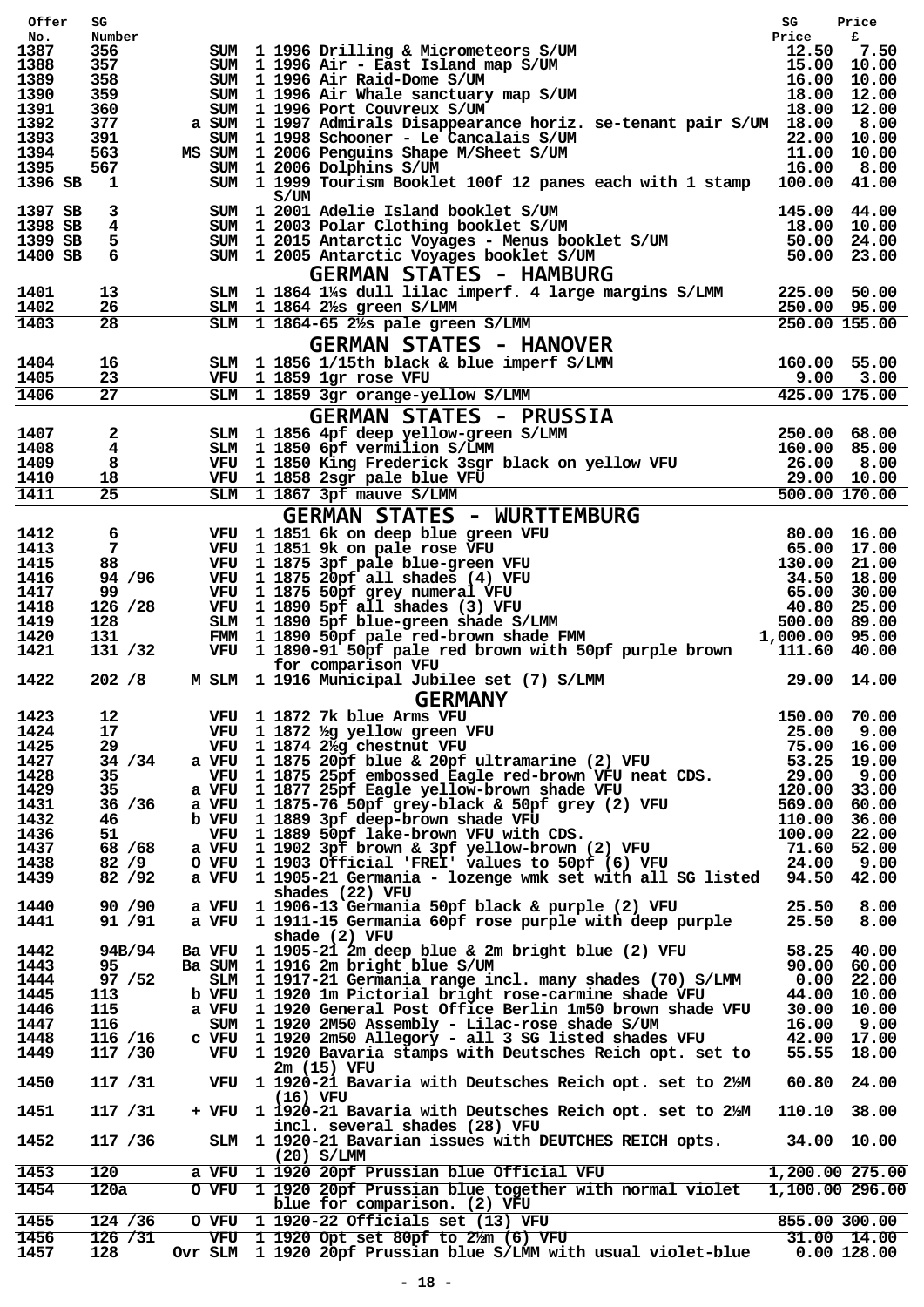| Offer              | SG                      |        |                                                                                                                                                                                                                                            | SG              | Price                      |        |               |         |     |        |     |      |              |       |        |       |     |        |     |           |       |        |       |  |  |
|--------------------|-------------------------|--------|--------------------------------------------------------------------------------------------------------------------------------------------------------------------------------------------------------------------------------------------|-----------------|----------------------------|--------|---------------|---------|-----|--------|-----|------|--------------|-------|--------|-------|-----|--------|-----|-----------|-------|--------|-------|--|--|
| No.                | Number                  |        |                                                                                                                                                                                                                                            | Price           | £                          |        |               |         |     |        |     |      |              |       |        |       |     |        |     |           |       |        |       |  |  |
| 1387               | 356                     |        |                                                                                                                                                                                                                                            |                 |                            |        |               |         |     |        |     |      |              |       |        |       |     |        |     |           |       |        |       |  |  |
| 1388<br>1389       | 357<br>358              |        |                                                                                                                                                                                                                                            |                 |                            |        |               |         |     |        |     |      |              |       |        |       |     |        |     |           |       |        |       |  |  |
| 1390               | 359                     |        |                                                                                                                                                                                                                                            |                 |                            |        |               |         |     |        |     |      |              |       |        |       |     |        |     |           |       |        |       |  |  |
| 1391               | 360                     |        | SUM 1 1996 Drilling & Micrometeors S/UM<br>SUM 1 1996 Air - East Island map S/UM<br>SUM 1 1996 Air Raid-Dome S/UM<br>SUM 1 1996 Air Whale sanctuary map S/UM<br>SUM 1 1996 Port Couvreux S/UM<br>SUM 1 1997 Admirals Disappearance horiz   |                 |                            |        |               |         |     |        |     |      |              |       |        |       |     |        |     |           |       |        |       |  |  |
| 1392               | 377                     | a SUM  |                                                                                                                                                                                                                                            |                 |                            |        |               |         |     |        |     |      |              |       |        |       |     |        |     |           |       |        |       |  |  |
| 1393               | 391                     | SUM    | 1 1998 Schooner - Le Cancalais S/UM 22.00 10.00<br>1 2006 Penguins Shape M/Sheet S/UM 11.00 10.00<br>1 2006 Dolphins S/UM 16.00 8.00                                                                                                       |                 |                            |        |               |         |     |        |     |      |              |       |        |       |     |        |     |           |       |        |       |  |  |
| 1394               | 563                     | MS SUM |                                                                                                                                                                                                                                            |                 |                            |        |               |         |     |        |     |      |              |       |        |       |     |        |     |           |       |        |       |  |  |
| 1395               | 567                     |        | SUM 1 2006 Dolphins S/UM                                                                                                                                                                                                                   |                 |                            |        |               |         |     |        |     |      |              |       |        |       |     |        |     |           |       |        |       |  |  |
| 1396 SB            | $\mathbf{1}$            |        | SUM 1 1999 Tourism Booklet 100f 12 panes each with 1 stamp 100.00 41.00                                                                                                                                                                    |                 |                            |        |               |         |     |        |     |      |              |       |        |       |     |        |     |           |       |        |       |  |  |
|                    |                         |        | S/UM                                                                                                                                                                                                                                       |                 |                            |        |               |         |     |        |     |      |              |       |        |       |     |        |     |           |       |        |       |  |  |
| 1397 SB            | 3<br>$\overline{4}$     |        |                                                                                                                                                                                                                                            |                 |                            |        |               |         |     |        |     |      |              |       |        |       |     |        |     |           |       |        |       |  |  |
| 1398 SB<br>1399 SB | 5                       |        |                                                                                                                                                                                                                                            |                 |                            |        |               |         |     |        |     |      |              |       |        |       |     |        |     |           |       |        |       |  |  |
| 1400 SB            | 6                       |        |                                                                                                                                                                                                                                            |                 |                            |        |               |         |     |        |     |      |              |       |        |       |     |        |     |           |       |        |       |  |  |
|                    |                         |        | SUM 1 2001 Adelie Island booklet S/UM 145.00 44.00<br>SUM 1 2003 Polar Clothing booklet S/UM 18.00 10.00<br>SUM 1 2015 Antarctic Voyages - Menus booklet S/UM 50.00 24.00<br>SUM 1 2005 Antarctic Voyages booklet S/UM 50.00 23.00<br>     |                 |                            |        |               |         |     |        |     |      |              |       |        |       |     |        |     |           |       |        |       |  |  |
|                    |                         |        | <b>GERMAN STATES - HAMBURG</b><br>$SLM$ 1 1864 1 <sup>1</sup> / <sub>25</sub> dull lilac imperf. 4 large margins $S/LM$ 225.00 50.00                                                                                                       |                 |                            |        |               |         |     |        |     |      |              |       |        |       |     |        |     |           |       |        |       |  |  |
| 1401<br>1402       | 13<br>26                |        |                                                                                                                                                                                                                                            |                 |                            |        |               |         |     |        |     |      |              |       |        |       |     |        |     |           |       |        |       |  |  |
| 1403               | 28                      |        |                                                                                                                                                                                                                                            |                 |                            |        |               |         |     |        |     |      |              |       |        |       |     |        |     |           |       |        |       |  |  |
|                    |                         |        |                                                                                                                                                                                                                                            |                 |                            |        |               |         |     |        |     |      |              |       |        |       |     |        |     |           |       |        |       |  |  |
|                    |                         |        | SLM 1 1864 1% s dull line impert. 4 large margins S/LMM<br>SLM 1 1864 2% green S/LMM<br>SLM 1 1864-65 2% pale green S/LMM<br>GERMAN STATES - HANOVER<br>SLM 1 1856 1/15th black & blue imperf S/LMM<br>SLM 1 1859 1gr rose VFU<br>SLM 1 18 |                 |                            |        |               |         |     |        |     |      |              |       |        |       |     |        |     |           |       |        |       |  |  |
| 1404               | 16                      |        |                                                                                                                                                                                                                                            |                 |                            |        |               |         |     |        |     |      |              |       |        |       |     |        |     |           |       |        |       |  |  |
| 1405               | 23                      |        |                                                                                                                                                                                                                                            |                 |                            |        |               |         |     |        |     |      |              |       |        |       |     |        |     |           |       |        |       |  |  |
| 1406               | 27                      |        |                                                                                                                                                                                                                                            |                 |                            |        |               |         |     |        |     |      |              |       |        |       |     |        |     |           |       |        |       |  |  |
|                    |                         |        |                                                                                                                                                                                                                                            |                 |                            |        |               |         |     |        |     |      |              |       |        |       |     |        |     |           |       |        |       |  |  |
| 1407               | $\mathbf{2}$            |        |                                                                                                                                                                                                                                            |                 |                            |        |               |         |     |        |     |      |              |       |        |       |     |        |     |           |       |        |       |  |  |
| 1408               | $\overline{\mathbf{4}}$ |        |                                                                                                                                                                                                                                            |                 |                            |        |               |         |     |        |     |      |              |       |        |       |     |        |     |           |       |        |       |  |  |
| 1409               | 8                       |        |                                                                                                                                                                                                                                            |                 |                            |        |               |         |     |        |     |      |              |       |        |       |     |        |     |           |       |        |       |  |  |
| 1410               | 18                      |        |                                                                                                                                                                                                                                            |                 |                            |        |               |         |     |        |     |      |              |       |        |       |     |        |     |           |       |        |       |  |  |
| 1411               | $\overline{25}$         |        |                                                                                                                                                                                                                                            |                 |                            |        |               |         |     |        |     |      |              |       |        |       |     |        |     |           |       |        |       |  |  |
|                    |                         |        | $\n\n\nSIM\n1 1859\n3gr\norange-yellow\nS/LHVII\n\n\nGLM\n1 1856\n4pf\ndeep\nyellow-green\nS/LMM\n250.00\n68.00\n\n\nSIM\n1 1850\n6pf\nvermilion\nS/LMM\n160.00\n85.00\n\n\$                                                               | SIM             | 1 1859                     | 3gr    | orange-yellow | S/LHVII | GLM | 1 1856 | 4pf | deep | yellow-green | S/LMM | 250.00 | 68.00 | SIM | 1 1850 | 6pf | vermilion | S/LMM | 160.00 | 85.00 |  |  |
| SIM                | 1 1859                  | 3gr    | orange-yellow                                                                                                                                                                                                                              | S/LHVII         |                            |        |               |         |     |        |     |      |              |       |        |       |     |        |     |           |       |        |       |  |  |
| GLM                | 1 1856                  | 4pf    | deep                                                                                                                                                                                                                                       | yellow-green    | S/LMM                      | 250.00 | 68.00         |         |     |        |     |      |              |       |        |       |     |        |     |           |       |        |       |  |  |
| SIM                | 1 1850                  | 6pf    | vermilion                                                                                                                                                                                                                                  | S/LMM           | 160.00                     | 85.00  |               |         |     |        |     |      |              |       |        |       |     |        |     |           |       |        |       |  |  |
|                    |                         |        |                                                                                                                                                                                                                                            |                 |                            |        |               |         |     |        |     |      |              |       |        |       |     |        |     |           |       |        |       |  |  |
|                    |                         |        |                                                                                                                                                                                                                                            |                 |                            |        |               |         |     |        |     |      |              |       |        |       |     |        |     |           |       |        |       |  |  |
| 1412               | 6                       |        |                                                                                                                                                                                                                                            |                 |                            |        |               |         |     |        |     |      |              |       |        |       |     |        |     |           |       |        |       |  |  |
| 1413<br>1415       | $\overline{7}$<br>88    |        |                                                                                                                                                                                                                                            |                 |                            |        |               |         |     |        |     |      |              |       |        |       |     |        |     |           |       |        |       |  |  |
| 1416               | 94 / 96                 |        |                                                                                                                                                                                                                                            |                 |                            |        |               |         |     |        |     |      |              |       |        |       |     |        |     |           |       |        |       |  |  |
| 1417               | 99.                     |        |                                                                                                                                                                                                                                            |                 |                            |        |               |         |     |        |     |      |              |       |        |       |     |        |     |           |       |        |       |  |  |
| 1418               | 126 / 28                |        |                                                                                                                                                                                                                                            |                 |                            |        |               |         |     |        |     |      |              |       |        |       |     |        |     |           |       |        |       |  |  |
| 1419               | 128                     |        |                                                                                                                                                                                                                                            |                 |                            |        |               |         |     |        |     |      |              |       |        |       |     |        |     |           |       |        |       |  |  |
| 1420               | 131                     |        |                                                                                                                                                                                                                                            |                 |                            |        |               |         |     |        |     |      |              |       |        |       |     |        |     |           |       |        |       |  |  |
| 1421               | 131 /32                 |        | VFU 1 1890-91 50pf pale red brown with 50pf purple brown 111.60 40.00                                                                                                                                                                      |                 |                            |        |               |         |     |        |     |      |              |       |        |       |     |        |     |           |       |        |       |  |  |
|                    |                         |        | for comparison VFU                                                                                                                                                                                                                         |                 |                            |        |               |         |     |        |     |      |              |       |        |       |     |        |     |           |       |        |       |  |  |
| 1422               | 202 / 8                 |        | M SLM 1 1916 Municipal Jubilee set (7) S/LMM 29.00 14.00                                                                                                                                                                                   |                 |                            |        |               |         |     |        |     |      |              |       |        |       |     |        |     |           |       |        |       |  |  |
|                    |                         |        | <b>GERMANY</b>                                                                                                                                                                                                                             |                 |                            |        |               |         |     |        |     |      |              |       |        |       |     |        |     |           |       |        |       |  |  |
| 1423               | 12                      |        | VFU 1 1872 7k blue Arms VFU                                                                                                                                                                                                                | 150.00 70.00    |                            |        |               |         |     |        |     |      |              |       |        |       |     |        |     |           |       |        |       |  |  |
| 1424               | 17                      |        |                                                                                                                                                                                                                                            | 25.00           | 9.00                       |        |               |         |     |        |     |      |              |       |        |       |     |        |     |           |       |        |       |  |  |
| 1425               | 29                      |        |                                                                                                                                                                                                                                            |                 | 75.00 16.00                |        |               |         |     |        |     |      |              |       |        |       |     |        |     |           |       |        |       |  |  |
| 1427               | 34 / 34                 |        | VFU 1 1872 1/4 yellow green VFU<br>VFU 1 1874 2 4 chestnut VFU<br>a VFU 1 1875 20pf blue & 20pf ultramarine (2) VFU                                                                                                                        |                 | 53.25 19.00                |        |               |         |     |        |     |      |              |       |        |       |     |        |     |           |       |        |       |  |  |
| 1428               | 35                      |        | VFU 1 1875 25pf embossed Eagle red-brown VFU neat CDS.                                                                                                                                                                                     | 29.00           | 9.00                       |        |               |         |     |        |     |      |              |       |        |       |     |        |     |           |       |        |       |  |  |
| 1429               | 35                      |        | a VFU 1 1877 25pf Eagle yellow-brown shade VFU                                                                                                                                                                                             | 120.00          | 33.00                      |        |               |         |     |        |     |      |              |       |        |       |     |        |     |           |       |        |       |  |  |
| 1431               | 36 / 36                 |        | a VFU 1 1875-76 50pf grey-black & 50pf grey (2) VFU                                                                                                                                                                                        | 569.00          | 60.00                      |        |               |         |     |        |     |      |              |       |        |       |     |        |     |           |       |        |       |  |  |
| 1432               | 46                      |        | b VFU 1 1889 3pf deep-brown shade VFU                                                                                                                                                                                                      | 110.00          | 36.00                      |        |               |         |     |        |     |      |              |       |        |       |     |        |     |           |       |        |       |  |  |
| 1436               | 51                      |        |                                                                                                                                                                                                                                            | 100.00          | 22.00                      |        |               |         |     |        |     |      |              |       |        |       |     |        |     |           |       |        |       |  |  |
| 1437               | 68 / 68                 | a VFU  | The a supplementary (2) VFU<br>VFU 1 1889 50pf lake-brown VFU with CDS.<br>VFU 1 1902 3pf brown & 3pf yellow-brown (2) VFU<br>VFU 1 1903 Official 'FREI' values to 50pf (6) YFU<br>VFU 1 1905-21 Germanic                                  | 71.60 52.00     |                            |        |               |         |     |        |     |      |              |       |        |       |     |        |     |           |       |        |       |  |  |
| 1438               | 82/9                    | 0 VFU  |                                                                                                                                                                                                                                            | 24.00           | 9.00                       |        |               |         |     |        |     |      |              |       |        |       |     |        |     |           |       |        |       |  |  |
| 1439               | 82 / 92                 |        | a VFU 1 1905-21 Germania - lozenge wmk set with all SG listed 94.50                                                                                                                                                                        |                 | 42.00                      |        |               |         |     |        |     |      |              |       |        |       |     |        |     |           |       |        |       |  |  |
|                    |                         |        | shades (22) VFU                                                                                                                                                                                                                            |                 |                            |        |               |         |     |        |     |      |              |       |        |       |     |        |     |           |       |        |       |  |  |
| 1440               | 90 / 90                 | a VFU  | 1 1906-13 Germania 50pf black & purple (2) VFU                                                                                                                                                                                             | 25.50           | 8.00                       |        |               |         |     |        |     |      |              |       |        |       |     |        |     |           |       |        |       |  |  |
| 1441               | 91 / 91                 |        | a VFU 1 1911-15 Germania 60pf rose purple with deep purple                                                                                                                                                                                 | 25.50           | 8.00                       |        |               |         |     |        |     |      |              |       |        |       |     |        |     |           |       |        |       |  |  |
|                    |                         |        | shade (2) VFU                                                                                                                                                                                                                              |                 |                            |        |               |         |     |        |     |      |              |       |        |       |     |        |     |           |       |        |       |  |  |
| 1442               | 94B/94                  |        | Ba VFU 1 1905-21 2m deep blue & 2m bright blue (2) VFU                                                                                                                                                                                     |                 | 58.25 40.00                |        |               |         |     |        |     |      |              |       |        |       |     |        |     |           |       |        |       |  |  |
| 1443               | 95.                     |        | Ba SUM 1 1916 2m bright blue S/UM                                                                                                                                                                                                          |                 | 90.00 60.00                |        |               |         |     |        |     |      |              |       |        |       |     |        |     |           |       |        |       |  |  |
| 1444               | 97 / 52                 |        | SLM 1 1917-21 Germania range incl. many shades (70) S/LMM                                                                                                                                                                                  |                 | $0.00$ 22.00               |        |               |         |     |        |     |      |              |       |        |       |     |        |     |           |       |        |       |  |  |
| 1445               | 113                     |        | b VFU 1 1920 1m Pictorial bright rose-carmine shade VFU                                                                                                                                                                                    |                 | 44.00 10.00                |        |               |         |     |        |     |      |              |       |        |       |     |        |     |           |       |        |       |  |  |
| 1446               | 115                     |        | a VFU 1 1920 General Post Office Berlin 1m50 brown shade VFU                                                                                                                                                                               |                 | 30.00 10.00                |        |               |         |     |        |     |      |              |       |        |       |     |        |     |           |       |        |       |  |  |
| 1447<br>1448       | 116                     | SUM    | 1 1920 2M50 Assembly - Lilac-rose shade S/UM<br>c VFU 1 1920 2m50 Allegory - all 3 SG listed shades VFU                                                                                                                                    | 16.00           | 9.00                       |        |               |         |     |        |     |      |              |       |        |       |     |        |     |           |       |        |       |  |  |
| 1449               | 116 /16<br>117 /30      |        | VFU 1 1920 Bavaria stamps with Deutsches Reich opt. set to                                                                                                                                                                                 |                 | 42.00 17.00<br>55.55 18.00 |        |               |         |     |        |     |      |              |       |        |       |     |        |     |           |       |        |       |  |  |
|                    |                         |        | $2m(15)$ VFU                                                                                                                                                                                                                               |                 |                            |        |               |         |     |        |     |      |              |       |        |       |     |        |     |           |       |        |       |  |  |
| 1450               | 117 / 31                |        | VFU 1 1920-21 Bavaria with Deutsches Reich opt. set to 2/2M                                                                                                                                                                                | 60.80           | 24.00                      |        |               |         |     |        |     |      |              |       |        |       |     |        |     |           |       |        |       |  |  |
|                    |                         |        | (16) VFU                                                                                                                                                                                                                                   |                 |                            |        |               |         |     |        |     |      |              |       |        |       |     |        |     |           |       |        |       |  |  |
| 1451               | 117 / 31                |        | + VFU 1 1920-21 Bavaria with Deutsches Reich opt. set to 2%M                                                                                                                                                                               | 110.10 38.00    |                            |        |               |         |     |        |     |      |              |       |        |       |     |        |     |           |       |        |       |  |  |
|                    |                         |        | incl. several shades (28) VFU                                                                                                                                                                                                              |                 |                            |        |               |         |     |        |     |      |              |       |        |       |     |        |     |           |       |        |       |  |  |
| 1452               | 117 / 36                |        | SLM 1 1920-21 Bavarian issues with DEUTCHES REICH opts.                                                                                                                                                                                    |                 | 34.00 10.00                |        |               |         |     |        |     |      |              |       |        |       |     |        |     |           |       |        |       |  |  |
|                    |                         |        | $(20)$ S/LMM                                                                                                                                                                                                                               |                 |                            |        |               |         |     |        |     |      |              |       |        |       |     |        |     |           |       |        |       |  |  |
| 1453               | 120                     |        | a VFU 1 1920 20pf Prussian blue Official VFU                                                                                                                                                                                               | 1,200.00 275.00 |                            |        |               |         |     |        |     |      |              |       |        |       |     |        |     |           |       |        |       |  |  |
| 1454               | 120a                    |        | O VFU 1 1920 20pf Prussian blue together with normal violet                                                                                                                                                                                | 1,100.00 296.00 |                            |        |               |         |     |        |     |      |              |       |        |       |     |        |     |           |       |        |       |  |  |
|                    |                         |        | blue for comparison. (2) VFU                                                                                                                                                                                                               |                 |                            |        |               |         |     |        |     |      |              |       |        |       |     |        |     |           |       |        |       |  |  |
| 1455               | 124 / 36                | O VFU  | 1 1920-22 Officials set (13) VFU                                                                                                                                                                                                           |                 | 855.00 300.00              |        |               |         |     |        |     |      |              |       |        |       |     |        |     |           |       |        |       |  |  |
| 1456               | 126 / 31                |        | VFU 1 1920-22 Officials set (13) VFU<br>VFU 1 1920 Opt set 80pf to 2/m (6) VFU                                                                                                                                                             |                 | 31.00 14.00                |        |               |         |     |        |     |      |              |       |        |       |     |        |     |           |       |        |       |  |  |
| 1457               | 128                     |        | Ovr SLM 1 1920 20pf Prussian blue S/LMM with usual violet-blue                                                                                                                                                                             |                 | $0.00$ 128.00              |        |               |         |     |        |     |      |              |       |        |       |     |        |     |           |       |        |       |  |  |
|                    |                         |        |                                                                                                                                                                                                                                            |                 |                            |        |               |         |     |        |     |      |              |       |        |       |     |        |     |           |       |        |       |  |  |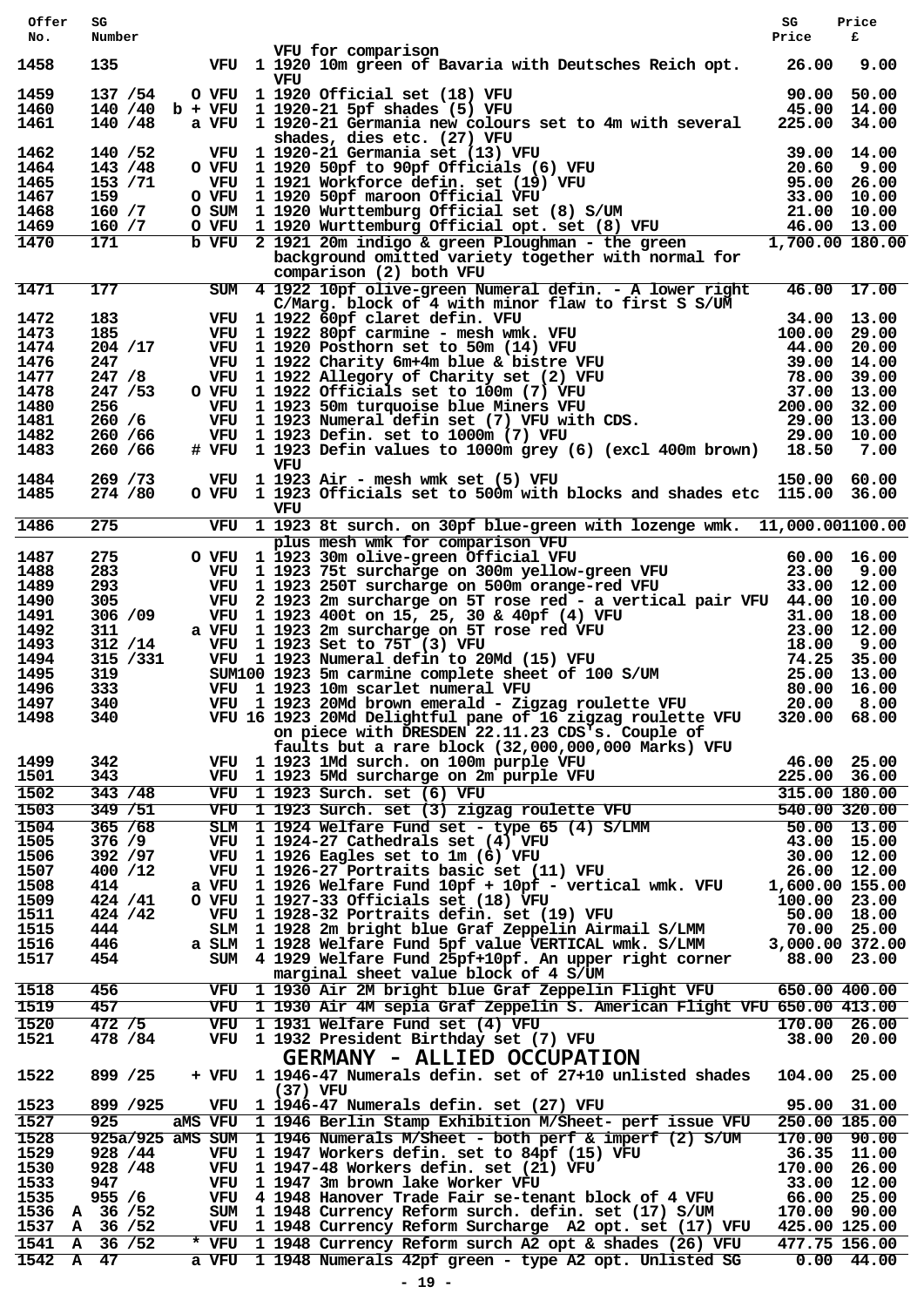| Offer          | SG        |       |     |                                                                                                                                                                                                                                                                                  | SG              | Price         |
|----------------|-----------|-------|-----|----------------------------------------------------------------------------------------------------------------------------------------------------------------------------------------------------------------------------------------------------------------------------------|-----------------|---------------|
| No.            | Number    |       |     |                                                                                                                                                                                                                                                                                  | Price           | £             |
| 1458           |           |       |     | VFU for comparison<br>135 VFU 1 1920 10m green of Bavaria with Deutsches Reich opt. 26.00                                                                                                                                                                                        |                 | 9.00          |
|                |           |       | vru |                                                                                                                                                                                                                                                                                  |                 |               |
| 1459           | 137 / 54  |       |     | O VFU 1 1920 Official set (18) VFU                                                                                                                                                                                                                                               | 90.00 50.00     |               |
| 1460           |           |       |     | and a strong of the state of the state of the state of the state of the state of the state of the state of the<br>The state of the state of the state of the state of the state of the state of the state of the state of the st<br>140 /40 b + VFU 1 1920-21 5pf shades (5) VFU | 45.00 14.00     |               |
| 1461           | 140 / 48  |       |     | a VFU 1 1920-21 Germania new colours set to 4m with several 225.00                                                                                                                                                                                                               |                 | 34.00         |
| 1462           | 140 / 52  |       |     | Fig. 1 inches are the control of the shades are the control of the shades of the shades of the state (13) VFU<br>0 VFU 1 1920-21 Germania set (13) VFU 20.60 9.00<br>1 inches the state (19) VFU 20.60 9.00<br>0 VFU 1 1920 50pf mar                                             |                 |               |
| 1464           | 143 / 48  |       |     |                                                                                                                                                                                                                                                                                  |                 |               |
| 1465           | 153 / 71  |       |     |                                                                                                                                                                                                                                                                                  |                 |               |
| 1467           | 159 —     |       |     |                                                                                                                                                                                                                                                                                  |                 |               |
| 1468           | 160 / 7   |       |     |                                                                                                                                                                                                                                                                                  |                 |               |
| 1469           | 160 / 7   |       |     |                                                                                                                                                                                                                                                                                  |                 |               |
| 1470           | 171       |       |     |                                                                                                                                                                                                                                                                                  |                 |               |
|                |           |       |     | background omitted variety together with normal for                                                                                                                                                                                                                              |                 |               |
|                |           |       |     | comparison (2) both VFU                                                                                                                                                                                                                                                          |                 |               |
| 1471           |           |       |     | 177 SUM 4 1922 10pf olive-green Numeral defin. - A lower right 46.00 17.00<br>1922 10pf olive-green numeral using the state of S/UM<br>C/Marg. block of 4 with minor flaw to first S S/UM 34.00 13.00                                                                            |                 |               |
| 1472           |           |       |     | 183 VFU 1 1922 60pf claret defin. VFU                                                                                                                                                                                                                                            |                 |               |
| 1473           | 185       |       |     |                                                                                                                                                                                                                                                                                  |                 |               |
| 1474           | 204 /17   |       |     |                                                                                                                                                                                                                                                                                  |                 |               |
| 1476           | 247       |       |     |                                                                                                                                                                                                                                                                                  |                 |               |
| 1477           | 247/8     |       |     |                                                                                                                                                                                                                                                                                  |                 |               |
| 1478           | 247/53    |       |     |                                                                                                                                                                                                                                                                                  |                 |               |
| 1480           | 256 —     |       |     |                                                                                                                                                                                                                                                                                  |                 |               |
| 1481           | 260 / 6   |       |     |                                                                                                                                                                                                                                                                                  |                 |               |
| 1482           | 260 / 66  |       |     |                                                                                                                                                                                                                                                                                  |                 |               |
| 1483           | 260 / 66  |       |     | VFU 1 1922 60pf claret defin. VFU 34.00 13.00<br>VFU 1 1922 80pf carmine - mesh wmk. VFU 100.00 29.00<br>VFU 1 1922 Rharity 6m+4m blue & bistre VFU 44.00 20.00<br>VFU 1 1922 Charity 6m+4m blue & bistre VFU 39.00 14.00<br>VFU 1 192                                           |                 |               |
|                |           |       | VFU |                                                                                                                                                                                                                                                                                  |                 |               |
| 1484           | 269 / 73  |       |     | VFU 1 1923 Air - mesh wmk set (5) VFU                                                                                                                                                                                                                                            | 150.00 60.00    |               |
| 1485           | 274 / 80  |       |     | O VFU 1 1923 Officials set to 500m with blocks and shades etc 115.00 36.00                                                                                                                                                                                                       |                 |               |
|                |           |       | VFU |                                                                                                                                                                                                                                                                                  |                 |               |
| 1486           |           |       |     | 275 VFU 1 1923 8t surch. on 30pf blue-green with lozenge wmk. 11,000.001100.00                                                                                                                                                                                                   |                 |               |
|                |           |       |     | plus mesh wmk for comparison VFU<br>0 VFU 1 1923 30m olive-green Official VFU 60.00 16.00<br>VFU 1 1923 75t surcharge on 300m yellow-green VFU 23.00 9.00<br>VFU 1 1923 250T surcharge on 500m orange-red VFU 33.00 12.00<br>VFU 2 192                                           |                 |               |
| 1487           | 275       |       |     |                                                                                                                                                                                                                                                                                  |                 |               |
| 1488           | 283       |       |     |                                                                                                                                                                                                                                                                                  |                 |               |
| 1489           | 293       |       |     |                                                                                                                                                                                                                                                                                  |                 |               |
| 1490           | 305       |       |     |                                                                                                                                                                                                                                                                                  |                 |               |
| 1491           | 306 / 09  |       |     |                                                                                                                                                                                                                                                                                  |                 |               |
| 1492           | 311       |       |     |                                                                                                                                                                                                                                                                                  |                 |               |
| 1493           | 312 / 14  |       |     |                                                                                                                                                                                                                                                                                  |                 |               |
| 1494           | 315 / 331 |       |     |                                                                                                                                                                                                                                                                                  |                 |               |
| 1495           | 319       |       |     |                                                                                                                                                                                                                                                                                  |                 |               |
| 1496           | 333       |       |     |                                                                                                                                                                                                                                                                                  |                 |               |
| 1497           | 340       |       |     | VFU 1 1923 400t on 15, 25, 30 & 40pf (4) VFU 31.00 18.00<br>NFU 1 1923 2m surcharge on 5T rose red VFU 31.00 18.00<br>VFU 1 1923 2m surcharge on 5T rose red VFU 23.00 12.00<br>VFU 1 1923 2m surcharge on 5T rose red VFU 18.00 9.0                                             |                 |               |
| 1498           | 340       |       |     | VFU 16 1923 20Md Delightful pane of 16 zigzag roulette VFU                                                                                                                                                                                                                       | 320.00 68.00    |               |
|                |           |       |     | on piece with DRESDEN 22.11.23 CDS's. Couple of                                                                                                                                                                                                                                  |                 |               |
|                |           |       |     | faults but a rare block (32,000,000,000 Marks) VFU                                                                                                                                                                                                                               |                 |               |
| 1499           | 342       |       |     | VFU 1 1923 1Md surch. on 100m purple VFU                                                                                                                                                                                                                                         |                 | 46.00 25.00   |
| 1501           | 343       |       |     | VFU 1 1923 5Md surcharge on 2m purple VFU                                                                                                                                                                                                                                        | 225.00 36.00    |               |
| 1502           | 343 / 48  |       |     | VFU 1 1923 Surch. set (6) VFU                                                                                                                                                                                                                                                    | 315.00 180.00   |               |
| 1503           | 349 / 51  |       |     | VFU 1 1923 Surch. set (3) zigzag roulette VFU                                                                                                                                                                                                                                    |                 | 540.00 320.00 |
| 1504           | 365 / 68  |       |     | SLM 1 1924 Welfare Fund set - type 65 (4) S/LMM                                                                                                                                                                                                                                  |                 | $50.00$ 13.00 |
| 1505           | 376/9     |       |     | VFU 1 1924-27 Cathedrals set (4) VFU                                                                                                                                                                                                                                             |                 | 43.00 15.00   |
| 1506           | 392 /97   |       |     | VFU 1 1926 Eagles set to 1m (6) VFU                                                                                                                                                                                                                                              |                 | 30.00 12.00   |
| 1507           | 400 /12   |       |     | VFU 1 1926-27 Portraits basic set (11) VFU                                                                                                                                                                                                                                       |                 | 26.00 12.00   |
| 1508           | 414       |       |     | a VFU 1 1926 Welfare Fund 10pf + 10pf - vertical wmk. VFU                                                                                                                                                                                                                        | 1,600.00 155.00 |               |
| 1509           | 424 / 41  |       |     | O VFU 1 1927-33 Officials set (18) VFU                                                                                                                                                                                                                                           | 100.00 23.00    |               |
| 1511           | 424 / 42  |       |     | VFU 1 1928-32 Portraits defin. set (19) VFU                                                                                                                                                                                                                                      |                 | 50.00 18.00   |
| 1515           | 444       |       |     | SLM 1 1928 2m bright blue Graf Zeppelin Airmail S/LMM                                                                                                                                                                                                                            |                 | 70.00 25.00   |
| 1516           | 446       |       |     | a SLM 1 1928 Welfare Fund 5pf value VERTICAL wmk. S/LMM                                                                                                                                                                                                                          | 3,000.00 372.00 |               |
| 1517           | 454       |       |     | SUM 4 1929 Welfare Fund 25pf+10pf. An upper right corner                                                                                                                                                                                                                         |                 | 88.00 23.00   |
|                |           |       |     | marginal sheet value block of 4 S/UM                                                                                                                                                                                                                                             |                 |               |
| 1518           | 456       |       |     | VFU 1 1930 Air 2M bright blue Graf Zeppelin Flight VFU                                                                                                                                                                                                                           | 650.00 400.00   |               |
| 1519           | 457       |       |     | VFU 1 1930 Air 4M sepia Graf Zeppelin S. American Flight VFU 650.00 413.00                                                                                                                                                                                                       |                 |               |
| 1520           | 472/5     |       |     | VFU 1 1931 Welfare Fund set (4) VFU                                                                                                                                                                                                                                              |                 | 170.00 26.00  |
| 1521           | 478 / 84  |       |     | VFU 1 1932 President Birthday set (7) VFU                                                                                                                                                                                                                                        |                 | 38.00 20.00   |
|                |           |       |     | <b>GERMANY - ALLIED OCCUPATION</b>                                                                                                                                                                                                                                               |                 |               |
|                | 899 / 25  |       |     | + VFU 1 1946-47 Numerals defin. set of 27+10 unlisted shades                                                                                                                                                                                                                     |                 |               |
| 1522           |           |       |     | (37) VFU                                                                                                                                                                                                                                                                         | 104.00 25.00    |               |
| 1523           | 899 / 925 |       |     | VFU 1 1946-47 Numerals defin. set (27) VFU                                                                                                                                                                                                                                       |                 | 95.00 31.00   |
| 1527           | 925       |       |     | aMS VFU 1 1946 Berlin Stamp Exhibition M/Sheet- perf issue VFU                                                                                                                                                                                                                   | 250.00 185.00   |               |
|                |           |       |     |                                                                                                                                                                                                                                                                                  |                 |               |
| 1528           |           |       |     | 925a/925 aMS SUM 1 1946 Numerals M/Sheet - both perf & imperf (2) S/UM                                                                                                                                                                                                           |                 | 170.00 90.00  |
| 1529           | 928 / 44  |       |     | VFU 1 1947 Workers defin. set to 84pf (15) VFU                                                                                                                                                                                                                                   |                 | 36.35 11.00   |
| 1530           | 928 / 48  |       |     | VFU 1 1947-48 Workers defin. set (21) VFU                                                                                                                                                                                                                                        | 170.00 26.00    |               |
| 1533           | 947       |       |     | VFU 1 1947 3m brown lake Worker VFU                                                                                                                                                                                                                                              |                 | 33.00 12.00   |
| 1535           | 955 / 6   |       |     | VFU 4 1948 Hanover Trade Fair se-tenant block of 4 VFU                                                                                                                                                                                                                           |                 | 66.00 25.00   |
| 1536           | A 36 / 52 |       |     | SUM 1 1948 Currency Reform surch. defin. set (17) S/UM                                                                                                                                                                                                                           | 170.00 90.00    |               |
| 1537 A 36 /52  |           |       |     | VFU 1 1948 Currency Reform Surcharge A2 opt. set (17) VFU                                                                                                                                                                                                                        | 425.00 125.00   |               |
| 1541 A 36 / 52 |           | * VFU |     | 1 1948 Currency Reform surch A2 opt & shades (26) VFU                                                                                                                                                                                                                            | 477.75 156.00   |               |
| 1542 A 47      |           |       |     | a VFU 1 1948 Numerals 42pf green - type A2 opt. Unlisted SG                                                                                                                                                                                                                      |                 | $0.00$ 44.00  |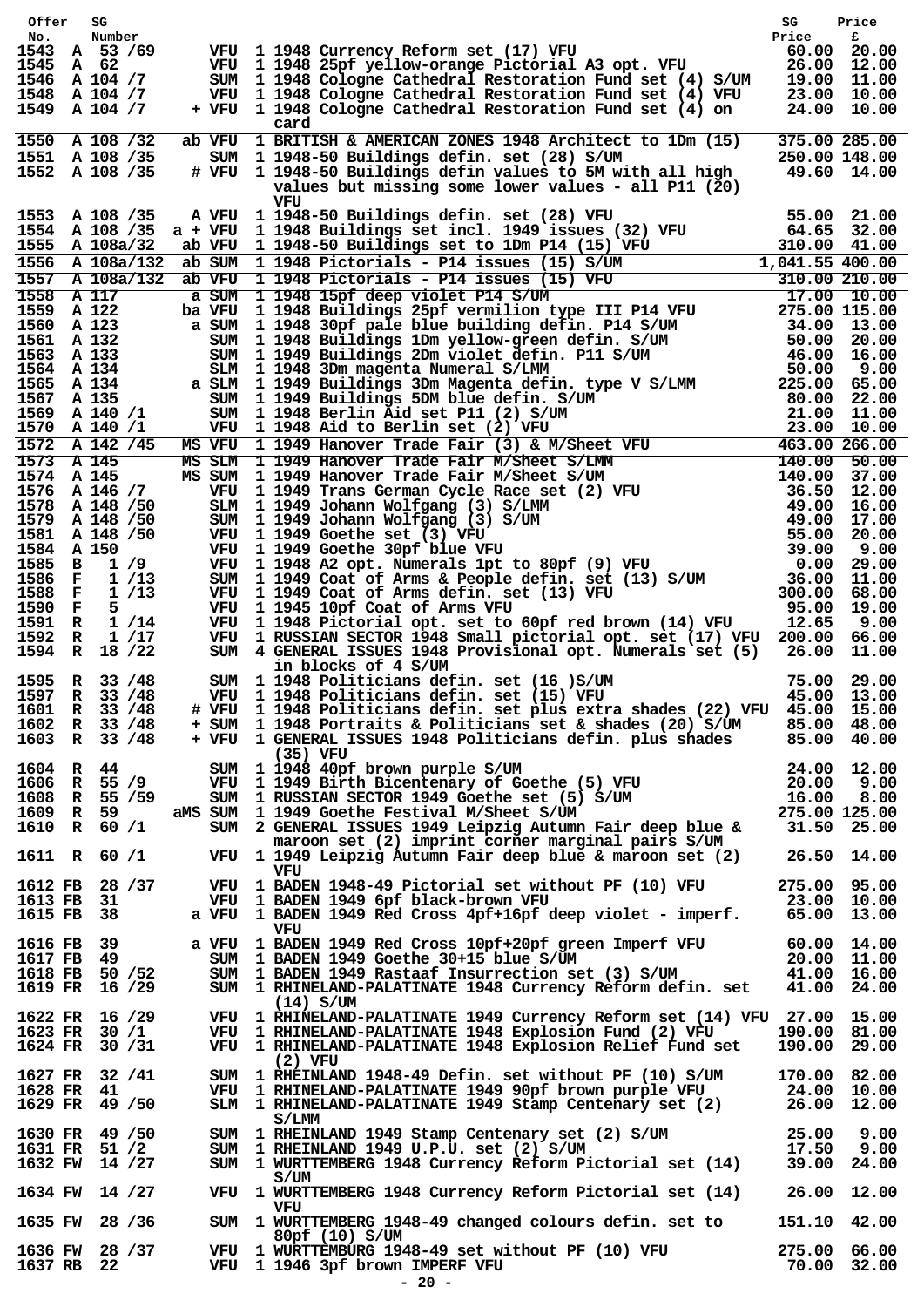|        | Offer SG                       |      |                                                                                                                                                                                                                                  | SG          | Price                      |
|--------|--------------------------------|------|----------------------------------------------------------------------------------------------------------------------------------------------------------------------------------------------------------------------------------|-------------|----------------------------|
| No.    | Number<br>1543 A 53 /69        |      |                                                                                                                                                                                                                                  |             |                            |
|        | 1545 A 62                      |      |                                                                                                                                                                                                                                  |             |                            |
|        | 1546 A 104 /7                  |      | VFU 1 1948 Currency Reform set (17) VFU Price F<br>VFU 1 1948 25pf yellow-orange Pictorial A3 opt. VFU 26.00 20.00<br>SUM 1 1948 Cologne Cathedral Restoration Fund set (4) S/UM 19.00 11.00                                     |             |                            |
|        | 1548 A 104 /7<br>1549 A 104 /7 |      | VFU 1 1948 Cologne Cathedral Restoration Fund set (4) VFU<br>+ VFU 1 1948 Cologne Cathedral Restoration Fund set (4) on                                                                                                          |             | 23.00 10.00<br>24.00 10.00 |
|        |                                |      | card                                                                                                                                                                                                                             |             |                            |
|        | 1550 A 108 /32                 |      | ab VFU 1 BRITISH & AMERICAN ZONES 1948 Architect to 1Dm (15)                                                                                                                                                                     |             | 375.00 285.00              |
|        | $1551$ A 108 /35               |      | SUM 1 1948-50 Buildings defin. set (28) S/UM                                                                                                                                                                                     |             | 250.00 148.00              |
|        | 1552 A 108 /35                 |      | # VFU 1 1948-50 Buildings defin values to 5M with all high                                                                                                                                                                       | 49.60 14.00 |                            |
|        |                                |      | values but missing some lower values - all P11 (20)<br>VFU                                                                                                                                                                       |             |                            |
|        |                                |      |                                                                                                                                                                                                                                  |             |                            |
|        |                                |      |                                                                                                                                                                                                                                  |             |                            |
|        |                                |      |                                                                                                                                                                                                                                  |             |                            |
|        |                                |      |                                                                                                                                                                                                                                  |             |                            |
|        |                                |      |                                                                                                                                                                                                                                  |             |                            |
|        |                                |      |                                                                                                                                                                                                                                  |             |                            |
|        |                                |      |                                                                                                                                                                                                                                  |             |                            |
|        |                                |      |                                                                                                                                                                                                                                  |             |                            |
|        |                                |      |                                                                                                                                                                                                                                  |             |                            |
|        |                                |      |                                                                                                                                                                                                                                  |             |                            |
|        |                                |      |                                                                                                                                                                                                                                  |             |                            |
|        |                                |      | 1553 A 108 /35 A V7U 11948 both missing some lower values - all P11 (20)<br>1553 A 108 /35 A V7U 11948 Buildings eletin. set (28) V7U 64.65 32.00<br>1555 A 108 /35 a V7U 11948 Buildings eletincial set to 1949 issues (32) V7U |             |                            |
|        |                                |      |                                                                                                                                                                                                                                  |             |                            |
|        |                                |      |                                                                                                                                                                                                                                  |             |                            |
|        |                                |      |                                                                                                                                                                                                                                  |             |                            |
|        |                                |      |                                                                                                                                                                                                                                  |             |                            |
|        |                                |      |                                                                                                                                                                                                                                  |             |                            |
|        |                                |      |                                                                                                                                                                                                                                  |             |                            |
|        |                                |      |                                                                                                                                                                                                                                  |             |                            |
|        |                                |      |                                                                                                                                                                                                                                  |             |                            |
|        |                                |      |                                                                                                                                                                                                                                  |             |                            |
|        |                                |      |                                                                                                                                                                                                                                  |             |                            |
|        |                                |      |                                                                                                                                                                                                                                  |             |                            |
| 1591 R |                                | 1/14 | VFU 1 1948 Pictorial opt. set to 60pf red brown (14) VFU 12.65                                                                                                                                                                   |             | 9.00                       |
| 1592 R | 1 /17<br>1594 R 18 /22         |      | VFU 1 RUSSIAN SECTOR 1948 Small pictorial opt. set (17) VFU 200.00 66.00<br>SUM 4 GENERAL ISSUES 1948 Provisional opt. Numerals set (5) 26.00 11.00                                                                              |             |                            |
|        |                                |      | in blocks of 4 S/UM                                                                                                                                                                                                              |             |                            |
|        | 1595 R 33 /48                  |      | SUM 1 1948 Politicians defin. set (16 ) S/UM 75.00 29.00<br>VFU 1 1948 Politicians defin. set (15) VFU 45.00 13.00                                                                                                               |             |                            |
|        | 1597 R 33 /48                  |      |                                                                                                                                                                                                                                  |             |                            |
|        | 1601 R 33 /48                  |      | # VFU 1 1948 Politicians defin. set plus extra shades (22) VFU 45.00 15.00                                                                                                                                                       |             |                            |
|        | 1602 R 33 /48                  |      | + SUM 1 1948 Portraits & Politicians set & shades (20) S/UM                                                                                                                                                                      |             | 85.00 48.00                |
|        | 1603 R 33 /48                  |      | + VFU 1 GENERAL ISSUES 1948 Politicians defin. plus shades<br>(35) VFU                                                                                                                                                           |             | 85.00 40.00                |
|        | 1604 R 44                      |      | SUM 1 1948 40pf brown purple S/UM                                                                                                                                                                                                | 24.00 12.00 |                            |
|        | $1606$ R 55 /9                 |      | SUM 1 1948 40pt brown purple s/0m<br>VFU 1 1949 Birth Bicentenary of Goethe (5) VFU 20.00 9.00<br>SUM 1 RUSSIAN SECTOR 1949 Goethe set (5) S/UM 16.00 8.00<br>AMS SIM 1 1949 Goethe Festival M/Sheet S/UM 275.00 125.00          |             |                            |
|        | 1608 R 55 /59                  |      |                                                                                                                                                                                                                                  |             |                            |
|        | 1609 R 59                      |      | aMS SUM 1 1949 Goethe Festival M/Sheet S/UM                                                                                                                                                                                      |             |                            |
|        | 1610 R 60 /1                   |      | SUM 2 GENERAL ISSUES 1949 Leipzig Autumn Fair deep blue &<br>maroon set (2) imprint corner marginal pairs S/UM                                                                                                                   |             | 31.50 25.00                |
|        | 1611 R 60 /1                   |      | VFU 1 1949 Leipzig Autumn Fair deep blue & maroon set (2)                                                                                                                                                                        |             | 26.50 14.00                |
|        |                                |      | VFU                                                                                                                                                                                                                              |             |                            |
|        | 1612 FB 28 /37                 |      | VFU 1 BADEN 1948-49 Pictorial set without PF (10) VFU                                                                                                                                                                            |             | 275.00 95.00               |
|        | 1613 FB 31                     |      | VFU 1 BADEN 1949 6pf black-brown VFU                                                                                                                                                                                             | 23.00 10.00 |                            |
|        | 1615 FB 38                     |      | a VFU 1 BADEN 1949 Red Cross 4pf+16pf deep violet - imperf.<br>VFU                                                                                                                                                               |             | 65.00 13.00                |
|        | 1616 FB 39                     |      | a VFU 1 BADEN 1949 Red Cross 10pf+20pf green Imperf VFU                                                                                                                                                                          |             | 60.00 14.00                |
|        | 1617 FB 49                     |      | SUM 1 BADEN 1949 Goethe 30+15 blue S/UM                                                                                                                                                                                          |             | 20.00 11.00                |
|        | 1618 FB 50 /52                 |      | SUM 1 BADEN 1949 Rastaaf Insurrection set (3) S/UM                                                                                                                                                                               |             | 41.00 16.00                |
|        | 1619 FR 16 /29                 |      | SUM 1 RHINELAND-PALATINATE 1948 Currency Reform defin. set                                                                                                                                                                       |             | 41.00 24.00                |
|        | 1622 FR 16 /29                 |      | $(14)$ S/UM<br>VFU 1 RHINELAND-PALATINATE 1949 Currency Reform set (14) VFU 27.00 15.00                                                                                                                                          |             |                            |
|        | 1623 FR 30 /1                  |      | VFU 1 RHINELAND-PALATINATE 1948 Explosion Fund (2) VFU                                                                                                                                                                           |             | 190.00 81.00               |
|        | 1624 FR 30 / 31                |      | VFU 1 RHINELAND-PALATINATE 1948 Explosion Relief Fund set                                                                                                                                                                        |             | 190.00 29.00               |
|        |                                |      | $(2)$ VFU                                                                                                                                                                                                                        |             |                            |
|        | 1627 FR 32 / 41                |      | SUM 1 RHEINLAND 1948-49 Defin. set without PF (10) S/UM<br>VFU 1 RHINELAND-PALATINATE 1949 90pf brown purple VFU                                                                                                                 |             | 170.00 82.00               |
|        | 1628 FR 41<br>1629 FR 49 /50   |      | SLM 1 RHINELAND-PALATINATE 1949 Stamp Centenary set (2)                                                                                                                                                                          | 24.00 10.00 | 26.00 12.00                |
|        |                                |      | S/LMM                                                                                                                                                                                                                            |             |                            |
|        | 1630 FR 49 / 50                |      | SUM 1 RHEINLAND 1949 Stamp Centenary set (2) S/UM                                                                                                                                                                                |             | 25.00 9.00                 |
|        | 1631 FR 51 /2                  |      | SUM 1 RHEINLAND 1949 U.P.U. set $(2)$ S/UM                                                                                                                                                                                       |             | 17.50 9.00                 |
|        | 1632 FW 14 /27                 |      | SUM 1 WURTTEMBERG 1948 Currency Reform Pictorial set (14)                                                                                                                                                                        |             | 39.00 24.00                |
|        | 1634 FW 14 /27                 |      | S/UM<br>VFU 1 WURTTEMBERG 1948 Currency Reform Pictorial set (14)                                                                                                                                                                |             | 26.00 12.00                |
|        |                                |      | VFU                                                                                                                                                                                                                              |             |                            |
|        | 1635 FW 28 /36                 |      | SUM 1 WURTTEMBERG 1948-49 changed colours defin. set to                                                                                                                                                                          |             | 151.10 42.00               |
|        |                                |      | 80pf(10) S/UM                                                                                                                                                                                                                    |             |                            |
|        | 1636 FW 28 /37<br>1637 RB 22   |      | VFU 1 WURTTEMBURG 1948-49 set without PF (10) VFU<br>VFU 1 1946 3pf brown IMPERF VFU                                                                                                                                             | 70.00 32.00 | 275.00 66.00               |
|        |                                |      | $-20 -$                                                                                                                                                                                                                          |             |                            |
|        |                                |      |                                                                                                                                                                                                                                  |             |                            |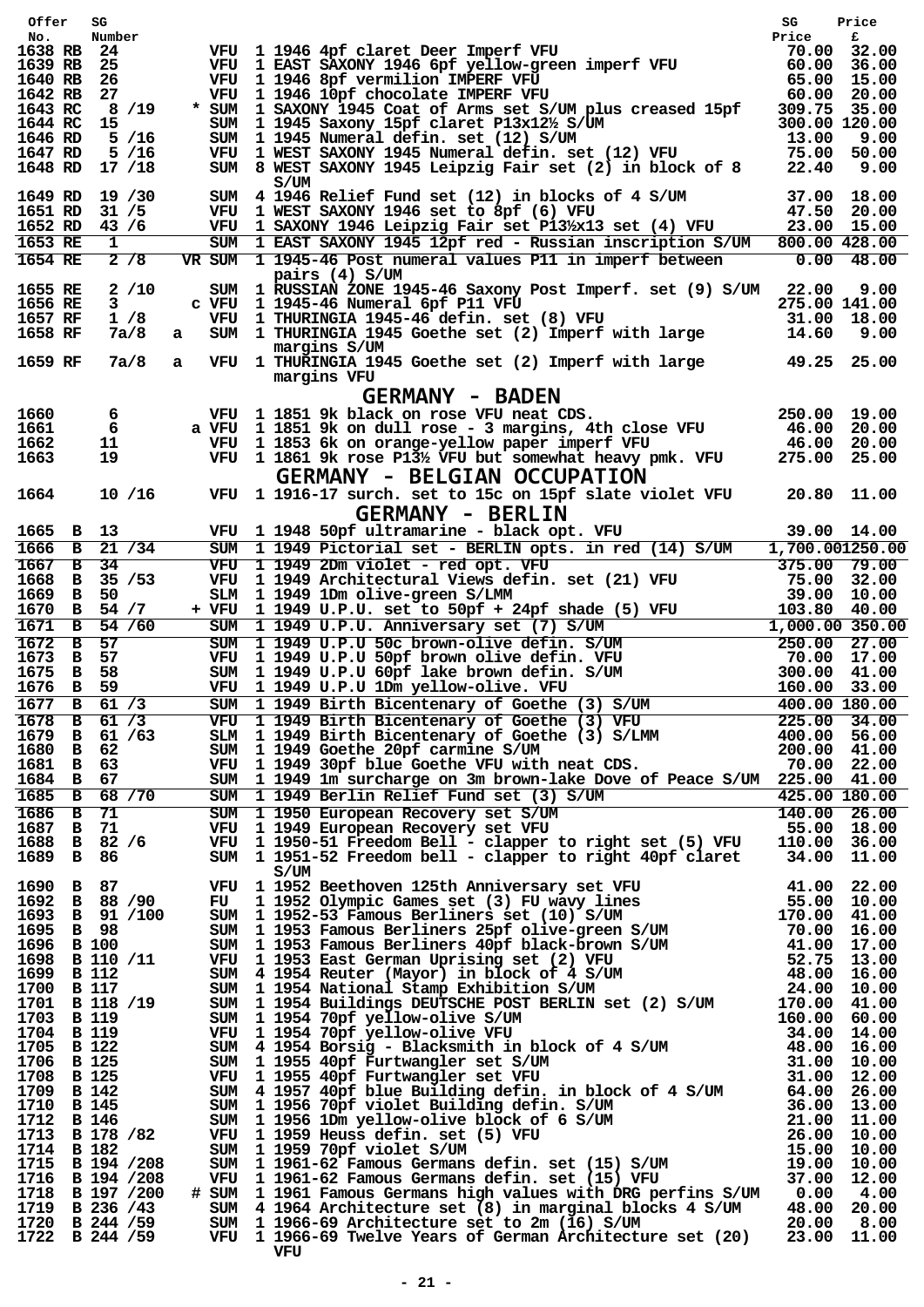|                       | Offer        | SG                                                     |   |                                                                                                                                                                                                                                                       | SG                          | Price              |
|-----------------------|--------------|--------------------------------------------------------|---|-------------------------------------------------------------------------------------------------------------------------------------------------------------------------------------------------------------------------------------------------------|-----------------------------|--------------------|
| No.                   |              | Number                                                 |   |                                                                                                                                                                                                                                                       | Price                       | £                  |
| 1638 RB 24<br>1639 RB |              | -25                                                    |   | VFU 1 1946 4pf claret Deer Imperf VFU<br>VFU 1 EAST SAXONY 1946 6pf yellow-green imperf VFU                                                                                                                                                           | 70.00 32.00                 | 60.00 36.00        |
| 1640 RB               |              | 26                                                     |   | VFU 1 1946 8pf vermilion IMPERF VFU                                                                                                                                                                                                                   |                             | 65.00 15.00        |
| 1642 RB               |              | 27                                                     |   | VFU 1 1946 10pf chocolate IMPERF VFU                                                                                                                                                                                                                  |                             | 60.00 20.00        |
| 1643 RC               |              | 8/19                                                   |   | * SUM 1 SAXONY 1945 Coat of Arms set S/UM plus creased 15pf                                                                                                                                                                                           | 309.75 35.00                |                    |
| 1644 RC               |              | - 15                                                   |   | SUM 1 1945 Saxony 15pf claret P13x12½ S/UM                                                                                                                                                                                                            | 300.00 120.00               |                    |
| 1646 RD               |              | 5/16                                                   |   | SUM 1 1945 Numeral defin. set (12) S/UM                                                                                                                                                                                                               | 13.00                       | 9.00               |
| 1647 RD               |              | 5/16                                                   |   | VFU 1 WEST SAXONY 1945 Numeral defin. set (12) VFU                                                                                                                                                                                                    |                             | 75.00 50.00        |
|                       |              | 1648 RD 17 /18                                         |   | SUM 8 WEST SAXONY 1945 Leipzig Fair set (2) in block of 8                                                                                                                                                                                             | 22.40                       | 9.00               |
|                       |              |                                                        |   | S/UM                                                                                                                                                                                                                                                  |                             |                    |
|                       |              | 1649 RD 19 /30                                         |   | SUM 4 1946 Relief Fund set (12) in blocks of 4 S/UM                                                                                                                                                                                                   |                             | 37.00 18.00        |
| 1651 RD               |              | 31/5                                                   |   | VFU 1 WEST SAXONY 1946 set to 8pf (6) VFU                                                                                                                                                                                                             |                             | 47.50 20.00        |
| 1652 RD               |              | 43/6                                                   |   | VFU 1 SAXONY 1946 Leipzig Fair set P13/x13 set (4) VFU                                                                                                                                                                                                |                             | 23.00 15.00        |
| 1653 RE               |              | $\mathbf 1$                                            |   | SUM 1 EAST SAXONY 1945 12pf red - Russian inscription S/UM                                                                                                                                                                                            | 800.00 428.00               |                    |
| 1654 RE               |              | 2/8                                                    |   | VR SUM 1 1945-46 Post numeral values P11 in imperf between                                                                                                                                                                                            |                             | $0.00 \quad 48.00$ |
|                       |              | 2/10                                                   |   | pairs $(4)$ S/UM                                                                                                                                                                                                                                      |                             |                    |
| 1655 RE<br>1656 RE    |              | 3                                                      |   | SUM 1 RUSSIAN ZONE 1945-46 Saxony Post Imperf. set (9) S/UM<br>c VFU 1 1945-46 Numeral 6pf P11 VFU                                                                                                                                                    | 22.00<br>275.00 141.00      | 9.00               |
| 1657 RF               |              | 1/8                                                    |   | VFU 1 THURINGIA 1945-46 defin. set (8) VFU                                                                                                                                                                                                            | 31.00 18.00                 |                    |
| 1658 RF               |              | 7a/8                                                   | a | SUM 1 THURINGIA 1945 Goethe set (2) Imperf with large                                                                                                                                                                                                 | 14.60                       | 9.00               |
|                       |              |                                                        |   | margins S/UM                                                                                                                                                                                                                                          |                             |                    |
| 1659 RF               |              | 7a/8                                                   | a | VFU 1 THURINGIA 1945 Goethe set (2) Imperf with large                                                                                                                                                                                                 | 49.25 25.00                 |                    |
|                       |              |                                                        |   | margins VFU                                                                                                                                                                                                                                           |                             |                    |
|                       |              |                                                        |   | <b>GERMANY - BADEN</b>                                                                                                                                                                                                                                |                             |                    |
| 1660                  |              |                                                        |   |                                                                                                                                                                                                                                                       |                             |                    |
| 1661                  |              | 6<br>6                                                 |   | VFU 1 1851 9k black on rose VFU neat CDS.<br>a VFU 1 1851 9k on dull rose - 3 margins, 4th close VFU                                                                                                                                                  | 250.00 19.00<br>46.00 20.00 |                    |
| 1662                  |              | 11                                                     |   | VFU 1 1853 6k on orange-yellow paper imperf VFU                                                                                                                                                                                                       |                             | 46.00 20.00        |
| 1663                  |              | 19                                                     |   | VFU 1 1861 9k rose P131/2 VFU but somewhat heavy pmk. VFU                                                                                                                                                                                             | 275.00 25.00                |                    |
|                       |              |                                                        |   |                                                                                                                                                                                                                                                       |                             |                    |
|                       |              |                                                        |   | <b>GERMANY - BELGIAN OCCUPATION</b>                                                                                                                                                                                                                   |                             |                    |
| 1664                  |              | 10 / 16                                                |   | VFU 1 1916-17 surch. set to 15c on 15pf slate violet VFU                                                                                                                                                                                              |                             | 20.80 11.00        |
|                       |              |                                                        |   | <b>GERMANY - BERLIN</b>                                                                                                                                                                                                                               |                             |                    |
| 1665 B 13             |              |                                                        |   | VFU 1 1948 50pf ultramarine - black opt. VFU                                                                                                                                                                                                          |                             | 39.00 14.00        |
|                       |              | 1666 B 21 /34                                          |   | SUM 1 1949 Pictorial set - BERLIN opts. in red (14) S/UM                                                                                                                                                                                              | 1,700.001250.00             |                    |
| 1667 B 34             |              |                                                        |   | VFU 1 1949 2Dm violet - red opt. VFU                                                                                                                                                                                                                  | 375.00 79.00                |                    |
|                       |              | 1668 B 35 / 53                                         |   | VFU 1 1949 Architectural Views defin. set (21) VFU                                                                                                                                                                                                    |                             | 75.00 32.00        |
| 1669 B                |              | -50                                                    |   | SLM 1 1949 1Dm olive-green S/LMM                                                                                                                                                                                                                      |                             | 39.00 10.00        |
|                       |              | 1670 B 54 /7                                           |   | + VFU 1 1949 U.P.U. set to 50pf + 24pf shade (5) VFU                                                                                                                                                                                                  | 103.80 40.00                |                    |
| 1671 B                |              | 54 /60                                                 |   | SUM 1 1949 U.P.U. Anniversary set (7) S/UM                                                                                                                                                                                                            | 1,000.00 350.00             |                    |
| 1672 B 57             |              |                                                        |   | SUM 1 1949 U.P.U 50c brown-olive defin. S/UM                                                                                                                                                                                                          | 250.00 27.00                |                    |
| 1673 B                |              | 57                                                     |   | VFU 1 1949 U.P.U 50pf brown olive defin. VFU                                                                                                                                                                                                          | 70.00 17.00                 |                    |
| 1675 B                |              | -58                                                    |   | SUM 1 1949 U.P.U 60pf lake brown defin. S/UM                                                                                                                                                                                                          | 300.00 41.00                |                    |
| 1676                  | $\mathbf{B}$ | 59                                                     |   | VFU 1 1949 U.P.U 1Dm yellow-olive. VFU                                                                                                                                                                                                                | 160.00 33.00                |                    |
|                       |              | $1677$ B 61 /3                                         |   | SUM 1 1949 Birth Bicentenary of Goethe (3) S/UM                                                                                                                                                                                                       | 400.00 180.00               |                    |
|                       |              | $1678$ B $61/3$                                        |   | VFU 1 1949 Birth Bicentenary of Goethe (3) VFU<br>SLM 1 1949 Birth Bicentenary of Goethe (3) VFU<br>SLM 1 1949 Birth Bicentenary of Goethe (3) S/LMM 400.00 56.00<br>SUM 1 1949 30pf blue Goethe VFU with neat CDS.<br>VFU 1 1949 30pf                |                             |                    |
|                       |              | 1679 B 61 /63                                          |   |                                                                                                                                                                                                                                                       |                             |                    |
| 1680 B 62             |              |                                                        |   |                                                                                                                                                                                                                                                       |                             |                    |
| 1681 B 63             |              |                                                        |   |                                                                                                                                                                                                                                                       |                             |                    |
|                       |              |                                                        |   | SUM 1 1949 1m surcharge on 3m brown-lake Dove of Peace S/UM 225.00 41.00                                                                                                                                                                              |                             |                    |
|                       |              | $\frac{1684}{1685}$ B 67<br>$\frac{67}{1685}$ B 68 /70 |   |                                                                                                                                                                                                                                                       |                             |                    |
| 1686 B 71             |              |                                                        |   | SUM 1 1949 Berlin Relief Fund set (3) S/UM 425.00 180.00<br>SUM 1 1950 European Recovery set S/UM 140.00 26.00<br>VFU 1 1949 European Recovery set VFU 55.00 18.00                                                                                    |                             |                    |
| 1687 B 71             |              |                                                        |   |                                                                                                                                                                                                                                                       |                             |                    |
|                       |              | 1688 B 82 /6                                           |   |                                                                                                                                                                                                                                                       |                             |                    |
| 1689 B 86             |              |                                                        |   | VFU 1 1950-51 Freedom Bell - clapper to right set (5) VFU 110.00 36.00<br>SUM 1 1951-52 Freedom bell - clapper to right 40pf claret 34.00 11.00                                                                                                       |                             |                    |
|                       |              |                                                        |   | S/UM                                                                                                                                                                                                                                                  |                             |                    |
|                       |              |                                                        |   |                                                                                                                                                                                                                                                       |                             |                    |
|                       |              |                                                        |   |                                                                                                                                                                                                                                                       |                             |                    |
|                       |              |                                                        |   |                                                                                                                                                                                                                                                       |                             |                    |
|                       |              |                                                        |   |                                                                                                                                                                                                                                                       |                             |                    |
|                       |              |                                                        |   |                                                                                                                                                                                                                                                       |                             |                    |
|                       |              |                                                        |   |                                                                                                                                                                                                                                                       |                             |                    |
|                       |              |                                                        |   |                                                                                                                                                                                                                                                       |                             |                    |
|                       |              |                                                        |   |                                                                                                                                                                                                                                                       |                             |                    |
|                       |              |                                                        |   |                                                                                                                                                                                                                                                       |                             |                    |
|                       |              |                                                        |   |                                                                                                                                                                                                                                                       |                             |                    |
|                       |              |                                                        |   |                                                                                                                                                                                                                                                       |                             |                    |
|                       |              |                                                        |   |                                                                                                                                                                                                                                                       |                             |                    |
|                       |              |                                                        |   |                                                                                                                                                                                                                                                       |                             |                    |
|                       |              |                                                        |   |                                                                                                                                                                                                                                                       |                             |                    |
|                       |              |                                                        |   |                                                                                                                                                                                                                                                       |                             |                    |
|                       |              |                                                        |   |                                                                                                                                                                                                                                                       |                             |                    |
|                       |              |                                                        |   |                                                                                                                                                                                                                                                       |                             |                    |
|                       |              |                                                        |   |                                                                                                                                                                                                                                                       |                             |                    |
|                       |              |                                                        |   |                                                                                                                                                                                                                                                       |                             |                    |
|                       |              |                                                        |   |                                                                                                                                                                                                                                                       |                             |                    |
|                       |              |                                                        |   |                                                                                                                                                                                                                                                       |                             |                    |
|                       |              |                                                        |   |                                                                                                                                                                                                                                                       |                             |                    |
|                       |              |                                                        |   |                                                                                                                                                                                                                                                       |                             |                    |
|                       |              | 1719 B 236 / 43                                        |   |                                                                                                                                                                                                                                                       |                             |                    |
|                       |              | 1720 B 244 /59                                         |   | 1699 B 87<br>1890 B 87<br>1890 B 87<br>1890 B 87<br>1890 B 87<br>1992 Becknown 125th Aminyerary set VFV upredictes 341.00 22.00<br>1993 B 931/100<br>1993 B 931/100<br>1993 B 931/100<br>1993 B 931/100<br>1993 B 931/100<br>1993 B 931/100<br>1993 B |                             |                    |
|                       |              | 1722 B 244 /59                                         |   | SUM 4 1964 Architecture set (8) in marginal blocks 4 S/UM 48.00 20.00<br>SUM 1 1966-69 Architecture set to 2m (16) S/UM 20.00 8.00<br>VFU 1 1966-69 Twelve Years of German Architecture set (20) 23.00 11.00                                          |                             |                    |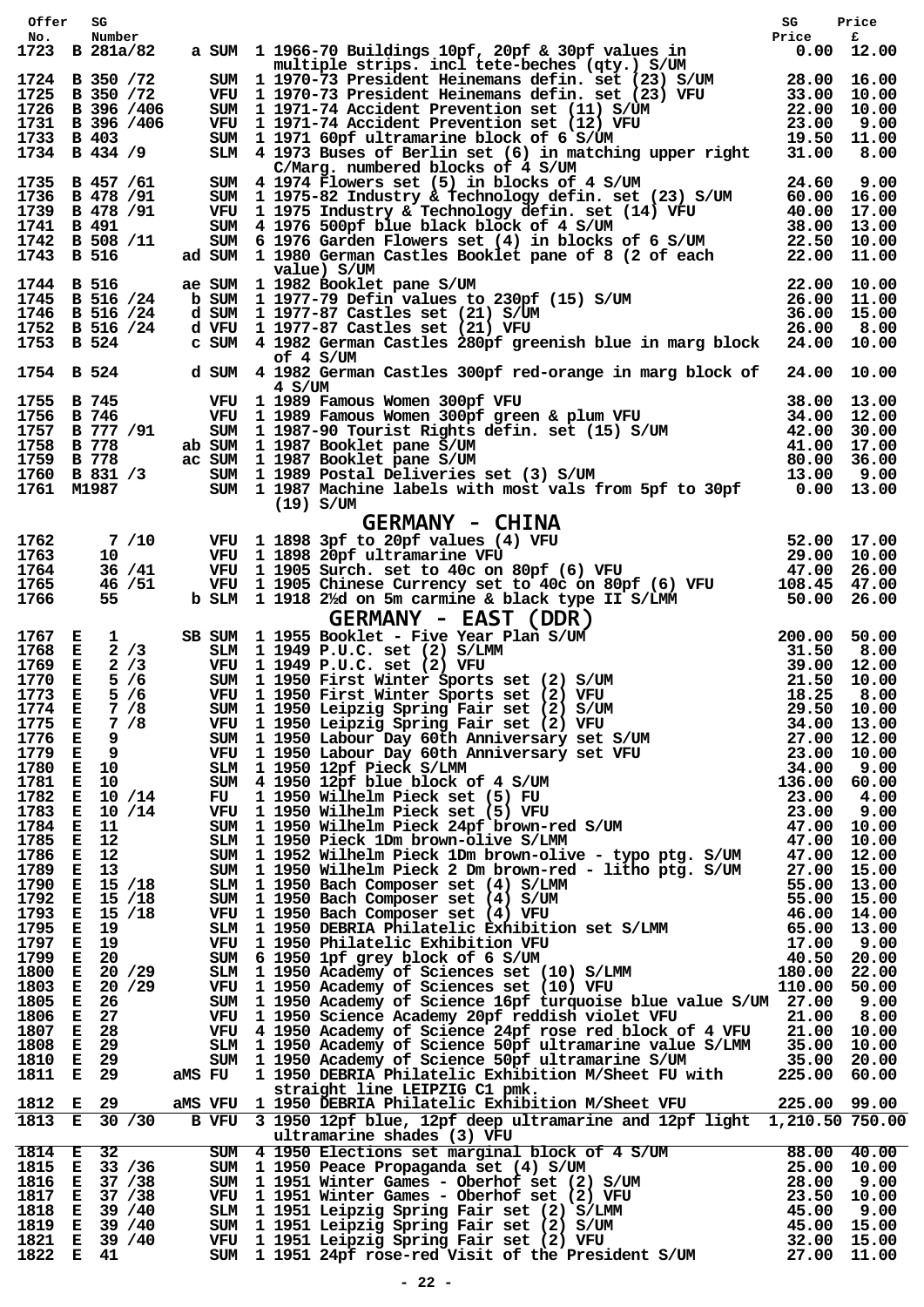| Offer                  | SG |                                                  |        |                                                                                                                                                                                                                                                                                            | SG    | Price        |
|------------------------|----|--------------------------------------------------|--------|--------------------------------------------------------------------------------------------------------------------------------------------------------------------------------------------------------------------------------------------------------------------------------------------|-------|--------------|
| No.                    |    | Number                                           |        |                                                                                                                                                                                                                                                                                            | Price | £            |
|                        |    | 1723 B 281a/82                                   |        | a SUM 1 1966-70 Buildings 10pf, 20pf & 30pf values in<br>multiple strips. incl tete-beches (qty.) S/UM                                                                                                                                                                                     |       | $0.00$ 12.00 |
|                        |    | 1724 B 350 / 72                                  |        |                                                                                                                                                                                                                                                                                            |       |              |
|                        |    | 1725 B 350 / 72                                  |        | SUM 1 1970-73 President Heinemans defin. set (23) S/UM 28.00 16.00<br>VFU 1 1970-73 President Heinemans defin. set (23) VFU 33.00 10.00<br>SUM 1 1971-74 Accident Prevention set (11) S/UM 22.00 10.00<br>VFU 1 1971-74 Accident Preven                                                    |       |              |
|                        |    | 1726 B 396 /406                                  |        |                                                                                                                                                                                                                                                                                            |       |              |
| 1733 B 403             |    | 1731 B 396 /406                                  |        |                                                                                                                                                                                                                                                                                            |       |              |
| 1734 B 434 /9          |    |                                                  |        |                                                                                                                                                                                                                                                                                            |       |              |
|                        |    |                                                  |        | C/Marg. numbered blocks of 4 S/UM                                                                                                                                                                                                                                                          |       |              |
|                        |    | 1735 B 457 / 61                                  |        | SUM 4 1974 Flowers set (5) in blocks of 4 S/UM 24.60 9.00<br>SUM 1 1975-82 Industry & Technology defin. set (23) S/UM 60.00 16.00<br>VFU 1 1975 Industry & Technology defin. set (14) VFU 40.00 17.00<br>SUM 4 1976 500pf blue black bl                                                    |       |              |
|                        |    | 1736 B 478 / 91<br>1739 B 478 / 91               |        |                                                                                                                                                                                                                                                                                            |       |              |
| 1741 B 491             |    |                                                  |        |                                                                                                                                                                                                                                                                                            |       |              |
|                        |    | 1742 B 508 /11                                   |        |                                                                                                                                                                                                                                                                                            |       |              |
| 1743 B 516             |    |                                                  |        |                                                                                                                                                                                                                                                                                            |       |              |
| 1744 B 516             |    |                                                  |        | value) S/UM<br>value) S/UM<br>ae SUM 1 1982 Booklet pane S/UM<br>b SUM 1 1977-79 Defin values to 230pf (15) S/UM<br>d SUM 1 1977-87 Castles set (21) S/UM<br>d VFU 1 1977-87 Castles set (21) VFU<br>d VFU 1 1977-87 Castles set (21) VFU<br>26.00 8.00<br>ae SUM 1 1982 Booklet pane S/UM |       |              |
|                        |    | 1745 B 516 /24                                   |        |                                                                                                                                                                                                                                                                                            |       |              |
|                        |    | 1746 B 516 /24                                   |        |                                                                                                                                                                                                                                                                                            |       |              |
|                        |    | 1752 B 516 /24                                   |        | c SUM 4 1982 German Castles 280pf greenish blue in marg block 24.00 10.00                                                                                                                                                                                                                  |       |              |
| 1753 B 524             |    |                                                  |        | of 4 S/UM                                                                                                                                                                                                                                                                                  |       |              |
| 1754 B 524             |    |                                                  | 4 S/UM | d SUM 4 1982 German Castles 300pf red-orange in marg block of 24.00 10.00                                                                                                                                                                                                                  |       |              |
| 1755 B 745             |    |                                                  |        | VFU 1 1989 Famous Women 300pf VFU<br>VFU 1 1989 Famous Women 300pf VFU 38.00 13.00<br>VFU 1 1989 Famous Women 300pf green & plum VFU 34.00 12.00<br>SUM 1 1987-90 Tourist Rights defin. set (15) S/UM 42.00 30.00<br>SUM 1 1987 Booklet pane S/UM 41.00 17.00<br>SUM 1 1989                |       |              |
| 1756 B 746             |    | 1757 B 777 /91                                   |        |                                                                                                                                                                                                                                                                                            |       |              |
| 1758 B 778             |    |                                                  |        | ab SUM 1 1987 Booklet pane S/UM                                                                                                                                                                                                                                                            |       |              |
| 1759 B 778             |    |                                                  |        | ac SUM 1 1987 Booklet pane S/UM                                                                                                                                                                                                                                                            |       |              |
| 1760 B 831 /3          |    |                                                  |        |                                                                                                                                                                                                                                                                                            |       |              |
| 1761 M1987             |    |                                                  |        | $(19)$ S/UM                                                                                                                                                                                                                                                                                |       |              |
|                        |    |                                                  |        |                                                                                                                                                                                                                                                                                            |       |              |
| 1762                   |    | 7 /10                                            |        | GERMANY - CHINA<br>VFU 1 1898 3pf to 20pf values (4) VFU 52.00 17.00<br>VFU 1 1898 20pf ultramarine VFU 29.00 10.00<br>VFU 1 1905 Surch. set to 40c on 80pf (6) VFU 47.00 26.00<br>VFU 1 1905 Chinese Currency set to 40c on 80pf (6)<br>VFU 1 1898 3pf to 20pf values (4) VFU             |       |              |
| 1763                   |    | 10 —                                             |        |                                                                                                                                                                                                                                                                                            |       |              |
| 1764                   |    | 36 / 41                                          |        |                                                                                                                                                                                                                                                                                            |       |              |
| 1765                   |    | 46 / 51                                          |        |                                                                                                                                                                                                                                                                                            |       |              |
| 1766                   |    | 55 —                                             |        |                                                                                                                                                                                                                                                                                            |       |              |
|                        |    |                                                  |        | $GERMANY - EAST (DDR)$<br>SB SUM 1 1955 Booklet - Five Year Plan S/UM<br>SLM 1 1949 P.U.C. set (2) S/LMM<br>VFU 1 1949 P.U.C. set (2) VFU<br>SUM 1 1950 First Winter Sports set (2) S/UM<br>VFU 1 1950 First Winter Sports set (2) VFU<br>SUM 1 1950                                       |       |              |
| 1767 E                 |    | $\mathbf{1}$                                     |        |                                                                                                                                                                                                                                                                                            |       |              |
| 1768 E<br>1769 E       |    | 2/3<br>2/3                                       |        |                                                                                                                                                                                                                                                                                            |       |              |
| 1770 E                 |    | 5/6                                              |        | VFU  1 1949 P.U.C. set (2) VFU<br>SUM  1 1950 First Winter Sports                                                                                                                                                                                                                          |       |              |
| 1773                   | E. | 5/6                                              |        |                                                                                                                                                                                                                                                                                            |       |              |
| 1774 E 7 /8            |    |                                                  |        |                                                                                                                                                                                                                                                                                            |       |              |
| 1775 E 7 /8            |    |                                                  |        |                                                                                                                                                                                                                                                                                            |       |              |
| 1776 E 9               |    | 1779 E 9                                         |        |                                                                                                                                                                                                                                                                                            |       |              |
|                        |    |                                                  |        |                                                                                                                                                                                                                                                                                            |       |              |
|                        |    |                                                  |        | 1780 E 10 SLM 1 1950 12pf Pieck S/LMM<br>1781 E 10 SUM 4 1950 12pf blue block o                                                                                                                                                                                                            |       |              |
| 1782                   |    | E 10 /14                                         |        |                                                                                                                                                                                                                                                                                            |       |              |
|                        |    | 1783 E 10 /14                                    |        |                                                                                                                                                                                                                                                                                            |       |              |
| 1784 E 11              |    |                                                  |        |                                                                                                                                                                                                                                                                                            |       |              |
|                        |    | 1785 E 12<br>1786 E 12<br>1789 E 13<br>1799 E 13 |        |                                                                                                                                                                                                                                                                                            |       |              |
|                        |    |                                                  |        |                                                                                                                                                                                                                                                                                            |       |              |
|                        |    | 1790 E 15 /18                                    |        |                                                                                                                                                                                                                                                                                            |       |              |
| 1792                   |    | E 15 /18                                         |        |                                                                                                                                                                                                                                                                                            |       |              |
|                        |    | 1793 E 15 /18                                    |        |                                                                                                                                                                                                                                                                                            |       |              |
|                        |    | 1795 E 19                                        |        |                                                                                                                                                                                                                                                                                            |       |              |
|                        |    | 1797 E 19<br>1799 E 20                           |        |                                                                                                                                                                                                                                                                                            |       |              |
|                        |    | 1800 E 20 /29                                    |        |                                                                                                                                                                                                                                                                                            |       |              |
|                        |    | 1803 E 20 /29                                    |        |                                                                                                                                                                                                                                                                                            |       |              |
| 1805 E 26              |    |                                                  |        | SUM 1 1950 Academy of Science 16pf turquoise blue value S/UM 27.00 9.00                                                                                                                                                                                                                    |       |              |
| 1806 E 27<br>1807 E 28 |    |                                                  |        |                                                                                                                                                                                                                                                                                            |       |              |
| 1808 E 29              |    |                                                  |        |                                                                                                                                                                                                                                                                                            |       |              |
| 1810 E 29              |    |                                                  |        |                                                                                                                                                                                                                                                                                            |       |              |
| 1811 E 29              |    |                                                  |        | VFU 1 1950 Science Academy 20pf reddish violet VFU 21.00 0.00<br>VFU 4 1950 Academy of Science 24pf rose red block of 4 VFU 21.00 10.00<br>SLM 1 1950 Academy of Science 50pf ultramarine value S/LMM 35.00 10.00<br>SUM 1 1950 Academy                                                    |       |              |
| 1812 E 29              |    |                                                  |        | straight line LEIPZIG C1 pmk.                                                                                                                                                                                                                                                              |       |              |
|                        |    | 1813 E 30 /30                                    |        | aMS VFU 1 1950 DEBRIA Philatelic Exhibition M/Sheet VFU 225.00 99.00<br>B VFU 3 1950 12pf blue, 12pf deep ultramarine and 12pf light 1,210.50 750.00                                                                                                                                       |       |              |
|                        |    |                                                  |        | ultramarine shades (3) VFU<br>ultramarine shades (3) VFU<br>SUM 4 1950 Elections set marginal block of 4 S/UM 88.00 40.00<br>SUM 1 1950 Peace Propaganda set (4) S/UM 25.00 10.00<br>SUM 1 1951 Winter Games - Oberhof set (2) S/UM 28.00 9.00<br>VFU 1 1951 Winter                        |       |              |
|                        |    | 1814 E 32                                        |        |                                                                                                                                                                                                                                                                                            |       |              |
|                        |    | 1815 E 33 / 36<br>1816 E 37 / 38                 |        |                                                                                                                                                                                                                                                                                            |       |              |
| 1817                   |    | E 37 / 38                                        |        |                                                                                                                                                                                                                                                                                            |       |              |
| 1818                   |    | E 39 / 40                                        |        |                                                                                                                                                                                                                                                                                            |       |              |
|                        |    | 1819 E 39 /40                                    |        |                                                                                                                                                                                                                                                                                            |       |              |
|                        |    | 1821 E 39 /40                                    |        |                                                                                                                                                                                                                                                                                            |       |              |
| 1822 E 41              |    |                                                  |        |                                                                                                                                                                                                                                                                                            |       |              |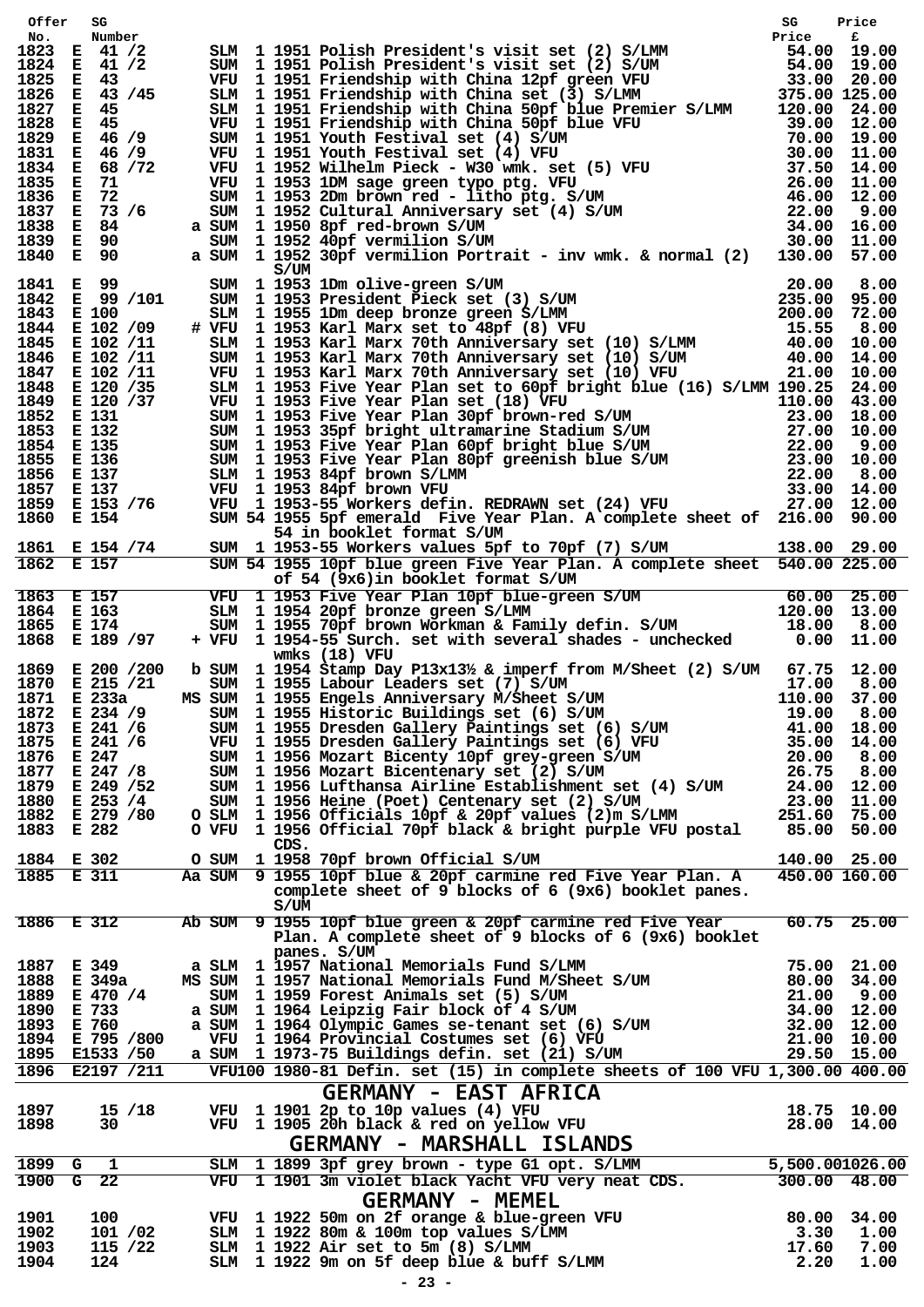| Offer        | SG                               |               |      |                                                                                                                                                                                                                                         |       |                            |
|--------------|----------------------------------|---------------|------|-----------------------------------------------------------------------------------------------------------------------------------------------------------------------------------------------------------------------------------------|-------|----------------------------|
| No.          | Number<br>1823 E 41 /2           |               |      |                                                                                                                                                                                                                                         |       |                            |
| 1824         | E 41 /2                          |               |      |                                                                                                                                                                                                                                         |       |                            |
| 1825         | E 43                             |               |      |                                                                                                                                                                                                                                         |       |                            |
| 1826         | E 43 / 45                        |               |      |                                                                                                                                                                                                                                         |       |                            |
| 1827         | E 45                             |               |      |                                                                                                                                                                                                                                         |       |                            |
| 1828         | E 45                             |               |      |                                                                                                                                                                                                                                         |       |                            |
| 1829         | E 46 / 9                         |               |      |                                                                                                                                                                                                                                         |       |                            |
|              | 1831 E 46 /9                     |               |      |                                                                                                                                                                                                                                         |       |                            |
| 1834         | E 68 / 72                        |               |      |                                                                                                                                                                                                                                         |       |                            |
| 1835         | - 71<br>E.<br>1836 E 72          |               |      |                                                                                                                                                                                                                                         |       |                            |
|              | 1837 E 73 /6                     |               |      |                                                                                                                                                                                                                                         |       |                            |
|              | 1838 E 84                        |               |      |                                                                                                                                                                                                                                         |       |                            |
|              | 1839 E 90                        |               |      |                                                                                                                                                                                                                                         |       |                            |
|              | 1840 E 90                        |               |      |                                                                                                                                                                                                                                         |       |                            |
|              |                                  |               | S/UM |                                                                                                                                                                                                                                         |       |                            |
|              | 1841 E 99                        |               |      | S/UM<br>SUM 119531Dm olive-green S/UM                                                                                                                                                                                                   |       |                            |
|              | 1842 E 99 /101                   |               |      |                                                                                                                                                                                                                                         |       |                            |
|              | 1843 E 100                       |               |      |                                                                                                                                                                                                                                         |       |                            |
|              | 1844 E 102 /09<br>1845 E 102 /11 |               |      |                                                                                                                                                                                                                                         |       |                            |
|              | 1846 E 102 /11                   |               |      |                                                                                                                                                                                                                                         |       |                            |
|              | 1847 E 102 /11                   |               |      | S/UM 1 1953 1Dm olive-green S/UM 20.00 8.00<br>SUM 1 1953 President Pieck set (3) S/UM 235.00 95.00<br>SLM 1 1955 1Dm deep bronze green S/LMM 200.00 72.00<br># VFU 1 1953 Karl Marx set to 48pf (8) VFU 15.55 8.00<br>SLM 1 1953 Karl  |       |                            |
|              | 1848 E 120 / 35                  |               |      | SLM 1 1953 Five Year Plan set to 60pf bright blue (16) S/LMM 190.25 24.00                                                                                                                                                               |       |                            |
|              |                                  |               |      |                                                                                                                                                                                                                                         |       |                            |
|              |                                  |               |      |                                                                                                                                                                                                                                         |       |                            |
|              |                                  |               |      | 1849 E 120/33 SLM 1 1953 Five Year Plan Set (18) WTU 110,00 43.00<br>1852 E 131 SUM 1 1953 Five Year Plan Set (18) WTU 23.00 18.00<br>1853 E 132 SUM 1 1953 Spie Year Plan 30pf brown-red S/UM 23.00 18.00<br>1853 E 132 SUM 1 1953 Spi |       |                            |
|              |                                  |               |      |                                                                                                                                                                                                                                         |       |                            |
|              |                                  |               |      |                                                                                                                                                                                                                                         |       |                            |
|              |                                  |               |      |                                                                                                                                                                                                                                         |       |                            |
|              |                                  |               |      |                                                                                                                                                                                                                                         |       |                            |
|              | 1860 E 154                       |               |      | SUM 54 1955 5pf emerald Five Year Plan. A complete sheet of 216.00 90.00                                                                                                                                                                |       |                            |
|              |                                  |               |      | 54 in booklet format S/UM                                                                                                                                                                                                               |       |                            |
|              |                                  |               |      |                                                                                                                                                                                                                                         |       |                            |
|              |                                  |               |      | 1861 E 154 /74 SUM 1 1953-55 Workers values 5pf to 70pf (7) S/UM 138.00 29.00<br>1862 E 157 SUM 54 1955 10pf blue green Five Year Plan. A complete sheet 540.00 225.00<br>of 54 (9x6) in booklet format S/UM                            |       |                            |
|              |                                  |               |      | of 54 (9x6) in booklet format S/UM                                                                                                                                                                                                      |       |                            |
|              |                                  |               |      | 1863 E 157 VFU 1 1953 Five Year Plan 10pf blue-green S/UM 60.00 25.00<br>1864 E 163 SIM 1 1954 20pf bronze green S/LMM 120.00 13.00<br>1865 E 174 SUM 1 1955 70pf brown Workman & Family defin. S/UM 18.00 8.00<br>1868 E 189 /97 + VFU |       |                            |
|              |                                  |               |      |                                                                                                                                                                                                                                         |       |                            |
|              |                                  |               |      |                                                                                                                                                                                                                                         |       |                            |
|              |                                  |               |      |                                                                                                                                                                                                                                         |       |                            |
|              |                                  |               |      | wmks $(18)$ VFU                                                                                                                                                                                                                         |       |                            |
|              |                                  |               |      | 1869 E 200 /200 b SUM 1 1954 Stamp Day P13x131/2 & imperf from M/Sheet (2) S/UM 67.75 12.00                                                                                                                                             |       |                            |
|              | 1870 E 215 / 21                  |               |      | SUM 1 1955 Labour Leaders set (7) S/UM 17.00 8.00<br>MS SUM 1 1955 Engels Anniversary M/Sheet S/UM 110.00 37.00                                                                                                                         |       |                            |
|              | 1871 E 233a                      |               |      |                                                                                                                                                                                                                                         |       |                            |
|              | 1872 E 234 /9                    | <b>SUM</b>    |      | 1 1955 Historic Buildings set (6) S/UM                                                                                                                                                                                                  | 19.00 | 8.00                       |
|              | 1873 E 241 /6                    |               |      | SUM 1 1955 Dresden Gallery Paintings set (6) S/UM                                                                                                                                                                                       |       | 41.00 18.00                |
|              | 1875 E 241 /6                    |               |      | VFU 1 1955 Dresden Gallery Paintings set (6) VFU<br>SUM 1 1956 Mozart Bicenty 10pf grey-green S/UM                                                                                                                                      |       | 35.00 14.00                |
|              | 1876 E 247                       |               |      | 1 1956 Mozart Bicentenary set (2) S/UM                                                                                                                                                                                                  | 20.00 | 8.00                       |
|              | 1877 E 247 /8<br>1879 E 249 / 52 | SUM<br>SUM    |      | 1 1956 Lufthansa Airline Establishment set (4) S/UM                                                                                                                                                                                     | 26.75 | 8.00<br>24.00 12.00        |
|              | 1880 E 253 /4                    | SUM           |      | 1 1956 Heine (Poet) Centenary set (2) S/UM                                                                                                                                                                                              |       | 23.00 11.00                |
|              | 1882 E 279 / 80                  | O SLM         |      | 1 1956 Officials 10pf & 20pf values (2)m S/LMM                                                                                                                                                                                          |       | 251.60 75.00               |
|              | 1883 E 282                       |               |      | O VFU 1 1956 Official 70pf black & bright purple VFU postal                                                                                                                                                                             |       | 85.00 50.00                |
|              |                                  |               | CDS. |                                                                                                                                                                                                                                         |       |                            |
|              | 1884 E 302                       | o sum         |      | 1 1958 70pf brown Official S/UM                                                                                                                                                                                                         |       | 140.00 25.00               |
|              | 1885 E 311                       |               |      | Aa SUM 9 1955 10pf blue & 20pf carmine red Five Year Plan. A                                                                                                                                                                            |       | 450.00 160.00              |
|              |                                  |               |      | complete sheet of 9 blocks of 6 (9x6) booklet panes.                                                                                                                                                                                    |       |                            |
|              |                                  |               | S/UM |                                                                                                                                                                                                                                         |       |                            |
|              | 1886 E 312                       |               |      | Ab SUM 9 1955 10pf blue green & 20pf carmine red Five Year                                                                                                                                                                              |       | $60.75$ 25.00              |
|              |                                  |               |      | Plan. A complete sheet of 9 blocks of 6 (9x6) booklet                                                                                                                                                                                   |       |                            |
|              |                                  |               |      | panes. S/UM                                                                                                                                                                                                                             |       |                            |
|              | 1887 E 349                       |               |      | a SLM 1 1957 National Memorials Fund S/LMM                                                                                                                                                                                              |       | 75.00 21.00                |
|              | 1888 E 349a<br>1889 E 470 /4     | MS SUM<br>SUM |      | 1  1957  National Memorials Fund M/Sheet S/UM<br>1  1959  Forest Animals set (5)  S/UM                                                                                                                                                  | 21.00 | 80.00 34.00<br>9.00        |
| 1890         | E 733                            | a SUM         |      |                                                                                                                                                                                                                                         |       | 34.00 12.00                |
| 1893         | E 760                            | a SUM         |      | 1 1964 Leipzig Fair block of 4 S/UM<br>1 1964 Olympic Games se-tenant set (6) S/UM                                                                                                                                                      |       | 32.00 12.00                |
|              | 1894 E 795 /800                  |               |      | VFU 1 1964 Provincial Costumes set (6) VFU                                                                                                                                                                                              |       | 21.00 10.00                |
|              | 1895 E1533 / 50                  |               |      | a SUM 1 1973-75 Buildings defin. set (21) S/UM                                                                                                                                                                                          |       | 29.50 15.00                |
|              | 1896 E2197 / 211                 |               |      | VFU100 1980-81 Defin. set (15) in complete sheets of 100 VFU 1,300.00 400.00                                                                                                                                                            |       |                            |
|              |                                  |               |      | <b>GERMANY - EAST AFRICA</b>                                                                                                                                                                                                            |       |                            |
|              |                                  |               |      | VFU 1 1901 2p to 10p values (4) VFU                                                                                                                                                                                                     |       |                            |
| 1897<br>1898 | $15 \; / 18$<br>30               |               |      | VFU 1 1905 20h black & red on yellow VFU                                                                                                                                                                                                |       | 18.75 10.00<br>28.00 14.00 |
|              |                                  |               |      |                                                                                                                                                                                                                                         |       |                            |
|              |                                  |               |      | <b>GERMANY - MARSHALL ISLANDS</b>                                                                                                                                                                                                       |       |                            |
|              | 1899 G 1                         |               |      | SLM 1 1899 3pf grey brown - type G1 opt. S/LMM                                                                                                                                                                                          |       | 5,500.001026.00            |
|              | 1900 G 22                        |               |      | VFU 1 1901 3m violet black Yacht VFU very neat CDS.                                                                                                                                                                                     |       | $300.00$ 48.00             |
|              |                                  |               |      | <b>GERMANY - MEMEL</b>                                                                                                                                                                                                                  |       |                            |
| 1901         | 100                              |               |      | VFU 1 1922 50m on 2f orange & blue-green VFU<br>SLM 1 1922 80m & 100m top values S/LMM<br>SLM 1 1922 Air set to 5m (8) S/LMM                                                                                                            |       | 80.00 34.00                |
| 1902         | 101 /02                          |               |      |                                                                                                                                                                                                                                         |       | $3.30$ 1.00                |
| 1903         | 115 /22                          |               |      |                                                                                                                                                                                                                                         | 17.60 | 7.00                       |
| 1904         | 124                              |               |      | SLM 1 1922 9m on 5f deep blue & buff S/LMM                                                                                                                                                                                              | 2.20  | 1.00                       |
|              |                                  |               |      |                                                                                                                                                                                                                                         |       |                            |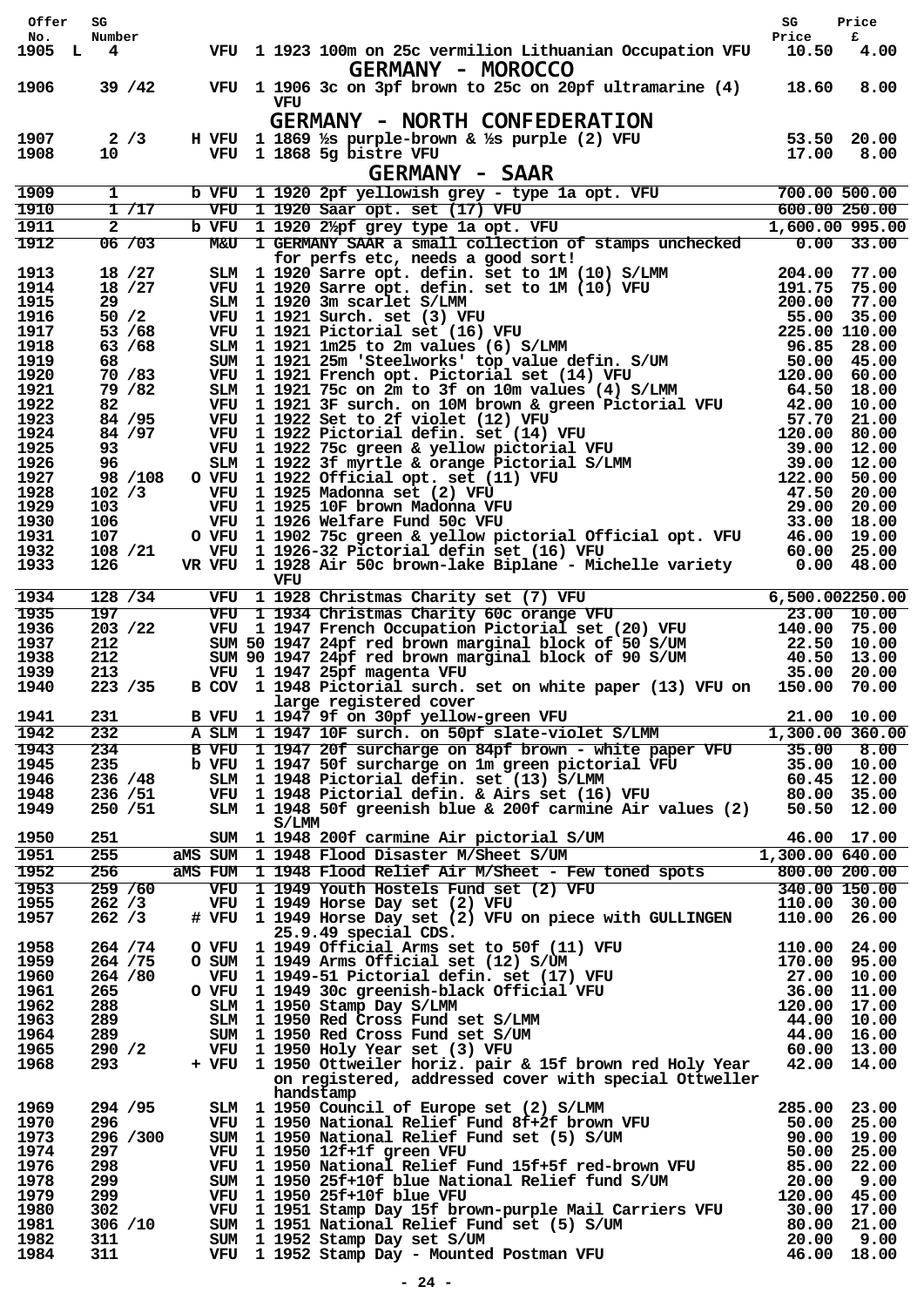| Offer         | SG                       |       |       |                                                                                                                                                                                                                                                              | SG                         | Price         |
|---------------|--------------------------|-------|-------|--------------------------------------------------------------------------------------------------------------------------------------------------------------------------------------------------------------------------------------------------------------|----------------------------|---------------|
| No.<br>1905 L | Number<br>$\overline{4}$ |       |       | VFU 1 1923 100m on 25c vermilion Lithuanian Occupation VFU<br><b>GERMANY - MOROCCO</b>                                                                                                                                                                       | Price<br>10.50             | £<br>4.00     |
| 1906          | 39 / 42                  |       | VFU   | VFU 1 1906 3c on 3pf brown to 25c on 20pf ultramarine (4)                                                                                                                                                                                                    | 18.60                      | 8.00          |
| 1907<br>1908  | 2/3<br>10                |       |       | <b>GERMANY - NORTH CONFEDERATION</b><br>H VFU 1 1869 1/8 purple-brown & 1/8 purple (2) VFU 53.50<br>VFU 1 1868 5g bistre VFU $\sim$ 2 = = = 0.00 17.00                                                                                                       |                            | 20.00<br>8.00 |
|               |                          |       |       | <b>GERMANY - SAAR</b>                                                                                                                                                                                                                                        |                            |               |
| 1909          | $\mathbf{1}$             | b VFU |       | 1 1920 2pf yellowish grey - type 1a opt. VFU<br>1 1920 Saar opt. set (17) VFU                                                                                                                                                                                | 700.00 500.00              |               |
| 1910<br>1911  | 1/17<br>$\overline{a}$   | VFU   |       | 1 1920 Saar opt. set (17) VFU<br>b VFU 1 1920 21/pf grey type 1a opt. VFU                                                                                                                                                                                    | 1,600.00 995.00            | 600.00 250.00 |
| 1912          | 06 / 03                  |       |       | M&U 1 GERMANY SAAR a small collection of stamps unchecked 0.00 33.00<br>for perfs etc, needs a good sort!                                                                                                                                                    |                            |               |
| 1913          | 18 / 27                  |       |       |                                                                                                                                                                                                                                                              |                            |               |
| 1914<br>1915  | 18 / 27<br>29            |       |       |                                                                                                                                                                                                                                                              |                            |               |
| 1916          | 50/2                     |       |       |                                                                                                                                                                                                                                                              |                            |               |
| 1917          | 53 / 68                  |       |       | for perfs etc, needs a good sort!<br>SLM 1 1920 Sarre opt. defin. set to 1M (10) S/LMM 204.00 77.00<br>VFU 1 1920 Sarre opt. defin. set to 1M (10) VFU 191.75 75.00<br>SLM 1 1920 Sm scarlet S/LMM 200.00 77.00<br>VFU 1 1921 Surch. s                       |                            |               |
| 1918          | 63 / 68                  |       |       |                                                                                                                                                                                                                                                              |                            |               |
| 1919          | 68.                      |       |       |                                                                                                                                                                                                                                                              |                            |               |
| 1920<br>1921  | 70 / 83<br>79 / 82       |       |       |                                                                                                                                                                                                                                                              |                            |               |
| 1922          | 82.                      |       |       | SLM 1 1921 75c on 2m to 3f on 10m values (4) S/LMM 64.50 18.00<br>VFU 1 1921 3F surch. on 10M brown & green Pictorial VFU 42.00 10.00<br>VFU 1 1922 Pictorial defin. set (14) VFU 57.70 21.00<br>VFU 1 1922 Pictorial defin. set (14                         |                            |               |
| 1923          | 84 / 95                  |       |       |                                                                                                                                                                                                                                                              |                            |               |
| 1924          | 84 / 97                  |       |       |                                                                                                                                                                                                                                                              |                            |               |
| 1925          | 93.                      |       |       |                                                                                                                                                                                                                                                              |                            |               |
| 1926<br>1927  | 96<br>98 /108            |       |       |                                                                                                                                                                                                                                                              |                            |               |
| 1928          | 102 / 3                  |       |       |                                                                                                                                                                                                                                                              |                            |               |
| 1929          | 103                      |       |       |                                                                                                                                                                                                                                                              | 29.00 20.00<br>33.00 18.00 |               |
| 1930          | 106                      |       |       | VFU 1 1926 Welfare Fund 50c VFU                                                                                                                                                                                                                              |                            | 33.00 18.00   |
| 1931          | 107                      |       |       | O VFU 1 1902 75c green & yellow pictorial Official opt. VFU<br>and the state of the                                                                                                                                                                          |                            | 46.00 19.00   |
| 1932<br>1933  | 108 / 21<br>126          |       | VFU   | VFU 1 1926-32 Pictorial defin set (16) VFU<br>VR VFU 1 1928 Air 50c brown-lake Biplane - Michelle variety 0.00 48.00                                                                                                                                         |                            | 60.00 25.00   |
| 1934          | 128 / 34                 |       |       | VFU 1 1928 Christmas Charity set (7) VFU 6,500.002250.00<br>VFU 1 1934 Christmas Charity 60c orange VFU 23.00 10.00<br>VFU 1 1947 French Occupation Pictorial set (20) VFU 140.00 75.00<br>SUM 50 1947 24pf red brown marginal block                         | 6,500.002250.00            |               |
| 1935          | 197                      |       |       |                                                                                                                                                                                                                                                              |                            |               |
| 1936          | 203 / 22                 |       |       |                                                                                                                                                                                                                                                              |                            |               |
| 1937          | 212                      |       |       |                                                                                                                                                                                                                                                              |                            |               |
| 1938          | 212                      |       |       |                                                                                                                                                                                                                                                              |                            |               |
| 1939<br>1940  | 213<br>223 / 35          |       |       | VFU 1 1947 25pf magenta VFU<br>B COV 1 1948 Pictorial surch. set on white paper (13) VFU on 150.00 70.00<br>large registered cover                                                                                                                           | 35.00 20.00                |               |
| 1941          | 231                      |       |       | 1 1947 9f on 30pf yellow-green VFU<br>21.00 10.00<br>21.00 10.00<br>21.00 10.00<br>21.00 10.00<br>21.00 10.00<br>21.00 10.00<br>21.00 10.00<br>21.00 10.00<br>21.00 10.00<br>21.00 10.00<br>35.00 360.00<br>35.00 8.00<br>25.00 8.00<br>25.00 10.00<br>25.00 |                            |               |
| 1942          | 232                      |       |       |                                                                                                                                                                                                                                                              |                            |               |
| 1943          | 234                      |       |       |                                                                                                                                                                                                                                                              |                            |               |
| 1945          | 235                      |       |       |                                                                                                                                                                                                                                                              |                            |               |
| 1946          | 236 / 48                 |       |       |                                                                                                                                                                                                                                                              |                            |               |
| 1948<br>1949  | 236 / 51<br>250 / 51     |       |       |                                                                                                                                                                                                                                                              |                            |               |
| 1950          | 251                      |       | S/LMM |                                                                                                                                                                                                                                                              |                            |               |
| 1951          | 255                      |       |       |                                                                                                                                                                                                                                                              |                            |               |
| 1952          | 256                      |       |       |                                                                                                                                                                                                                                                              |                            |               |
| 1953          | 259/60                   |       |       | SUM 1948 200f carmine Air pictorial S/UM 46.00 17.00<br>aMS SUM 1948 Flood Disaster M/Sheet S/UM 1,300.00 640.00<br>aMS FUM 1948 Flood Relief Air M/Sheet - Few toned spots 800.00 200.00<br>VFU 1949 Youth Hostels Fund set (2) VFU                         |                            |               |
| 1955<br>1957  | 262 / 3<br>262 / 3       |       |       | # VFU 1 1949 Horse Day set (2) VFU on piece with GULLINGEN 110.00 26.00<br>25.9.49 special CDS.                                                                                                                                                              |                            |               |
| 1958          | 264 / 74                 |       |       |                                                                                                                                                                                                                                                              |                            |               |
| 1959          | 264 / 75                 |       |       |                                                                                                                                                                                                                                                              |                            |               |
| 1960          | 264 /80                  |       |       |                                                                                                                                                                                                                                                              |                            |               |
| 1961          | 265                      |       |       |                                                                                                                                                                                                                                                              |                            |               |
| 1962<br>1963  | 288 — 1<br>289 —         |       |       |                                                                                                                                                                                                                                                              |                            |               |
| 1964          | 289                      |       |       |                                                                                                                                                                                                                                                              |                            |               |
| 1965          | 290 / 2                  |       |       | 0 VFU 1 1949 Official Arms set to 50f (11) VFU 110.00 24.00<br>0 SUM 1 1949 Arms Official aefin. set (12) S/UM 170.00 95.00<br>VFU 1 1949-51 Pictorial defin. set (17) VFU 27.00 10.00<br>0 VFU 1 1949 30c greenish-black Official V                         |                            |               |
| 1968          | 293 —                    |       |       | VFU 1 1950 Holy Year set (3) VFU 60.00 13.00<br>VFU 1 1950 Ottweiler horiz. pair & 15f brown red Holy Year 42.00 14.00<br>on registered, addressed cover with special Ottweller                                                                              |                            |               |
| 1969          | 294 / 95                 |       |       | handstamp<br>1950 Council of Europe set (2) S/LMM<br>1950 Council of Europe set (2) S/LMM<br>1950 National Relief Fund 8f+2f brown VFU<br>50.00 25.00<br>1970 12f+1f green VFU<br>1970 12f+1f green VFU<br>1970 25f+10f blue Vational Relief fund S/UM<br>   |                            |               |
| 1970          | 296                      |       |       |                                                                                                                                                                                                                                                              |                            |               |
| 1973          | 296 /300                 |       |       |                                                                                                                                                                                                                                                              |                            |               |
| 1974          | 297                      |       |       |                                                                                                                                                                                                                                                              |                            |               |
| 1976          | 298                      |       |       |                                                                                                                                                                                                                                                              |                            |               |
| 1978<br>1979  | 299                      |       |       |                                                                                                                                                                                                                                                              |                            |               |
| 1980          | 299<br>302.              |       |       |                                                                                                                                                                                                                                                              |                            |               |
| 1981          | 306 / 10                 |       |       |                                                                                                                                                                                                                                                              |                            |               |
|               |                          |       |       |                                                                                                                                                                                                                                                              |                            |               |
| 1982<br>1984  | 311<br>311               |       |       |                                                                                                                                                                                                                                                              |                            |               |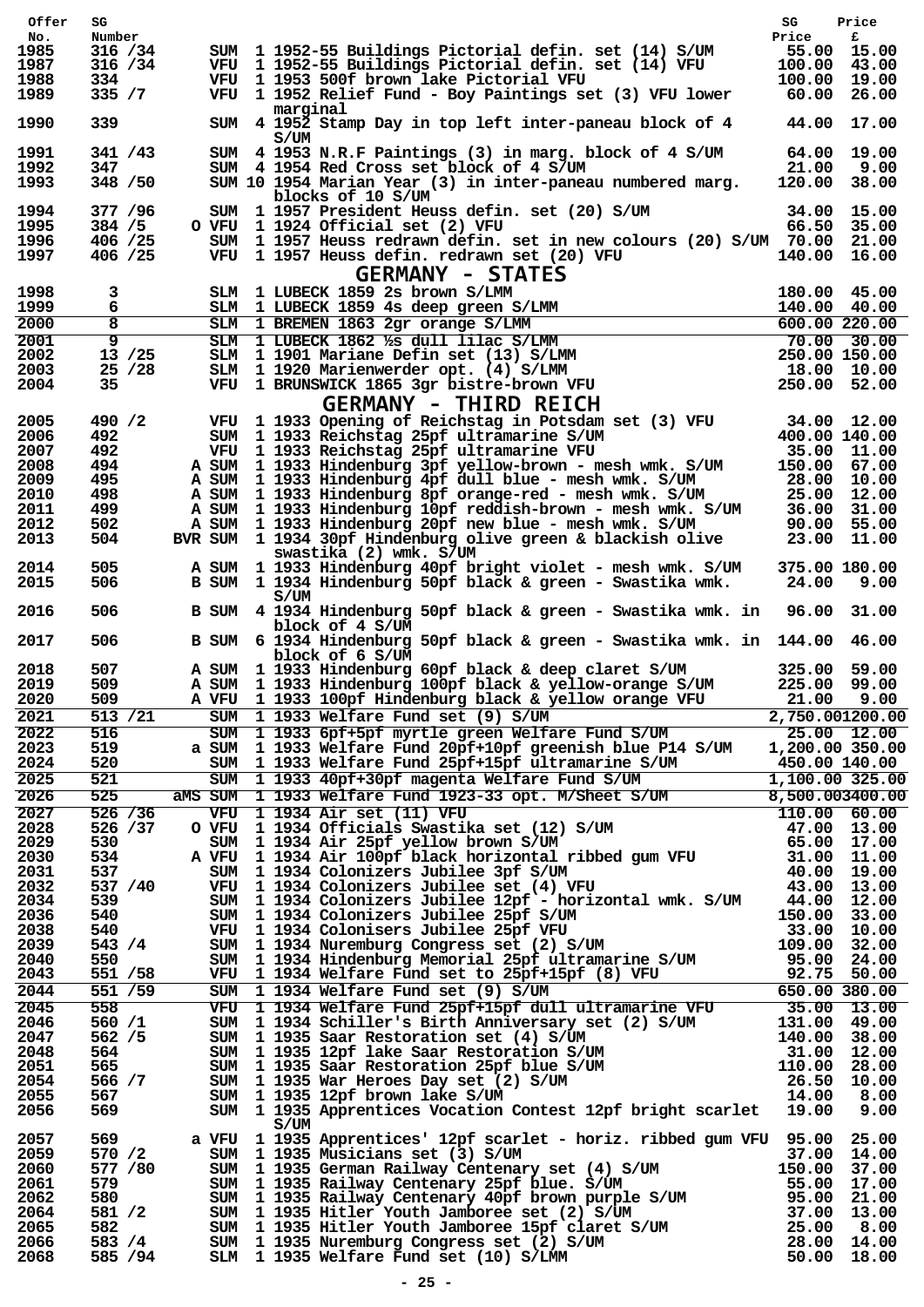| Offer        | SG                 |       |                                                                                                                                                                                                                                                                                                                              | SG                           | Price                      |
|--------------|--------------------|-------|------------------------------------------------------------------------------------------------------------------------------------------------------------------------------------------------------------------------------------------------------------------------------------------------------------------------------|------------------------------|----------------------------|
| No.          | Number             |       |                                                                                                                                                                                                                                                                                                                              | Price                        | £                          |
| 1985         | 316 / 34           |       | SUM 1 1952-55 Buildings Pictorial defin. set (14) S/UM                                                                                                                                                                                                                                                                       |                              | 55.00 15.00                |
| 1987<br>1988 | 316 / 34<br>334    |       | VFU 1 1952-55 Buildings Pictorial defin. set (14) VFU<br>VFU 1 1953 500f brown lake Pictorial VFU                                                                                                                                                                                                                            | 100.00 43.00<br>100.00 19.00 |                            |
| 1989         | 335 / 7            |       | VFU 1 1952 Relief Fund - Boy Paintings set (3) VFU lower                                                                                                                                                                                                                                                                     |                              | 60.00 26.00                |
|              |                    |       | marginal                                                                                                                                                                                                                                                                                                                     |                              |                            |
| 1990         | 339                |       | SUM 4 1952 Stamp Day in top left inter-paneau block of 4                                                                                                                                                                                                                                                                     |                              | 44.00 17.00                |
| 1991         | 341 / 43           |       | S/UM<br>SUM 4 1953 N.R.F Paintings (3) in marg. block of 4 S/UM                                                                                                                                                                                                                                                              |                              | 64.00 19.00                |
| 1992         | 347                |       | SUM 4 1954 Red Cross set block of 4 S/UM                                                                                                                                                                                                                                                                                     |                              | 21.00 9.00                 |
| 1993         | 348 / 50           |       | SUM 10 1954 Marian Year (3) in inter-paneau numbered marg.                                                                                                                                                                                                                                                                   | 120.00 38.00                 |                            |
|              |                    |       | blocks of 10 S/UM                                                                                                                                                                                                                                                                                                            |                              |                            |
| 1994         | 377 / 96           |       | SUM 1 1957 President Heuss defin. set (20) S/UM                                                                                                                                                                                                                                                                              |                              | 34.00 15.00                |
| 1995         | 384 / 5            |       | O VFU 1 1924 Official set (2) VFU                                                                                                                                                                                                                                                                                            |                              | 66.50 35.00                |
| 1996         | 406 /25            |       | SUM 1 1957 Heuss redrawn defin. set in new colours (20) S/UM 70.00 21.00                                                                                                                                                                                                                                                     |                              |                            |
| 1997         | 406 /25            |       | VFU 1 1957 Heuss defin. redrawn set (20) VFU                                                                                                                                                                                                                                                                                 | 140.00 16.00                 |                            |
|              |                    |       | <b>GERMANY - STATES</b>                                                                                                                                                                                                                                                                                                      |                              |                            |
| 1998<br>1999 | 3<br>6             |       | SLM 1 LUBECK 1859 2s brown S/LMM<br>SLM 1 LUBECK 1859 4s deep green S/LMM                                                                                                                                                                                                                                                    | 180.00 45.00<br>140.00 40.00 |                            |
| 2000         | 8                  |       |                                                                                                                                                                                                                                                                                                                              | 600.00220.00                 |                            |
|              | 9                  |       | SLM 1 BREMEN 1863 2gr orange S/LMM                                                                                                                                                                                                                                                                                           |                              |                            |
| 2001<br>2002 | $13 \; / 25$       |       | SLM 1 LUBECK 1862 1/8 dull lilac S/LMM<br>SLM 1 1901 Mariane Defin set (13) S/LMM                                                                                                                                                                                                                                            | 250.00 150.00                | $70.00$ 30.00              |
| 2003         | 25/28              |       | SLM 1 1920 Marienwerder opt. (4) S/LMM                                                                                                                                                                                                                                                                                       | 18.00 10.00                  |                            |
| 2004         | 35                 |       | VFU 1 BRUNSWICK 1865 3gr bistre-brown VFU                                                                                                                                                                                                                                                                                    | 250.00 52.00                 |                            |
|              |                    |       | <b>GERMANY - THIRD REICH</b>                                                                                                                                                                                                                                                                                                 |                              |                            |
| 2005         | 490 / 2            |       | VFU 1 1933 Opening of Reichstag in Potsdam set (3) VFU                                                                                                                                                                                                                                                                       |                              | 34.00 12.00                |
| 2006         | 492                |       | SUM 1 1933 Reichstag 25pf ultramarine S/UM                                                                                                                                                                                                                                                                                   | 400.00 140.00                |                            |
| 2007         | 492                |       | VFU 1 1933 Reichstag 25pf ultramarine VFU                                                                                                                                                                                                                                                                                    |                              | 35.00 11.00                |
| 2008         | 494                |       | A SUM 1 1933 Hindenburg 3pf yellow-brown - mesh wmk. S/UM                                                                                                                                                                                                                                                                    | 150.00 67.00                 |                            |
| 2009         | 495                |       | A SUM 1 1933 Hindenburg 4pf dull blue - mesh wmk. S/UM                                                                                                                                                                                                                                                                       |                              | 28.00 10.00                |
| 2010         | 498                |       | A SUM 1 1933 Hindenburg 8pf orange-red - mesh wmk. S/UM                                                                                                                                                                                                                                                                      |                              | 25.00 12.00                |
| 2011         | 499.               |       | A SUM 1 1933 Hindenburg 10pf reddish-brown - mesh wmk. S/UM                                                                                                                                                                                                                                                                  |                              | 36.00 31.00                |
| 2012<br>2013 | 502.<br>504        | A SUM | 1 1933 Hindenburg 20pf new blue - mesh wmk. S/UM<br>BVR SUM 1 1934 30pf Hindenburg olive green & blackish olive                                                                                                                                                                                                              |                              | 90.00 55.00<br>23.00 11.00 |
|              |                    |       | swastika (2) wmk. S/UM                                                                                                                                                                                                                                                                                                       |                              |                            |
| 2014         | 505                |       | A SUM 1 1933 Hindenburg 40pf bright violet - mesh wmk. S/UM                                                                                                                                                                                                                                                                  | 375.00 180.00                |                            |
| 2015         | 506                |       | B SUM 1 1934 Hindenburg 50pf black & green - Swastika wmk.                                                                                                                                                                                                                                                                   |                              | 24.00 9.00                 |
|              |                    |       | S/UM                                                                                                                                                                                                                                                                                                                         |                              |                            |
| 2016         | 506                |       | B SUM 4 1934 Hindenburg 50pf black & green - Swastika wmk. in 96.00 31.00                                                                                                                                                                                                                                                    |                              |                            |
|              |                    |       | block of 4 S/UM                                                                                                                                                                                                                                                                                                              |                              |                            |
| 2017         | 506                | B SUM | 6 1934 Hindenburg 50pf black & green - Swastika wmk. in 144.00 46.00                                                                                                                                                                                                                                                         |                              |                            |
| 2018         | 507                |       | block of 6 S/UM                                                                                                                                                                                                                                                                                                              |                              | 325.00 59.00               |
| 2019         | 509                |       | A SUM 1 1933 Hindenburg 60pf black & deep claret S/UM<br>A SUM 1 1933 Hindenburg 100pf black & yellow-orange S/UM                                                                                                                                                                                                            | 225.00 99.00                 |                            |
| 2020         | 509                |       | A VFU 1 1933 100pf Hindenburg black & yellow orange VFU                                                                                                                                                                                                                                                                      |                              | 21.00 9.00                 |
| 2021         | 513 / 21           |       | SUM 1 1933 Welfare Fund set (9) S/UM                                                                                                                                                                                                                                                                                         | 2,750.001200.00              |                            |
| 2022         | 516                |       | SUM 1 1933 6pf+5pf myrtle green Welfare Fund S/UM 25.00 12.00                                                                                                                                                                                                                                                                |                              |                            |
| 2023         | 519                |       | a SUM 1 1933 Welfare Fund 20pf+10pf greenish blue P14 S/UM 1,200.00 350.00                                                                                                                                                                                                                                                   |                              |                            |
| 2024         | 520                |       | SUM 1 1933 Welfare Fund 25pf+15pf ultramarine S/UM 450.00 140.00                                                                                                                                                                                                                                                             |                              |                            |
| 2025         | 521                |       | SUM 1 1933 40pf+30pf magenta Welfare Fund S/UM                                                                                                                                                                                                                                                                               |                              | 1,100.00 325.00            |
| 2026         | 525                |       | MMS SUM 1 1933 Welfare Fund 1923-33 opt. M/Sheet S/UM 8,500.003400.00<br>VFU 1 1934 Air set (11) VFU 110.00 60.00<br>SUM 1 1934 Officials Swastika set (12) S/UM 47.00 13.00<br>SUM 1 1934 Air 25pf yellow brown S/UM 65.00 17.00<br>A                                                                                       |                              |                            |
| 2027         | 526 / 36           |       |                                                                                                                                                                                                                                                                                                                              |                              |                            |
| 2028         | 526 /37            |       |                                                                                                                                                                                                                                                                                                                              |                              |                            |
| 2029         | 530                |       |                                                                                                                                                                                                                                                                                                                              |                              |                            |
| 2030         | 534                |       |                                                                                                                                                                                                                                                                                                                              |                              |                            |
| 2031         | 537                |       |                                                                                                                                                                                                                                                                                                                              |                              |                            |
| 2032         | 537 /40            |       |                                                                                                                                                                                                                                                                                                                              |                              |                            |
| 2034         | 539                |       | SUM 1 1934 Colonizers Jubilee 12pf - horizontal wmk. S/UM 44.00 12.00                                                                                                                                                                                                                                                        |                              |                            |
| 2036         | 540                |       |                                                                                                                                                                                                                                                                                                                              |                              |                            |
| 2038         | 540                |       |                                                                                                                                                                                                                                                                                                                              |                              |                            |
| 2039         | 543 / 4            |       |                                                                                                                                                                                                                                                                                                                              |                              |                            |
| 2040<br>2043 | 550<br>551 / 58    |       |                                                                                                                                                                                                                                                                                                                              |                              |                            |
| 2044         | 551 /59            |       |                                                                                                                                                                                                                                                                                                                              |                              |                            |
| 2045         | 558                |       |                                                                                                                                                                                                                                                                                                                              |                              |                            |
| 2046         |                    |       |                                                                                                                                                                                                                                                                                                                              |                              |                            |
|              |                    |       |                                                                                                                                                                                                                                                                                                                              |                              |                            |
|              | 560 /1             |       |                                                                                                                                                                                                                                                                                                                              |                              |                            |
| 2047         | 562 / 5<br>564     |       |                                                                                                                                                                                                                                                                                                                              |                              |                            |
| 2048         | 565                |       |                                                                                                                                                                                                                                                                                                                              |                              |                            |
| 2051<br>2054 | 566 / 7            |       |                                                                                                                                                                                                                                                                                                                              |                              |                            |
| 2055         | 567                |       |                                                                                                                                                                                                                                                                                                                              |                              |                            |
| 2056         | 569                |       | SUM 1 1934 Colonizers Jubilee 12pf - horizontal wmk. $S/\text{UM}$ 14.00 12.00<br>SUM 1 1934 Colonizers Jubilee 25pf $S/\text{UM}$ 150.00 33.00<br>SUM 1 1934 Nuremburg Congress set (2) $S/\text{UM}$ 150.00 33.00<br>SUM 1 1934 Nuremburg Congre<br>SUM 1 1935 Apprentices Vocation Contest 12pf bright scarlet 19.00 9.00 |                              |                            |
|              |                    |       | S/UM                                                                                                                                                                                                                                                                                                                         |                              |                            |
| 2057         | 569                |       | a VFU 1 1935 Apprentices' 12pf scarlet - horiz. ribbed gum VFU 95.00 25.00                                                                                                                                                                                                                                                   |                              |                            |
| 2059         | 570 /2             |       |                                                                                                                                                                                                                                                                                                                              |                              |                            |
| 2060         | 577 / 80           |       |                                                                                                                                                                                                                                                                                                                              |                              |                            |
| 2061         | 579<br>580 -       |       |                                                                                                                                                                                                                                                                                                                              |                              |                            |
| 2062<br>2064 | 581 /2             |       |                                                                                                                                                                                                                                                                                                                              |                              |                            |
| 2065         | 582                |       |                                                                                                                                                                                                                                                                                                                              |                              |                            |
| 2066<br>2068 | 583 / 4<br>585 /94 |       | VFU 1 1935 Apprentices' L2pt scariet - HOLL2, LENGO 37.00 14.00<br>SUM 1 1935 Musicians set (3) S/UM 37.00 14.00<br>SUM 1 1935 Railway Centenary set (4) S/UM 150.00 37.00<br>SUM 1 1935 Railway Centenary 40pf blue. S/UM 55.00 17.                                                                                         |                              |                            |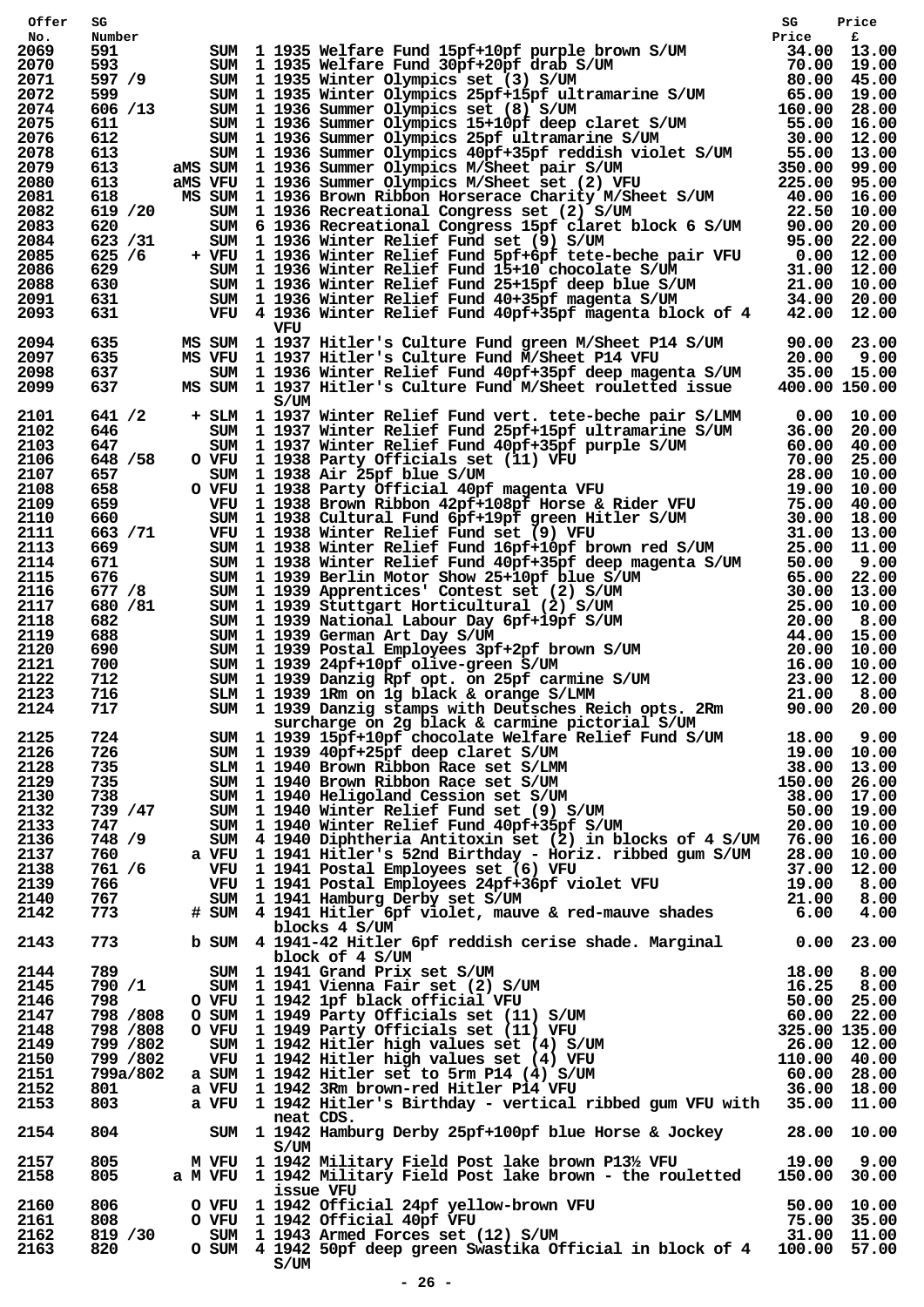| Offer        | SG                | 80<br>Number<br>Soume 11935 Welfare Fund 15pf+10pf purple brown S/UM<br>Frice five<br>593<br>SUM 11935 Welfare Fund 30pf+20pf drab S/UM<br>79.00 13.00<br>597 /9 SUM 11935 Whiter Olympics 25pf +15pf ultramarine S/UM<br>80.00 45.000<br>597                | SG | Price         |
|--------------|-------------------|--------------------------------------------------------------------------------------------------------------------------------------------------------------------------------------------------------------------------------------------------------------|----|---------------|
| No.<br>2069  |                   |                                                                                                                                                                                                                                                              |    |               |
| 2070         |                   |                                                                                                                                                                                                                                                              |    |               |
| 2071         |                   |                                                                                                                                                                                                                                                              |    |               |
| 2072         |                   |                                                                                                                                                                                                                                                              |    |               |
| 2074         |                   |                                                                                                                                                                                                                                                              |    |               |
| 2075         |                   |                                                                                                                                                                                                                                                              |    |               |
| 2076         |                   |                                                                                                                                                                                                                                                              |    |               |
| 2078         |                   |                                                                                                                                                                                                                                                              |    |               |
| 2079         |                   |                                                                                                                                                                                                                                                              |    |               |
| 2080         |                   |                                                                                                                                                                                                                                                              |    |               |
| 2081         |                   |                                                                                                                                                                                                                                                              |    |               |
| 2082         |                   |                                                                                                                                                                                                                                                              |    |               |
| 2083         |                   |                                                                                                                                                                                                                                                              |    |               |
| 2084         |                   |                                                                                                                                                                                                                                                              |    |               |
| 2085<br>2086 |                   |                                                                                                                                                                                                                                                              |    |               |
| 2088         |                   |                                                                                                                                                                                                                                                              |    |               |
| 2091         |                   |                                                                                                                                                                                                                                                              |    |               |
| 2093         |                   |                                                                                                                                                                                                                                                              |    |               |
|              |                   | VFU                                                                                                                                                                                                                                                          |    |               |
| 2094         | 635               | MS SUM 1 1937 Hitler's Culture Fund green M/Sheet P14 S/UM 90.00 23.00<br>MS VFU 1 1937 Hitler's Culture Fund M/Sheet P14 VFU 20.00 9.00<br>SUM 1 1936 Winter Relief Fund 40pf+35pf deep magenta S/UM 35.00 15.00                                            |    |               |
| 2097         | 635               |                                                                                                                                                                                                                                                              |    |               |
| 2098         | 637               |                                                                                                                                                                                                                                                              |    |               |
| 2099         | 637               | MS SUM 1 1937 Hitler's Culture Fund M/Sheet rouletted issue                                                                                                                                                                                                  |    | 400.00 150.00 |
|              |                   | S/UM                                                                                                                                                                                                                                                         |    |               |
| 2101         | 641 / 2           |                                                                                                                                                                                                                                                              |    |               |
| 2102         | 646 —             |                                                                                                                                                                                                                                                              |    |               |
| 2103         | 647 —             |                                                                                                                                                                                                                                                              |    |               |
| 2106         | 648 / 58          |                                                                                                                                                                                                                                                              |    |               |
| 2107         | 657               |                                                                                                                                                                                                                                                              |    |               |
| 2108         | 658<br>659        |                                                                                                                                                                                                                                                              |    |               |
| 2109<br>2110 | 660               |                                                                                                                                                                                                                                                              |    |               |
| 2111         | 663 / 71          |                                                                                                                                                                                                                                                              |    |               |
| 2113         | 669 — 10          |                                                                                                                                                                                                                                                              |    |               |
| 2114         | 671               |                                                                                                                                                                                                                                                              |    |               |
| 2115         | 676               |                                                                                                                                                                                                                                                              |    |               |
| 2116         | 677 /8            |                                                                                                                                                                                                                                                              |    |               |
| 2117         | 680 / 81          |                                                                                                                                                                                                                                                              |    |               |
| 2118         | 682               |                                                                                                                                                                                                                                                              |    |               |
| 2119         | 688               |                                                                                                                                                                                                                                                              |    |               |
| 2120         |                   |                                                                                                                                                                                                                                                              |    |               |
| 2121         | 690<br>700<br>712 |                                                                                                                                                                                                                                                              |    |               |
| 2122         |                   |                                                                                                                                                                                                                                                              |    |               |
| 2123         | 716               |                                                                                                                                                                                                                                                              |    |               |
| 2124         | 717               |                                                                                                                                                                                                                                                              |    |               |
|              |                   | surcharge on 2g black & carmine pictorial S/UM                                                                                                                                                                                                               |    |               |
| 2125         |                   |                                                                                                                                                                                                                                                              |    |               |
| 2126         |                   |                                                                                                                                                                                                                                                              |    |               |
| 2128         |                   |                                                                                                                                                                                                                                                              |    |               |
| 2129         |                   |                                                                                                                                                                                                                                                              |    |               |
| 2130         |                   |                                                                                                                                                                                                                                                              |    |               |
| 2132         |                   |                                                                                                                                                                                                                                                              |    |               |
| 2133         |                   |                                                                                                                                                                                                                                                              |    |               |
| 2136         |                   |                                                                                                                                                                                                                                                              |    |               |
| 2137         |                   |                                                                                                                                                                                                                                                              |    |               |
| 2138         |                   |                                                                                                                                                                                                                                                              |    |               |
| 2139         |                   |                                                                                                                                                                                                                                                              |    |               |
| 2140         |                   |                                                                                                                                                                                                                                                              |    |               |
| 2142         |                   | The surcharge on 2g black & carmine pictorial S/UM<br>T24 Surcharge on 2g black & carmine pictorial S/UM<br>T26 SUM 1 1939 40pf+25pf deep claret S/UM<br>T35 SLM 1 1940 Brown Ribbon Race set S/LMM<br>T35 SUM 1 1940 Brown Ribbon Ra                        |    |               |
|              |                   | blocks 4 S/UM                                                                                                                                                                                                                                                |    |               |
| 2143         |                   | 773 b SUM 4 1941-42 Hitler 6pf reddish cerise shade. Marginal 0.00 23.00                                                                                                                                                                                     |    |               |
|              |                   |                                                                                                                                                                                                                                                              |    |               |
| 2144         |                   |                                                                                                                                                                                                                                                              |    |               |
| 2145         |                   |                                                                                                                                                                                                                                                              |    |               |
| 2146         |                   |                                                                                                                                                                                                                                                              |    |               |
| 2147         |                   |                                                                                                                                                                                                                                                              |    |               |
| 2148         |                   |                                                                                                                                                                                                                                                              |    |               |
| 2149<br>2150 |                   |                                                                                                                                                                                                                                                              |    |               |
| 2151         |                   |                                                                                                                                                                                                                                                              |    |               |
| 2152         |                   |                                                                                                                                                                                                                                                              |    |               |
| 2153         |                   |                                                                                                                                                                                                                                                              |    |               |
|              |                   | 0 30 30 4 1941 Grand Prix set S/UM<br>18.00 8.00<br>18.00 8.00<br>18.00 8.00<br>18.00 8.00<br>18.00 8.00<br>198 9 80 0 VFU 1941 Vienna Fair set (2) S/UM<br>1962 56.00<br>198 9 80 0 VFU 11949 Party Officials set (11) S/UM<br>199 800 0 VFU 1<br>neat CDS. |    |               |
| 2154         | 804               | SUM 1 1942 Hamburg Derby 25pf+100pf blue Horse & Jockey 28.00 10.00                                                                                                                                                                                          |    |               |
|              |                   | S/UM                                                                                                                                                                                                                                                         |    |               |
| 2157         | 805               | M VFU 1 1942 Military Field Post lake brown P13½ VFU 19.00 9.00<br>a M VFU 1 1942 Military Field Post lake brown - the rouletted 150.00 30.00                                                                                                                |    |               |
| 2158         | 805               |                                                                                                                                                                                                                                                              |    |               |
|              |                   | issue VFU                                                                                                                                                                                                                                                    |    |               |
| 2160         | 806               | 0 VFU 1 1942 Official 24pf yellow-brown VFU 50.00 10.00<br>0 VFU 1 1942 Official 40pf VFU 75.00 35.00<br>SUM 1 1943 Armed Forces set (12) S/UM 31.00 11.00                                                                                                   |    |               |
| 2161         | 808               |                                                                                                                                                                                                                                                              |    |               |
| 2162         | 819 / 30          | O SUM 4 1942 50pf deep green Swastika Official in block of 4 100.00 57.00                                                                                                                                                                                    |    |               |
| 2163         | 820               | S/UM                                                                                                                                                                                                                                                         |    |               |
|              |                   |                                                                                                                                                                                                                                                              |    |               |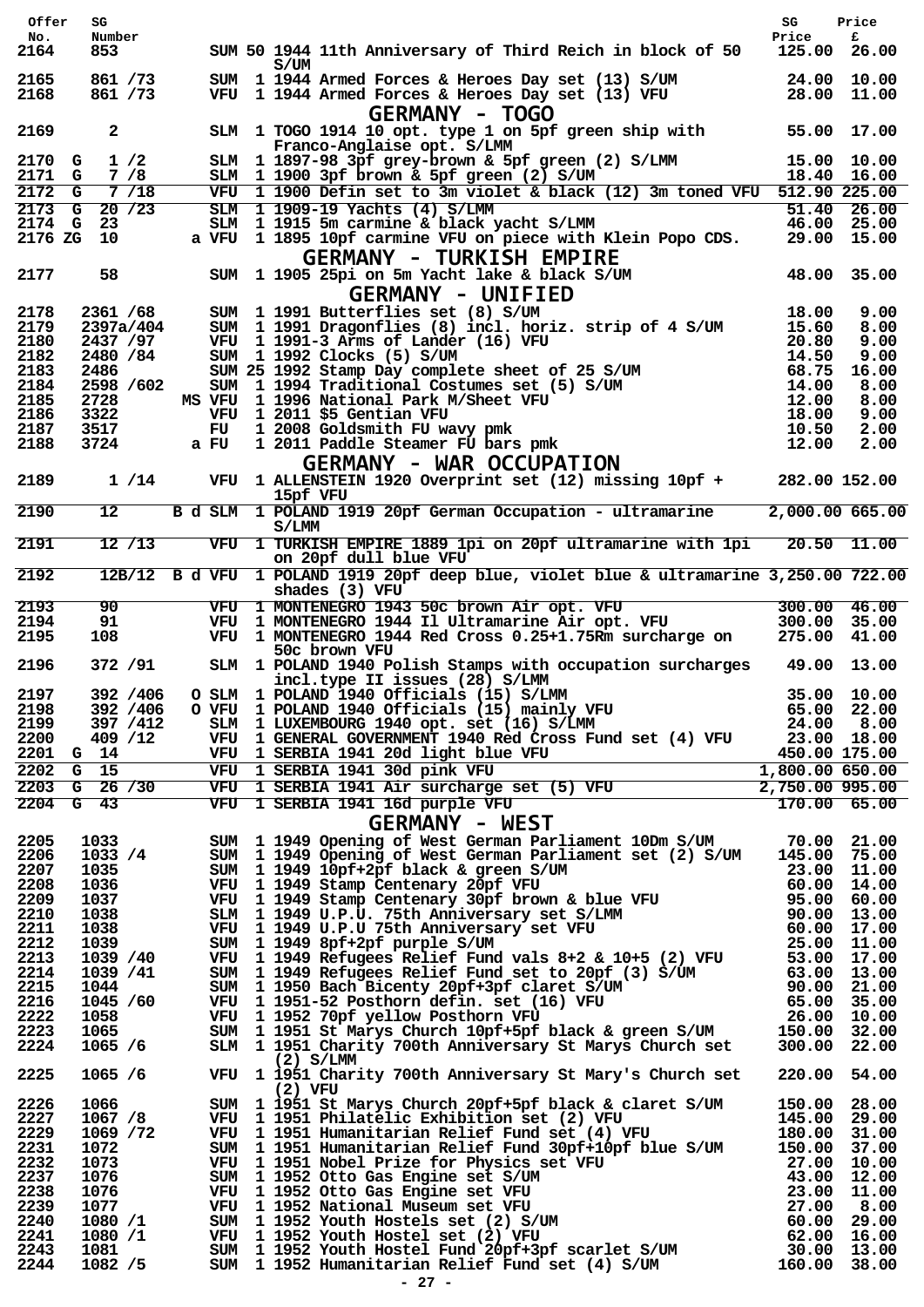| Offer          | SG                   |      |                                                                                                                                                                                                                                                 | SG                           | Price         |
|----------------|----------------------|------|-------------------------------------------------------------------------------------------------------------------------------------------------------------------------------------------------------------------------------------------------|------------------------------|---------------|
| No.<br>2164    | Number<br>853        |      | SUM 50 1944 11th Anniversary of Third Reich in block of 50                                                                                                                                                                                      | Price<br>125.00 26.00        | £             |
|                |                      |      | S/UM                                                                                                                                                                                                                                            |                              |               |
| 2165<br>2168   | 861 / 73<br>861 / 73 |      | SUM 1 1944 Armed Forces & Heroes Day set (13) S/UM<br>VFU 1 1944 Armed Forces & Heroes Day set (13) VFU<br><b>GERMANY - TOGO</b>                                                                                                                | 24.00 10.00                  | 28.00 11.00   |
| 2169           | $\mathbf{2}$         |      | SLM 1 TOGO 1914 10 opt. type 1 on 5pf green ship with<br>Franco-Anglaise opt. S/LMM                                                                                                                                                             | 55.00 17.00                  |               |
| 2170 G<br>2171 | 1/2<br>7/8<br>G      |      | SLM 1 1897-98 3pf grey-brown & 5pf green (2) S/LMM<br>SLM 1 1900 3pf brown & 5pf green (2) S/UM                                                                                                                                                 | 15.00 10.00<br>18.40 16.00   |               |
| 2172           | G<br>7/18            |      | VFU 1 1900 Defin set to 3m violet & black (12) 3m toned VFU 512.90 225.00                                                                                                                                                                       |                              |               |
| 2173           | 20/23<br>G           |      | SLM 1 1909-19 Yachts (4) S/LMM                                                                                                                                                                                                                  |                              | $51.40$ 26.00 |
| 2174           | G<br>23              |      | SLM 1 1915 5m carmine & black yacht S/LMM                                                                                                                                                                                                       | 46.00 25.00                  |               |
|                | 2176 ZG 10           |      | a VFU 1 1895 10pf carmine VFU on piece with Klein Popo CDS.<br><b>GERMANY - TURKISH EMPIRE</b>                                                                                                                                                  |                              | 29.00 15.00   |
| 2177           | 58                   |      | SUM 1 1905 25pi on 5m Yacht lake & black S/UM<br><b>GERMANY - UNIFIED</b>                                                                                                                                                                       | 48.00 35.00                  |               |
| 2178           | 2361 /68             |      | SUM 1 1991 Butterflies set (8) S/UM                                                                                                                                                                                                             | 18.00                        | 9.00          |
| 2179           | 2397a/404            |      | SUM 1 1991 Dragonflies (8) incl. horiz. strip of 4 S/UM                                                                                                                                                                                         | 15.60                        | 8.00          |
| 2180           | 2437 /97             |      | VFU 1 1991-3 Arms of Lander (16) VFU                                                                                                                                                                                                            | 20.80                        | 9.00          |
| 2182           | 2480 / 84            |      | VFU 1 1991-3 Arms of Lander (16) VFU<br>SUM 1 1992 Clocks (5) S/UM<br>SUM 25 1992 Stamp Day complete sheet of 25 S/UM<br>SUM 1 1994 Traditional Costumes set (5) S/UM<br>MS VFU 1 1996 National Park M/Sheet VFU<br>VFU 1 2011 \$5 Gentia       | 14.50                        | 9.00          |
| 2183           | 2486                 |      |                                                                                                                                                                                                                                                 | 68.75                        | 16.00         |
| 2184           | 2598 / 602           |      |                                                                                                                                                                                                                                                 | 14.00                        | 8.00          |
| 2185<br>2186   | 2728<br>3322         |      |                                                                                                                                                                                                                                                 | 12.00<br>18.00               | 8.00<br>9.00  |
| 2187           | 3517                 |      |                                                                                                                                                                                                                                                 | 10.50                        | 2.00          |
| 2188           | 3724                 | a FU | 1 2011 Paddle Steamer FU bars pmk                                                                                                                                                                                                               | 12.00                        | 2.00          |
|                |                      |      | <b>GERMANY - WAR OCCUPATION</b>                                                                                                                                                                                                                 |                              |               |
| 2189           | 1 / 14               |      | VFU 1 ALLENSTEIN 1920 Overprint set (12) missing 10pf +                                                                                                                                                                                         | 282.00 152.00                |               |
| 2190           | 12 <sup>12</sup>     |      | 15pf VFU<br>B d SLM 1 POLAND 1919 20pf German Occupation - ultramarine                                                                                                                                                                          | 2,000.00 665.00              |               |
|                |                      |      | S/LMM                                                                                                                                                                                                                                           |                              |               |
| 2191           | 12/13                |      | VFU 1 TURKISH EMPIRE 1889 1pi on 20pf ultramarine with 1pi<br>on 20pf dull blue VFU                                                                                                                                                             |                              | 20.50 11.00   |
| 2192           |                      |      | 12B/12 B d VFU 1 POLAND 1919 20pf deep blue, violet blue & ultramarine 3,250.00 722.00<br>shades (3) VFU                                                                                                                                        |                              |               |
| 2193           | 90                   |      | VFU 1 MONTENEGRO 1943 50c brown Air opt. VFU                                                                                                                                                                                                    | $300.00$ $46.00$             |               |
| 2194<br>2195   | 91<br>108            |      | VFU 1 MONTENEGRO 1944 Il Ultramarine Air opt. VFU<br>VFU 1 MONTENEGRO 1944 Red Cross 0.25+1.75Rm surcharge on                                                                                                                                   | 300.00 35.00<br>275.00 41.00 |               |
|                |                      |      | 50c brown VFU                                                                                                                                                                                                                                   |                              |               |
| 2196           | 372 / 91             |      | SLM 1 POLAND 1940 Polish Stamps with occupation surcharges<br>incl.type II issues (28) S/LMM                                                                                                                                                    | 49.00 13.00                  |               |
| 2197           | 392 /406             |      | O SLM 1 POLAND 1940 Officials (15) S/LMM                                                                                                                                                                                                        |                              | 35.00 10.00   |
| 2198           |                      |      |                                                                                                                                                                                                                                                 |                              |               |
| 2199           |                      |      | 392 /406 0 VFU 1 POLAND 1940 Officials (15) mainly VFU 65.00 22.00<br>397 /412 SLM 1 LUXEMBOURG 1940 opt. set (16) S/LMM 24.00 8.00<br>409 /12 VFU 1 GENERAL GOVERNMENT 1940 Red Cross Fund set (4) VFU 23.00 18.00                             |                              |               |
| 2200           | 409 /12              |      |                                                                                                                                                                                                                                                 |                              |               |
|                |                      |      |                                                                                                                                                                                                                                                 |                              |               |
|                |                      |      |                                                                                                                                                                                                                                                 |                              |               |
|                |                      |      |                                                                                                                                                                                                                                                 |                              |               |
|                |                      |      | 2202 G 15 VFU 1 SERBIA 1941 20d light blue VFU 450.00 175.00<br>2202 G 15 VFU 1 SERBIA 1941 30d pink VFU 1,800.00 650.00<br>2203 G 26 /30 VFU 1 SERBIA 1941 Air surcharge set (5) VFU 2,750.00 995.00<br>2204 G 43 VFU 1 SERBIA 1941            |                              |               |
| 2205           | 1033                 |      | SUM 1 1949 Opening of West German Parliament 10Dm S/UM 70.00 21.00                                                                                                                                                                              |                              |               |
| 2206           | 1033 / 4             |      | SUM 1 1949 Opening of West German Parliament set (2) S/UM 145.00 75.00                                                                                                                                                                          |                              |               |
| 2207           | 1035                 |      |                                                                                                                                                                                                                                                 |                              |               |
| 2208           | 1036                 |      |                                                                                                                                                                                                                                                 |                              |               |
| 2209           | 1037                 |      |                                                                                                                                                                                                                                                 |                              |               |
| 2210           | 1038                 |      |                                                                                                                                                                                                                                                 |                              |               |
| 2211<br>2212   | 1038<br>1039         |      |                                                                                                                                                                                                                                                 |                              |               |
| 2213           | 1039 /40             |      |                                                                                                                                                                                                                                                 |                              |               |
| 2214           | 1039 /41             |      |                                                                                                                                                                                                                                                 |                              |               |
| 2215           | 1044                 |      |                                                                                                                                                                                                                                                 |                              |               |
| 2216           | 1045 /60             |      |                                                                                                                                                                                                                                                 |                              |               |
| 2222           | 1058                 |      |                                                                                                                                                                                                                                                 |                              |               |
| 2223           | 1065                 |      | SUM 1 1949 Opening of West German Parliament set (2) S/UM 145.00 75.00<br>SUM 1 1949 Opening Of West & green S/UM<br>VFU 1 1949 Stamp Centenary 20pf VFU<br>VFU 1 1949 Stamp Centenary 20pf VFU<br>VFU 1 1949 Stamp Centenary 30pf bro          |                              |               |
| 2224           | 1065 / 6             |      | $(2)$ S/LMM                                                                                                                                                                                                                                     |                              |               |
| 2225           | 1065 / 6             |      | VFU 1 1951 Charity 700th Anniversary St Mary's Church set<br>$(2)$ VFU                                                                                                                                                                          | 220.00 54.00                 |               |
| 2226           | 1066 10              |      | SUM 1 1951 St Marys Church 20pf+5pf black & claret S/UM                                                                                                                                                                                         | 150.00 28.00                 |               |
| 2227           | 1067 /8              |      |                                                                                                                                                                                                                                                 |                              |               |
| 2229           | 1069 /72             |      |                                                                                                                                                                                                                                                 |                              |               |
| 2231           | 1072                 |      |                                                                                                                                                                                                                                                 |                              |               |
|                |                      |      |                                                                                                                                                                                                                                                 |                              |               |
| 2232           | 1073                 |      |                                                                                                                                                                                                                                                 |                              |               |
| 2237           | 1076                 |      |                                                                                                                                                                                                                                                 |                              |               |
| 2238<br>2239   | 1076<br>1077         |      |                                                                                                                                                                                                                                                 |                              |               |
| 2240           | 1080 /1              |      |                                                                                                                                                                                                                                                 |                              |               |
| 2241           | 1080 / 1             |      |                                                                                                                                                                                                                                                 |                              |               |
| 2243           | 1081                 |      |                                                                                                                                                                                                                                                 |                              |               |
| 2244           | 1082 /5              |      | SUM 1951 St Marys Church 20pf+5pf black & claret S/UM 150.00 28.00<br>VFU 1951 Philatelic Exhibition set (2) VFU 145.00 29.00<br>VFU 1951 Humanitarian Relief Fund set (4) VFU 180.00 31.00<br>SUM 1952 Otto Gas Engine set S/UM 43.<br>$-27 -$ |                              |               |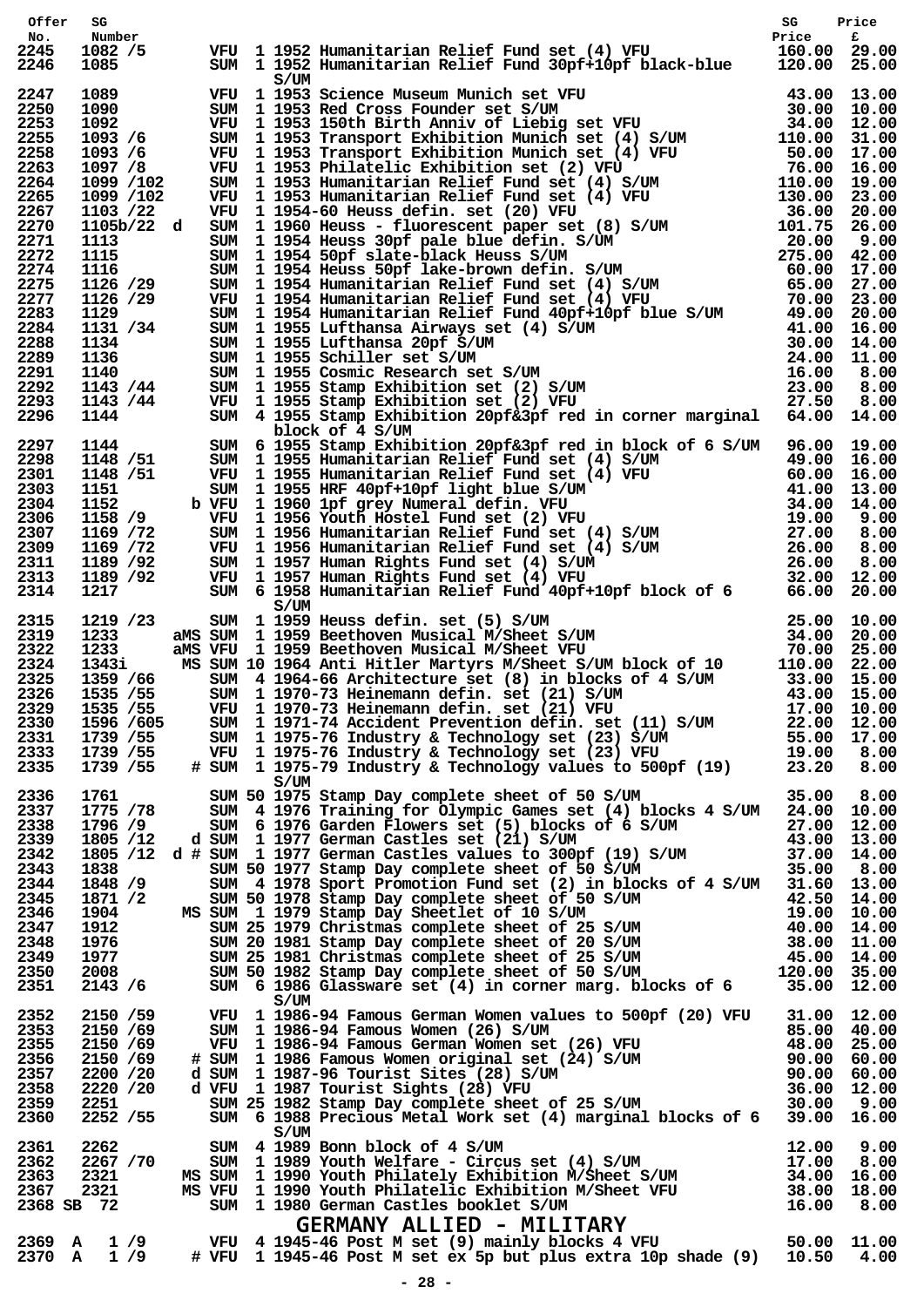| Offer                                                                                                        | SG                                                                                                                               |      |                                                                                                                                                                                                                                                                                                                                                                                                                                                                                                                                                                                                                         |  |  |
|--------------------------------------------------------------------------------------------------------------|----------------------------------------------------------------------------------------------------------------------------------|------|-------------------------------------------------------------------------------------------------------------------------------------------------------------------------------------------------------------------------------------------------------------------------------------------------------------------------------------------------------------------------------------------------------------------------------------------------------------------------------------------------------------------------------------------------------------------------------------------------------------------------|--|--|
| No.<br>2245<br>2246                                                                                          | Number<br>1082 / 5<br>1085                                                                                                       | S/UM | SG Price<br>VFU 1 1952 Humanitarian Relief Fund set (4) VFU Price f<br>SUM 1 1952 Humanitarian Relief Fund 30pf+10pf black-blue 120.00 25.00                                                                                                                                                                                                                                                                                                                                                                                                                                                                            |  |  |
| 2247<br>2250<br>2253<br>2255<br>2258<br>2263<br>2264                                                         |                                                                                                                                  |      |                                                                                                                                                                                                                                                                                                                                                                                                                                                                                                                                                                                                                         |  |  |
| 2265<br>2267<br>2270<br>2271<br>2272<br>2274<br>2275                                                         |                                                                                                                                  |      |                                                                                                                                                                                                                                                                                                                                                                                                                                                                                                                                                                                                                         |  |  |
| 2277<br>2283<br>2284<br>2288<br>2289<br>2291<br>2292                                                         |                                                                                                                                  |      |                                                                                                                                                                                                                                                                                                                                                                                                                                                                                                                                                                                                                         |  |  |
| 2293<br>2296                                                                                                 |                                                                                                                                  |      |                                                                                                                                                                                                                                                                                                                                                                                                                                                                                                                                                                                                                         |  |  |
| 2297<br>2298<br>2301<br>2303<br>2304<br>2306<br>2307<br>2309<br>2311<br>2313<br>2314                         |                                                                                                                                  |      | 1026 / 1031 2022 and the pair of the continent in Relief Pand Super 1992 1113 2021 00 117.03 26.00 10.00 12.00 12.00 12.00 12.00 12.00 12.00 12.00 12.00 12.00 12.00 12.00 12.00 12.00 12.00 12.00 12.00 12.00 12.00 12.00 12                                                                                                                                                                                                                                                                                                                                                                                           |  |  |
| 2315<br>2319<br>2322<br>2324<br>2325<br>2326<br>2330<br>2331<br>2333<br>2335                                 | 1219 /23<br>1233<br>1233<br>1343i<br>1359 /66<br>1535 / 55<br>2329 1535 / 55<br>1596 /605<br>1739 / 55<br>1739 / 55<br>1739 / 55 | S/UM | VFU 11970-73 Heinemann defin. Set (21) VFU 17.00 10.00<br>SUM 11971-74 Accident Prevention defin. set (11) S/UM 22.00 12.00<br>SUM 11975-76 Industry & Technology set (23) S/UM 55.00 17.00<br>VFU 11975-76 Industry & Technology se                                                                                                                                                                                                                                                                                                                                                                                    |  |  |
| 2336<br>2337<br>2338<br>2339<br>2342<br>2343<br>2344<br>2345<br>2346<br>2347<br>2348<br>2349<br>2350<br>2351 | 1761 - 17<br>1775 /78<br>1871 /2<br>1904<br>1912<br>1976<br>1977<br>2008<br>2143 / 6                                             | S/UM | SUM 50 1975 Stamp Day complete sheet of 50 S/UM 35.00 3.00<br>SUM 4 1976 Training for Olympic Games set (4) blocks 4 S/UM 24.00 10.00<br>1796/9 SUM 6 1976 Garden Flowers set (4) DIOCKS 4 S/04 27.00 10:00<br>1805/12 d SUM 1 1977 German Castles set (21) S/UM 43.00 13.00<br>1805/12 d # SUM 1 1977 German Castles values to 300pf (19) S/UM 43.00 13.00<br>1838 SUM 50 1977<br>SUM 4 1978 Sport Promotion Fund set (2) In Diocks of 4 S/UM 31.00 13.00<br>SUM 50 1978 Stamp Day complete sheet of 50 S/UM 42.50 14.00<br>SUM 25 1979 Christmas complete sheet of 25 S/UM 40.00 14.00<br>SUM 20 1981 Stamp Day compl |  |  |
| 2352<br>2353<br>2355<br>2356<br>2357<br>2358<br>2359<br>2360                                                 | 2150 /59<br>2150 /69<br>2150 /69<br>2150 /69<br>2200 / 20<br>2220 / 20<br>2251<br>2252 / 55                                      |      | VFU 1 1986-94 Famous German Women values to 500pf (20) VFU 31.00 12.00<br>90.00 60.00<br>SUM 1 1986-94 Famous Women (26) S/UM<br>WFU 1 1986-94 Famous German Women set (26) VFU 48.00 25.00<br># SUM 1 1986 Famous Women original set (24) S/UM<br>48.00 25.00<br>48.00 25.00<br>48.00 25.00<br>48.00 25.00<br>48.00 25.                                                                                                                                                                                                                                                                                                |  |  |
| 2361<br>2362<br>2363<br>2367                                                                                 | 2262<br>2267 / 70<br>2321<br>2321<br>2368 SB 72                                                                                  | S/UM | S/UM<br>SUM 4 1989 Bonn block of 4 S/UM<br>SUM 11989 Youth Welfare - Circus set (4) S/UM<br>MS SUM 11990 Youth Philately Exhibition M/Sheet S/UM<br>MS VFU 11990 Youth Philatelic Exhibition M/Sheet VFU<br>SUM 11980 German Castles boo                                                                                                                                                                                                                                                                                                                                                                                |  |  |
|                                                                                                              | $2369$ A 1/9<br>$2370 \quad A \quad 1/9$                                                                                         |      |                                                                                                                                                                                                                                                                                                                                                                                                                                                                                                                                                                                                                         |  |  |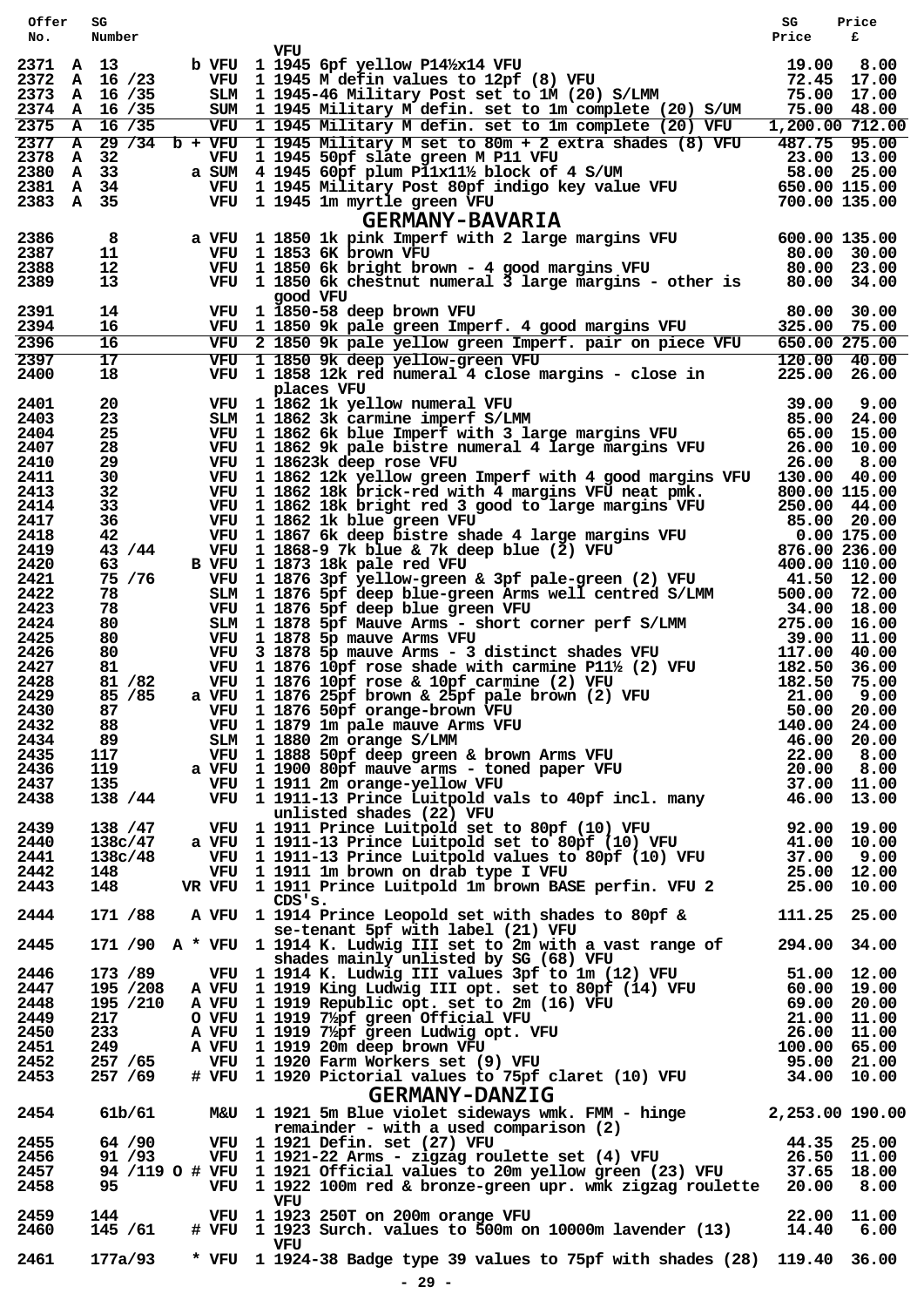| Offer<br>No.        | SG<br>Number         |                                                                                                                                                                                                                                                                   | SG<br>Price                       | Price<br>£                 |
|---------------------|----------------------|-------------------------------------------------------------------------------------------------------------------------------------------------------------------------------------------------------------------------------------------------------------------|-----------------------------------|----------------------------|
|                     |                      | VFU                                                                                                                                                                                                                                                               |                                   |                            |
| 2371 A 13           | 2372 A 16 /23        | VFU 1 1945 6pf yellow P14½x14 VFU<br>VFU 1 1945 M defin values to 12pf (8) VFU<br>SLM 1 1945-46 Military Post set to 1M (20) S/LMM<br>b VFU 1 1945 6pf yellow P141/x14 VFU                                                                                        | 19.00 8.00<br>72.45 17.00         |                            |
|                     | 2373 A 16 /35        |                                                                                                                                                                                                                                                                   | 75.00 17.00                       |                            |
|                     | 2374 A 16 /35        | SUM 1 1945 Military M defin. set to 1m complete (20) S/UM                                                                                                                                                                                                         |                                   | 75.00 48.00                |
|                     | 2375 A 16 /35        | VFU 1 1945 Military M defin. set to 1m complete (20) VFU<br>$2377$ A 29 /34 b + VFU 1 1945 Military M set to 80m + 2 extra shades (8) VFU                                                                                                                         | $1,200.00$ 712.00<br>487.75 95.00 |                            |
| 2378                | A<br>32              | VFU 1 1945 50pf slate green M P11 VFU                                                                                                                                                                                                                             | 23.00 13.00                       |                            |
| 2380 A 33           |                      | a SUM $4$ 1945 60pf plum P11x11½ block of 4 S/UM                                                                                                                                                                                                                  |                                   |                            |
| 2381 A<br>2383 A 35 | 34                   |                                                                                                                                                                                                                                                                   |                                   |                            |
|                     |                      | SUM 4 1945 50pH state green $M = 11$ vFO<br>SUM 4 1945 60pf plum P11x11½ block of 4 S/UM 58.00 25.00<br>VFU 1 1945 Military Post 80pf indigo key value VFU 650.00 115.00<br>VFU 1 1945 1m myrtle green VFU 700.00 135.00<br>GERMANY-BAV<br><b>GERMANY-BAVARIA</b> |                                   |                            |
| 2386                | 8                    |                                                                                                                                                                                                                                                                   |                                   |                            |
| 2387                | 11                   |                                                                                                                                                                                                                                                                   |                                   |                            |
| 2388                | $12 \,$              | a VFU 1 1850 1k pink Imperf with 2 large margins VFU 600.00 135.00<br>VFU 1 1853 6K brown VFU 80.00 30.00<br>VFU 1 1850 6k bright brown - 4 good margins VFU 80.00 23.00<br>VFU 1 1850 6k bright brown - 4 good margins VFU 80.00 23                              |                                   |                            |
| 2389                | 13                   | VFU 1 1850 6k chestnut numeral 3 large margins - other is<br>good VFU                                                                                                                                                                                             | 80.00                             | 34.00                      |
| 2391                | 14                   | VFU 1 1850-58 deep brown VFU                                                                                                                                                                                                                                      | 80.00 30.00                       |                            |
| 2394                | 16                   | VFU 1 1850 9k pale green Imperf. 4 good margins VFU                                                                                                                                                                                                               | 325.00 75.00                      |                            |
| 2396<br>2397        | 16<br>17             | VFU 2 1850 9k pale yellow green Imperf. pair on piece VFU<br>VFU 1 1850 9k deep yellow-green VFU                                                                                                                                                                  | 650.00 275.00<br>120.00 40.00     |                            |
| 2400                | 18                   | VFU 1 1858 12k red numeral 4 close margins - close in                                                                                                                                                                                                             | 225.00                            | 26.00                      |
|                     |                      | places VFU                                                                                                                                                                                                                                                        |                                   |                            |
| 2401<br>2403        | 20<br>23             | VFU 1 1862 1k yellow numeral VFU<br>SLM 1 1862 3k carmine imperf S/LMM<br>VFU 1 1862 6k blue Imperf with 3 large margins VFU                                                                                                                                      | 39.00<br>85.00                    | 9.00<br>24.00              |
| 2404                | 25                   |                                                                                                                                                                                                                                                                   | 65.00 15.00                       |                            |
| 2407                | 28                   | VFU 1 1862 9k pale bistre numeral 4 large margins VFU                                                                                                                                                                                                             | 26.00 10.00                       |                            |
| 2410<br>2411        | 29<br>30             | VFU 1 18623k deep rose VFU<br>VFU 1 1862 12k yellow green Imperf with 4 good margins VFU                                                                                                                                                                          | 26.00<br>130.00 40.00             | 8.00                       |
| 2413                | 32                   | VFU 1 1862 18k brick-red with 4 margins VFU neat pmk.                                                                                                                                                                                                             | 800.00 115.00                     |                            |
| 2414                | 33                   | VFU 1 1862 18k bright red 3 good to large margins VFU                                                                                                                                                                                                             | 250.00 44.00                      |                            |
| 2417<br>2418        | 36<br>42             | VFU 1 1862 1k blue green VFU<br>VFU 1 1867 6k deep bistre shade 4 large margins VFU                                                                                                                                                                               | 85.00 20.00<br>0.00 175.00        |                            |
| 2419                | 43 / 44              | VFU 1 1868-9 7k blue & 7k deep blue $(2)$ VFU                                                                                                                                                                                                                     | 876.00 236.00                     |                            |
| 2420                | 63                   | B VFU 1 1873 18k pale red VFU                                                                                                                                                                                                                                     | 400.00 110.00                     |                            |
| 2421<br>2422        | 75 / 76<br>78        | VFU 1 1876 3pf yellow-green & 3pf pale-green (2) VFU<br>SLM 1 1876 5pf deep blue-green Arms well centred S/LMM                                                                                                                                                    | 41.50 12.00<br>500.00 72.00       |                            |
| 2423                | 78                   | VFU 1 1876 5pf deep blue green VFU                                                                                                                                                                                                                                | 34.00 18.00                       |                            |
| 2424                | 80                   | SLM 1 1878 5pf Mauve Arms - short corner perf S/LMM                                                                                                                                                                                                               | 275.00 16.00                      |                            |
| 2425<br>2426        | 80<br>80             | VFU 1 1878 5p mauve Arms VFU                                                                                                                                                                                                                                      | 39.00 11.00<br>117.00             | 40.00                      |
| 2427                | 81                   | VFU 3 1878 5p mauve Arms - 3 distinct shades VFU 117.00<br>VFU 1 1876 10pf rose shade with carmine P11½ (2) VFU 182.50                                                                                                                                            |                                   | 36.00                      |
| 2428                | 81 / 82              |                                                                                                                                                                                                                                                                   | 182.50                            | 75.00                      |
| 2429<br>2430        | 85 / 85<br>87        | VFU 1 1876 10pf rose & 10pf carmine (2) VFU<br>a VFU 1 1876 25pf brown & 25pf pale brown (2) VFU<br>VFU 1 1876 50pf orange-brown VFU                                                                                                                              | 21.00<br>50.00 20.00              | 9.00                       |
| 2432                | 88                   | VFU 1 1876 50pf orange-brown VFU                                                                                                                                                                                                                                  |                                   |                            |
| 2434                | 89                   |                                                                                                                                                                                                                                                                   |                                   |                            |
| 2435<br>2436        | 117<br>119           |                                                                                                                                                                                                                                                                   |                                   |                            |
| 2437                | 135                  |                                                                                                                                                                                                                                                                   |                                   |                            |
| 2438                | 138 / 44             | VFU 1 1879 Im pale mauve Arms VFU 50.00 20.00<br>SLM 1 1880 2m orange S/LMM 46.00 20.00<br>VFU 1 1888 50pf deep green & brown Arms VFU 22.00 8.00<br>A VFU 1 1900 80pf mauve arms - toned paper VFU 20.00 8.00<br>VFU 1 1911 2m orange                            |                                   |                            |
| 2439                | 138 / 47             | unlisted shades (22) VFU<br>VFU 1 1911 Prince Luitpold set to 80pf (10) VFU 92.00 19.00                                                                                                                                                                           |                                   |                            |
| 2440                | 138c/47              | a VFU $\frac{1}{1}$ 1911-13 Prince Luitpold set to 80pf (10) VFU 41.00 10.00                                                                                                                                                                                      |                                   |                            |
| 2441                | 138c/48              |                                                                                                                                                                                                                                                                   |                                   |                            |
| 2442<br>2443        | 148<br>148           | VFU 1 1911-13 Prince Luitpold values to 80pf (10) VFU 37.00 9.00<br>VFU 1 1911 Im brown on drab type I VFU 25.00 12.00<br>VFU 1 1911 Prince Luitpold 1m brown BASE perfin. VFU 2 25.00 10.00<br>VR VFU 1 1911 Prince Luitpold 1m brown BASE perfin. VFU 2         |                                   |                            |
|                     |                      | CDS'S.                                                                                                                                                                                                                                                            |                                   |                            |
| 2444                | 171 /88              | A VFU 1 1914 Prince Leopold set with shades to 80pf & 111.25 25.00                                                                                                                                                                                                |                                   |                            |
| 2445                |                      | se-tenant 5pf with label (21) VFU<br>171 /90 A * VFU 1 1914 K. Ludwig III set to 2m with a vast range of                                                                                                                                                          | 294.00 34.00                      |                            |
|                     |                      | shades mainly unlisted by SG (68) VFU                                                                                                                                                                                                                             |                                   |                            |
| 2446                | 173 /89              | VFU 1 1914 K. Ludwig III values 3pf to 1m (12) VFU 51.00 12.00                                                                                                                                                                                                    |                                   |                            |
| 2447<br>2448        | 195 /208             |                                                                                                                                                                                                                                                                   |                                   |                            |
| 2449                | 195 /210<br>217      | A VFU 1 1919 Republic opt. set to 2m (16) VFU 69.00 20.00<br>O VFU 1 1919 7/ <sub>2</sub> pf green Official VFU 21.00 11.00<br>A VFU 1 1919 7/ <sub>2</sub> pf green Ludwig opt. VFU 26.00 11.00<br>A VFU 1 1919 20m deep brown VFU 26.00 11.00<br>A VFU 1 1      |                                   |                            |
| 2450                | 233                  |                                                                                                                                                                                                                                                                   |                                   |                            |
| 2451                | 249                  |                                                                                                                                                                                                                                                                   |                                   |                            |
| 2452<br>2453        | 257 / 65<br>257 / 69 |                                                                                                                                                                                                                                                                   |                                   |                            |
|                     |                      | <b>GERMANY-DANZIG</b>                                                                                                                                                                                                                                             |                                   |                            |
| 2454                | 61b/61               | M&U 1 1921 5m Blue violet sideways wmk. FMM - hinge 2,253.00 190.00                                                                                                                                                                                               |                                   |                            |
|                     |                      | remainder - with a used comparison (2)                                                                                                                                                                                                                            |                                   |                            |
| 2455                | 64 / 90<br>91 /93    | VFU 1 1921 Defin. set (27) VFU<br>VFU  1 1921 Defin. set (27) VFU<br>VFU  1 1921–22 Arms – zigzag roulette set (4) VFU                                                                                                                                            | 44.35 25.00                       |                            |
| 2456<br>2457        |                      | 94 /119 O # VFU 1 1921 Official values to 20m yellow green (23) VFU                                                                                                                                                                                               |                                   | 26.50 11.00<br>37.65 18.00 |
| 2458                | 95                   | VFU 1 1921 Official values to 20m yellow green (23) VFU 37.65<br>VFU 1 1922 100m red & bronze-green upr. wmk zigzag roulette 20.00                                                                                                                                |                                   | 8.00                       |
| 2459                | 144                  | VFU<br>VFU 1 1923 250T on 200m orange VFU                                                                                                                                                                                                                         |                                   |                            |
| 2460                | 145 / 61             | $# VFU$ 1 1923 Surch. values to $500m$ on 10000m lavender (13)                                                                                                                                                                                                    | 14.40                             | 22.00 11.00<br>6.00        |
|                     |                      | VFU                                                                                                                                                                                                                                                               |                                   |                            |
| 2461                | 177a/93              | * VFU 1 1924-38 Badge type 39 values to 75pf with shades (28) 119.40 36.00                                                                                                                                                                                        |                                   |                            |
|                     |                      | $-29 -$                                                                                                                                                                                                                                                           |                                   |                            |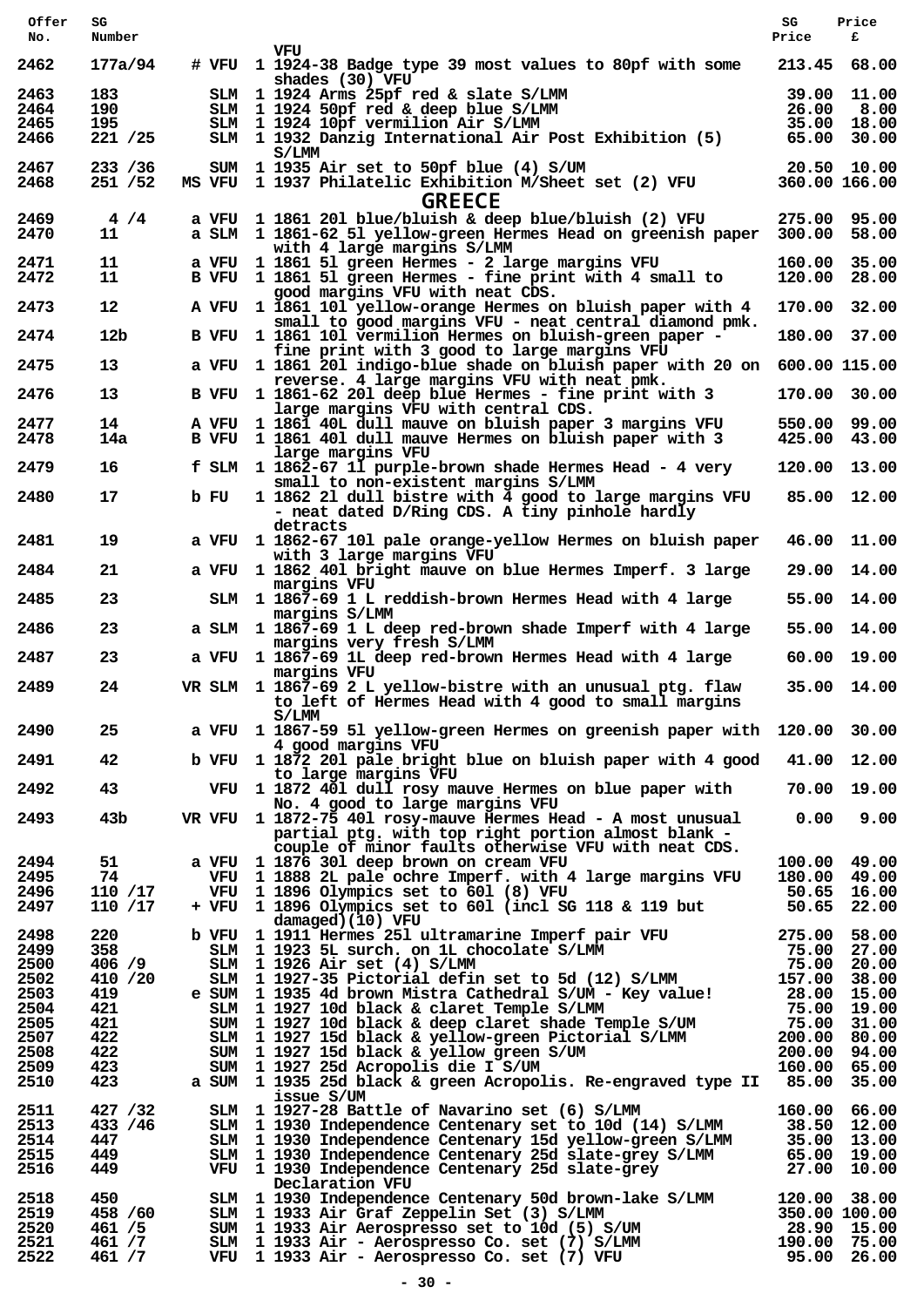| Offer        | SG                   |      |                                                                                                           | SG          | Price                        |
|--------------|----------------------|------|-----------------------------------------------------------------------------------------------------------|-------------|------------------------------|
| No.          | Number               |      |                                                                                                           | Price       | £                            |
| 2462         | 177a/94              |      | vru<br># VFU 1 1924-38 Badge type 39 most values to 80pf with some<br>shades (30) VFU                     | 213.45      | 68.00                        |
| 2463         | 183                  |      | SLM 1 1924 Arms 25pf red & slate S/LMM                                                                    | 39.00       | 11.00                        |
| 2464         | 190                  |      | SLM 1 1924 50pf red & deep blue S/LMM                                                                     | 26.00       | 8.00                         |
| 2465<br>2466 | 195<br>221 / 25      |      | SLM 1 1924 10pf vermilion Air S/LMM<br>SLM 1 1932 Danzig International Air Post Exhibition (5)            |             | 35.00 18.00<br>65.00 30.00   |
|              |                      |      | S/LMM                                                                                                     |             |                              |
| 2467         | 233 / 36             |      | SUM 1 1935 Air set to 50pf blue (4) S/UM                                                                  |             | 20.50 10.00                  |
| 2468         | 251 /52              |      | MS VFU 1 1937 Philatelic Exhibition M/Sheet set (2) VFU                                                   |             | 360.00 166.00                |
|              |                      |      | <b>GREECE</b>                                                                                             |             |                              |
| 2469         | 4/4                  |      | a VFU 1 1861 201 blue/bluish & deep blue/bluish (2) VFU                                                   |             | 275.00 95.00                 |
| 2470         | 11                   |      | a SLM 1 1861-62 51 yellow-green Hermes Head on greenish paper<br>with 4 large margins S/LMM               |             | 300.00 58.00                 |
| 2471         | 11                   |      | a VFU 1 1861 51 green Hermes - 2 large margins VFU                                                        |             | 160.00 35.00                 |
| 2472         | 11                   |      | B VFU 1 1861 51 green Hermes - fine print with 4 small to                                                 |             | 120.00 28.00                 |
| 2473         | $12 \,$              |      | good margins VFU with neat CDS.<br>A VFU 1 1861 101 yellow-orange Hermes on bluish paper with 4           |             | 170.00 32.00                 |
|              |                      |      | small to good margins VFU - neat central diamond pmk.                                                     |             |                              |
| 2474         | 12 <sub>b</sub>      |      | B VFU 1 1861 101 vermilion Hermes on bluish-green paper -                                                 |             | 180.00 37.00                 |
|              |                      |      | fine print with 3 good to large margins VFU                                                               |             |                              |
| 2475         | 13                   |      | a VFU 1 1861 201 indigo-blue shade on bluish paper with 20 on 600.00 115.00                               |             |                              |
| 2476         | 13                   |      | reverse. 4 large margins VFU with neat pmk.<br>B VFU 1 1861-62 201 deep blue Hermes - fine print with 3   |             | 170.00 30.00                 |
|              |                      |      | large margins VFU with central CDS.                                                                       |             |                              |
| 2477         | 14                   |      | A VFU 1 1861 40L dull mauve on bluish paper 3 margins VFU                                                 |             | 550.00 99.00                 |
| 2478         | 14a                  |      | B VFU 1 1861 401 dull mauve Hermes on bluish paper with 3<br>large margins VFU                            |             | 425.00 43.00                 |
| 2479         | 16                   |      | f SLM 1 1862-67 11 purple-brown shade Hermes Head - 4 very                                                |             | 120.00 13.00                 |
|              |                      |      | small to non-existent margins S/LMM                                                                       |             |                              |
| 2480         | 17                   | b FU | 1 1862 21 dull bistre with 4 good to large margins VFU                                                    |             | 85.00 12.00                  |
|              |                      |      | - neat dated D/Ring CDS. A tiny pinhole hardly<br>detracts                                                |             |                              |
| 2481         | 19                   |      | a VFU 1 1862-67 101 pale orange-yellow Hermes on bluish paper                                             | 46.00       | 11.00                        |
|              |                      |      | with 3 large margins VFU                                                                                  |             |                              |
| 2484         | 21                   |      | a VFU 1 1862 401 bright mauve on blue Hermes Imperf. 3 large                                              |             | 29.00 14.00                  |
| 2485         | 23                   |      | margins VFU<br>SLM 1 1867-69 1 L reddish-brown Hermes Head with 4 large                                   |             | 55.00 14.00                  |
|              |                      |      | margins S/LMM                                                                                             |             |                              |
| 2486         | 23                   |      | a SLM 1 1867-69 1 L deep red-brown shade Imperf with 4 large                                              | 55.00       | 14.00                        |
| 2487         | 23                   |      | margins very fresh S/LMM<br>a VFU 1 1867-69 1L deep red-brown Hermes Head with 4 large                    |             | 60.00 19.00                  |
|              |                      |      | margins VFU                                                                                               |             |                              |
| 2489         | 24                   |      | VR SLM 1 1867-69 2 L yellow-bistre with an unusual ptg. flaw                                              |             | 35.00 14.00                  |
|              |                      |      | to left of Hermes Head with 4 good to small margins                                                       |             |                              |
| 2490         | 25                   |      | S/LMM<br>a VFU 1 1867-59 51 yellow-green Hermes on greenish paper with 120.00 30.00                       |             |                              |
|              |                      |      | 4 good margins VFU                                                                                        |             |                              |
| 2491         | 42                   |      | b VFU 1 1872 201 pale bright blue on bluish paper with 4 good 41.00 12.00                                 |             |                              |
|              |                      |      | to large margins VFU                                                                                      |             |                              |
| 2492         | 43                   |      | VFU 1 1872 401 dull rosy mauve Hermes on blue paper with<br>No. 4 good to large margins VFU               |             | 70.00 19.00                  |
| 2493         | 43 <sub>b</sub>      |      | VR VFU 1 1872-75 401 rosy-mauve Hermes Head - A most unusual                                              |             | $0.00$ $9.00$                |
|              |                      |      | partial ptg. with top right portion almost blank -                                                        |             |                              |
|              |                      |      | couple of minor faults otherwise VFU with neat CDS.                                                       |             |                              |
| 2494<br>2495 | 51<br>74             |      | a VFU 1 1876 301 deep brown on cream VFU<br>VFU 1 1888 2L pale ochre Imperf. with 4 large margins VFU     |             | 100.00 49.00<br>180.00 49.00 |
| 2496         | 110 /17              |      | VFU 1 1896 Olympics set to 601 (8) VFU                                                                    |             | 50.65 16.00                  |
| 2497         | 110 /17              |      | + VFU 1 1896 Olympics set to 601 (incl SG 118 & 119 but                                                   |             | 50.65 22.00                  |
|              |                      |      | damaged)(10) VFU                                                                                          |             |                              |
| 2498<br>2499 | 220<br>358           |      | b VFU 1 1911 Hermes 251 ultramarine Imperf pair VFU<br>SLM 1 1923 5L surch. on 1L chocolate S/LMM         |             | 275.00 58.00<br>75.00 27.00  |
| 2500         | 406 / 9              |      | $SIM$ 1 1926 Air set $(4)$ S/LMM                                                                          |             | 75.00 20.00                  |
| 2502         | 410 / 20             |      | SLM 1 1927-35 Pictorial defin set to 5d (12) S/LMM                                                        |             | 157.00 38.00                 |
| 2503         | 419                  |      | e SUM 1 1935 4d brown Mistra Cathedral S/UM - Key value!                                                  | 28.00 15.00 |                              |
| 2504         | 421                  |      | SLM 1 1927 10d black & claret Temple S/LMM                                                                |             | 75.00 19.00                  |
| 2505         | 421                  |      | SUM 1 1927 10d black & deep claret shade Temple S/UM                                                      |             | 75.00 31.00                  |
| 2507<br>2508 | 422<br>422           |      | SLM 1 1927 15d black & yellow-green Pictorial S/LMM<br>SUM 1 1927 15d black & yellow green S/UM           |             | 200.00 80.00<br>200.00 94.00 |
| 2509         | 423                  |      | SUM 1 1927 25d Acropolis die I S/UM                                                                       |             | 160.00 65.00                 |
| 2510         | 423                  |      | a SUM 1 1935 25d black & green Acropolis. Re-engraved type II 85.00 35.00                                 |             |                              |
|              |                      |      | issue S/UM                                                                                                |             |                              |
| 2511<br>2513 | 427 / 32<br>433 / 46 |      | SLM 1 1927-28 Battle of Navarino set (6) S/LMM<br>SLM 1 1930 Independence Centenary set to 10d (14) S/LMM |             | 160.00 66.00<br>38.50 12.00  |
| 2514         | 447                  |      | SLM 1 1930 Independence Centenary 15d yellow-green S/LMM                                                  |             | 35.00 13.00                  |
| 2515         | 449                  |      | SLM 1 1930 Independence Centenary 25d slate-grey S/LMM                                                    |             | 65.00 19.00                  |
| 2516         | 449                  |      | VFU 1 1930 Independence Centenary 25d slate-grey                                                          |             | 27.00 10.00                  |
| 2518         | 450                  |      | Declaration VFU<br>SLM 1 1930 Independence Centenary 50d brown-lake S/LMM                                 |             | 120.00 38.00                 |
| 2519         | 458 / 60             |      | SLM 1 1933 Air Graf Zeppelin Set (3) S/LMM                                                                |             | 350.00 100.00                |
| 2520         | 461 / 5              |      | SUM 1 1933 Air Aerospresso set to 10d (5) S/UM                                                            | 28.90 15.00 |                              |
| 2521         | 461 /7               |      | SLM 1 1933 Air - Aerospresso Co. set (7) S/LMM                                                            |             | 190.00 75.00                 |
| 2522         | 461 /7               |      | VFU 1 1933 Air - Aerospresso Co. set (7) VFU                                                              |             | 95.00 26.00                  |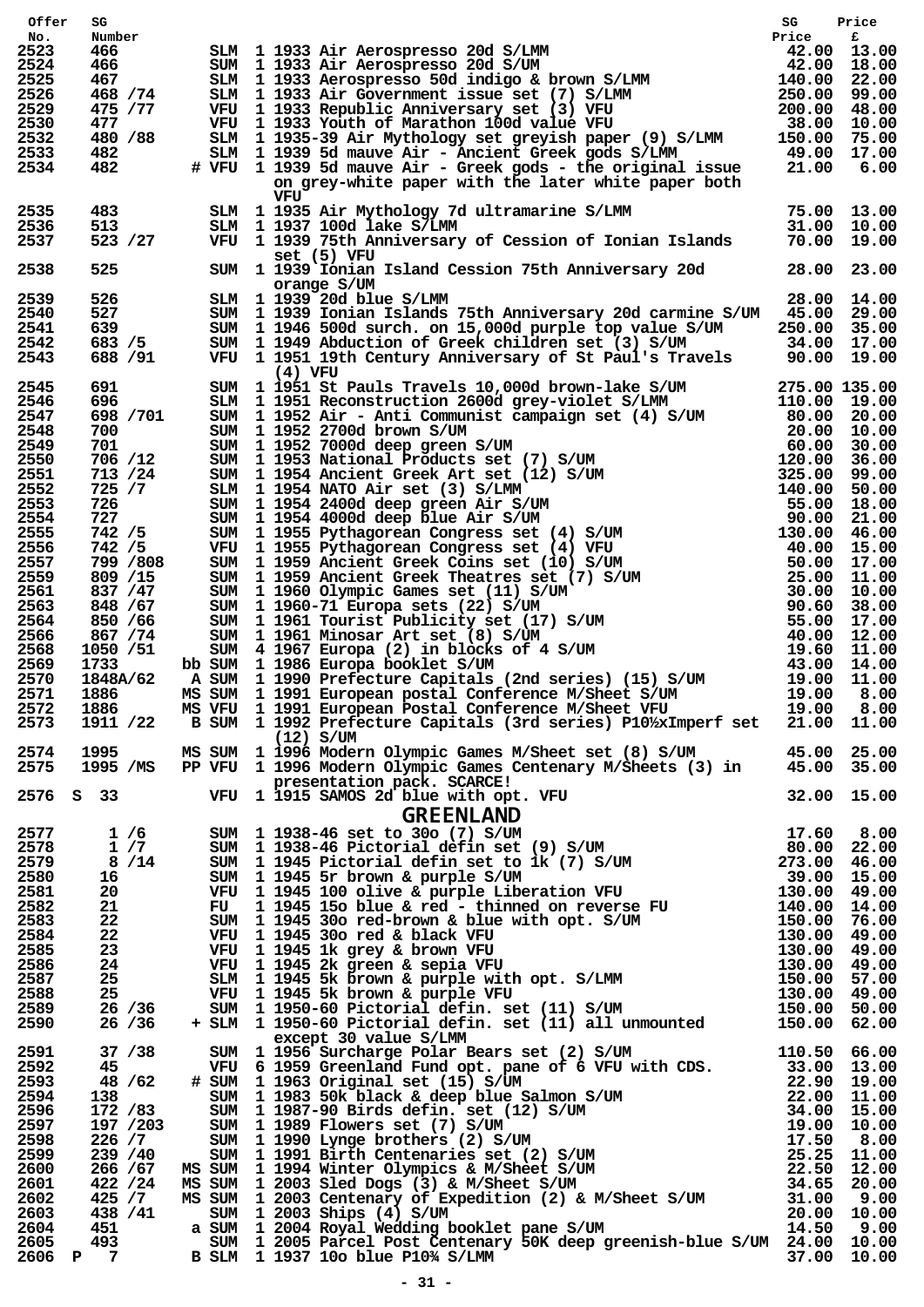| Offer        | SG                                                                                                                                                                                                                              |                                                                                                                                                                                                                                                                   | SG | Price |
|--------------|---------------------------------------------------------------------------------------------------------------------------------------------------------------------------------------------------------------------------------|-------------------------------------------------------------------------------------------------------------------------------------------------------------------------------------------------------------------------------------------------------------------|----|-------|
| No.<br>2523  | Number<br>466                                                                                                                                                                                                                   | SLM 1 1933 Air Aerospresso 20d S/LMM<br>SUM 1 1933 Air Aerospresso 20d S/UM<br>SUM 1 1933 Air Aerospresso 20d S/UM<br>SLM 1 1933 Aerospresso 50d indigo & brown S/LMM<br>42.00 18.00<br>SLM 1 1933 Aerospresso 50d indigo & brown S/LMM                           |    |       |
| 2524         | 466 —                                                                                                                                                                                                                           |                                                                                                                                                                                                                                                                   |    |       |
| 2525         | 467                                                                                                                                                                                                                             |                                                                                                                                                                                                                                                                   |    |       |
| 2526         | 468 / 74                                                                                                                                                                                                                        |                                                                                                                                                                                                                                                                   |    |       |
| 2529<br>2530 | 475 / 77<br>477                                                                                                                                                                                                                 |                                                                                                                                                                                                                                                                   |    |       |
| 2532         | 480 / 88                                                                                                                                                                                                                        |                                                                                                                                                                                                                                                                   |    |       |
| 2533         | 482                                                                                                                                                                                                                             |                                                                                                                                                                                                                                                                   |    |       |
| 2534         | 482                                                                                                                                                                                                                             |                                                                                                                                                                                                                                                                   |    |       |
|              |                                                                                                                                                                                                                                 | on grey-white paper with the later white paper both                                                                                                                                                                                                               |    |       |
| 2535         | 483 — 18                                                                                                                                                                                                                        | VFU                                                                                                                                                                                                                                                               |    |       |
| 2536         | 513                                                                                                                                                                                                                             |                                                                                                                                                                                                                                                                   |    |       |
| 2537         | 523 / 27                                                                                                                                                                                                                        | SLM 1 1935 Air Mythology 7d ultramarine S/LMM 75.00 13.00<br>SLM 1 1937 100d lake S/LMM 31.00 10.00<br>VFU 1 1939 75th Anniversary of Cession of Ionian Islands 70.00 19.00                                                                                       |    |       |
|              |                                                                                                                                                                                                                                 | set(5) VFU                                                                                                                                                                                                                                                        |    |       |
| 2538         | 525 30                                                                                                                                                                                                                          | SUM 1 1939 Ionian Island Cession 75th Anniversary 20d 28.00 23.00                                                                                                                                                                                                 |    |       |
| 2539         |                                                                                                                                                                                                                                 | orange S/UM<br>97 SIM 1 1939 20d blue S/LMM<br>527 SUM 1 1939 Ionian Islands<br>639 SUM 1 1946 500d surch. on<br>683 /5 SUM 1 1949 Abduction of Gr<br>28.00 14.00                                                                                                 |    |       |
| 2540         |                                                                                                                                                                                                                                 | SUM 1 1939 Ionian Islands 75th Anniversary 20d carmine S/UM 45.00 29.00                                                                                                                                                                                           |    |       |
| 2541         |                                                                                                                                                                                                                                 | SUM 1 1946 500d surch. on 15,000d purple top value S/UM 250.00 35.00<br>SUM 1 1949 Abduction of Greek children set (3) S/UM 34.00 17.00<br>VFU 1 1951 19th Century Anniversary of St Paul's Travels 90.00 19.00                                                   |    |       |
| 2542         | 683 / 5                                                                                                                                                                                                                         |                                                                                                                                                                                                                                                                   |    |       |
| 2543         | 688 / 91                                                                                                                                                                                                                        | $(4)$ VFU                                                                                                                                                                                                                                                         |    |       |
| 2545         | 691                                                                                                                                                                                                                             | 36 SUM 1 1951 St Pauls Travels and Off Devoted Mathematic SUM 275.00 13.00<br>SUM 1 1951 Reconstruction 2600d grey-violet S/LMM 275.00 13.00<br>SUM 1 1952 Air - Anti Communist campaign set (4) S/UM 80.00 20.00<br>SUM 1 1952 270                               |    |       |
| 2546         | 696                                                                                                                                                                                                                             |                                                                                                                                                                                                                                                                   |    |       |
| 2547         | 698 / 701                                                                                                                                                                                                                       |                                                                                                                                                                                                                                                                   |    |       |
| 2548         | 700                                                                                                                                                                                                                             |                                                                                                                                                                                                                                                                   |    |       |
| 2549<br>2550 | 701<br>706 /12                                                                                                                                                                                                                  |                                                                                                                                                                                                                                                                   |    |       |
| 2551         | 713 /24                                                                                                                                                                                                                         |                                                                                                                                                                                                                                                                   |    |       |
| 2552         | 725 / 7                                                                                                                                                                                                                         |                                                                                                                                                                                                                                                                   |    |       |
| 2553         | 726 — 1                                                                                                                                                                                                                         |                                                                                                                                                                                                                                                                   |    |       |
| 2554         | 727<br>742  / 5                                                                                                                                                                                                                 |                                                                                                                                                                                                                                                                   |    |       |
| 2555         | 742 / 5                                                                                                                                                                                                                         |                                                                                                                                                                                                                                                                   |    |       |
| 2556<br>2557 | 742 / 5<br>799 /808                                                                                                                                                                                                             |                                                                                                                                                                                                                                                                   |    |       |
| 2559         | 809 /15                                                                                                                                                                                                                         |                                                                                                                                                                                                                                                                   |    |       |
| 2561         | 837 / 47                                                                                                                                                                                                                        |                                                                                                                                                                                                                                                                   |    |       |
| 2563         | 848 / 67                                                                                                                                                                                                                        |                                                                                                                                                                                                                                                                   |    |       |
| 2564         | 850 / 66                                                                                                                                                                                                                        |                                                                                                                                                                                                                                                                   |    |       |
| 2566<br>2568 | 867 / 74<br>1050 /51                                                                                                                                                                                                            |                                                                                                                                                                                                                                                                   |    |       |
| 2569         | 1733                                                                                                                                                                                                                            |                                                                                                                                                                                                                                                                   |    |       |
| 2570         | 1848A/62                                                                                                                                                                                                                        |                                                                                                                                                                                                                                                                   |    |       |
| 2571         | 1886                                                                                                                                                                                                                            |                                                                                                                                                                                                                                                                   |    |       |
| 2572         | 1886                                                                                                                                                                                                                            | MS VFU 1 1991 European Postal Conference M/Sheet VFU 19.00 8.00                                                                                                                                                                                                   |    |       |
| 2573         |                                                                                                                                                                                                                                 | 1911 /22 B SUM 1 1992 Prefecture Capitals (3rd series) P10%xImperf set 21.00 11.00                                                                                                                                                                                |    |       |
| 2574         |                                                                                                                                                                                                                                 | $(12)$ S/UM                                                                                                                                                                                                                                                       |    |       |
| 2575         |                                                                                                                                                                                                                                 | 1995 MS SUM 1 1996 Modern Olympic Games M/Sheet set (8) S/UM 45.00 25.00<br>1995 /MS PP VFU 1 1996 Modern Olympic Games Centenary M/Sheets (3) in 45.00 35.00                                                                                                     |    |       |
|              |                                                                                                                                                                                                                                 |                                                                                                                                                                                                                                                                   |    |       |
|              |                                                                                                                                                                                                                                 |                                                                                                                                                                                                                                                                   |    |       |
|              |                                                                                                                                                                                                                                 | 2575 1995 /MS PP VFU 1996 Modern Olympic Games Centenary M/Sheets (3) in 45.00 35.00<br>2576 S 33 VFU 1 1915 SAMOS 2d blue with opt. VFU 32.00 15.00<br>2576 S 33 VFU 1 1915 SAMOS 2d blue with opt. VFU 32.00 15.00<br>2577 1 /6 S                               |    |       |
|              |                                                                                                                                                                                                                                 |                                                                                                                                                                                                                                                                   |    |       |
|              |                                                                                                                                                                                                                                 |                                                                                                                                                                                                                                                                   |    |       |
|              |                                                                                                                                                                                                                                 |                                                                                                                                                                                                                                                                   |    |       |
|              |                                                                                                                                                                                                                                 |                                                                                                                                                                                                                                                                   |    |       |
|              |                                                                                                                                                                                                                                 |                                                                                                                                                                                                                                                                   |    |       |
|              |                                                                                                                                                                                                                                 |                                                                                                                                                                                                                                                                   |    |       |
|              |                                                                                                                                                                                                                                 |                                                                                                                                                                                                                                                                   |    |       |
|              |                                                                                                                                                                                                                                 |                                                                                                                                                                                                                                                                   |    |       |
|              |                                                                                                                                                                                                                                 |                                                                                                                                                                                                                                                                   |    |       |
|              |                                                                                                                                                                                                                                 |                                                                                                                                                                                                                                                                   |    |       |
|              |                                                                                                                                                                                                                                 |                                                                                                                                                                                                                                                                   |    |       |
|              |                                                                                                                                                                                                                                 |                                                                                                                                                                                                                                                                   |    |       |
|              |                                                                                                                                                                                                                                 | except 30 value S/LMM<br>30 UM 1956 Surchare Polar Bears set (2) S/UM<br>WFU 6 1959 Greenland Fund opt. pane of 6 VFU with CDS.<br>4 SUM 110.50 66.00<br>4 SUM 11983 Soft black & deep blue Salmon S/UM<br>33.00 13.00<br>4 SUM 11983 Soft black & deep blue Salm |    |       |
| 2591         | 37 / 38                                                                                                                                                                                                                         |                                                                                                                                                                                                                                                                   |    |       |
| 2592<br>2593 | 45 — 1<br>48 / 62                                                                                                                                                                                                               |                                                                                                                                                                                                                                                                   |    |       |
| 2594         | 138 — 138 — 138 — 138 — 138 — 138 — 138 — 138 — 138 — 138 — 138 — 138 — 138 — 138 — 138 — 138 — 138 — 138 — 138 — 138 — 138 — 138 — 138 — 138 — 138 — 138 — 138 — 138 — 138 — 138 — 138 — 138 — 138 — 138 — 138 — 138 — 138 — 1 |                                                                                                                                                                                                                                                                   |    |       |
| 2596         | 172 /83                                                                                                                                                                                                                         |                                                                                                                                                                                                                                                                   |    |       |
| 2597         | 197 /203                                                                                                                                                                                                                        |                                                                                                                                                                                                                                                                   |    |       |
| 2598         | 226 / 7                                                                                                                                                                                                                         |                                                                                                                                                                                                                                                                   |    |       |
| 2599         | 239 / 40                                                                                                                                                                                                                        |                                                                                                                                                                                                                                                                   |    |       |
| 2600<br>2601 | 266 / 67<br>422 / 24                                                                                                                                                                                                            |                                                                                                                                                                                                                                                                   |    |       |
| 2602         | 425 / 7                                                                                                                                                                                                                         |                                                                                                                                                                                                                                                                   |    |       |
| 2603         | 438 / 41                                                                                                                                                                                                                        |                                                                                                                                                                                                                                                                   |    |       |
|              |                                                                                                                                                                                                                                 | 2605 493 5UM 1 2005 Parcel Post Centenary 50K deep greenish-blue S/UM 24.00 10.00<br>2606 P 7 B SLM 1 1937 10o blue P103/ S/IMM                                                                                                                                   |    |       |
|              |                                                                                                                                                                                                                                 |                                                                                                                                                                                                                                                                   |    |       |
|              |                                                                                                                                                                                                                                 |                                                                                                                                                                                                                                                                   |    |       |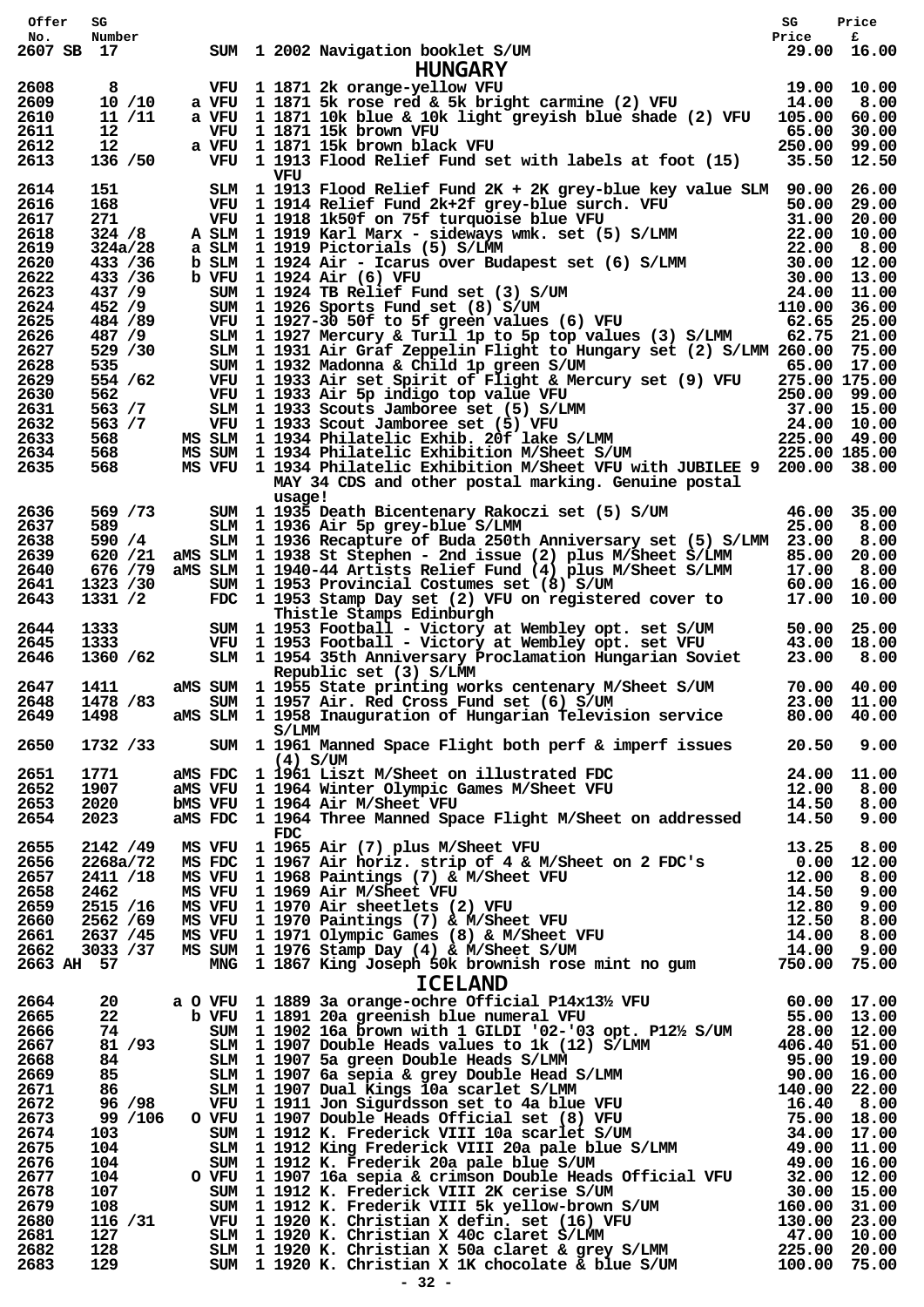| Offer             | SG                    |                                                                                                                                                                                                                                                           | SG           | Price          |
|-------------------|-----------------------|-----------------------------------------------------------------------------------------------------------------------------------------------------------------------------------------------------------------------------------------------------------|--------------|----------------|
| No.<br>2607 SB 17 | Number                | SUM 1 2002 Navigation booklet S/UM<br>HUNGARY<br>VFU 1 1871 2k orange-yellow VFU<br>a VFU 1 1871 5k rose red & 5k bright carmine (2) VFU 14.00 8.00<br>SUM 1 2002 Navigation booklet S/UM                                                                 |              |                |
|                   |                       |                                                                                                                                                                                                                                                           |              |                |
| 2608              |                       | 8 VFU 1 1871 2k orange-yellow VFU                                                                                                                                                                                                                         |              |                |
| 2609              | 10 / 10               |                                                                                                                                                                                                                                                           |              |                |
| 2610<br>2611      | 11 / 11<br>12         | a VFU 1 1871 10k blue & 10k light greyish blue shade (2) VFU 105.00<br>VFU 1 1871 15k brown VFU                                                                                                                                                           | 65.00        | 60.00<br>30.00 |
| 2612              | 12                    | a VFU 1 1871 15k brown black VFU                                                                                                                                                                                                                          | 250.00 99.00 |                |
| 2613              | 136 / 50              | VFU 1 1913 Flood Relief Fund set with labels at foot (15) 35.50 12.50<br>VFU                                                                                                                                                                              |              |                |
| 2614              |                       | 151 SIM 1 1913 Flood Relief Fund 2K + 2K grey-blue key value SIM 90.00 26.00                                                                                                                                                                              |              |                |
| 2616              |                       |                                                                                                                                                                                                                                                           |              |                |
| 2617<br>2618      |                       |                                                                                                                                                                                                                                                           |              |                |
| 2619              |                       |                                                                                                                                                                                                                                                           |              |                |
| 2620              |                       | 31.00 28.00 28.00 28.00 28.00 28.00 28.00 29.00 29.00 29.00 29.00 29.00 29.00 29.00 29.00 29.00 29.00 29.00 29.00 29.00 29.00 29.00 29.00 29.00 29.00 29.00 29.00 29.00 29.00 29.00 29.00 29.00 29.00 29.00 29.00 29.00 324 /8                            |              |                |
| 2622<br>2623      |                       |                                                                                                                                                                                                                                                           |              |                |
| 2624              |                       |                                                                                                                                                                                                                                                           |              |                |
| 2625              |                       |                                                                                                                                                                                                                                                           |              |                |
| 2626              |                       |                                                                                                                                                                                                                                                           |              |                |
| 2627<br>2628      | 529 / 30<br>535       | SLM 1 1931 Air Graf Zeppelin Flight to Hungary set (2) S/LMM 260.00 75.00<br>SUM 1 1932 Madonna & Child 1p green S/UM<br>$65.00$ 17.00                                                                                                                    |              |                |
| 2629              | 554 / 62              |                                                                                                                                                                                                                                                           |              |                |
| 2630              | 562                   |                                                                                                                                                                                                                                                           |              |                |
| 2631<br>2632      | 563 / 7<br>563 / 7    |                                                                                                                                                                                                                                                           |              |                |
| 2633              | 568                   |                                                                                                                                                                                                                                                           |              |                |
| 2634              | 568                   | VFU 1 1933 Air set Spirit of Flight & Mercury set (9) VFU 275.00 175.00<br>VFU 1 1933 Air 5p indigo top value VFU 250.00 99.00<br>SLM 1 1933 Scouts Jamboree set (5) S/LMM 37.00 15.00<br>VFU 1 1933 Scout Jamboree set (5) VFU 24.0                      |              |                |
| 2635              | 568                   | MS VFU 1 1934 Philatelic Exhibition M/Sheet VFU with JUBILEE 9 200.00 38.00<br>MAY 34 CDS and other postal marking. Genuine postal                                                                                                                        |              |                |
|                   |                       | usage!                                                                                                                                                                                                                                                    |              |                |
| 2636              | 569 / 73              | SUM 1 1935 Death Bicentenary Rakoczi set (5) S/UM 46.00 35.00<br>SLM 1 1936 Air 5p grey-blue S/LMM                                                                                                                                                        |              |                |
| 2637<br>2638      | 589<br>590 / 4        | SLM 1 1936 Air 5p grey-blue S/LMM<br>SLM 1 1936 Recapture of Buda 250th Anniversary set (5) S/LMM 23.00                                                                                                                                                   | 25.00        | 8.00<br>8.00   |
| 2639              |                       | 620 /21 aMS SLM 1 1938 St Stephen - 2nd issue (2) plus M/Sheet S/LMM                                                                                                                                                                                      |              | 85.00 20.00    |
| 2640              |                       | $\begin{array}{r} 676 & /79 \\ 1323 & /30 \end{array}$ ams sim 1 1940-44 Artists Relief Fund (4) plus M/Sheet S/LMM 17.00 8.00<br>1323 /30 sum 1 1953 Strovincial Costumes set (8) S/UM 60.00 16.00<br>1331 /2 FDC 1 1953 Stamp Day set (2) VFU on regist |              |                |
| 2641              | 1323 /30              |                                                                                                                                                                                                                                                           |              |                |
| 2643              | 1331 /2               | Thistle Stamps Edinburgh                                                                                                                                                                                                                                  |              |                |
| 2644              | 1333 13               |                                                                                                                                                                                                                                                           |              |                |
| 2645              | 1333                  | SUM 1 1953 Football - Victory at Wembley opt. set S/UM 50.00 25.00<br>VFU 1 1953 Football - Victory at Wembley opt. set VFU 43.00 18.00<br>SLM 1 1954 35th Anniversary Proclamation Hungarian Soviet 23.00 8.00                                           |              |                |
| 2646              | 1360 /62              |                                                                                                                                                                                                                                                           |              |                |
| 2647              | 1411                  | Republic set (3) S/LMM<br>ams sum 1 1955 state printing works centenary M/Sheet S/UM $70.00$ 40.00                                                                                                                                                        |              |                |
| 2648              | 1478 / 83             | SUM 1 1957 Air. Red Cross Fund set (6) S/UM                                                                                                                                                                                                               |              | 23.00 11.00    |
| 2649              | 1498                  | aMS SLM 1 1958 Inauguration of Hungarian Television service                                                                                                                                                                                               | 80.00 40.00  |                |
| 2650              | 1732 /33              | S/LMM<br>SUM 1 1961 Manned Space Flight both perf & imperf issues 20.50 9.00                                                                                                                                                                              |              |                |
|                   |                       | $(4)$ S/UM                                                                                                                                                                                                                                                |              |                |
| 2651              | 1771                  |                                                                                                                                                                                                                                                           |              |                |
| 2652<br>2653      | 1907<br>2020          | bMS VFU 1 1964 Air M/Sheet VFU                                                                                                                                                                                                                            |              |                |
| 2654              | 2023                  | ams FDC 1 1961 Liszt M/Sheet on illustrated FDC 24.00 11.00<br>ams VFU 1 1964 Winter Olympic Games M/Sheet VFU 12.00 8.00<br>bms VFU 1 1964 Air M/Sheet VFU 14.50 8.00<br>ams FDC 1 1964 Three Manned Space Flight M/Sheet on addressed                   |              |                |
|                   |                       | $_{\rm FDC}$                                                                                                                                                                                                                                              |              |                |
| 2655<br>2656      |                       |                                                                                                                                                                                                                                                           |              |                |
| 2657              |                       |                                                                                                                                                                                                                                                           |              |                |
| 2658              |                       |                                                                                                                                                                                                                                                           |              |                |
| 2659              |                       |                                                                                                                                                                                                                                                           |              |                |
| 2660<br>2661      |                       |                                                                                                                                                                                                                                                           |              |                |
| 2662              |                       |                                                                                                                                                                                                                                                           |              |                |
| 2663 AH 57        |                       | 2142 / 49 MS VFU 1 1965 Air (7) plus M/Sheet VFU 13.25 8.00<br>2268a/72 MS FDC 1 1967 Air horiz. strip of 4 & M/Sheet on 2 FDC's 0.00 12.00<br>2411 /18 MS VFU 1 1968 Paintings (7) & M/Sheet VFU 12.00 8.00<br>2462 MS VFU 1 1970 A                      |              |                |
|                   |                       | <b>ICELAND</b>                                                                                                                                                                                                                                            |              |                |
| 2664              | 20                    |                                                                                                                                                                                                                                                           |              |                |
| 2665<br>2666      | 22 <sub>2</sub><br>74 |                                                                                                                                                                                                                                                           |              |                |
| 2667              | 81 /93                |                                                                                                                                                                                                                                                           |              |                |
| 2668              | 84<br>85              |                                                                                                                                                                                                                                                           |              |                |
| 2669              |                       |                                                                                                                                                                                                                                                           |              |                |
| 2671<br>2672      | 86 11<br>96 / 98      |                                                                                                                                                                                                                                                           |              |                |
| 2673              | 99 /106               |                                                                                                                                                                                                                                                           |              |                |
| 2674              | 103                   |                                                                                                                                                                                                                                                           |              |                |
| 2675<br>2676      | 104<br>104            |                                                                                                                                                                                                                                                           |              |                |
| 2677              | 104                   |                                                                                                                                                                                                                                                           |              |                |
| 2678              | 107                   |                                                                                                                                                                                                                                                           |              |                |
| 2679              | 108                   |                                                                                                                                                                                                                                                           |              |                |
| 2680<br>2681      | 116 /31<br>127        |                                                                                                                                                                                                                                                           |              |                |
| 2682              | 128                   |                                                                                                                                                                                                                                                           |              |                |
| 2683              | 129                   |                                                                                                                                                                                                                                                           |              |                |
|                   |                       | $-32 -$                                                                                                                                                                                                                                                   |              |                |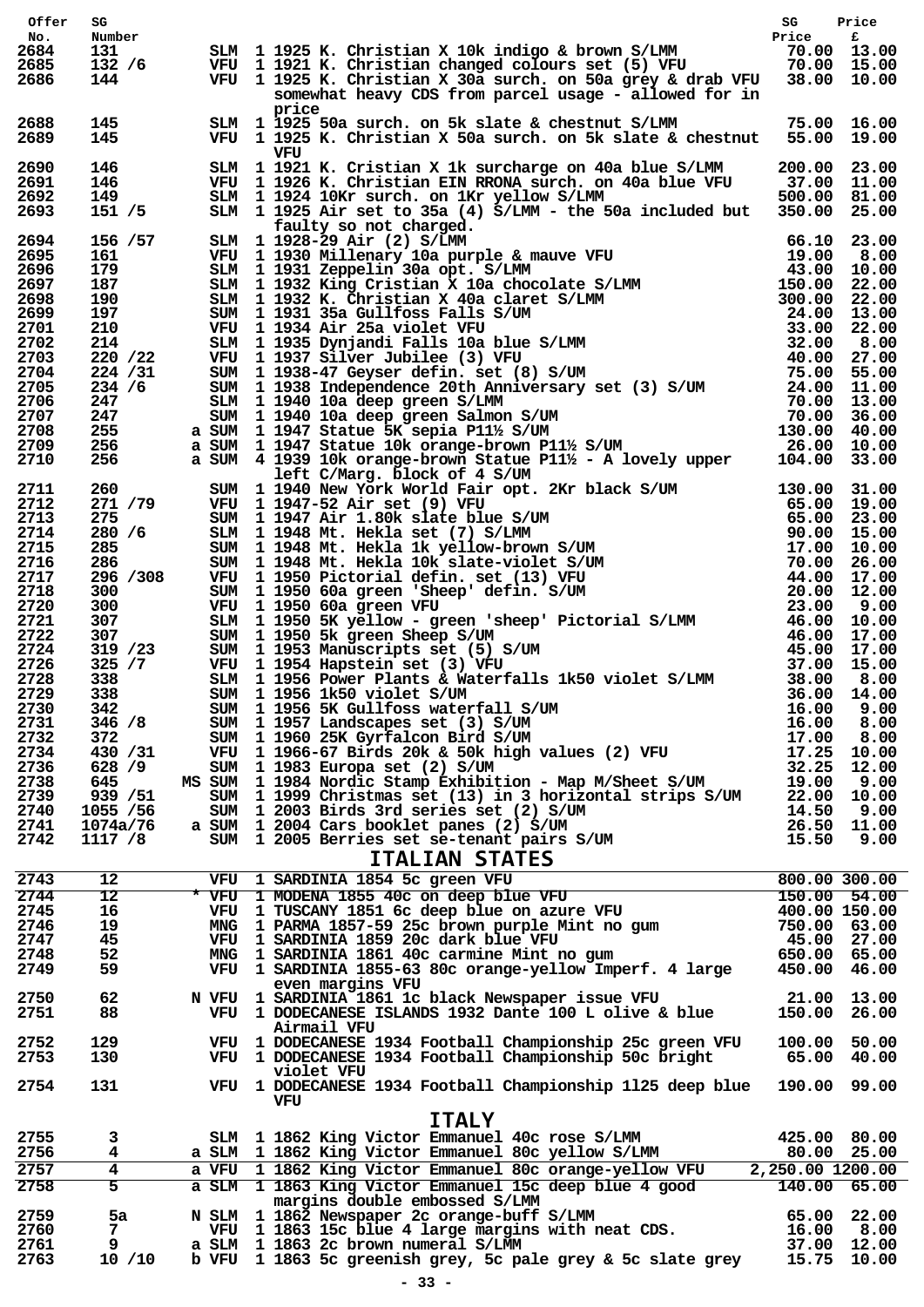| Offer        | SG                    |        |                                                                                                                                                                                                                                           |                                  |                            |
|--------------|-----------------------|--------|-------------------------------------------------------------------------------------------------------------------------------------------------------------------------------------------------------------------------------------------|----------------------------------|----------------------------|
| No.          | Number                |        |                                                                                                                                                                                                                                           |                                  |                            |
| 2684<br>2685 | 131<br>132/6          |        |                                                                                                                                                                                                                                           |                                  |                            |
| 2686         | 144                   |        | SG Price<br>SLM 1925 K. Christian X 10k indigo & brown S/LMM Price f<br>VFU 1921 K. Christian changed colours set (5) VFU 70.00 13.00<br>VFU 1925 K. Christian X 30a surch. on 50a grey & drab VFU 38.00 10.00                            |                                  |                            |
|              |                       |        | somewhat heavy CDS from parcel usage - allowed for in                                                                                                                                                                                     |                                  |                            |
| 2688         | 145                   |        | price                                                                                                                                                                                                                                     |                                  |                            |
| 2689         | 145                   |        | SLM 1 1925 50a surch. on 5k slate & chestnut S/LMM 75.00 16.00<br>VFU 1 1925 K. Christian X 50a surch. on 5k slate & chestnut 55.00 19.00                                                                                                 |                                  |                            |
| 2690         | 146                   |        | VFU<br>SLM 1 1921 K. Cristian X 1k surcharge on 40a blue S/LMM                                                                                                                                                                            | 200.00 23.00                     |                            |
| 2691         | 146                   |        | VFU 1 1926 K. Christian EIN RRONA surch. on 40a blue VFU                                                                                                                                                                                  | $200.00$ $11.00$ $37.00$ $11.00$ |                            |
| 2692         | 149                   |        | SLM 1 1924 10Kr surch. on 1Kr yellow S/LMM                                                                                                                                                                                                | 500.00 81.00                     |                            |
| 2693         | 151 / 5               |        | SLM 1 1925 Air set to 35a (4) S/LMM - the 50a included but 350.00 25.00                                                                                                                                                                   |                                  |                            |
| 2694         | 156 / 57              |        |                                                                                                                                                                                                                                           |                                  |                            |
| 2695         | 161                   |        |                                                                                                                                                                                                                                           |                                  |                            |
| 2696         | 179                   |        |                                                                                                                                                                                                                                           |                                  |                            |
| 2697<br>2698 | 187<br>190            |        |                                                                                                                                                                                                                                           |                                  |                            |
| 2699         | 197                   |        |                                                                                                                                                                                                                                           |                                  |                            |
| 2701         | 210                   |        |                                                                                                                                                                                                                                           |                                  |                            |
| 2702<br>2703 | 214<br>220 / 22       |        |                                                                                                                                                                                                                                           |                                  |                            |
| 2704         | 224 / 31              |        |                                                                                                                                                                                                                                           |                                  |                            |
| 2705         | 234 / 6               |        |                                                                                                                                                                                                                                           |                                  |                            |
| 2706         | 247                   |        |                                                                                                                                                                                                                                           |                                  |                            |
| 2707<br>2708 | 247<br>255            |        |                                                                                                                                                                                                                                           |                                  |                            |
| 2709         | 256                   |        |                                                                                                                                                                                                                                           |                                  |                            |
| 2710         | 256                   |        | SIM 1 1925 Air set to 35a (4) S/LMM - the 50a included but $350.00$<br>SIM 1 1928-29 Air (2) S/LMM<br>WFU 1 1930 Millenary 10a purple & mauve VFU 66.10 23.00<br>SIM 1 1931 Zeppelin 30a opt. S/LMM<br>SIM 1 1931 Zeppelin 30a opt. S     |                                  |                            |
| 2711         | 260                   |        | 1 Left C/Marg. block of 4 S/UM<br>SUM 1 1940 New York World Fair opt. 2Kr black S/UM<br>SUM 1 1947 -12 Air set (9) VFU<br>65.00 19.00<br>SUM 1 1948 Mt. Hekla set (7) S/LMM<br>SUM 1 1948 Mt. Hekla is velov-brown S/UM<br>SUM 1 1948 Mt. |                                  |                            |
| 2712         | 271 /79               |        |                                                                                                                                                                                                                                           |                                  |                            |
| 2713         | 275                   |        |                                                                                                                                                                                                                                           |                                  |                            |
| 2714         | 280 /6<br>285         |        |                                                                                                                                                                                                                                           |                                  |                            |
| 2715<br>2716 | 286                   |        |                                                                                                                                                                                                                                           |                                  |                            |
| 2717         | 296 / 308             |        |                                                                                                                                                                                                                                           |                                  |                            |
| 2718         | 300                   |        |                                                                                                                                                                                                                                           |                                  |                            |
| 2720<br>2721 | 300<br>307            |        |                                                                                                                                                                                                                                           |                                  |                            |
| 2722         | 307                   |        |                                                                                                                                                                                                                                           |                                  |                            |
| 2724         | 319 / 23              |        |                                                                                                                                                                                                                                           |                                  |                            |
| 2726         | $325 \t/7$            |        |                                                                                                                                                                                                                                           |                                  |                            |
| 2728<br>2729 | 338<br>338            |        | SUM 1 1956 1k50 violet S/UM                                                                                                                                                                                                               |                                  | 36.00 14.00                |
| 2730         | 342                   | SUM    | 1 1956 5K Gullfoss waterfall S/UM                                                                                                                                                                                                         | 16.00                            | 9.00                       |
| 2731         | 346 / 8               |        | SUM 1 1957 Landscapes set (3) S/UM                                                                                                                                                                                                        | 16.00                            | 8.00                       |
| 2732         | 372.                  |        | SUM 1 1960 25K Gyrfalcon Bird S/UM                                                                                                                                                                                                        | 17.00                            | 8.00                       |
| 2734<br>2736 | 430 / 31<br>628 / 9   | SUM    | VFU 1 1966-67 Birds 20k & 50k high values (2) VFU<br>SIM 1 1983 Europe Set (2) S/IM<br>1 1983 Europa set (2) S/UM                                                                                                                         |                                  | 17.25 10.00<br>32.25 12.00 |
| 2738         | 645                   | MS SUM | 1 1984 Nordic Stamp Exhibition - Map M/Sheet S/UM                                                                                                                                                                                         | 19.00                            | 9.00                       |
| 2739         | 939 / 51              | SUM    | 1 1999 Christmas set (13) in 3 horizontal strips S/UM                                                                                                                                                                                     |                                  | 22.00 10.00                |
| 2740<br>2741 | 1055 / 56<br>1074a/76 | a SUM  | 1 2003 Birds 3rd series set (2) S/UM                                                                                                                                                                                                      | 14.50                            | 9.00<br>26.50 11.00        |
| 2742         | 1117 /8               |        | SUM 1 2004 Cars booklet panes (2) S/UM<br>SUM 1 2005 Berries set se-tenant pairs S/UM<br>TTAL TAL CHIPPIC                                                                                                                                 |                                  | 15.50 9.00                 |
|              |                       |        | <b>ITALIAN STATES</b>                                                                                                                                                                                                                     |                                  |                            |
| 2743         | $\overline{12}$       |        | VFU 1 SARDINIA 1854 5c green VFU                                                                                                                                                                                                          |                                  | 800.00 300.00              |
| 2744         | $\overline{12}$       |        | FOR THE SANDREY STREET IN THE VERTILE OF THE VERTILE OF THE VERTILE OF THE VERTILE OF THE VERTILE OF THE VERTILE OF THE VERTILE OF THE VERTILE OF THE VERTILE OF THE VERTILE OF THE VERTILE OF THE VERTILE OF THE VERTILE OF T            |                                  | 150.00 54.00               |
| 2745         | 16                    |        |                                                                                                                                                                                                                                           | 400.00 150.00                    |                            |
| 2746<br>2747 | 19<br>45              |        |                                                                                                                                                                                                                                           | 750.00 63.00<br>45.00 27.00      |                            |
| 2748         | 52                    |        |                                                                                                                                                                                                                                           | 650.00 65.00                     |                            |
| 2749         | 59                    |        | VFU 1 SARDINIA 1855-63 80c orange-yellow Imperf. 4 large                                                                                                                                                                                  | 450.00 46.00                     |                            |
| 2750         | 62                    |        | even margins VFU<br>N VFU 1 SARDINIA 1861 1c black Newspaper issue VFU                                                                                                                                                                    |                                  | 21.00 13.00                |
| 2751         | 88                    |        | VFU 1 DODECANESE ISLANDS 1932 Dante 100 L olive & blue                                                                                                                                                                                    | 150.00 26.00                     |                            |
|              |                       |        | Airmail VFU                                                                                                                                                                                                                               |                                  |                            |
| 2752         | 129                   |        | VFU 1 DODECANESE 1934 Football Championship 25c green VFU                                                                                                                                                                                 | 100.00 50.00                     |                            |
| 2753         | 130                   |        | VFU 1 DODECANESE 1934 Football Championship 50c bright<br>violet VFU                                                                                                                                                                      |                                  | 65.00 40.00                |
| 2754         | 131                   |        | VFU 1 DODECANESE 1934 Football Championship 1125 deep blue                                                                                                                                                                                | 190.00 99.00                     |                            |
|              |                       |        | VFU                                                                                                                                                                                                                                       |                                  |                            |
|              |                       |        | <b>ITALY</b>                                                                                                                                                                                                                              |                                  |                            |
| 2755<br>2756 | 3<br>4                |        | SLM 1 1862 King Victor Emmanuel 40c rose S/LMM<br>1 1862 King Victor Emmanuel 80c yellow S/LMM                                                                                                                                            | 425.00 80.00                     | 80.00 25.00                |
| 2757         | $\overline{4}$        | a SLM  | a VFU 1 1862 King Victor Emmanuel 80c orange-yellow VFU                                                                                                                                                                                   | 2,250.00 1200.00                 |                            |
| 2758         | 5                     |        | a SLM 1 1863 King Victor Emmanuel 15c deep blue 4 good                                                                                                                                                                                    |                                  | 140.00 65.00               |
|              |                       |        | margins double embossed S/LMM                                                                                                                                                                                                             |                                  |                            |
| 2759         | 5а                    |        | N SLM 1 1862 Newspaper 2c orange-buff S/LMM                                                                                                                                                                                               |                                  | 65.00 22.00                |
| 2760<br>2761 | 7<br>9                |        | SLM 1 1862 Newspaper 2c orange-buff S/LMM<br>VFU 1 1863 15c blue 4 large margins with neat CDS.<br>SLM 1 1863 2c brown numeral S/LMM<br>a SLM 1 1863 2c brown numeral S/LMM                                                               |                                  | 16.00 8.00<br>37.00 12.00  |
| 2763         | 10/10                 |        | b VFU 1 1863 5c greenish grey, 5c pale grey & 5c slate grey                                                                                                                                                                               |                                  | 15.75 10.00                |
|              |                       |        |                                                                                                                                                                                                                                           |                                  |                            |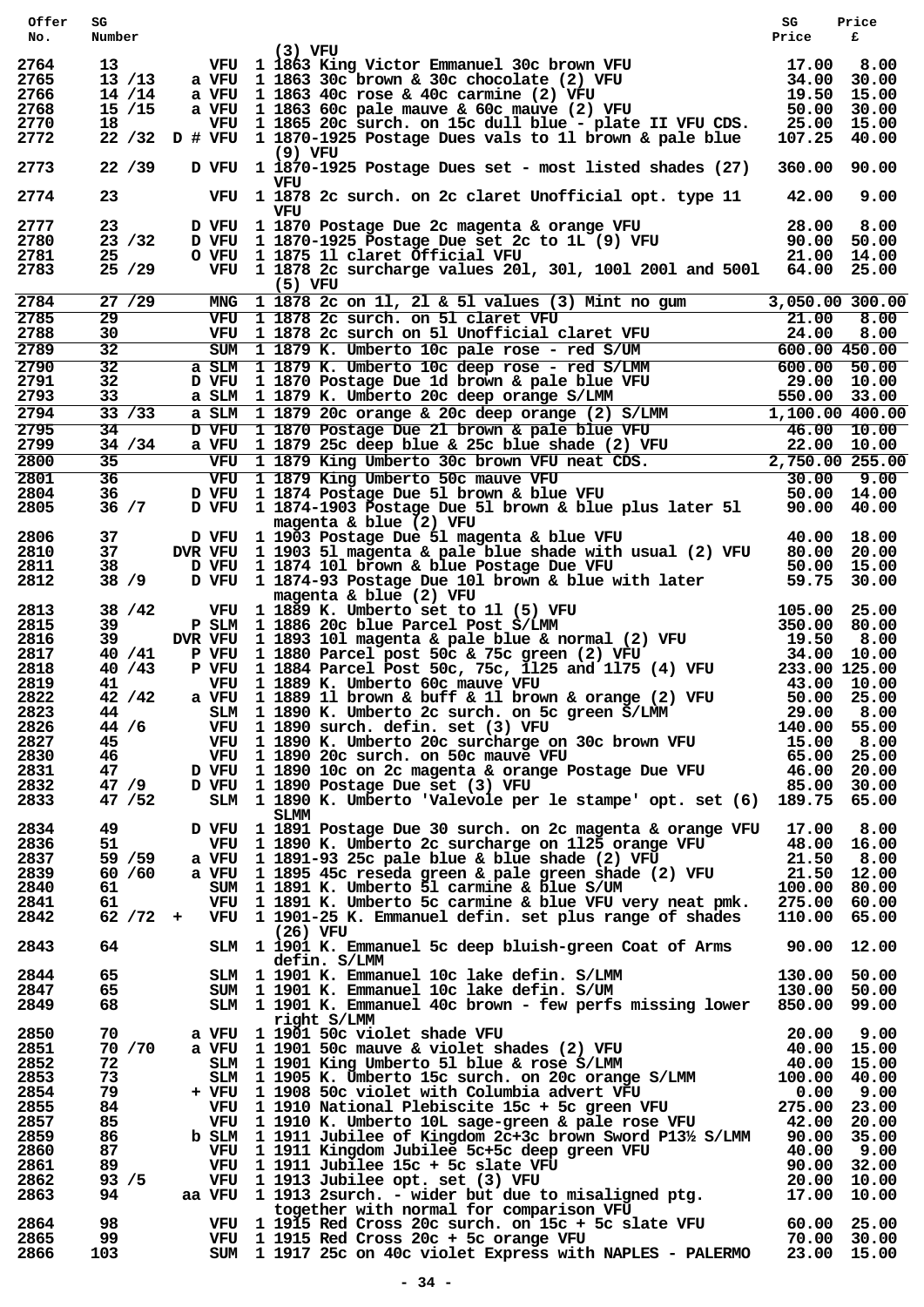| Offer<br>No. | SG<br>Number     |  |                                                                                                                                                                                                                                          | SG<br>Price                  | Price<br>£  |
|--------------|------------------|--|------------------------------------------------------------------------------------------------------------------------------------------------------------------------------------------------------------------------------------------|------------------------------|-------------|
|              |                  |  | $(3)$ VFU                                                                                                                                                                                                                                |                              |             |
| 2764<br>2765 | 13<br>13/13      |  |                                                                                                                                                                                                                                          |                              | 8.00        |
| 2766         | 14 / 14          |  |                                                                                                                                                                                                                                          | 19.50 15.00                  | 30.00       |
| 2768         | 15/15            |  | (3) VFU<br>11863 King Victor Emmanuel 30c brown VFU<br>20 a VFU 11863 30c brown & 30c chocolate (2) VFU<br>24.00 3<br>29.50 19.50 a VFU 11863 60c pale mauve & 60c mauve (2) VFU<br>29.00 50.00 50.00 50.00 50.00 50.00 50.00 50.00 50.0 | 50.00 30.00                  |             |
| 2770         | 18               |  | VFU 1 1865 20c surch. on 15c dull blue - plate II VFU CDS.                                                                                                                                                                               | 25.00 15.00                  |             |
| 2772         |                  |  | 22 /32 D # VFU 1 1870-1925 Postage Dues vals to 11 brown & pale blue                                                                                                                                                                     | 107.25                       | 40.00       |
| 2773         | 22/39            |  | $(9)$ VFU<br>D VFU 1 1870-1925 Postage Dues set - most listed shades (27)                                                                                                                                                                | 360.00                       | 90.00       |
| 2774         | 23               |  | vru<br>VFU 1 1878 2c surch. on 2c claret Unofficial opt. type 11                                                                                                                                                                         | 42.00                        | 9.00        |
| 2777         | 23               |  | VFU<br>D VFU 1 1870 Postage Due 2c magenta & orange VFU<br>D VFU 1 1870-1925 Postage Due set 2c to 1L (9) VFU<br>O VFU 1 1875 11 claret Official VFU                                                                                     | 28.00                        | 8.00        |
| 2780         | 23 / 32          |  |                                                                                                                                                                                                                                          | 90.00 50.00                  |             |
| 2781<br>2783 | 25<br>25/29      |  | O VFU 1 1875 11 claret Official VFU<br>VFU 1 1875 11 claret Official VFU 1 2001 and 5001 21.00 14.00<br>VFU 1 1878 2c surcharge values 201, 301, 1001 2001 and 5001 64.00 25.00                                                          |                              |             |
|              |                  |  | $(5)$ VFU                                                                                                                                                                                                                                |                              |             |
| 2784         | 27/29            |  | MNG 1 1878 2c on 11, 21 & 51 values (3) Mint no gum                                                                                                                                                                                      | 3,050.00 300.00              |             |
| 2785<br>2788 | 29<br>30         |  |                                                                                                                                                                                                                                          |                              |             |
| 2789         | 32               |  | VFU 1 1878 2c surch. on 51 claret VFU 21.00 8.00<br>VFU 1 1878 2c surch. on 51 Unofficial claret VFU 24.00 8.00<br>SUM 1 1879 K. Umberto 10c pale rose - red S/UM 600.00 450.00                                                          |                              |             |
| 2790         | 32               |  |                                                                                                                                                                                                                                          |                              |             |
| 2791<br>2793 | 32<br>33         |  | SUM 1 1879 K. Umberto 10c pale rose - red S/UM 600.00 450.00<br>a SLM 1 1879 K. Umberto 10c deep rose - red S/LMM 600.00 450.00<br>D VFU 1 1879 K. Umberto 20c deep roange S/LMM 550.00 33.00<br>a SLM 1 1879 20c orange & 20c deep      |                              |             |
| 2794         | 33 / 33          |  |                                                                                                                                                                                                                                          |                              |             |
| 2795         | 34               |  |                                                                                                                                                                                                                                          |                              |             |
| 2799         | 34 / 34          |  |                                                                                                                                                                                                                                          |                              |             |
| 2800         | 35               |  |                                                                                                                                                                                                                                          |                              |             |
| 2801         | 36               |  |                                                                                                                                                                                                                                          |                              |             |
| 2804         | 36               |  | D VFU 1 1874-1903 Postage Due 51 brown & blue plus later 51 90.00 40.00                                                                                                                                                                  |                              |             |
| 2805         | 36 / 7           |  | magenta & blue (2) VFU                                                                                                                                                                                                                   |                              |             |
| 2806         | 37               |  | D VFU 1 1903 Postage Due 51 magenta & blue VFU                                                                                                                                                                                           |                              | 40.00 18.00 |
| 2810         | 37               |  | DVR VFU 1 1903 51 magenta & pale blue shade with usual (2) VFU                                                                                                                                                                           | 80.00 20.00                  |             |
| 2811<br>2812 | 38<br>38 / 9     |  | D VFU 1 1874 101 brown & blue Postage Due VFU<br>D VFU 1 1874-93 Postage Due 101 brown & blue with later                                                                                                                                 | 50.00 15.00<br>59.75 30.00   |             |
|              |                  |  | magenta & blue $(2)$ VFU                                                                                                                                                                                                                 |                              |             |
| 2813         | 38 / 42          |  | $105.00$ 25.00<br>350.00 80.00<br>VFU 1 1889 K. Umberto set to 11 (5) VFU                                                                                                                                                                |                              |             |
| 2815         | 39               |  | P SLM 1 1886 20c blue Parcel Post S/LMM 350.00 80.00<br>DVR VFU 1 1893 101 magenta & pale_blue & normal (2) VFU 19.50 8.00                                                                                                               |                              |             |
| 2816         | 39.              |  |                                                                                                                                                                                                                                          |                              |             |
| 2817<br>2818 | 40 / 41<br>40/43 |  | P VFU 1 1880 Parcel post 50c & 75c green (2) VFU<br>P VFU 1 1884 Parcel Post 50c, 75c, 1125 and 1175 (4) VFU                                                                                                                             | 34.00 10.00<br>233.00 125.00 |             |
| 2819         | 41               |  | VFU 1 1889 K. Umberto 60c mauve VFU                                                                                                                                                                                                      | 43.00 10.00                  |             |
| 2822         | 42/42            |  | a VFU 1 1889 11 brown & buff & 11 brown & orange $(2)$ VFU                                                                                                                                                                               | 50.00 25.00                  |             |
| 2823         | 44               |  | SLM 1 1890 K. Umberto 2c surch. on 5c green S/LMM<br>VFU 1 1890 surch. defin. set (3) VFU                                                                                                                                                | 29.00 8.00                   |             |
| 2826         | 44/6             |  | VFU 1 1890 surch. defin. set (3) VFU                                                                                                                                                                                                     | 140.00 55.00                 |             |
| 2827         | 45               |  | VFU 1 1890 K. Umberto 20c surcharge on 30c brown VFU                                                                                                                                                                                     | 15.00 8.00                   |             |
| 2830<br>2831 | 46<br>47         |  | VFU 1 1890 20c surch. on 50c mauve VFU<br>D VFU 1 1890 10c on 2c magenta & orange Postage Due VFU                                                                                                                                        | 65.00 25.00<br>46.00 20.00   |             |
| 2832         | 47/9             |  | D VFU 1 1890 Postage Due set (3) VFU                                                                                                                                                                                                     | 85.00 30.00                  |             |
| 2833         | 47 / 52          |  | SLM 1 1890 K. Umberto 'Valevole per le stampe' opt. set (6) 189.75 65.00                                                                                                                                                                 |                              |             |
| 2834         | 49               |  | SLMM<br>D VFU 1 1891 Postage Due 30 surch. on 2c magenta & orange VFU 17.00 8.00                                                                                                                                                         |                              |             |
| 2836         | 51               |  | VFU 1 1890 K. Umberto 2c surcharge on 1125 orange VFU                                                                                                                                                                                    | 48.00 16.00                  |             |
| 2837         | 59 / 59          |  | a VFU 1 1891-93 25c pale blue & blue shade (2) VFU                                                                                                                                                                                       | 21.50 8.00                   |             |
| 2839         | 60 / 60          |  | a VFU 1 1895 45c reseda green & pale green shade (2) VFU                                                                                                                                                                                 | 21.50 12.00                  |             |
| 2840         | 61               |  | SUM 1 1891 K. Umberto 51 carmine & blue S/UM                                                                                                                                                                                             | 100.00 80.00                 |             |
| 2841<br>2842 | 61               |  | VFU 1 1891 K. Umberto 5c carmine & blue VFU very neat pmk. 275.00 60.00<br>62 /72 + VFU 1 1901-25 K. Emmanuel defin. set plus range of shades                                                                                            | 110.00 65.00                 |             |
|              |                  |  | $(26)$ VFU                                                                                                                                                                                                                               |                              |             |
| 2843         | 64               |  | SLM 1 1901 K. Emmanuel 5c deep bluish-green Coat of Arms                                                                                                                                                                                 | 90.00 12.00                  |             |
| 2844         | 65               |  | defin. S/LMM                                                                                                                                                                                                                             |                              |             |
| 2847         | 65               |  | SLM 1 1901 K. Emmanuel 10c lake defin. S/LMM<br>SUM 1 1901 K. Emmanuel 10c lake defin. S/UM                                                                                                                                              | 130.00 50.00<br>130.00 50.00 |             |
| 2849         | 68               |  | SLM 1 1901 K. Emmanuel 40c brown - few perfs missing lower 850.00 99.00                                                                                                                                                                  |                              |             |
|              |                  |  | right S/LMM                                                                                                                                                                                                                              |                              |             |
| 2850         | 70               |  |                                                                                                                                                                                                                                          |                              |             |
| 2851<br>2852 | 70 / 70<br>72    |  | a VFU 1 1901 50c violet shade VFU 20.00 9.00<br>a VFU 1 1901 50c wiolet shade VFU 20.00 9.00<br>SLM 1 1901 King Umberto 51 blue & rose S/LMM 40.00 15.00<br>SLM 1 1905 K. Umberto 15c surch. on 20c orange S/LMM 100.00 40.00            |                              |             |
| 2853         | 73               |  |                                                                                                                                                                                                                                          |                              |             |
| 2854         | 79               |  | + VFU 1 1908 50c violet with Columbia advert VFU 0.00 9.00<br>VFU 1 1910 National Plebiscite 15c + 5c green VFU 275.00 23.00<br>VFU 1 1910 K. Umberto 10L sage-green & pale rose VFU 42.00 20.00                                         |                              |             |
| 2855         | 84               |  |                                                                                                                                                                                                                                          |                              |             |
| 2857         | 85               |  |                                                                                                                                                                                                                                          |                              |             |
| 2859<br>2860 | 86<br>87         |  | b SLM 1 1911 Jubilee of Kingdom 2c+3c brown Sword P13½ S/LMM 90.00 35.00                                                                                                                                                                 |                              |             |
| 2861         | 89.              |  |                                                                                                                                                                                                                                          |                              |             |
| 2862         | 93 / 5           |  | VFU 1 1911 Kingdom Jubilee 5c+5c deep green VFU 40.00 9.00<br>VFU 1 1911 Jubilee 15c + 5c slate VFU 90.00 32.00<br>VFU 1 1913 Jubilee opt. set (3) VFU 20.00 10.00<br>aa VFU 1 1913 2surch. - wider but due to misaligned ptg. 17.00     |                              |             |
| 2863         | 94               |  |                                                                                                                                                                                                                                          |                              |             |
| 2864         | 98               |  | together with normal for comparison VFU<br>VFU $1 \overline{1915}$ Red Cross 20c surch. on $15c + 5c$ slate VFU 60.00 25.00                                                                                                              |                              |             |
| 2865         | 99               |  | VFU 1 1915 Red Cross 20c + 5c orange VFU                                                                                                                                                                                                 |                              |             |
| 2866         | 103              |  | VFU 1 1915 Red Cross 20c + 5c orange VFU 70.00 30.00<br>SUM 1 1917 25c on 40c violet Express with NAPLES - PALERMO 23.00 15.00                                                                                                           |                              |             |
|              |                  |  |                                                                                                                                                                                                                                          |                              |             |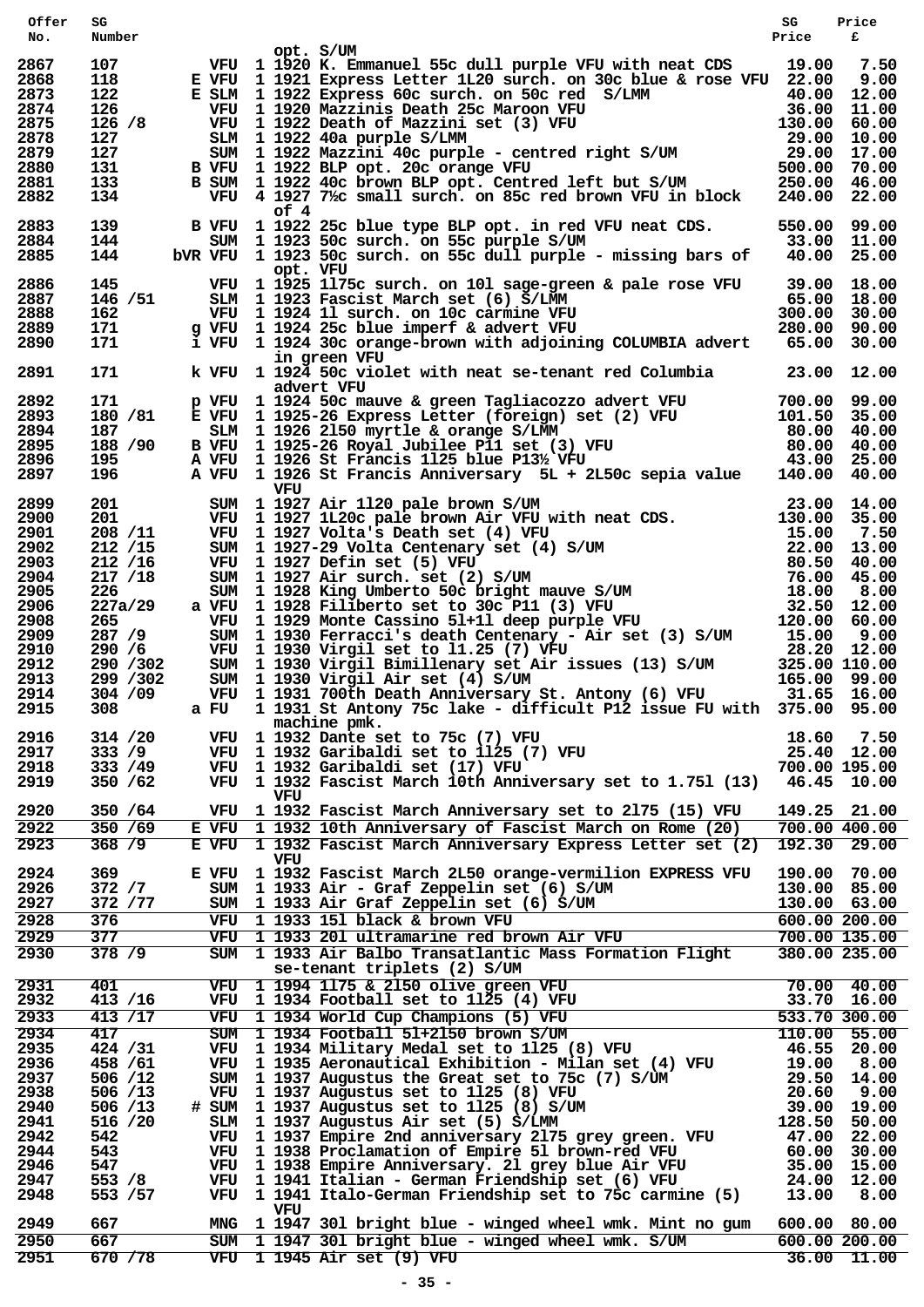| Offer        | SG             |                                                                                                                                                                                                                                              | SG    | Price                      |
|--------------|----------------|----------------------------------------------------------------------------------------------------------------------------------------------------------------------------------------------------------------------------------------------|-------|----------------------------|
| No.          | Number         | opt. S/UM                                                                                                                                                                                                                                    | Price | £                          |
| 2867         | 107            | VFU 1 1920 K. Emmanuel 55c dull purple VFU with neat CDS 19.00 7.50<br>E VFU 1 1921 Express Letter 1L20 surch. on 30c blue & rose VFU 22.00 9.00                                                                                             |       |                            |
| 2868         | 118            | E VFU 1 1921 Express Letter 1L20 surch. on 30c blue & rose VFU 22.00 9.00                                                                                                                                                                    |       |                            |
| 2873         | 122            |                                                                                                                                                                                                                                              |       |                            |
| 2874         | 126            | E SIM 1 1921 Express Letter IL20 surch. On S0C Diue & FOSe VF0 22.00 9.00<br>VF0 1 1922 Express 60c surch. On S0C red S/LMM 40.00 12.00<br>VF0 1 1922 Death of Mazzini set (3) VF0<br>SIM 1 1922 40a purple S/LMM 29.00 60.00<br>SIM 1       |       |                            |
| 2875<br>2878 | 126 / 8<br>127 |                                                                                                                                                                                                                                              |       |                            |
| 2879         | 127            |                                                                                                                                                                                                                                              |       |                            |
| 2880         | 131            |                                                                                                                                                                                                                                              |       |                            |
| 2881         | 133            | B VFU 1 1922 BLP opt. 20c orange VFU<br>B SUM 1 1922 40c brown BLP opt. Centr                                                                                                                                                                |       |                            |
| 2882         | 134            |                                                                                                                                                                                                                                              |       |                            |
|              |                | of 4                                                                                                                                                                                                                                         |       |                            |
| 2883         | 139            | B VFU 1 1922 25c blue type BLP opt. in red VFU neat CDS. 550.00 99.00                                                                                                                                                                        |       |                            |
| 2884<br>2885 | 144<br>144     | SUM 1 1923 50c surch. on 55c purple S/UM 33.00 33.00 11.00<br>bVR VFU 1 1923 50c surch. on 55c dull purple - missing bars of 40.00 25.00                                                                                                     |       |                            |
|              |                | opt. VFU                                                                                                                                                                                                                                     |       |                            |
| 2886         | 145            | VFU $1\overline{1925}$ 1175c surch. on 101 sage-green & pale rose VFU 39.00 18.00                                                                                                                                                            |       |                            |
| 2887         |                |                                                                                                                                                                                                                                              |       |                            |
| 2888         |                |                                                                                                                                                                                                                                              |       |                            |
| 2889         |                |                                                                                                                                                                                                                                              |       |                            |
| 2890         |                |                                                                                                                                                                                                                                              |       |                            |
| 2891         |                | 146/51 SLM 1 1923 Hr. Suich: On Tot sage-green a pare 10se VFO 39.00 16.00<br>162 SLM 1 1923 Fascist March set (6) S/LMM 65.00 18.00<br>162 VFU 1 1924 11 surch. on 10c carmine VFU 300.00 30.00<br>171 g VFU 1 1924 25c blue imperf &       |       |                            |
|              |                | advert VFU                                                                                                                                                                                                                                   |       |                            |
| 2892         | 171            |                                                                                                                                                                                                                                              |       |                            |
| 2893         | 180 / 81       |                                                                                                                                                                                                                                              |       |                            |
| 2894         | 187 - 187      |                                                                                                                                                                                                                                              |       |                            |
| 2895         | 188 / 90       |                                                                                                                                                                                                                                              |       |                            |
| 2896         | 195 —          |                                                                                                                                                                                                                                              |       |                            |
| 2897         | 196            | p VFU 1 1924 50c mauve & green Tagliacozzo advert VFU 700.00 99.00<br>E VFU 1 1925-26 Express Letter (foreign) set (2) VFU 101.50 35.00<br>SLM 1 1926 2150 myrtle & orange S/LMM 80.00 40.00<br>B VFU 1 1925-26 Royal Jubilee P11 se         |       |                            |
|              |                | VFU<br>VEU 1927 Air 1120 pale brown S/UM 201 VEU 1927 Air 1120 pale brown Air VFU with neat CDS. 13.00 14.00<br>201 VEU 1927 1L20c pale brown Air VFU with neat CDS. 130.00 35.00<br>208/11 VEU 1927 Volta's Death set (4) VFU 1520 7.50<br> |       |                            |
| 2899         |                |                                                                                                                                                                                                                                              |       |                            |
| 2900<br>2901 |                |                                                                                                                                                                                                                                              |       |                            |
| 2902         |                |                                                                                                                                                                                                                                              |       |                            |
| 2903         |                |                                                                                                                                                                                                                                              |       |                            |
| 2904         |                |                                                                                                                                                                                                                                              |       |                            |
| 2905         |                |                                                                                                                                                                                                                                              |       |                            |
| 2906         |                |                                                                                                                                                                                                                                              |       |                            |
| 2908         |                |                                                                                                                                                                                                                                              |       |                            |
| 2909         |                |                                                                                                                                                                                                                                              |       |                            |
| 2910         |                |                                                                                                                                                                                                                                              |       |                            |
| 2912         |                |                                                                                                                                                                                                                                              |       |                            |
| 2913         |                |                                                                                                                                                                                                                                              |       |                            |
| 2914         |                |                                                                                                                                                                                                                                              |       |                            |
| 2915         | 308            | a FU 1 1931 St Antony 75c lake - difficult P12 issue FU with 375.00 95.00<br>machine pmk.                                                                                                                                                    |       |                            |
| 2916         | 314 / 20       | machine pmk.<br>VFU 1 1932 Dante set to 75c (7) VFU<br>VFU 1 1932 Garibaldi set to 1125 (7) VFU<br>1 1000 Garibaldi set (17) VFU                                                                                                             |       | 18.60 7.50                 |
| 2917         | 333 / 9        |                                                                                                                                                                                                                                              |       | 25.40 12.00                |
| 2918         | 333 / 49       |                                                                                                                                                                                                                                              |       | 700.00 195.00              |
| 2919         | 350 / 62       | VFU 1 1932 Fascist March 10th Anniversary set to 1.751 (13) 46.45 10.00                                                                                                                                                                      |       |                            |
|              |                | VFU                                                                                                                                                                                                                                          |       |                            |
| 2920         | 350 / 64       | VFU 1 1932 Fascist March Anniversary set to 2175 (15) VFU                                                                                                                                                                                    |       | 149.25 21.00               |
| 2922         | 350 / 69       | E VFU 1 1932 10th Anniversary of Fascist March on Rome (20)                                                                                                                                                                                  |       | 700.00 400.00              |
| 2923         | 368 / 9        | E VFU 1 1932 Fascist March Anniversary Express Letter set (2) 192.30 29.00                                                                                                                                                                   |       |                            |
|              |                | VFU                                                                                                                                                                                                                                          |       |                            |
| 2924         | 369            | E VFU 1 1932 Fascist March 2L50 orange-vermilion EXPRESS VFU                                                                                                                                                                                 |       | 190.00 70.00               |
| 2926         | 372 / 7        | SUM 1 1933 Air - Graf Zeppelin set (6) S/UM                                                                                                                                                                                                  |       | 130.00 85.00               |
| 2927         | 372 / 77       | SUM 1 1933 Air Graf Zeppelin set (6) S/UM                                                                                                                                                                                                    |       | 130.00 63.00               |
| 2928         | 376            | VFU 1 1933 151 black & brown VFU                                                                                                                                                                                                             |       | 600.00200.00               |
| 2929         | 377            | VFU 1 1933 201 ultramarine red brown Air VFU                                                                                                                                                                                                 |       | 700.00 135.00              |
| 2930         | 378 / 9        | SUM 1 1933 Air Balbo Transatlantic Mass Formation Flight                                                                                                                                                                                     |       | 380.00 235.00              |
|              |                | se-tenant triplets (2) S/UM                                                                                                                                                                                                                  |       |                            |
| 2931         | 401            | VFU 1 1994 1175 & 2150 olive green VFU                                                                                                                                                                                                       |       | $70.00$ 40.00              |
| 2932         | 413 /16        | VFU 1 1934 Football set to 1125 (4) VFU                                                                                                                                                                                                      |       | 33.70 16.00                |
| 2933         | 413 / 17       | VFU 1 1934 World Cup Champions (5) VFU                                                                                                                                                                                                       |       | $\overline{533.70}$ 300.00 |
| 2934         | 417            | SUM 1 1934 Football 51+2150 brown S/UM                                                                                                                                                                                                       |       | 110.00 55.00               |
| 2935         | 424 / 31       | VFU 1 1934 Military Medal set to 1125 (8) VFU                                                                                                                                                                                                |       | 46.55 20.00                |
| 2936         | 458 / 61       | VFU 1 1935 Aeronautical Exhibition - Milan set (4) VFU                                                                                                                                                                                       |       | 19.00 8.00                 |
| 2937         | 506 / 12       |                                                                                                                                                                                                                                              |       | 29.50 14.00                |
| 2938         | 506 / 13       | SUM 1 1937 Augustus the Great set to 75c (7) S/UM<br>VFU 1 1937 Augustus set to 1125 (8) VFU<br>SUM 1 1937 Augustus set to 1125 (8) S/UM<br>SIM 1 1937 Augustus Air set (5) S/LMM                                                            |       | 20.60 9.00                 |
| 2940         | 506 / 13       | # SUM 1 1937 Augustus set to 1125 (8) S/UM                                                                                                                                                                                                   |       | 39.00 19.00                |
| 2941         | 516 /20        | SLM 1 1937 Augustus Air set (5) S/LMM                                                                                                                                                                                                        |       | 128.50 50.00               |
| 2942<br>2944 | 542<br>543     | VFU 1 1937 Empire 2nd anniversary 2175 grey green. VFU<br>VFU 1 1938 Proclamation of Empire 51 brown-red VFU                                                                                                                                 |       | 47.00 22.00                |
| 2946         | 547            | VFU 1 1938 Empire Anniversary. 21 grey blue Air VFU                                                                                                                                                                                          |       | 60.00 30.00<br>35.00 15.00 |
| 2947         | 553 / 8        | VFU 1 1941 Italian - German Friendship set (6) VFU                                                                                                                                                                                           |       | 24.00 12.00                |
| 2948         | 553 / 57       | VFU 1 1941 Italo-German Friendship set to 75c carmine (5)                                                                                                                                                                                    |       | 13.00 8.00                 |
|              |                | VFU                                                                                                                                                                                                                                          |       |                            |
| 2949         | 667            | MNG 1 1947 301 bright blue - winged wheel wmk. Mint no gum                                                                                                                                                                                   |       | 600.00 80.00               |
| 2950         | 667            | SUM 1 1947 301 bright blue - winged wheel wmk. S/UM                                                                                                                                                                                          |       | 600.00 200.00              |
| 2951         | 670 / 78       | VFU 1 1945 Air set (9) VFU                                                                                                                                                                                                                   |       | $36.00$ 11.00              |
|              |                |                                                                                                                                                                                                                                              |       |                            |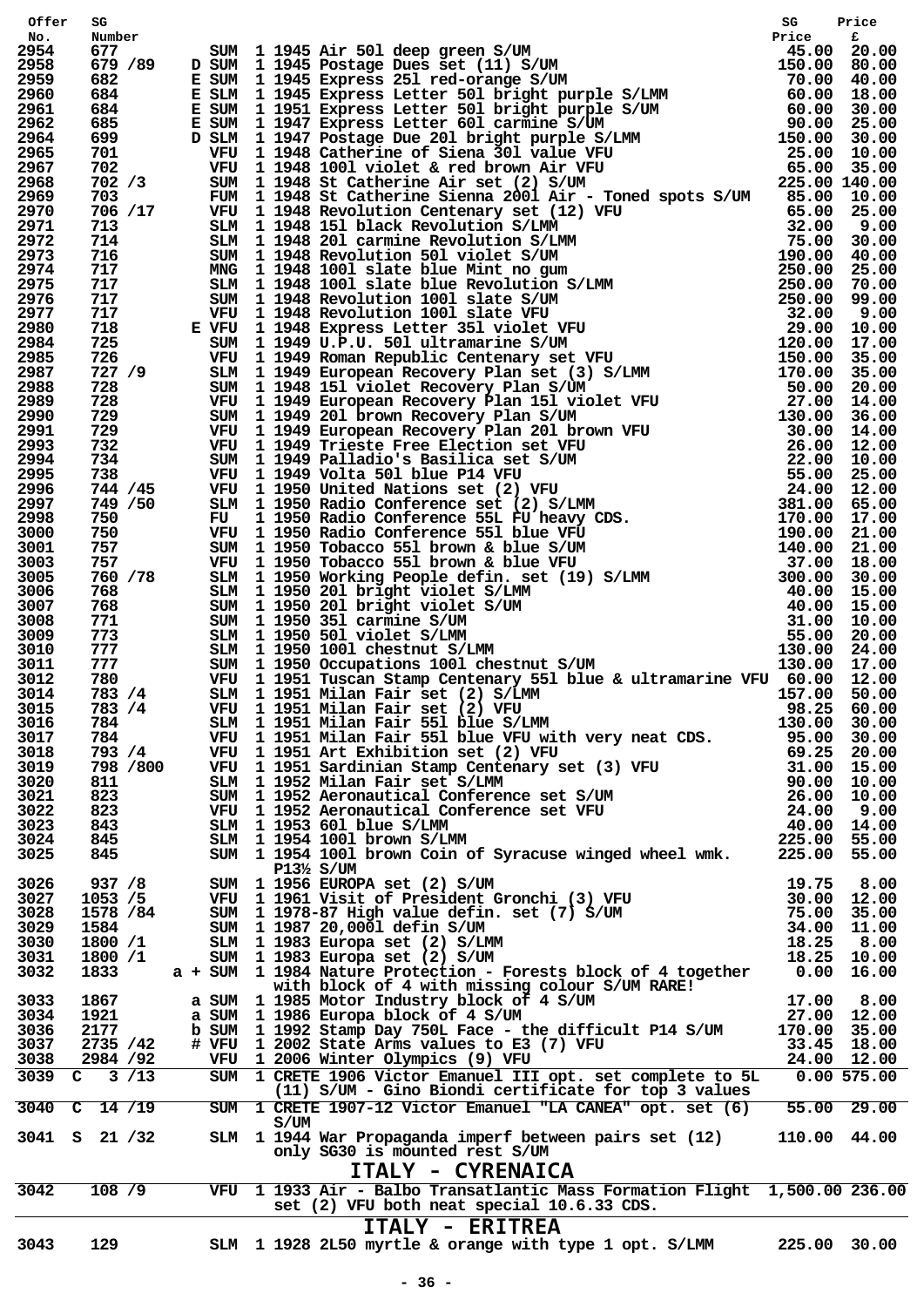| Offer        |                       |          |      | 92, 2018 11945 Air 501 deep green 8/UM<br>678 26 2018 11945 Air 501 deep green 8/UM<br>678 26 2018 11945 between 261 tele-cyange 8/UM<br>6622 26 2018 11945 between 261 tele-cyange 8/UM<br>6622 26 2018 11945 between 261 web-cyange |              |                            |
|--------------|-----------------------|----------|------|---------------------------------------------------------------------------------------------------------------------------------------------------------------------------------------------------------------------------------------|--------------|----------------------------|
| No.<br>2954  |                       |          |      |                                                                                                                                                                                                                                       |              |                            |
| 2958         |                       |          |      |                                                                                                                                                                                                                                       |              |                            |
| 2959         |                       |          |      |                                                                                                                                                                                                                                       |              |                            |
| 2960         |                       |          |      |                                                                                                                                                                                                                                       |              |                            |
| 2961<br>2962 |                       |          |      |                                                                                                                                                                                                                                       |              |                            |
| 2964         |                       |          |      |                                                                                                                                                                                                                                       |              |                            |
| 2965         |                       |          |      |                                                                                                                                                                                                                                       |              |                            |
| 2967         |                       |          |      |                                                                                                                                                                                                                                       |              |                            |
| 2968<br>2969 |                       |          |      |                                                                                                                                                                                                                                       |              |                            |
| 2970         |                       |          |      |                                                                                                                                                                                                                                       |              |                            |
| 2971         |                       |          |      |                                                                                                                                                                                                                                       |              |                            |
| 2972         |                       |          |      |                                                                                                                                                                                                                                       |              |                            |
| 2973<br>2974 |                       |          |      |                                                                                                                                                                                                                                       |              |                            |
| 2975         |                       |          |      |                                                                                                                                                                                                                                       |              |                            |
| 2976         |                       |          |      |                                                                                                                                                                                                                                       |              |                            |
| 2977         |                       |          |      |                                                                                                                                                                                                                                       |              |                            |
| 2980         |                       |          |      |                                                                                                                                                                                                                                       |              |                            |
| 2984<br>2985 |                       |          |      |                                                                                                                                                                                                                                       |              |                            |
| 2987         |                       |          |      |                                                                                                                                                                                                                                       |              |                            |
| 2988         |                       |          |      |                                                                                                                                                                                                                                       |              |                            |
| 2989         |                       |          |      |                                                                                                                                                                                                                                       |              |                            |
| 2990<br>2991 |                       |          |      |                                                                                                                                                                                                                                       |              |                            |
| 2993         |                       |          |      |                                                                                                                                                                                                                                       |              |                            |
| 2994         |                       |          |      |                                                                                                                                                                                                                                       |              |                            |
| 2995         |                       |          |      |                                                                                                                                                                                                                                       |              |                            |
| 2996         |                       |          |      |                                                                                                                                                                                                                                       |              |                            |
| 2997<br>2998 |                       |          |      |                                                                                                                                                                                                                                       |              |                            |
| 3000         |                       |          |      |                                                                                                                                                                                                                                       |              |                            |
| 3001         |                       |          |      |                                                                                                                                                                                                                                       |              |                            |
| 3003         |                       |          |      |                                                                                                                                                                                                                                       |              |                            |
| 3005         |                       |          |      |                                                                                                                                                                                                                                       |              |                            |
| 3006<br>3007 |                       |          |      |                                                                                                                                                                                                                                       |              |                            |
| 3008         |                       |          |      |                                                                                                                                                                                                                                       |              |                            |
| 3009         |                       |          |      |                                                                                                                                                                                                                                       |              |                            |
| 3010         |                       |          |      |                                                                                                                                                                                                                                       |              |                            |
| 3011         |                       |          |      |                                                                                                                                                                                                                                       |              |                            |
| 3012         |                       |          |      |                                                                                                                                                                                                                                       |              |                            |
| 3014<br>3015 | 783 /4                |          |      | $157.00$ 50.00<br>VFU 11951 Milan Fair set (2) VFU                                                                                                                                                                                    | 98.25 60.00  |                            |
| 3016         | 784                   |          |      | SLM 1 1951 Milan Fair 551 blue S/LMM                                                                                                                                                                                                  | 130.00       | 30.00                      |
| 3017         | 784                   |          |      | VFU 1 1951 Milan Fair 551 blue VFU with very neat CDS.                                                                                                                                                                                |              | 95.00 30.00                |
| 3018         | 793 /4                |          |      | VFU 1 1951 Art Exhibition set (2) VFU                                                                                                                                                                                                 | 69.25        | 20.00                      |
| 3019         |                       | 798 /800 |      | VFU 1 1951 Sardinian Stamp Centenary set (3) VFU                                                                                                                                                                                      |              | 31.00 15.00                |
| 3020         | 811                   |          |      | 1 1952 Milan Fair set S/LMM<br>SUM 1 1952 Aeronautical Conference set S/UM<br>VFU 1 1952 Aeronautical Conference set VFU<br>SLM 1 1953 601 blue S/LMM                                                                                 |              | 90.00 10.00                |
| 3021<br>3022 | 823<br>823            |          |      |                                                                                                                                                                                                                                       | 24.00        | 26.00 10.00<br>9.00        |
| 3023         | 843                   |          |      |                                                                                                                                                                                                                                       |              | 40.00 14.00                |
| 3024         | 845                   |          |      | SLM 1 1954 1001 brown S/LMM                                                                                                                                                                                                           |              | 225.00 55.00               |
| 3025         | 845                   |          |      | SUM 1 1954 1001 brown Coin of Syracuse winged wheel wmk.                                                                                                                                                                              | 225.00       | 55.00                      |
|              |                       |          |      | $P13\frac{1}{2}$ S/UM                                                                                                                                                                                                                 |              |                            |
| 3026         | 937 / 8               |          |      | SUM 1 1956 EUROPA set (2) S/UM                                                                                                                                                                                                        | 19.75        | 8.00                       |
| 3027<br>3028 | 1053 / 5<br>1578 / 84 |          |      |                                                                                                                                                                                                                                       |              | 30.00 12.00<br>75.00 35.00 |
| 3029         | 1584                  |          |      | VFU 1 1961 Visit of President Gronchi (3) VFU<br>SUM 1 1978-87 High value defin. set (7) S/UM<br>SUM 1 1987 20,0001 defin S/UM                                                                                                        |              | 34.00 11.00                |
| 3030         | 1800 /1               |          |      | SLM 1 1983 Europa set (2) S/LMM                                                                                                                                                                                                       | 18.25        | 8.00                       |
| 3031         | 1800 /1               |          |      | SUM 1 1983 Europa set (2) S/UM                                                                                                                                                                                                        |              | 18.25 10.00                |
| 3032         | 1833                  |          |      | a + SUM 1 1984 Nature Protection - Forests block of 4 together                                                                                                                                                                        |              | 0.00 16.00                 |
|              |                       |          |      | with block of 4 with missing colour S/UM RARE!                                                                                                                                                                                        |              |                            |
| 3033<br>3034 | 1867<br>1921          |          |      | a SUM 1 1985 Motor Industry block of 4 S/UM<br>a SUM 1 1986 Europa block of 4 S/UM                                                                                                                                                    | 17.00        | 8.00<br>27.00 12.00        |
| 3036         | 2177                  |          |      | b SUM 1 1992 Stamp Day 750L Face - the difficult P14 S/UM                                                                                                                                                                             | 170.00 35.00 |                            |
| 3037         | 2735 / 42             |          |      | # VFU 1 2002 State Arms values to E3 (7) VFU                                                                                                                                                                                          |              | 33.45 18.00                |
| 3038         | 2984 /92              |          |      | VFU 1 2006 Winter Olympics (9) VFU                                                                                                                                                                                                    |              | 24.00 12.00                |
| 3039         | $C = 3 / 13$          |          |      | SUM 1 CRETE 1906 Victor Emanuel III opt. set complete to 5L                                                                                                                                                                           |              | 0.00575.00                 |
|              |                       |          |      | (11) S/UM - Gino Biondi certificate for top 3 values                                                                                                                                                                                  |              |                            |
|              | 3040 C 14 /19         |          |      | SUM 1 CRETE 1907-12 Victor Emanuel "LA CANEA" opt. set (6)                                                                                                                                                                            |              | 55.00 29.00                |
|              |                       |          | S/UM |                                                                                                                                                                                                                                       |              |                            |
|              | 3041 S 21 /32         |          |      | SLM 1 1944 War Propaganda imperf between pairs set (12)<br>only SG30 is mounted rest S/UM                                                                                                                                             | 110.00 44.00 |                            |
|              |                       |          |      | <b>ITALY - CYRENAICA</b>                                                                                                                                                                                                              |              |                            |
|              |                       |          |      |                                                                                                                                                                                                                                       |              |                            |
| 3042         | 108/9                 |          |      | VFU 1 1933 Air - Balbo Transatlantic Mass Formation Flight 1,500.00 236.00<br>set (2) VFU both neat special 10.6.33 CDS.                                                                                                              |              |                            |
|              |                       |          |      |                                                                                                                                                                                                                                       |              |                            |
|              |                       |          |      | ITALY - ERITREA                                                                                                                                                                                                                       |              |                            |
| 3043         | 129                   |          |      | SLM 1 1928 2L50 myrtle & orange with type 1 opt. S/LMM                                                                                                                                                                                | 225.00 30.00 |                            |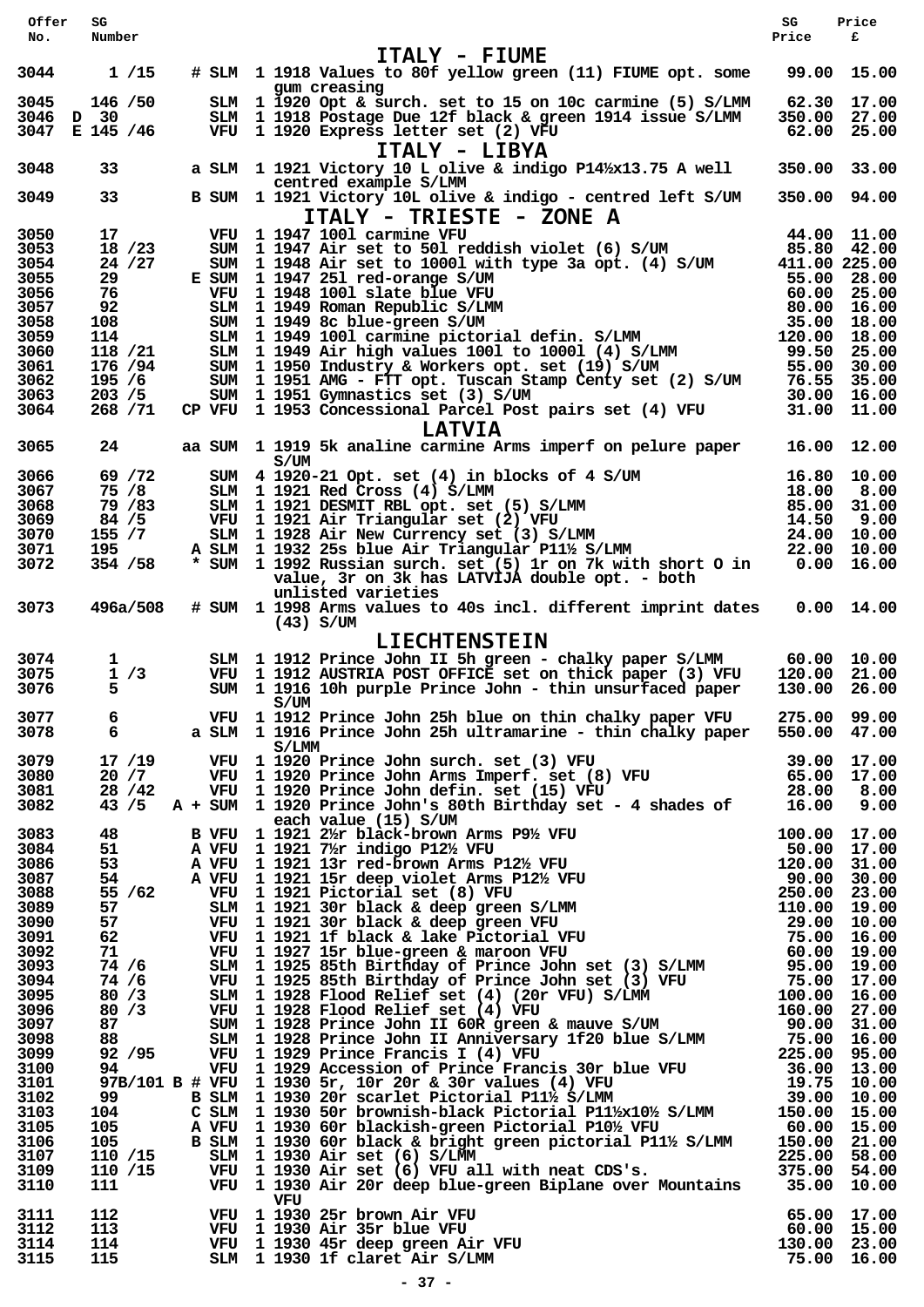| Offer                                        | SG                                               |                                                                                                                                                                                                                                                                                                 | SG                           | Price                                                     |
|----------------------------------------------|--------------------------------------------------|-------------------------------------------------------------------------------------------------------------------------------------------------------------------------------------------------------------------------------------------------------------------------------------------------|------------------------------|-----------------------------------------------------------|
| No.                                          | Number                                           | ITALY - FIUME                                                                                                                                                                                                                                                                                   | Price                        | £                                                         |
| 3044                                         | 1/15                                             | # SLM 1 1918 Values to 80f yellow green (11) FIUME opt. some<br>gum creasing                                                                                                                                                                                                                    |                              | 99.00 15.00                                               |
| 3045<br>3046                                 | 146 / 50<br>D 30<br>3047 E 145 /46               | SLM 1 1920 Opt & surch. set to 15 on 10c carmine (5) S/LMM<br>SLM 1 1918 Postage Due 12f black & green 1914 issue S/LMM<br>VFU 1 1920 Express letter set (2) VFU                                                                                                                                | 350.00 27.00                 | 62.30 17.00<br>62.00 25.00                                |
| 3048                                         | 33                                               | ITALY - LIBYA<br>a SLM 1 1921 Victory 10 L olive & indigo P14%x13.75 A well                                                                                                                                                                                                                     | 350.00 33.00                 |                                                           |
| 3049                                         | 33 <sup>2</sup>                                  | centred example S/LMM<br>B SUM 1 1921 Victory 10L olive & indigo - centred left S/UM                                                                                                                                                                                                            | 350.00 94.00                 |                                                           |
| 3050<br>3053                                 | 17<br>18 / 23                                    | ITALY - TRIESTE - ZONE A<br>VFU 1 1947 1001 carmine VFU<br>SUM 1 1947 Air set to 501 reddish violet (6) S/UM                                                                                                                                                                                    |                              | 44.00 11.00<br>85.80 42.00                                |
| 3054<br>3055<br>3056                         | 24 / 27<br>29<br>76                              | SUM 1 1948 Air set to 10001 with type 3a opt. (4) S/UM<br>E SUM 1 1947 251 red-orange S/UM                                                                                                                                                                                                      | 411.00 225.00                | 55.00 28.00<br>60.00 25.00                                |
| 3057<br>3058<br>3059<br>3060                 | 92<br>108<br>114<br>118 / 21                     | SUM 1 1947 251 red-orange S/UM<br>VFU 1 1948 1001 slate blue VFU<br>SLM 1 1949 Roman Republic S/LMM<br>SUM 1 1949 8c blue-green S/UM<br>SLM 1 1949 1001 carmine pictorial defin. S/LMM<br>SLM 1 1949 Air high values 1001 to 10001 (4) S/LMM<br>                                                | 120.00 18.00                 | 80.00 16.00<br>35.00 18.00<br>99.50 25.00                 |
| 3061<br>3062<br>3063                         | 176 / 94<br>195/6<br>203 / 5                     | SUM 1 1950 Industry & Workers opt. set (19) S/UM<br>SUM 1 1951 AMG - FTT opt. Tuscan Stamp Centy set (2) S/UM<br>SUM 1 1951 Gymnastics set (3) S/UM                                                                                                                                             |                              | 55.00 30.00<br>76.55 35.00<br>30.00 16.00                 |
| 3064                                         | 268 / 71                                         | CP VFU 1 1953 Concessional Parcel Post pairs set (4) VFU<br><b>LATVIA</b>                                                                                                                                                                                                                       |                              | 31.00 11.00                                               |
| 3065                                         | 24                                               | aa SUM 1 1919 5k analine carmine Arms imperf on pelure paper<br>S/UM                                                                                                                                                                                                                            | 16.00                        | 12.00                                                     |
| 3066<br>3067<br>3068<br>3069<br>3070         | 69 / 72<br>75 /8<br>79 / 83<br>84 / 5<br>155 / 7 | SUM 4 1920-21 Opt. set (4) in blocks of 4 S/UM<br>SLM 1 1921 Red Cross (4) S/LMM<br>SLM 1 1921 DESMIT RBL opt. set (5) S/LMM<br>VFU 1 1921 Air Triangular set (2) VFU<br>SLM 1 1928 Air New Currency set (3) S/LMM<br>A SLM 1 1932 25s blue Air Triangular P11½ S/LMM<br>* SUM 1 1992 Russian s | 18.00<br>14.50               | 16.80 10.00<br>8.00<br>85.00 31.00<br>9.00<br>24.00 10.00 |
| 3071<br>3072                                 | 195<br>354 / 58                                  | * SUM 1 1992 Russian surch. set (5) 1r on 7k with short O in<br>value, 3r on 3k has LATVIJA double opt. - both<br>unlisted varieties                                                                                                                                                            |                              | 22.00 10.00<br>$0.00$ 16.00                               |
| 3073                                         | 496a/508                                         | # SUM 1 1998 Arms values to 40s incl. different imprint dates<br>$(43)$ S/UM<br><b>LIECHTENSTEIN</b>                                                                                                                                                                                            |                              | $0.00$ 14.00                                              |
| 3074<br>3075<br>3076                         | $\mathbf{1}$<br>1/3<br>5.                        | SLM 1 1912 Prince John II 5h green - chalky paper S/LMM<br>VFU 1 1912 AUSTRIA POST OFFICE set on thick paper (3) VFU<br>SUM 1 1916 10h purple Prince John - thin unsurfaced paper                                                                                                               | 120.00 21.00<br>130.00 26.00 | 60.00 10.00                                               |
| 3077<br>3078                                 | 6<br>$6\overline{6}$                             | S/UM<br>VFU 1 1912 Prince John 25h blue on thin chalky paper VFU 275.00 99.00<br>a SLM 1 1916 Prince John 25h ultramarine - thin chalky paper 550.00 47.00                                                                                                                                      |                              |                                                           |
| 3079<br>3080<br>3081<br>3082                 |                                                  | S/LMM<br>17 /19 VFU 1 1920 Prince John surch. set (3) VFU 39.00 17.00<br>20 /7 VFU 1 1920 Prince John Arms Imperf. set (8) VFU 65.00 17.00<br>28 /42 VFU 1 1920 Prince John defin. set (15) VFU 28.00 8.00<br>43 /5 A + SUM 1 1920 Pri                                                          |                              |                                                           |
| 3083<br>3084                                 |                                                  | each value (15) S/UM                                                                                                                                                                                                                                                                            |                              |                                                           |
| 3086<br>3087<br>3088                         |                                                  |                                                                                                                                                                                                                                                                                                 |                              |                                                           |
| 3089<br>3090<br>3091<br>3092                 |                                                  |                                                                                                                                                                                                                                                                                                 |                              |                                                           |
| 3093<br>3094<br>3095<br>3096<br>3097         |                                                  |                                                                                                                                                                                                                                                                                                 |                              |                                                           |
| 3098<br>3099<br>3100<br>3101<br>3102         |                                                  |                                                                                                                                                                                                                                                                                                 |                              |                                                           |
| 3103<br>3105<br>3106<br>3107<br>3109<br>3110 |                                                  | 43 /5 A + 5UM 1920 Prince John 's 80th Birthday set - 4 shades of 16.00 9.00<br>B WT 1 1921 2# hladch-hrown Arms P <sup>9</sup> % VFU<br>51 A VFU 1 1921 74 rindigo PI2% VFU<br>51 A VFU 1 1921 74 rindigo PI2% VFU<br>A VFU 1 1921 137 deep vio                                                |                              |                                                           |
| 3111<br>3112<br>3114<br>3115                 | 112 and the state of $\sim$<br>113<br>114<br>115 | VFU<br>VFU 1 1930 25r brown Air VFU 65.00 17.00<br>VFU 1 1930 Air 35r blue VFU 60.00 15.00<br>VFU 1 1930 45r deep green Air VFU 1 1930 16.00 23.00<br>SLM 1 1930 1f claret Air S/LMM 75.00 16.00                                                                                                |                              |                                                           |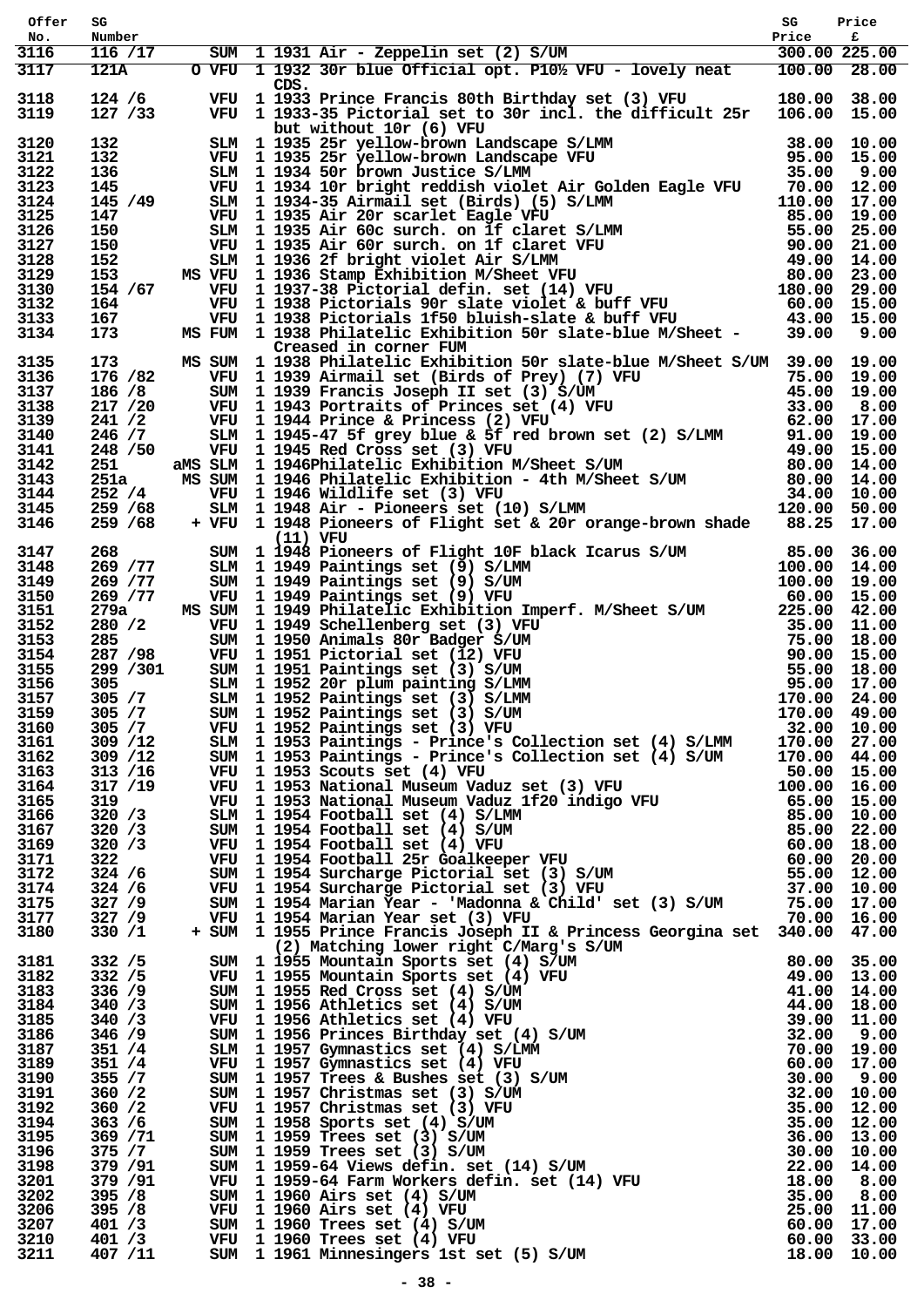| Offer        | SG                   |                                                                                                                                                                                                                                                                                                                                                                                                                                                                                  | SG | Price |
|--------------|----------------------|----------------------------------------------------------------------------------------------------------------------------------------------------------------------------------------------------------------------------------------------------------------------------------------------------------------------------------------------------------------------------------------------------------------------------------------------------------------------------------|----|-------|
| No.<br>3116  | Number<br>116 / 17   | $\begin{tabular}{ccccc} 30 & 11231 & 11231 & 1124 & 11241 & 11241 & 11241 & 11241 & 11241 & 11241 & 11241 & 11241 & 11241 & 11241 & 11241 & 11241 & 11241 & 11241 & 11241 & 11241 & 11241 & 11241 & 11241 & 11241 & 11241 & 11241 & 11241 & 11241 & 11241 & 11241 & 1124$                                                                                                                                                                                                        |    |       |
| 3117         | 121A                 |                                                                                                                                                                                                                                                                                                                                                                                                                                                                                  |    |       |
|              |                      |                                                                                                                                                                                                                                                                                                                                                                                                                                                                                  |    |       |
| 3118<br>3119 | $124/6$<br>127 / 33  | CDS.<br>VFU 1933 Prince Francis 80th Birthday set (3) VFU 180.00 38.00<br>VFU 1 1933-35 Pictorial set to 30r incl. the difficult 25r 106.00 15.00                                                                                                                                                                                                                                                                                                                                |    |       |
| 3120         |                      |                                                                                                                                                                                                                                                                                                                                                                                                                                                                                  |    |       |
| 3121         |                      |                                                                                                                                                                                                                                                                                                                                                                                                                                                                                  |    |       |
| 3122         |                      |                                                                                                                                                                                                                                                                                                                                                                                                                                                                                  |    |       |
| 3123         |                      |                                                                                                                                                                                                                                                                                                                                                                                                                                                                                  |    |       |
| 3124         |                      |                                                                                                                                                                                                                                                                                                                                                                                                                                                                                  |    |       |
| 3125<br>3126 |                      |                                                                                                                                                                                                                                                                                                                                                                                                                                                                                  |    |       |
| 3127         |                      |                                                                                                                                                                                                                                                                                                                                                                                                                                                                                  |    |       |
| 3128         |                      |                                                                                                                                                                                                                                                                                                                                                                                                                                                                                  |    |       |
| 3129         |                      |                                                                                                                                                                                                                                                                                                                                                                                                                                                                                  |    |       |
| 3130<br>3132 |                      |                                                                                                                                                                                                                                                                                                                                                                                                                                                                                  |    |       |
| 3133         |                      |                                                                                                                                                                                                                                                                                                                                                                                                                                                                                  |    |       |
| 3134         |                      | 127 /33 VFU 1933-35 Pictorial set to 30r incl. the difficult 25r 106.00 15.00<br>132 SLM 1935-25r yellow-brown Landscape VFU<br>132 WFU 1935-25r yellow-brown Landscape VFU<br>132 WFU 11935-25r yellow-brown Landscape VFU<br>136 SL                                                                                                                                                                                                                                            |    |       |
| 3135         |                      |                                                                                                                                                                                                                                                                                                                                                                                                                                                                                  |    |       |
| 3136         |                      |                                                                                                                                                                                                                                                                                                                                                                                                                                                                                  |    |       |
| 3137         |                      |                                                                                                                                                                                                                                                                                                                                                                                                                                                                                  |    |       |
| 3138<br>3139 |                      |                                                                                                                                                                                                                                                                                                                                                                                                                                                                                  |    |       |
| 3140         |                      |                                                                                                                                                                                                                                                                                                                                                                                                                                                                                  |    |       |
| 3141         |                      |                                                                                                                                                                                                                                                                                                                                                                                                                                                                                  |    |       |
| 3142         |                      |                                                                                                                                                                                                                                                                                                                                                                                                                                                                                  |    |       |
| 3143         |                      |                                                                                                                                                                                                                                                                                                                                                                                                                                                                                  |    |       |
| 3144         |                      |                                                                                                                                                                                                                                                                                                                                                                                                                                                                                  |    |       |
| 3145<br>3146 |                      | 173 MS SUM I Technology and correl for the bind of the bind of the SATUM 39.00 19.00<br>166/8 SUM 1 1938 Philatelic Exhibition 50r slate-blue M/Sheet S/UM 39.00 19.00<br>166/8 SUM 1 1939 Rimmail set (Birds of Princes set (4)                                                                                                                                                                                                                                                 |    |       |
| 3147         |                      |                                                                                                                                                                                                                                                                                                                                                                                                                                                                                  |    |       |
| 3148         |                      |                                                                                                                                                                                                                                                                                                                                                                                                                                                                                  |    |       |
| 3149         |                      |                                                                                                                                                                                                                                                                                                                                                                                                                                                                                  |    |       |
| 3150         |                      |                                                                                                                                                                                                                                                                                                                                                                                                                                                                                  |    |       |
| 3151         |                      |                                                                                                                                                                                                                                                                                                                                                                                                                                                                                  |    |       |
| 3152         |                      |                                                                                                                                                                                                                                                                                                                                                                                                                                                                                  |    |       |
| 3153<br>3154 |                      |                                                                                                                                                                                                                                                                                                                                                                                                                                                                                  |    |       |
| 3155         |                      |                                                                                                                                                                                                                                                                                                                                                                                                                                                                                  |    |       |
| 3156         |                      |                                                                                                                                                                                                                                                                                                                                                                                                                                                                                  |    |       |
| 3157         |                      |                                                                                                                                                                                                                                                                                                                                                                                                                                                                                  |    |       |
| 3159         | 305 / 7              |                                                                                                                                                                                                                                                                                                                                                                                                                                                                                  |    |       |
| 3160         | 305 / 7              |                                                                                                                                                                                                                                                                                                                                                                                                                                                                                  |    |       |
| 3161         | 309 / 12             |                                                                                                                                                                                                                                                                                                                                                                                                                                                                                  |    |       |
| 3162<br>3163 | 309 / 12<br>313 / 16 |                                                                                                                                                                                                                                                                                                                                                                                                                                                                                  |    |       |
| 3164         | 317 / 19             |                                                                                                                                                                                                                                                                                                                                                                                                                                                                                  |    |       |
| 3165         | 319                  |                                                                                                                                                                                                                                                                                                                                                                                                                                                                                  |    |       |
| 3166         | 320 / 3              |                                                                                                                                                                                                                                                                                                                                                                                                                                                                                  |    |       |
| 3167         | 320 / 3              |                                                                                                                                                                                                                                                                                                                                                                                                                                                                                  |    |       |
| 3169<br>3171 | 320 / 3<br>322       |                                                                                                                                                                                                                                                                                                                                                                                                                                                                                  |    |       |
| 3172         | 324 / 6              |                                                                                                                                                                                                                                                                                                                                                                                                                                                                                  |    |       |
| 3174         | 324 / 6              |                                                                                                                                                                                                                                                                                                                                                                                                                                                                                  |    |       |
| 3175         | 327 / 9              |                                                                                                                                                                                                                                                                                                                                                                                                                                                                                  |    |       |
| 3177         | 327 / 9              |                                                                                                                                                                                                                                                                                                                                                                                                                                                                                  |    |       |
| 3180         | 330 / 1              | SIM 1 1952 Paintings set (3) S/IMM 170.00 24.00<br>SUM 1 1952 Paintings set (3) S/IMM 170.00 49.00<br>SUM 1 1952 Paintings set (3) S/IMM 170.00 49.00<br>SUM 1 1953 Paintings e- Prince's Collection set (4) S/IMM 170.00 27.00<br>SUM<br>9 1 1953 Prince Francis Joseph II & Princess Georgina set 340.00 47.00<br>1 1955 Prince Francis Joseph II & Princess Georgina set 340.00 47.00<br>5 JM 1 1955 Nountain Sports set (4) S/UM<br>1 1955 Nountain Sports set (4) S/UM<br>8 |    |       |
| 3181         | 332 / 5              |                                                                                                                                                                                                                                                                                                                                                                                                                                                                                  |    |       |
| 3182         | 332 / 5              |                                                                                                                                                                                                                                                                                                                                                                                                                                                                                  |    |       |
| 3183         | 336 / 9              |                                                                                                                                                                                                                                                                                                                                                                                                                                                                                  |    |       |
| 3184         | 340 / 3              |                                                                                                                                                                                                                                                                                                                                                                                                                                                                                  |    |       |
| 3185         | 340 / 3              |                                                                                                                                                                                                                                                                                                                                                                                                                                                                                  |    |       |
| 3186<br>3187 | 346 / 9<br>351 / 4   |                                                                                                                                                                                                                                                                                                                                                                                                                                                                                  |    |       |
| 3189         | 351 / 4              |                                                                                                                                                                                                                                                                                                                                                                                                                                                                                  |    |       |
| 3190         | 355 / 7              |                                                                                                                                                                                                                                                                                                                                                                                                                                                                                  |    |       |
| 3191         | 360 / 2              |                                                                                                                                                                                                                                                                                                                                                                                                                                                                                  |    |       |
| 3192         | 360 / 2              |                                                                                                                                                                                                                                                                                                                                                                                                                                                                                  |    |       |
| 3194<br>3195 | 363 / 6              |                                                                                                                                                                                                                                                                                                                                                                                                                                                                                  |    |       |
| 3196         | 369 / 71<br>375 / 7  |                                                                                                                                                                                                                                                                                                                                                                                                                                                                                  |    |       |
| 3198         | 379 / 91             |                                                                                                                                                                                                                                                                                                                                                                                                                                                                                  |    |       |
| 3201         | 379 / 91             |                                                                                                                                                                                                                                                                                                                                                                                                                                                                                  |    |       |
| 3202         | 395 / 8              |                                                                                                                                                                                                                                                                                                                                                                                                                                                                                  |    |       |
| 3206         | 395 / 8              |                                                                                                                                                                                                                                                                                                                                                                                                                                                                                  |    |       |
| 3207<br>3210 | 401 / 3<br>401 / 3   |                                                                                                                                                                                                                                                                                                                                                                                                                                                                                  |    |       |
| 3211         | 407 /11              |                                                                                                                                                                                                                                                                                                                                                                                                                                                                                  |    |       |
|              |                      |                                                                                                                                                                                                                                                                                                                                                                                                                                                                                  |    |       |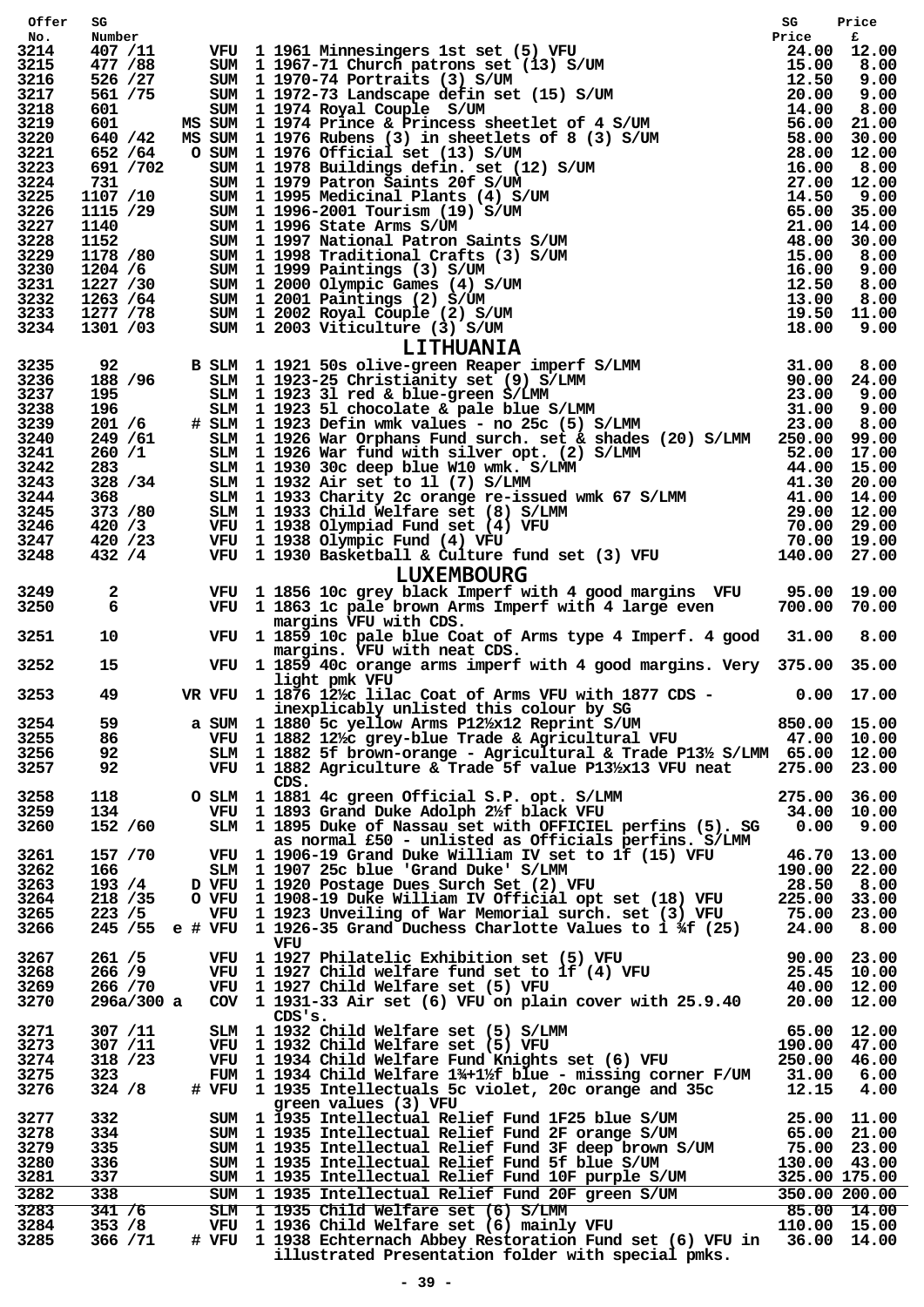| Offer        | SG                    |     | VFU 1 1961 Minnesingers let set (5) VFU some rise of the strate of the set of 10 12.00<br>SUM 1 1957-71 Church jetrons set (13) S/UM 160 200 1<br>SUM 11977-71 Church jetrons set (13) S/UM 15.00 2.00<br>SUM 11977-71 Church jetro | SG     | Price                         |
|--------------|-----------------------|-----|-------------------------------------------------------------------------------------------------------------------------------------------------------------------------------------------------------------------------------------|--------|-------------------------------|
| No.<br>3214  | Number<br>407 /11     |     |                                                                                                                                                                                                                                     |        |                               |
| 3215         | 477 / 88              |     |                                                                                                                                                                                                                                     |        |                               |
| 3216<br>3217 | 526 /27<br>561 / 75   |     |                                                                                                                                                                                                                                     |        |                               |
| 3218         | 601                   |     |                                                                                                                                                                                                                                     |        |                               |
| 3219         | 601                   |     |                                                                                                                                                                                                                                     |        |                               |
| 3220<br>3221 | 640 / 42<br>652 / 64  |     |                                                                                                                                                                                                                                     |        |                               |
| 3223         | 691 /702              |     |                                                                                                                                                                                                                                     |        |                               |
| 3224         | 731                   |     |                                                                                                                                                                                                                                     |        |                               |
| 3225<br>3226 | 1107 /10<br>1115 /29  |     |                                                                                                                                                                                                                                     |        |                               |
| 3227         |                       |     |                                                                                                                                                                                                                                     |        |                               |
| 3228         | 1140<br>1152          |     |                                                                                                                                                                                                                                     |        |                               |
| 3229<br>3230 | 1178 /80<br>1204 /6   |     |                                                                                                                                                                                                                                     |        |                               |
| 3231         | 1227 /30              |     |                                                                                                                                                                                                                                     |        |                               |
| 3232         | 1263 /64              |     |                                                                                                                                                                                                                                     |        |                               |
| 3233<br>3234 | 1277 / 78<br>1301 /03 |     |                                                                                                                                                                                                                                     |        |                               |
|              |                       |     |                                                                                                                                                                                                                                     |        |                               |
| 3235         | 92                    |     |                                                                                                                                                                                                                                     |        |                               |
| 3236         | 188 / 96              |     |                                                                                                                                                                                                                                     |        |                               |
| 3237<br>3238 | 195<br>196            |     |                                                                                                                                                                                                                                     |        |                               |
| 3239         | 201 / 6               |     |                                                                                                                                                                                                                                     |        |                               |
| 3240         | 249 / 61              |     |                                                                                                                                                                                                                                     |        |                               |
| 3241<br>3242 | 260/1<br>283 — 1      |     |                                                                                                                                                                                                                                     |        |                               |
| 3243         | 328 / 34              |     |                                                                                                                                                                                                                                     |        |                               |
| 3244         | 368 — 1               |     |                                                                                                                                                                                                                                     |        |                               |
| 3245<br>3246 | 373 /80<br>420 /3     |     |                                                                                                                                                                                                                                     |        |                               |
| 3247         | 420 / 23              |     |                                                                                                                                                                                                                                     |        |                               |
| 3248         | 432 / 4               |     |                                                                                                                                                                                                                                     |        |                               |
|              |                       |     |                                                                                                                                                                                                                                     |        |                               |
| 3249<br>3250 | $\mathbf{2}$          |     | VFU 1 1856 10c grey black Imperf with 4 good margins VFU 95.00 19.00<br>VFU 1 1863 1c pale brown Arms Imperf with 4 large even 700.00 70.00                                                                                         |        |                               |
|              | 6                     |     | margins VFU with CDS.                                                                                                                                                                                                               |        |                               |
| 3251         | 10 <sup>°</sup>       |     | VFU 1 1859 10c pale blue Coat of Arms type 4 Imperf. 4 good 31.00                                                                                                                                                                   |        | 8.00                          |
|              |                       |     | margins. VFU with neat CDS.                                                                                                                                                                                                         |        |                               |
| 3252         | 15                    |     | VFU 1 1859 40c orange arms imperf with 4 good margins. Very 375.00 35.00<br>light pmk VFU                                                                                                                                           |        |                               |
| 3253         | 49                    |     | VR VFU $1.1876$ $12\frac{1}{2}$ lilac Coat of Arms VFU with 1877 CDS - 0.00 17.00                                                                                                                                                   |        |                               |
|              |                       |     | inexplicably unlisted this colour by SG<br>a SUM 1 1880 5c yellow Arms P12/ <sub>2</sub> x12 Reprint S/UM                                                                                                                           |        |                               |
| 3254<br>3255 | 59<br>86              |     | VFU 1 1882 12/2 grey-blue Trade & Agricultural VFU 47.00 10.00                                                                                                                                                                      |        | 850.00 15.00                  |
| 3256         | 92                    |     | SLM 1 1882 5f brown-orange - Agricultural & Trade P13% S/LMM 65.00 12.00                                                                                                                                                            |        |                               |
| 3257         | 92                    |     | VFU 1 1882 Agriculture & Trade 5f value P13/x13 VFU neat                                                                                                                                                                            |        | 275.00 23.00                  |
| 3258         | 118                   |     | CDS.<br>O SLM 1 1881 4c green Official S.P. opt. S/LMM                                                                                                                                                                              |        | 275.00 36.00                  |
| 3259         | 134                   |     | VFU 1 1893 Grand Duke Adolph 2%f black VFU<br>SIM 1 1995 Pulse of Press Computer 2%f black VFU                                                                                                                                      |        | 34.00 10.00                   |
| 3260         | 152 /60               |     | SLM 1 1895 Duke of Nassau set with OFFICIEL perfins (5). SG                                                                                                                                                                         | 0.00   | 9.00                          |
| 3261         | 157 / 70              |     | as normal £50 - unlisted as Officials perfins. S/LMM<br>VFU 1 1906-19 Grand Duke William IV set to 1f (15) VFU                                                                                                                      |        | 46.70 13.00                   |
| 3262         | 166                   |     | SLM 1 1907 25c blue 'Grand Duke' S/LMM                                                                                                                                                                                              |        | 190.00 22.00                  |
| 3263         | 193/4                 |     | D VFU 1 1920 Postage Dues Surch Set (2) VFU                                                                                                                                                                                         | 28.50  | 8.00                          |
| 3264<br>3265 | 218 / 35<br>223 / 5   |     | O VFU 1 1908-19 Duke William IV Official opt set (18) VFU<br>VFU 1 1923 Unveiling of War Memorial surch. set (3) VFU                                                                                                                | 225.00 | 33.00<br>75.00 23.00          |
| 3266         |                       |     | 245 /55 e # VFU 1 1926-35 Grand Duchess Charlotte Values to $1 \frac{1}{2}$ (25)                                                                                                                                                    | 24.00  | 8.00                          |
|              |                       |     | VFU                                                                                                                                                                                                                                 |        |                               |
| 3267<br>3268 | 261 / 5<br>266 / 9    | VFU | 1 1927 Philatelic Exhibition set (5) VFU                                                                                                                                                                                            |        | 90.00 23.00<br>25.45 10.00    |
| 3269         | 266 / 70              |     | VFU 1 1927 Child welfare fund set to 1f (4) VFU<br>VFU 1 1927 Child Welfare set (5) VFU                                                                                                                                             |        |                               |
| 3270         | 296a/300 a            |     | COV 1 1931-33 Air set $(6)$ VFU on plain cover with $25.9.40$                                                                                                                                                                       |        | 40.00 12.00<br>20.00 12.00    |
| 3271         | 307 / 11              |     | CDS'S.                                                                                                                                                                                                                              |        |                               |
| 3273         | 307 / 11              |     | SLM 1 1932 Child Welfare set (5) S/LMM<br>VFU 1 1932 Child Welfare set (5) VFU 190.00 47.00<br>VFU 1 1934 Child Welfare Fund Knights set (6) VFU 250.00 46.00                                                                       |        |                               |
| 3274         | 318 / 23              |     |                                                                                                                                                                                                                                     |        |                               |
| 3275         | 323<br>324 / 8        |     | FUM 1 1934 Child Welfare $1\frac{1}{4}$ +1½ blue - missing corner F/UM 31.00                                                                                                                                                        |        | 6.00                          |
| 3276         |                       |     | # VFU 1 1935 Intellectuals 5c violet, 20c orange and 35c<br>green values (3) VFU                                                                                                                                                    | 12.15  | 4.00                          |
| 3277         | 332                   |     | SUM 1 1935 Intellectual Relief Fund 1F25 blue S/UM                                                                                                                                                                                  |        | 25.00 11.00                   |
| 3278         | 334                   |     | SUM 1 1935 Intellectual Relief Fund 2F orange S/UM                                                                                                                                                                                  |        | 65.00 21.00                   |
| 3279<br>3280 | 335<br>336            | SUM | SUM 1 1935 Intellectual Relief Fund 3F deep brown S/UM<br>1 1935 Intellectual Relief Fund 5f blue S/UM                                                                                                                              |        | 75.00 23.00<br>130.00 43.00   |
| 3281         | 337                   |     | SUM 1 1935 Intellectual Relief Fund 10F purple S/UM                                                                                                                                                                                 |        | 325.00 175.00                 |
| 3282         | 338                   |     | SUM 1 1935 Intellectual Relief Fund 20F green S/UM                                                                                                                                                                                  |        | 350.00 200.00                 |
| 3283<br>3284 | 341 / 6<br>353 / 8    | VFU | SLM 1 1935 Child Welfare set (6) S/LMM<br>1 1936 Child Welfare set (6) mainly VFU                                                                                                                                                   |        | $85.00$ 14.00<br>110.00 15.00 |
| 3285         | 366 / 71              |     | # VFU 1 1938 Echternach Abbey Restoration Fund set (6) VFU in 36.00 14.00                                                                                                                                                           |        |                               |
|              |                       |     | illustrated Presentation folder with special pmks.                                                                                                                                                                                  |        |                               |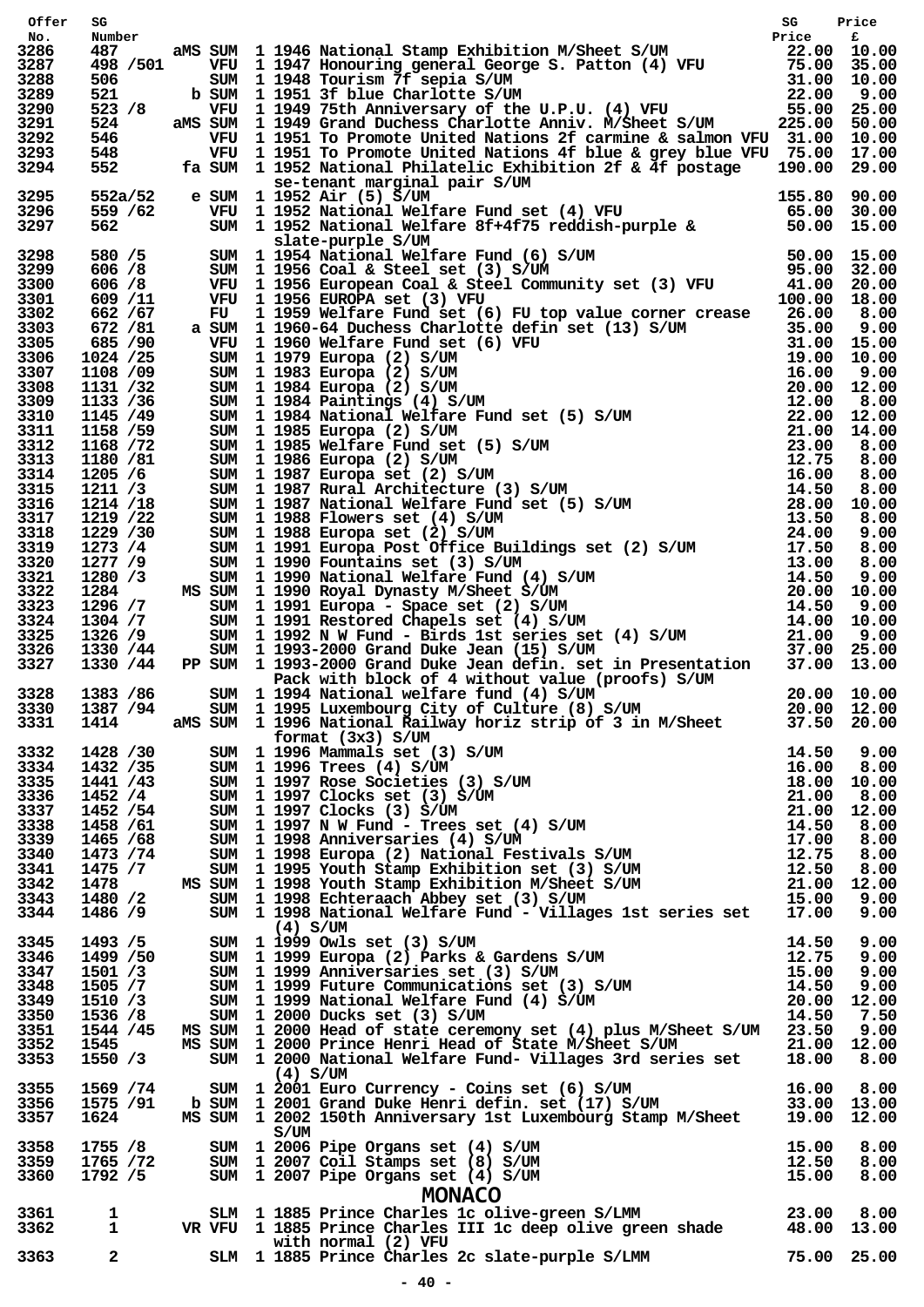| Offer        |                   |  | SG Price<br>Number<br>487 aMS SUM 1946 National Stamp Exhibition M/Sheet S/UM<br>498 /501 VFU 1947 Honouring general George S. Patton (4) VFU 75.00 35.00<br>506 SUM 1948 Tourism 7f sepia S/UM<br>521 b SUM 1951 3f blue Charlotte S/UM |  |
|--------------|-------------------|--|------------------------------------------------------------------------------------------------------------------------------------------------------------------------------------------------------------------------------------------|--|
| No.          |                   |  |                                                                                                                                                                                                                                          |  |
| 3286<br>3287 |                   |  |                                                                                                                                                                                                                                          |  |
| 3288         |                   |  |                                                                                                                                                                                                                                          |  |
| 3289         |                   |  |                                                                                                                                                                                                                                          |  |
| 3290         |                   |  |                                                                                                                                                                                                                                          |  |
| 3291         |                   |  |                                                                                                                                                                                                                                          |  |
| 3292<br>3293 |                   |  | 546 VFU 1 1951 To Promote United Nations 2f carmine & salmon VFU 31.00 10.00                                                                                                                                                             |  |
| 3294         |                   |  | 348 VFU 1 1951 To Promote United Nations 4f blue & grey blue VFU 75.00 17.00<br>552 fa SUM 1 1952 National Philatelic Exhibition 2f & 4f postage 190.00 29.00<br>se-tenant marginal pair S/UM 1552a/52 e SUM 1 1952 Air (5) S/UM         |  |
|              |                   |  |                                                                                                                                                                                                                                          |  |
| 3295         |                   |  |                                                                                                                                                                                                                                          |  |
| 3296         |                   |  |                                                                                                                                                                                                                                          |  |
| 3297         |                   |  |                                                                                                                                                                                                                                          |  |
| 3298         |                   |  |                                                                                                                                                                                                                                          |  |
| 3299         |                   |  | 1 300 1 1952 National Philadelic Eximition 21 x 11 Postage 1.5000 1600<br>552a/52 e SUM 1 1952 Air (5) S/UM 1 1952 National Welfare Fund set (4) VFU 65.00 30.00<br>562 SUM 1 1952 National Welfare Fund set (4) VFU 65.00 30.00<br>     |  |
| 3300         |                   |  |                                                                                                                                                                                                                                          |  |
| 3301         |                   |  |                                                                                                                                                                                                                                          |  |
| 3302         |                   |  |                                                                                                                                                                                                                                          |  |
| 3303         |                   |  |                                                                                                                                                                                                                                          |  |
| 3305<br>3306 |                   |  | 669/11 VWU 11956 EUROPA set (3) VWU 126 (1) Web value corner crease 26.00 18.00<br>662/67 TU 11959 Welfare Fund set (6) FU top value corner crease 26.00 3.00<br>662/67 TU 11960 Welfare Fund set (6) FU top value corner crease         |  |
| 3307         |                   |  |                                                                                                                                                                                                                                          |  |
| 3308         |                   |  |                                                                                                                                                                                                                                          |  |
| 3309         |                   |  |                                                                                                                                                                                                                                          |  |
| 3310         |                   |  |                                                                                                                                                                                                                                          |  |
| 3311         |                   |  |                                                                                                                                                                                                                                          |  |
| 3312         |                   |  |                                                                                                                                                                                                                                          |  |
| 3313         |                   |  |                                                                                                                                                                                                                                          |  |
| 3314         |                   |  |                                                                                                                                                                                                                                          |  |
| 3315         |                   |  |                                                                                                                                                                                                                                          |  |
| 3316<br>3317 |                   |  |                                                                                                                                                                                                                                          |  |
| 3318         |                   |  |                                                                                                                                                                                                                                          |  |
| 3319         |                   |  |                                                                                                                                                                                                                                          |  |
| 3320         |                   |  |                                                                                                                                                                                                                                          |  |
| 3321         |                   |  |                                                                                                                                                                                                                                          |  |
| 3322         |                   |  |                                                                                                                                                                                                                                          |  |
| 3323         |                   |  |                                                                                                                                                                                                                                          |  |
| 3324         |                   |  |                                                                                                                                                                                                                                          |  |
| 3325         |                   |  |                                                                                                                                                                                                                                          |  |
| 3326         |                   |  |                                                                                                                                                                                                                                          |  |
| 3327         |                   |  |                                                                                                                                                                                                                                          |  |
| 3328         |                   |  |                                                                                                                                                                                                                                          |  |
|              | 3330 1387 / 94    |  |                                                                                                                                                                                                                                          |  |
| 3331         | 1414              |  | SUM 1 1995 Luxembourg City of Culture (8) S/UM 20.00 12.00<br>aMS SUM 1 1996 National Railway horiz strip of 3 in M/Sheet 37.50 20.00                                                                                                    |  |
|              |                   |  | format (3x3) S/UM                                                                                                                                                                                                                        |  |
|              |                   |  |                                                                                                                                                                                                                                          |  |
|              |                   |  |                                                                                                                                                                                                                                          |  |
|              |                   |  |                                                                                                                                                                                                                                          |  |
|              |                   |  |                                                                                                                                                                                                                                          |  |
|              |                   |  |                                                                                                                                                                                                                                          |  |
|              |                   |  |                                                                                                                                                                                                                                          |  |
|              |                   |  |                                                                                                                                                                                                                                          |  |
|              |                   |  |                                                                                                                                                                                                                                          |  |
|              |                   |  |                                                                                                                                                                                                                                          |  |
|              |                   |  |                                                                                                                                                                                                                                          |  |
|              |                   |  | 3331 1414 aMS SUM 1996 National Railway noriz strip of 3 in M/Sheet 37.50 20.00<br>3332 1428 /30 sum 1 1996 Nammals set (3) S/UM 14.50 9.00<br>3334 1432 /35 sum 1 1996 Nammals set (3) S/UM 16.00 8.00<br>3334 1442 /35 sum 1 1997      |  |
|              |                   |  |                                                                                                                                                                                                                                          |  |
|              |                   |  |                                                                                                                                                                                                                                          |  |
|              |                   |  |                                                                                                                                                                                                                                          |  |
|              |                   |  |                                                                                                                                                                                                                                          |  |
|              |                   |  |                                                                                                                                                                                                                                          |  |
|              |                   |  |                                                                                                                                                                                                                                          |  |
|              |                   |  |                                                                                                                                                                                                                                          |  |
| 3352         | 1545 - 1545 - 165 |  |                                                                                                                                                                                                                                          |  |
| 3353         | 1550 /3           |  | MS SUM 1 2000 Prince Henri Head of State M/Sheet S/UM 21.00 12.00<br>SUM 1 2000 National Welfare Fund- Villages 3rd series set 18.00 8.00                                                                                                |  |
|              |                   |  |                                                                                                                                                                                                                                          |  |
|              |                   |  |                                                                                                                                                                                                                                          |  |
|              |                   |  |                                                                                                                                                                                                                                          |  |
|              |                   |  | (4) S/UM<br>3355 1569 /74 SUM 1 2001 Euro Currency - Coins set (6) S/UM 16.00 8.00<br>3356 1575 /91 b SUM 1 2001 Grand Duke Henri defin. set (17) S/UM 33.00 13.00<br>3357 1624 MS SUM 1 2002 150th Anniversary 1st Luxembourg Stamp     |  |
|              |                   |  | S/UM                                                                                                                                                                                                                                     |  |
|              |                   |  | S/UM<br>3358 1755 /8 SUM 1 2006 Pipe Organs set (4) S/UM<br>3359 1765 /72 SUM 1 2007 Coil Stamps set (8) S/UM 12.50 12.50 8.00<br>3360 1792 /5 SUM 1 2007 Pipe Organs set (4) S/UM 15.00 8.00                                            |  |
|              |                   |  |                                                                                                                                                                                                                                          |  |
|              |                   |  |                                                                                                                                                                                                                                          |  |
|              |                   |  | <b>MONACO</b>                                                                                                                                                                                                                            |  |
| 3361         |                   |  |                                                                                                                                                                                                                                          |  |
| 3362         |                   |  |                                                                                                                                                                                                                                          |  |
|              |                   |  | with normal (2) VFU<br>with normal (2) VFU<br>2 5LM 1 1885 Prince Charles 2c slate-purple S/LMM 75.00 25.00                                                                                                                              |  |
| 3363         |                   |  |                                                                                                                                                                                                                                          |  |
|              |                   |  |                                                                                                                                                                                                                                          |  |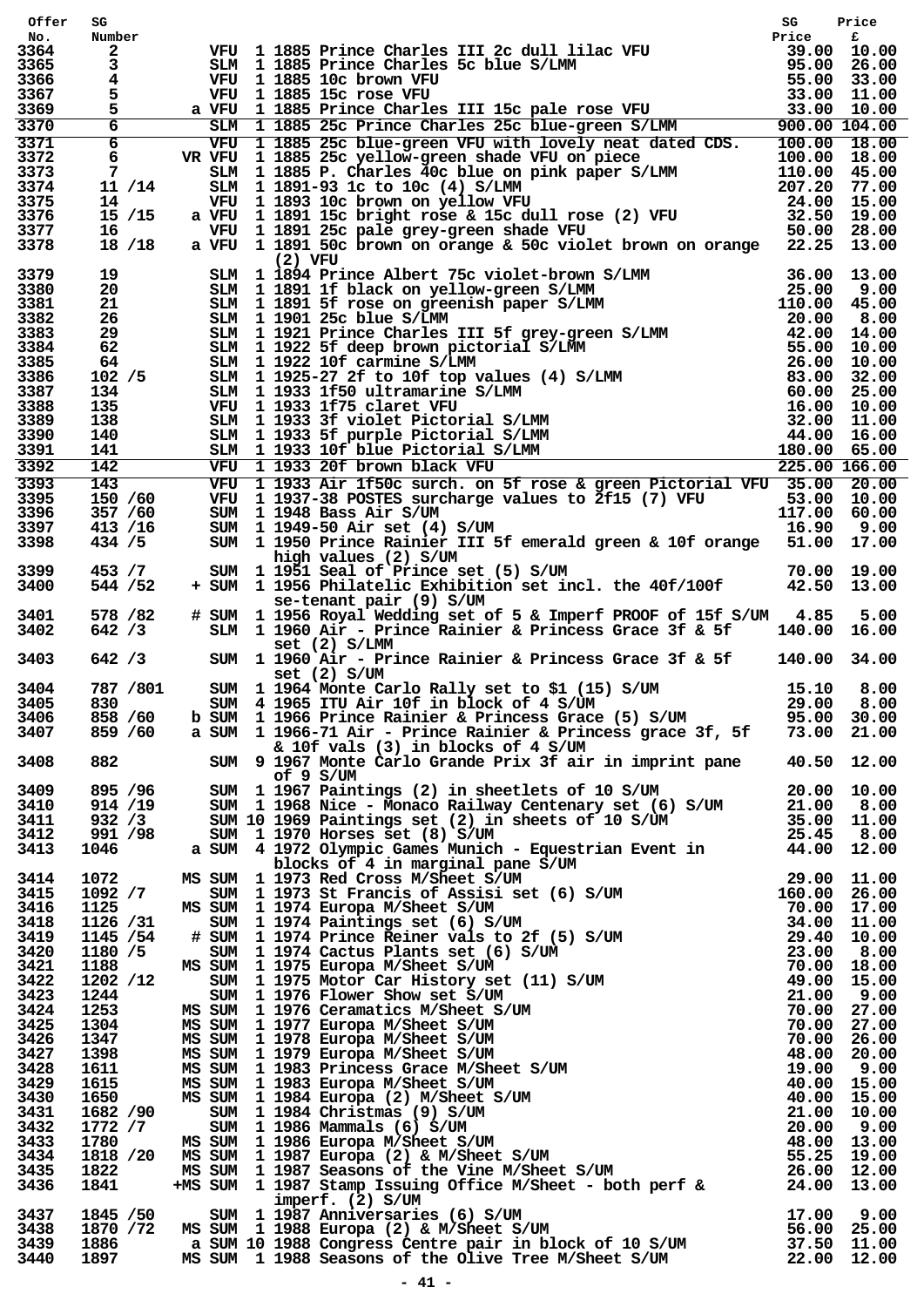| Offer        | SG                  |  | VFU 1 1885 Prince Charles III 2c dull lilac VFU<br>39.00 10.00<br>VFU 1 1885 Prince Charles 5c blue S/LMM<br>39.00 26.00<br>VFU 1 1885 10c brown VFU<br>4 VFU 1 1885 15c rose VFU<br>4 VFU 1 1885 Exc rose VFU<br>4 VFU 1 1885 Exc Prince Ch                  | SG     | Price |
|--------------|---------------------|--|---------------------------------------------------------------------------------------------------------------------------------------------------------------------------------------------------------------------------------------------------------------|--------|-------|
| No.<br>3364  | Number              |  |                                                                                                                                                                                                                                                               |        |       |
| 3365         | $\mathbf{2}$<br>3   |  |                                                                                                                                                                                                                                                               |        |       |
| 3366         |                     |  |                                                                                                                                                                                                                                                               |        |       |
| 3367         |                     |  |                                                                                                                                                                                                                                                               |        |       |
| 3369         |                     |  |                                                                                                                                                                                                                                                               |        |       |
| 3370         | $6\overline{}$      |  |                                                                                                                                                                                                                                                               |        |       |
| 3371         |                     |  |                                                                                                                                                                                                                                                               |        |       |
| 3372         | 6                   |  |                                                                                                                                                                                                                                                               |        |       |
| 3373<br>3374 | 7<br>11 / 14        |  |                                                                                                                                                                                                                                                               |        |       |
| 3375         | 14                  |  |                                                                                                                                                                                                                                                               |        |       |
| 3376         | 15/15               |  |                                                                                                                                                                                                                                                               |        |       |
| 3377         | 16                  |  |                                                                                                                                                                                                                                                               |        |       |
| 3378         | 18/18               |  |                                                                                                                                                                                                                                                               |        |       |
|              |                     |  |                                                                                                                                                                                                                                                               |        |       |
| 3379<br>3380 |                     |  |                                                                                                                                                                                                                                                               |        |       |
| 3381         |                     |  |                                                                                                                                                                                                                                                               |        |       |
| 3382         |                     |  |                                                                                                                                                                                                                                                               |        |       |
| 3383         |                     |  |                                                                                                                                                                                                                                                               |        |       |
| 3384         |                     |  |                                                                                                                                                                                                                                                               |        |       |
| 3385         |                     |  |                                                                                                                                                                                                                                                               |        |       |
| 3386         |                     |  |                                                                                                                                                                                                                                                               |        |       |
| 3387         |                     |  |                                                                                                                                                                                                                                                               |        |       |
| 3388<br>3389 |                     |  |                                                                                                                                                                                                                                                               |        |       |
| 3390         |                     |  |                                                                                                                                                                                                                                                               |        |       |
| 3391         |                     |  |                                                                                                                                                                                                                                                               |        |       |
| 3392         |                     |  | 18/18 a VFU 1 1891 50c brown on orange & suc victor in the states of 13.00<br>19 SIM 1 1894 Prince Albert 75c violet-brown S/LMM<br>20 SIM 1 1891 If black on yellow-green S/LMM<br>210.00 45.00<br>21 SIM 1 1991 If black on greenish                        |        |       |
| 3393         | 143                 |  | VFU 1 1933 Air 1f50c surch. on 5f rose & green Pictorial VFU 35.00 20.00                                                                                                                                                                                      |        |       |
| 3395         | 150 /60             |  |                                                                                                                                                                                                                                                               |        |       |
| 3396         | 357 / 60            |  | VFU 1 1937-38 POSTES surcharge values to 2f15 (7) VFU 53.00 10.00<br>SUM 1 1948 Bass Air S/UM 117.00 60.00<br>SUM 1 1949-50 Air set (4) S/UM 11.00 10.00                                                                                                      |        |       |
| 3397         | 413 /16             |  |                                                                                                                                                                                                                                                               |        |       |
| 3398         | 434 / 5             |  | SUM 1 1950 Prince Rainier III 5f emerald green & 10f orange 51.00 17.00                                                                                                                                                                                       |        |       |
|              |                     |  | high values (2) S/UM<br>SUM 1 1951 Seal of Prince set (5) S/UM<br>+ SUM 1 1956 Philatelic Exhibition set incl. the 40f/100f 42.50 13.00                                                                                                                       |        |       |
| 3399<br>3400 | 453 / 7<br>544 / 52 |  |                                                                                                                                                                                                                                                               |        |       |
|              |                     |  | se-tenant pair (9) S/UM                                                                                                                                                                                                                                       |        |       |
| 3401         | 578 / 82            |  | # SUM 1 1956 Royal Wedding set of 5 & Imperf PROOF of 15f S/UM 4.85                                                                                                                                                                                           |        | 5.00  |
| 3402         | 642 / 3             |  | SLM 1 1960 Air - Prince Rainier & Princess Grace 3f & 5f                                                                                                                                                                                                      | 140.00 | 16.00 |
|              |                     |  | set (2) S/LMM                                                                                                                                                                                                                                                 |        |       |
| 3403         | 642 / 3             |  | set (2) S/LMM<br>SUM 1 1960 Air - Prince Rainier & Princess Grace 3f & 5f = 140.00 34.00<br>set (2) S/UM                                                                                                                                                      |        |       |
|              |                     |  | set (2) S/UM                                                                                                                                                                                                                                                  |        |       |
| 3404         | 787 /801            |  | SUM 1 1964 Monte Carlo Rally set to \$1 (15) S/UM 15.10<br>SUM 4 1965 ITU Air 10f in block of 4 S/UM 29.00                                                                                                                                                    |        | 8.00  |
| 3405         | 830                 |  |                                                                                                                                                                                                                                                               |        | 8,00  |
| 3406         | 858 / 60            |  | b SUM 1 1966 Prince Rainier & Princess Grace (5) S/UM 95.00 30.00<br>a SUM 1 1966-71 Air - Prince Rainier & Princess grace 3f, 5f 73.00 21.00                                                                                                                 |        |       |
| 3407         | 859 / 60            |  |                                                                                                                                                                                                                                                               |        |       |
| 3408         |                     |  | & 10f vals (3) in blocks of 4 S/UM                                                                                                                                                                                                                            |        |       |
|              |                     |  | of $9 S/UM$<br>882<br>882<br>919 1967 Monte Carlo Grande Prix 3f air in imprint pane<br>918/95<br>930 11967 Paintings (2) in hele<br>1968 Nice in Monaco Rallway Centerary set (6) S/UM<br>931/98<br>931/98<br>800M 11970 Recrease 8et (6) S/UM<br>800M 11970 |        |       |
| 3409         |                     |  |                                                                                                                                                                                                                                                               |        |       |
| 3410         |                     |  |                                                                                                                                                                                                                                                               |        |       |
| 3411         |                     |  |                                                                                                                                                                                                                                                               |        |       |
| 3412         |                     |  |                                                                                                                                                                                                                                                               |        |       |
| 3413         |                     |  |                                                                                                                                                                                                                                                               |        |       |
|              |                     |  |                                                                                                                                                                                                                                                               |        |       |
| 3414         |                     |  |                                                                                                                                                                                                                                                               |        |       |
| 3415         |                     |  |                                                                                                                                                                                                                                                               |        |       |
| 3416<br>3418 |                     |  |                                                                                                                                                                                                                                                               |        |       |
| 3419         |                     |  |                                                                                                                                                                                                                                                               |        |       |
| 3420         |                     |  |                                                                                                                                                                                                                                                               |        |       |
| 3421         |                     |  |                                                                                                                                                                                                                                                               |        |       |
| 3422         |                     |  |                                                                                                                                                                                                                                                               |        |       |
| 3423         |                     |  |                                                                                                                                                                                                                                                               |        |       |
| 3424         |                     |  |                                                                                                                                                                                                                                                               |        |       |
| 3425         |                     |  |                                                                                                                                                                                                                                                               |        |       |
| 3426         |                     |  |                                                                                                                                                                                                                                                               |        |       |
| 3427<br>3428 |                     |  |                                                                                                                                                                                                                                                               |        |       |
| 3429         |                     |  |                                                                                                                                                                                                                                                               |        |       |
| 3430         |                     |  |                                                                                                                                                                                                                                                               |        |       |
| 3431         |                     |  |                                                                                                                                                                                                                                                               |        |       |
| 3432         |                     |  |                                                                                                                                                                                                                                                               |        |       |
| 3433         |                     |  |                                                                                                                                                                                                                                                               |        |       |
| 3434         |                     |  |                                                                                                                                                                                                                                                               |        |       |
| 3435         |                     |  |                                                                                                                                                                                                                                                               |        |       |
| 3436         |                     |  |                                                                                                                                                                                                                                                               |        |       |
| 3437         |                     |  | imperf. (2) S/UM<br>1845 /50 SUM 1987 Anniversaries (6) S/UM 1870 17.00 9.00<br>1870 /72 MSSUM 1988 Europa (2) & M/Sheet S/UM 56.00 25.00<br>1886 a SUM 10 1988 Congress Centre pair in block of 10 S/UM 37.50 11.00<br>1897 MSSUM 1988 Se                    |        |       |
| 3438         |                     |  |                                                                                                                                                                                                                                                               |        |       |
| 3439         |                     |  |                                                                                                                                                                                                                                                               |        |       |
| 3440         |                     |  |                                                                                                                                                                                                                                                               |        |       |
|              |                     |  |                                                                                                                                                                                                                                                               |        |       |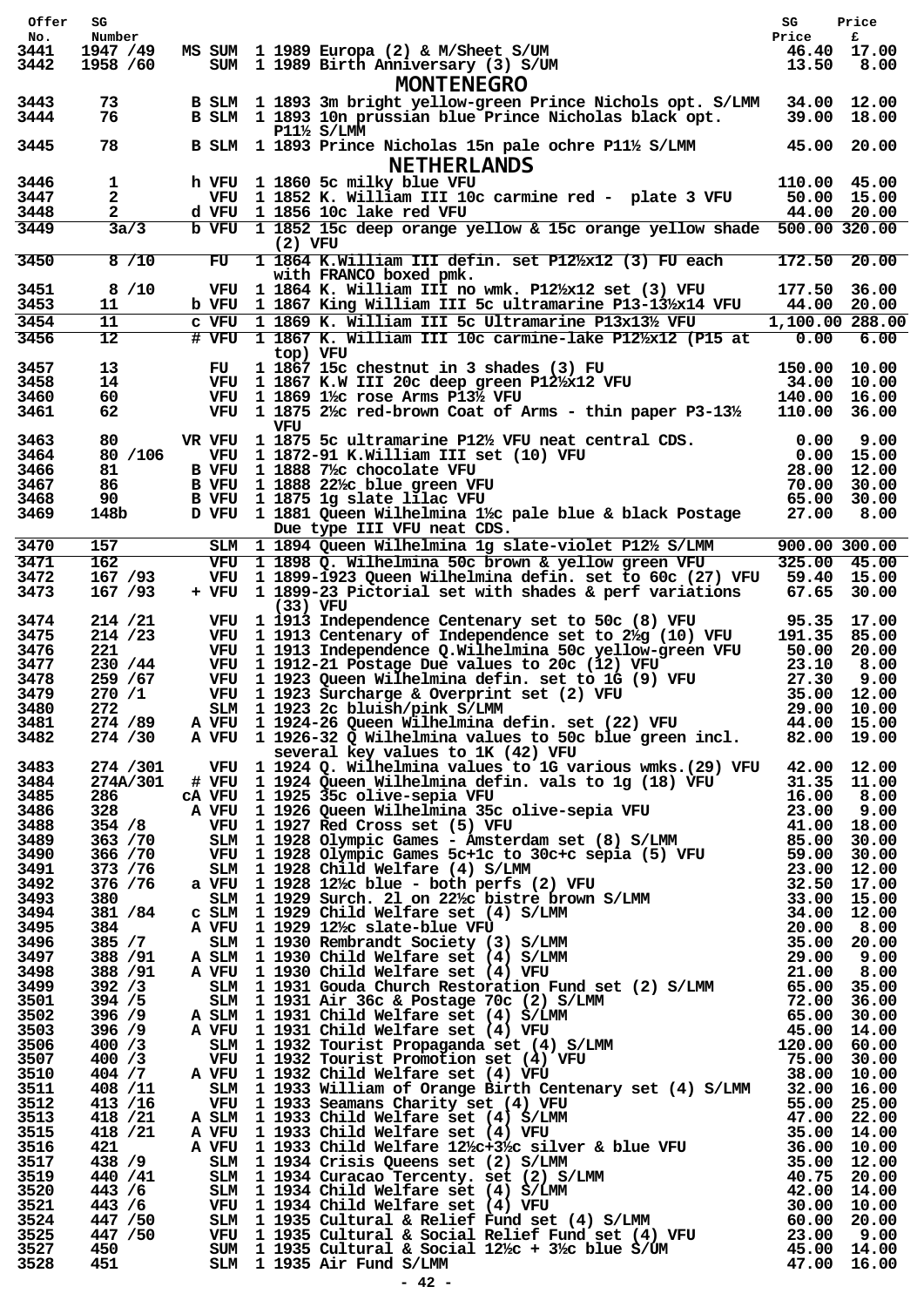| Offer        | SG                   |       |                                                                                                                                                                                                                                                                                                                                                                                                                                                                        | SG                    | Price                           |
|--------------|----------------------|-------|------------------------------------------------------------------------------------------------------------------------------------------------------------------------------------------------------------------------------------------------------------------------------------------------------------------------------------------------------------------------------------------------------------------------------------------------------------------------|-----------------------|---------------------------------|
| No.<br>3441  | Number<br>1947 /49   |       | MS SUM 1 1989 Europa (2) & M/Sheet S/UM                                                                                                                                                                                                                                                                                                                                                                                                                                | Price                 | £<br>46.40 17.00                |
| 3442         | 1958 /60             |       | SUM 1 1989 Birth Anniversary (3) S/UM<br><b>MONTENEGRO</b>                                                                                                                                                                                                                                                                                                                                                                                                             | 13.50                 | 8.00                            |
| 3443<br>3444 | 73<br>76             |       | B SLM 1 1893 3m bright yellow-green Prince Nichols opt. S/LMM<br>B SLM 1 1893 10n prussian blue Prince Nicholas black opt.<br>$P11\frac{1}{2}$ S/LMM                                                                                                                                                                                                                                                                                                                   |                       | 34.00 12.00<br>39.00 18.00      |
| 3445         | 78                   |       | B SLM 1 1893 Prince Nicholas 15n pale ochre P11½ S/LMM<br><b>NETHERLANDS</b>                                                                                                                                                                                                                                                                                                                                                                                           |                       | 45.00 20.00                     |
| 3446         | 1                    |       | h VFU 1 1860 5c milky blue VFU                                                                                                                                                                                                                                                                                                                                                                                                                                         | 110.00 45.00          |                                 |
| 3447<br>3448 | $\mathbf{2}$         |       | VFU 1 1852 K. William III 10c carmine red - plate 3 VFU<br>d VFU 1 1856 10c lake red VFU                                                                                                                                                                                                                                                                                                                                                                               |                       | 50.00 15.00<br>44.00 20.00      |
| 3449         | 3a/3                 |       | b VFU 1 1852 15c deep orange yellow & 15c orange yellow shade<br>$(2)$ VFU                                                                                                                                                                                                                                                                                                                                                                                             | 500.00 320.00         |                                 |
| 3450         | 8/10                 | FU    | 1 1864 K.William III defin. set P12½x12 (3) FU each                                                                                                                                                                                                                                                                                                                                                                                                                    | 172.50                | 20.00                           |
| 3451<br>3453 | 8 / 10<br>11         |       | with FRANCO boxed pmk.<br>VFU 1 1864 K. William III no wmk. P12½x12 set (3) VFU<br>b VFU 1 1867 King William III 5c ultramarine P13-13/x14 VFU                                                                                                                                                                                                                                                                                                                         | 177.50                | 36.00<br>44.00 20.00            |
| 3454         | 11                   | c VFU | 1 1869 K. William III 5c Ultramarine P13x13½ VFU                                                                                                                                                                                                                                                                                                                                                                                                                       | 1,100.00 288.00       |                                 |
| 3456         | $\overline{12}$      |       | # VFU 1 1867 K. William III 10c carmine-lake P12½x12 (P15 at                                                                                                                                                                                                                                                                                                                                                                                                           | 0.00                  | 6.00                            |
| 3457         | 13                   |       | top) VFU<br>1 1867 15c chestnut in 3 shades (3) FU                                                                                                                                                                                                                                                                                                                                                                                                                     | 150.00 10.00          |                                 |
| 3458         | 14                   | FU.   | VFU 1 1867 K.W III 20c deep green P12½x12 VFU                                                                                                                                                                                                                                                                                                                                                                                                                          |                       | 34.00 10.00                     |
| 3460         | 60                   |       | VFU 1 1869 $1\frac{1}{2}$ c rose Arms P13 $\frac{1}{2}$ VFU                                                                                                                                                                                                                                                                                                                                                                                                            | 140.00                | 16.00                           |
| 3461         | 62                   |       | VFU 1 1875 $2\frac{1}{2}$ red-brown Coat of Arms - thin paper P3-13 <sup>1</sup> / <sub>2</sub><br>VFU                                                                                                                                                                                                                                                                                                                                                                 | 110.00 36.00          |                                 |
| 3463         | 80                   |       | VR VFU 1 1875 5c ultramarine P12½ VFU neat central CDS.                                                                                                                                                                                                                                                                                                                                                                                                                | 0.00                  | 9.00                            |
| 3464         | 80 /106              |       | VFU 1 1872-91 K.William III set (10) VFU                                                                                                                                                                                                                                                                                                                                                                                                                               |                       | $0.00$ 15.00                    |
| 3466<br>3467 | 81<br>86             |       | B VFU 1 1888 7%c chocolate VFU<br>B VFU 1 1888 22% blue green VFU                                                                                                                                                                                                                                                                                                                                                                                                      | 28.00                 | 12.00<br>70.00 30.00            |
| 3468         | 90                   |       | B VFU 1 1875 1g slate lilac VFU                                                                                                                                                                                                                                                                                                                                                                                                                                        | 65.00                 | 30.00                           |
| 3469         | 148b                 |       | D VFU 1 1881 Queen Wilhelmina 1½ pale blue & black Postage<br>Due type III VFU neat CDS.                                                                                                                                                                                                                                                                                                                                                                               | 27.00                 | 8.00                            |
| 3470         | 157                  |       | SLM 1 1894 Queen Wilhelmina 1g slate-violet P12½ S/LMM                                                                                                                                                                                                                                                                                                                                                                                                                 | 900.00 300.00         |                                 |
| 3471<br>3472 | 162<br>167 /93       |       | VFU 1 1898 Q. Wilhelmina 50c brown & yellow green VFU<br>VFU 1 1899-1923 Queen Wilhelmina defin. set to 60c (27) VFU                                                                                                                                                                                                                                                                                                                                                   |                       | $325.00$ $45.00$<br>59.40 15.00 |
| 3473         | 167 / 93             |       | + VFU 1 1899-23 Pictorial set with shades & perf variations<br>$(33)$ VFU                                                                                                                                                                                                                                                                                                                                                                                              |                       | 67.65 30.00                     |
| 3474         | 214 / 21             |       | VFU 1 1913 Independence Centenary set to 50c (8) VFU                                                                                                                                                                                                                                                                                                                                                                                                                   | 95.35                 | 17.00                           |
| 3475<br>3476 | 214 / 23<br>221      |       | VFU 1 1913 Centenary of Independence set to 2 /2 (10) VFU<br>VFU 1 1913 Independence Q.Wilhelmina 50c yellow-green VFU                                                                                                                                                                                                                                                                                                                                                 | 191.35 85.00<br>50.00 | 20.00                           |
| 3477         | 230 / 44             |       | VFU 1 1912-21 Postage Due values to 20c (12) VFU                                                                                                                                                                                                                                                                                                                                                                                                                       | 23.10                 | 8.00                            |
| 3478         | 259 / 67             |       | VFU 1 1923 Queen Wilhelmina defin. set to 1G (9) VFU                                                                                                                                                                                                                                                                                                                                                                                                                   | 27.30                 | 9.00                            |
| 3479         | 270/1                |       | VFU 1 1923 Surcharge & Overprint set (2) VFU                                                                                                                                                                                                                                                                                                                                                                                                                           |                       | 35.00 12.00                     |
| 3480<br>3481 |                      |       |                                                                                                                                                                                                                                                                                                                                                                                                                                                                        |                       |                                 |
| 3482         |                      |       | 272 (1993)<br>274 / 29 Million 1923 2c bluish/pink S/LMM (22) VFU (22) 2c 274 / 29 Million 274 / 30 Million 274 / 30 Million 274 / 30 Million 274 / 30 Million 274 / 30 Million 274 / 30 Million 274 / 30 Million 274 / 30 Millio<br>A VFU 1 1924-26 Queen Wilhelmina defin. set (22) VFU 1 1924-36 Queen incl.<br>1 VFU 1 1926-32 Q Wilhelmina values to 10 various weeks. (29) VFU 465.00 19.00<br>1 WFU 1 1925 So Clive-septia VFU 1 000 1930 100 200 100 100 100 1 |                       |                                 |
| 3483         | 274 / 301            |       |                                                                                                                                                                                                                                                                                                                                                                                                                                                                        |                       |                                 |
| 3484<br>3485 | 274A/301<br>286      |       |                                                                                                                                                                                                                                                                                                                                                                                                                                                                        |                       |                                 |
| 3486         | 328                  |       |                                                                                                                                                                                                                                                                                                                                                                                                                                                                        |                       |                                 |
| 3488         | 354 / 8              |       |                                                                                                                                                                                                                                                                                                                                                                                                                                                                        |                       |                                 |
| 3489<br>3490 | 363 / 70             |       |                                                                                                                                                                                                                                                                                                                                                                                                                                                                        |                       |                                 |
| 3491         | 366 / 70<br>373 / 76 |       |                                                                                                                                                                                                                                                                                                                                                                                                                                                                        |                       |                                 |
| 3492         | 376 / 76             |       |                                                                                                                                                                                                                                                                                                                                                                                                                                                                        |                       |                                 |
| 3493         | 380 — 1              |       |                                                                                                                                                                                                                                                                                                                                                                                                                                                                        |                       |                                 |
| 3494<br>3495 | 381 / 84<br>384      |       |                                                                                                                                                                                                                                                                                                                                                                                                                                                                        |                       |                                 |
| 3496         | 385 / 7              |       |                                                                                                                                                                                                                                                                                                                                                                                                                                                                        |                       |                                 |
| 3497         | 388 / 91             |       |                                                                                                                                                                                                                                                                                                                                                                                                                                                                        |                       |                                 |
| 3498         | 388 / 91             |       |                                                                                                                                                                                                                                                                                                                                                                                                                                                                        |                       |                                 |
| 3499<br>3501 | 392 / 3<br>394 / 5   |       |                                                                                                                                                                                                                                                                                                                                                                                                                                                                        |                       |                                 |
| 3502         | 396 / 9              |       |                                                                                                                                                                                                                                                                                                                                                                                                                                                                        |                       |                                 |
| 3503         | 396 / 9              |       |                                                                                                                                                                                                                                                                                                                                                                                                                                                                        |                       |                                 |
| 3506<br>3507 | 400 / 3              |       |                                                                                                                                                                                                                                                                                                                                                                                                                                                                        |                       |                                 |
| 3510         | 400 / 3<br>404 / 7   |       |                                                                                                                                                                                                                                                                                                                                                                                                                                                                        |                       |                                 |
| 3511         | 408 /11              |       |                                                                                                                                                                                                                                                                                                                                                                                                                                                                        |                       |                                 |
| 3512         | 413 /16              |       |                                                                                                                                                                                                                                                                                                                                                                                                                                                                        |                       |                                 |
| 3513<br>3515 | 418 /21<br>418 / 21  |       |                                                                                                                                                                                                                                                                                                                                                                                                                                                                        |                       |                                 |
| 3516         | 421                  |       |                                                                                                                                                                                                                                                                                                                                                                                                                                                                        |                       |                                 |
| 3517         | 438 / 9              |       |                                                                                                                                                                                                                                                                                                                                                                                                                                                                        |                       |                                 |
| 3519<br>3520 | 440 / 41             |       |                                                                                                                                                                                                                                                                                                                                                                                                                                                                        |                       |                                 |
| 3521         | 443 / 6<br>443 / 6   |       |                                                                                                                                                                                                                                                                                                                                                                                                                                                                        |                       |                                 |
| 3524         | 447 / 50             |       |                                                                                                                                                                                                                                                                                                                                                                                                                                                                        |                       |                                 |
| 3525         | 447 / 50             |       |                                                                                                                                                                                                                                                                                                                                                                                                                                                                        |                       |                                 |
| 3527<br>3528 | 450 —<br>451         |       |                                                                                                                                                                                                                                                                                                                                                                                                                                                                        |                       |                                 |
|              |                      |       |                                                                                                                                                                                                                                                                                                                                                                                                                                                                        |                       |                                 |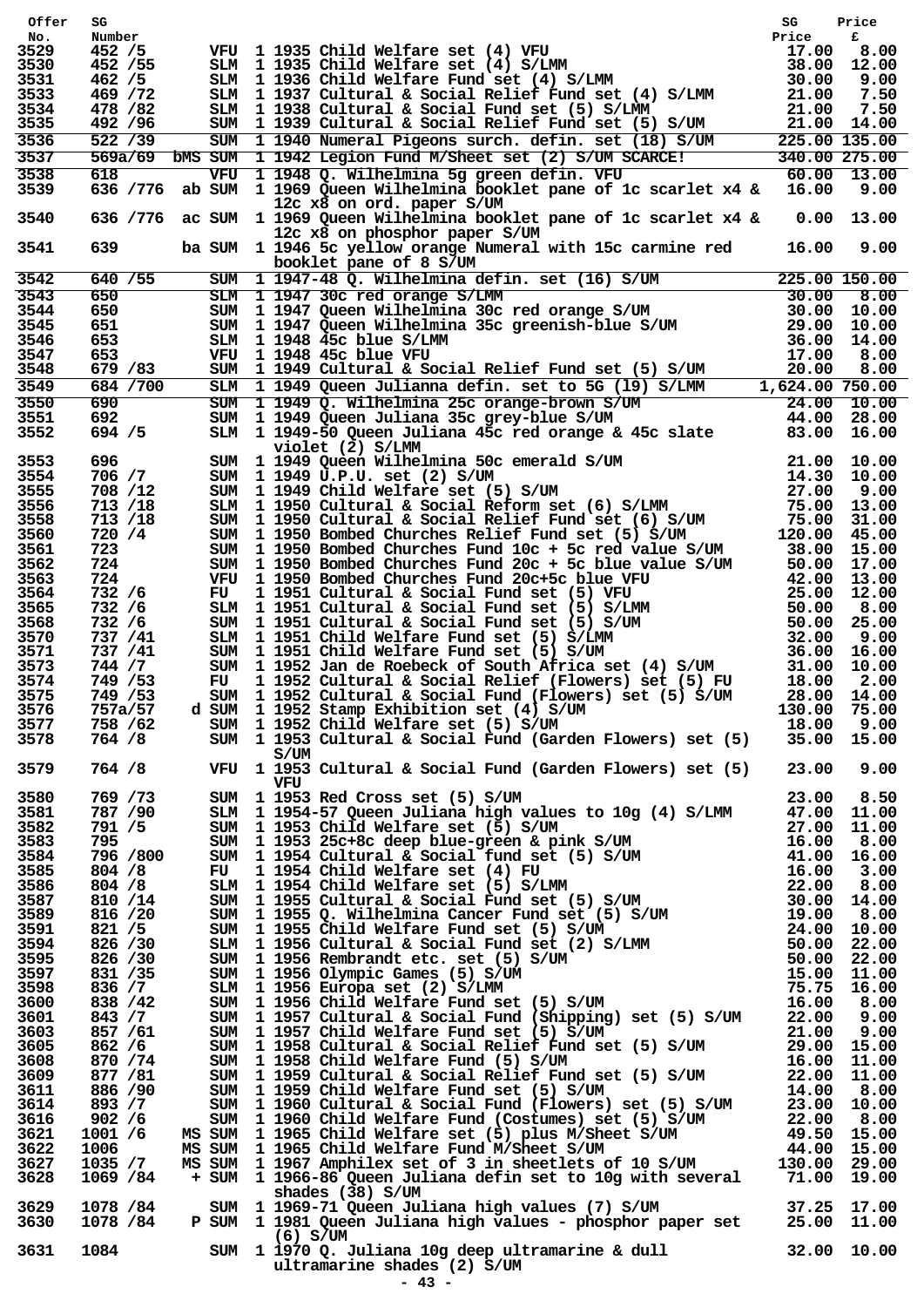| Offer            |            | 3G<br>Number<br>Number<br>2 /55 VFU 1 1935 Child Welfare set (4) VFU<br>452 /55 SIM 1 1935 Child Welfare set (4) S/IMM<br>17.00 8.00<br>469 /72 SIM 1 1936 Child Welfare Fund set (4) S/IMM<br>469 /72 SIM 1 1936 Child Welfare Fund set (4              |             |  |
|------------------|------------|----------------------------------------------------------------------------------------------------------------------------------------------------------------------------------------------------------------------------------------------------------|-------------|--|
| No.              |            |                                                                                                                                                                                                                                                          |             |  |
| 3529<br>3530     |            |                                                                                                                                                                                                                                                          |             |  |
| 3531             |            |                                                                                                                                                                                                                                                          |             |  |
| 3533             |            |                                                                                                                                                                                                                                                          |             |  |
| 3534             |            |                                                                                                                                                                                                                                                          |             |  |
| 3535             |            |                                                                                                                                                                                                                                                          |             |  |
| 3536             |            |                                                                                                                                                                                                                                                          |             |  |
| 3537             |            |                                                                                                                                                                                                                                                          |             |  |
| 3538             |            |                                                                                                                                                                                                                                                          |             |  |
| 3539             |            |                                                                                                                                                                                                                                                          |             |  |
|                  |            | 12c x8 on ord. paper S/UM                                                                                                                                                                                                                                |             |  |
| 3540             |            | 636 /776 ac SUM 1 1969 Queen Wilhelmina booklet pane of 1c scarlet x4 & 0.00 13.00                                                                                                                                                                       |             |  |
|                  |            | 12c x8 on phosphor paper S/UM                                                                                                                                                                                                                            |             |  |
| 3541             | 639 — 10   | ba SUM 1 1946 5c yellow orange Numeral with 15c carmine red 16.00 9.00                                                                                                                                                                                   |             |  |
|                  |            | booklet pane of 8 S/UM                                                                                                                                                                                                                                   |             |  |
| $\frac{1}{3542}$ | 640 / 55   |                                                                                                                                                                                                                                                          |             |  |
| 3543             | 650<br>650 |                                                                                                                                                                                                                                                          |             |  |
| 3544             | 651 11     |                                                                                                                                                                                                                                                          |             |  |
| 3545<br>3546     | 653        |                                                                                                                                                                                                                                                          |             |  |
| 3547             | 653        |                                                                                                                                                                                                                                                          |             |  |
| 3548             | 679 / 83   |                                                                                                                                                                                                                                                          |             |  |
| 3549             | 684 / 700  | booklet pane of 8 S/UM<br>SUM 11947-48 Q. Wilhelmina defin. set (16) S/UM<br>SUM 1194730cred orange S/LMM<br>30.00 8.00<br>SUM 1194730cred orange S/UM<br>30.00 10.00<br>SUM 1194845c blue S/LMM<br>36.00 14.00<br>SUM 1194845c blue S/LMM<br>36         |             |  |
| 3550             | 690        |                                                                                                                                                                                                                                                          |             |  |
| 3551             | 692        |                                                                                                                                                                                                                                                          |             |  |
| 3552             | 694 / 5    |                                                                                                                                                                                                                                                          |             |  |
|                  |            | violet (2) S/LMM<br>SIM 1 1949 Oue-and Huller and SC emerald S/UM 21.00 10.00<br>SUM 1 1949 Queen Wilhelmina 50c emerald S/UM 21.00 10.00<br>SUM 1 1949 Child Welfare set (5) S/UM 27.00 9.00<br>SUM 1 1999 Child Welfare set (5) S/UM 27.00 9.00<br>SUM |             |  |
| 3553             | 696 11     |                                                                                                                                                                                                                                                          |             |  |
| 3554             | 706 / 7    |                                                                                                                                                                                                                                                          |             |  |
| 3555             | 708 /12    |                                                                                                                                                                                                                                                          |             |  |
| 3556             | 713 /18    |                                                                                                                                                                                                                                                          |             |  |
| 3558             | 713 /18    |                                                                                                                                                                                                                                                          |             |  |
| 3560             | 720 /4     |                                                                                                                                                                                                                                                          |             |  |
| 3561             | 723        |                                                                                                                                                                                                                                                          |             |  |
| 3562             | 724        |                                                                                                                                                                                                                                                          |             |  |
| 3563             | 724 —      |                                                                                                                                                                                                                                                          |             |  |
| 3564             | 732 /6     |                                                                                                                                                                                                                                                          |             |  |
| 3565             | 732 /6     |                                                                                                                                                                                                                                                          |             |  |
| 3568             | 732 /6     |                                                                                                                                                                                                                                                          |             |  |
| 3570             | 737 / 41   |                                                                                                                                                                                                                                                          |             |  |
| 3571             | 737 /41    |                                                                                                                                                                                                                                                          |             |  |
| 3573             | 744 / 7    |                                                                                                                                                                                                                                                          |             |  |
| 3574             | 749 / 53   |                                                                                                                                                                                                                                                          |             |  |
| 3575             | 749 / 53   | SUM 1 1952 Cultural & Social Fund (Flowers) set (5) S/UM                                                                                                                                                                                                 | 28.00 14.00 |  |
| 3576             | 757a/57    | d SUM 1 1952 Stamp Exhibition set (4) S/UM 130.00 75.00<br>SUM 1 1952 Child Welfare set (5) S/UM 18.00 9.00                                                                                                                                              |             |  |
| 3577             |            | 758 / 62 SUM 1 1952 Child Welfare set (5) S/UM 18.00 18.00 9.00<br>764 / 8 SUM 1 1953 Cultural & Social Fund (Garden Flowers) set (5) 35.00 15.00                                                                                                        |             |  |
| 3578             |            |                                                                                                                                                                                                                                                          |             |  |
|                  |            | S/UM<br>3/0m<br>764 /8 VFU 1 1953 Cultural & Social Fund (Garden Flowers) set (5) 23.00 9.00                                                                                                                                                             |             |  |
| 3579             |            |                                                                                                                                                                                                                                                          |             |  |
|                  |            | VFU<br>76 $\frac{1}{1953}$ CM 11953 Cultural & Social Fund (Garden Plowers) set (5) 2.00 9.00<br>769 /73 SUM 11953 Red Cross set (5) s/UM<br>77971/90 SUM 11953 Red Cross set (5) s/UM<br>77971/90 SUM 11953 Schee change blue-groen & pink s/           |             |  |
| 3580             |            |                                                                                                                                                                                                                                                          |             |  |
| 3581<br>3582     |            |                                                                                                                                                                                                                                                          |             |  |
| 3583             |            |                                                                                                                                                                                                                                                          |             |  |
| 3584             |            |                                                                                                                                                                                                                                                          |             |  |
| 3585             |            |                                                                                                                                                                                                                                                          |             |  |
| 3586             |            |                                                                                                                                                                                                                                                          |             |  |
| 3587             |            |                                                                                                                                                                                                                                                          |             |  |
| 3589             |            |                                                                                                                                                                                                                                                          |             |  |
| 3591             |            |                                                                                                                                                                                                                                                          |             |  |
| 3594             |            |                                                                                                                                                                                                                                                          |             |  |
| 3595             |            |                                                                                                                                                                                                                                                          |             |  |
| 3597             |            |                                                                                                                                                                                                                                                          |             |  |
| 3598             |            |                                                                                                                                                                                                                                                          |             |  |
| 3600             |            |                                                                                                                                                                                                                                                          |             |  |
| 3601             |            |                                                                                                                                                                                                                                                          |             |  |
| 3603             |            |                                                                                                                                                                                                                                                          |             |  |
| 3605             |            |                                                                                                                                                                                                                                                          |             |  |
| 3608             |            |                                                                                                                                                                                                                                                          |             |  |
| 3609             |            |                                                                                                                                                                                                                                                          |             |  |
| 3611             |            |                                                                                                                                                                                                                                                          |             |  |
| 3614             |            |                                                                                                                                                                                                                                                          |             |  |
| 3616             |            |                                                                                                                                                                                                                                                          |             |  |
| 3621             |            |                                                                                                                                                                                                                                                          |             |  |
| 3622             |            |                                                                                                                                                                                                                                                          |             |  |
| 3627             |            |                                                                                                                                                                                                                                                          |             |  |
| 3628             |            |                                                                                                                                                                                                                                                          |             |  |
|                  |            | shades $(38)$ S/UM                                                                                                                                                                                                                                       |             |  |
|                  |            | 3629 1078 /84 SUM 1 1969-71 Queen Juliana high values (7) S/UM 37.25 17.00<br>3630 1078 /84 P SUM 1 1981 Queen Juliana high values - phosphor paper set 25.00 11.00                                                                                      |             |  |
|                  |            |                                                                                                                                                                                                                                                          |             |  |
|                  |            | 6) 6/01 (6) 6/01 (6) 6/01 (6) 6/01 (6) 6/10 (6) 6/10 (6) 6/10 (6) 6/10 (6) 6/10 (6) 6/2 (7) 6631 (7) 1084 (7) 10861 (7) 1097 (7) 1097 (7) 1097 (7) 1097 (7) 10981 (7) 10981 (7) 10981 (7) 10981 (7) 10981 (7) 10981 (7) 10981                            |             |  |
|                  |            |                                                                                                                                                                                                                                                          |             |  |
|                  |            | ultramarine shades (2) S/UM                                                                                                                                                                                                                              |             |  |
|                  |            | $-43 -$                                                                                                                                                                                                                                                  |             |  |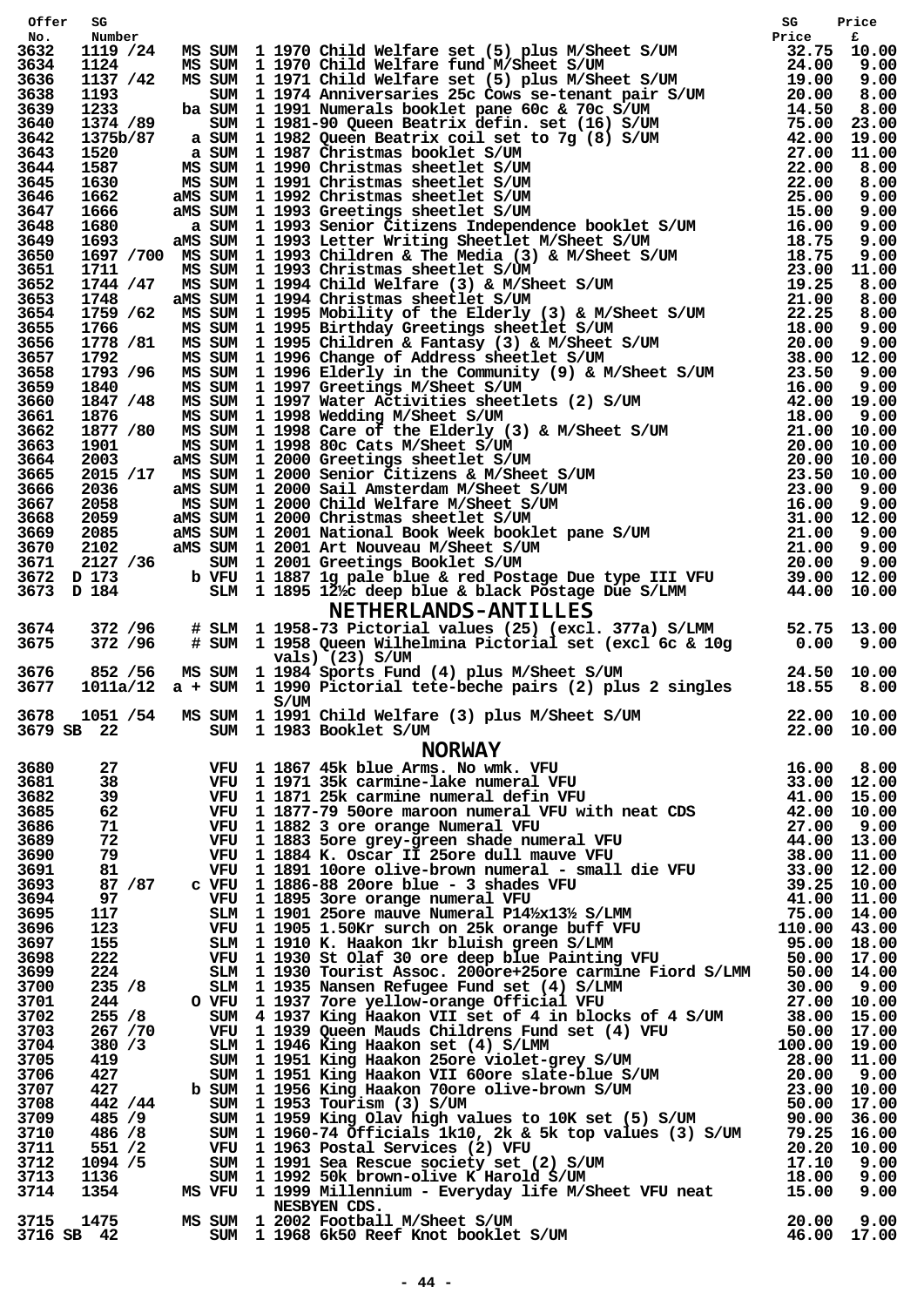| Offer                   |  | 2012<br>2012/24 MS SUN 1 1970 Child Welfare eet (5) plue M/Sheet S/UM<br>11237 /42 MS SUN 1 1970 Child Welfare eet (5) plue M/Sheet S/UM<br>11237 /42 MS SUN 1 1970 Child Welfare feet (5) plue M/Sheet S/UM<br>11237 /42 MS SUN 1  |  |
|-------------------------|--|-------------------------------------------------------------------------------------------------------------------------------------------------------------------------------------------------------------------------------------|--|
| No.<br>3632             |  |                                                                                                                                                                                                                                     |  |
| 3634                    |  |                                                                                                                                                                                                                                     |  |
| 3636                    |  |                                                                                                                                                                                                                                     |  |
| 3638                    |  |                                                                                                                                                                                                                                     |  |
| 3639                    |  |                                                                                                                                                                                                                                     |  |
| 3640                    |  |                                                                                                                                                                                                                                     |  |
| 3642<br>3643            |  |                                                                                                                                                                                                                                     |  |
| 3644                    |  |                                                                                                                                                                                                                                     |  |
| 3645                    |  |                                                                                                                                                                                                                                     |  |
| 3646                    |  |                                                                                                                                                                                                                                     |  |
| 3647                    |  |                                                                                                                                                                                                                                     |  |
| 3648                    |  |                                                                                                                                                                                                                                     |  |
| 3649<br>3650            |  |                                                                                                                                                                                                                                     |  |
| 3651                    |  |                                                                                                                                                                                                                                     |  |
| 3652                    |  |                                                                                                                                                                                                                                     |  |
| 3653                    |  |                                                                                                                                                                                                                                     |  |
| 3654                    |  |                                                                                                                                                                                                                                     |  |
| 3655                    |  |                                                                                                                                                                                                                                     |  |
| 3656<br>3657            |  |                                                                                                                                                                                                                                     |  |
| 3658                    |  |                                                                                                                                                                                                                                     |  |
| 3659                    |  |                                                                                                                                                                                                                                     |  |
| 3660                    |  |                                                                                                                                                                                                                                     |  |
| 3661                    |  |                                                                                                                                                                                                                                     |  |
| 3662                    |  |                                                                                                                                                                                                                                     |  |
| 3663<br>3664            |  |                                                                                                                                                                                                                                     |  |
| 3665                    |  |                                                                                                                                                                                                                                     |  |
| 3666                    |  |                                                                                                                                                                                                                                     |  |
| 3667                    |  |                                                                                                                                                                                                                                     |  |
| 3668                    |  |                                                                                                                                                                                                                                     |  |
| 3669                    |  |                                                                                                                                                                                                                                     |  |
| 3670<br>3671            |  |                                                                                                                                                                                                                                     |  |
| 3672                    |  |                                                                                                                                                                                                                                     |  |
| 3673                    |  |                                                                                                                                                                                                                                     |  |
|                         |  |                                                                                                                                                                                                                                     |  |
| 3674                    |  |                                                                                                                                                                                                                                     |  |
| 3675                    |  |                                                                                                                                                                                                                                     |  |
|                         |  |                                                                                                                                                                                                                                     |  |
| 3676                    |  | vals) (23) S/UM<br>852 /56 MS SUM 1 1984 Sports Fund (4) plus M/Sheet S/UM 29.50 10.00<br>1011a/12 a + SUM 1 1990 Pictorial tete-beche pairs (2) plus 2 singles 18.55 8.00                                                          |  |
| 3677                    |  |                                                                                                                                                                                                                                     |  |
|                         |  | S/UM                                                                                                                                                                                                                                |  |
| 3678<br>3679 SB 22      |  |                                                                                                                                                                                                                                     |  |
|                         |  | 1011a/12 a + 50W 1 1990 Fictorial tefe-becke pairs (2) plus 2 singles 16.55 5.000<br>165 52 /54 MS 50W 1 1990 Child Welfare (3) plus M/Sheet 5/0W 22.00 10.00<br>165 22 000 10.000<br>27 70 1167 45 Kbise Night And The Transmissio |  |
|                         |  |                                                                                                                                                                                                                                     |  |
| 3680<br>3681            |  |                                                                                                                                                                                                                                     |  |
| 3682                    |  |                                                                                                                                                                                                                                     |  |
| 3685                    |  |                                                                                                                                                                                                                                     |  |
| 3686                    |  |                                                                                                                                                                                                                                     |  |
| 3689                    |  |                                                                                                                                                                                                                                     |  |
| 3690                    |  |                                                                                                                                                                                                                                     |  |
| 3691                    |  |                                                                                                                                                                                                                                     |  |
| 3693<br>3694            |  |                                                                                                                                                                                                                                     |  |
| 3695                    |  |                                                                                                                                                                                                                                     |  |
| 3696                    |  |                                                                                                                                                                                                                                     |  |
| 3697                    |  |                                                                                                                                                                                                                                     |  |
| 3698                    |  |                                                                                                                                                                                                                                     |  |
| 3699                    |  |                                                                                                                                                                                                                                     |  |
| 3700                    |  |                                                                                                                                                                                                                                     |  |
| 3701<br>3702            |  |                                                                                                                                                                                                                                     |  |
| 3703                    |  |                                                                                                                                                                                                                                     |  |
| 3704                    |  |                                                                                                                                                                                                                                     |  |
| 3705                    |  |                                                                                                                                                                                                                                     |  |
| 3706                    |  |                                                                                                                                                                                                                                     |  |
| 3707                    |  |                                                                                                                                                                                                                                     |  |
| 3708                    |  |                                                                                                                                                                                                                                     |  |
| 3709<br>3710            |  |                                                                                                                                                                                                                                     |  |
| 3711                    |  |                                                                                                                                                                                                                                     |  |
| 3712                    |  |                                                                                                                                                                                                                                     |  |
| 3713                    |  |                                                                                                                                                                                                                                     |  |
| 3714                    |  |                                                                                                                                                                                                                                     |  |
|                         |  | NESBYEN CDS.                                                                                                                                                                                                                        |  |
| 3715 1475<br>3716 SB 42 |  | NESBYEN CDS.<br>SUM 1 2002 Football M/Sheet S/UM<br>SUM 1 1968 6k50 Reef Knot booklet S/UM (46.00 17.00<br>MS SUM 1 2002 Football M/Sheet S/UM                                                                                      |  |
|                         |  |                                                                                                                                                                                                                                     |  |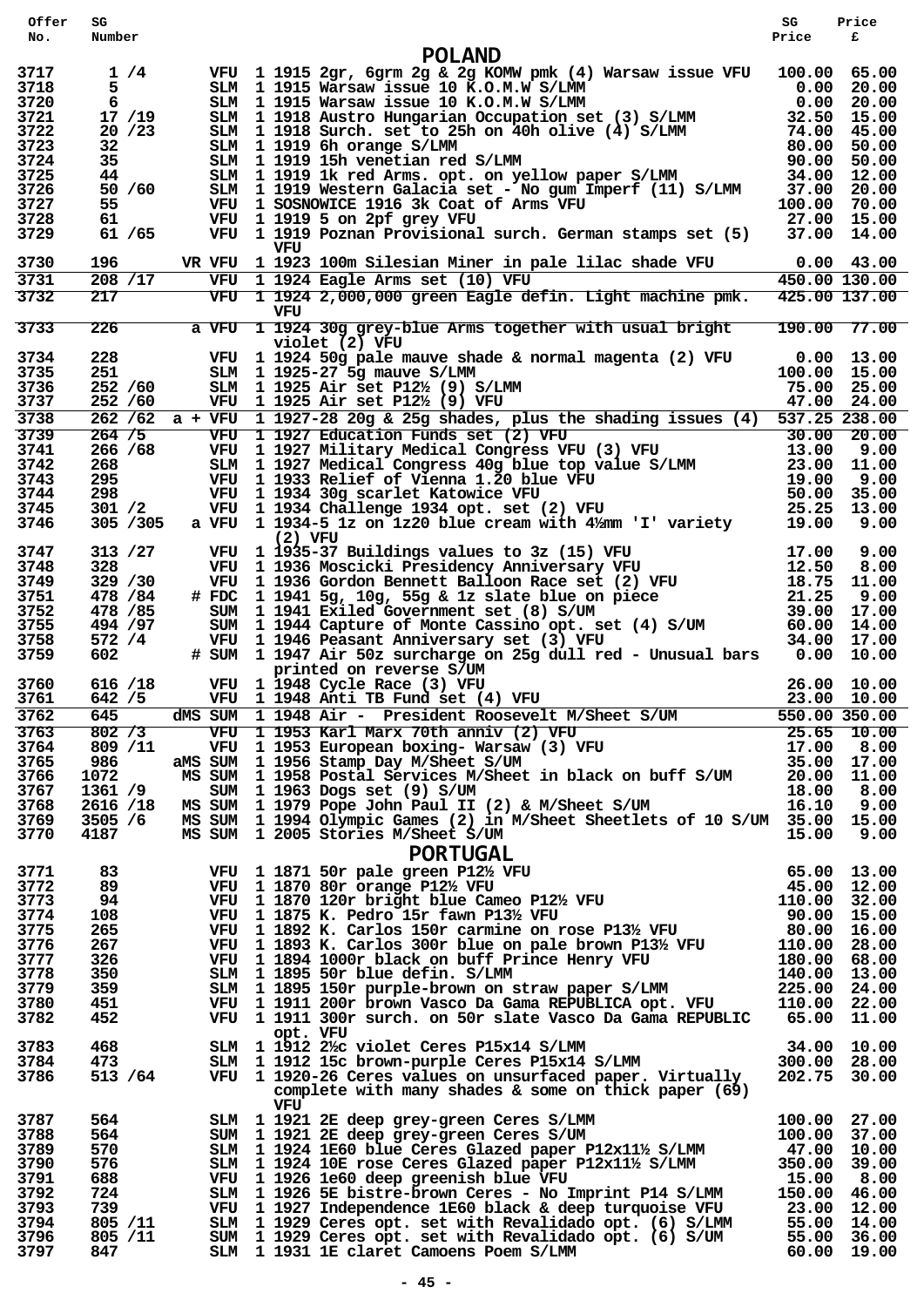| Offer        | SG                   |                                                                                                                                                                                                                                                                                                 | SG           | Price                      |
|--------------|----------------------|-------------------------------------------------------------------------------------------------------------------------------------------------------------------------------------------------------------------------------------------------------------------------------------------------|--------------|----------------------------|
| No.          | Number               |                                                                                                                                                                                                                                                                                                 | Price        | £                          |
|              |                      | <b>POLAND</b>                                                                                                                                                                                                                                                                                   |              |                            |
| 3717         | 1/4                  | VFU 1 1915 2gr, 6grm 2g & 2g KOMW pmk (4) Warsaw issue VFU 100.00 65.00                                                                                                                                                                                                                         |              |                            |
| 3718         | 5                    | SLM 1 1915 Warsaw issue 10 K.O.M.W S/LMM 0.00 20.00<br>SLM 1 1915 Warsaw issue 10 K.O.M.W S/LMM 0.00 20.00<br>SLM 1 1918 Austro Hungarian Occupation set (3) S/LMM 32.50 15.00<br>SLM 1 1918 Surch. set to 25h on 40h olive (4) S/LM                                                            |              |                            |
| 3720<br>3721 | 6<br>17/19           |                                                                                                                                                                                                                                                                                                 |              |                            |
| 3722         | 20/23                |                                                                                                                                                                                                                                                                                                 |              |                            |
| 3723         | 32                   |                                                                                                                                                                                                                                                                                                 |              |                            |
| 3724         | 35                   |                                                                                                                                                                                                                                                                                                 |              |                            |
| 3725         | 44                   |                                                                                                                                                                                                                                                                                                 |              |                            |
| 3726         | 50 / 60              | SLM 1 1919 Western Galacia set - No gum Imperf (11) S/LMM 37.00 20.00                                                                                                                                                                                                                           |              |                            |
| 3727<br>3728 | 55                   | VFU 1 SOSNOWICE 1916 3k Coat of Arms VFU                                                                                                                                                                                                                                                        | 27.00 15.00  | 100.00 70.00               |
| 3729         | 61.<br>61 / 65       | VFU 1 1919 5 on 2pf grey VFU<br>VFU 1 1919 Poznan Provisional surch. German stamps set (5)                                                                                                                                                                                                      |              | 37.00 14.00                |
|              |                      | VFU                                                                                                                                                                                                                                                                                             |              |                            |
| 3730         | 196                  | VR VFU 1 1923 100m Silesian Miner in pale lilac shade VFU                                                                                                                                                                                                                                       |              | $0.00$ 43.00               |
| 3731         | 208 /17              | VFU 1 1924 Eagle Arms set (10) VFU                                                                                                                                                                                                                                                              |              | $\overline{450.00}$ 130.00 |
| 3732         | 217                  | VFU 1 1924 2,000,000 green Eagle defin. Light machine pmk.                                                                                                                                                                                                                                      |              | 425.00 137.00              |
|              |                      | VFU                                                                                                                                                                                                                                                                                             |              |                            |
| 3733         | 226                  | a VFU 1 1924 30g grey-blue Arms together with usual bright                                                                                                                                                                                                                                      |              | 190.00 77.00               |
| 3734         | 228                  | violet (2) VFU<br>VFU 1 1924 50g pale mauve shade & normal magenta (2) VFU                                                                                                                                                                                                                      |              | $0.00$ 13.00               |
| 3735         | 251                  | SLM 1 1925-27 5g mauve S/LMM                                                                                                                                                                                                                                                                    |              | 100.00 15.00               |
| 3736         | 252 /60              | SLM 1 1925 Air set $P12\frac{1}{2}$ (9) S/LMM                                                                                                                                                                                                                                                   | 75.00 25.00  |                            |
| 3737         | 252 / 60             | VFU 1 1925 Air set P12½ (9) VFU                                                                                                                                                                                                                                                                 |              | 47.00 24.00                |
| 3738         |                      | 262 /62 a + VFU 1 1927-28 20g & 25g shades, plus the shading issues (4) 537.25 238.00                                                                                                                                                                                                           |              |                            |
| 3739         | 264 / 5              |                                                                                                                                                                                                                                                                                                 |              |                            |
| 3741         | 266 / 68             |                                                                                                                                                                                                                                                                                                 |              |                            |
| 3742         | 268.                 |                                                                                                                                                                                                                                                                                                 |              |                            |
| 3743<br>3744 | 295<br>298           |                                                                                                                                                                                                                                                                                                 |              |                            |
| 3745         | 301 / 2              | VFU 1 1927 Education Funds set (2) VFU 30.00 20.00<br>VFU 1 1927 Education Funds set (2) VFU 30.00 20.00<br>VFU 1 1927 Military Medical Congress VFU (3) VFU 13.00 9.00<br>SLM 1 1927 Medical Congress 40g blue top value S/LMM 23.0                                                            |              |                            |
| 3746         | 305 / 305            |                                                                                                                                                                                                                                                                                                 |              |                            |
|              |                      | $(2)$ VFU                                                                                                                                                                                                                                                                                       |              |                            |
| 3747         | 313 / 27             |                                                                                                                                                                                                                                                                                                 |              |                            |
| 3748         | 328                  |                                                                                                                                                                                                                                                                                                 |              |                            |
| 3749         | 329 / 30             |                                                                                                                                                                                                                                                                                                 |              |                            |
| 3751<br>3752 | 478 / 84<br>478 / 85 |                                                                                                                                                                                                                                                                                                 |              |                            |
| 3755         | 494 / 97             |                                                                                                                                                                                                                                                                                                 |              |                            |
| 3758         | 572 /4               |                                                                                                                                                                                                                                                                                                 |              |                            |
| 3759         | 602                  | VFU 1935-37 Buildings values to 3z (15) VFU 17.00 9.00<br>VFU 1936 Moscicki Presidency Anniversary VFU 12.50 8.00<br>VFU 1936 Gordon Bennett Balloon Race set (2) VFU 18.75 11.00<br>#FDC 1941 5g, 10g, 55g & 1z slate blue on piece                                                            |              |                            |
|              |                      | printed on reverse S/UM                                                                                                                                                                                                                                                                         |              |                            |
| 3760         | 616 /18              | VFU 1 1948 Cycle Race (3) VFU                                                                                                                                                                                                                                                                   |              | 26.00 10.00                |
| 3761         | 642 / 5              | VFU 1 1948 Anti TB Fund set (4) VFU                                                                                                                                                                                                                                                             |              | 23.00 10.00                |
| 3762<br>3763 | 645<br>802 / 3       | dMS SUM 1 1948 Air - President Roosevelt M/Sheet S/UM<br>WEU 1 1953 Karl Marx 70th anniv (2) VFU 25.65 10.00<br>VFU 1 1953 Karl Marx 70th anniv (2) VFU 25.65 10.00<br>WEU 1 1953 European boxing-Warsaw (3) VFU 17.00 8.00<br>MMS SUM 1 1956 Stamp Day M/Sheet S/UM 35.00 17.00<br>MS SUM 1 19 |              | $\overline{550.00}$ 350.00 |
| 3764         | 809 /11              |                                                                                                                                                                                                                                                                                                 |              |                            |
| 3765         | 986                  | aMS SUM 1 1956 Stamp Day M/Sheet S/UM                                                                                                                                                                                                                                                           |              |                            |
| 3766         | 1072                 |                                                                                                                                                                                                                                                                                                 |              |                            |
| 3767         | 1361 /9              |                                                                                                                                                                                                                                                                                                 |              |                            |
| 3768         | 2616 /18             |                                                                                                                                                                                                                                                                                                 |              |                            |
| 3769         | 3505 / 6             | MS SUM 1 1994 Olympic Games (2) in M/Sheet Sheetlets of 10 S/UM 35.00 15.00                                                                                                                                                                                                                     |              |                            |
| 3770         | 4187                 | MS SUM 1 2005 Stories M/Sheet S/UM                                                                                                                                                                                                                                                              |              |                            |
|              |                      |                                                                                                                                                                                                                                                                                                 |              |                            |
| 3771         | 83                   |                                                                                                                                                                                                                                                                                                 |              |                            |
| 3772         | 89                   |                                                                                                                                                                                                                                                                                                 |              |                            |
| 3773         | 94                   |                                                                                                                                                                                                                                                                                                 |              |                            |
| 3774<br>3775 | 108<br>265           |                                                                                                                                                                                                                                                                                                 |              |                            |
| 3776         | 267                  |                                                                                                                                                                                                                                                                                                 |              |                            |
| 3777         | 326                  |                                                                                                                                                                                                                                                                                                 |              |                            |
| 3778         | 350                  |                                                                                                                                                                                                                                                                                                 |              |                            |
| 3779         | 359                  |                                                                                                                                                                                                                                                                                                 |              |                            |
| 3780         | 451                  | S SUM 1 1994 Olympic Games (2) in M/Sheet Sheetlets of 10 S/UM 35.00 15.00<br>S SUM 1 2005 Stories M/Sheet S/UM<br>15.00 9.00<br>PORTUGAL<br>VFU 1 1871 50r pale green P12% VFU<br>VFU 1 1870 80r orange P12% VFU<br>VFU 1 1870 80r orange                                                      |              |                            |
| 3782         | 452                  | VFU 1 1911 300r surch. on 50r slate Vasco Da Gama REPUBLIC 65.00 11.00                                                                                                                                                                                                                          |              |                            |
| 3783         | 468                  | opt. VFU                                                                                                                                                                                                                                                                                        |              |                            |
| 3784         | 473                  | SLM 1 1912 2% violet Ceres P15x14 S/LMM 3/1.00 34.00 10.00<br>SLM 1 1912 15c brown-purple Ceres P15x14 S/LMM 300.00 28.00                                                                                                                                                                       |              |                            |
| 3786         | 513 / 64             | VFU 1 1920-26 Ceres values on unsurfaced paper. Virtually                                                                                                                                                                                                                                       |              | 202.75 30.00               |
|              |                      | complete with many shades $\&$ some on thick paper (69)                                                                                                                                                                                                                                         |              |                            |
|              |                      | VFU                                                                                                                                                                                                                                                                                             |              |                            |
| 3787         | 564                  | SLM 1 1921 2E deep grey-green Ceres S/LMM                                                                                                                                                                                                                                                       |              | 100.00 27.00               |
| 3788         | 564                  | SUM 1 1921 2E deep grey-green Ceres S/UM                                                                                                                                                                                                                                                        | 100.00 37.00 |                            |
| 3789<br>3790 | 570<br>576           | SLM 1 1924 1E60 blue Ceres Glazed paper P12x111/2 S/LMM 47.00 10.00<br>SLM 1 1924 10E rose Ceres Glazed paper P12x111/2 S/LMM 350.00 39.00                                                                                                                                                      |              |                            |
| 3791         | 688                  | VFU 1 1926 1e60 deep greenish blue VFU                                                                                                                                                                                                                                                          | 15.00 8.00   |                            |
| 3792         | 724                  | SLM 1 1926 5E bistre-brown Ceres - No Imprint P14 S/LMM                                                                                                                                                                                                                                         |              | 150.00 46.00               |
| 3793         | 739                  | VFU 1 1927 Independence 1E60 black & deep turquoise VFU                                                                                                                                                                                                                                         | 23.00 12.00  |                            |
| 3794         | 805 /11              | SLM 1 1929 Ceres opt. set with Revalidado opt. (6) S/LMM                                                                                                                                                                                                                                        |              | 55.00 14.00                |
| 3796         | 805 / 11             | SUM 1 1929 Ceres opt. set with Revalidado opt. (6) S/UM                                                                                                                                                                                                                                         |              | 55.00 36.00                |
| 3797         | 847                  | SLM 1 1931 1E claret Camoens Poem S/LMM                                                                                                                                                                                                                                                         |              | 60.00 19.00                |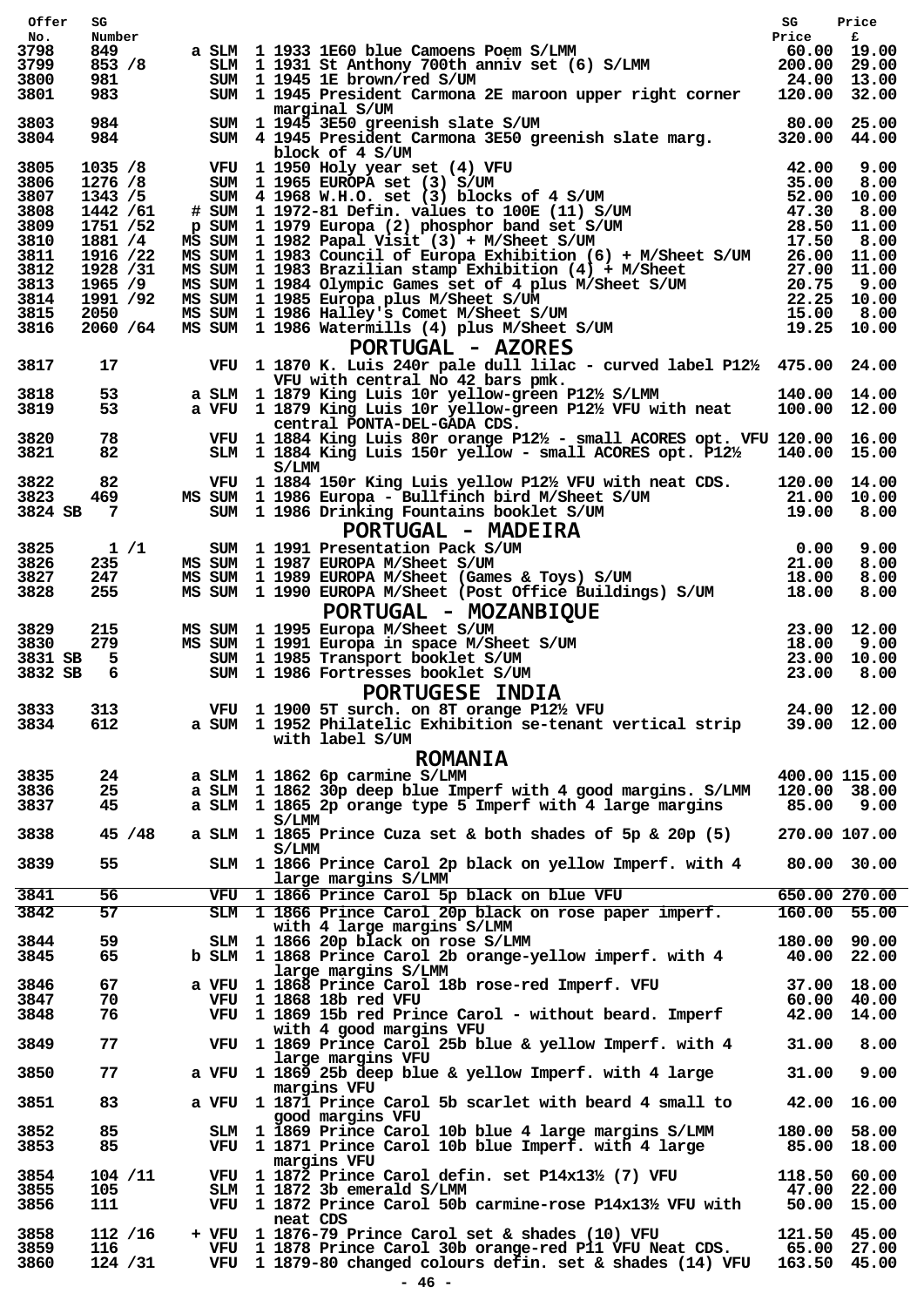| Offer        | SG                    |  |          |                                                                                                                                                                                                                                            | SG           | Price                       |
|--------------|-----------------------|--|----------|--------------------------------------------------------------------------------------------------------------------------------------------------------------------------------------------------------------------------------------------|--------------|-----------------------------|
| No.<br>3798  | Number<br>849         |  |          | SLM 1 1933 1E60 blue Camoens Poem S/LMM<br>SLM 1 1931 St Anthony 700th anniv set (6) S/LMM 200.00 29.00<br>TIM 1 1945 15 brown/red S/IM<br>a SLM 1 1933 1E60 blue Camoens Poem S/LMM                                                       | Price        | £                           |
| 3799         | 853 / 8               |  |          |                                                                                                                                                                                                                                            |              |                             |
| 3800         | 981                   |  |          |                                                                                                                                                                                                                                            | 24.00 13.00  |                             |
| 3801         | 983                   |  |          | SUM 1 1945 President Carmona 2E maroon upper right corner 120.00 32.00<br>marginal S/UM                                                                                                                                                    |              |                             |
| 3803         | 984                   |  |          | SUM 1 1945 3E50 greenish slate S/UM                                                                                                                                                                                                        | 80.00 25.00  |                             |
| 3804         | 984                   |  |          | SUM 4 1945 President Carmona 3E50 greenish slate marg. 320.00 44.00<br>block of 4 S/UM                                                                                                                                                     |              |                             |
| 3805         | 1035 / 8              |  |          | block of 4 S/UM<br>THE 1950 Holy year set (4) VFU<br>SUM 1955 EUROPA set (3) S/UM<br>SUM 4 1968 W.H.O. set (3) blocks of 4 S/UM<br>SUM 4 1968 W.H.O. set (3) blocks of 4 S/UM<br>SUM 52.00 10.00<br># SUM 11972-81 Defin. values to 100E ( |              |                             |
| 3806         | 1276 /8               |  |          |                                                                                                                                                                                                                                            |              |                             |
| 3807         | 1343 / 5              |  |          |                                                                                                                                                                                                                                            |              |                             |
| 3808<br>3809 | 1442 / 61<br>1751 /52 |  |          |                                                                                                                                                                                                                                            |              |                             |
| 3810         | 1881 /4               |  |          |                                                                                                                                                                                                                                            |              |                             |
| 3811         | 1916 /22              |  |          |                                                                                                                                                                                                                                            |              |                             |
| 3812         | 1928 /31              |  |          |                                                                                                                                                                                                                                            |              |                             |
| 3813<br>3814 | 1965 /9<br>1991 /92   |  |          |                                                                                                                                                                                                                                            |              |                             |
| 3815         | 2050                  |  |          |                                                                                                                                                                                                                                            |              |                             |
| 3816         | 2060 / 64             |  |          |                                                                                                                                                                                                                                            |              |                             |
|              |                       |  |          | PORTUGAL - AZORES                                                                                                                                                                                                                          |              |                             |
| 3817         | 17                    |  |          | VFU 1 1870 K. Luis 240r pale dull lilac - curved label P12½ 475.00 24.00                                                                                                                                                                   |              |                             |
| 3818         | 53                    |  |          | VFU with central No 42 bars pmk.<br>a SLM 1 1879 King Luis 10r yellow-green P12½ S/LMM                                                                                                                                                     | 140.00 14.00 |                             |
| 3819         | 53                    |  |          | a VFU 1 1879 King Luis 10r yellow-green $P12\frac{1}{2}$ VFU with neat                                                                                                                                                                     |              | 100.00 12.00                |
|              |                       |  |          | central PONTA-DEL-GADA CDS.                                                                                                                                                                                                                |              |                             |
| 3820         | 78                    |  |          | VFU 1 1884 King Luis 80r orange P12½ - small ACORES opt. VFU 120.00 16.00                                                                                                                                                                  |              |                             |
| 3821         | 82                    |  | S/LMM    | SLM 1 1884 King Luis 150r yellow - small ACORES opt. $P12\frac{1}{2}$ 140.00 15.00                                                                                                                                                         |              |                             |
| 3822         | 82                    |  |          | VFU 1 1884 150r King Luis yellow P12 $\frac{1}{2}$ VFU with neat CDS. 120.00 14.00                                                                                                                                                         |              |                             |
| 3823         | 469                   |  |          |                                                                                                                                                                                                                                            |              |                             |
| 3824 SB      | $\overline{7}$        |  |          |                                                                                                                                                                                                                                            |              |                             |
|              |                       |  |          | MS SUM 1 1986 Europa - Bullfinch bird M/Sheet S/UM<br>SUM 1 1986 Europa - Bullfinch bird M/Sheet S/UM<br>PORTUGAL - MADEIRA<br>MS SUM 1 1991 Presentation Pack S/UM<br>MS SUM 1 1993 EUROPA M/Sheet S/UM<br>MS SUM 1 1989 EUROPA M/Sheet   |              |                             |
| 3825<br>3826 | 1/1                   |  |          |                                                                                                                                                                                                                                            |              |                             |
| 3827         | 235<br>247            |  |          |                                                                                                                                                                                                                                            |              |                             |
| 3828         | 255                   |  |          | MS SUM 1 1990 EUROPA M/Sheet (Post Office Buildings) S/UM 18.00                                                                                                                                                                            |              | 8.00                        |
|              |                       |  |          | PORTUGAL - MOZANBIQUE                                                                                                                                                                                                                      |              |                             |
| 3829         | 215                   |  |          |                                                                                                                                                                                                                                            |              |                             |
| 3830         | 279                   |  |          |                                                                                                                                                                                                                                            |              |                             |
| 3831 SB      | 5                     |  |          |                                                                                                                                                                                                                                            |              |                             |
| 3832 SB      | -6                    |  |          | FUNIUUAL - FULZANDIQUE<br>MS SUM 1 1995 Europa M/Sheet S/UM 23.00 12.00<br>MS SUM 1 1991 Europa in space M/Sheet S/UM 18.00 9.00<br>SUM 1 1985 Transport booklet S/UM 23.00 10.00<br>SUM 1 1986 Fortresses booklet S/UM 23.00 8.00<br>DO   |              |                             |
|              |                       |  |          | PORTUGESE INDIA                                                                                                                                                                                                                            |              |                             |
| 3834         | 3833 313<br>612       |  |          | VFU 1 1900 5T surch. on 8T orange P12½ VFU<br>$24.00$ $12.00$<br>a SUM 1 1952 Philatelic Exhibition se-tenant vertical strip                                                                                                               |              | 39.00 12.00                 |
|              |                       |  |          | with label S/UM                                                                                                                                                                                                                            |              |                             |
|              |                       |  |          | <b>ROMANIA</b>                                                                                                                                                                                                                             |              |                             |
| 3835         | 24                    |  |          | a SLM 1 1862 6p carmine S/LMM                                                                                                                                                                                                              |              | 400.00 115.00               |
| 3836         | 25                    |  |          | a SLM 1 1862 30p deep blue Imperf with 4 good margins. S/LMM                                                                                                                                                                               |              | 120.00 38.00                |
| 3837         | 45                    |  |          | a SLM 1 1865 2p orange type 5 Imperf with 4 large margins                                                                                                                                                                                  |              | 85.00 9.00                  |
| 3838         | 45 / 48               |  | S/LMM    | a SLM 1 1865 Prince Cuza set & both shades of 5p & 20p (5)                                                                                                                                                                                 |              | 270.00 107.00               |
|              |                       |  | S/LMM    |                                                                                                                                                                                                                                            |              |                             |
| 3839         | 55                    |  |          | SLM 1 1866 Prince Carol 2p black on yellow Imperf. with 4                                                                                                                                                                                  |              | 80.00 30.00                 |
|              |                       |  |          | large margins S/LMM                                                                                                                                                                                                                        |              |                             |
| 3841         | 56<br>57              |  |          | VFU 1 1866 Prince Carol 5p black on blue VFU                                                                                                                                                                                               |              | 650.00 270.00               |
| 3842         |                       |  |          | SLM 1 1866 Prince Carol 20p black on rose paper imperf.<br>with 4 large margins S/LMM                                                                                                                                                      |              | 160.00 55.00                |
| 3844         | 59                    |  |          | SLM 1 1866 20p black on rose S/LMM                                                                                                                                                                                                         |              | 180.00 90.00                |
| 3845         | 65                    |  |          | b SLM 1 1868 Prince Carol 2b orange-yellow imperf. with 4                                                                                                                                                                                  |              | 40.00 22.00                 |
|              |                       |  |          | large margins S/LMM                                                                                                                                                                                                                        |              |                             |
| 3846<br>3847 | 67<br>70              |  |          | a VFU 1 1868 Prince Carol 18b rose-red Imperf. VFU<br>VFU 1 1868 18b red VFU                                                                                                                                                               |              | 37.00 18.00<br>60.00 40.00  |
| 3848         | 76                    |  |          | VFU 1 1869 15b red Prince Carol - without beard. Imperf                                                                                                                                                                                    |              | 42.00 14.00                 |
|              |                       |  |          | with 4 good margins VFU                                                                                                                                                                                                                    |              |                             |
| 3849         | 77                    |  |          | VFU 1 1869 Prince Carol 25b blue & yellow Imperf. with 4                                                                                                                                                                                   | 31.00        | 8.00                        |
| 3850         | 77                    |  |          | large margins VFU<br>a VFU 1 1869 25b deep blue & yellow Imperf. with 4 large                                                                                                                                                              | 31.00        | 9.00                        |
|              |                       |  |          | margins VFU                                                                                                                                                                                                                                |              |                             |
| 3851         | 83                    |  |          | a VFU 1 1871 Prince Carol 5b scarlet with beard 4 small to<br>good margins VFU                                                                                                                                                             | 42.00        | 16.00                       |
| 3852         | 85                    |  |          | SLM 1 1869 Prince Carol 10b blue 4 large margins S/LMM                                                                                                                                                                                     |              | 180.00 58.00                |
| 3853         | 85                    |  |          | VFU 1 1871 Prince Carol 10b blue Imperf. with 4 large                                                                                                                                                                                      |              | 85.00 18.00                 |
|              |                       |  |          | margins VFU                                                                                                                                                                                                                                |              |                             |
| 3854<br>3855 | 104 / 11<br>105       |  |          | VFU 1 1872 Prince Carol defin. set P14x131/2 (7) VFU<br>SLM 1 1872 3b emerald S/LMM                                                                                                                                                        |              | 118.50 60.00<br>47.00 22.00 |
| 3856         | 111                   |  |          | VFU 1 1872 Prince Carol 50b carmine-rose P14x131/2 VFU with                                                                                                                                                                                |              | 50.00 15.00                 |
|              |                       |  | neat CDS |                                                                                                                                                                                                                                            |              |                             |
| 3858         | 112 / 16              |  |          | + VFU 1 1876-79 Prince Carol set & shades (10) VFU                                                                                                                                                                                         |              | 121.50 45.00                |
| 3859<br>3860 | 116<br>124 / 31       |  |          | VFU 1 1878 Prince Carol 30b orange-red P11 VFU Neat CDS.<br>VFU 1 1879-80 changed colours defin. set & shades (14) VFU 163.50 45.00                                                                                                        |              | 65.00 27.00                 |
|              |                       |  |          | $\overline{46}$ -                                                                                                                                                                                                                          |              |                             |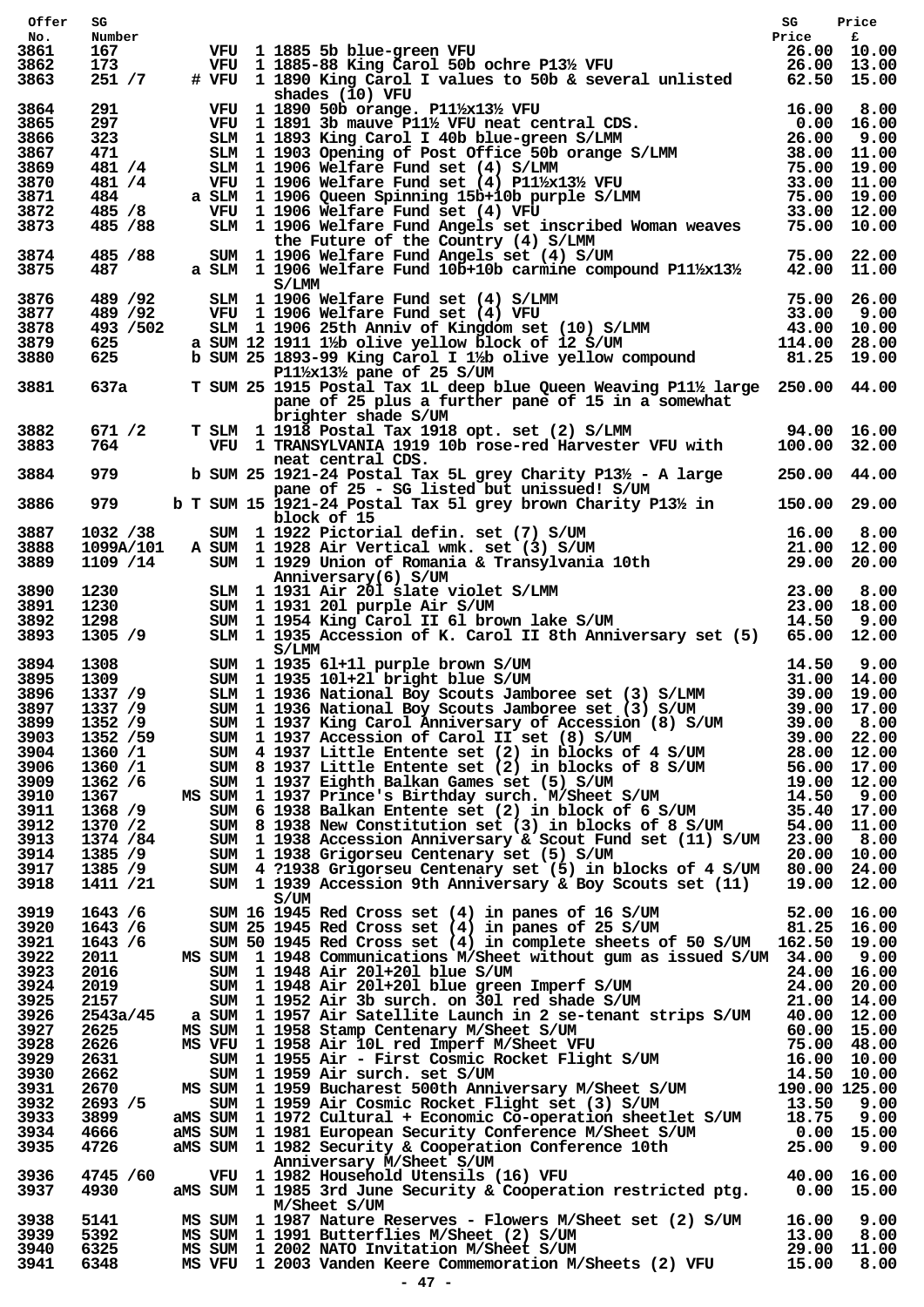| Offer        | SG               |  |                                                                                                                                                                                                                                        | SG           | Price       |  |
|--------------|------------------|--|----------------------------------------------------------------------------------------------------------------------------------------------------------------------------------------------------------------------------------------|--------------|-------------|--|
| No.          | Number           |  | VFU 1 1885 5b blue-green VFU<br>VFU 1 1885-88 King Carol 50b ochre P13½ VFU 1 26.00 10.00<br># VFU 1 1890 King Carol I values to 50b & several unlisted 62.50 15.00                                                                    |              |             |  |
| 3861<br>3862 | 167<br>173       |  |                                                                                                                                                                                                                                        |              |             |  |
| 3863         | 251 / 7          |  |                                                                                                                                                                                                                                        |              |             |  |
|              |                  |  | shades (10) VFU                                                                                                                                                                                                                        |              |             |  |
| 3864         | 291 7            |  | VFU 1 1890 50b orange. P11½x13½ VFU                                                                                                                                                                                                    |              |             |  |
| 3865         | 297              |  |                                                                                                                                                                                                                                        |              |             |  |
| 3866         | 323              |  |                                                                                                                                                                                                                                        |              |             |  |
| 3867<br>3869 | 471<br>481 /4    |  |                                                                                                                                                                                                                                        |              |             |  |
| 3870         | 481 /4           |  |                                                                                                                                                                                                                                        |              |             |  |
| 3871         | 484 —            |  |                                                                                                                                                                                                                                        |              |             |  |
| 3872         | 485 /8           |  | VFU 1 1906 Welfare Fund set (4) VFU                                                                                                                                                                                                    |              |             |  |
| 3873         | 485 / 88         |  | shades (10) VFU<br>VFU 1890 50b orange. P11½x13½ VFU<br>VFU 1891 3b mauve P11½ VFU neat central CDS. 0.00 16.00<br>SLM 11903 Opening of Post Office 50b orange S/LMM 26.00 9.00<br>SLM 11903 Opening of Post Office 50b orange S/LMM 2 |              |             |  |
| 3874         | 485 / 88         |  | the Future of the Country (4) S/LMM                                                                                                                                                                                                    |              |             |  |
| 3875         | 487 — 18         |  | SUM 1 1906 Welfare Fund Angels set (4) S/UM 75.00 75.00 22.00<br>a SLM 1 1906 Welfare Fund 10b+10b carmine compound P11½x13½ 42.00 11.00                                                                                               |              |             |  |
|              |                  |  | S/LMM                                                                                                                                                                                                                                  |              |             |  |
| 3876         | 489 / 92         |  |                                                                                                                                                                                                                                        |              |             |  |
| 3877         | 489 /92          |  |                                                                                                                                                                                                                                        |              |             |  |
| 3878         | 493 / 502        |  |                                                                                                                                                                                                                                        |              |             |  |
| 3879         | 625              |  |                                                                                                                                                                                                                                        |              |             |  |
| 3880         | 625              |  | SIM 1 1906 Welfare Fund set (4) S/LMM 75.00 26.00<br>VFU 1 1906 Welfare Fund set (4) VFU 33.00 9.00<br>SLM 1 1906 25th Anniv of Kingdom set (10) S/LMM 43.00 9.00<br>a SUM 12 1911 1½ bolive yellow block of 12 S/UM 114.00 28.00<br>b |              |             |  |
|              |                  |  | P11 $\frac{1}{2}$ x13 $\frac{1}{2}$ pane of 25 S/UM                                                                                                                                                                                    |              |             |  |
| 3881         | 637a             |  | T SUM 25 1915 Postal Tax 1L deep blue Queen Weaving P11½ large 250.00 44.00<br>pane of 25 plus a further pane of 15 in a somewhat                                                                                                      |              |             |  |
|              |                  |  | brighter shade S/UM                                                                                                                                                                                                                    |              |             |  |
| 3882         | 671 /2           |  | T SLM 1 1918 Postal Tax 1918 opt. set (2) S/LMM 94.00 16.00                                                                                                                                                                            |              |             |  |
| 3883         | 764              |  | VFU 1 TRANSYLVANIA 1919 10b rose-red Harvester VFU with 100.00 32.00                                                                                                                                                                   |              |             |  |
|              |                  |  | neat central CDS.                                                                                                                                                                                                                      |              |             |  |
| 3884         | 979              |  | b SUM 25 1921-24 Postal Tax 5L grey Charity P1 $3\frac{1}{2}$ - A large                                                                                                                                                                | 250.00 44.00 |             |  |
| 3886         | 979              |  | pane of 25 - SG listed but unissued! S/UM<br>b T SUM 15 1921-24 Postal Tax 51 grey brown Charity P13½ in                                                                                                                               | 150.00 29.00 |             |  |
|              |                  |  | block of 15                                                                                                                                                                                                                            |              |             |  |
| 3887         | 1032 /38         |  |                                                                                                                                                                                                                                        |              |             |  |
| 3888         | 1099A/101        |  |                                                                                                                                                                                                                                        |              |             |  |
| 3889         | 1109 /14         |  | block of 15<br>SUM 1 1922 Pictorial defin. set (7) S/UM 16.00 8.00<br>A SUM 1 1928 Air Vertical wmk. set (3) S/UM 21.00 12.00<br>SUM 1 1929 Union of Romania & Transylvania 10th 29.00 20.00                                           |              |             |  |
|              |                  |  | Anniversary(6) S/UM                                                                                                                                                                                                                    |              |             |  |
| 3890         | 1230<br>1230     |  |                                                                                                                                                                                                                                        |              |             |  |
| 3891         |                  |  |                                                                                                                                                                                                                                        |              |             |  |
| 3892<br>3893 | 1298<br>1305 /9  |  | Anniversary(6) S/UM<br>SLM 1 1931 Air 201 slate violet S/LMM 23.00 8.00<br>SUM 1 1931 201 purple Air S/UM 23.00 18.00<br>SUM 1 1954 King Carol II 61 brown lake S/UM 14.50 9.00<br>SLM 1 1935 Accession of K. Carol II 8th Anniversary |              |             |  |
|              |                  |  | S/LMM                                                                                                                                                                                                                                  |              |             |  |
| 3894         |                  |  | SUM 1 1935 61+11 purple brown S/UM 14.50 9.00<br>SUM 1 1935 101+21 bright blue S/UM 31.00 14.00<br>SLM 1 1936 National Boy Scouts Jamboree set (3) S/LMM 39.00 19.00                                                                   |              |             |  |
| 3895         |                  |  |                                                                                                                                                                                                                                        |              |             |  |
| 3896         | 1337 /9          |  |                                                                                                                                                                                                                                        |              |             |  |
|              | 3897 1337 /9     |  |                                                                                                                                                                                                                                        |              |             |  |
| 3899         | 1352 /9          |  |                                                                                                                                                                                                                                        |              |             |  |
| 3903         | 1352 /59         |  |                                                                                                                                                                                                                                        |              |             |  |
| 3904         | 1360/1           |  |                                                                                                                                                                                                                                        |              |             |  |
| 3906         | 1360 /1          |  |                                                                                                                                                                                                                                        |              |             |  |
| 3909         | 1362 /6          |  |                                                                                                                                                                                                                                        |              |             |  |
| 3910         | 1367             |  |                                                                                                                                                                                                                                        |              |             |  |
| 3911         | 1368 /9          |  |                                                                                                                                                                                                                                        |              |             |  |
| 3912         | 1370 /2          |  |                                                                                                                                                                                                                                        |              |             |  |
| 3913         | 1374 / 84        |  | SLM 1 1936 National Boy Scouts Jamboree set (3) S/LMM<br>SUM 1 1936 National Boy Scouts Jamboree set (3) S/LMM<br>SUM 1 1937 King Carol Anniversary of Accession (8) S/UM 39.00 17.00<br>SUM 1 1937 Accession of Carol II set (8) S    |              |             |  |
| 3914         | 1385 /9          |  | SUM 1 1938 Grigorseu Centenary set (5) S/UM                                                                                                                                                                                            |              | 20.00 10.00 |  |
| 3917         | 1385 /9          |  | SUM 4 ?1938 Grigorseu Centenary set (5) in blocks of 4 S/UM 80.00 24.00                                                                                                                                                                |              |             |  |
| 3918         | 1411 /21         |  | SUM 1 1939 Accession 9th Anniversary & Boy Scouts set (11) 19.00 12.00<br>S/UM                                                                                                                                                         |              |             |  |
| 3919         | 1643/6           |  |                                                                                                                                                                                                                                        |              |             |  |
| 3920         | 1643/6           |  | SUM 16 1945 Red Cross set (4) in panes of 16 S/UM 52.00 16.00<br>SUM 25 1945 Red Cross set (4) in panes of 25 S/UM 81.25 16.00                                                                                                         |              |             |  |
| 3921         | 1643/6           |  | SUM 50 1945 Red Cross set (4) in complete sheets of 50 S/UM 162.50 19.00                                                                                                                                                               |              |             |  |
| 3922         | 2011             |  | MS SUM 1 1948 Communications M/Sheet without gum as issued S/UM 34.00 9.00                                                                                                                                                             |              |             |  |
| 3923         | 2016             |  |                                                                                                                                                                                                                                        |              |             |  |
| 3924         | 2019             |  |                                                                                                                                                                                                                                        |              |             |  |
| 3925         | 2157             |  | SUM 1 1948 Air 201+201 blue S/UM<br>SUM 1 1948 Air 201+201 blue green Imperf S/UM<br>SUM 1 1952 Air 3b surch. on 301 red shade S/UM<br>a SUM 1 1957 Air Satellite Launch in 2 se-tenant strips S/UM 40.00 12.00                        |              |             |  |
| 3926         | 2543a/45         |  |                                                                                                                                                                                                                                        |              |             |  |
| 3927         | 2625             |  |                                                                                                                                                                                                                                        |              |             |  |
| 3928         | 2626             |  |                                                                                                                                                                                                                                        |              |             |  |
| 3929         | 2631             |  |                                                                                                                                                                                                                                        |              |             |  |
| 3930         | 2662             |  |                                                                                                                                                                                                                                        |              |             |  |
| 3931<br>3932 | 2670<br>2693 / 5 |  | MS SUM 1957 ALL Satellite Launch In 2 se-tenant strips S/0M 40.00 12.00<br>MS VFU 1958 Stamp Centenary M/Sheet S/UM 60.00 15.00<br>SUM 1958 Air 10L red Imperf M/Sheet VFU 75.00 48.00<br>SUM 1955 Air - First Cosmic Rocket Flight    |              |             |  |
| 3933         | 3899             |  |                                                                                                                                                                                                                                        |              |             |  |
| 3934         | 4666             |  |                                                                                                                                                                                                                                        |              |             |  |
| 3935         | 4726             |  | ams SUM 1 1981 European Security Conference M/Sheet S/UM 0.00 15.00<br>ams SUM 1 1982 Security & Cooperation Conference 10th 25.00 9.00                                                                                                |              |             |  |
|              |                  |  | Anniversary M/Sheet S/UM                                                                                                                                                                                                               |              |             |  |
| 3936         | 4745 /60         |  | Anniversary M/Sheet S/UM<br>1982 Household Utensils (16) VFU 1982 Household Utensils (16) VFU 40.00<br>15.00 15.00 aMS SUM 1985 3rd June Security & Cooperation restricted ptg. 0.00 15.00                                             |              |             |  |
| 3937         | 4930             |  |                                                                                                                                                                                                                                        |              |             |  |
|              |                  |  | M/Sheet S/UM                                                                                                                                                                                                                           |              |             |  |
| 3938         | 5141             |  | MS SUM 1 1987 Nature Reserves - Flowers M/Sheet set (2) S/UM 16.00 9.00                                                                                                                                                                |              |             |  |
| 3939<br>3940 | 5392<br>6325     |  |                                                                                                                                                                                                                                        |              |             |  |
| 3941         | 6348             |  | MS SUM 1 1991 Butterflies M/Sheet (2) S/UM 13.00 8.00<br>MS SUM 1 2002 NATO Invitation M/Sheet S/UM 29.00 11.00<br>MS VFU 1 2003 Vanden Keere Commemoration M/Sheets (2) VFU 15.00 8.00                                                |              |             |  |
|              |                  |  | $-47 -$                                                                                                                                                                                                                                |              |             |  |
|              |                  |  |                                                                                                                                                                                                                                        |              |             |  |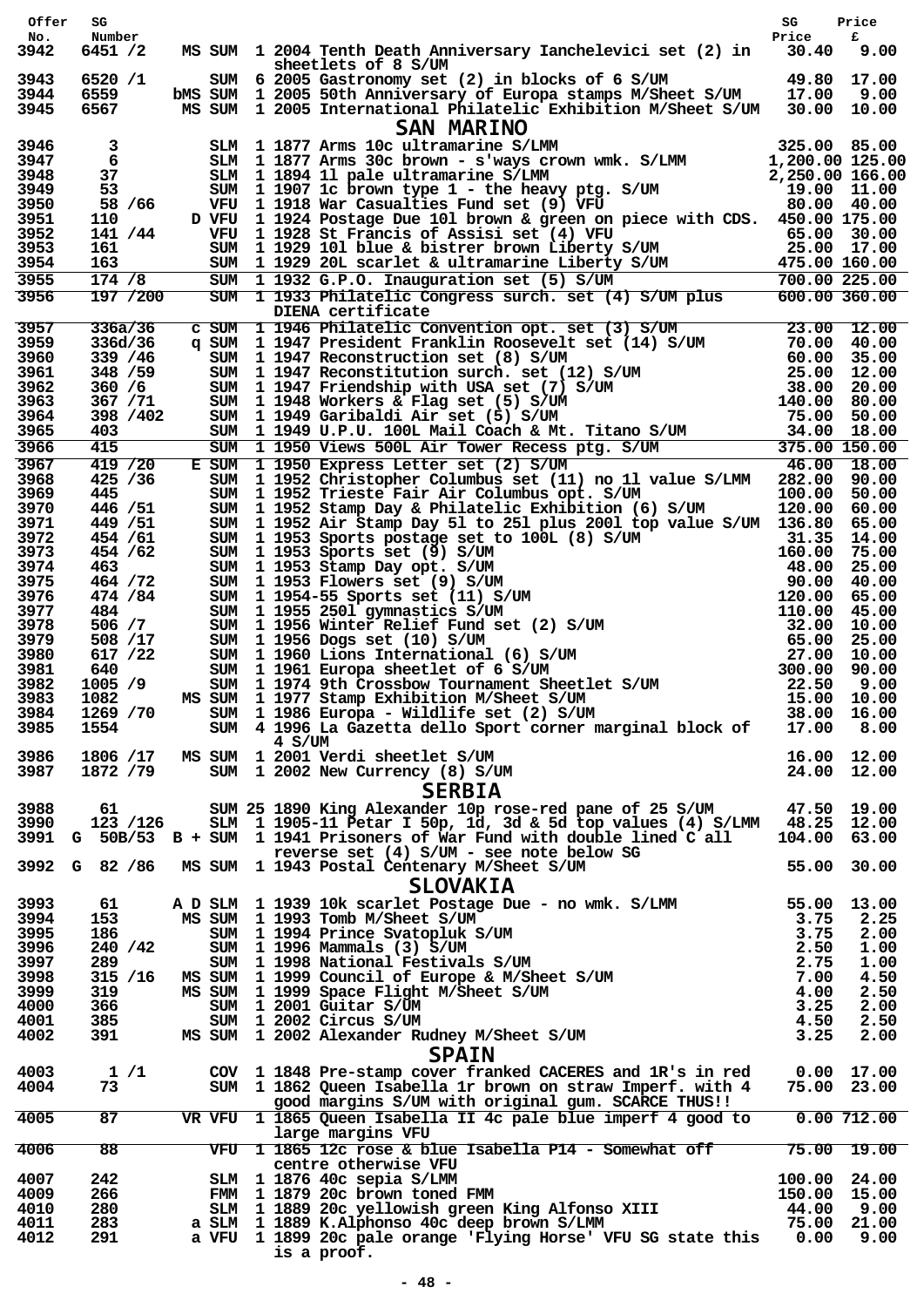| Offer        | SG                         |  |                                                                                                                                                                                                                                          | SG           | Price                        |
|--------------|----------------------------|--|------------------------------------------------------------------------------------------------------------------------------------------------------------------------------------------------------------------------------------------|--------------|------------------------------|
| No.<br>3942  | Number<br>6451 /2          |  | MS SUM 1 2004 Tenth Death Anniversary Ianchelevici set (2) in 30.40                                                                                                                                                                      | Price        | £<br>9.00                    |
|              |                            |  | sheetlets of 8 S/UM                                                                                                                                                                                                                      |              |                              |
| 3943<br>3944 | 6520 /1<br>6559            |  | 49.80 17.00<br>SUM 6 2005 Gastronomy set (2) in blocks of 6 S/UM<br>bMS SUM 1 2005 50th Anniversary of Europa stamps M/Sheet S/UM 17.00 9.00                                                                                             |              |                              |
| 3945         | 6567                       |  | MS SUM 1 2005 International Philatelic Exhibition M/Sheet S/UM 30.00 10.00                                                                                                                                                               |              |                              |
|              |                            |  | <b>SAN MARINO</b>                                                                                                                                                                                                                        |              |                              |
| 3946         | 3                          |  | 3LM 1 1877 Arms 10c ultramarine S/LMM 325.00 85.00<br>SLM 1 1877 Arms 30c brown - s'ways crown wmk. S/LMM 1,200.00 125.00<br>SLM 1 1894 11 pale ultramarine S/LMM 2,250.00 166.00<br>SUM 1 1907 1c brown type 1 - the heavy ptg. S/U     |              |                              |
| 3947<br>3948 | 6<br>37                    |  |                                                                                                                                                                                                                                          |              |                              |
| 3949         | 53                         |  |                                                                                                                                                                                                                                          |              |                              |
| 3950         | 58 / 66                    |  |                                                                                                                                                                                                                                          |              |                              |
| 3951<br>3952 | 110<br>141 / 44            |  | D VFU 1 1924 Postage Due 101 brown & green on piece with CDS. 450.00 175.00                                                                                                                                                              |              |                              |
| 3953         | 161                        |  |                                                                                                                                                                                                                                          |              |                              |
| 3954<br>3955 | 163<br>$\overline{174}$ /8 |  |                                                                                                                                                                                                                                          |              |                              |
| 3956         | 197 / 200                  |  | VFU 1 1924 Fostage Due 101 Diown & green on Prece with CDS. 45000 17.00<br>SUM 1 1929 101 blue & bistrer brown Liberty S/UM 25.00 17.00<br>SUM 1 1929 20L scarlet & ultramarine Liberty S/UM 475.00 160.00<br>SUM 1 1932 G.P.O. Inau     |              |                              |
|              |                            |  | DIENA certificate                                                                                                                                                                                                                        |              |                              |
| 3957<br>3959 | 336a/36<br>336d/36         |  |                                                                                                                                                                                                                                          |              |                              |
| 3960         | 339 / 46                   |  |                                                                                                                                                                                                                                          |              |                              |
| 3961         | 348 / 59                   |  |                                                                                                                                                                                                                                          |              |                              |
| 3962<br>3963 | 360 / 6<br>367 / 71        |  |                                                                                                                                                                                                                                          |              |                              |
| 3964         | 398 / 402                  |  |                                                                                                                                                                                                                                          |              |                              |
| 3965         | 403                        |  |                                                                                                                                                                                                                                          |              |                              |
| 3966<br>3967 | 415<br>419 / 20            |  | DIENA certificate<br>c SUM 1946 Philatelic Convention opt. set (3) S/UM 23.00 12.00<br>q SUM 1947 President Franklin Roosevelt set (14) S/UM 70.00 40.00<br>SUM 1947 Reconstruction set (8) S/UM 60.00 35.00<br>sUM 11947 Friendship w   |              |                              |
| 3968         | 425 / 36                   |  | SUM 1 1952 Christopher Columbus set (11) no 11 value S/LMM 282.00 90.00                                                                                                                                                                  |              |                              |
| 3969         | 445                        |  | SUM 1 1952 Trieste Fair Air Columbus opt. S/UM<br>$100.00$ 50.00                                                                                                                                                                         |              |                              |
| 3970<br>3971 | 446 / 51<br>449 / 51       |  | SUM 1 1952 Stamp Day & Philatelic Exhibition (6) S/UM<br>SUM 1 1952 Air Stamp Day 51 to 251 plus 2001 top value S/UM 136.80 65.00                                                                                                        | 120.00 60.00 |                              |
| 3972         | 454 / 61                   |  | 30M 1 1952 Air Stamp Day 51 to 251 plus 2001 top value S/UM 136.80 65.00<br>30M 1 1953 Sports postage set to 100L (8) S/UM 31.35 14.00<br>30M 1 1953 Sports set (9) S/UM 160.00 75.00<br>30M 1 1953 Flowers set (9) S/UM 48.00 25.00     |              |                              |
| 3973         | 454 / 62                   |  |                                                                                                                                                                                                                                          |              |                              |
| 3974<br>3975 | 463<br>464 / 72            |  |                                                                                                                                                                                                                                          |              |                              |
| 3976         | 474 / 84                   |  |                                                                                                                                                                                                                                          |              |                              |
| 3977<br>3978 | 484<br>506 /7              |  |                                                                                                                                                                                                                                          |              |                              |
| 3979         | 508 /17                    |  |                                                                                                                                                                                                                                          |              |                              |
| 3980         | 617 /22                    |  |                                                                                                                                                                                                                                          |              |                              |
| 3981<br>3982 | 640<br>1005 / 9            |  |                                                                                                                                                                                                                                          |              |                              |
| 3983         | 1082                       |  |                                                                                                                                                                                                                                          |              |                              |
| 3984         | 1269 / 70                  |  | SUM 1 1986 Europa - Wildlife set (2) S/UM                                                                                                                                                                                                |              | 38.00 16.00                  |
| 3985         | 1554                       |  | SUM 4 1996 La Gazetta dello Sport corner marginal block of<br>4 S/UM                                                                                                                                                                     | 17.00        | 8.00                         |
| 3986         | 1806 /17                   |  | MS SUM 1 2001 Verdi sheetlet S/UM                                                                                                                                                                                                        |              | 16.00 12.00                  |
| 3987         | 1872 / 79                  |  | SUM 1 2002 New Currency (8) S/UM                                                                                                                                                                                                         |              | 24.00 12.00                  |
|              |                            |  | <b>SERBIA</b>                                                                                                                                                                                                                            |              |                              |
| 3988<br>3990 | 61<br>123 /126             |  | SUM 25 1890 King Alexander 10p rose-red pane of 25 S/UM<br>SLM 1 1905-11 Petar I 50p, 1d, 3d & 5d top values $(4)$ S/LMM                                                                                                                 |              | 47.50 19.00<br>48.25 12.00   |
| 3991         |                            |  | G 50B/53 B + SUM 1 1941 Prisoners of War Fund with double lined C all                                                                                                                                                                    |              | 104.00 63.00                 |
| 3992         | G<br>82 / 86               |  | reverse set (4) S/UM - see note below SG                                                                                                                                                                                                 |              |                              |
|              |                            |  | MS SUM 1 1943 Postal Centenary M/Sheet S/UM<br><b>SLOVAKIA</b>                                                                                                                                                                           |              | 55.00 30.00                  |
| 3993         | 61                         |  |                                                                                                                                                                                                                                          |              | 55.00 13.00                  |
| 3994         | 153                        |  |                                                                                                                                                                                                                                          |              | 2.25                         |
| 3995         | 186<br>240 / 42            |  |                                                                                                                                                                                                                                          |              | 2.00                         |
| 3996<br>3997 | 289                        |  |                                                                                                                                                                                                                                          |              | 1.00<br>1.00                 |
| 3998         | 315 / 16                   |  |                                                                                                                                                                                                                                          |              | 4.50                         |
| 3999<br>4000 | 319<br>366                 |  |                                                                                                                                                                                                                                          |              | 2.50<br>2.00                 |
| 4001         | 385                        |  |                                                                                                                                                                                                                                          |              | 2.50                         |
| 4002         | 391                        |  | A D SLM 1 1939 10k scarlet Postage Due - no wmk. S/LMM 55.00<br>MS SUM 1 1993 Tomb M/Sheet S/UM<br>SUM 1 1994 Prince Svatopluk S/UM 3.75<br>SUM 1 1996 Mammals (3) S/UM 2.50<br>SUM 1 1998 National Festivals S/UM 2.75<br>MS SUM 1 1999 |              | 2.00                         |
|              |                            |  | <b>SPAIN</b>                                                                                                                                                                                                                             |              |                              |
| 4003<br>4004 | 1/1<br>73                  |  | COV 1 1848 Pre-stamp cover franked CACERES and 1R's in red<br>SUM 1 1862 Queen Isabella 1r brown on straw Imperf. with 4                                                                                                                 |              | $0.00$ 17.00<br>75.00 23.00  |
|              |                            |  | good margins S/UM with original gum. SCARCE THUS!!                                                                                                                                                                                       |              |                              |
| 4005         | 87                         |  | VR VFU 1 1865 Queen Isabella II 4c pale blue imperf 4 good to                                                                                                                                                                            |              | $0.00$ 712.00                |
| 4006         | 88                         |  | large margins VFU<br>VFU 1 1865 12c rose & blue Isabella P14 - Somewhat off                                                                                                                                                              |              | 75.00 19.00                  |
|              |                            |  | centre otherwise VFU                                                                                                                                                                                                                     |              |                              |
| 4007<br>4009 | 242<br>266                 |  |                                                                                                                                                                                                                                          |              | 100.00 24.00<br>150.00 15.00 |
| 4010         | 280                        |  | SLM 1 1876 40c sepia S/LMM<br>FMM 1 1879 20c brown toned FMM<br>SLM 1 1889 20c yellowish green King Alfonso XIII<br>SLM 1 1889 K.Alphonso 40c deep brown S/LMM                                                                           | 44.00        | 9.00                         |
| 4011         | 283                        |  | a SLM 1 1889 K.Alphonso 40c deep brown S/LMM                                                                                                                                                                                             |              | 75.00 21.00                  |
| 4012         | 291                        |  | a VFU 1 1899 20c pale orange 'Flying Horse' VFU SG state this 0.00 9.00<br>is a proof.                                                                                                                                                   |              |                              |
|              |                            |  |                                                                                                                                                                                                                                          |              |                              |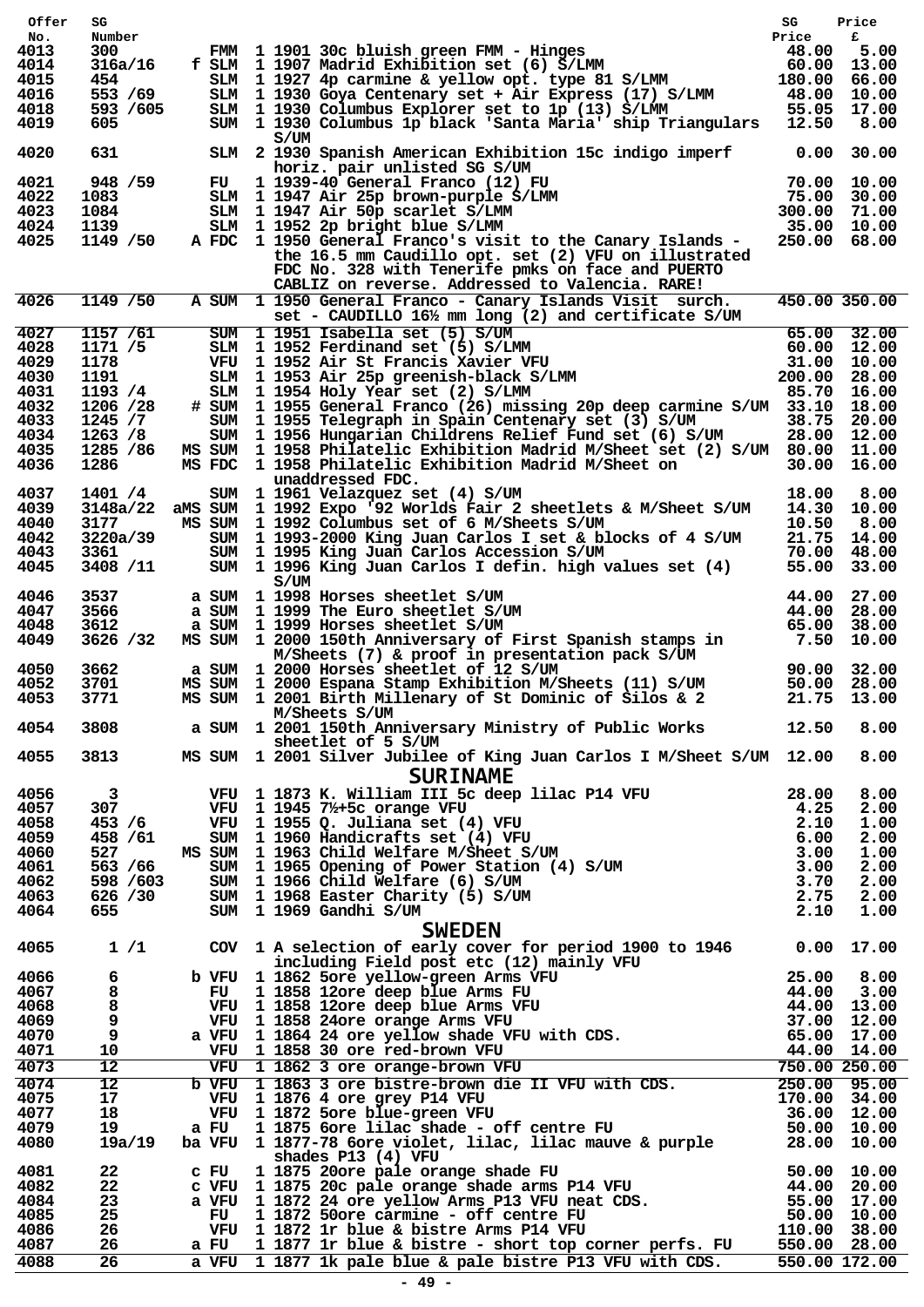| Offer        | SG                   |                                                                                                                                                                                                                                                            | SG             | Price                                                |
|--------------|----------------------|------------------------------------------------------------------------------------------------------------------------------------------------------------------------------------------------------------------------------------------------------------|----------------|------------------------------------------------------|
| No.<br>4013  | Number<br>300        |                                                                                                                                                                                                                                                            | Price          | £                                                    |
| 4014         | 316a/16              | f SLM 1 1907 Madrid Exhibition set (6) S/LMM                                                                                                                                                                                                               |                |                                                      |
| 4015         | 454                  | FMM 1 1901 30c bluish green FMM - Hinges<br>SLM 1 1907 Madrid Exhibition set (6) S/LMM 60.00 13.00<br>SLM 1 1927 4p carmine & yellow opt. type 81 S/LMM 180.00 66.00<br>SLM 1 1930 Goya Centenary set + Air Express (17) S/LMM 48.00                       |                |                                                      |
| 4016         | 553 /69<br>593 /605  |                                                                                                                                                                                                                                                            |                |                                                      |
| 4018<br>4019 | 605                  | SLM 1 1930 Columbus Explorer set to 1p (13) S/LMM 55.05<br>SUM 1 1930 Columbus Explorer set to 1p (13) S/LMM 55.05<br>SUM 1 1930 Columbus 1p black 'Santa Maria' ship Triangulars 12.50                                                                    |                | 55.05 17.00<br>8.00                                  |
| 4020         | 631                  | S/UM<br>SLM 2 1930 Spanish American Exhibition 15c indigo imperf                                                                                                                                                                                           | $0.00$ 30.00   |                                                      |
|              |                      | horiz. pair unlisted SG S/UM                                                                                                                                                                                                                               |                |                                                      |
| 4021<br>4022 | 948 / 59<br>1083     | horiz.pair unlisted SG S/UM<br>FU 1939-40 General Franco (12) FU 70.00 10.00<br>SLM 1947 Air 25p brown-purple S/LMM 75.00 30.00<br>SLM 1947 Air 50p scarlet S/LMM 300.00 71.00<br>TM 1952 20 bright blue S/LMM 35.00 10.00                                 |                |                                                      |
| 4023         | 1084                 |                                                                                                                                                                                                                                                            |                |                                                      |
| 4024         | 1139                 |                                                                                                                                                                                                                                                            | 35.00 10.00    |                                                      |
| 4025         | 1149 / 50            | A FDC 1 1950 General Franco's visit to the Canary Islands -                                                                                                                                                                                                |                | 250.00 68.00                                         |
|              |                      | the 16.5 mm Caudillo opt. set (2) VFU on illustrated<br>FDC No. 328 with Tenerife pmks on face and PUERTO<br>CABLIZ on reverse. Addressed to Valencia. RARE!                                                                                               |                |                                                      |
| 4026         | 1149 / 50            | A SUM 1 1950 General Franco - Canary Islands Visit surch.<br>set - CAUDILLO 161/2 mm long (2) and certificate S/UM                                                                                                                                         |                | 450.00 350.00                                        |
| 4027         | 1157 / 61            | SUM 1 1951 Isabella set (5) S/UM 65.00 32.00<br>SUM 1 1951 Isabella set (5) S/UM 65.00 32.00<br>SLM 1 1952 Ferdinand set (5) S/LMM 60.00 12.00<br>VFU 1 1952 Air St Francis Xavier VFU 31.00 10.00<br>SLM 1 1953 Air 25p greenish-blac                     |                |                                                      |
| 4028<br>4029 | 1171 /5<br>1178      |                                                                                                                                                                                                                                                            |                |                                                      |
| 4030         | 1191                 |                                                                                                                                                                                                                                                            |                |                                                      |
| 4031         | 1193 /4              |                                                                                                                                                                                                                                                            |                |                                                      |
| 4032         | 1206 /28             | # SUM 1 1955 General Franco (26) missing 20p deep carmine S/UM 33.10 18.00                                                                                                                                                                                 |                |                                                      |
| 4033<br>4034 | 1245/7<br>1263 / 8   | SUM 1 1955 Telegraph in Spain Centenary set (3) S/UM<br>SUM 1 1956 Hungarian Childrens Relief Fund set (6) S/UM                                                                                                                                            |                | 38.75 20.00<br>28.00 12.00                           |
| 4035         | 1285 / 86            | MS SUM 1 1958 Philatelic Exhibition Madrid M/Sheet set (2) S/UM 80.00 11.00                                                                                                                                                                                |                |                                                      |
| 4036         | 1286                 | MS FDC 1 1958 Philatelic Exhibition Madrid M/Sheet on<br>unaddressed FDC.                                                                                                                                                                                  |                | 30.00 16.00                                          |
| 4037<br>4039 | 1401 / 4<br>3148a/22 | SUM 1 1961 Velazquez set (4) S/UM<br>aMS SUM 1 1992 Expo '92 Worlds Fair 2 sheetlets & M/Sheet S/UM                                                                                                                                                        | 18.00<br>14.30 | 8.00<br>10.00                                        |
| 4040         | 3177                 | MS SUM 1 1992 Columbus set of 6 M/Sheets S/UM                                                                                                                                                                                                              | 10.50          | 8.00                                                 |
| 4042         | 3220a/39             | SUM 1 1993-2000 King Juan Carlos I set & blocks of 4 S/UM                                                                                                                                                                                                  | 21.75 14.00    |                                                      |
| 4043         | 3361                 | SUM 1 1995 King Juan Carlos Accession S/UM                                                                                                                                                                                                                 | 70.00          | 48.00                                                |
| 4045<br>4046 | 3408 /11<br>3537     | SUM 1 1996 King Juan Carlos I defin. high values set $(4)$<br>S/UM<br>a SUM 1 1998 Horses sheetlet S/UM                                                                                                                                                    | 44.00          | 55.00 33.00<br>27.00                                 |
| 4047         | 3566                 | a SUM 1 1999 The Euro sheetlet S/UM                                                                                                                                                                                                                        | 44.00          | 28.00                                                |
| 4048         | 3612                 | a SUM 1 1999 Horses sheetlet S/UM                                                                                                                                                                                                                          | 65.00          | 38.00                                                |
| 4049         | 3626 /32             | MS SUM 1 2000 150th Anniversary of First Spanish stamps in 7.50 10.00                                                                                                                                                                                      |                |                                                      |
| 4050         | 3662                 | M/Sheets (7) & proof in presentation pack S/UM<br>a SUM 1 2000 Horses sheetlet of 12 S/UM                                                                                                                                                                  |                |                                                      |
| 4052         | 3701                 | MS SUM 1 2000 Espana Stamp Exhibition M/Sheets (11) S/UM                                                                                                                                                                                                   |                | 90.00 32.00<br>50.00 28.00<br><sup>21.75</sup> 13.00 |
| 4053         | 3771                 | MS SUM 1 2001 Birth Millenary of St Dominic of Silos & 2<br>M/Sheets S/UM                                                                                                                                                                                  |                | 21.75 13.00                                          |
| 4054         | 3808                 | a SUM 1 2001 150th Anniversary Ministry of Public Works 12.50<br>sheetlet of 5 S/UM                                                                                                                                                                        |                | 8.00                                                 |
| 4055         | 3813                 | MS SUM 1 2001 Silver Jubilee of King Juan Carlos I M/Sheet S/UM 12.00 8.00<br><b>SURINAME</b>                                                                                                                                                              |                |                                                      |
| 4056         | $\mathbf{3}$         |                                                                                                                                                                                                                                                            |                | 8.00                                                 |
| 4057         | 307                  |                                                                                                                                                                                                                                                            |                | 2.00                                                 |
| 4058         | 453 / 6              |                                                                                                                                                                                                                                                            |                | 1.00                                                 |
| 4059<br>4060 | 458 / 61<br>527      |                                                                                                                                                                                                                                                            |                | 2.00<br>1.00                                         |
| 4061         | 563 / 66             |                                                                                                                                                                                                                                                            |                | 2.00                                                 |
| 4062         | 598 / 603            |                                                                                                                                                                                                                                                            |                | 2.00                                                 |
| 4063         | 626 /30              |                                                                                                                                                                                                                                                            |                | 2.00                                                 |
| 4064         | 655                  | <b>SURINANTE</b><br>VFU 1 1873 K. William III 5c deep lilac P14 VFU<br>VFU 1 1945 7/ <sub>2</sub> +5c orange VFU<br>VFU 1 1955 Q. Juliana set (4) VFU<br>SUM 1 1960 Handicrafts set (4) VFU<br>MS SUM 1 1963 Child Welfare M/Sheet S/UM<br>SUM 1 1965 Open |                | 1.00                                                 |
| 4065         | 1/1                  | <b>SWEDEN</b><br>COV 1 A selection of early cover for period 1900 to 1946 0.00 17.00                                                                                                                                                                       |                |                                                      |
| 4066         | 6                    |                                                                                                                                                                                                                                                            |                |                                                      |
| 4067         | 8                    |                                                                                                                                                                                                                                                            |                |                                                      |
| 4068         | 8                    |                                                                                                                                                                                                                                                            |                |                                                      |
| 4069<br>4070 | 9<br>9               |                                                                                                                                                                                                                                                            |                |                                                      |
| 4071         | 10                   |                                                                                                                                                                                                                                                            |                |                                                      |
| 4073         | $12 \overline{ }$    |                                                                                                                                                                                                                                                            |                |                                                      |
| 4074         | 12                   |                                                                                                                                                                                                                                                            |                |                                                      |
| 4075         | 17                   |                                                                                                                                                                                                                                                            |                |                                                      |
| 4077<br>4079 | 18<br>19             |                                                                                                                                                                                                                                                            |                |                                                      |
| 4080         | 19a/19               | COV 1 A selection of early cover for period 1900 to 1946 0.000 17.00<br>b VFU 1 1862 Sore yellow-green Arms VFU 25.00 8.00<br>FU 1 1858 12ore deep blue Arms VFU 44.00 3.00<br>VFU 1 1858 12ore deep blue Arms VFU 44.00 3.00<br>VFU<br>shades P13 (4) VFU |                |                                                      |
| 4081         | 22                   |                                                                                                                                                                                                                                                            |                |                                                      |
| 4082         | 22                   |                                                                                                                                                                                                                                                            |                |                                                      |
| 4084<br>4085 | 23<br>25             |                                                                                                                                                                                                                                                            |                |                                                      |
| 4086         | 26                   | shades P13 (4) VFU<br>c FU 1 1875 20ore pale orange shade FU 50.00 10.00<br>c VFU 1 1875 20c pale orange shade arms P14 VFU 44.00 20.00<br>a VFU 1 1872 24 ore yellow Arms P13 VFU neat CDS. 55.00 17.00<br>FU 1 1872 50ore carmine -                      |                |                                                      |
| 4087         | 26                   | a FU 1 1877 1r blue & bistre - short top corner perfs. FU 550.00 28.00<br>a VFU 1 1877 1k pale blue & pale bistre P13 VFU with CDS. 550.00 172.00                                                                                                          |                |                                                      |
| 4088         | 26                   |                                                                                                                                                                                                                                                            |                |                                                      |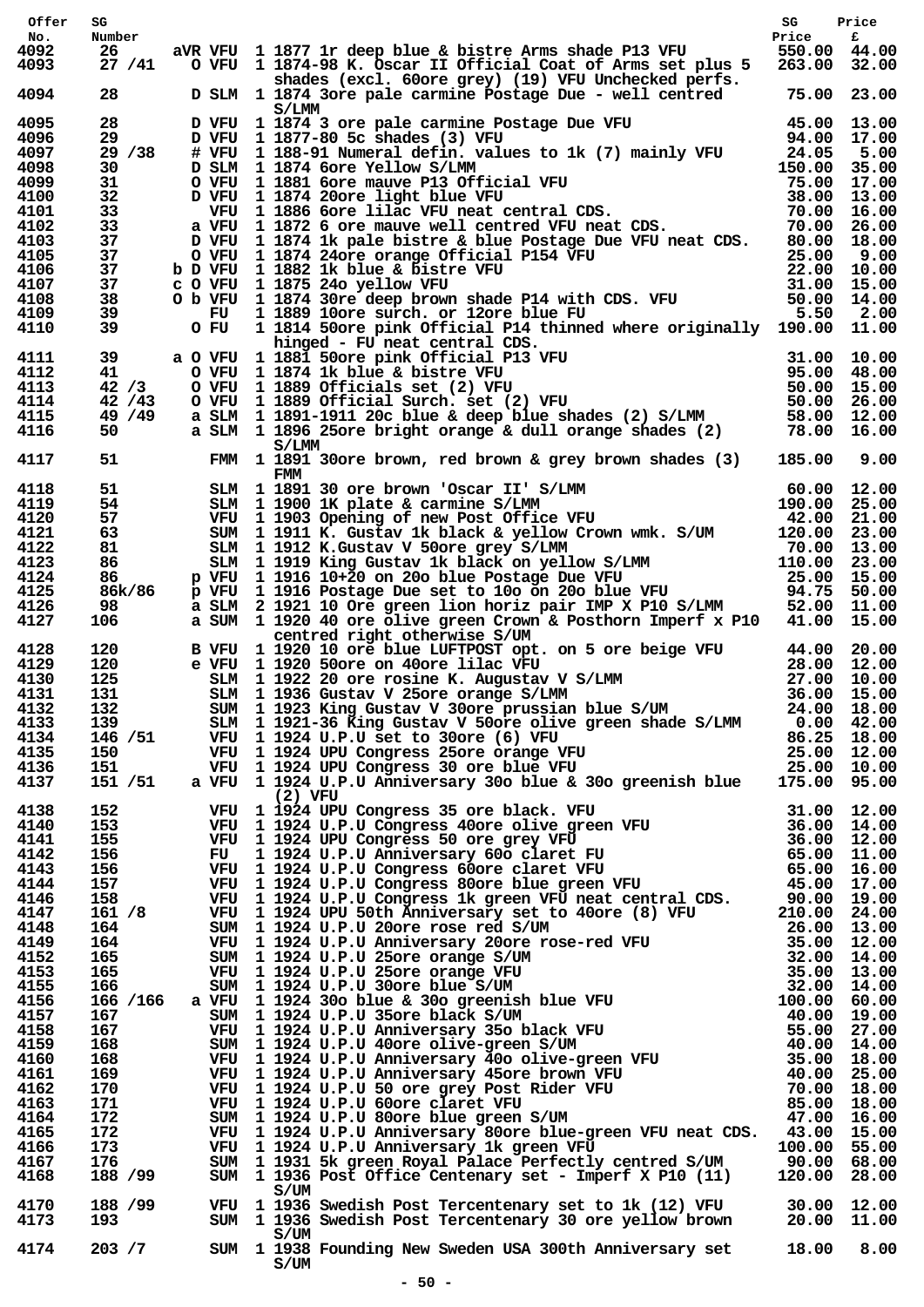| Offer        | SG                 |      |                                                                                                                                                                                                                                                                        | SG                           | Price |
|--------------|--------------------|------|------------------------------------------------------------------------------------------------------------------------------------------------------------------------------------------------------------------------------------------------------------------------|------------------------------|-------|
| No.          | Number             |      |                                                                                                                                                                                                                                                                        | Price                        | £     |
| 4092<br>4093 | 26<br>27/41        |      | aVR VFU 1 1877 1r deep blue & bistre Arms shade P13 VFU<br>O VFU 1 1874-98 K. Oscar II Official Coat of Arms set plus 5                                                                                                                                                | 550.00 44.00<br>263.00 32.00 |       |
| 4094         | 28                 |      | shades (excl. 60 ore grey) (19) VFU Unchecked perfs.<br>D SLM 1 1874 3ore pale carmine Postage Due - well centred                                                                                                                                                      | 75.00 23.00                  |       |
|              |                    |      | S/LMM                                                                                                                                                                                                                                                                  |                              |       |
| 4095         | 28                 |      |                                                                                                                                                                                                                                                                        |                              |       |
| 4096<br>4097 | 29<br>29/38        |      |                                                                                                                                                                                                                                                                        |                              |       |
| 4098         | 30                 |      |                                                                                                                                                                                                                                                                        |                              |       |
| 4099         | 31.                |      |                                                                                                                                                                                                                                                                        |                              |       |
| 4100         | 32                 |      |                                                                                                                                                                                                                                                                        |                              |       |
| 4101         | 33                 |      |                                                                                                                                                                                                                                                                        |                              |       |
| 4102         | 33<br>37           |      |                                                                                                                                                                                                                                                                        |                              |       |
| 4103<br>4105 | 37                 |      |                                                                                                                                                                                                                                                                        |                              |       |
| 4106         | 37                 |      |                                                                                                                                                                                                                                                                        |                              |       |
| 4107         | 37                 |      |                                                                                                                                                                                                                                                                        |                              |       |
| 4108         | 38                 |      |                                                                                                                                                                                                                                                                        |                              |       |
| 4109<br>4110 | 39<br>39           | O FU | 1 1814 50ore pink Official P14 thinned where originally 190.00 11.00                                                                                                                                                                                                   |                              |       |
| 4111         | 39                 |      | hinged - FU neat central CDS.<br>a O VFU 1 1881 50ore pink Official P13 VFU                                                                                                                                                                                            |                              |       |
| 4112         | 41                 |      |                                                                                                                                                                                                                                                                        |                              |       |
| 4113         | 42/3               |      |                                                                                                                                                                                                                                                                        |                              |       |
| 4114         | 42 / 43            |      |                                                                                                                                                                                                                                                                        |                              |       |
| 4115<br>4116 | 49 / 49<br>50 — 10 |      | 0 VFU 1 1881 50ore pink Official P13 VFU 31.00 10.00<br>0 VFU 1 1874 1k blue & bistre VFU 95.00 48.00<br>0 VFU 1 1889 Officials set (2) VFU 50.00 15.00<br>0 VFU 1 1889 Officials set (2) VFU 50.00 15.00<br>a SLM 1 1891-1911 20c blu                                 |                              |       |
| 4117         | 51                 |      | S/LMM<br>FMM 1 1891 30 ore brown, red brown & grey brown shades (3)<br>FMM                                                                                                                                                                                             | 185.00                       | 9.00  |
| 4118         | 51                 |      |                                                                                                                                                                                                                                                                        |                              |       |
| 4119         | 54                 |      |                                                                                                                                                                                                                                                                        |                              |       |
| 4120         | 57                 |      |                                                                                                                                                                                                                                                                        |                              |       |
| 4121<br>4122 | 63<br>81           |      |                                                                                                                                                                                                                                                                        |                              |       |
| 4123         | 86                 |      |                                                                                                                                                                                                                                                                        |                              |       |
| 4124         | 86                 |      |                                                                                                                                                                                                                                                                        |                              |       |
| 4125         | 86k/86             |      |                                                                                                                                                                                                                                                                        |                              |       |
| 4126         | 98                 |      |                                                                                                                                                                                                                                                                        |                              |       |
| 4127         | 106                |      | FMM 1990 IK plate & carmine S/LMM 60.00 12.00<br>SLM 1990 IK plate & carmine S/LMM 190.00 25.00<br>VFU 1903 Opening of new Post Office VFU 42.00 21.00<br>SUM 1911 K. Gustav 1k black & yellow Crown wmk. S/UM 120.00 23.00<br>SLM 191<br>centred right otherwise S/UM |                              |       |
| 4128         | 120<br>120         |      | B VFU 1 1920 10 ore blue LUFTPOST opt. on 5 ore beige VFU 44.00 20.00<br>e VFU 1 1920 50ore on 40ore lilac VFU 28.00 12.00<br>SLM 1 1922 20 ore rosine K. Augustav V S/LMM 27.00 10.00<br>SLM 1 1938 Gustav V 25ore orange S/LMM 36.                                   |                              |       |
| 4129<br>4130 | 125                |      |                                                                                                                                                                                                                                                                        |                              |       |
| 4131         | 131                |      |                                                                                                                                                                                                                                                                        |                              |       |
| 4132         | 132                |      | SUM 1 1923 King Gustav V 30ore prussian blue S/UM 24.00 18.00                                                                                                                                                                                                          |                              |       |
| 4133         | 139                |      | SLM 1 1921-36 King Gustav V 50ore olive green shade S/LMM 0.00 42.00                                                                                                                                                                                                   |                              |       |
| 4134         |                    |      |                                                                                                                                                                                                                                                                        |                              |       |
| 4135         |                    |      |                                                                                                                                                                                                                                                                        |                              |       |
| 4136         |                    |      | 146 /51 VFU 1 1924 U.P.U set to 30ore (6) VFU 86.25 18.00<br>150 VFU 1 1924 UPU Congress 25ore orange VFU 25.00 12.00<br>151 VFU 1 1924 UPU Congress 30 ore blue VFU 25.00 10.00<br>151 /51 a VFU 1 1924 U.P.U Anniversary 30o blue & 3                                |                              |       |
| 4137         |                    |      | $(2)$ VFU<br>a VFU 11924 UFU congress 35 ore had. VFU 11924 UFU Congress 36 ore enish blue $175.00$ 95.00<br>VFU 11924 UFU Congress 40ore clive green VFU 31.000 12.000<br>VFU 11924 UFU Congress 50 ore grey VFU 36.000 12.00<br>VFU 11924 UFU                        |                              |       |
| 4138<br>4140 | 152<br>153         |      |                                                                                                                                                                                                                                                                        |                              |       |
| 4141         | 155                |      |                                                                                                                                                                                                                                                                        |                              |       |
| 4142         | 156                |      |                                                                                                                                                                                                                                                                        |                              |       |
| 4143         | 156                |      |                                                                                                                                                                                                                                                                        |                              |       |
| 4144         | 157                |      |                                                                                                                                                                                                                                                                        |                              |       |
| 4146<br>4147 | 158<br>161 / 8     |      |                                                                                                                                                                                                                                                                        |                              |       |
| 4148         | 164                |      |                                                                                                                                                                                                                                                                        |                              |       |
| 4149         | 164                |      |                                                                                                                                                                                                                                                                        |                              |       |
| 4152         | 165                |      |                                                                                                                                                                                                                                                                        |                              |       |
| 4153         | 165                |      |                                                                                                                                                                                                                                                                        |                              |       |
| 4155         | 166                |      |                                                                                                                                                                                                                                                                        |                              |       |
| 4156<br>4157 | 166 /166           |      |                                                                                                                                                                                                                                                                        |                              |       |
| 4158         | 167<br>167         |      |                                                                                                                                                                                                                                                                        |                              |       |
| 4159         | 168                |      |                                                                                                                                                                                                                                                                        |                              |       |
| 4160         | 168                |      |                                                                                                                                                                                                                                                                        |                              |       |
| 4161         | 169                |      |                                                                                                                                                                                                                                                                        |                              |       |
| 4162         | 170                |      |                                                                                                                                                                                                                                                                        |                              |       |
| 4163<br>4164 | 171<br>172         |      |                                                                                                                                                                                                                                                                        |                              |       |
| 4165         | 172                |      | VFU 1 1924 U.P.U Anniversary 80ore blue-green VFU neat CDS. 43.00 15.00                                                                                                                                                                                                |                              |       |
| 4166         | 173                |      | VFU 1 1924 U.P.U Anniversary 1k green VFU<br>VFU 1 1924 U.P.U Anniversary 1k green VFU (100.00 55.00 SUM 1 1931 5k green Royal Palace Perfectly centred S/UM (10.00 68.00                                                                                              |                              |       |
| 4167         | 176                |      |                                                                                                                                                                                                                                                                        |                              |       |
| 4168         | 188 / 99           |      | SUM 1 1936 Post Office Centenary set - Imperf X P10 (11)<br>S/UM                                                                                                                                                                                                       | 120.00 28.00                 |       |
| 4170<br>4173 | 188 / 99<br>193    |      | VFU 1 1936 Swedish Post Tercentenary set to 1k (12) VFU 30.00 12.00<br>SUM 1 1936 Swedish Post Tercentenary 30 ore yellow brown 20.00 11.00                                                                                                                            |                              |       |
| 4174         | 203 / 7            |      | S/UM<br>SUM 1 1938 Founding New Sweden USA 300th Anniversary set<br>S/UM                                                                                                                                                                                               | 18.00 8.00                   |       |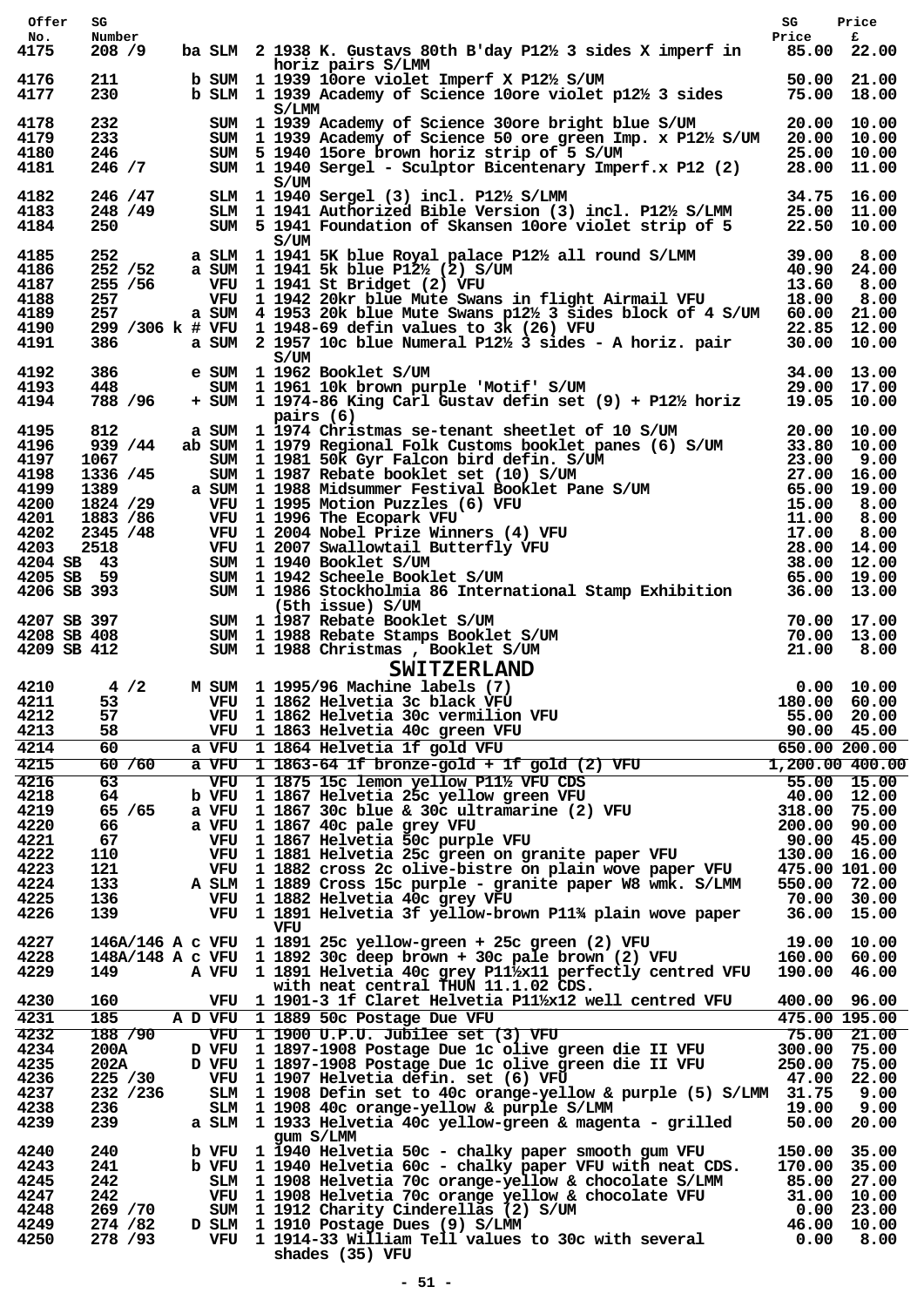| Offer                | SG                    |  |                                                                                                                                                                                                                                                                                                                                    | SG                          | Price                         |
|----------------------|-----------------------|--|------------------------------------------------------------------------------------------------------------------------------------------------------------------------------------------------------------------------------------------------------------------------------------------------------------------------------------|-----------------------------|-------------------------------|
| No.<br>4175          | Number<br>208 / 9     |  | ba SLM $2$ 1938 K. Gustavs 80th B'day P12 $\frac{1}{2}$ 3 sides X imperf in 85.00 22.00                                                                                                                                                                                                                                            | Price                       | £                             |
| 4176                 | 211                   |  | horiz pairs S/LMM<br>b SUM 1 1939 10ore violet Imperf X P12½ S/UM 50.00 21.00<br>b SLM 1 1939 Academy of Science 10ore violet p12½ 3 sides 75.00 18.00                                                                                                                                                                             |                             |                               |
| 4177                 | 230                   |  | S/LMM                                                                                                                                                                                                                                                                                                                              |                             |                               |
| 4178<br>4179         | 232<br>233            |  | SUM 1 1939 Academy of Science 30ore bright blue S/UM 20.00 10.00<br>SUM 1 1939 Academy of Science 50 ore green Imp. x P12% S/UM 20.00 10.00                                                                                                                                                                                        |                             |                               |
| 4180<br>4181         | 246<br>246 / 7        |  | SUM 5 1940 15ore brown horiz strip of 5 S/UM<br>25.00 10.00<br>x P12 (2) 28.00 11.00<br>SUM 1 1940 Sergel - Sculptor Bicentenary Imperf.x P12 (2)                                                                                                                                                                                  |                             |                               |
|                      |                       |  | S/UM                                                                                                                                                                                                                                                                                                                               |                             |                               |
| 4182<br>4183         | 246 / 47<br>248 / 49  |  | SLM 1 1940 Sergel (3) incl. P12½ S/LMM                                                                                                                                                                                                                                                                                             | 34.75 16.00                 |                               |
| 4184                 | 250                   |  | SLM 1 1941 Authorized Bible Version (3) incl. P12½ S/LMM 25.00 11.00<br>SUM 5 1941 Foundation of Skansen 10ore violet strip of 5 22.50 10.00<br>S/UM                                                                                                                                                                               |                             |                               |
| 4185                 | 252                   |  |                                                                                                                                                                                                                                                                                                                                    |                             |                               |
| 4186<br>4187         | 252 / 52<br>255 / 56  |  | a SLM 1 1941 5K blue Royal palace P12½ all round S/LMM 39.00 8.00<br>a SUM 1 1941 5k blue P12½ (2) S/UM 40.90 24.00<br>VFU 1 1941 St Bridget (2) VFU 1 1942 20kr blue Mute Swans in flight Airmail VFU 18.00 8.00<br>VFU 1 1941 St Bridget (2) VFU                                                                                 |                             |                               |
| 4188                 | 257                   |  |                                                                                                                                                                                                                                                                                                                                    |                             |                               |
| 4189                 | 257                   |  | a SUM 4 1953 20k blue Mute Swans p12½ 3 sides block of 4 S/UM 60.00 21.00                                                                                                                                                                                                                                                          |                             |                               |
| 4190<br>4191         | 386                   |  | 299 /306 k # VFU 1 1948-69 defin values to 3k (26) VFU<br># VFU 1 1948-69 defin values to 3k (26) VFU                                   22.85  12.00<br>a SUM  2 1957 10c blue Numeral P12½ 3 sides - A horiz. pair       30.00  10.00                                                                                             |                             |                               |
| 4192                 | 386                   |  | S/UM                                                                                                                                                                                                                                                                                                                               |                             |                               |
| 4193                 | 448                   |  | e SUM 1 1962 Booklet S/UM<br>SUM 1 1961 10k brown purple 'Motif' S/UM 1 1961 10k brown purple 'Motif' S/UM 29.00 17.00<br>SUM 1 1974-86 King Carl Gustav defin set (9) + P12½ horiz 19.05 10.00                                                                                                                                    |                             |                               |
| 4194                 | 788 / 96              |  | pairs (6)                                                                                                                                                                                                                                                                                                                          |                             |                               |
| 4195                 | 812                   |  |                                                                                                                                                                                                                                                                                                                                    |                             |                               |
| 4196                 | 939 / 44              |  |                                                                                                                                                                                                                                                                                                                                    |                             |                               |
| 4197<br>4198         | 1067 100<br>1336 / 45 |  |                                                                                                                                                                                                                                                                                                                                    |                             |                               |
| 4199                 | 1389                  |  |                                                                                                                                                                                                                                                                                                                                    |                             |                               |
| 4200                 | 1824 /29              |  |                                                                                                                                                                                                                                                                                                                                    |                             |                               |
| 4201<br>4202         | 1883 / 86<br>2345 /48 |  |                                                                                                                                                                                                                                                                                                                                    |                             |                               |
| 4203                 | 2518                  |  |                                                                                                                                                                                                                                                                                                                                    |                             |                               |
|                      |                       |  |                                                                                                                                                                                                                                                                                                                                    |                             |                               |
|                      |                       |  | pairs (6)<br>a SUM 11974 Christmas se-tenant sheetlet of 10 S/UM 20.00 10.00<br>ab SUM 11979 Regional Folk Customs booklet panes (6) S/UM 33.80 10.00<br>sUM 11981 50k Gyr Falcon bird defin. S/UM 23.00 9.00<br>sUM 11987 Rebate book<br>4204 SB 43<br>4205 SB 59 SUM 1 1940 Booklet S/UM<br>4206 SB 393 SUM 1 1986 Stockholmia 8 |                             |                               |
|                      |                       |  |                                                                                                                                                                                                                                                                                                                                    |                             |                               |
|                      |                       |  | SUM 1 1987 Rebate Booklet S/UM<br>SUM 1 1988 Rebate Stamps Booklet S/UM 70.00 17.00<br>SUM 1 1988 Christmas, Booklet S/UM 21.00 8.00                                                                                                                                                                                               |                             |                               |
|                      |                       |  |                                                                                                                                                                                                                                                                                                                                    |                             |                               |
|                      |                       |  |                                                                                                                                                                                                                                                                                                                                    |                             |                               |
|                      |                       |  | <b>SWITZERLAND</b>                                                                                                                                                                                                                                                                                                                 |                             |                               |
|                      | 4/2                   |  | 4206 SB 393<br>4207 SB 397<br>4208 SB 408<br>4209 SB 412<br>4209 SB 412<br>5 SUM 1 1988 Rebate Stamps Bookle<br>5 SWITZERL<br>5 SUM 1 1988 Christmas, Booklet<br>5 SWITZERL<br>M SUM 1 1995/96 Machine labels (7)                                                                                                                  |                             |                               |
| 4210<br>4211<br>4212 | 53<br>57              |  | $0.00$ $10.00$<br>$180.00$ $60.00$<br>VFU 1 1862 Helvetia 3c black VFU<br>VFU 1 1862 Helvetia 30c vermilion VFU                                                                                                                                                                                                                    | 180.00 60.00                | 55.00 20.00                   |
| 4213                 | 58                    |  |                                                                                                                                                                                                                                                                                                                                    |                             |                               |
| 4214                 | 60                    |  |                                                                                                                                                                                                                                                                                                                                    |                             |                               |
| 4215                 | 60/60                 |  |                                                                                                                                                                                                                                                                                                                                    |                             |                               |
| 4216<br>4218         | 63<br>64              |  |                                                                                                                                                                                                                                                                                                                                    |                             |                               |
| 4219                 | 65 / 65               |  |                                                                                                                                                                                                                                                                                                                                    |                             |                               |
| 4220                 | 66                    |  |                                                                                                                                                                                                                                                                                                                                    |                             |                               |
| 4221<br>4222         | 67<br>110             |  | VFU 1 1862 Helvetia 30c vermilion VFU 55.00 20.00<br>1 1863 Helvetia 40c green VFU 90.00 45.00<br>1 1864 Helvetia 1f gold VFU 650.00 200.00<br>1 1863-64 1f bronze-gold + 1f gold (2) VFU 1 1875 1500 00.00<br>1 1875 Helvetia 25c yel<br>VFU 1 1867 Helvetia 50c purple VFU                                                       | 130.00 16.00                | 90.00 45.00                   |
| 4223                 | 121                   |  | VFU 1 1881 Helvetia 25c green on granite paper VFU<br>VFU 1 1882 cross 2c olive-bistre on plain wove paper VFU                                                                                                                                                                                                                     | 475.00 101.00               |                               |
| 4224                 | 133                   |  | A SLM 1 1889 Cross 15c purple - granite paper W8 wmk. S/LMM                                                                                                                                                                                                                                                                        | 550.00 72.00                |                               |
| 4225<br>4226         | 136<br>139            |  | VFU 1 1882 Helvetia 40c grey VFU<br>VFU 1 1891 Helvetia 3f yellow-brown P1114 plain wove paper                                                                                                                                                                                                                                     | 70.00 30.00<br>36.00 15.00  |                               |
|                      |                       |  | VFU                                                                                                                                                                                                                                                                                                                                |                             |                               |
| 4227<br>4228         |                       |  | 146A/146 A c VFU 1 1891 25c yellow-green + 25c green (2) VFU<br>$148A/148$ A c VFU 1 1892 30c deep brown + 30c pale brown (2) VFU                                                                                                                                                                                                  | 19.00 10.00<br>160.00 60.00 |                               |
|                      | 149                   |  | A VFU 1 1891 Helvetia 40c grey P11/x11 perfectly centred VFU                                                                                                                                                                                                                                                                       | 190.00 46.00                |                               |
| 4229                 | 160                   |  | with neat central THUN 11.1.02 CDS.                                                                                                                                                                                                                                                                                                |                             |                               |
| 4230<br>4231         | 185                   |  | VFU 1 1901-3 1f Claret Helvetia P111/x12 well centred VFU<br>A D VFU 1 1889 50c Postage Due VFU                                                                                                                                                                                                                                    |                             | 400.00 96.00<br>475.00 195.00 |
| 4232                 | 188 / 90              |  |                                                                                                                                                                                                                                                                                                                                    | $\overline{75.00}$ 21.00    |                               |
| 4234                 | 200A                  |  | $\overline{VFU}$ 1 1900 U.P.U. Jubilee set (3) $VFU$<br>D VFU 1 1897-1908 Postage Due 1c olive green die II VFU                                                                                                                                                                                                                    | 300.00 75.00                |                               |
| 4235<br>4236         | 202A<br>225/30        |  | D VFU 1 1897-1908 Postage Due 1c olive green die II VFU<br>VFU 1 1907 Helvetia defin. set (6) VFU                                                                                                                                                                                                                                  |                             | 250.00 75.00<br>47.00 22.00   |
| 4237                 | 232 / 236             |  | SLM 1 1908 Defin set to 40c orange-yellow & purple (5) S/LMM 31.75                                                                                                                                                                                                                                                                 |                             | 9.00                          |
| 4238                 | 236                   |  | SLM 1 1908 40c orange-yellow & purple S/LMM                                                                                                                                                                                                                                                                                        | 19.00                       | 9.00                          |
| 4239                 | 239                   |  | a SLM 1 1933 Helvetia 40c yellow-green & magenta - grilled<br>qum S/LMM                                                                                                                                                                                                                                                            |                             | 50.00 20.00                   |
| 4240                 | 240                   |  | b VFU 1 1940 Helvetia 50c - chalky paper smooth gum VFU                                                                                                                                                                                                                                                                            | 150.00 35.00                |                               |
| 4243<br>4245         | 241<br>242            |  | b VFU 1 1940 Helvetia 60c - chalky paper VFU with neat CDS.<br>SLM 1 1908 Helvetia 70c orange-yellow & chocolate S/LMM                                                                                                                                                                                                             | 170.00 35.00<br>85.00 27.00 |                               |
| 4247                 | 242                   |  | VFU 1 1908 Helvetia 70c orange yellow & chocolate VFU                                                                                                                                                                                                                                                                              |                             | 31.00 10.00                   |
| 4248<br>4249         | 269 / 70<br>274 / 82  |  | SUM 1 1912 Charity Cinderellas (2) S/UM                                                                                                                                                                                                                                                                                            | $0.00$ 23.00                |                               |
| 4250                 | 278 / 93              |  | D SLM 1 1910 Postage Dues (9) S/LMM<br>VFU 1 1914-33 William Tell values to 30c with several 0.00 8.00<br>shades (35) VFU                                                                                                                                                                                                          |                             | 46.00 10.00                   |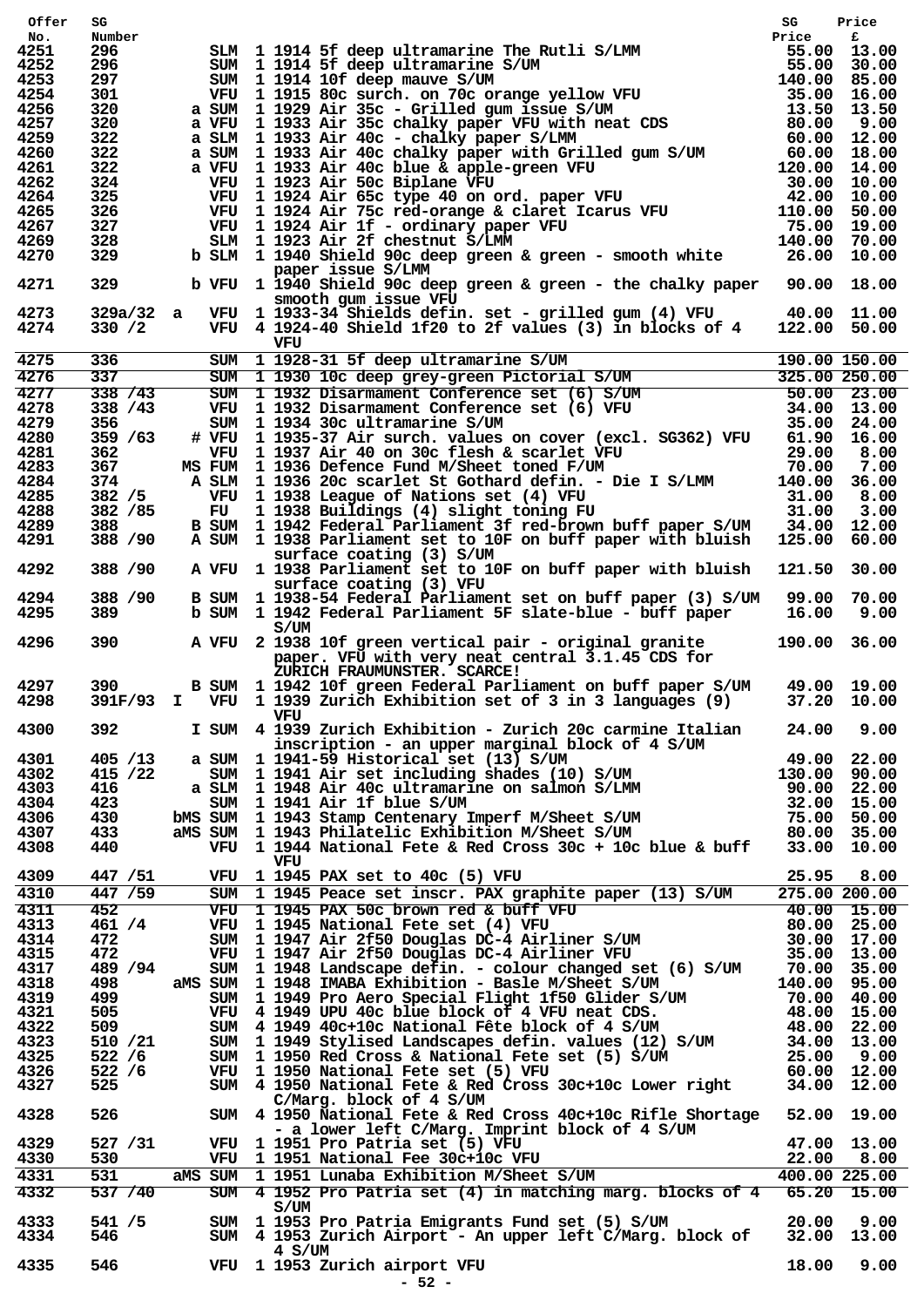| Offer        | SG              |                                                                                                                                                                                                                                                                                                                                            | SG           | Price       |
|--------------|-----------------|--------------------------------------------------------------------------------------------------------------------------------------------------------------------------------------------------------------------------------------------------------------------------------------------------------------------------------------------|--------------|-------------|
| No.          | Number          |                                                                                                                                                                                                                                                                                                                                            |              |             |
| 4251         | 296             |                                                                                                                                                                                                                                                                                                                                            |              |             |
| 4252         | 296             | SLM 1 1914 5f deep ultramarine The Rutli S/LMM<br>Fice Frice Figure 3/UM<br>SUM 1 1914 10f deep mauve S/UM<br>SUM 1 1914 10f deep mauve S/UM<br>The SUM 1 1914 10f deep mauve S/UM<br>The SUM 1 1933 Air 35c c-Brilled gum issue S/UM<br>                                                                                                  |              |             |
| 4253<br>4254 | 297<br>301      |                                                                                                                                                                                                                                                                                                                                            |              |             |
| 4256         | 320             |                                                                                                                                                                                                                                                                                                                                            |              |             |
| 4257         | 320             |                                                                                                                                                                                                                                                                                                                                            |              |             |
| 4259         | 322             |                                                                                                                                                                                                                                                                                                                                            |              |             |
| 4260         | 322             |                                                                                                                                                                                                                                                                                                                                            |              |             |
| 4261         | 322             |                                                                                                                                                                                                                                                                                                                                            |              |             |
| 4262         | 324             |                                                                                                                                                                                                                                                                                                                                            |              |             |
| 4264         | 325             |                                                                                                                                                                                                                                                                                                                                            |              |             |
| 4265         | 326             |                                                                                                                                                                                                                                                                                                                                            |              |             |
| 4267         | 327             |                                                                                                                                                                                                                                                                                                                                            |              |             |
| 4269         | 328             |                                                                                                                                                                                                                                                                                                                                            |              |             |
| 4270         | 329             |                                                                                                                                                                                                                                                                                                                                            |              |             |
| 4271         | 329             | paper issue S/LMM<br>b VFU 1 1940 Shield 90c deep green & green - the chalky paper 90.00 18.00                                                                                                                                                                                                                                             |              |             |
| 4273<br>4274 | 330 / 2         | smooth gum issue VFU<br>$329a/32$ a VFU 1 1933-34 Shields defin. set - grilled gum (4) VFU $40.00$ 11.00<br>VFU 4 1924-40 Shield 1f20 to 2f values (3) in blocks of 4 122.00 50.00                                                                                                                                                         |              |             |
|              |                 | VFU                                                                                                                                                                                                                                                                                                                                        |              |             |
| 4275         | 336             | VFU<br>SUM 1 1928-31 5f deep ultramarine S/UM<br>SUM 1 1930 10c deep grey-green Pictorial S/UM<br>SUM 1 1932 Disarmament Conference set (6) S/UM<br>VFU 1 1932 Disarmament Conference set (6) VFU<br>SUM 1 1932 Disarmament Conference s                                                                                                   |              |             |
| 4276         | 337             |                                                                                                                                                                                                                                                                                                                                            |              |             |
| 4277         | 338 / 43        |                                                                                                                                                                                                                                                                                                                                            |              |             |
| 4278         | 338 / 43        |                                                                                                                                                                                                                                                                                                                                            |              |             |
| 4279         | 356             |                                                                                                                                                                                                                                                                                                                                            |              |             |
| 4280         | 359 /63         |                                                                                                                                                                                                                                                                                                                                            |              |             |
| 4281         | 362             |                                                                                                                                                                                                                                                                                                                                            |              |             |
| 4283         | 367             | WFU 11937 Air 40 on 30c flesh & scarlet VFU 29.00 8.00<br>MS FUM 11936 Defence Fund M/Sheet toned F/UM 70.00 7.00<br>A SLM 11936 20c scarlet St Gothard defin. - Die I S/LMM 140.00 36.00<br>WFU 11938 League of Nations set (4) VFU                                                                                                       |              |             |
| 4284         | 374             |                                                                                                                                                                                                                                                                                                                                            |              |             |
| 4285         | 382 / 5         |                                                                                                                                                                                                                                                                                                                                            |              |             |
| 4288         | 382 / 85        |                                                                                                                                                                                                                                                                                                                                            |              |             |
| 4289         | 388             |                                                                                                                                                                                                                                                                                                                                            |              |             |
| 4291         | 388 / 90        | A SUM 1 1938 Parliament set to 10F on buff paper with bluish 125.00                                                                                                                                                                                                                                                                        |              | 60.00       |
| 4292         | 388 / 90        | surface coating (3) S/UM<br>A VFU 1 1938 Parliament set to 10F on buff paper with bluish 121.50                                                                                                                                                                                                                                            |              | 30.00       |
| 4294<br>4295 | 388 / 90<br>389 | surface coating (3) VFU<br>B SUM 1 1938-54 Federal Parliament set on buff paper (3) S/UM 99.00 70.00<br>b SUM 1 1942 Federal Parliament 5F slate-blue - buff paper                                                                                                                                                                         | 16.00        | 9.00        |
|              |                 | S/UM                                                                                                                                                                                                                                                                                                                                       |              |             |
| 4296         | 390 000         | A VFU 2 1938 10f green vertical pair - original granite<br>paper. VFU with very neat central 3.1.45 CDS for<br>ZURICH FRAUMUNSTER. SCARCE!                                                                                                                                                                                                 | 190.00 36.00 |             |
| 4297<br>4298 |                 | B SUM 1 1942 10f green Federal Parliament on buff paper S/UM 49.00 19.00<br>391F/93 I VFU 1 1939 Zurich Exhibition set of 3 in 3 languages (9)<br>VFU                                                                                                                                                                                      |              | 37.20 10.00 |
| 4300         | 392             | I SUM 4 1939 Zurich Exhibition - Zurich 20c carmine Italian<br>inscription - an upper marginal block of 4 S/UM                                                                                                                                                                                                                             | 24.00        | 9.00        |
| 4301         | 405 / 13        | a SUM $1$ 1941-59 Historical set (13) S/UM                                                                                                                                                                                                                                                                                                 |              |             |
| 4302         | 415 / 22        |                                                                                                                                                                                                                                                                                                                                            |              |             |
| 4303         | 416             |                                                                                                                                                                                                                                                                                                                                            |              |             |
| 4304         | 423             |                                                                                                                                                                                                                                                                                                                                            |              |             |
| 4306         | 430             |                                                                                                                                                                                                                                                                                                                                            |              |             |
| 4307         | 433             |                                                                                                                                                                                                                                                                                                                                            |              |             |
| 4308         | 440             | a SUM 1941-59 Historical set (13) S/UM 49.00 22.00<br>SUM 1941-59 Historical set (13) S/UM 130.00 90.00<br>a SLM 1948 Air 40c ultramarine on salmon S/LMM 90.00 22.00<br>SUM 1948 Air 40c ultramarine on salmon S/LMM 90.00 22.00<br>S                                                                                                     |              |             |
|              |                 | VFU                                                                                                                                                                                                                                                                                                                                        |              |             |
| 4309         | 447 / 51        | VFU 1 1945 PAX set to 40c (5) VFU                                                                                                                                                                                                                                                                                                          |              | 25.95 8.00  |
| 4310         | 447/59          | SUM 1 1945 Peace set inscr. PAX graphite paper (13) S/UM 275.00 200.00<br>VFU 1 1945 PAX 50c brown red & buff VFU 40.00 15.00<br>VFU 1 1945 National Fete set (4) VFU 80.00 25.00<br>SUM 1 1947 Air 2f50 Douglas DC-4 Airliner S/UM                                                                                                        |              |             |
| 4311         | 452             |                                                                                                                                                                                                                                                                                                                                            |              |             |
| 4313         | 461 / 4         |                                                                                                                                                                                                                                                                                                                                            |              |             |
| 4314         | 472             |                                                                                                                                                                                                                                                                                                                                            |              |             |
| 4315         | 472             |                                                                                                                                                                                                                                                                                                                                            |              |             |
| 4317         | 489 / 94        | SUM 1 1948 Landscape defin. - colour changed set (6) S/UM                                                                                                                                                                                                                                                                                  | 70.00 35.00  |             |
| 4318         | 498             | aMS SUM 1 1948 IMABA Exhibition - Basle M/Sheet S/UM                                                                                                                                                                                                                                                                                       | 140.00 95.00 |             |
| 4319         | 499 — 19        | SUM 1 1949 Pro Aero Special Flight 1f50 Glider S/UM                                                                                                                                                                                                                                                                                        | 70.00 40.00  |             |
| 4321         | 505             |                                                                                                                                                                                                                                                                                                                                            |              |             |
| 4322         | 509             |                                                                                                                                                                                                                                                                                                                                            |              |             |
| 4323         | 510 /21         |                                                                                                                                                                                                                                                                                                                                            |              |             |
| 4325         | 522 / 6         |                                                                                                                                                                                                                                                                                                                                            |              |             |
| 4326         | 522 / 6         |                                                                                                                                                                                                                                                                                                                                            |              |             |
| 4327<br>4328 | 525<br>526 11   | VFU 4 1949 UPU 40c blue block of 4 VFU neat CDS. 48.00 15.00<br>SUM 4 1949 40c+10c National Fête block of 4 S/UM 48.00 22.00<br>SUM 1 1949 stylised Landscapes defin. values (12) S/UM 34.00 13.00<br>SUM 1 1950 Red Cross & Nationa<br>C/Marg. block of 4 S/UM<br>SUM 4 1950 National Fete & Red Cross 40c+10c Rifle Shortage 52.00 19.00 |              |             |
| 4329         | 527 / 31        | - a lower left C/Marg. Imprint block of 4 S/UM                                                                                                                                                                                                                                                                                             |              |             |
| 4330         | 530             | VFU 1 1951 Pro Patria set (5) VFU 47.00 13.00<br>VFU 1 1951 National Fee 30c+10c VFU 22.00 8.00<br>aMS SUM 1 1951 Lunaba Exhibition M/Sheet S/UM 400.00 225.00                                                                                                                                                                             |              |             |
| 4331         | 531             |                                                                                                                                                                                                                                                                                                                                            |              |             |
| 4332         | 537/40          | SUM 4 1952 Pro Patria set (4) in matching marg. blocks of 4 65.20 15.00<br>S/UM                                                                                                                                                                                                                                                            |              |             |
| 4333<br>4334 | 541 / 5<br>546  | SUM 1 1953 Pro Patria Emigrants Fund set (5) S/UM 20.00 9.00<br>SUM 4 1953 Zurich Airport - An upper left C/Marg. block of 32.00 13.00<br>4 S/UM                                                                                                                                                                                           |              |             |
| 4335         | 546             | VFU 1 1953 Zurich airport VFU<br>$-52 -$                                                                                                                                                                                                                                                                                                   |              | 18.00 9.00  |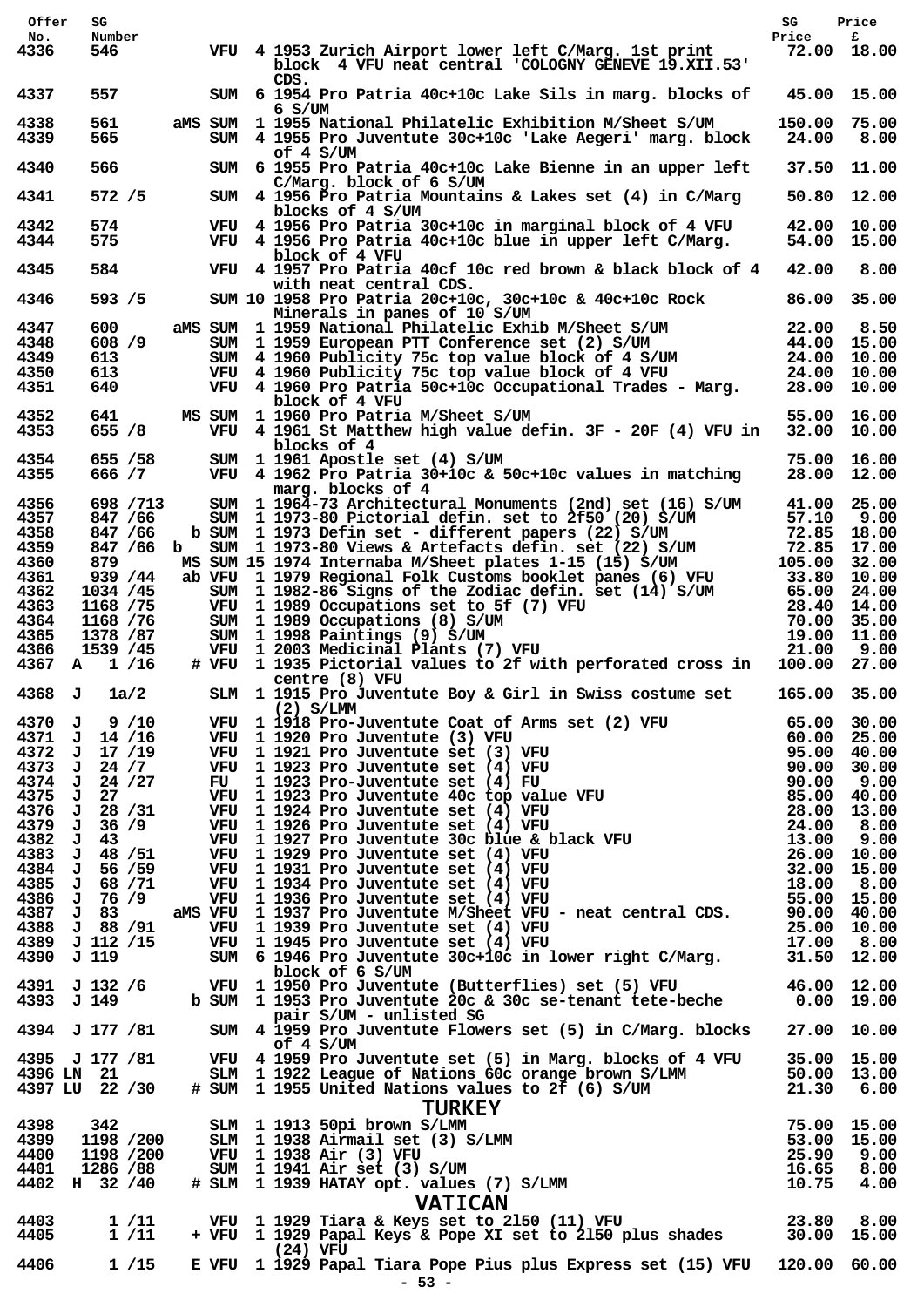| Price<br>£<br>Number<br>No.<br>4336<br>546<br>VFU 4 1953 Zurich Airport lower left C/Marg. 1st print<br>72.00 18.00<br>block 4 VFU neat central 'COLOGNY GENEVE 19.XII.53'<br>CDS.<br>4337<br>557<br>45.00 15.00<br>SUM 6 1954 Pro Patria 40c+10c Lake Sils in marg. blocks of<br>$6 \,$ S/UM<br>4338<br>561<br>aMS SUM 1 1955 National Philatelic Exhibition M/Sheet S/UM<br>150.00 75.00<br>4339<br>565<br>4 1955 Pro Juventute 30c+10c 'Lake Aegeri' marg. block<br>24.00<br>8.00<br>SUM<br>of 4 S/UM<br>566<br>4340<br>37.50 11.00<br>SUM 6 1955 Pro Patria 40c+10c Lake Bienne in an upper left<br>C/Marg. block of 6 S/UM<br>4341<br>572/5<br>SUM 4 1956 Pro Patria Mountains & Lakes set (4) in C/Marg<br>50.80 12.00<br>blocks of 4 S/UM<br>4342<br>574<br>VFU 4 1956 Pro Patria 30c+10c in marginal block of 4 VFU<br>42.00 10.00<br>4344<br>575<br>VFU 4 1956 Pro Patria 40c+10c blue in upper left C/Marg.<br>54.00 15.00<br>block of 4 VFU<br>584<br>4345<br>VFU 4 1957 Pro Patria 40cf 10c red brown & black block of 4 42.00<br>8.00<br>with neat central CDS.<br>4346<br>593 / 5<br>86.00 35.00<br>SUM 10 1958 Pro Patria 20c+10c, 30c+10c & 40c+10c Rock<br>Minerals in panes of 10 S/UM<br>4347<br>600<br>aMS SUM 1 1959 National Philatelic Exhib M/Sheet S/UM<br>22.00 8.50<br>SUM 1 1959 European PTT Conference set (2) S/UM<br>44.00 15.00<br>4348<br>608 / 9<br>SUM 1 1959 European PTT Conference set (2) S/OR<br>SUM 4 1960 Publicity 75c top value block of 4 S/UM<br>The top value block of 4 VFU<br>4349<br>613<br>24.00 10.00<br>4350<br>613<br>24.00 10.00<br>4351<br>640<br>VFU 4 1960 Pro Patria 50c+10c Occupational Trades - Marg.<br>28.00 10.00<br>block of 4 VFU<br>4352<br>641<br>MS SUM 1 1960 Pro Patria M/Sheet S/UM<br>55.00 16.00<br>4353<br>655 / 8<br>VFU 4 1961 St Matthew high value defin. 3F - 20F (4) VFU in 32.00 10.00<br>blocks of 4<br>655 / 58<br>4354<br>SUM 1 1961 Apostle set (4) S/UM<br>75.00 16.00<br>4355<br>666 / 7<br>VFU 4 1962 Pro Patria 30+10c & 50c+10c values in matching<br>28.00 12.00<br>marg. blocks of 4<br>4356<br>698 / 713<br>SUM 1 1964-73 Architectural Monuments (2nd) set (16) S/UM<br>41.00 25.00<br>SUM 1 1973-80 Pictorial defin. set to 2f50 (20) S/UM<br>4357<br>847 / 66<br>57.10 9.00<br>b SUM 1 1973 Defin set - different papers (22) S/UM<br>4358<br>847 / 66<br>72.85 18.00<br>SUM 1 1973-80 Views & Artefacts defin. set (22) S/UM<br>4359<br>847 /66 b<br>72.85 17.00<br>4360<br>MS SUM 15 1974 Internaba M/Sheet plates 1-15 (15) S/UM<br>879<br>105.00 32.00<br>$103.80$ $10.00$<br>$-24.00$<br>4361<br>939 / 44<br>ab VFU 1 1979 Regional Folk Customs booklet panes (6) VFU<br>4362<br>1034 /45<br>SUM 1 1982-86 Signs of the Zodiac defin. set (14) S/UM<br>65.00 24.00<br>VFU 1 1989 Occupations set to 5f (7) VFU<br>4363<br>1168 / 75<br>(a) VFU<br>(b) VFU<br>(c) 28.40 14.00<br>(c) 28.40 14.00<br>(c) 21.00 11.00<br>(c) 21.00 9.00<br>1168 / 76<br>SUM 1 1989 Occupations (8) S/UM<br>4364<br>1378 / 87<br>SUM 1 1998 Paintings (9) S/UM<br>4365<br>VFU 1 2003 Medicinal Plants (7) VFU<br>4366<br>1539 /45<br># VFU 1 1935 Pictorial values to 2f with perforated cross in 100.00<br>4367<br>A 1/16<br>27.00<br>centre (8) VFU<br>4368 J<br>1a/2<br>165.00 35.00<br>SLM 1 1915 Pro Juventute Boy & Girl in Swiss costume set<br>$(2)$ S/LMM<br>(2) S/LMM<br>VFU 1 1918 Pro-Juventute Coat of Arms set (2) VFU 65.00 30.00<br>VFU 1 1920 Pro-Juventute (3) VFU 60.00 25.00<br>VFU 1 1921 Pro-Juventute set (3) VFU 95.00 40.00<br>VFU 1 1923 Pro-Juventute set (4) VFU 90.00 30.00<br>F<br>4370<br>9/10<br>J<br>4371 J 14 /16<br>17 /19<br>4372<br>J<br>24 / 7<br>4373<br>J<br>4374<br>24 / 27<br>J<br>4375<br>J<br>27<br>4376<br>$J$ 28 /31<br>4379<br>36/9<br>J<br>4382<br>43<br>J<br>4383<br>J 48 / 51<br>4384 J 56 /59<br>4385<br>J 68 / 71<br>VFU 1 1936 Pro Juventute set (4) VFU 60 aMS VFU 55.00 15.00<br>aMS VFU 1 1937 Pro Juventute M/Sheet VFU - neat central CDS. 90.00 40.00<br>4386 J 76 /9<br>4387 J 83<br>4388 J 88 / 91<br>VFU 1 1939 Pro Juventute set (4) VFU 1 25.00 10.00<br>VFU 1 1945 Pro Juventute set (4) VFU 17.00 10.00<br>SUM 6 1946 Pro Juventute 30c+10c in lower right C/Marg. 31.50 12.00<br>4389 J 112 /15<br>VFU 1 1945 Pro Juventute set (4) VFU<br>4390 J 119<br>block of 6 S/UM<br>VFU 1 1950 Pro Juventute (Butterflies) set (5) VFU 46.00 12.00<br>4391 J 132 /6<br>b SUM 1 1953 Pro Juventute 20c & 30c se-tenant tete-beche 0.00 19.00<br>4393 J 149<br>pair S/UM - unlisted SG<br>SUM 4 1959 Pro Juventute Flowers set (5) in C/Marg. blocks 27.00 10.00<br>4394 J 177 / 81<br>of $4 S/UM$<br>VFU 4 1959 Pro Juventute set (5) in Marg. blocks of 4 VFU<br>4395 J 177 /81<br>35.00 15.00<br>SLM 1 1922 League of Nations 60c orange brown S/LMM 50.00 13.00<br># SUM 1 1955 United Nations values to 2f (6) S/UM 21.30 6.00<br>4396 LN 21<br>4397 LU 22 /30<br><b>TURKEY</b><br>SLM 1 1913 50pi brown S/LMM<br>SLM 1 1938 Airmail set (3) S/LMM<br>VFU 1 1938 Air (3) VFU<br>SUM 1 1941 Air set (3) S/UM<br># SLM 1 1939 HATAY opt. values (7) S/LMM<br>$\begin{array}{r} 25.00 & 15.00 \\ 25.90 & 9.00 \\ 16.65 & 8.00 \\ 10.75$<br>4398<br>342<br>1198 /200<br>4399<br>4400<br>1198 /200<br>1286 /88<br>4401<br>4402<br>H 32 / 40<br><b>VATICAN</b><br>VAIILAN<br>23.80 23.80 VFU 1 1929 Tiara & Keys set to 2150 (11) VFU<br>23.80 30.00 15.00 VFU 1 1929 Papal Keys & Pope XI set to 2150 plus shades<br>4403<br>1 /11<br>4405<br>1/11<br>(24) VFU<br>4406<br>1/15<br>E VFU 1 1929 Papal Tiara Pope Pius plus Express set (15) VFU 120.00 60.00<br>$-53 -$ |
|----------------------------------------------------------------------------------------------------------------------------------------------------------------------------------------------------------------------------------------------------------------------------------------------------------------------------------------------------------------------------------------------------------------------------------------------------------------------------------------------------------------------------------------------------------------------------------------------------------------------------------------------------------------------------------------------------------------------------------------------------------------------------------------------------------------------------------------------------------------------------------------------------------------------------------------------------------------------------------------------------------------------------------------------------------------------------------------------------------------------------------------------------------------------------------------------------------------------------------------------------------------------------------------------------------------------------------------------------------------------------------------------------------------------------------------------------------------------------------------------------------------------------------------------------------------------------------------------------------------------------------------------------------------------------------------------------------------------------------------------------------------------------------------------------------------------------------------------------------------------------------------------------------------------------------------------------------------------------------------------------------------------------------------------------------------------------------------------------------------------------------------------------------------------------------------------------------------------------------------------------------------------------------------------------------------------------------------------------------------------------------------------------------------------------------------------------------------------------------------------------------------------------------------------------------------------------------------------------------------------------------------------------------------------------------------------------------------------------------------------------------------------------------------------------------------------------------------------------------------------------------------------------------------------------------------------------------------------------------------------------------------------------------------------------------------------------------------------------------------------------------------------------------------------------------------------------------------------------------------------------------------------------------------------------------------------------------------------------------------------------------------------------------------------------------------------------------------------------------------------------------------------------------------------------------------------------------------------------------------------------------------------------------------------------------------------------------------------------------------------------------------------------------------------------------------------------------------------------------------------------------------------------------------------------------------------------------------------------------------------------------------------------------------------------------------------------------------------------------------------------------------------------------------------------------------------------------------------------------------------------------------------------------------------------------------------------------------------------------------------------------------------------------------------------------------------------------------------------------------------------------------------------------------------------------------------------------------------------------------------------------------------------------------------------------------------------------------------------------------------------------------------------------------------------------------------------------------------------------------------------------------------------------------------------------------------------------------------------------------------------------------------------------------------------------------------------------------------------------------------------------------------------------------------------------------------------------------------------------------------------------------------------------------------------------------------------------------------------------------------------------------------------------------------------------------------------------------------------------------------------------------------------------------------------------------------------------------------------------------------|
|                                                                                                                                                                                                                                                                                                                                                                                                                                                                                                                                                                                                                                                                                                                                                                                                                                                                                                                                                                                                                                                                                                                                                                                                                                                                                                                                                                                                                                                                                                                                                                                                                                                                                                                                                                                                                                                                                                                                                                                                                                                                                                                                                                                                                                                                                                                                                                                                                                                                                                                                                                                                                                                                                                                                                                                                                                                                                                                                                                                                                                                                                                                                                                                                                                                                                                                                                                                                                                                                                                                                                                                                                                                                                                                                                                                                                                                                                                                                                                                                                                                                                                                                                                                                                                                                                                                                                                                                                                                                                                                                                                                                                                                                                                                                                                                                                                                                                                                                                                                                                                                                                                                                                                                                                                                                                                                                                                                                                                                                                                                                                                                                                      |
|                                                                                                                                                                                                                                                                                                                                                                                                                                                                                                                                                                                                                                                                                                                                                                                                                                                                                                                                                                                                                                                                                                                                                                                                                                                                                                                                                                                                                                                                                                                                                                                                                                                                                                                                                                                                                                                                                                                                                                                                                                                                                                                                                                                                                                                                                                                                                                                                                                                                                                                                                                                                                                                                                                                                                                                                                                                                                                                                                                                                                                                                                                                                                                                                                                                                                                                                                                                                                                                                                                                                                                                                                                                                                                                                                                                                                                                                                                                                                                                                                                                                                                                                                                                                                                                                                                                                                                                                                                                                                                                                                                                                                                                                                                                                                                                                                                                                                                                                                                                                                                                                                                                                                                                                                                                                                                                                                                                                                                                                                                                                                                                                                      |
|                                                                                                                                                                                                                                                                                                                                                                                                                                                                                                                                                                                                                                                                                                                                                                                                                                                                                                                                                                                                                                                                                                                                                                                                                                                                                                                                                                                                                                                                                                                                                                                                                                                                                                                                                                                                                                                                                                                                                                                                                                                                                                                                                                                                                                                                                                                                                                                                                                                                                                                                                                                                                                                                                                                                                                                                                                                                                                                                                                                                                                                                                                                                                                                                                                                                                                                                                                                                                                                                                                                                                                                                                                                                                                                                                                                                                                                                                                                                                                                                                                                                                                                                                                                                                                                                                                                                                                                                                                                                                                                                                                                                                                                                                                                                                                                                                                                                                                                                                                                                                                                                                                                                                                                                                                                                                                                                                                                                                                                                                                                                                                                                                      |
|                                                                                                                                                                                                                                                                                                                                                                                                                                                                                                                                                                                                                                                                                                                                                                                                                                                                                                                                                                                                                                                                                                                                                                                                                                                                                                                                                                                                                                                                                                                                                                                                                                                                                                                                                                                                                                                                                                                                                                                                                                                                                                                                                                                                                                                                                                                                                                                                                                                                                                                                                                                                                                                                                                                                                                                                                                                                                                                                                                                                                                                                                                                                                                                                                                                                                                                                                                                                                                                                                                                                                                                                                                                                                                                                                                                                                                                                                                                                                                                                                                                                                                                                                                                                                                                                                                                                                                                                                                                                                                                                                                                                                                                                                                                                                                                                                                                                                                                                                                                                                                                                                                                                                                                                                                                                                                                                                                                                                                                                                                                                                                                                                      |
|                                                                                                                                                                                                                                                                                                                                                                                                                                                                                                                                                                                                                                                                                                                                                                                                                                                                                                                                                                                                                                                                                                                                                                                                                                                                                                                                                                                                                                                                                                                                                                                                                                                                                                                                                                                                                                                                                                                                                                                                                                                                                                                                                                                                                                                                                                                                                                                                                                                                                                                                                                                                                                                                                                                                                                                                                                                                                                                                                                                                                                                                                                                                                                                                                                                                                                                                                                                                                                                                                                                                                                                                                                                                                                                                                                                                                                                                                                                                                                                                                                                                                                                                                                                                                                                                                                                                                                                                                                                                                                                                                                                                                                                                                                                                                                                                                                                                                                                                                                                                                                                                                                                                                                                                                                                                                                                                                                                                                                                                                                                                                                                                                      |
|                                                                                                                                                                                                                                                                                                                                                                                                                                                                                                                                                                                                                                                                                                                                                                                                                                                                                                                                                                                                                                                                                                                                                                                                                                                                                                                                                                                                                                                                                                                                                                                                                                                                                                                                                                                                                                                                                                                                                                                                                                                                                                                                                                                                                                                                                                                                                                                                                                                                                                                                                                                                                                                                                                                                                                                                                                                                                                                                                                                                                                                                                                                                                                                                                                                                                                                                                                                                                                                                                                                                                                                                                                                                                                                                                                                                                                                                                                                                                                                                                                                                                                                                                                                                                                                                                                                                                                                                                                                                                                                                                                                                                                                                                                                                                                                                                                                                                                                                                                                                                                                                                                                                                                                                                                                                                                                                                                                                                                                                                                                                                                                                                      |
|                                                                                                                                                                                                                                                                                                                                                                                                                                                                                                                                                                                                                                                                                                                                                                                                                                                                                                                                                                                                                                                                                                                                                                                                                                                                                                                                                                                                                                                                                                                                                                                                                                                                                                                                                                                                                                                                                                                                                                                                                                                                                                                                                                                                                                                                                                                                                                                                                                                                                                                                                                                                                                                                                                                                                                                                                                                                                                                                                                                                                                                                                                                                                                                                                                                                                                                                                                                                                                                                                                                                                                                                                                                                                                                                                                                                                                                                                                                                                                                                                                                                                                                                                                                                                                                                                                                                                                                                                                                                                                                                                                                                                                                                                                                                                                                                                                                                                                                                                                                                                                                                                                                                                                                                                                                                                                                                                                                                                                                                                                                                                                                                                      |
|                                                                                                                                                                                                                                                                                                                                                                                                                                                                                                                                                                                                                                                                                                                                                                                                                                                                                                                                                                                                                                                                                                                                                                                                                                                                                                                                                                                                                                                                                                                                                                                                                                                                                                                                                                                                                                                                                                                                                                                                                                                                                                                                                                                                                                                                                                                                                                                                                                                                                                                                                                                                                                                                                                                                                                                                                                                                                                                                                                                                                                                                                                                                                                                                                                                                                                                                                                                                                                                                                                                                                                                                                                                                                                                                                                                                                                                                                                                                                                                                                                                                                                                                                                                                                                                                                                                                                                                                                                                                                                                                                                                                                                                                                                                                                                                                                                                                                                                                                                                                                                                                                                                                                                                                                                                                                                                                                                                                                                                                                                                                                                                                                      |
|                                                                                                                                                                                                                                                                                                                                                                                                                                                                                                                                                                                                                                                                                                                                                                                                                                                                                                                                                                                                                                                                                                                                                                                                                                                                                                                                                                                                                                                                                                                                                                                                                                                                                                                                                                                                                                                                                                                                                                                                                                                                                                                                                                                                                                                                                                                                                                                                                                                                                                                                                                                                                                                                                                                                                                                                                                                                                                                                                                                                                                                                                                                                                                                                                                                                                                                                                                                                                                                                                                                                                                                                                                                                                                                                                                                                                                                                                                                                                                                                                                                                                                                                                                                                                                                                                                                                                                                                                                                                                                                                                                                                                                                                                                                                                                                                                                                                                                                                                                                                                                                                                                                                                                                                                                                                                                                                                                                                                                                                                                                                                                                                                      |
|                                                                                                                                                                                                                                                                                                                                                                                                                                                                                                                                                                                                                                                                                                                                                                                                                                                                                                                                                                                                                                                                                                                                                                                                                                                                                                                                                                                                                                                                                                                                                                                                                                                                                                                                                                                                                                                                                                                                                                                                                                                                                                                                                                                                                                                                                                                                                                                                                                                                                                                                                                                                                                                                                                                                                                                                                                                                                                                                                                                                                                                                                                                                                                                                                                                                                                                                                                                                                                                                                                                                                                                                                                                                                                                                                                                                                                                                                                                                                                                                                                                                                                                                                                                                                                                                                                                                                                                                                                                                                                                                                                                                                                                                                                                                                                                                                                                                                                                                                                                                                                                                                                                                                                                                                                                                                                                                                                                                                                                                                                                                                                                                                      |
|                                                                                                                                                                                                                                                                                                                                                                                                                                                                                                                                                                                                                                                                                                                                                                                                                                                                                                                                                                                                                                                                                                                                                                                                                                                                                                                                                                                                                                                                                                                                                                                                                                                                                                                                                                                                                                                                                                                                                                                                                                                                                                                                                                                                                                                                                                                                                                                                                                                                                                                                                                                                                                                                                                                                                                                                                                                                                                                                                                                                                                                                                                                                                                                                                                                                                                                                                                                                                                                                                                                                                                                                                                                                                                                                                                                                                                                                                                                                                                                                                                                                                                                                                                                                                                                                                                                                                                                                                                                                                                                                                                                                                                                                                                                                                                                                                                                                                                                                                                                                                                                                                                                                                                                                                                                                                                                                                                                                                                                                                                                                                                                                                      |
|                                                                                                                                                                                                                                                                                                                                                                                                                                                                                                                                                                                                                                                                                                                                                                                                                                                                                                                                                                                                                                                                                                                                                                                                                                                                                                                                                                                                                                                                                                                                                                                                                                                                                                                                                                                                                                                                                                                                                                                                                                                                                                                                                                                                                                                                                                                                                                                                                                                                                                                                                                                                                                                                                                                                                                                                                                                                                                                                                                                                                                                                                                                                                                                                                                                                                                                                                                                                                                                                                                                                                                                                                                                                                                                                                                                                                                                                                                                                                                                                                                                                                                                                                                                                                                                                                                                                                                                                                                                                                                                                                                                                                                                                                                                                                                                                                                                                                                                                                                                                                                                                                                                                                                                                                                                                                                                                                                                                                                                                                                                                                                                                                      |
|                                                                                                                                                                                                                                                                                                                                                                                                                                                                                                                                                                                                                                                                                                                                                                                                                                                                                                                                                                                                                                                                                                                                                                                                                                                                                                                                                                                                                                                                                                                                                                                                                                                                                                                                                                                                                                                                                                                                                                                                                                                                                                                                                                                                                                                                                                                                                                                                                                                                                                                                                                                                                                                                                                                                                                                                                                                                                                                                                                                                                                                                                                                                                                                                                                                                                                                                                                                                                                                                                                                                                                                                                                                                                                                                                                                                                                                                                                                                                                                                                                                                                                                                                                                                                                                                                                                                                                                                                                                                                                                                                                                                                                                                                                                                                                                                                                                                                                                                                                                                                                                                                                                                                                                                                                                                                                                                                                                                                                                                                                                                                                                                                      |
|                                                                                                                                                                                                                                                                                                                                                                                                                                                                                                                                                                                                                                                                                                                                                                                                                                                                                                                                                                                                                                                                                                                                                                                                                                                                                                                                                                                                                                                                                                                                                                                                                                                                                                                                                                                                                                                                                                                                                                                                                                                                                                                                                                                                                                                                                                                                                                                                                                                                                                                                                                                                                                                                                                                                                                                                                                                                                                                                                                                                                                                                                                                                                                                                                                                                                                                                                                                                                                                                                                                                                                                                                                                                                                                                                                                                                                                                                                                                                                                                                                                                                                                                                                                                                                                                                                                                                                                                                                                                                                                                                                                                                                                                                                                                                                                                                                                                                                                                                                                                                                                                                                                                                                                                                                                                                                                                                                                                                                                                                                                                                                                                                      |
|                                                                                                                                                                                                                                                                                                                                                                                                                                                                                                                                                                                                                                                                                                                                                                                                                                                                                                                                                                                                                                                                                                                                                                                                                                                                                                                                                                                                                                                                                                                                                                                                                                                                                                                                                                                                                                                                                                                                                                                                                                                                                                                                                                                                                                                                                                                                                                                                                                                                                                                                                                                                                                                                                                                                                                                                                                                                                                                                                                                                                                                                                                                                                                                                                                                                                                                                                                                                                                                                                                                                                                                                                                                                                                                                                                                                                                                                                                                                                                                                                                                                                                                                                                                                                                                                                                                                                                                                                                                                                                                                                                                                                                                                                                                                                                                                                                                                                                                                                                                                                                                                                                                                                                                                                                                                                                                                                                                                                                                                                                                                                                                                                      |
|                                                                                                                                                                                                                                                                                                                                                                                                                                                                                                                                                                                                                                                                                                                                                                                                                                                                                                                                                                                                                                                                                                                                                                                                                                                                                                                                                                                                                                                                                                                                                                                                                                                                                                                                                                                                                                                                                                                                                                                                                                                                                                                                                                                                                                                                                                                                                                                                                                                                                                                                                                                                                                                                                                                                                                                                                                                                                                                                                                                                                                                                                                                                                                                                                                                                                                                                                                                                                                                                                                                                                                                                                                                                                                                                                                                                                                                                                                                                                                                                                                                                                                                                                                                                                                                                                                                                                                                                                                                                                                                                                                                                                                                                                                                                                                                                                                                                                                                                                                                                                                                                                                                                                                                                                                                                                                                                                                                                                                                                                                                                                                                                                      |
|                                                                                                                                                                                                                                                                                                                                                                                                                                                                                                                                                                                                                                                                                                                                                                                                                                                                                                                                                                                                                                                                                                                                                                                                                                                                                                                                                                                                                                                                                                                                                                                                                                                                                                                                                                                                                                                                                                                                                                                                                                                                                                                                                                                                                                                                                                                                                                                                                                                                                                                                                                                                                                                                                                                                                                                                                                                                                                                                                                                                                                                                                                                                                                                                                                                                                                                                                                                                                                                                                                                                                                                                                                                                                                                                                                                                                                                                                                                                                                                                                                                                                                                                                                                                                                                                                                                                                                                                                                                                                                                                                                                                                                                                                                                                                                                                                                                                                                                                                                                                                                                                                                                                                                                                                                                                                                                                                                                                                                                                                                                                                                                                                      |
|                                                                                                                                                                                                                                                                                                                                                                                                                                                                                                                                                                                                                                                                                                                                                                                                                                                                                                                                                                                                                                                                                                                                                                                                                                                                                                                                                                                                                                                                                                                                                                                                                                                                                                                                                                                                                                                                                                                                                                                                                                                                                                                                                                                                                                                                                                                                                                                                                                                                                                                                                                                                                                                                                                                                                                                                                                                                                                                                                                                                                                                                                                                                                                                                                                                                                                                                                                                                                                                                                                                                                                                                                                                                                                                                                                                                                                                                                                                                                                                                                                                                                                                                                                                                                                                                                                                                                                                                                                                                                                                                                                                                                                                                                                                                                                                                                                                                                                                                                                                                                                                                                                                                                                                                                                                                                                                                                                                                                                                                                                                                                                                                                      |
|                                                                                                                                                                                                                                                                                                                                                                                                                                                                                                                                                                                                                                                                                                                                                                                                                                                                                                                                                                                                                                                                                                                                                                                                                                                                                                                                                                                                                                                                                                                                                                                                                                                                                                                                                                                                                                                                                                                                                                                                                                                                                                                                                                                                                                                                                                                                                                                                                                                                                                                                                                                                                                                                                                                                                                                                                                                                                                                                                                                                                                                                                                                                                                                                                                                                                                                                                                                                                                                                                                                                                                                                                                                                                                                                                                                                                                                                                                                                                                                                                                                                                                                                                                                                                                                                                                                                                                                                                                                                                                                                                                                                                                                                                                                                                                                                                                                                                                                                                                                                                                                                                                                                                                                                                                                                                                                                                                                                                                                                                                                                                                                                                      |
|                                                                                                                                                                                                                                                                                                                                                                                                                                                                                                                                                                                                                                                                                                                                                                                                                                                                                                                                                                                                                                                                                                                                                                                                                                                                                                                                                                                                                                                                                                                                                                                                                                                                                                                                                                                                                                                                                                                                                                                                                                                                                                                                                                                                                                                                                                                                                                                                                                                                                                                                                                                                                                                                                                                                                                                                                                                                                                                                                                                                                                                                                                                                                                                                                                                                                                                                                                                                                                                                                                                                                                                                                                                                                                                                                                                                                                                                                                                                                                                                                                                                                                                                                                                                                                                                                                                                                                                                                                                                                                                                                                                                                                                                                                                                                                                                                                                                                                                                                                                                                                                                                                                                                                                                                                                                                                                                                                                                                                                                                                                                                                                                                      |
|                                                                                                                                                                                                                                                                                                                                                                                                                                                                                                                                                                                                                                                                                                                                                                                                                                                                                                                                                                                                                                                                                                                                                                                                                                                                                                                                                                                                                                                                                                                                                                                                                                                                                                                                                                                                                                                                                                                                                                                                                                                                                                                                                                                                                                                                                                                                                                                                                                                                                                                                                                                                                                                                                                                                                                                                                                                                                                                                                                                                                                                                                                                                                                                                                                                                                                                                                                                                                                                                                                                                                                                                                                                                                                                                                                                                                                                                                                                                                                                                                                                                                                                                                                                                                                                                                                                                                                                                                                                                                                                                                                                                                                                                                                                                                                                                                                                                                                                                                                                                                                                                                                                                                                                                                                                                                                                                                                                                                                                                                                                                                                                                                      |
|                                                                                                                                                                                                                                                                                                                                                                                                                                                                                                                                                                                                                                                                                                                                                                                                                                                                                                                                                                                                                                                                                                                                                                                                                                                                                                                                                                                                                                                                                                                                                                                                                                                                                                                                                                                                                                                                                                                                                                                                                                                                                                                                                                                                                                                                                                                                                                                                                                                                                                                                                                                                                                                                                                                                                                                                                                                                                                                                                                                                                                                                                                                                                                                                                                                                                                                                                                                                                                                                                                                                                                                                                                                                                                                                                                                                                                                                                                                                                                                                                                                                                                                                                                                                                                                                                                                                                                                                                                                                                                                                                                                                                                                                                                                                                                                                                                                                                                                                                                                                                                                                                                                                                                                                                                                                                                                                                                                                                                                                                                                                                                                                                      |
|                                                                                                                                                                                                                                                                                                                                                                                                                                                                                                                                                                                                                                                                                                                                                                                                                                                                                                                                                                                                                                                                                                                                                                                                                                                                                                                                                                                                                                                                                                                                                                                                                                                                                                                                                                                                                                                                                                                                                                                                                                                                                                                                                                                                                                                                                                                                                                                                                                                                                                                                                                                                                                                                                                                                                                                                                                                                                                                                                                                                                                                                                                                                                                                                                                                                                                                                                                                                                                                                                                                                                                                                                                                                                                                                                                                                                                                                                                                                                                                                                                                                                                                                                                                                                                                                                                                                                                                                                                                                                                                                                                                                                                                                                                                                                                                                                                                                                                                                                                                                                                                                                                                                                                                                                                                                                                                                                                                                                                                                                                                                                                                                                      |
|                                                                                                                                                                                                                                                                                                                                                                                                                                                                                                                                                                                                                                                                                                                                                                                                                                                                                                                                                                                                                                                                                                                                                                                                                                                                                                                                                                                                                                                                                                                                                                                                                                                                                                                                                                                                                                                                                                                                                                                                                                                                                                                                                                                                                                                                                                                                                                                                                                                                                                                                                                                                                                                                                                                                                                                                                                                                                                                                                                                                                                                                                                                                                                                                                                                                                                                                                                                                                                                                                                                                                                                                                                                                                                                                                                                                                                                                                                                                                                                                                                                                                                                                                                                                                                                                                                                                                                                                                                                                                                                                                                                                                                                                                                                                                                                                                                                                                                                                                                                                                                                                                                                                                                                                                                                                                                                                                                                                                                                                                                                                                                                                                      |
|                                                                                                                                                                                                                                                                                                                                                                                                                                                                                                                                                                                                                                                                                                                                                                                                                                                                                                                                                                                                                                                                                                                                                                                                                                                                                                                                                                                                                                                                                                                                                                                                                                                                                                                                                                                                                                                                                                                                                                                                                                                                                                                                                                                                                                                                                                                                                                                                                                                                                                                                                                                                                                                                                                                                                                                                                                                                                                                                                                                                                                                                                                                                                                                                                                                                                                                                                                                                                                                                                                                                                                                                                                                                                                                                                                                                                                                                                                                                                                                                                                                                                                                                                                                                                                                                                                                                                                                                                                                                                                                                                                                                                                                                                                                                                                                                                                                                                                                                                                                                                                                                                                                                                                                                                                                                                                                                                                                                                                                                                                                                                                                                                      |
|                                                                                                                                                                                                                                                                                                                                                                                                                                                                                                                                                                                                                                                                                                                                                                                                                                                                                                                                                                                                                                                                                                                                                                                                                                                                                                                                                                                                                                                                                                                                                                                                                                                                                                                                                                                                                                                                                                                                                                                                                                                                                                                                                                                                                                                                                                                                                                                                                                                                                                                                                                                                                                                                                                                                                                                                                                                                                                                                                                                                                                                                                                                                                                                                                                                                                                                                                                                                                                                                                                                                                                                                                                                                                                                                                                                                                                                                                                                                                                                                                                                                                                                                                                                                                                                                                                                                                                                                                                                                                                                                                                                                                                                                                                                                                                                                                                                                                                                                                                                                                                                                                                                                                                                                                                                                                                                                                                                                                                                                                                                                                                                                                      |
|                                                                                                                                                                                                                                                                                                                                                                                                                                                                                                                                                                                                                                                                                                                                                                                                                                                                                                                                                                                                                                                                                                                                                                                                                                                                                                                                                                                                                                                                                                                                                                                                                                                                                                                                                                                                                                                                                                                                                                                                                                                                                                                                                                                                                                                                                                                                                                                                                                                                                                                                                                                                                                                                                                                                                                                                                                                                                                                                                                                                                                                                                                                                                                                                                                                                                                                                                                                                                                                                                                                                                                                                                                                                                                                                                                                                                                                                                                                                                                                                                                                                                                                                                                                                                                                                                                                                                                                                                                                                                                                                                                                                                                                                                                                                                                                                                                                                                                                                                                                                                                                                                                                                                                                                                                                                                                                                                                                                                                                                                                                                                                                                                      |
|                                                                                                                                                                                                                                                                                                                                                                                                                                                                                                                                                                                                                                                                                                                                                                                                                                                                                                                                                                                                                                                                                                                                                                                                                                                                                                                                                                                                                                                                                                                                                                                                                                                                                                                                                                                                                                                                                                                                                                                                                                                                                                                                                                                                                                                                                                                                                                                                                                                                                                                                                                                                                                                                                                                                                                                                                                                                                                                                                                                                                                                                                                                                                                                                                                                                                                                                                                                                                                                                                                                                                                                                                                                                                                                                                                                                                                                                                                                                                                                                                                                                                                                                                                                                                                                                                                                                                                                                                                                                                                                                                                                                                                                                                                                                                                                                                                                                                                                                                                                                                                                                                                                                                                                                                                                                                                                                                                                                                                                                                                                                                                                                                      |
|                                                                                                                                                                                                                                                                                                                                                                                                                                                                                                                                                                                                                                                                                                                                                                                                                                                                                                                                                                                                                                                                                                                                                                                                                                                                                                                                                                                                                                                                                                                                                                                                                                                                                                                                                                                                                                                                                                                                                                                                                                                                                                                                                                                                                                                                                                                                                                                                                                                                                                                                                                                                                                                                                                                                                                                                                                                                                                                                                                                                                                                                                                                                                                                                                                                                                                                                                                                                                                                                                                                                                                                                                                                                                                                                                                                                                                                                                                                                                                                                                                                                                                                                                                                                                                                                                                                                                                                                                                                                                                                                                                                                                                                                                                                                                                                                                                                                                                                                                                                                                                                                                                                                                                                                                                                                                                                                                                                                                                                                                                                                                                                                                      |
|                                                                                                                                                                                                                                                                                                                                                                                                                                                                                                                                                                                                                                                                                                                                                                                                                                                                                                                                                                                                                                                                                                                                                                                                                                                                                                                                                                                                                                                                                                                                                                                                                                                                                                                                                                                                                                                                                                                                                                                                                                                                                                                                                                                                                                                                                                                                                                                                                                                                                                                                                                                                                                                                                                                                                                                                                                                                                                                                                                                                                                                                                                                                                                                                                                                                                                                                                                                                                                                                                                                                                                                                                                                                                                                                                                                                                                                                                                                                                                                                                                                                                                                                                                                                                                                                                                                                                                                                                                                                                                                                                                                                                                                                                                                                                                                                                                                                                                                                                                                                                                                                                                                                                                                                                                                                                                                                                                                                                                                                                                                                                                                                                      |
|                                                                                                                                                                                                                                                                                                                                                                                                                                                                                                                                                                                                                                                                                                                                                                                                                                                                                                                                                                                                                                                                                                                                                                                                                                                                                                                                                                                                                                                                                                                                                                                                                                                                                                                                                                                                                                                                                                                                                                                                                                                                                                                                                                                                                                                                                                                                                                                                                                                                                                                                                                                                                                                                                                                                                                                                                                                                                                                                                                                                                                                                                                                                                                                                                                                                                                                                                                                                                                                                                                                                                                                                                                                                                                                                                                                                                                                                                                                                                                                                                                                                                                                                                                                                                                                                                                                                                                                                                                                                                                                                                                                                                                                                                                                                                                                                                                                                                                                                                                                                                                                                                                                                                                                                                                                                                                                                                                                                                                                                                                                                                                                                                      |
|                                                                                                                                                                                                                                                                                                                                                                                                                                                                                                                                                                                                                                                                                                                                                                                                                                                                                                                                                                                                                                                                                                                                                                                                                                                                                                                                                                                                                                                                                                                                                                                                                                                                                                                                                                                                                                                                                                                                                                                                                                                                                                                                                                                                                                                                                                                                                                                                                                                                                                                                                                                                                                                                                                                                                                                                                                                                                                                                                                                                                                                                                                                                                                                                                                                                                                                                                                                                                                                                                                                                                                                                                                                                                                                                                                                                                                                                                                                                                                                                                                                                                                                                                                                                                                                                                                                                                                                                                                                                                                                                                                                                                                                                                                                                                                                                                                                                                                                                                                                                                                                                                                                                                                                                                                                                                                                                                                                                                                                                                                                                                                                                                      |
|                                                                                                                                                                                                                                                                                                                                                                                                                                                                                                                                                                                                                                                                                                                                                                                                                                                                                                                                                                                                                                                                                                                                                                                                                                                                                                                                                                                                                                                                                                                                                                                                                                                                                                                                                                                                                                                                                                                                                                                                                                                                                                                                                                                                                                                                                                                                                                                                                                                                                                                                                                                                                                                                                                                                                                                                                                                                                                                                                                                                                                                                                                                                                                                                                                                                                                                                                                                                                                                                                                                                                                                                                                                                                                                                                                                                                                                                                                                                                                                                                                                                                                                                                                                                                                                                                                                                                                                                                                                                                                                                                                                                                                                                                                                                                                                                                                                                                                                                                                                                                                                                                                                                                                                                                                                                                                                                                                                                                                                                                                                                                                                                                      |
|                                                                                                                                                                                                                                                                                                                                                                                                                                                                                                                                                                                                                                                                                                                                                                                                                                                                                                                                                                                                                                                                                                                                                                                                                                                                                                                                                                                                                                                                                                                                                                                                                                                                                                                                                                                                                                                                                                                                                                                                                                                                                                                                                                                                                                                                                                                                                                                                                                                                                                                                                                                                                                                                                                                                                                                                                                                                                                                                                                                                                                                                                                                                                                                                                                                                                                                                                                                                                                                                                                                                                                                                                                                                                                                                                                                                                                                                                                                                                                                                                                                                                                                                                                                                                                                                                                                                                                                                                                                                                                                                                                                                                                                                                                                                                                                                                                                                                                                                                                                                                                                                                                                                                                                                                                                                                                                                                                                                                                                                                                                                                                                                                      |
|                                                                                                                                                                                                                                                                                                                                                                                                                                                                                                                                                                                                                                                                                                                                                                                                                                                                                                                                                                                                                                                                                                                                                                                                                                                                                                                                                                                                                                                                                                                                                                                                                                                                                                                                                                                                                                                                                                                                                                                                                                                                                                                                                                                                                                                                                                                                                                                                                                                                                                                                                                                                                                                                                                                                                                                                                                                                                                                                                                                                                                                                                                                                                                                                                                                                                                                                                                                                                                                                                                                                                                                                                                                                                                                                                                                                                                                                                                                                                                                                                                                                                                                                                                                                                                                                                                                                                                                                                                                                                                                                                                                                                                                                                                                                                                                                                                                                                                                                                                                                                                                                                                                                                                                                                                                                                                                                                                                                                                                                                                                                                                                                                      |
|                                                                                                                                                                                                                                                                                                                                                                                                                                                                                                                                                                                                                                                                                                                                                                                                                                                                                                                                                                                                                                                                                                                                                                                                                                                                                                                                                                                                                                                                                                                                                                                                                                                                                                                                                                                                                                                                                                                                                                                                                                                                                                                                                                                                                                                                                                                                                                                                                                                                                                                                                                                                                                                                                                                                                                                                                                                                                                                                                                                                                                                                                                                                                                                                                                                                                                                                                                                                                                                                                                                                                                                                                                                                                                                                                                                                                                                                                                                                                                                                                                                                                                                                                                                                                                                                                                                                                                                                                                                                                                                                                                                                                                                                                                                                                                                                                                                                                                                                                                                                                                                                                                                                                                                                                                                                                                                                                                                                                                                                                                                                                                                                                      |
|                                                                                                                                                                                                                                                                                                                                                                                                                                                                                                                                                                                                                                                                                                                                                                                                                                                                                                                                                                                                                                                                                                                                                                                                                                                                                                                                                                                                                                                                                                                                                                                                                                                                                                                                                                                                                                                                                                                                                                                                                                                                                                                                                                                                                                                                                                                                                                                                                                                                                                                                                                                                                                                                                                                                                                                                                                                                                                                                                                                                                                                                                                                                                                                                                                                                                                                                                                                                                                                                                                                                                                                                                                                                                                                                                                                                                                                                                                                                                                                                                                                                                                                                                                                                                                                                                                                                                                                                                                                                                                                                                                                                                                                                                                                                                                                                                                                                                                                                                                                                                                                                                                                                                                                                                                                                                                                                                                                                                                                                                                                                                                                                                      |
|                                                                                                                                                                                                                                                                                                                                                                                                                                                                                                                                                                                                                                                                                                                                                                                                                                                                                                                                                                                                                                                                                                                                                                                                                                                                                                                                                                                                                                                                                                                                                                                                                                                                                                                                                                                                                                                                                                                                                                                                                                                                                                                                                                                                                                                                                                                                                                                                                                                                                                                                                                                                                                                                                                                                                                                                                                                                                                                                                                                                                                                                                                                                                                                                                                                                                                                                                                                                                                                                                                                                                                                                                                                                                                                                                                                                                                                                                                                                                                                                                                                                                                                                                                                                                                                                                                                                                                                                                                                                                                                                                                                                                                                                                                                                                                                                                                                                                                                                                                                                                                                                                                                                                                                                                                                                                                                                                                                                                                                                                                                                                                                                                      |
|                                                                                                                                                                                                                                                                                                                                                                                                                                                                                                                                                                                                                                                                                                                                                                                                                                                                                                                                                                                                                                                                                                                                                                                                                                                                                                                                                                                                                                                                                                                                                                                                                                                                                                                                                                                                                                                                                                                                                                                                                                                                                                                                                                                                                                                                                                                                                                                                                                                                                                                                                                                                                                                                                                                                                                                                                                                                                                                                                                                                                                                                                                                                                                                                                                                                                                                                                                                                                                                                                                                                                                                                                                                                                                                                                                                                                                                                                                                                                                                                                                                                                                                                                                                                                                                                                                                                                                                                                                                                                                                                                                                                                                                                                                                                                                                                                                                                                                                                                                                                                                                                                                                                                                                                                                                                                                                                                                                                                                                                                                                                                                                                                      |
|                                                                                                                                                                                                                                                                                                                                                                                                                                                                                                                                                                                                                                                                                                                                                                                                                                                                                                                                                                                                                                                                                                                                                                                                                                                                                                                                                                                                                                                                                                                                                                                                                                                                                                                                                                                                                                                                                                                                                                                                                                                                                                                                                                                                                                                                                                                                                                                                                                                                                                                                                                                                                                                                                                                                                                                                                                                                                                                                                                                                                                                                                                                                                                                                                                                                                                                                                                                                                                                                                                                                                                                                                                                                                                                                                                                                                                                                                                                                                                                                                                                                                                                                                                                                                                                                                                                                                                                                                                                                                                                                                                                                                                                                                                                                                                                                                                                                                                                                                                                                                                                                                                                                                                                                                                                                                                                                                                                                                                                                                                                                                                                                                      |
|                                                                                                                                                                                                                                                                                                                                                                                                                                                                                                                                                                                                                                                                                                                                                                                                                                                                                                                                                                                                                                                                                                                                                                                                                                                                                                                                                                                                                                                                                                                                                                                                                                                                                                                                                                                                                                                                                                                                                                                                                                                                                                                                                                                                                                                                                                                                                                                                                                                                                                                                                                                                                                                                                                                                                                                                                                                                                                                                                                                                                                                                                                                                                                                                                                                                                                                                                                                                                                                                                                                                                                                                                                                                                                                                                                                                                                                                                                                                                                                                                                                                                                                                                                                                                                                                                                                                                                                                                                                                                                                                                                                                                                                                                                                                                                                                                                                                                                                                                                                                                                                                                                                                                                                                                                                                                                                                                                                                                                                                                                                                                                                                                      |
|                                                                                                                                                                                                                                                                                                                                                                                                                                                                                                                                                                                                                                                                                                                                                                                                                                                                                                                                                                                                                                                                                                                                                                                                                                                                                                                                                                                                                                                                                                                                                                                                                                                                                                                                                                                                                                                                                                                                                                                                                                                                                                                                                                                                                                                                                                                                                                                                                                                                                                                                                                                                                                                                                                                                                                                                                                                                                                                                                                                                                                                                                                                                                                                                                                                                                                                                                                                                                                                                                                                                                                                                                                                                                                                                                                                                                                                                                                                                                                                                                                                                                                                                                                                                                                                                                                                                                                                                                                                                                                                                                                                                                                                                                                                                                                                                                                                                                                                                                                                                                                                                                                                                                                                                                                                                                                                                                                                                                                                                                                                                                                                                                      |
|                                                                                                                                                                                                                                                                                                                                                                                                                                                                                                                                                                                                                                                                                                                                                                                                                                                                                                                                                                                                                                                                                                                                                                                                                                                                                                                                                                                                                                                                                                                                                                                                                                                                                                                                                                                                                                                                                                                                                                                                                                                                                                                                                                                                                                                                                                                                                                                                                                                                                                                                                                                                                                                                                                                                                                                                                                                                                                                                                                                                                                                                                                                                                                                                                                                                                                                                                                                                                                                                                                                                                                                                                                                                                                                                                                                                                                                                                                                                                                                                                                                                                                                                                                                                                                                                                                                                                                                                                                                                                                                                                                                                                                                                                                                                                                                                                                                                                                                                                                                                                                                                                                                                                                                                                                                                                                                                                                                                                                                                                                                                                                                                                      |
|                                                                                                                                                                                                                                                                                                                                                                                                                                                                                                                                                                                                                                                                                                                                                                                                                                                                                                                                                                                                                                                                                                                                                                                                                                                                                                                                                                                                                                                                                                                                                                                                                                                                                                                                                                                                                                                                                                                                                                                                                                                                                                                                                                                                                                                                                                                                                                                                                                                                                                                                                                                                                                                                                                                                                                                                                                                                                                                                                                                                                                                                                                                                                                                                                                                                                                                                                                                                                                                                                                                                                                                                                                                                                                                                                                                                                                                                                                                                                                                                                                                                                                                                                                                                                                                                                                                                                                                                                                                                                                                                                                                                                                                                                                                                                                                                                                                                                                                                                                                                                                                                                                                                                                                                                                                                                                                                                                                                                                                                                                                                                                                                                      |
|                                                                                                                                                                                                                                                                                                                                                                                                                                                                                                                                                                                                                                                                                                                                                                                                                                                                                                                                                                                                                                                                                                                                                                                                                                                                                                                                                                                                                                                                                                                                                                                                                                                                                                                                                                                                                                                                                                                                                                                                                                                                                                                                                                                                                                                                                                                                                                                                                                                                                                                                                                                                                                                                                                                                                                                                                                                                                                                                                                                                                                                                                                                                                                                                                                                                                                                                                                                                                                                                                                                                                                                                                                                                                                                                                                                                                                                                                                                                                                                                                                                                                                                                                                                                                                                                                                                                                                                                                                                                                                                                                                                                                                                                                                                                                                                                                                                                                                                                                                                                                                                                                                                                                                                                                                                                                                                                                                                                                                                                                                                                                                                                                      |
|                                                                                                                                                                                                                                                                                                                                                                                                                                                                                                                                                                                                                                                                                                                                                                                                                                                                                                                                                                                                                                                                                                                                                                                                                                                                                                                                                                                                                                                                                                                                                                                                                                                                                                                                                                                                                                                                                                                                                                                                                                                                                                                                                                                                                                                                                                                                                                                                                                                                                                                                                                                                                                                                                                                                                                                                                                                                                                                                                                                                                                                                                                                                                                                                                                                                                                                                                                                                                                                                                                                                                                                                                                                                                                                                                                                                                                                                                                                                                                                                                                                                                                                                                                                                                                                                                                                                                                                                                                                                                                                                                                                                                                                                                                                                                                                                                                                                                                                                                                                                                                                                                                                                                                                                                                                                                                                                                                                                                                                                                                                                                                                                                      |
|                                                                                                                                                                                                                                                                                                                                                                                                                                                                                                                                                                                                                                                                                                                                                                                                                                                                                                                                                                                                                                                                                                                                                                                                                                                                                                                                                                                                                                                                                                                                                                                                                                                                                                                                                                                                                                                                                                                                                                                                                                                                                                                                                                                                                                                                                                                                                                                                                                                                                                                                                                                                                                                                                                                                                                                                                                                                                                                                                                                                                                                                                                                                                                                                                                                                                                                                                                                                                                                                                                                                                                                                                                                                                                                                                                                                                                                                                                                                                                                                                                                                                                                                                                                                                                                                                                                                                                                                                                                                                                                                                                                                                                                                                                                                                                                                                                                                                                                                                                                                                                                                                                                                                                                                                                                                                                                                                                                                                                                                                                                                                                                                                      |
|                                                                                                                                                                                                                                                                                                                                                                                                                                                                                                                                                                                                                                                                                                                                                                                                                                                                                                                                                                                                                                                                                                                                                                                                                                                                                                                                                                                                                                                                                                                                                                                                                                                                                                                                                                                                                                                                                                                                                                                                                                                                                                                                                                                                                                                                                                                                                                                                                                                                                                                                                                                                                                                                                                                                                                                                                                                                                                                                                                                                                                                                                                                                                                                                                                                                                                                                                                                                                                                                                                                                                                                                                                                                                                                                                                                                                                                                                                                                                                                                                                                                                                                                                                                                                                                                                                                                                                                                                                                                                                                                                                                                                                                                                                                                                                                                                                                                                                                                                                                                                                                                                                                                                                                                                                                                                                                                                                                                                                                                                                                                                                                                                      |
|                                                                                                                                                                                                                                                                                                                                                                                                                                                                                                                                                                                                                                                                                                                                                                                                                                                                                                                                                                                                                                                                                                                                                                                                                                                                                                                                                                                                                                                                                                                                                                                                                                                                                                                                                                                                                                                                                                                                                                                                                                                                                                                                                                                                                                                                                                                                                                                                                                                                                                                                                                                                                                                                                                                                                                                                                                                                                                                                                                                                                                                                                                                                                                                                                                                                                                                                                                                                                                                                                                                                                                                                                                                                                                                                                                                                                                                                                                                                                                                                                                                                                                                                                                                                                                                                                                                                                                                                                                                                                                                                                                                                                                                                                                                                                                                                                                                                                                                                                                                                                                                                                                                                                                                                                                                                                                                                                                                                                                                                                                                                                                                                                      |
|                                                                                                                                                                                                                                                                                                                                                                                                                                                                                                                                                                                                                                                                                                                                                                                                                                                                                                                                                                                                                                                                                                                                                                                                                                                                                                                                                                                                                                                                                                                                                                                                                                                                                                                                                                                                                                                                                                                                                                                                                                                                                                                                                                                                                                                                                                                                                                                                                                                                                                                                                                                                                                                                                                                                                                                                                                                                                                                                                                                                                                                                                                                                                                                                                                                                                                                                                                                                                                                                                                                                                                                                                                                                                                                                                                                                                                                                                                                                                                                                                                                                                                                                                                                                                                                                                                                                                                                                                                                                                                                                                                                                                                                                                                                                                                                                                                                                                                                                                                                                                                                                                                                                                                                                                                                                                                                                                                                                                                                                                                                                                                                                                      |
|                                                                                                                                                                                                                                                                                                                                                                                                                                                                                                                                                                                                                                                                                                                                                                                                                                                                                                                                                                                                                                                                                                                                                                                                                                                                                                                                                                                                                                                                                                                                                                                                                                                                                                                                                                                                                                                                                                                                                                                                                                                                                                                                                                                                                                                                                                                                                                                                                                                                                                                                                                                                                                                                                                                                                                                                                                                                                                                                                                                                                                                                                                                                                                                                                                                                                                                                                                                                                                                                                                                                                                                                                                                                                                                                                                                                                                                                                                                                                                                                                                                                                                                                                                                                                                                                                                                                                                                                                                                                                                                                                                                                                                                                                                                                                                                                                                                                                                                                                                                                                                                                                                                                                                                                                                                                                                                                                                                                                                                                                                                                                                                                                      |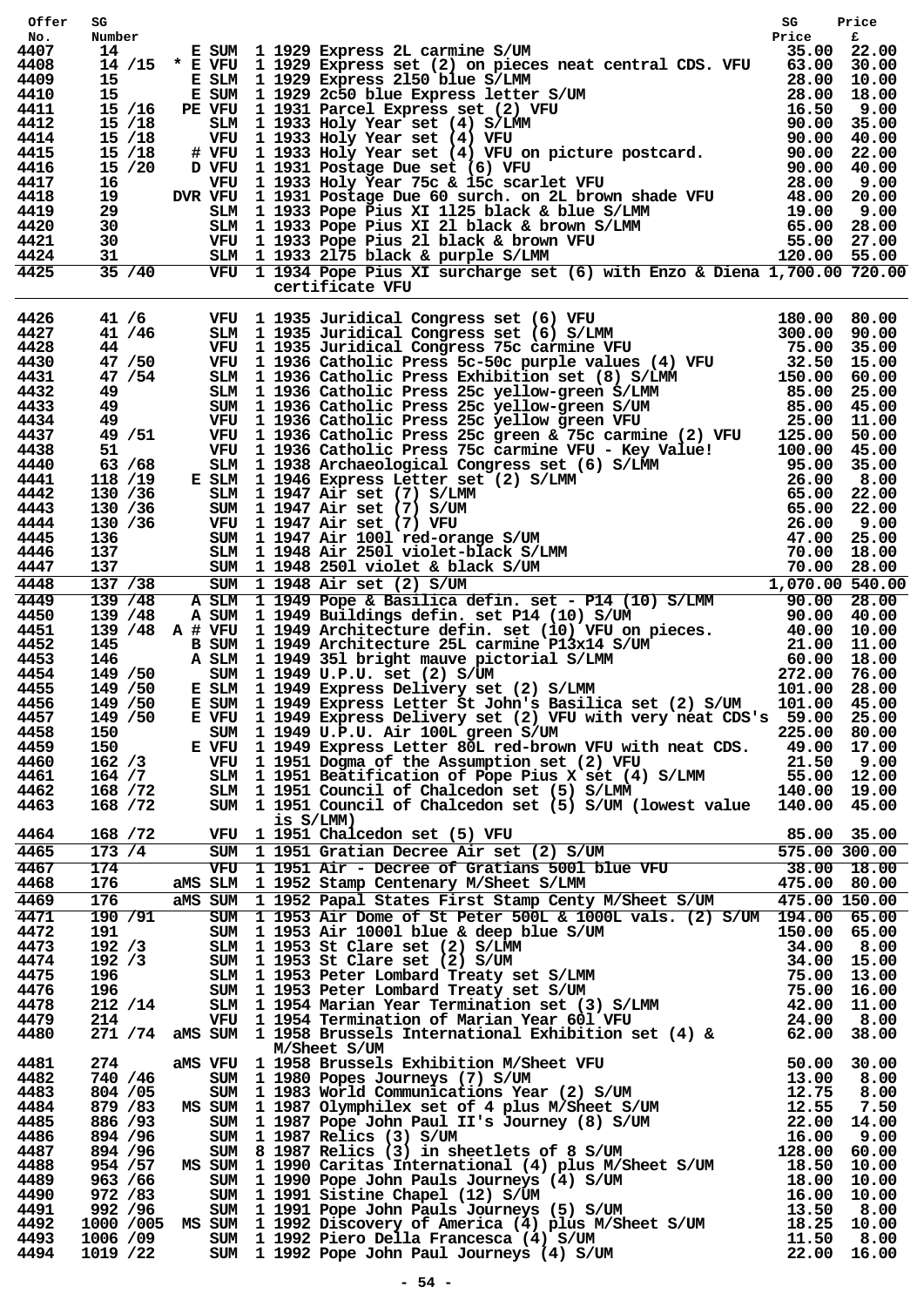| Offer        | SG                    |                                              |                |           |                                                                                                                                                                                                                                                                              | SG                     | Price          |
|--------------|-----------------------|----------------------------------------------|----------------|-----------|------------------------------------------------------------------------------------------------------------------------------------------------------------------------------------------------------------------------------------------------------------------------------|------------------------|----------------|
| No.<br>4407  | Number<br>14          |                                              | E SUM          |           | 1 1929 Express 2L carmine S/UM                                                                                                                                                                                                                                               | Price<br>35.00         | £<br>22.00     |
| 4408         |                       |                                              |                |           | 14 /15 * E VFU 1 1929 Express set (2) on pieces neat central CDS. VFU 63.00                                                                                                                                                                                                  |                        | 30.00          |
| 4409         | 15                    |                                              | E SLM          |           | 1 1929 Express 2150 blue S/LMM<br>1 1929 2c50 blue Express letter S/UM<br>1 1931 Parcel Express set (2) VFU<br>1 1933 Holy Year set (4) S/LMM<br>1 1933 Holy Year set (4) VFU<br>1 1933 Holy Year set (4) VFU<br>1 1933 Holy Year set (4) VFU on picture postcard.<br>1 1931 | 28.00                  | 10.00          |
| 4410<br>4411 | 15                    | 15 /16                                       | PE VFU         |           | E SUM 1 1929 2c50 blue Express letter S/UM                                                                                                                                                                                                                                   |                        | 18.00<br>9.00  |
| 4412         |                       | 15/18                                        | SLM            |           |                                                                                                                                                                                                                                                                              |                        | 35.00          |
| 4414         |                       | $15 \; /18$                                  | VFU            |           |                                                                                                                                                                                                                                                                              |                        | 40.00          |
| 4415         |                       | $15 \; /18$                                  | # VFU<br>D VFU |           |                                                                                                                                                                                                                                                                              |                        | 22.00          |
| 4416<br>4417 |                       | 15 / 20                                      |                |           |                                                                                                                                                                                                                                                                              |                        | 40.00          |
| 4418         |                       |                                              |                |           |                                                                                                                                                                                                                                                                              |                        |                |
| 4419         |                       |                                              |                |           |                                                                                                                                                                                                                                                                              |                        |                |
| 4420         |                       |                                              |                |           |                                                                                                                                                                                                                                                                              |                        |                |
| 4421<br>4424 |                       |                                              |                |           |                                                                                                                                                                                                                                                                              |                        |                |
| 4425         |                       |                                              |                |           | VEU 1 1931 FOStage Due set (6) VFU<br>16 VEU 1 1933 Holy Year 75c & 15c scarlet VFU 28.00 9.00<br>19 DVR VFU 1 1931 Postage Due 60 surch. on 2L brown shade VFU 48.00 20.00<br>29 SLM 1 1933 Pope Pius XI 1125 black & blue S/LMM 19                                         |                        |                |
|              |                       |                                              |                |           | certificate VFU                                                                                                                                                                                                                                                              |                        |                |
| 4426         |                       |                                              |                |           | certificate VFU 1935 Juridical Congress set (6) VFU 180.00 80.00<br>41/6 STM 11935 Juridical Congress set (6) S/LMM<br>44/750 11935 Juridical Congress 75c Carmine VFU 300.00 90.00<br>44/750 11935 Juridical Congress 75c Carmine                                           |                        |                |
| 4427         |                       |                                              |                |           |                                                                                                                                                                                                                                                                              |                        |                |
| 4428         |                       |                                              |                |           |                                                                                                                                                                                                                                                                              |                        |                |
| 4430<br>4431 |                       |                                              |                |           |                                                                                                                                                                                                                                                                              |                        |                |
| 4432         |                       |                                              |                |           |                                                                                                                                                                                                                                                                              |                        |                |
| 4433         |                       |                                              |                |           |                                                                                                                                                                                                                                                                              |                        |                |
| 4434         |                       |                                              |                |           |                                                                                                                                                                                                                                                                              |                        |                |
| 4437<br>4438 |                       |                                              |                |           |                                                                                                                                                                                                                                                                              |                        |                |
| 4440         |                       |                                              |                |           |                                                                                                                                                                                                                                                                              |                        |                |
| 4441         |                       |                                              |                |           |                                                                                                                                                                                                                                                                              |                        |                |
| 4442<br>4443 |                       |                                              |                |           |                                                                                                                                                                                                                                                                              |                        |                |
| 4444         |                       |                                              |                |           |                                                                                                                                                                                                                                                                              |                        |                |
| 4445         |                       |                                              |                |           |                                                                                                                                                                                                                                                                              |                        |                |
| 4446         |                       |                                              |                |           |                                                                                                                                                                                                                                                                              |                        |                |
| 4447         |                       |                                              |                |           |                                                                                                                                                                                                                                                                              |                        |                |
| 4448<br>4449 |                       |                                              |                |           |                                                                                                                                                                                                                                                                              |                        |                |
| 4450         |                       |                                              |                |           |                                                                                                                                                                                                                                                                              |                        |                |
| 4451         |                       |                                              |                |           |                                                                                                                                                                                                                                                                              |                        |                |
| 4452         |                       |                                              |                |           |                                                                                                                                                                                                                                                                              |                        |                |
| 4453<br>4454 |                       | 146<br>149 / 50 SUM<br>2 / 50 E SLM<br>2 GUM |                |           |                                                                                                                                                                                                                                                                              |                        |                |
| 4455         |                       |                                              |                |           |                                                                                                                                                                                                                                                                              |                        |                |
| 4456         | 149 / 50              |                                              | E SUM          |           | 1 1949 Express Letter St John's Basilica set (2) S/UM                                                                                                                                                                                                                        | 101.00                 | 45.00          |
| 4457         | 149 / 50              |                                              | E VFU          |           | 1 1949 Express Delivery set (2) VFU with very neat CDS's 59.00                                                                                                                                                                                                               |                        | 25.00          |
| 4458<br>4459 | 150<br>150            |                                              | SUM<br>E VFU   |           | 1 1949 U.P.U. Air 100L green S/UM                                                                                                                                                                                                                                            | 225.00                 | 80.00<br>17.00 |
| 4460         | 162/3                 |                                              | VFU            |           | 1 1949 Express Letter 80L red-brown VFU with neat CDS. 49.00<br>1 1951 Dooma of the Assumption set (2) VFU 21.50<br>1 1951 Dogma of the Assumption set (2) VFU                                                                                                               |                        | 9.00           |
| 4461         | 164 / 7               |                                              | SLM            |           | 1 1951 Dogma or the Assumption set (2) VFU 21.50<br>1 1951 Beatification of Pope Pius X set (4) S/LMM 55.00<br>1 1951 Council of Chalcedon set (5) S/LMM 140.00                                                                                                              |                        | 12.00          |
| 4462         | 168 / 72              |                                              | SLM            |           |                                                                                                                                                                                                                                                                              |                        | 19.00<br>45.00 |
| 4463         | 168 / 72              |                                              | SUM            | is S/LMM) | 1 1951 Council of Chalcedon set (5) S/UM (lowest value                                                                                                                                                                                                                       | 140.00                 |                |
| 4464<br>4465 | 168 / 72<br>173/4     |                                              | VFU<br>SUM     |           | 1 1951 Chalcedon set (5) VFU<br>1 1951 Chalcedon set (5) VFU 85.00<br>1 1951 Gratian Decree Air set (2) S/UM 575.00<br>1 1951 Air - Decree of Gratians 5001 blue VFU 38.00<br>1 1952 Stamp Centenary M/Sheet S/LMM 475.00                                                    | 85.00<br>575.00 300.00 | 35.00          |
| 4467         | 174                   |                                              | $V$ FU         |           |                                                                                                                                                                                                                                                                              |                        | $38.00$ 18.00  |
| 4468         | 176                   |                                              | aMS SLM        |           |                                                                                                                                                                                                                                                                              |                        | 80.00          |
| 4469         | 176                   |                                              | aMS SUM        |           | 1 1952 Papal States First Stamp Centy M/Sheet S/UM                                                                                                                                                                                                                           | 475.00 150.00          |                |
| 4471         | 190/91                |                                              | SUM            |           | 1 1953 Air Dome of St Peter 500L & 1000L vals. (2) S/UM 194.00                                                                                                                                                                                                               |                        | 65.00          |
| 4472<br>4473 |                       |                                              |                |           |                                                                                                                                                                                                                                                                              |                        | 65.00<br>8.00  |
| 4474         |                       |                                              |                |           |                                                                                                                                                                                                                                                                              |                        | 15.00          |
| 4475         |                       |                                              |                |           |                                                                                                                                                                                                                                                                              |                        | 13.00          |
| 4476         |                       |                                              |                |           |                                                                                                                                                                                                                                                                              |                        | 16.00          |
| 4478         |                       |                                              |                |           |                                                                                                                                                                                                                                                                              |                        | 11.00          |
| 4479<br>4480 |                       |                                              |                |           | 919 SUM 1 1953 Air 10001 blue & deep blue S/UM 150.00<br>192 /3 SUM 1 1953 St Clare set (2) S/LMM 34.00<br>192 /3 SUM 1 1953 St Clare set (2) S/UM 34.00<br>196 SUM 1 1953 Peter Lombard Treaty set S/LMM 75.00<br>196 SUM 1 1953 Peter Lo                                   |                        | 8.00<br>38.00  |
|              |                       |                                              |                |           | M/Sheet S/UM<br>M/Sheet S/UM<br>SUM 1958 Brussels Exhibition M/Sheet VFU<br>50.00<br>SUM 1988 Brussels Exhibition M/Sheet VFU<br>13.00<br>SUM 1989 POPes Journeys (7) S/UM<br>SUM 1987 POP John Paul II's Journey (8) S/UM<br>SUM 1987 POP John Paul II's Jo                 |                        |                |
| 4481<br>4482 | 274<br>740 / 46       |                                              | aMS VFU        |           |                                                                                                                                                                                                                                                                              |                        | 30.00<br>8.00  |
| 4483         | 804 / 05              |                                              |                |           |                                                                                                                                                                                                                                                                              |                        | 8.00           |
| 4484         | 879 / 83              |                                              |                |           |                                                                                                                                                                                                                                                                              |                        | 7.50           |
| 4485         | 886 / 93              |                                              |                |           |                                                                                                                                                                                                                                                                              |                        | 14.00          |
| 4486<br>4487 | 894 / 96<br>894 / 96  |                                              |                |           |                                                                                                                                                                                                                                                                              |                        | 9.00<br>60.00  |
| 4488         | 954 / 57              |                                              |                |           |                                                                                                                                                                                                                                                                              |                        | 10.00          |
| 4489         | 963 / 66              |                                              |                |           |                                                                                                                                                                                                                                                                              |                        | 10.00          |
| 4490         | 972 / 83              |                                              |                |           |                                                                                                                                                                                                                                                                              |                        | 10.00          |
| 4491<br>4492 | 992 / 96<br>1000 /005 |                                              |                |           |                                                                                                                                                                                                                                                                              |                        | 8.00<br>10.00  |
| 4493         | 1006 /09              |                                              |                |           |                                                                                                                                                                                                                                                                              |                        | 8.00           |
| 4494         | 1019 /22              |                                              |                |           |                                                                                                                                                                                                                                                                              |                        | 16.00          |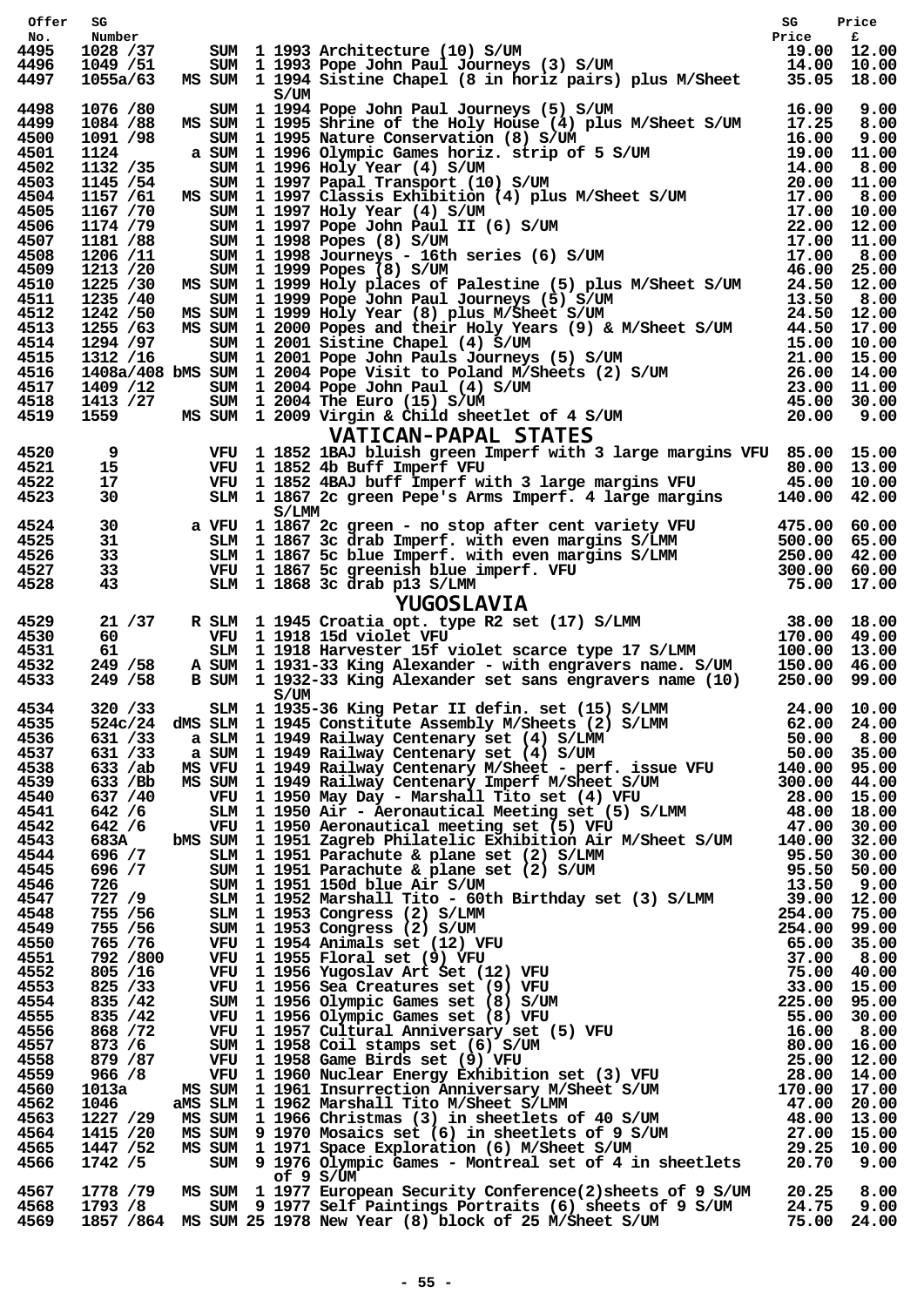| Offer        | SG                               |            |       |                                                                                                                                                                                                                                                    | SG    | Price          |
|--------------|----------------------------------|------------|-------|----------------------------------------------------------------------------------------------------------------------------------------------------------------------------------------------------------------------------------------------------|-------|----------------|
| No.          | Number                           |            |       |                                                                                                                                                                                                                                                    | Price | £              |
| 4495<br>4496 | 1028 /37<br>1049 / 51            | SUM<br>SUM |       |                                                                                                                                                                                                                                                    | 14.00 | 12.00<br>10.00 |
| 4497         | 1055a/63                         | MS SUM     |       | 1 1993 Architecture (10) S/UM 1993 Architecture (10) S/UM 1993 Pope John Paul Journeys (3) S/UM 1993 Pope John Paul Journeys (3) S/UM 1994 Sistine Chapel (8 in horiz pairs) plus M/Sheet 35.05                                                    |       | 18.00          |
|              |                                  |            |       | 3/UM 1994 Pope John Paul Journeys (5) S/UM 16.00<br>1994 Pope John Paul Journeys (5) S/UM 17.25<br>1995 Shrine of the Holy House (4) plus M/Sheet S/UM 17.25<br>1995 Olympic Games horiz. strip of 5 S/UM 16.00<br>1996 Olympic Games hori         |       |                |
| 4498         | 1076 /80                         | SUM        |       |                                                                                                                                                                                                                                                    |       | 9.00           |
| 4499<br>4500 | 1084 /88<br>1091 /98             | MS SUM     |       | SUM 1 1995 Nature Conservation (8) S/UM                                                                                                                                                                                                            |       | 8.00<br>9.00   |
| 4501         | 1124                             | a SUM      |       |                                                                                                                                                                                                                                                    |       | 11.00          |
| 4502         | 1132 / 35                        | SUM        |       |                                                                                                                                                                                                                                                    |       | 8.00           |
| 4503         | 1145 / 54                        | SUM        |       |                                                                                                                                                                                                                                                    |       | 11.00          |
| 4504         | 1157 /61                         | MS SUM     |       | SUM 1 1997 Holy Year (4) S/UM                                                                                                                                                                                                                      |       | 8.00<br>10.00  |
| 4505<br>4506 | 1167 /70<br>1174 /79             | SUM        |       |                                                                                                                                                                                                                                                    |       | 12.00          |
| 4507         | 1181 /88                         |            |       | SUM 1 1998 Popes (8) S/UM                                                                                                                                                                                                                          |       | 11.00          |
| 4508         | 1206 /11                         | SUM        |       |                                                                                                                                                                                                                                                    |       | 8.00           |
| 4509         | 1213 / 20                        | SUM        |       |                                                                                                                                                                                                                                                    | 46.00 | 25.00          |
| 4510<br>4511 | 1225 /30                         |            |       | MS SUM 1 1999 Holy places of Palestine (5) plus M/Sheet S/UM 24.50                                                                                                                                                                                 |       | 12.00          |
| 4512         |                                  |            |       |                                                                                                                                                                                                                                                    |       |                |
| 4513         |                                  |            |       |                                                                                                                                                                                                                                                    |       |                |
| 4514         |                                  |            |       |                                                                                                                                                                                                                                                    |       |                |
| 4515         |                                  |            |       |                                                                                                                                                                                                                                                    |       |                |
| 4516<br>4517 |                                  |            |       |                                                                                                                                                                                                                                                    |       |                |
| 4518         |                                  |            |       |                                                                                                                                                                                                                                                    |       |                |
| 4519         |                                  |            |       | 1235 / 40<br>1235 / 40<br>1235 / 40<br>1235 / 63 000 11 1999 Rope John Paul Journeys (5) S/UM<br>1255 / 63 MS SUM 12000 Popes and their Holy Years (9) & M/Sheet S/UM<br>1255 / 63 MS SUM 12000 Popes and their Holy Years (9) & M/Shee            |       |                |
|              |                                  |            |       | <b>VATICAN-PAPAL STATES</b>                                                                                                                                                                                                                        |       |                |
| 4520         |                                  |            |       | 1 1852 1BAJ bluish green Imperf with 3 large margins VFU 85.00 15.00                                                                                                                                                                               |       |                |
| 4521         |                                  |            |       | VFU 1 1852 4b Buff Imperf VFU<br>1 1852 4b Buff Imperf VFU<br>1 1852 4BAJ buff Imperf with 3 large margins VFU 45.00                                                                                                                               |       | 13.00          |
| 4522         |                                  |            |       |                                                                                                                                                                                                                                                    |       | 10.00          |
| 4523         | 30                               | SLM        |       | 1 1867 2c green Pepe's Arms Imperf. 4 large margins 140.00                                                                                                                                                                                         |       | 42.00          |
| 4524         | a VFU<br>30                      |            | S/LMM |                                                                                                                                                                                                                                                    |       |                |
| 4525         | 31                               |            |       |                                                                                                                                                                                                                                                    |       |                |
| 4526         |                                  |            |       |                                                                                                                                                                                                                                                    |       |                |
| 4527         | $31$<br>$33$<br>$33$<br>$43$     |            |       |                                                                                                                                                                                                                                                    |       |                |
| 4528         |                                  |            |       |                                                                                                                                                                                                                                                    |       |                |
|              |                                  |            |       | a VFU 11867 2c green - no stop after cent variety VFU 475.00 60.00<br>SLM 11867 3c drab Imperf. with even margins S/LMM 500.00 65.00<br>SLM 11867 5c blue Imperf. with even margins S/LMM 500.00 65.00<br>VFU 11867 5c greenish blu                |       |                |
| 4529<br>4530 | 21/37<br>60                      |            |       |                                                                                                                                                                                                                                                    |       |                |
| 4531         | 61                               |            |       |                                                                                                                                                                                                                                                    |       |                |
| 4532         |                                  |            |       | 1 1931-33 King Alexander - with engravers name. S/UM 150.00                                                                                                                                                                                        |       | 46.00          |
| 4533         | 249 / 58 A SUM<br>249 / 58 B SUM |            |       | 1 1932-33 King Alexander set sans engravers name (10) 250.00                                                                                                                                                                                       |       | 99.00          |
| 4534         | 320 / 33                         |            | S/UM  |                                                                                                                                                                                                                                                    |       |                |
| 4535         | 524c/24                          |            |       |                                                                                                                                                                                                                                                    |       |                |
| 4536         | 631 /33                          |            |       |                                                                                                                                                                                                                                                    |       |                |
| 4537         | 631 /33                          |            |       |                                                                                                                                                                                                                                                    |       |                |
| 4538         | 633 /ab                          |            |       |                                                                                                                                                                                                                                                    |       |                |
| 4539         | 633 / Bb                         |            |       |                                                                                                                                                                                                                                                    |       |                |
| 4540<br>4541 | 637 / 40<br>642 / 6              |            |       |                                                                                                                                                                                                                                                    |       |                |
| 4542         | 642 / 6                          |            |       |                                                                                                                                                                                                                                                    |       |                |
| 4543         | 683A                             |            |       |                                                                                                                                                                                                                                                    |       |                |
| 4544         |                                  |            |       |                                                                                                                                                                                                                                                    |       |                |
| 4545         |                                  |            |       |                                                                                                                                                                                                                                                    |       |                |
| 4546<br>4547 |                                  |            |       | 596 /7<br>596 /7 SUM 1 1951 150d blue<br>727 /9 SIM 1 1952 Marshall Tito - but.<br>755 /56 SIM 1 1953 Congress (2) S/LMM<br>755 /56 SUM 1 1953 Congress (2) S/LMM<br>765 /76 VFU 1 1954 Animals set (12) V<br>700 VFU 1 1955 Floral s              |       |                |
| 4548         |                                  |            |       |                                                                                                                                                                                                                                                    |       |                |
| 4549         |                                  |            |       |                                                                                                                                                                                                                                                    |       |                |
| 4550         |                                  |            |       |                                                                                                                                                                                                                                                    |       |                |
| 4551         |                                  |            |       |                                                                                                                                                                                                                                                    |       |                |
| 4552<br>4553 |                                  |            |       |                                                                                                                                                                                                                                                    |       |                |
| 4554         | 835 / 42                         |            |       |                                                                                                                                                                                                                                                    |       | 95.00          |
| 4555         | 835 / 42                         |            |       |                                                                                                                                                                                                                                                    |       |                |
| 4556         | 868 / 72                         |            |       |                                                                                                                                                                                                                                                    |       |                |
| 4557         | 873 / 6                          |            |       |                                                                                                                                                                                                                                                    |       |                |
| 4558<br>4559 | 879 / 87                         |            |       |                                                                                                                                                                                                                                                    |       |                |
| 4560         | 966 / 8<br>1013a                 |            |       |                                                                                                                                                                                                                                                    |       |                |
| 4562         | 1046                             |            |       |                                                                                                                                                                                                                                                    |       |                |
| 4563         | 1227 /29                         |            |       |                                                                                                                                                                                                                                                    |       | 13.00          |
| 4564         | 1415 /20                         |            |       |                                                                                                                                                                                                                                                    |       |                |
| 4565<br>4566 | 1447 / 52<br>1742 /5             |            |       |                                                                                                                                                                                                                                                    |       | 10.00          |
|              |                                  |            |       | B SUM 11932-33 King Alexander set sans engravers name (10) 250.00 99.00<br>SIMM 12935-56 King Peter II defin. set (15) S/LMM 24.00 10.00<br>SIMM 11935-Softkirtte Assembly M/Sheets (2) S/LMM 62.00 02.00<br>a SiMM 11945 Echilette<br>of $9 S/UM$ |       |                |
| 4567         |                                  |            |       | 1778 /79 MS SUM 1 1977 European Security Conference(2)sheets of 9 S/UM 20.25<br>1793 /8 SUM 9 1977 Self Paintings Portraits (6) sheets of 9 S/UM 24.75<br>1857 /864 MS SUM 25 1978 New Year (8) block of 25 M/Sheet S/UM 75.00                     |       | 8.00           |
| 4568         |                                  |            |       |                                                                                                                                                                                                                                                    |       | 9.00           |
| 4569         |                                  |            |       |                                                                                                                                                                                                                                                    |       | 24.00          |